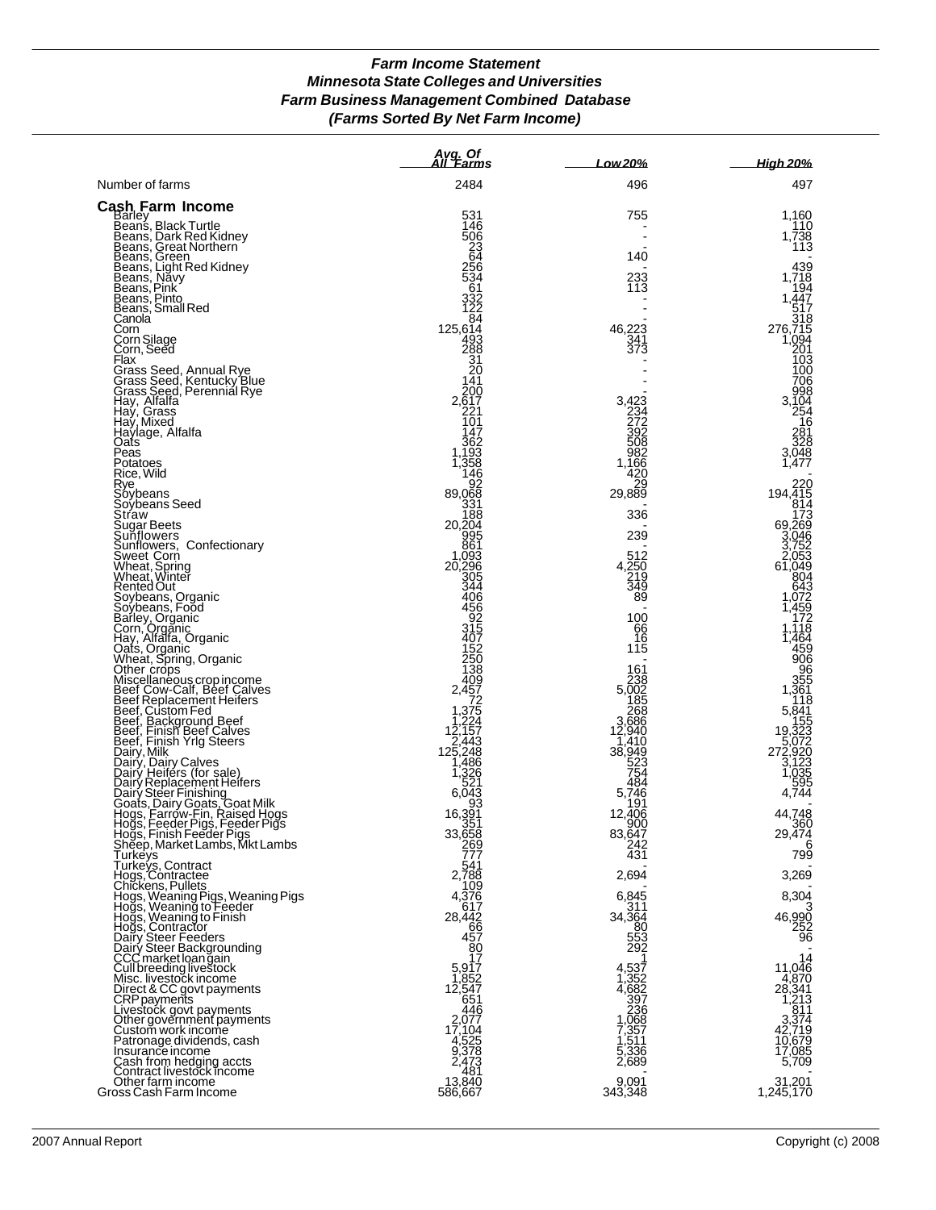## *Farm Income Statement Minnesota State Colleges and Universities Farm Business Management Combined Database (Farms Sorted By Net Farm Income)*

|                                                                                                                                                                                                                                                                                | Avg. Of<br>All 'Farms                      | <b>Low20%</b>                                           | High 20%                                                                                        |
|--------------------------------------------------------------------------------------------------------------------------------------------------------------------------------------------------------------------------------------------------------------------------------|--------------------------------------------|---------------------------------------------------------|-------------------------------------------------------------------------------------------------|
| Number of farms                                                                                                                                                                                                                                                                | 2484                                       | 496                                                     | 497                                                                                             |
| <b>Cash Farm Income</b><br>Beans, Black Turtle<br>Beans, Dark Red Kidney<br>Beans, Oark Red Kidney<br>Beans, Green<br>Beans, Light Red Kidney<br>Beans, Pink<br>Beans, Pink<br>Beans, Small Red<br>Cannola<br>Corn                                                             | 531                                        | 755                                                     | 1,160                                                                                           |
|                                                                                                                                                                                                                                                                                | 146<br>506                                 |                                                         | 110<br>1,738                                                                                    |
|                                                                                                                                                                                                                                                                                | $^{23}_{64}$                               | 140                                                     | 113                                                                                             |
|                                                                                                                                                                                                                                                                                | 256<br>534                                 |                                                         | 439<br>1,718                                                                                    |
|                                                                                                                                                                                                                                                                                | _61<br>332<br>122                          | 233<br>113                                              | 194                                                                                             |
|                                                                                                                                                                                                                                                                                | $\overline{8}$ <sup>4</sup>                |                                                         | 1,447<br>517<br>318                                                                             |
| Corn                                                                                                                                                                                                                                                                           | 125,614<br>493                             | 46,223<br>341                                           | 276,715<br>1,094                                                                                |
| Corn Silage<br>Corn, Seed                                                                                                                                                                                                                                                      |                                            | 373                                                     | 201                                                                                             |
| Flax                                                                                                                                                                                                                                                                           | 288<br>31<br>20.                           |                                                         | 103<br>100                                                                                      |
| Flax<br>Grass Seed, Annual Rye<br>Grass Seed, Kentucky Blue<br>Grass Seed, Perennial Rye<br>Hay, Alfalfa<br>Hay, Mixed<br>Haylage, Alfalfa<br>Qass<br>Oass                                                                                                                     | 141<br>200                                 |                                                         | 706<br>998                                                                                      |
|                                                                                                                                                                                                                                                                                | $2,\overline{6}17$<br>221                  | 3,423<br>234<br>272                                     | 3,104<br>254                                                                                    |
|                                                                                                                                                                                                                                                                                | $\overline{10}1$<br>147                    | 392                                                     | 16<br>281<br>328                                                                                |
| Peas                                                                                                                                                                                                                                                                           | 362<br>1,193<br>1,358                      | 508                                                     | 3,048<br>1,477                                                                                  |
| Potatoes<br>Rice, Wild                                                                                                                                                                                                                                                         | 146                                        | $\frac{982}{1,166}$<br>420                              |                                                                                                 |
| Rye.                                                                                                                                                                                                                                                                           | 92<br>89,068                               | 29<br>29,889                                            | 220<br>194,415<br>814                                                                           |
|                                                                                                                                                                                                                                                                                | 331<br>188                                 | 336                                                     |                                                                                                 |
|                                                                                                                                                                                                                                                                                | 20,204<br>995                              | 239                                                     | $69,269$<br>$69,269$<br>$3,04$                                                                  |
|                                                                                                                                                                                                                                                                                | 861<br>1,093                               | 512                                                     | $\begin{array}{r} 3,046 \\ 3,752 \\ 2,053 \\ 61,049 \end{array}$                                |
|                                                                                                                                                                                                                                                                                | 20,296<br>305                              | $\frac{250}{219}$<br>349                                | 804                                                                                             |
|                                                                                                                                                                                                                                                                                | 344<br>406                                 | 89                                                      | 643<br>.072                                                                                     |
|                                                                                                                                                                                                                                                                                | 456<br>92<br>315                           | 100                                                     | 459,<br>172                                                                                     |
| Rice, Wild<br>Rye<br>Soybeans<br>Soybeans Seed<br>Straw<br>Sugar Beets<br>Sunflowers, Confectionary<br>Sweet Corn<br>Wheat, Spring<br>Wheat, Spring<br>Wheat, Spring<br>Systems, Croanic<br>Soybeans, Croanic<br>Corn, Organic<br>Corn, Organic<br>Corn, Organic<br>Corn, Orga | 407                                        | 66<br>16                                                | ,118<br>1,464                                                                                   |
|                                                                                                                                                                                                                                                                                | 152<br>250                                 | 115                                                     | 459<br>906                                                                                      |
|                                                                                                                                                                                                                                                                                | <b>138</b><br>409                          | 161                                                     | 96<br>355                                                                                       |
|                                                                                                                                                                                                                                                                                |                                            | $238$<br>5,002                                          | 1,361<br>118                                                                                    |
|                                                                                                                                                                                                                                                                                | 2,457<br>72<br>1,375<br>1,224              | $\frac{265}{2,686}$                                     | $\begin{array}{r} 5,841 \\ 155 \\ 19,323 \\ 5,072 \\ 272,920 \\ 3,1235 \\ 1,035 \\ \end{array}$ |
|                                                                                                                                                                                                                                                                                | 12,157<br>2,443                            | 12,940<br>1,410                                         |                                                                                                 |
|                                                                                                                                                                                                                                                                                | 125,248                                    | 38,949<br>523<br>754                                    |                                                                                                 |
|                                                                                                                                                                                                                                                                                | $\frac{1}{4}$ , 486<br>1, 326<br>521       | 484                                                     | 595                                                                                             |
|                                                                                                                                                                                                                                                                                | 6,043<br>93                                | 5,746<br>191                                            | 4,744                                                                                           |
|                                                                                                                                                                                                                                                                                | 16,391<br>351                              | 12,406<br>900                                           | 44,748<br>360                                                                                   |
|                                                                                                                                                                                                                                                                                | 33,658<br>269<br>777                       | 83,647<br>242                                           | 29,474<br>6                                                                                     |
|                                                                                                                                                                                                                                                                                |                                            | 431                                                     | 799                                                                                             |
|                                                                                                                                                                                                                                                                                | 541<br>2,788<br>109                        | 2,694                                                   | 3,269                                                                                           |
|                                                                                                                                                                                                                                                                                | 4,376<br>617                               | 6,845<br>311                                            | 8,304                                                                                           |
|                                                                                                                                                                                                                                                                                | 28,442<br>66                               | 34,364                                                  | 46,990<br>252                                                                                   |
|                                                                                                                                                                                                                                                                                | 457                                        | $\frac{80}{553}$<br>292                                 | $\overline{96}$                                                                                 |
|                                                                                                                                                                                                                                                                                | $\frac{80}{17}$                            | 1                                                       | 14<br>11,046                                                                                    |
|                                                                                                                                                                                                                                                                                | 5,917<br>1,852                             |                                                         | 4,870<br>28,341                                                                                 |
|                                                                                                                                                                                                                                                                                | 12,547<br>651<br>446                       | 4,537<br>1,352<br>4,682<br>397<br>236<br>2,068<br>1,068 | 1,213                                                                                           |
|                                                                                                                                                                                                                                                                                |                                            |                                                         | $\begin{array}{r} \n 611 \\ 3,374 \\ 42,719\n \end{array}$                                      |
|                                                                                                                                                                                                                                                                                | 2,077<br>17,104<br>4,525<br>9,378<br>2,473 | $7,357$<br>1,511<br>5,336<br>2,689                      | 10,679<br>17,085                                                                                |
|                                                                                                                                                                                                                                                                                | 481                                        |                                                         | 5,709                                                                                           |
| Hogs, Feeder Pigs, Feeder Pigs<br>Hogs, Finish Feeder Pigs<br>Sheep, Market Lambs, Mkt Lambs<br>Turkeys, Contract<br>Hogs, Contract<br>Hogs, Weaning Pigs, Weaning Pigs<br>Hogs, Weaning to Feeder<br>Hogs, Weaning to Feeder<br>Hogs, Contractor<br>Hogs                      | 13,840<br>586,667                          | 9,091<br>343,348                                        | 31,201<br>1,245,170                                                                             |
|                                                                                                                                                                                                                                                                                |                                            |                                                         |                                                                                                 |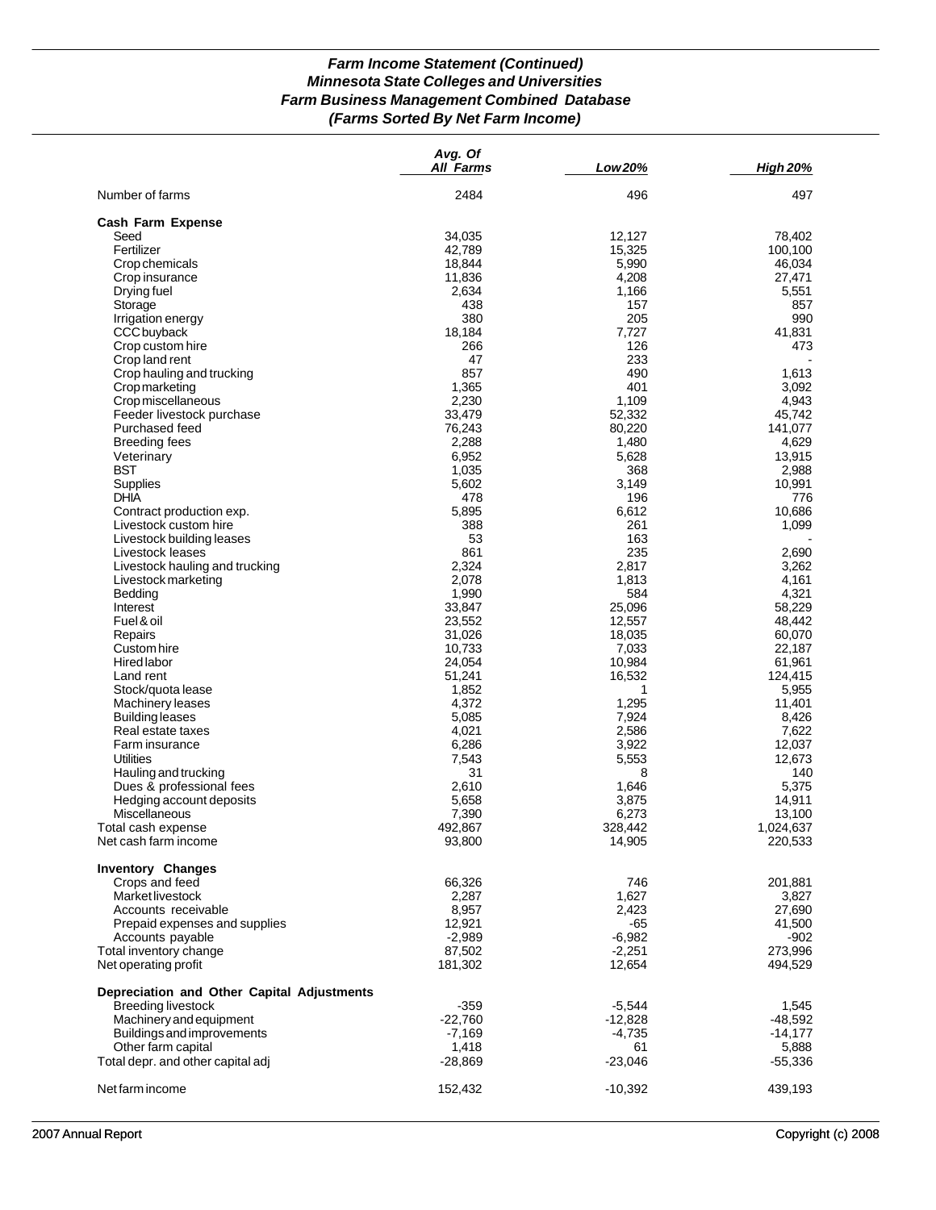## *Farm Income Statement (Continued) Minnesota State Colleges and Universities Farm Business Management Combined Database (Farms Sorted By Net Farm Income)*

| Number of farms<br>2484<br>496<br>497<br><b>Cash Farm Expense</b><br>34,035<br>12,127<br>78,402<br>Seed<br>Fertilizer<br>15,325<br>42,789<br>100,100<br>18,844<br>46,034<br>Crop chemicals<br>5,990<br>11,836<br>4,208<br>27,471<br>Crop insurance<br>2,634<br>1,166<br>5,551<br>Drying fuel<br>Storage<br>438<br>157<br>857<br>380<br>205<br>990<br>Irrigation energy<br>18,184<br>CCC buyback<br>7,727<br>41,831<br>126<br>Crop custom hire<br>266<br>473<br>233<br>Crop land rent<br>47<br>857<br>490<br>Crop hauling and trucking<br>1,613<br>1,365<br>401<br>Cropmarketing<br>3,092<br>2,230<br>1,109<br>Crop miscellaneous<br>4,943<br>33,479<br>Feeder livestock purchase<br>52,332<br>45,742<br>76,243<br>Purchased feed<br>80,220<br>141,077<br>2,288<br>1,480<br><b>Breeding fees</b><br>4,629<br>6,952<br>Veterinary<br>5,628<br>13,915<br><b>BST</b><br>1,035<br>368<br>2,988<br>5,602<br>Supplies<br>3,149<br>10,991<br><b>DHIA</b><br>478<br>196<br>776<br>5,895<br>6,612<br>10,686<br>Contract production exp.<br>Livestock custom hire<br>388<br>261<br>1,099<br>53<br>163<br>Livestock building leases<br>861<br>235<br>2,690<br>Livestock leases<br>2,324<br>2,817<br>3,262<br>Livestock hauling and trucking<br>2,078<br>1,813<br>4,161<br>Livestock marketing<br>1,990<br>584<br>4,321<br>Bedding<br>33,847<br>25,096<br>58,229<br>Interest<br>12,557<br>Fuel & oil<br>23,552<br>48,442<br>31,026<br>18,035<br>60,070<br>Repairs<br>10,733<br>7,033<br>Custom hire<br>22,187<br>24,054<br>10,984<br>Hired labor<br>61,961<br>51,241<br>16,532<br>Land rent<br>124,415<br>1,852<br>Stock/quota lease<br>5,955<br>4,372<br>1,295<br>11,401<br><b>Machinery leases</b><br>5,085<br><b>Building leases</b><br>7,924<br>8,426<br>2,586<br>4,021<br>7,622<br>Real estate taxes<br>6,286<br>3,922<br>12,037<br>Farm insurance<br>12,673<br><b>Utilities</b><br>7,543<br>5,553<br>Hauling and trucking<br>31<br>140<br>8<br>2,610<br>1,646<br>5,375<br>Dues & professional fees<br>Hedging account deposits<br>5,658<br>3,875<br>14,911<br>7,390<br>6,273<br>Miscellaneous<br>13,100<br>492,867<br>328,442<br>1.024.637<br>Total cash expense<br>14,905<br>Net cash farm income<br>93,800<br>220,533<br><b>Inventory Changes</b><br>Crops and feed<br>66,326<br>746<br>201,881<br>1,627<br>Market livestock<br>2,287<br>3,827<br>8,957<br>2,423<br>Accounts receivable<br>27,690<br>12,921<br>-65<br>41,500<br>Prepaid expenses and supplies<br>Accounts payable<br>$-2,989$<br>$-6,982$<br>$-902$<br>87,502<br>$-2,251$<br>273,996<br>Total inventory change<br>Net operating profit<br>181,302<br>12,654<br>494,529<br>Depreciation and Other Capital Adjustments<br><b>Breeding livestock</b><br>$-359$<br>$-5,544$<br>1,545<br>Machinery and equipment<br>$-22,760$<br>$-12,828$<br>-48,592<br>Buildings and improvements<br>$-7,169$<br>$-4,735$<br>$-14,177$<br>Other farm capital<br>1,418<br>5,888<br>61<br>Total depr. and other capital adj<br>$-28,869$<br>$-23,046$<br>$-55,336$<br>152,432<br>$-10,392$<br>439,193<br>Net farm income | Avg. Of<br><b>All Farms</b> | Low 20% | <b>High 20%</b> |
|----------------------------------------------------------------------------------------------------------------------------------------------------------------------------------------------------------------------------------------------------------------------------------------------------------------------------------------------------------------------------------------------------------------------------------------------------------------------------------------------------------------------------------------------------------------------------------------------------------------------------------------------------------------------------------------------------------------------------------------------------------------------------------------------------------------------------------------------------------------------------------------------------------------------------------------------------------------------------------------------------------------------------------------------------------------------------------------------------------------------------------------------------------------------------------------------------------------------------------------------------------------------------------------------------------------------------------------------------------------------------------------------------------------------------------------------------------------------------------------------------------------------------------------------------------------------------------------------------------------------------------------------------------------------------------------------------------------------------------------------------------------------------------------------------------------------------------------------------------------------------------------------------------------------------------------------------------------------------------------------------------------------------------------------------------------------------------------------------------------------------------------------------------------------------------------------------------------------------------------------------------------------------------------------------------------------------------------------------------------------------------------------------------------------------------------------------------------------------------------------------------------------------------------------------------------------------------------------------------------------------------------------------------------------------------------------------------------------------------------------------------------------------------------------------------------------------------------------------------------------------------------------------------------------------------------------------------------------------------------------------------------------------------------------------------------|-----------------------------|---------|-----------------|
|                                                                                                                                                                                                                                                                                                                                                                                                                                                                                                                                                                                                                                                                                                                                                                                                                                                                                                                                                                                                                                                                                                                                                                                                                                                                                                                                                                                                                                                                                                                                                                                                                                                                                                                                                                                                                                                                                                                                                                                                                                                                                                                                                                                                                                                                                                                                                                                                                                                                                                                                                                                                                                                                                                                                                                                                                                                                                                                                                                                                                                                                |                             |         |                 |
|                                                                                                                                                                                                                                                                                                                                                                                                                                                                                                                                                                                                                                                                                                                                                                                                                                                                                                                                                                                                                                                                                                                                                                                                                                                                                                                                                                                                                                                                                                                                                                                                                                                                                                                                                                                                                                                                                                                                                                                                                                                                                                                                                                                                                                                                                                                                                                                                                                                                                                                                                                                                                                                                                                                                                                                                                                                                                                                                                                                                                                                                |                             |         |                 |
|                                                                                                                                                                                                                                                                                                                                                                                                                                                                                                                                                                                                                                                                                                                                                                                                                                                                                                                                                                                                                                                                                                                                                                                                                                                                                                                                                                                                                                                                                                                                                                                                                                                                                                                                                                                                                                                                                                                                                                                                                                                                                                                                                                                                                                                                                                                                                                                                                                                                                                                                                                                                                                                                                                                                                                                                                                                                                                                                                                                                                                                                |                             |         |                 |
|                                                                                                                                                                                                                                                                                                                                                                                                                                                                                                                                                                                                                                                                                                                                                                                                                                                                                                                                                                                                                                                                                                                                                                                                                                                                                                                                                                                                                                                                                                                                                                                                                                                                                                                                                                                                                                                                                                                                                                                                                                                                                                                                                                                                                                                                                                                                                                                                                                                                                                                                                                                                                                                                                                                                                                                                                                                                                                                                                                                                                                                                |                             |         |                 |
|                                                                                                                                                                                                                                                                                                                                                                                                                                                                                                                                                                                                                                                                                                                                                                                                                                                                                                                                                                                                                                                                                                                                                                                                                                                                                                                                                                                                                                                                                                                                                                                                                                                                                                                                                                                                                                                                                                                                                                                                                                                                                                                                                                                                                                                                                                                                                                                                                                                                                                                                                                                                                                                                                                                                                                                                                                                                                                                                                                                                                                                                |                             |         |                 |
|                                                                                                                                                                                                                                                                                                                                                                                                                                                                                                                                                                                                                                                                                                                                                                                                                                                                                                                                                                                                                                                                                                                                                                                                                                                                                                                                                                                                                                                                                                                                                                                                                                                                                                                                                                                                                                                                                                                                                                                                                                                                                                                                                                                                                                                                                                                                                                                                                                                                                                                                                                                                                                                                                                                                                                                                                                                                                                                                                                                                                                                                |                             |         |                 |
|                                                                                                                                                                                                                                                                                                                                                                                                                                                                                                                                                                                                                                                                                                                                                                                                                                                                                                                                                                                                                                                                                                                                                                                                                                                                                                                                                                                                                                                                                                                                                                                                                                                                                                                                                                                                                                                                                                                                                                                                                                                                                                                                                                                                                                                                                                                                                                                                                                                                                                                                                                                                                                                                                                                                                                                                                                                                                                                                                                                                                                                                |                             |         |                 |
|                                                                                                                                                                                                                                                                                                                                                                                                                                                                                                                                                                                                                                                                                                                                                                                                                                                                                                                                                                                                                                                                                                                                                                                                                                                                                                                                                                                                                                                                                                                                                                                                                                                                                                                                                                                                                                                                                                                                                                                                                                                                                                                                                                                                                                                                                                                                                                                                                                                                                                                                                                                                                                                                                                                                                                                                                                                                                                                                                                                                                                                                |                             |         |                 |
|                                                                                                                                                                                                                                                                                                                                                                                                                                                                                                                                                                                                                                                                                                                                                                                                                                                                                                                                                                                                                                                                                                                                                                                                                                                                                                                                                                                                                                                                                                                                                                                                                                                                                                                                                                                                                                                                                                                                                                                                                                                                                                                                                                                                                                                                                                                                                                                                                                                                                                                                                                                                                                                                                                                                                                                                                                                                                                                                                                                                                                                                |                             |         |                 |
|                                                                                                                                                                                                                                                                                                                                                                                                                                                                                                                                                                                                                                                                                                                                                                                                                                                                                                                                                                                                                                                                                                                                                                                                                                                                                                                                                                                                                                                                                                                                                                                                                                                                                                                                                                                                                                                                                                                                                                                                                                                                                                                                                                                                                                                                                                                                                                                                                                                                                                                                                                                                                                                                                                                                                                                                                                                                                                                                                                                                                                                                |                             |         |                 |
|                                                                                                                                                                                                                                                                                                                                                                                                                                                                                                                                                                                                                                                                                                                                                                                                                                                                                                                                                                                                                                                                                                                                                                                                                                                                                                                                                                                                                                                                                                                                                                                                                                                                                                                                                                                                                                                                                                                                                                                                                                                                                                                                                                                                                                                                                                                                                                                                                                                                                                                                                                                                                                                                                                                                                                                                                                                                                                                                                                                                                                                                |                             |         |                 |
|                                                                                                                                                                                                                                                                                                                                                                                                                                                                                                                                                                                                                                                                                                                                                                                                                                                                                                                                                                                                                                                                                                                                                                                                                                                                                                                                                                                                                                                                                                                                                                                                                                                                                                                                                                                                                                                                                                                                                                                                                                                                                                                                                                                                                                                                                                                                                                                                                                                                                                                                                                                                                                                                                                                                                                                                                                                                                                                                                                                                                                                                |                             |         |                 |
|                                                                                                                                                                                                                                                                                                                                                                                                                                                                                                                                                                                                                                                                                                                                                                                                                                                                                                                                                                                                                                                                                                                                                                                                                                                                                                                                                                                                                                                                                                                                                                                                                                                                                                                                                                                                                                                                                                                                                                                                                                                                                                                                                                                                                                                                                                                                                                                                                                                                                                                                                                                                                                                                                                                                                                                                                                                                                                                                                                                                                                                                |                             |         |                 |
|                                                                                                                                                                                                                                                                                                                                                                                                                                                                                                                                                                                                                                                                                                                                                                                                                                                                                                                                                                                                                                                                                                                                                                                                                                                                                                                                                                                                                                                                                                                                                                                                                                                                                                                                                                                                                                                                                                                                                                                                                                                                                                                                                                                                                                                                                                                                                                                                                                                                                                                                                                                                                                                                                                                                                                                                                                                                                                                                                                                                                                                                |                             |         |                 |
|                                                                                                                                                                                                                                                                                                                                                                                                                                                                                                                                                                                                                                                                                                                                                                                                                                                                                                                                                                                                                                                                                                                                                                                                                                                                                                                                                                                                                                                                                                                                                                                                                                                                                                                                                                                                                                                                                                                                                                                                                                                                                                                                                                                                                                                                                                                                                                                                                                                                                                                                                                                                                                                                                                                                                                                                                                                                                                                                                                                                                                                                |                             |         |                 |
|                                                                                                                                                                                                                                                                                                                                                                                                                                                                                                                                                                                                                                                                                                                                                                                                                                                                                                                                                                                                                                                                                                                                                                                                                                                                                                                                                                                                                                                                                                                                                                                                                                                                                                                                                                                                                                                                                                                                                                                                                                                                                                                                                                                                                                                                                                                                                                                                                                                                                                                                                                                                                                                                                                                                                                                                                                                                                                                                                                                                                                                                |                             |         |                 |
|                                                                                                                                                                                                                                                                                                                                                                                                                                                                                                                                                                                                                                                                                                                                                                                                                                                                                                                                                                                                                                                                                                                                                                                                                                                                                                                                                                                                                                                                                                                                                                                                                                                                                                                                                                                                                                                                                                                                                                                                                                                                                                                                                                                                                                                                                                                                                                                                                                                                                                                                                                                                                                                                                                                                                                                                                                                                                                                                                                                                                                                                |                             |         |                 |
|                                                                                                                                                                                                                                                                                                                                                                                                                                                                                                                                                                                                                                                                                                                                                                                                                                                                                                                                                                                                                                                                                                                                                                                                                                                                                                                                                                                                                                                                                                                                                                                                                                                                                                                                                                                                                                                                                                                                                                                                                                                                                                                                                                                                                                                                                                                                                                                                                                                                                                                                                                                                                                                                                                                                                                                                                                                                                                                                                                                                                                                                |                             |         |                 |
|                                                                                                                                                                                                                                                                                                                                                                                                                                                                                                                                                                                                                                                                                                                                                                                                                                                                                                                                                                                                                                                                                                                                                                                                                                                                                                                                                                                                                                                                                                                                                                                                                                                                                                                                                                                                                                                                                                                                                                                                                                                                                                                                                                                                                                                                                                                                                                                                                                                                                                                                                                                                                                                                                                                                                                                                                                                                                                                                                                                                                                                                |                             |         |                 |
|                                                                                                                                                                                                                                                                                                                                                                                                                                                                                                                                                                                                                                                                                                                                                                                                                                                                                                                                                                                                                                                                                                                                                                                                                                                                                                                                                                                                                                                                                                                                                                                                                                                                                                                                                                                                                                                                                                                                                                                                                                                                                                                                                                                                                                                                                                                                                                                                                                                                                                                                                                                                                                                                                                                                                                                                                                                                                                                                                                                                                                                                |                             |         |                 |
|                                                                                                                                                                                                                                                                                                                                                                                                                                                                                                                                                                                                                                                                                                                                                                                                                                                                                                                                                                                                                                                                                                                                                                                                                                                                                                                                                                                                                                                                                                                                                                                                                                                                                                                                                                                                                                                                                                                                                                                                                                                                                                                                                                                                                                                                                                                                                                                                                                                                                                                                                                                                                                                                                                                                                                                                                                                                                                                                                                                                                                                                |                             |         |                 |
|                                                                                                                                                                                                                                                                                                                                                                                                                                                                                                                                                                                                                                                                                                                                                                                                                                                                                                                                                                                                                                                                                                                                                                                                                                                                                                                                                                                                                                                                                                                                                                                                                                                                                                                                                                                                                                                                                                                                                                                                                                                                                                                                                                                                                                                                                                                                                                                                                                                                                                                                                                                                                                                                                                                                                                                                                                                                                                                                                                                                                                                                |                             |         |                 |
|                                                                                                                                                                                                                                                                                                                                                                                                                                                                                                                                                                                                                                                                                                                                                                                                                                                                                                                                                                                                                                                                                                                                                                                                                                                                                                                                                                                                                                                                                                                                                                                                                                                                                                                                                                                                                                                                                                                                                                                                                                                                                                                                                                                                                                                                                                                                                                                                                                                                                                                                                                                                                                                                                                                                                                                                                                                                                                                                                                                                                                                                |                             |         |                 |
|                                                                                                                                                                                                                                                                                                                                                                                                                                                                                                                                                                                                                                                                                                                                                                                                                                                                                                                                                                                                                                                                                                                                                                                                                                                                                                                                                                                                                                                                                                                                                                                                                                                                                                                                                                                                                                                                                                                                                                                                                                                                                                                                                                                                                                                                                                                                                                                                                                                                                                                                                                                                                                                                                                                                                                                                                                                                                                                                                                                                                                                                |                             |         |                 |
|                                                                                                                                                                                                                                                                                                                                                                                                                                                                                                                                                                                                                                                                                                                                                                                                                                                                                                                                                                                                                                                                                                                                                                                                                                                                                                                                                                                                                                                                                                                                                                                                                                                                                                                                                                                                                                                                                                                                                                                                                                                                                                                                                                                                                                                                                                                                                                                                                                                                                                                                                                                                                                                                                                                                                                                                                                                                                                                                                                                                                                                                |                             |         |                 |
|                                                                                                                                                                                                                                                                                                                                                                                                                                                                                                                                                                                                                                                                                                                                                                                                                                                                                                                                                                                                                                                                                                                                                                                                                                                                                                                                                                                                                                                                                                                                                                                                                                                                                                                                                                                                                                                                                                                                                                                                                                                                                                                                                                                                                                                                                                                                                                                                                                                                                                                                                                                                                                                                                                                                                                                                                                                                                                                                                                                                                                                                |                             |         |                 |
|                                                                                                                                                                                                                                                                                                                                                                                                                                                                                                                                                                                                                                                                                                                                                                                                                                                                                                                                                                                                                                                                                                                                                                                                                                                                                                                                                                                                                                                                                                                                                                                                                                                                                                                                                                                                                                                                                                                                                                                                                                                                                                                                                                                                                                                                                                                                                                                                                                                                                                                                                                                                                                                                                                                                                                                                                                                                                                                                                                                                                                                                |                             |         |                 |
|                                                                                                                                                                                                                                                                                                                                                                                                                                                                                                                                                                                                                                                                                                                                                                                                                                                                                                                                                                                                                                                                                                                                                                                                                                                                                                                                                                                                                                                                                                                                                                                                                                                                                                                                                                                                                                                                                                                                                                                                                                                                                                                                                                                                                                                                                                                                                                                                                                                                                                                                                                                                                                                                                                                                                                                                                                                                                                                                                                                                                                                                |                             |         |                 |
|                                                                                                                                                                                                                                                                                                                                                                                                                                                                                                                                                                                                                                                                                                                                                                                                                                                                                                                                                                                                                                                                                                                                                                                                                                                                                                                                                                                                                                                                                                                                                                                                                                                                                                                                                                                                                                                                                                                                                                                                                                                                                                                                                                                                                                                                                                                                                                                                                                                                                                                                                                                                                                                                                                                                                                                                                                                                                                                                                                                                                                                                |                             |         |                 |
|                                                                                                                                                                                                                                                                                                                                                                                                                                                                                                                                                                                                                                                                                                                                                                                                                                                                                                                                                                                                                                                                                                                                                                                                                                                                                                                                                                                                                                                                                                                                                                                                                                                                                                                                                                                                                                                                                                                                                                                                                                                                                                                                                                                                                                                                                                                                                                                                                                                                                                                                                                                                                                                                                                                                                                                                                                                                                                                                                                                                                                                                |                             |         |                 |
|                                                                                                                                                                                                                                                                                                                                                                                                                                                                                                                                                                                                                                                                                                                                                                                                                                                                                                                                                                                                                                                                                                                                                                                                                                                                                                                                                                                                                                                                                                                                                                                                                                                                                                                                                                                                                                                                                                                                                                                                                                                                                                                                                                                                                                                                                                                                                                                                                                                                                                                                                                                                                                                                                                                                                                                                                                                                                                                                                                                                                                                                |                             |         |                 |
|                                                                                                                                                                                                                                                                                                                                                                                                                                                                                                                                                                                                                                                                                                                                                                                                                                                                                                                                                                                                                                                                                                                                                                                                                                                                                                                                                                                                                                                                                                                                                                                                                                                                                                                                                                                                                                                                                                                                                                                                                                                                                                                                                                                                                                                                                                                                                                                                                                                                                                                                                                                                                                                                                                                                                                                                                                                                                                                                                                                                                                                                |                             |         |                 |
|                                                                                                                                                                                                                                                                                                                                                                                                                                                                                                                                                                                                                                                                                                                                                                                                                                                                                                                                                                                                                                                                                                                                                                                                                                                                                                                                                                                                                                                                                                                                                                                                                                                                                                                                                                                                                                                                                                                                                                                                                                                                                                                                                                                                                                                                                                                                                                                                                                                                                                                                                                                                                                                                                                                                                                                                                                                                                                                                                                                                                                                                |                             |         |                 |
|                                                                                                                                                                                                                                                                                                                                                                                                                                                                                                                                                                                                                                                                                                                                                                                                                                                                                                                                                                                                                                                                                                                                                                                                                                                                                                                                                                                                                                                                                                                                                                                                                                                                                                                                                                                                                                                                                                                                                                                                                                                                                                                                                                                                                                                                                                                                                                                                                                                                                                                                                                                                                                                                                                                                                                                                                                                                                                                                                                                                                                                                |                             |         |                 |
|                                                                                                                                                                                                                                                                                                                                                                                                                                                                                                                                                                                                                                                                                                                                                                                                                                                                                                                                                                                                                                                                                                                                                                                                                                                                                                                                                                                                                                                                                                                                                                                                                                                                                                                                                                                                                                                                                                                                                                                                                                                                                                                                                                                                                                                                                                                                                                                                                                                                                                                                                                                                                                                                                                                                                                                                                                                                                                                                                                                                                                                                |                             |         |                 |
|                                                                                                                                                                                                                                                                                                                                                                                                                                                                                                                                                                                                                                                                                                                                                                                                                                                                                                                                                                                                                                                                                                                                                                                                                                                                                                                                                                                                                                                                                                                                                                                                                                                                                                                                                                                                                                                                                                                                                                                                                                                                                                                                                                                                                                                                                                                                                                                                                                                                                                                                                                                                                                                                                                                                                                                                                                                                                                                                                                                                                                                                |                             |         |                 |
|                                                                                                                                                                                                                                                                                                                                                                                                                                                                                                                                                                                                                                                                                                                                                                                                                                                                                                                                                                                                                                                                                                                                                                                                                                                                                                                                                                                                                                                                                                                                                                                                                                                                                                                                                                                                                                                                                                                                                                                                                                                                                                                                                                                                                                                                                                                                                                                                                                                                                                                                                                                                                                                                                                                                                                                                                                                                                                                                                                                                                                                                |                             |         |                 |
|                                                                                                                                                                                                                                                                                                                                                                                                                                                                                                                                                                                                                                                                                                                                                                                                                                                                                                                                                                                                                                                                                                                                                                                                                                                                                                                                                                                                                                                                                                                                                                                                                                                                                                                                                                                                                                                                                                                                                                                                                                                                                                                                                                                                                                                                                                                                                                                                                                                                                                                                                                                                                                                                                                                                                                                                                                                                                                                                                                                                                                                                |                             |         |                 |
|                                                                                                                                                                                                                                                                                                                                                                                                                                                                                                                                                                                                                                                                                                                                                                                                                                                                                                                                                                                                                                                                                                                                                                                                                                                                                                                                                                                                                                                                                                                                                                                                                                                                                                                                                                                                                                                                                                                                                                                                                                                                                                                                                                                                                                                                                                                                                                                                                                                                                                                                                                                                                                                                                                                                                                                                                                                                                                                                                                                                                                                                |                             |         |                 |
|                                                                                                                                                                                                                                                                                                                                                                                                                                                                                                                                                                                                                                                                                                                                                                                                                                                                                                                                                                                                                                                                                                                                                                                                                                                                                                                                                                                                                                                                                                                                                                                                                                                                                                                                                                                                                                                                                                                                                                                                                                                                                                                                                                                                                                                                                                                                                                                                                                                                                                                                                                                                                                                                                                                                                                                                                                                                                                                                                                                                                                                                |                             |         |                 |
|                                                                                                                                                                                                                                                                                                                                                                                                                                                                                                                                                                                                                                                                                                                                                                                                                                                                                                                                                                                                                                                                                                                                                                                                                                                                                                                                                                                                                                                                                                                                                                                                                                                                                                                                                                                                                                                                                                                                                                                                                                                                                                                                                                                                                                                                                                                                                                                                                                                                                                                                                                                                                                                                                                                                                                                                                                                                                                                                                                                                                                                                |                             |         |                 |
|                                                                                                                                                                                                                                                                                                                                                                                                                                                                                                                                                                                                                                                                                                                                                                                                                                                                                                                                                                                                                                                                                                                                                                                                                                                                                                                                                                                                                                                                                                                                                                                                                                                                                                                                                                                                                                                                                                                                                                                                                                                                                                                                                                                                                                                                                                                                                                                                                                                                                                                                                                                                                                                                                                                                                                                                                                                                                                                                                                                                                                                                |                             |         |                 |
|                                                                                                                                                                                                                                                                                                                                                                                                                                                                                                                                                                                                                                                                                                                                                                                                                                                                                                                                                                                                                                                                                                                                                                                                                                                                                                                                                                                                                                                                                                                                                                                                                                                                                                                                                                                                                                                                                                                                                                                                                                                                                                                                                                                                                                                                                                                                                                                                                                                                                                                                                                                                                                                                                                                                                                                                                                                                                                                                                                                                                                                                |                             |         |                 |
|                                                                                                                                                                                                                                                                                                                                                                                                                                                                                                                                                                                                                                                                                                                                                                                                                                                                                                                                                                                                                                                                                                                                                                                                                                                                                                                                                                                                                                                                                                                                                                                                                                                                                                                                                                                                                                                                                                                                                                                                                                                                                                                                                                                                                                                                                                                                                                                                                                                                                                                                                                                                                                                                                                                                                                                                                                                                                                                                                                                                                                                                |                             |         |                 |
|                                                                                                                                                                                                                                                                                                                                                                                                                                                                                                                                                                                                                                                                                                                                                                                                                                                                                                                                                                                                                                                                                                                                                                                                                                                                                                                                                                                                                                                                                                                                                                                                                                                                                                                                                                                                                                                                                                                                                                                                                                                                                                                                                                                                                                                                                                                                                                                                                                                                                                                                                                                                                                                                                                                                                                                                                                                                                                                                                                                                                                                                |                             |         |                 |
|                                                                                                                                                                                                                                                                                                                                                                                                                                                                                                                                                                                                                                                                                                                                                                                                                                                                                                                                                                                                                                                                                                                                                                                                                                                                                                                                                                                                                                                                                                                                                                                                                                                                                                                                                                                                                                                                                                                                                                                                                                                                                                                                                                                                                                                                                                                                                                                                                                                                                                                                                                                                                                                                                                                                                                                                                                                                                                                                                                                                                                                                |                             |         |                 |
|                                                                                                                                                                                                                                                                                                                                                                                                                                                                                                                                                                                                                                                                                                                                                                                                                                                                                                                                                                                                                                                                                                                                                                                                                                                                                                                                                                                                                                                                                                                                                                                                                                                                                                                                                                                                                                                                                                                                                                                                                                                                                                                                                                                                                                                                                                                                                                                                                                                                                                                                                                                                                                                                                                                                                                                                                                                                                                                                                                                                                                                                |                             |         |                 |
|                                                                                                                                                                                                                                                                                                                                                                                                                                                                                                                                                                                                                                                                                                                                                                                                                                                                                                                                                                                                                                                                                                                                                                                                                                                                                                                                                                                                                                                                                                                                                                                                                                                                                                                                                                                                                                                                                                                                                                                                                                                                                                                                                                                                                                                                                                                                                                                                                                                                                                                                                                                                                                                                                                                                                                                                                                                                                                                                                                                                                                                                |                             |         |                 |
|                                                                                                                                                                                                                                                                                                                                                                                                                                                                                                                                                                                                                                                                                                                                                                                                                                                                                                                                                                                                                                                                                                                                                                                                                                                                                                                                                                                                                                                                                                                                                                                                                                                                                                                                                                                                                                                                                                                                                                                                                                                                                                                                                                                                                                                                                                                                                                                                                                                                                                                                                                                                                                                                                                                                                                                                                                                                                                                                                                                                                                                                |                             |         |                 |
|                                                                                                                                                                                                                                                                                                                                                                                                                                                                                                                                                                                                                                                                                                                                                                                                                                                                                                                                                                                                                                                                                                                                                                                                                                                                                                                                                                                                                                                                                                                                                                                                                                                                                                                                                                                                                                                                                                                                                                                                                                                                                                                                                                                                                                                                                                                                                                                                                                                                                                                                                                                                                                                                                                                                                                                                                                                                                                                                                                                                                                                                |                             |         |                 |
|                                                                                                                                                                                                                                                                                                                                                                                                                                                                                                                                                                                                                                                                                                                                                                                                                                                                                                                                                                                                                                                                                                                                                                                                                                                                                                                                                                                                                                                                                                                                                                                                                                                                                                                                                                                                                                                                                                                                                                                                                                                                                                                                                                                                                                                                                                                                                                                                                                                                                                                                                                                                                                                                                                                                                                                                                                                                                                                                                                                                                                                                |                             |         |                 |
|                                                                                                                                                                                                                                                                                                                                                                                                                                                                                                                                                                                                                                                                                                                                                                                                                                                                                                                                                                                                                                                                                                                                                                                                                                                                                                                                                                                                                                                                                                                                                                                                                                                                                                                                                                                                                                                                                                                                                                                                                                                                                                                                                                                                                                                                                                                                                                                                                                                                                                                                                                                                                                                                                                                                                                                                                                                                                                                                                                                                                                                                |                             |         |                 |
|                                                                                                                                                                                                                                                                                                                                                                                                                                                                                                                                                                                                                                                                                                                                                                                                                                                                                                                                                                                                                                                                                                                                                                                                                                                                                                                                                                                                                                                                                                                                                                                                                                                                                                                                                                                                                                                                                                                                                                                                                                                                                                                                                                                                                                                                                                                                                                                                                                                                                                                                                                                                                                                                                                                                                                                                                                                                                                                                                                                                                                                                |                             |         |                 |
|                                                                                                                                                                                                                                                                                                                                                                                                                                                                                                                                                                                                                                                                                                                                                                                                                                                                                                                                                                                                                                                                                                                                                                                                                                                                                                                                                                                                                                                                                                                                                                                                                                                                                                                                                                                                                                                                                                                                                                                                                                                                                                                                                                                                                                                                                                                                                                                                                                                                                                                                                                                                                                                                                                                                                                                                                                                                                                                                                                                                                                                                |                             |         |                 |
|                                                                                                                                                                                                                                                                                                                                                                                                                                                                                                                                                                                                                                                                                                                                                                                                                                                                                                                                                                                                                                                                                                                                                                                                                                                                                                                                                                                                                                                                                                                                                                                                                                                                                                                                                                                                                                                                                                                                                                                                                                                                                                                                                                                                                                                                                                                                                                                                                                                                                                                                                                                                                                                                                                                                                                                                                                                                                                                                                                                                                                                                |                             |         |                 |
|                                                                                                                                                                                                                                                                                                                                                                                                                                                                                                                                                                                                                                                                                                                                                                                                                                                                                                                                                                                                                                                                                                                                                                                                                                                                                                                                                                                                                                                                                                                                                                                                                                                                                                                                                                                                                                                                                                                                                                                                                                                                                                                                                                                                                                                                                                                                                                                                                                                                                                                                                                                                                                                                                                                                                                                                                                                                                                                                                                                                                                                                |                             |         |                 |
|                                                                                                                                                                                                                                                                                                                                                                                                                                                                                                                                                                                                                                                                                                                                                                                                                                                                                                                                                                                                                                                                                                                                                                                                                                                                                                                                                                                                                                                                                                                                                                                                                                                                                                                                                                                                                                                                                                                                                                                                                                                                                                                                                                                                                                                                                                                                                                                                                                                                                                                                                                                                                                                                                                                                                                                                                                                                                                                                                                                                                                                                |                             |         |                 |
|                                                                                                                                                                                                                                                                                                                                                                                                                                                                                                                                                                                                                                                                                                                                                                                                                                                                                                                                                                                                                                                                                                                                                                                                                                                                                                                                                                                                                                                                                                                                                                                                                                                                                                                                                                                                                                                                                                                                                                                                                                                                                                                                                                                                                                                                                                                                                                                                                                                                                                                                                                                                                                                                                                                                                                                                                                                                                                                                                                                                                                                                |                             |         |                 |
|                                                                                                                                                                                                                                                                                                                                                                                                                                                                                                                                                                                                                                                                                                                                                                                                                                                                                                                                                                                                                                                                                                                                                                                                                                                                                                                                                                                                                                                                                                                                                                                                                                                                                                                                                                                                                                                                                                                                                                                                                                                                                                                                                                                                                                                                                                                                                                                                                                                                                                                                                                                                                                                                                                                                                                                                                                                                                                                                                                                                                                                                |                             |         |                 |
|                                                                                                                                                                                                                                                                                                                                                                                                                                                                                                                                                                                                                                                                                                                                                                                                                                                                                                                                                                                                                                                                                                                                                                                                                                                                                                                                                                                                                                                                                                                                                                                                                                                                                                                                                                                                                                                                                                                                                                                                                                                                                                                                                                                                                                                                                                                                                                                                                                                                                                                                                                                                                                                                                                                                                                                                                                                                                                                                                                                                                                                                |                             |         |                 |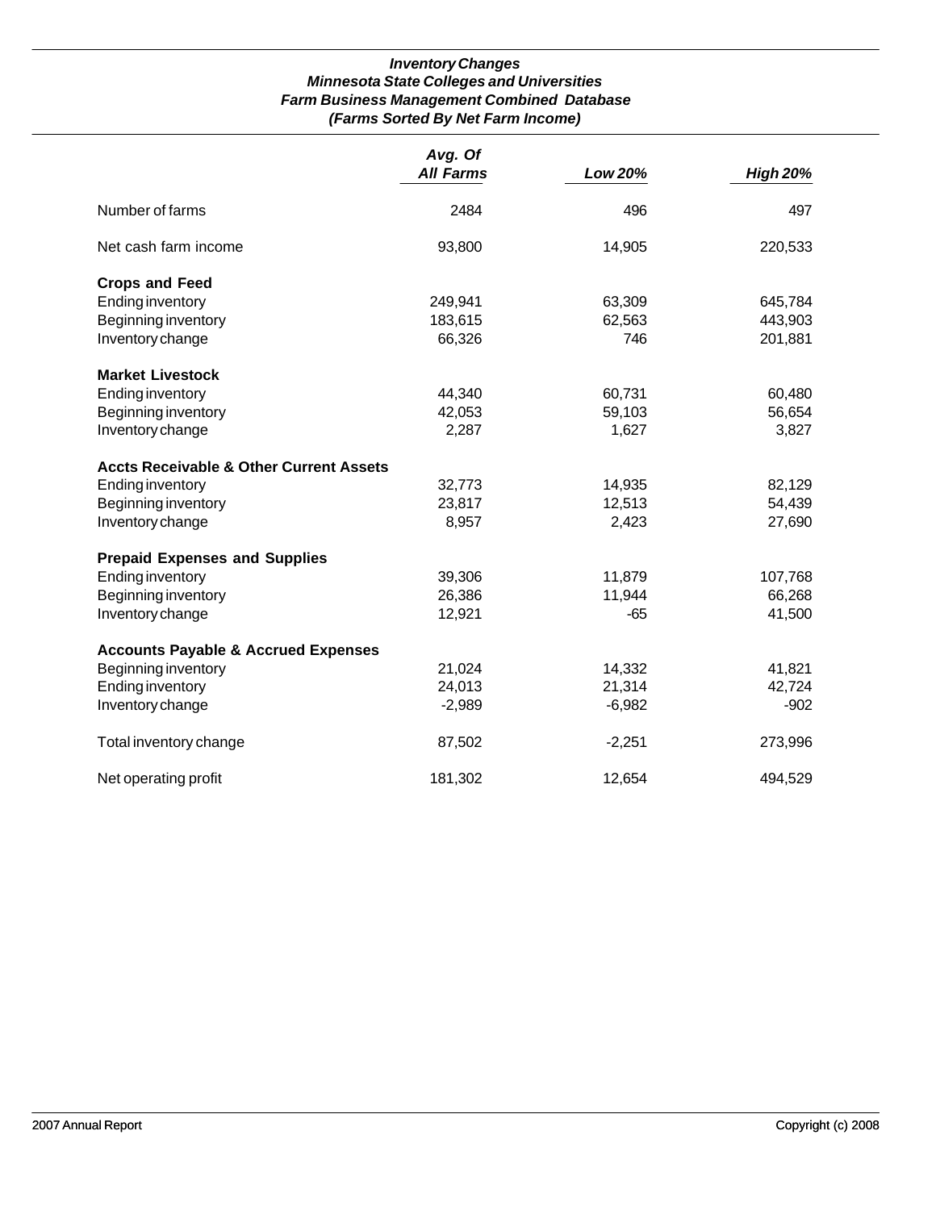## *Inventory Changes Minnesota State Colleges and Universities Farm Business Management Combined Database (Farms Sorted By Net Farm Income)*

|                                                    | Avg. Of          |          |                 |
|----------------------------------------------------|------------------|----------|-----------------|
|                                                    | <b>All Farms</b> | Low 20%  | <b>High 20%</b> |
| Number of farms                                    | 2484             | 496      | 497             |
| Net cash farm income                               | 93,800           | 14,905   | 220,533         |
| <b>Crops and Feed</b>                              |                  |          |                 |
| <b>Ending inventory</b>                            | 249,941          | 63,309   | 645,784         |
| Beginning inventory                                | 183,615          | 62,563   | 443,903         |
| Inventory change                                   | 66,326           | 746      | 201,881         |
| <b>Market Livestock</b>                            |                  |          |                 |
| <b>Ending inventory</b>                            | 44,340           | 60,731   | 60,480          |
| Beginning inventory                                | 42,053           | 59,103   | 56,654          |
| Inventory change                                   | 2,287            | 1,627    | 3,827           |
| <b>Accts Receivable &amp; Other Current Assets</b> |                  |          |                 |
| <b>Ending inventory</b>                            | 32,773           | 14,935   | 82,129          |
| Beginning inventory                                | 23,817           | 12,513   | 54,439          |
| Inventory change                                   | 8,957            | 2,423    | 27,690          |
| <b>Prepaid Expenses and Supplies</b>               |                  |          |                 |
| <b>Ending inventory</b>                            | 39,306           | 11,879   | 107,768         |
| Beginning inventory                                | 26,386           | 11,944   | 66,268          |
| Inventory change                                   | 12,921           | -65      | 41,500          |
| <b>Accounts Payable &amp; Accrued Expenses</b>     |                  |          |                 |
| Beginning inventory                                | 21,024           | 14,332   | 41,821          |
| <b>Ending inventory</b>                            | 24,013           | 21,314   | 42,724          |
| Inventory change                                   | $-2,989$         | $-6,982$ | $-902$          |
| Total inventory change                             | 87,502           | $-2,251$ | 273,996         |
|                                                    |                  |          |                 |
| Net operating profit                               | 181,302          | 12,654   | 494,529         |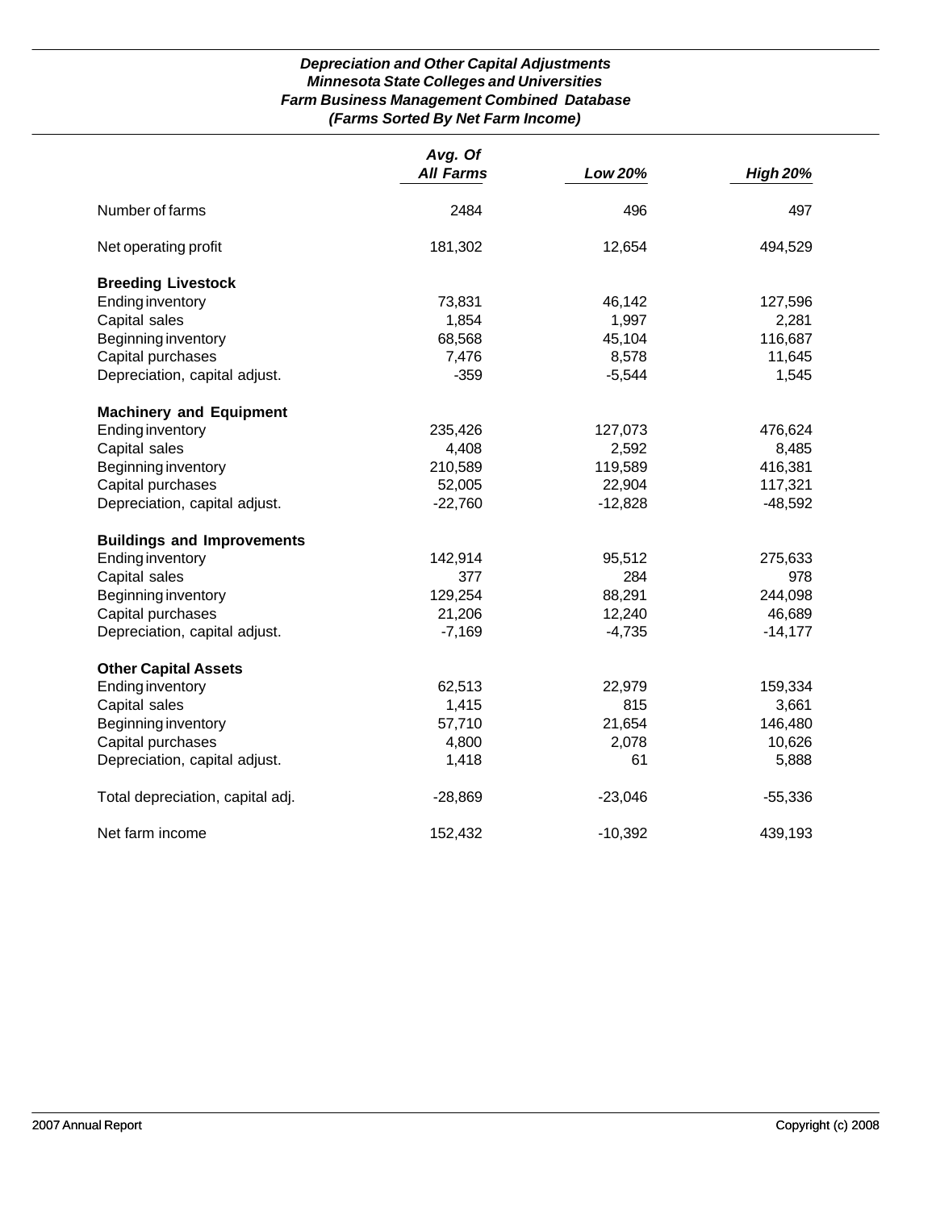## *Depreciation and Other Capital Adjustments Minnesota State Colleges and Universities Farm Business Management Combined Database (Farms Sorted By Net Farm Income)*

|                                   | Avg. Of          |           |                 |
|-----------------------------------|------------------|-----------|-----------------|
|                                   | <b>All Farms</b> | Low 20%   | <b>High 20%</b> |
| Number of farms                   | 2484             | 496       | 497             |
| Net operating profit              | 181,302          | 12,654    | 494,529         |
| <b>Breeding Livestock</b>         |                  |           |                 |
| Ending inventory                  | 73,831           | 46,142    | 127,596         |
| Capital sales                     | 1,854            | 1,997     | 2,281           |
| Beginning inventory               | 68,568           | 45,104    | 116,687         |
| Capital purchases                 | 7,476            | 8,578     | 11,645          |
| Depreciation, capital adjust.     | $-359$           | $-5,544$  | 1,545           |
| <b>Machinery and Equipment</b>    |                  |           |                 |
| <b>Ending inventory</b>           | 235,426          | 127,073   | 476,624         |
| Capital sales                     | 4,408            | 2,592     | 8,485           |
| Beginning inventory               | 210,589          | 119,589   | 416,381         |
| Capital purchases                 | 52,005           | 22,904    | 117,321         |
| Depreciation, capital adjust.     | $-22,760$        | $-12,828$ | $-48,592$       |
| <b>Buildings and Improvements</b> |                  |           |                 |
| <b>Ending inventory</b>           | 142,914          | 95,512    | 275,633         |
| Capital sales                     | 377              | 284       | 978             |
| Beginning inventory               | 129,254          | 88,291    | 244,098         |
| Capital purchases                 | 21,206           | 12,240    | 46,689          |
| Depreciation, capital adjust.     | $-7,169$         | $-4,735$  | $-14,177$       |
| <b>Other Capital Assets</b>       |                  |           |                 |
| <b>Ending inventory</b>           | 62,513           | 22,979    | 159,334         |
| Capital sales                     | 1,415            | 815       | 3,661           |
| Beginning inventory               | 57,710           | 21,654    | 146,480         |
| Capital purchases                 | 4,800            | 2,078     | 10,626          |
| Depreciation, capital adjust.     | 1,418            | 61        | 5,888           |
| Total depreciation, capital adj.  | $-28,869$        | $-23,046$ | $-55,336$       |
| Net farm income                   | 152,432          | $-10,392$ | 439,193         |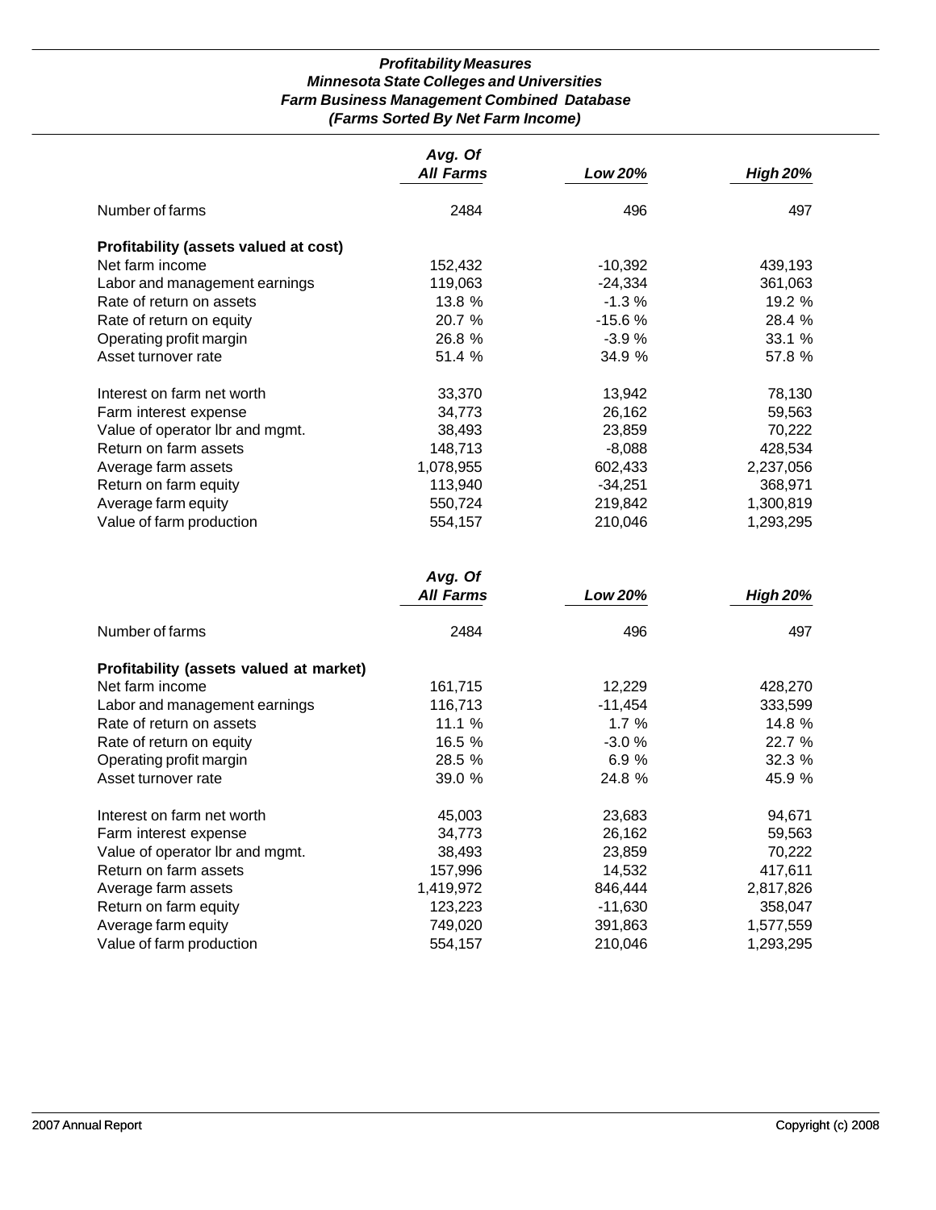## *Profitability Measures Minnesota State Colleges and Universities Farm Business Management Combined Database (Farms Sorted By Net Farm Income)*

|                                       | Avg. Of          |           |                 |
|---------------------------------------|------------------|-----------|-----------------|
|                                       | <b>All Farms</b> | Low 20%   | <b>High 20%</b> |
| Number of farms                       | 2484             | 496       | 497             |
| Profitability (assets valued at cost) |                  |           |                 |
| Net farm income                       | 152,432          | $-10,392$ | 439,193         |
| Labor and management earnings         | 119,063          | -24,334   | 361,063         |
| Rate of return on assets              | 13.8 %           | $-1.3%$   | 19.2%           |
| Rate of return on equity              | 20.7 %           | $-15.6%$  | 28.4 %          |
| Operating profit margin               | 26.8 %           | $-3.9%$   | 33.1 %          |
| Asset turnover rate                   | 51.4 %           | 34.9 %    | 57.8 %          |
| Interest on farm net worth            | 33,370           | 13,942    | 78,130          |
| Farm interest expense                 | 34,773           | 26,162    | 59,563          |
| Value of operator Ibr and mgmt.       | 38,493           | 23,859    | 70,222          |
| Return on farm assets                 | 148,713          | $-8.088$  | 428,534         |
| Average farm assets                   | 1,078,955        | 602,433   | 2,237,056       |
| Return on farm equity                 | 113,940          | $-34,251$ | 368,971         |
| Average farm equity                   | 550,724          | 219,842   | 1,300,819       |
| Value of farm production              | 554,157          | 210,046   | 1,293,295       |

|                                         | Avg. Of<br><b>All Farms</b> | Low 20%   | <b>High 20%</b> |
|-----------------------------------------|-----------------------------|-----------|-----------------|
|                                         |                             |           |                 |
| Number of farms                         | 2484                        | 496       | 497             |
| Profitability (assets valued at market) |                             |           |                 |
| Net farm income                         | 161,715                     | 12,229    | 428,270         |
| Labor and management earnings           | 116,713                     | $-11,454$ | 333,599         |
| Rate of return on assets                | 11.1%                       | 1.7%      | 14.8 %          |
| Rate of return on equity                | 16.5 %                      | $-3.0%$   | 22.7 %          |
| Operating profit margin                 | 28.5 %                      | 6.9%      | 32.3%           |
| Asset turnover rate                     | 39.0%                       | 24.8 %    | 45.9 %          |
| Interest on farm net worth              | 45,003                      | 23,683    | 94,671          |
| Farm interest expense                   | 34,773                      | 26,162    | 59,563          |
| Value of operator Ibr and mgmt.         | 38,493                      | 23,859    | 70,222          |
| Return on farm assets                   | 157,996                     | 14,532    | 417,611         |
| Average farm assets                     | 1,419,972                   | 846,444   | 2,817,826       |
| Return on farm equity                   | 123,223                     | $-11,630$ | 358,047         |
| Average farm equity                     | 749,020                     | 391,863   | 1,577,559       |
| Value of farm production                | 554,157                     | 210,046   | 1,293,295       |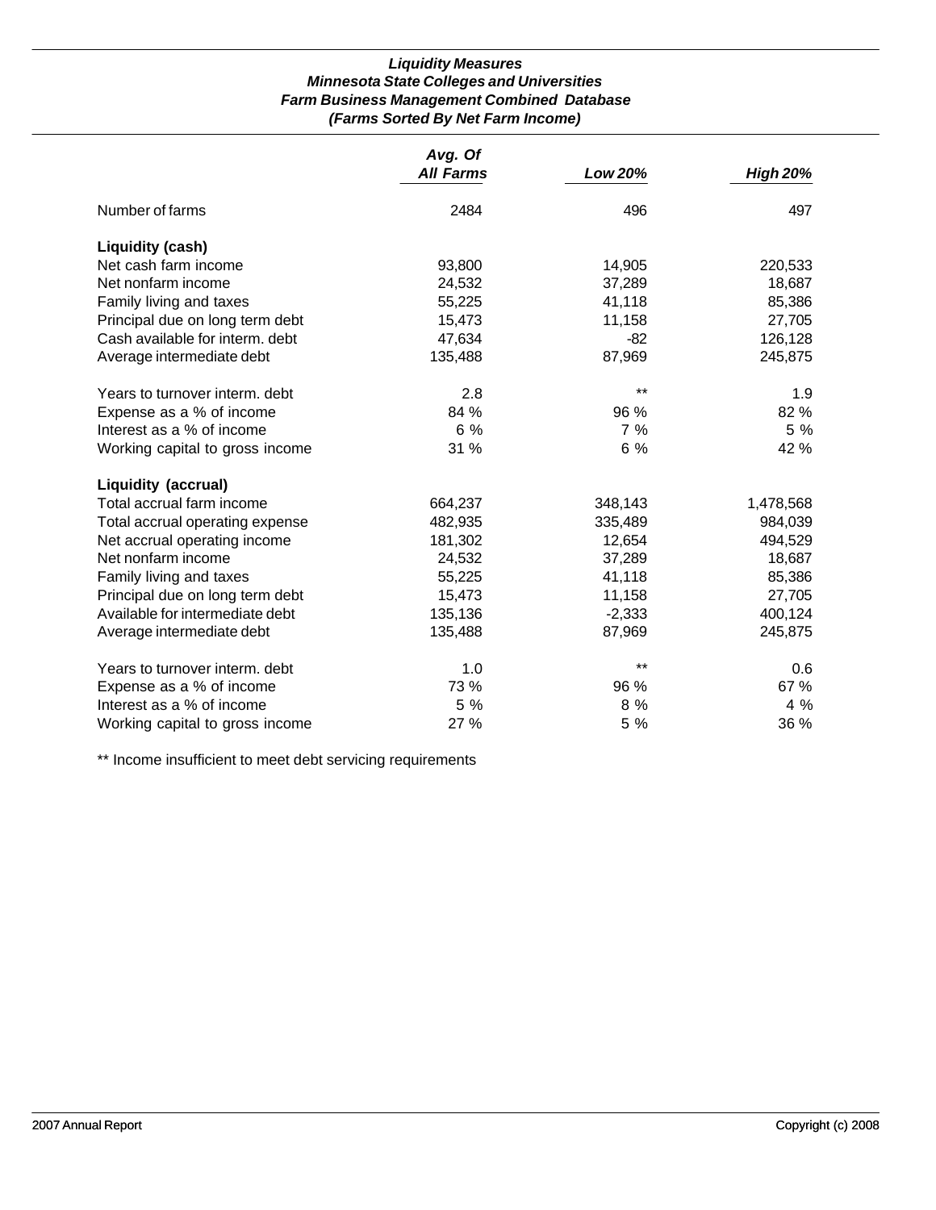## *Liquidity Measures Minnesota State Colleges and Universities Farm Business Management Combined Database (Farms Sorted By Net Farm Income)*

|                                 | Avg. Of          |          |                 |
|---------------------------------|------------------|----------|-----------------|
|                                 | <b>All Farms</b> | Low 20%  | <b>High 20%</b> |
| Number of farms                 | 2484             | 496      | 497             |
| <b>Liquidity (cash)</b>         |                  |          |                 |
| Net cash farm income            | 93,800           | 14,905   | 220,533         |
| Net nonfarm income              | 24,532           | 37,289   | 18,687          |
| Family living and taxes         | 55,225           | 41,118   | 85,386          |
| Principal due on long term debt | 15,473           | 11,158   | 27,705          |
| Cash available for interm. debt | 47,634           | $-82$    | 126,128         |
| Average intermediate debt       | 135,488          | 87,969   | 245,875         |
| Years to turnover interm, debt  | 2.8              | $***$    | 1.9             |
| Expense as a % of income        | 84 %             | 96 %     | 82 %            |
| Interest as a % of income       | $6\%$            | 7%       | 5%              |
| Working capital to gross income | 31 %             | 6%       | 42 %            |
| <b>Liquidity (accrual)</b>      |                  |          |                 |
| Total accrual farm income       | 664,237          | 348,143  | 1,478,568       |
| Total accrual operating expense | 482,935          | 335,489  | 984,039         |
| Net accrual operating income    | 181,302          | 12,654   | 494,529         |
| Net nonfarm income              | 24,532           | 37,289   | 18,687          |
| Family living and taxes         | 55,225           | 41,118   | 85,386          |
| Principal due on long term debt | 15,473           | 11,158   | 27,705          |
| Available for intermediate debt | 135,136          | $-2,333$ | 400,124         |
| Average intermediate debt       | 135,488          | 87,969   | 245,875         |
| Years to turnover interm. debt  | 1.0              | $***$    | 0.6             |
| Expense as a % of income        | 73 %             | 96 %     | 67 %            |
| Interest as a % of income       | 5 %              | 8 %      | $4\%$           |
| Working capital to gross income | 27 %             | 5 %      | 36 %            |

\*\* Income insufficient to meet debt servicing requirements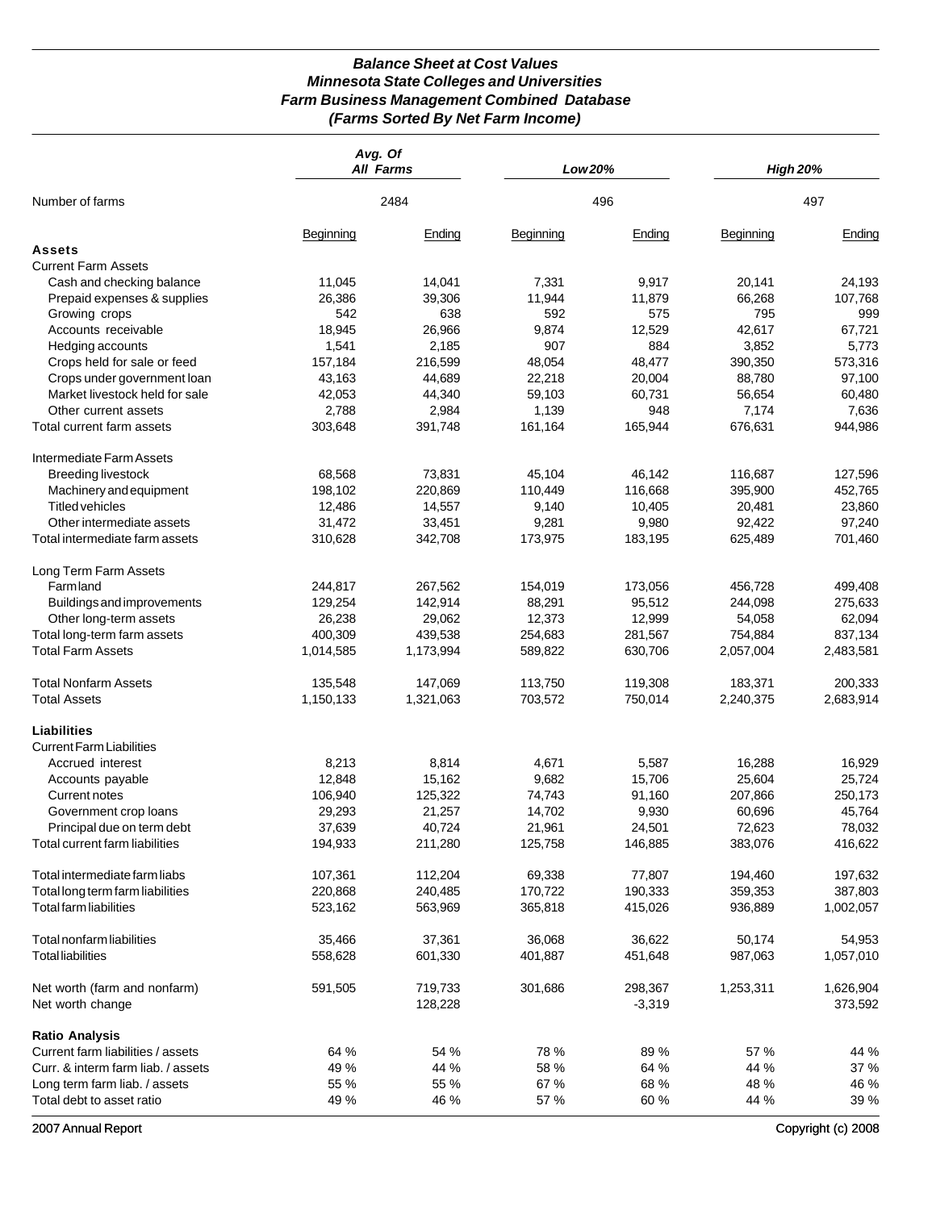## *Balance Sheet at Cost Values Minnesota State Colleges and Universities Farm Business Management Combined Database (Farms Sorted By Net Farm Income)*

|                                    | Avg. Of   | <b>All Farms</b> | Low 20%   |          | <b>High 20%</b> |           |
|------------------------------------|-----------|------------------|-----------|----------|-----------------|-----------|
| Number of farms                    |           | 2484             | 496       |          | 497             |           |
|                                    | Beginning | Ending           | Beginning | Ending   | Beginning       | Ending    |
| Assets                             |           |                  |           |          |                 |           |
| <b>Current Farm Assets</b>         |           |                  |           |          |                 |           |
| Cash and checking balance          | 11,045    | 14,041           | 7,331     | 9,917    | 20,141          | 24,193    |
| Prepaid expenses & supplies        | 26,386    | 39,306           | 11,944    | 11,879   | 66,268          | 107,768   |
| Growing crops                      | 542       | 638              | 592       | 575      | 795             | 999       |
| Accounts receivable                | 18,945    | 26,966           | 9,874     | 12,529   | 42,617          | 67,721    |
| Hedging accounts                   | 1,541     | 2,185            | 907       | 884      | 3,852           | 5,773     |
| Crops held for sale or feed        | 157,184   | 216,599          | 48,054    | 48,477   | 390,350         | 573,316   |
|                                    | 43,163    | 44,689           | 22,218    | 20,004   | 88,780          | 97,100    |
| Crops under government loan        |           |                  |           |          |                 |           |
| Market livestock held for sale     | 42,053    | 44,340           | 59,103    | 60,731   | 56,654          | 60,480    |
| Other current assets               | 2,788     | 2,984            | 1,139     | 948      | 7,174           | 7,636     |
| Total current farm assets          | 303,648   | 391,748          | 161,164   | 165,944  | 676,631         | 944,986   |
| Intermediate Farm Assets           |           |                  |           |          |                 |           |
| <b>Breeding livestock</b>          | 68,568    | 73,831           | 45,104    | 46,142   | 116,687         | 127,596   |
| Machinery and equipment            | 198,102   | 220,869          | 110,449   | 116,668  | 395,900         | 452,765   |
| <b>Titled vehicles</b>             | 12,486    | 14,557           | 9,140     | 10,405   | 20,481          | 23,860    |
| Other intermediate assets          | 31,472    | 33,451           | 9,281     | 9,980    | 92,422          | 97,240    |
| Total intermediate farm assets     | 310,628   | 342,708          | 173,975   | 183,195  | 625,489         | 701,460   |
| Long Term Farm Assets              |           |                  |           |          |                 |           |
| <b>Farmland</b>                    | 244,817   | 267,562          | 154,019   | 173,056  | 456,728         | 499,408   |
| Buildings and improvements         | 129,254   | 142,914          | 88,291    | 95,512   | 244,098         | 275,633   |
| Other long-term assets             | 26,238    | 29,062           | 12,373    | 12,999   | 54,058          | 62,094    |
| Total long-term farm assets        | 400,309   | 439,538          | 254,683   | 281,567  | 754,884         | 837,134   |
| <b>Total Farm Assets</b>           | 1,014,585 | 1,173,994        | 589,822   | 630,706  | 2,057,004       | 2,483,581 |
| <b>Total Nonfarm Assets</b>        | 135,548   | 147,069          | 113,750   | 119,308  | 183,371         | 200,333   |
| <b>Total Assets</b>                | 1,150,133 | 1,321,063        | 703,572   | 750,014  | 2,240,375       | 2,683,914 |
| <b>Liabilities</b>                 |           |                  |           |          |                 |           |
| <b>Current Farm Liabilities</b>    |           |                  |           |          |                 |           |
| Accrued interest                   | 8,213     | 8,814            | 4,671     | 5,587    | 16,288          | 16,929    |
| Accounts payable                   | 12,848    | 15,162           | 9,682     | 15,706   | 25,604          | 25,724    |
| Current notes                      | 106,940   | 125,322          | 74,743    | 91,160   | 207,866         | 250,173   |
| Government crop loans              | 29,293    | 21,257           | 14,702    | 9,930    | 60,696          | 45,764    |
| Principal due on term debt         | 37,639    | 40,724           | 21,961    | 24,501   | 72,623          | 78,032    |
| Total current farm liabilities     | 194,933   | 211,280          | 125,758   | 146,885  | 383,076         | 416,622   |
|                                    |           |                  | 69,338    |          | 194,460         |           |
| Total intermediate farm liabs      | 107,361   | 112,204          |           | 77,807   |                 | 197,632   |
| Total long term farm liabilities   | 220,868   | 240,485          | 170,722   | 190,333  | 359,353         | 387,803   |
| Total farm liabilities             | 523,162   | 563,969          | 365,818   | 415,026  | 936,889         | 1,002,057 |
| Total nonfarm liabilities          | 35,466    | 37,361           | 36,068    | 36,622   | 50,174          | 54,953    |
| <b>Total liabilities</b>           | 558,628   | 601,330          | 401,887   | 451,648  | 987,063         | 1,057,010 |
| Net worth (farm and nonfarm)       | 591,505   | 719,733          | 301,686   | 298,367  | 1,253,311       | 1,626,904 |
| Net worth change                   |           | 128,228          |           | $-3,319$ |                 | 373,592   |
| <b>Ratio Analysis</b>              |           |                  |           |          |                 |           |
| Current farm liabilities / assets  | 64 %      | 54 %             | 78 %      | 89 %     | 57 %            | 44 %      |
| Curr. & interm farm liab. / assets | 49 %      | 44 %             | 58 %      | 64 %     | 44 %            | 37 %      |
| Long term farm liab. / assets      | 55 %      | 55 %             | 67 %      | 68 %     | 48 %            | 46 %      |
| Total debt to asset ratio          | 49 %      | 46 %             | 57 %      | 60 %     | 44 %            | 39 %      |

2007 Annual Report Copyright (c) 2008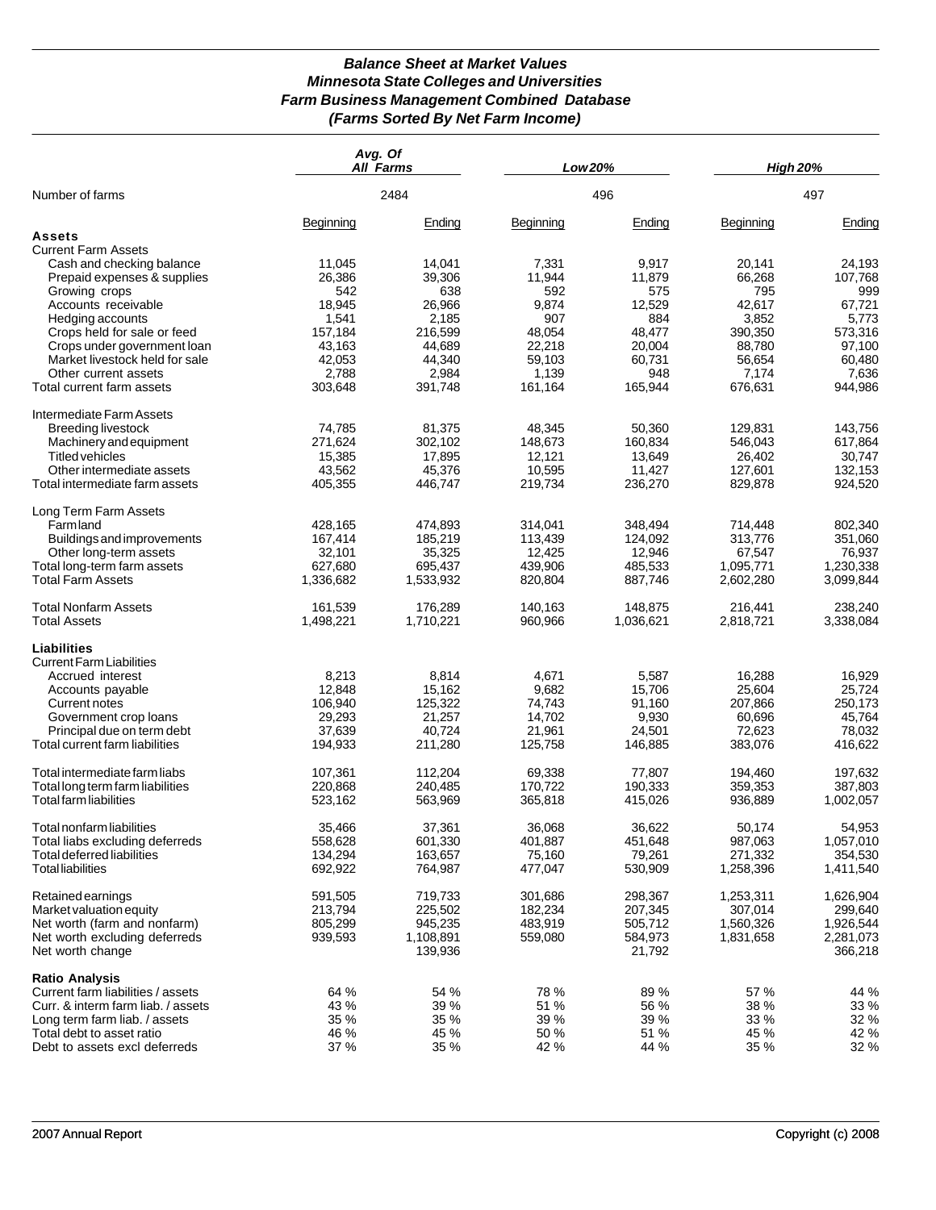## *Balance Sheet at Market Values Minnesota State Colleges and Universities Farm Business Management Combined Database (Farms Sorted By Net Farm Income)*

|                                                            | Avg. Of   | <b>All Farms</b>     |           | Low 20%           | <b>High 20%</b> |                      |
|------------------------------------------------------------|-----------|----------------------|-----------|-------------------|-----------------|----------------------|
| Number of farms                                            |           | 2484                 |           | 496               |                 | 497                  |
|                                                            | Beginning | Ending               | Beginning | Ending            | Beginning       | Ending               |
| Assets                                                     |           |                      |           |                   |                 |                      |
| <b>Current Farm Assets</b>                                 |           |                      |           |                   |                 |                      |
| Cash and checking balance                                  | 11,045    | 14,041               | 7,331     | 9,917             | 20,141          | 24,193               |
| Prepaid expenses & supplies                                | 26,386    | 39,306               | 11,944    | 11,879            | 66,268          | 107,768              |
| Growing crops                                              | 542       | 638                  | 592       | 575               | 795             | 999                  |
| Accounts receivable                                        | 18,945    | 26,966               | 9,874     | 12,529            | 42,617          | 67,721               |
|                                                            |           |                      |           |                   |                 |                      |
| Hedging accounts                                           | 1,541     | 2,185                | 907       | 884               | 3,852           | 5,773                |
| Crops held for sale or feed                                | 157,184   | 216,599              | 48,054    | 48,477            | 390,350         | 573,316              |
| Crops under government loan                                | 43,163    | 44,689               | 22,218    | 20,004            | 88,780          | 97,100               |
| Market livestock held for sale                             | 42,053    | 44,340               | 59,103    | 60,731            | 56,654          | 60,480               |
| Other current assets                                       | 2,788     | 2,984                | 1,139     | 948               | 7,174           | 7,636                |
| Total current farm assets                                  | 303,648   | 391,748              | 161,164   | 165,944           | 676,631         | 944,986              |
| Intermediate Farm Assets                                   |           |                      |           |                   |                 |                      |
| <b>Breeding livestock</b>                                  | 74,785    | 81,375               | 48,345    | 50,360            | 129,831         | 143,756              |
| Machinery and equipment                                    | 271,624   | 302,102              | 148,673   | 160,834           | 546,043         | 617,864              |
| <b>Titled vehicles</b>                                     | 15,385    | 17,895               | 12,121    | 13,649            | 26,402          | 30,747               |
| Other intermediate assets                                  | 43,562    | 45,376               | 10,595    | 11,427            | 127,601         | 132,153              |
| Total intermediate farm assets                             | 405,355   | 446,747              | 219,734   | 236,270           | 829,878         | 924,520              |
|                                                            |           |                      |           |                   |                 |                      |
| Long Term Farm Assets                                      |           |                      |           |                   |                 |                      |
| Farmland                                                   | 428,165   | 474,893              | 314,041   | 348,494           | 714,448         | 802,340              |
| <b>Buildings and improvements</b>                          | 167,414   | 185,219              | 113,439   | 124,092           | 313,776         | 351,060              |
| Other long-term assets                                     | 32,101    | 35,325               | 12,425    | 12,946            | 67,547          | 76,937               |
| Total long-term farm assets                                | 627,680   | 695,437              | 439,906   | 485,533           | 1,095,771       | 1,230,338            |
| <b>Total Farm Assets</b>                                   | 1,336,682 | 1,533,932            | 820,804   | 887,746           | 2,602,280       | 3,099,844            |
| <b>Total Nonfarm Assets</b>                                | 161,539   | 176,289              | 140,163   | 148,875           | 216,441         | 238,240              |
| <b>Total Assets</b>                                        | 1,498,221 | 1,710,221            | 960,966   | 1,036,621         | 2,818,721       | 3,338,084            |
| <b>Liabilities</b>                                         |           |                      |           |                   |                 |                      |
| <b>Current Farm Liabilities</b>                            |           |                      |           |                   |                 |                      |
| Accrued interest                                           | 8,213     | 8,814                | 4,671     | 5,587             | 16,288          | 16,929               |
| Accounts payable                                           | 12,848    | 15,162               | 9,682     | 15,706            | 25,604          | 25,724               |
| Current notes                                              | 106,940   | 125,322              | 74,743    | 91,160            | 207,866         | 250,173              |
|                                                            | 29,293    | 21,257               | 14,702    | 9,930             | 60,696          | 45,764               |
| Government crop loans                                      |           |                      |           |                   |                 |                      |
| Principal due on term debt                                 | 37,639    | 40,724               | 21,961    | 24,501            | 72,623          | 78,032               |
| Total current farm liabilities                             | 194,933   | 211,280              | 125,758   | 146,885           | 383,076         | 416,622              |
| Total intermediate farm liabs                              | 107,361   | 112,204              | 69,338    | 77,807            | 194,460         | 197,632              |
| Total long term farm liabilities                           | 220,868   | 240,485              | 170,722   | 190,333           | 359,353         | 387,803              |
| Total farm liabilities                                     | 523,162   | 563,969              | 365,818   | 415,026           | 936,889         | 1,002,057            |
| Total nonfarm liabilities                                  | 35,466    | 37,361               | 36,068    | 36,622            | 50,174          | 54,953               |
| Total liabs excluding deferreds                            | 558,628   | 601,330              | 401,887   | 451,648           | 987,063         | 1,057,010            |
| Total deferred liabilities                                 | 134,294   | 163,657              | 75,160    | 79,261            | 271,332         | 354,530              |
| <b>Total liabilities</b>                                   | 692,922   | 764,987              | 477,047   | 530,909           | 1,258,396       | 1,411,540            |
| Retained earnings                                          | 591,505   | 719,733              | 301,686   | 298,367           | 1,253,311       | 1,626,904            |
| Market valuation equity                                    |           | 225,502              | 182,234   | 207,345           | 307,014         | 299,640              |
|                                                            | 213,794   |                      |           |                   |                 |                      |
| Net worth (farm and nonfarm)                               | 805,299   | 945,235              | 483,919   | 505,712           | 1,560,326       | 1,926,544            |
| Net worth excluding deferreds<br>Net worth change          | 939,593   | 1,108,891<br>139,936 | 559,080   | 584,973<br>21,792 | 1,831,658       | 2,281,073<br>366,218 |
|                                                            |           |                      |           |                   |                 |                      |
| <b>Ratio Analysis</b><br>Current farm liabilities / assets | 64 %      | 54 %                 | 78 %      | 89 %              | 57 %            | 44 %                 |
| Curr. & interm farm liab. / assets                         | 43 %      | 39 %                 | 51 %      | 56 %              | 38 %            | 33 %                 |
| Long term farm liab. / assets                              | 35 %      | 35 %                 | 39 %      | 39 %              | 33 %            | 32 %                 |
| Total debt to asset ratio                                  | 46 %      | 45 %                 | 50 %      | 51 %              | 45 %            | 42 %                 |
| Debt to assets excl deferreds                              | 37 %      | 35 %                 | 42 %      | 44 %              | 35 %            | 32 %                 |
|                                                            |           |                      |           |                   |                 |                      |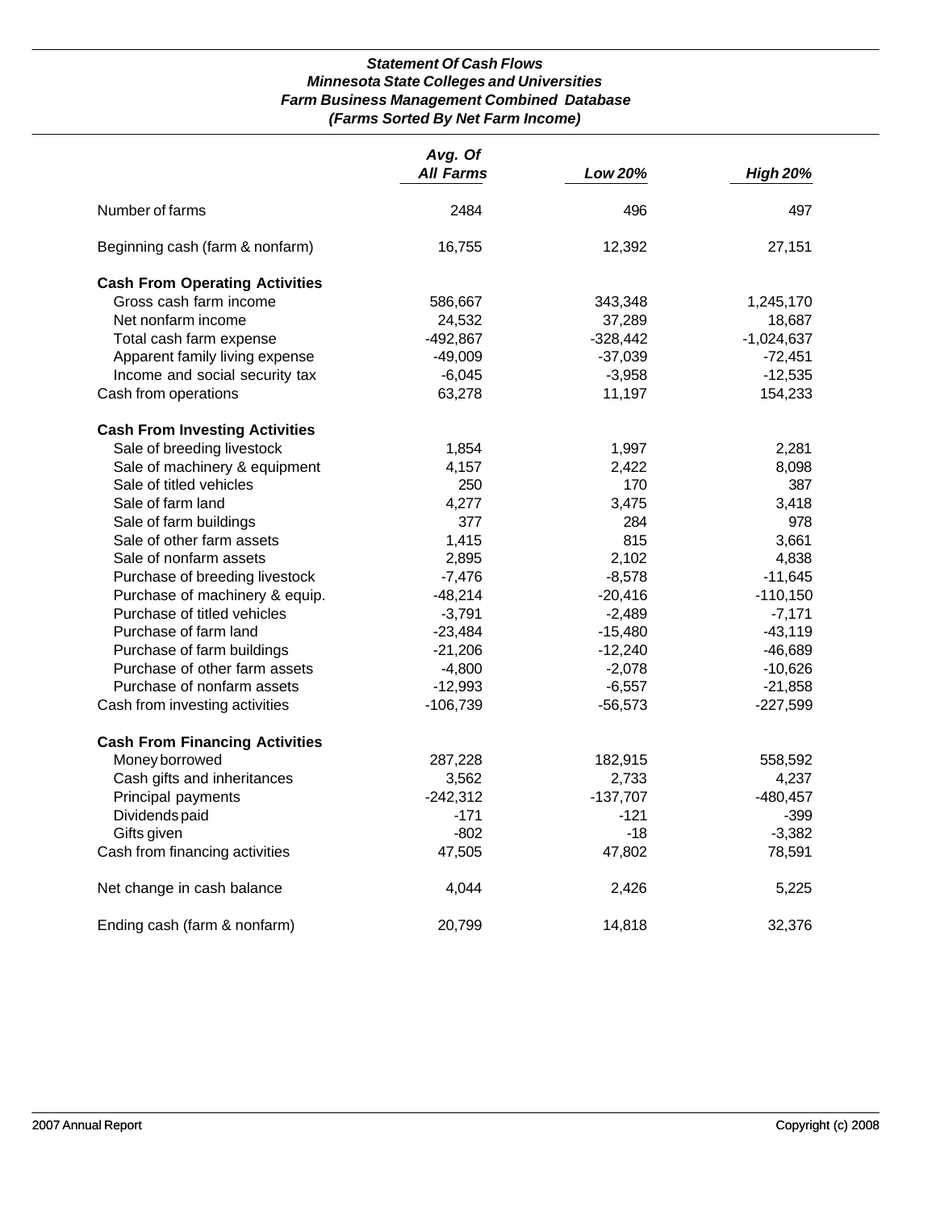## *Statement Of Cash Flows Minnesota State Colleges and Universities Farm Business Management Combined Database (Farms Sorted By Net Farm Income)*

|                                       | Avg. Of<br><b>All Farms</b> | Low 20%    | <b>High 20%</b> |
|---------------------------------------|-----------------------------|------------|-----------------|
| Number of farms                       | 2484                        | 496        | 497             |
| Beginning cash (farm & nonfarm)       | 16,755                      | 12,392     | 27,151          |
| <b>Cash From Operating Activities</b> |                             |            |                 |
| Gross cash farm income                | 586,667                     | 343,348    | 1,245,170       |
| Net nonfarm income                    | 24,532                      | 37,289     | 18,687          |
| Total cash farm expense               | $-492,867$                  | $-328,442$ | $-1,024,637$    |
| Apparent family living expense        | $-49,009$                   | $-37,039$  | $-72,451$       |
| Income and social security tax        | $-6,045$                    | $-3,958$   | $-12,535$       |
| Cash from operations                  | 63,278                      | 11,197     | 154,233         |
| <b>Cash From Investing Activities</b> |                             |            |                 |
| Sale of breeding livestock            | 1,854                       | 1,997      | 2,281           |
| Sale of machinery & equipment         | 4,157                       | 2,422      | 8,098           |
| Sale of titled vehicles               | 250                         | 170        | 387             |
| Sale of farm land                     | 4,277                       | 3,475      | 3,418           |
| Sale of farm buildings                | 377                         | 284        | 978             |
| Sale of other farm assets             | 1,415                       | 815        | 3,661           |
| Sale of nonfarm assets                | 2,895                       | 2,102      | 4,838           |
| Purchase of breeding livestock        | $-7,476$                    | $-8,578$   | $-11,645$       |
| Purchase of machinery & equip.        | $-48,214$                   | $-20,416$  | $-110,150$      |
| Purchase of titled vehicles           | $-3,791$                    | $-2,489$   | $-7,171$        |
| Purchase of farm land                 | $-23,484$                   | $-15,480$  | $-43,119$       |
| Purchase of farm buildings            | $-21,206$                   | $-12,240$  | $-46,689$       |
| Purchase of other farm assets         | $-4,800$                    | $-2,078$   | $-10,626$       |
| Purchase of nonfarm assets            | $-12,993$                   | $-6,557$   | $-21,858$       |
| Cash from investing activities        | $-106,739$                  | $-56,573$  | $-227,599$      |
| <b>Cash From Financing Activities</b> |                             |            |                 |
| Money borrowed                        | 287,228                     | 182,915    | 558,592         |
| Cash gifts and inheritances           | 3,562                       | 2,733      | 4,237           |
| Principal payments                    | $-242,312$                  | $-137,707$ | $-480,457$      |
| Dividends paid                        | $-171$                      | $-121$     | $-399$          |
| Gifts given                           | $-802$                      | $-18$      | $-3,382$        |
| Cash from financing activities        | 47,505                      | 47,802     | 78,591          |
| Net change in cash balance            | 4,044                       | 2,426      | 5,225           |
| Ending cash (farm & nonfarm)          | 20,799                      | 14,818     | 32,376          |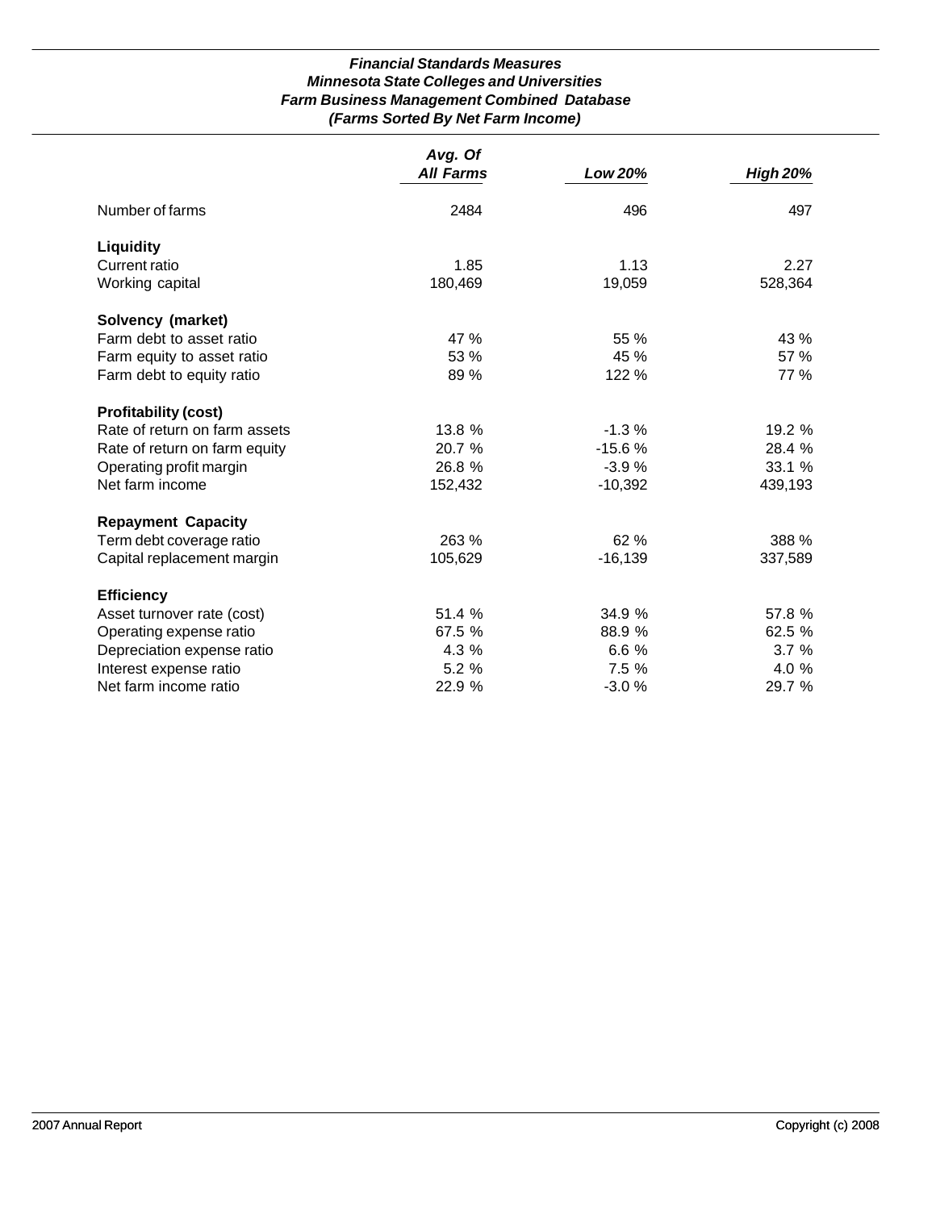## *Financial Standards Measures Minnesota State Colleges and Universities Farm Business Management Combined Database (Farms Sorted By Net Farm Income)*

|                               | Avg. Of          |           |                 |
|-------------------------------|------------------|-----------|-----------------|
|                               | <b>All Farms</b> | Low 20%   | <b>High 20%</b> |
| Number of farms               | 2484             | 496       | 497             |
| <b>Liquidity</b>              |                  |           |                 |
| Current ratio                 | 1.85             | 1.13      | 2.27            |
| Working capital               | 180,469          | 19,059    | 528,364         |
| Solvency (market)             |                  |           |                 |
| Farm debt to asset ratio      | 47 %             | 55 %      | 43 %            |
| Farm equity to asset ratio    | 53 %             | 45 %      | 57 %            |
| Farm debt to equity ratio     | 89 %             | 122 %     | 77 %            |
| <b>Profitability (cost)</b>   |                  |           |                 |
| Rate of return on farm assets | 13.8%            | $-1.3%$   | 19.2 %          |
| Rate of return on farm equity | 20.7 %           | $-15.6%$  | 28.4 %          |
| Operating profit margin       | 26.8 %           | $-3.9%$   | 33.1 %          |
| Net farm income               | 152,432          | $-10,392$ | 439,193         |
| <b>Repayment Capacity</b>     |                  |           |                 |
| Term debt coverage ratio      | 263 %            | 62 %      | 388 %           |
| Capital replacement margin    | 105,629          | $-16,139$ | 337,589         |
| <b>Efficiency</b>             |                  |           |                 |
| Asset turnover rate (cost)    | 51.4 %           | 34.9 %    | 57.8 %          |
| Operating expense ratio       | 67.5 %           | 88.9 %    | 62.5 %          |
| Depreciation expense ratio    | 4.3 %            | 6.6 %     | 3.7%            |
| Interest expense ratio        | 5.2 %            | 7.5 %     | 4.0 %           |
| Net farm income ratio         | 22.9 %           | $-3.0%$   | 29.7 %          |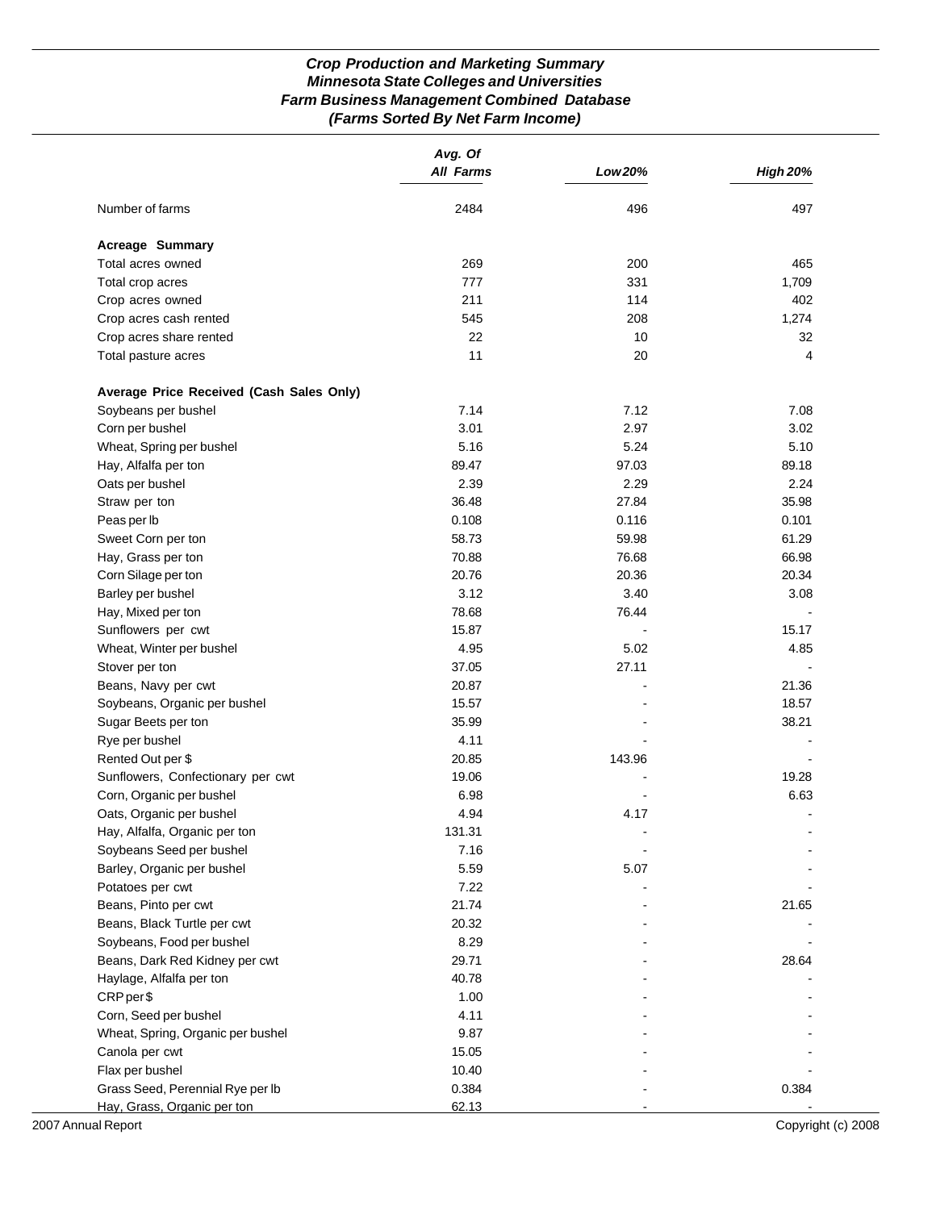## *Crop Production and Marketing Summary Minnesota State Colleges and Universities Farm Business Management Combined Database (Farms Sorted By Net Farm Income)*

|                                          | Avg. Of<br><b>All Farms</b> | Low 20% | <b>High 20%</b> |
|------------------------------------------|-----------------------------|---------|-----------------|
|                                          |                             |         |                 |
| Number of farms                          | 2484                        | 496     | 497             |
| <b>Acreage Summary</b>                   |                             |         |                 |
| Total acres owned                        | 269                         | 200     | 465             |
| Total crop acres                         | 777                         | 331     | 1,709           |
| Crop acres owned                         | 211                         | 114     | 402             |
| Crop acres cash rented                   | 545                         | 208     | 1,274           |
| Crop acres share rented                  | 22                          | 10      | 32              |
| Total pasture acres                      | 11                          | 20      | 4               |
| Average Price Received (Cash Sales Only) |                             |         |                 |
| Soybeans per bushel                      | 7.14                        | 7.12    | 7.08            |
| Corn per bushel                          | 3.01                        | 2.97    | 3.02            |
| Wheat, Spring per bushel                 | 5.16                        | 5.24    | 5.10            |
| Hay, Alfalfa per ton                     | 89.47                       | 97.03   | 89.18           |
| Oats per bushel                          | 2.39                        | 2.29    | 2.24            |
| Straw per ton                            | 36.48                       | 27.84   | 35.98           |
| Peas per lb                              | 0.108                       | 0.116   | 0.101           |
| Sweet Corn per ton                       | 58.73                       | 59.98   | 61.29           |
| Hay, Grass per ton                       | 70.88                       | 76.68   | 66.98           |
| Corn Silage per ton                      | 20.76                       | 20.36   | 20.34           |
| Barley per bushel                        | 3.12                        | 3.40    | 3.08            |
| Hay, Mixed per ton                       | 78.68                       | 76.44   |                 |
| Sunflowers per cwt                       | 15.87                       |         | 15.17           |
| Wheat, Winter per bushel                 | 4.95                        | 5.02    | 4.85            |
| Stover per ton                           | 37.05                       | 27.11   |                 |
| Beans, Navy per cwt                      | 20.87                       |         | 21.36           |
| Soybeans, Organic per bushel             | 15.57                       |         | 18.57           |
| Sugar Beets per ton                      | 35.99                       |         | 38.21           |
| Rye per bushel                           | 4.11                        |         |                 |
| Rented Out per \$                        | 20.85                       | 143.96  |                 |
| Sunflowers, Confectionary per cwt        | 19.06                       |         | 19.28           |
| Corn, Organic per bushel                 | 6.98                        |         | 6.63            |
| Oats, Organic per bushel                 | 4.94                        | 4.17    |                 |
| Hay, Alfalfa, Organic per ton            | 131.31                      |         |                 |
| Soybeans Seed per bushel                 | 7.16                        |         |                 |
| Barley, Organic per bushel               | 5.59                        | 5.07    |                 |
| Potatoes per cwt                         | 7.22                        |         |                 |
| Beans, Pinto per cwt                     | 21.74                       |         | 21.65           |
| Beans, Black Turtle per cwt              | 20.32                       |         |                 |
| Soybeans, Food per bushel                | 8.29                        |         |                 |
| Beans, Dark Red Kidney per cwt           | 29.71                       |         | 28.64           |
| Haylage, Alfalfa per ton                 | 40.78                       |         |                 |
| CRP per \$                               | 1.00                        |         |                 |
| Corn, Seed per bushel                    | 4.11                        |         |                 |
| Wheat, Spring, Organic per bushel        | 9.87                        |         |                 |
| Canola per cwt                           | 15.05                       |         |                 |
| Flax per bushel                          | 10.40                       |         |                 |
| Grass Seed, Perennial Rye per lb         | 0.384                       |         | 0.384           |
| Hay, Grass, Organic per ton              | 62.13                       |         |                 |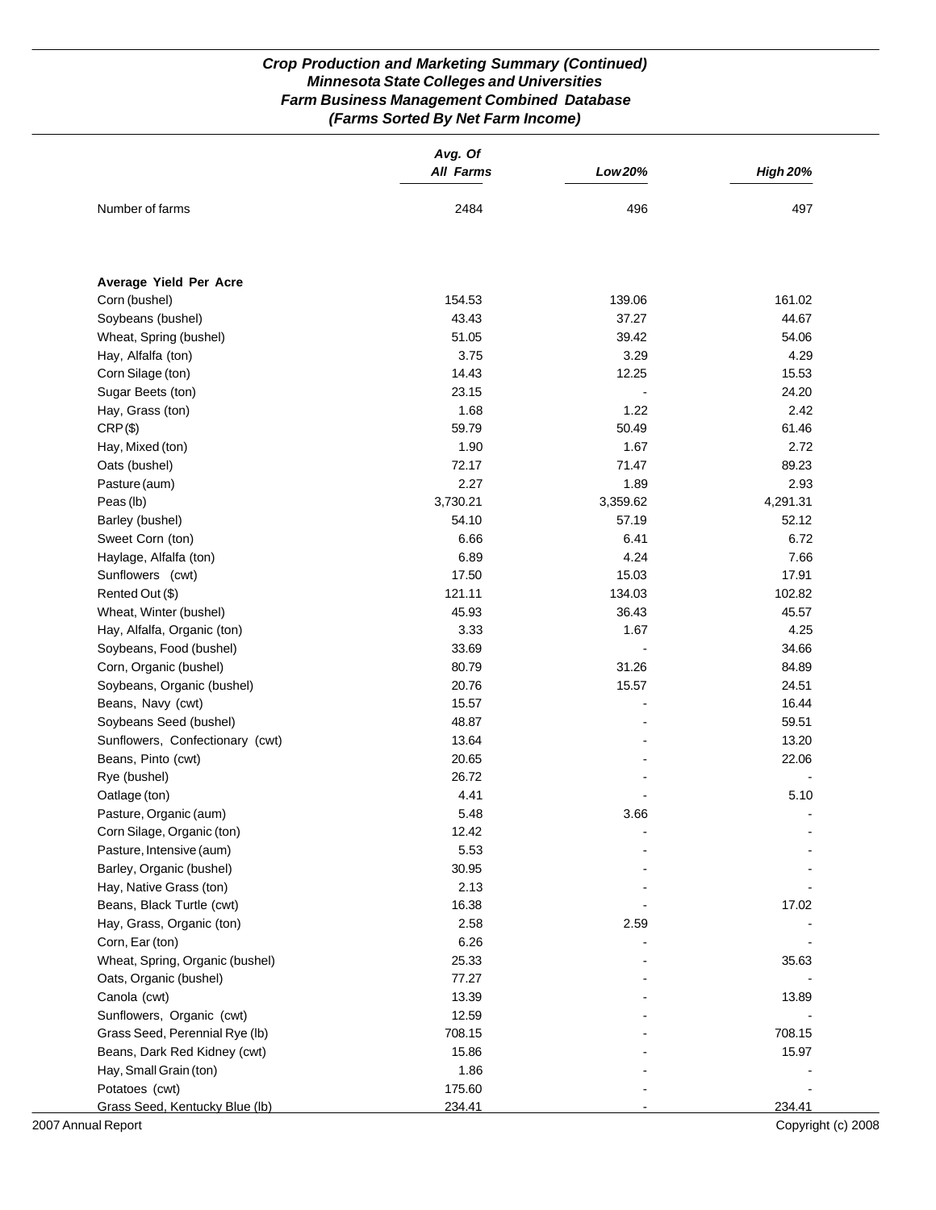## *Crop Production and Marketing Summary (Continued) Minnesota State Colleges and Universities Farm Business Management Combined Database (Farms Sorted By Net Farm Income)*

|                                 | Avg. Of<br><b>All Farms</b> | Low 20%  | <b>High 20%</b> |
|---------------------------------|-----------------------------|----------|-----------------|
| Number of farms                 | 2484                        | 496      | 497             |
|                                 |                             |          |                 |
| Average Yield Per Acre          |                             |          |                 |
| Corn (bushel)                   | 154.53                      | 139.06   | 161.02          |
| Soybeans (bushel)               | 43.43                       | 37.27    | 44.67           |
| Wheat, Spring (bushel)          | 51.05                       | 39.42    | 54.06           |
| Hay, Alfalfa (ton)              | 3.75                        | 3.29     | 4.29            |
| Corn Silage (ton)               | 14.43                       | 12.25    | 15.53           |
| Sugar Beets (ton)               | 23.15                       |          | 24.20           |
| Hay, Grass (ton)                | 1.68                        | 1.22     | 2.42            |
| $CRP(\$)$                       | 59.79                       | 50.49    | 61.46           |
| Hay, Mixed (ton)                | 1.90                        | 1.67     | 2.72            |
| Oats (bushel)                   | 72.17                       | 71.47    | 89.23           |
| Pasture (aum)                   | 2.27                        | 1.89     | 2.93            |
| Peas (lb)                       | 3,730.21                    | 3,359.62 | 4,291.31        |
| Barley (bushel)                 | 54.10                       | 57.19    | 52.12           |
| Sweet Corn (ton)                | 6.66                        | 6.41     | 6.72            |
| Haylage, Alfalfa (ton)          | 6.89                        | 4.24     | 7.66            |
| Sunflowers (cwt)                | 17.50                       | 15.03    | 17.91           |
| Rented Out (\$)                 | 121.11                      | 134.03   | 102.82          |
| Wheat, Winter (bushel)          | 45.93                       | 36.43    | 45.57           |
| Hay, Alfalfa, Organic (ton)     | 3.33                        | 1.67     | 4.25            |
| Soybeans, Food (bushel)         | 33.69                       |          | 34.66           |
| Corn, Organic (bushel)          | 80.79                       | 31.26    | 84.89           |
| Soybeans, Organic (bushel)      | 20.76                       | 15.57    | 24.51           |
| Beans, Navy (cwt)               | 15.57                       |          | 16.44           |
| Soybeans Seed (bushel)          | 48.87                       |          | 59.51           |
| Sunflowers, Confectionary (cwt) | 13.64                       |          | 13.20           |
| Beans, Pinto (cwt)              | 20.65                       |          | 22.06           |
| Rye (bushel)                    | 26.72                       |          |                 |
| Oatlage (ton)                   | 4.41                        |          | 5.10            |
| Pasture, Organic (aum)          | 5.48                        | 3.66     | $\blacksquare$  |
| Corn Silage, Organic (ton)      | 12.42                       |          |                 |
| Pasture, Intensive (aum)        | 5.53                        |          |                 |
| Barley, Organic (bushel)        | 30.95                       |          |                 |
| Hay, Native Grass (ton)         | 2.13                        |          |                 |
| Beans, Black Turtle (cwt)       | 16.38                       |          | 17.02           |
| Hay, Grass, Organic (ton)       | 2.58                        | 2.59     |                 |
| Corn, Ear (ton)                 | 6.26                        |          |                 |
| Wheat, Spring, Organic (bushel) | 25.33                       |          | 35.63           |
| Oats, Organic (bushel)          | 77.27                       |          |                 |
| Canola (cwt)                    | 13.39                       |          | 13.89           |
| Sunflowers, Organic (cwt)       | 12.59                       |          |                 |
| Grass Seed, Perennial Rye (lb)  | 708.15                      |          | 708.15          |
| Beans, Dark Red Kidney (cwt)    | 15.86                       |          | 15.97           |
| Hay, Small Grain (ton)          | 1.86                        |          |                 |
| Potatoes (cwt)                  | 175.60                      |          |                 |
| Grass Seed, Kentucky Blue (lb)  | 234.41                      |          | 234.41          |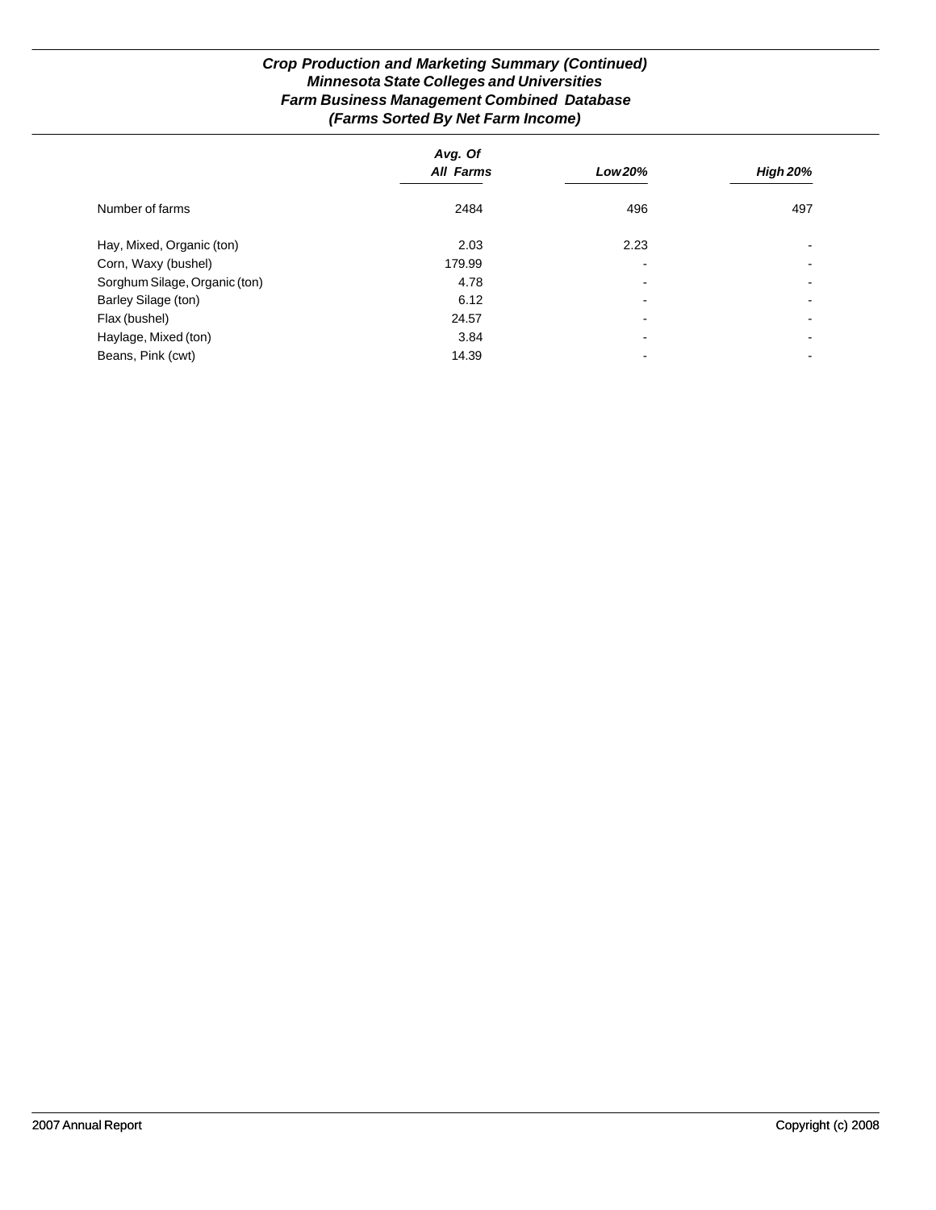# *Crop Production and Marketing Summary (Continued) Minnesota State Colleges and Universities Farm Business Management Combined Database (Farms Sorted By Net Farm Income)*

|                               | Avg. Of          |                          |                 |
|-------------------------------|------------------|--------------------------|-----------------|
|                               | <b>All Farms</b> | Low 20%                  | <b>High 20%</b> |
| Number of farms               | 2484             | 496                      | 497             |
| Hay, Mixed, Organic (ton)     | 2.03             | 2.23                     |                 |
| Corn, Waxy (bushel)           | 179.99           | $\blacksquare$           |                 |
| Sorghum Silage, Organic (ton) | 4.78             | $\blacksquare$           |                 |
| Barley Silage (ton)           | 6.12             | $\overline{\phantom{0}}$ |                 |
| Flax (bushel)                 | 24.57            | $\overline{\phantom{0}}$ | -               |
| Haylage, Mixed (ton)          | 3.84             | $\overline{\phantom{0}}$ | -               |
| Beans, Pink (cwt)             | 14.39            |                          |                 |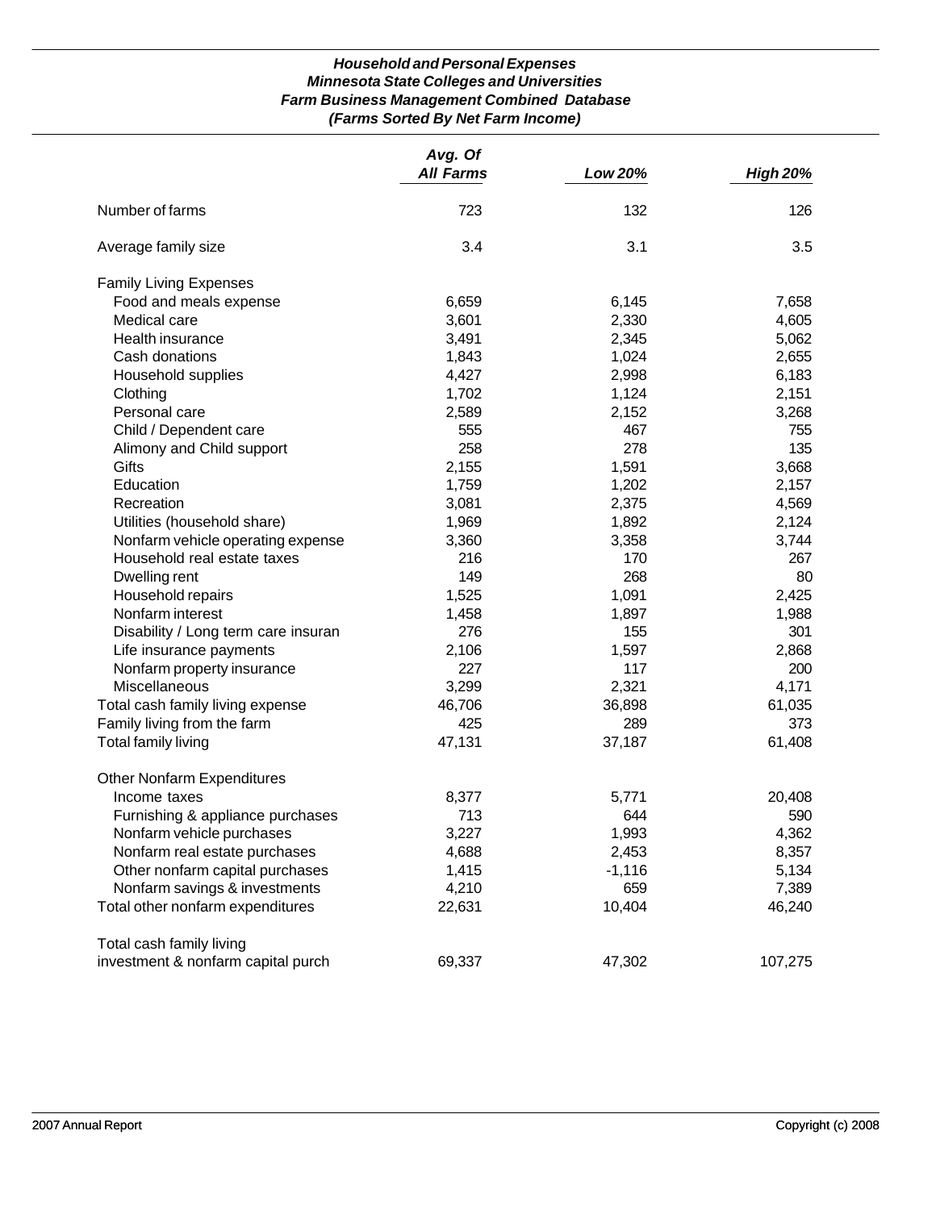## *Household and Personal Expenses Minnesota State Colleges and Universities Farm Business Management Combined Database (Farms Sorted By Net Farm Income)*

|                                     | Avg. Of<br><b>All Farms</b> | Low 20%  | <b>High 20%</b> |
|-------------------------------------|-----------------------------|----------|-----------------|
| Number of farms                     | 723                         | 132      | 126             |
| Average family size                 | 3.4                         | 3.1      | 3.5             |
| <b>Family Living Expenses</b>       |                             |          |                 |
| Food and meals expense              | 6,659                       | 6,145    | 7,658           |
| Medical care                        | 3,601                       | 2,330    | 4,605           |
| Health insurance                    | 3,491                       | 2,345    | 5,062           |
| Cash donations                      | 1,843                       | 1,024    | 2,655           |
| Household supplies                  | 4,427                       | 2,998    | 6,183           |
| Clothing                            | 1,702                       | 1,124    | 2,151           |
| Personal care                       | 2,589                       | 2,152    | 3,268           |
| Child / Dependent care              | 555                         | 467      | 755             |
| Alimony and Child support           | 258                         | 278      | 135             |
| Gifts                               | 2,155                       | 1,591    | 3,668           |
| Education                           | 1,759                       | 1,202    | 2,157           |
| Recreation                          | 3,081                       | 2,375    | 4,569           |
| Utilities (household share)         | 1,969                       | 1,892    | 2,124           |
| Nonfarm vehicle operating expense   | 3,360                       | 3,358    | 3,744           |
| Household real estate taxes         | 216                         | 170      | 267             |
| Dwelling rent                       | 149                         | 268      | 80              |
| Household repairs                   | 1,525                       | 1,091    | 2,425           |
| Nonfarm interest                    | 1,458                       | 1,897    | 1,988           |
| Disability / Long term care insuran | 276                         | 155      | 301             |
| Life insurance payments             | 2,106                       | 1,597    | 2,868           |
| Nonfarm property insurance          | 227                         | 117      | 200             |
| Miscellaneous                       | 3,299                       | 2,321    | 4,171           |
| Total cash family living expense    | 46,706                      | 36,898   | 61,035          |
| Family living from the farm         | 425                         | 289      | 373             |
| <b>Total family living</b>          | 47,131                      | 37,187   | 61,408          |
| <b>Other Nonfarm Expenditures</b>   |                             |          |                 |
| Income taxes                        | 8,377                       | 5,771    | 20,408          |
| Furnishing & appliance purchases    | 713                         | 644      | 590             |
| Nonfarm vehicle purchases           | 3,227                       | 1,993    | 4,362           |
| Nonfarm real estate purchases       | 4,688                       | 2,453    | 8,357           |
| Other nonfarm capital purchases     | 1,415                       | $-1,116$ | 5,134           |
| Nonfarm savings & investments       | 4,210                       | 659      | 7,389           |
| Total other nonfarm expenditures    | 22,631                      | 10,404   | 46,240          |
| Total cash family living            |                             |          |                 |
| investment & nonfarm capital purch  | 69,337                      | 47,302   | 107,275         |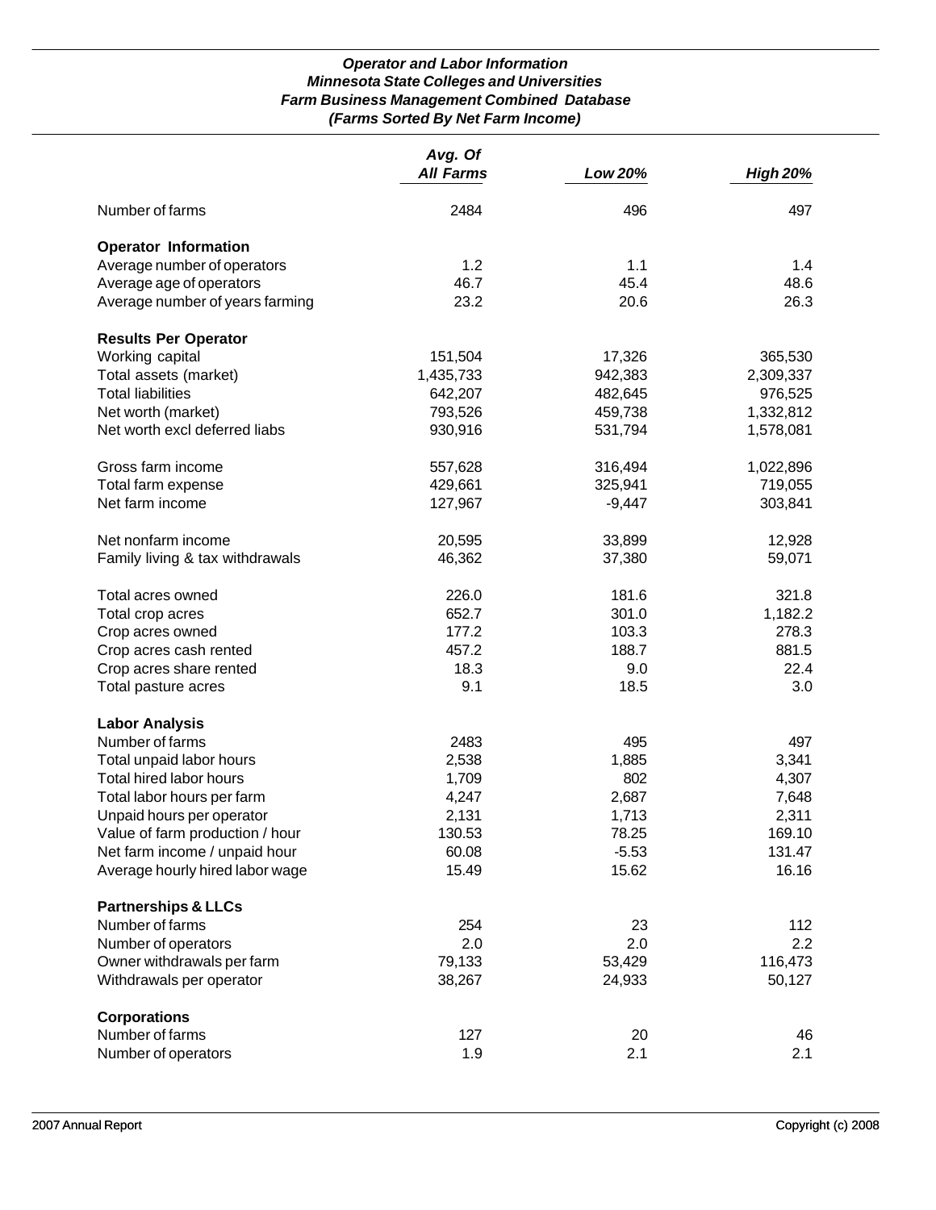## *Operator and Labor Information Minnesota State Colleges and Universities Farm Business Management Combined Database (Farms Sorted By Net Farm Income)*

|                                 | Avg. Of          |          |                 |
|---------------------------------|------------------|----------|-----------------|
|                                 | <b>All Farms</b> | Low 20%  | <b>High 20%</b> |
| Number of farms                 | 2484             | 496      | 497             |
| <b>Operator Information</b>     |                  |          |                 |
| Average number of operators     | 1.2              | 1.1      | 1.4             |
| Average age of operators        | 46.7             | 45.4     | 48.6            |
| Average number of years farming | 23.2             | 20.6     | 26.3            |
| <b>Results Per Operator</b>     |                  |          |                 |
| Working capital                 | 151,504          | 17,326   | 365,530         |
| Total assets (market)           | 1,435,733        | 942,383  | 2,309,337       |
| <b>Total liabilities</b>        | 642,207          | 482,645  | 976,525         |
| Net worth (market)              | 793,526          | 459,738  | 1,332,812       |
| Net worth excl deferred liabs   | 930,916          | 531,794  | 1,578,081       |
| Gross farm income               | 557,628          | 316,494  | 1,022,896       |
| Total farm expense              | 429,661          | 325,941  | 719,055         |
| Net farm income                 | 127,967          | $-9,447$ | 303,841         |
| Net nonfarm income              | 20,595           | 33,899   | 12,928          |
| Family living & tax withdrawals | 46,362           | 37,380   | 59,071          |
| Total acres owned               | 226.0            | 181.6    | 321.8           |
| Total crop acres                | 652.7            | 301.0    | 1,182.2         |
| Crop acres owned                | 177.2            | 103.3    | 278.3           |
| Crop acres cash rented          | 457.2            | 188.7    | 881.5           |
| Crop acres share rented         | 18.3             | 9.0      | 22.4            |
| Total pasture acres             | 9.1              | 18.5     | 3.0             |
| <b>Labor Analysis</b>           |                  |          |                 |
| Number of farms                 | 2483             | 495      | 497             |
| Total unpaid labor hours        | 2,538            | 1,885    | 3,341           |
| Total hired labor hours         | 1,709            | 802      | 4,307           |
| Total labor hours per farm      | 4,247            | 2,687    | 7,648           |
| Unpaid hours per operator       | 2,131            | 1,713    | 2,311           |
| Value of farm production / hour | 130.53           | 78.25    | 169.10          |
| Net farm income / unpaid hour   | 60.08            | $-5.53$  | 131.47          |
| Average hourly hired labor wage | 15.49            | 15.62    | 16.16           |
| <b>Partnerships &amp; LLCs</b>  |                  |          |                 |
| Number of farms                 | 254              | 23       | 112             |
| Number of operators             | 2.0              | 2.0      | 2.2             |
| Owner withdrawals per farm      | 79,133           | 53,429   | 116,473         |
| Withdrawals per operator        | 38,267           | 24,933   | 50,127          |
| <b>Corporations</b>             |                  |          |                 |
| Number of farms                 | 127              | 20       | 46              |
| Number of operators             | 1.9              | 2.1      | 2.1             |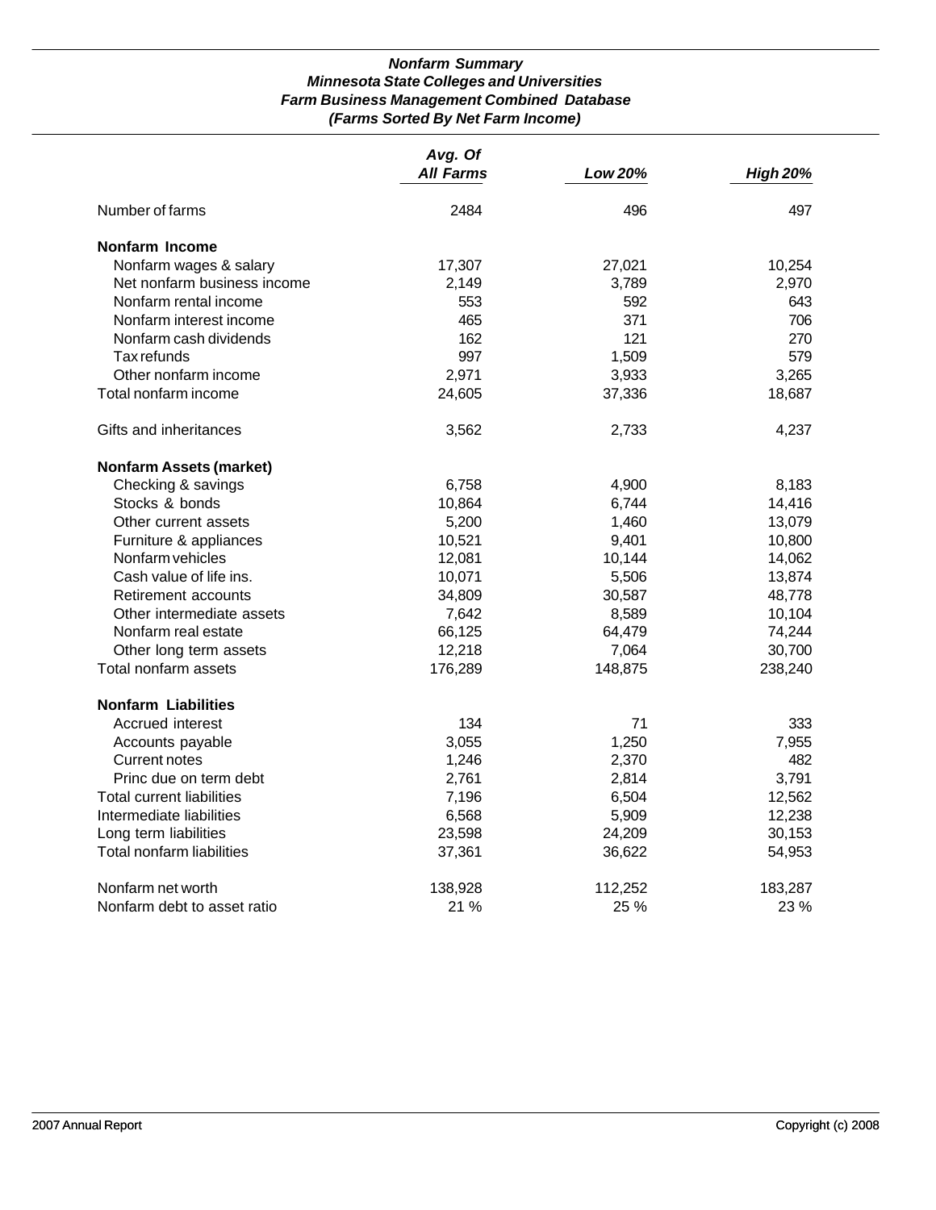## *Nonfarm Summary Minnesota State Colleges and Universities Farm Business Management Combined Database (Farms Sorted By Net Farm Income)*

|                                  | Avg. Of          |         |                 |
|----------------------------------|------------------|---------|-----------------|
|                                  | <b>All Farms</b> | Low 20% | <b>High 20%</b> |
| Number of farms                  | 2484             | 496     | 497             |
| Nonfarm Income                   |                  |         |                 |
| Nonfarm wages & salary           | 17,307           | 27,021  | 10,254          |
| Net nonfarm business income      | 2,149            | 3,789   | 2,970           |
| Nonfarm rental income            | 553              | 592     | 643             |
| Nonfarm interest income          | 465              | 371     | 706             |
| Nonfarm cash dividends           | 162              | 121     | 270             |
| Tax refunds                      | 997              | 1,509   | 579             |
| Other nonfarm income             | 2,971            | 3,933   | 3,265           |
| Total nonfarm income             | 24,605           | 37,336  | 18,687          |
| Gifts and inheritances           | 3,562            | 2,733   | 4,237           |
| <b>Nonfarm Assets (market)</b>   |                  |         |                 |
| Checking & savings               | 6,758            | 4,900   | 8,183           |
| Stocks & bonds                   | 10,864           | 6,744   | 14,416          |
| Other current assets             | 5,200            | 1,460   | 13,079          |
| Furniture & appliances           | 10,521           | 9,401   | 10,800          |
| Nonfarm vehicles                 | 12,081           | 10,144  | 14,062          |
| Cash value of life ins.          | 10,071           | 5,506   | 13,874          |
| Retirement accounts              | 34,809           | 30,587  | 48,778          |
| Other intermediate assets        | 7,642            | 8,589   | 10,104          |
| Nonfarm real estate              | 66,125           | 64,479  | 74,244          |
| Other long term assets           | 12,218           | 7,064   | 30,700          |
| Total nonfarm assets             | 176,289          | 148,875 | 238,240         |
| <b>Nonfarm Liabilities</b>       |                  |         |                 |
| Accrued interest                 | 134              | 71      | 333             |
| Accounts payable                 | 3,055            | 1,250   | 7,955           |
| Current notes                    | 1,246            | 2,370   | 482             |
| Princ due on term debt           | 2,761            | 2,814   | 3,791           |
| <b>Total current liabilities</b> | 7,196            | 6,504   | 12,562          |
| Intermediate liabilities         | 6,568            | 5,909   | 12,238          |
| Long term liabilities            | 23,598           | 24,209  | 30,153          |
| Total nonfarm liabilities        | 37,361           | 36,622  | 54,953          |
| Nonfarm net worth                | 138,928          | 112,252 | 183,287         |
| Nonfarm debt to asset ratio      | 21 %             | 25 %    | 23 %            |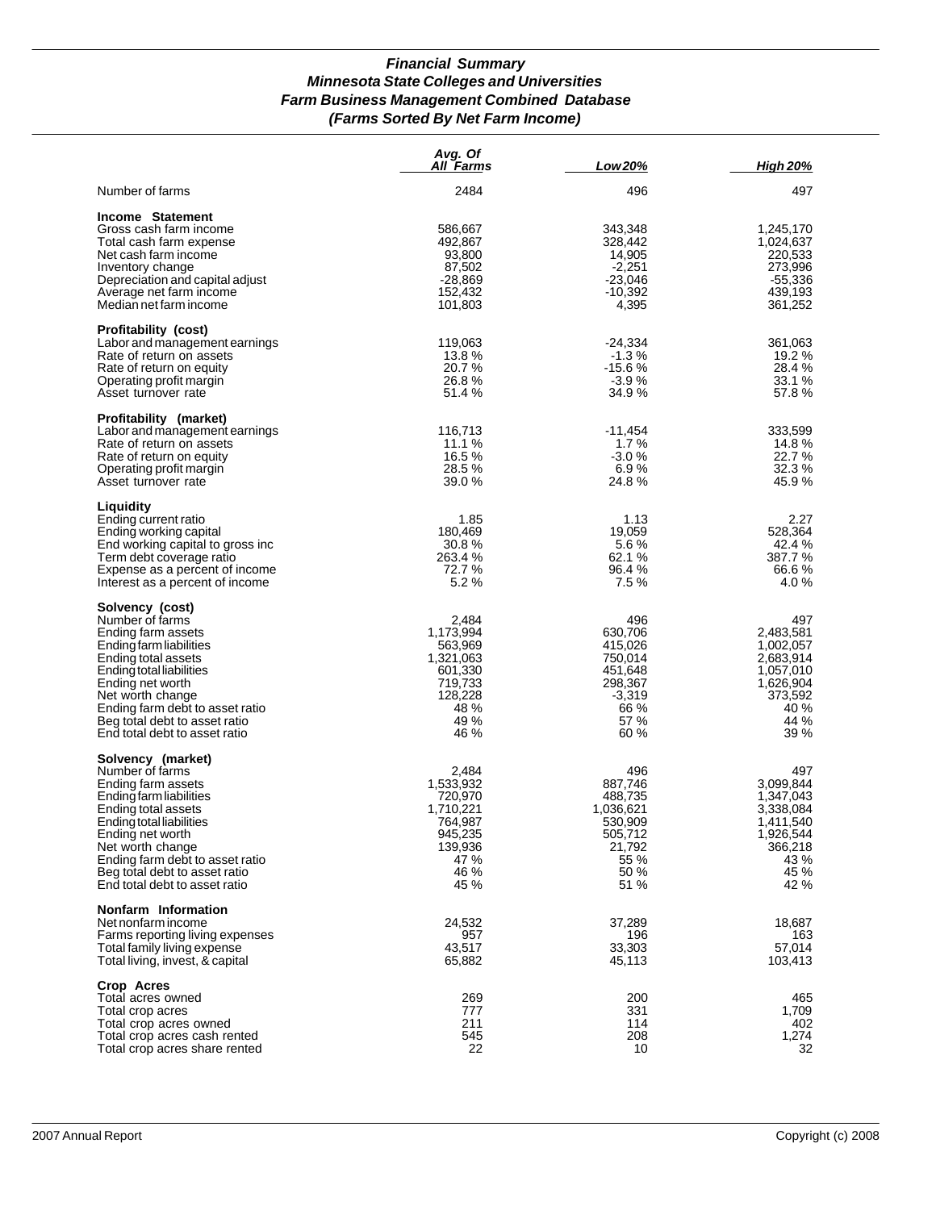## *Financial Summary Minnesota State Colleges and Universities Farm Business Management Combined Database (Farms Sorted By Net Farm Income)*

|                                                                                                                                                                                                                                                                                       | Avg. Of<br>All Farms                                                                                | Low 20%                                                                                        | <b>High 20%</b>                                                                                         |
|---------------------------------------------------------------------------------------------------------------------------------------------------------------------------------------------------------------------------------------------------------------------------------------|-----------------------------------------------------------------------------------------------------|------------------------------------------------------------------------------------------------|---------------------------------------------------------------------------------------------------------|
| Number of farms                                                                                                                                                                                                                                                                       | 2484                                                                                                | 496                                                                                            | 497                                                                                                     |
| Income Statement<br>Gross cash farm income<br>Total cash farm expense<br>Net cash farm income<br>Inventory change<br>Depreciation and capital adjust<br>Average net farm income<br>Median net farm income                                                                             | 586,667<br>492,867<br>93,800<br>87,502<br>$-28,869$<br>152,432<br>101,803                           | 343,348<br>328,442<br>14,905<br>$-2,251$<br>$-23,046$<br>$-10,392$<br>4,395                    | 1,245,170<br>1,024,637<br>220,533<br>273,996<br>$-55,336$<br>439,193<br>361,252                         |
| <b>Profitability (cost)</b><br>Labor and management earnings<br>Rate of return on assets<br>Rate of return on equity<br>Operating profit margin<br>Asset turnover rate                                                                                                                | 119,063<br>13.8 %<br>20.7 %<br>26.8%<br>51.4 %                                                      | $-24,334$<br>$-1.3%$<br>$-15.6%$<br>$-3.9%$<br>34.9%                                           | 361,063<br>19.2 %<br>28.4 %<br>33.1 %<br>57.8%                                                          |
| Profitability (market)<br>Labor and management earnings<br>Rate of return on assets<br>Rate of return on equity<br>Operating profit margin<br>Asset turnover rate                                                                                                                     | 116,713<br>11.1 %<br>16.5 %<br>28.5 %<br>39.0 %                                                     | $-11,454$<br>1.7%<br>$-3.0%$<br>6.9%<br>24.8%                                                  | 333,599<br>14.8%<br>22.7%<br>32.3 %<br>45.9 %                                                           |
| Liquidity<br>Ending current ratio<br>Ending working capital<br>End working capital to gross inc<br>Term debt coverage ratio<br>Expense as a percent of income<br>Interest as a percent of income                                                                                      | 1.85<br>180.469<br>30.8%<br>263.4%<br>72.7 %<br>5.2%                                                | 1.13<br>19,059<br>5.6%<br>62.1 %<br>96.4 %<br>7.5%                                             | 2.27<br>528,364<br>42.4 %<br>387.7%<br>66.6%<br>4.0%                                                    |
| Solvency (cost)<br>Number of farms<br>Ending farm assets<br>Ending farm liabilities<br>Ending total assets<br>Ending total liabilities<br>Ending net worth<br>Net worth change<br>Ending farm debt to asset ratio<br>Beg total debt to asset ratio<br>End total debt to asset ratio   | 2,484<br>1,173,994<br>563,969<br>1,321,063<br>601,330<br>719,733<br>128,228<br>48 %<br>49 %<br>46 % | 496<br>630,706<br>415,026<br>750,014<br>451,648<br>298,367<br>$-3,319$<br>66 %<br>57 %<br>60 % | 497<br>2,483,581<br>1,002,057<br>2,683,914<br>1,057,010<br>1,626,904<br>373,592<br>40 %<br>44 %<br>39 % |
| Solvency (market)<br>Number of farms<br>Ending farm assets<br>Ending farm liabilities<br>Ending total assets<br>Ending total liabilities<br>Ending net worth<br>Net worth change<br>Ending farm debt to asset ratio<br>Beg total debt to asset ratio<br>End total debt to asset ratio | 2,484<br>1,533,932<br>720,970<br>1,710,221<br>764,987<br>945,235<br>139,936<br>47 %<br>46 %<br>45 % | 496<br>887,746<br>488,735<br>1,036,621<br>530,909<br>505,712<br>21,792<br>55 %<br>50 %<br>51 % | 497<br>3,099,844<br>1,347,043<br>3,338,084<br>1,411,540<br>1,926,544<br>366,218<br>43 %<br>45 %<br>42 % |
| Nonfarm Information<br>Net nonfarm income<br>Farms reporting living expenses<br>Total family living expense<br>Total living, invest, & capital                                                                                                                                        | 24,532<br>957<br>43,517<br>65,882                                                                   | 37,289<br>196<br>33,303<br>45,113                                                              | 18,687<br>163<br>57,014<br>103,413                                                                      |
| Crop Acres<br>Total acres owned<br>Total crop acres<br>Total crop acres owned<br>Total crop acres cash rented<br>Total crop acres share rented                                                                                                                                        | 269<br>777<br>211<br>545<br>22                                                                      | 200<br>331<br>114<br>208<br>10                                                                 | 465<br>1,709<br>402<br>1,274<br>32                                                                      |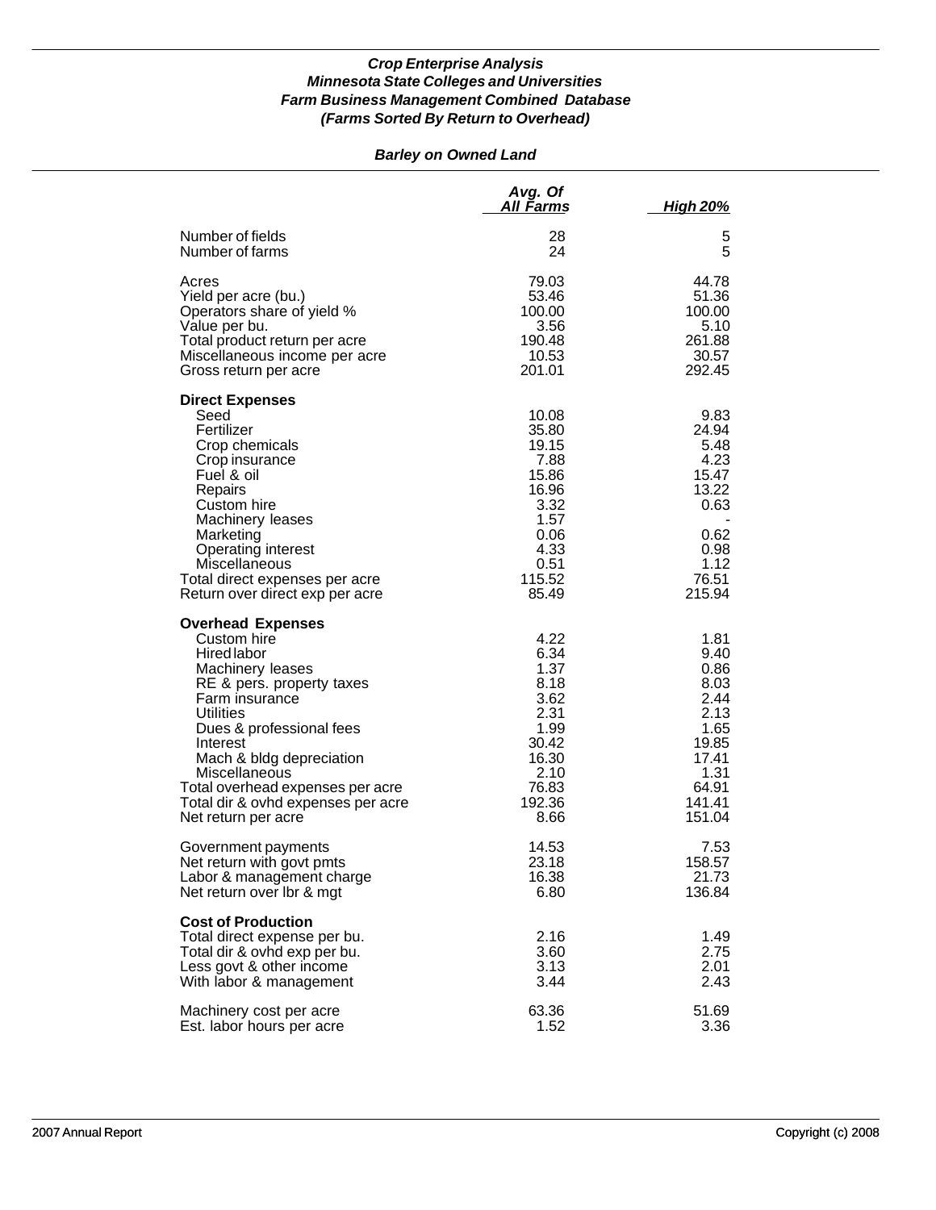# *Barley on Owned Land*

|                                                                                                                                                                                                                                                                                                                                            | Avg. Of<br>All Farms                                                                                         | <b>High 20%</b>                                                                                             |
|--------------------------------------------------------------------------------------------------------------------------------------------------------------------------------------------------------------------------------------------------------------------------------------------------------------------------------------------|--------------------------------------------------------------------------------------------------------------|-------------------------------------------------------------------------------------------------------------|
| Number of fields                                                                                                                                                                                                                                                                                                                           | 28                                                                                                           | 5                                                                                                           |
| Number of farms                                                                                                                                                                                                                                                                                                                            | 24                                                                                                           | 5                                                                                                           |
| Acres                                                                                                                                                                                                                                                                                                                                      | 79.03                                                                                                        | 44.78                                                                                                       |
| Yield per acre (bu.)                                                                                                                                                                                                                                                                                                                       | 53.46                                                                                                        | 51.36                                                                                                       |
| Operators share of yield %                                                                                                                                                                                                                                                                                                                 | 100.00                                                                                                       | 100.00                                                                                                      |
| Value per bu.                                                                                                                                                                                                                                                                                                                              | 3.56                                                                                                         | 5.10                                                                                                        |
| Total product return per acre                                                                                                                                                                                                                                                                                                              | 190.48                                                                                                       | 261.88                                                                                                      |
| Miscellaneous income per acre                                                                                                                                                                                                                                                                                                              | 10.53                                                                                                        | 30.57                                                                                                       |
| Gross return per acre                                                                                                                                                                                                                                                                                                                      | 201.01                                                                                                       | 292.45                                                                                                      |
| <b>Direct Expenses</b><br>Seed<br>Fertilizer<br>Crop chemicals<br>Crop insurance<br>Fuel & oil<br>Repairs<br>Custom hire<br>Machinery leases<br>Marketing<br>Operating interest<br>Miscellaneous<br>Total direct expenses per acre<br>Return over direct exp per acre                                                                      | 10.08<br>35.80<br>19.15<br>7.88<br>15.86<br>16.96<br>3.32<br>1.57<br>0.06<br>4.33<br>0.51<br>115.52<br>85.49 | 9.83<br>24.94<br>5.48<br>4.23<br>15.47<br>13.22<br>0.63<br>0.62<br>0.98<br>1.12<br>76.51<br>215.94          |
| <b>Overhead Expenses</b><br>Custom hire<br><b>Hired labor</b><br>Machinery leases<br>RE & pers. property taxes<br>Farm insurance<br><b>Utilities</b><br>Dues & professional fees<br>Interest<br>Mach & bldg depreciation<br>Miscellaneous<br>Total overhead expenses per acre<br>Total dir & ovhd expenses per acre<br>Net return per acre | 4.22<br>6.34<br>1.37<br>8.18<br>3.62<br>2.31<br>1.99<br>30.42<br>16.30<br>2.10<br>76.83<br>192.36<br>8.66    | 1.81<br>9.40<br>0.86<br>8.03<br>2.44<br>2.13<br>1.65<br>19.85<br>17.41<br>1.31<br>64.91<br>141.41<br>151.04 |
| Government payments                                                                                                                                                                                                                                                                                                                        | 14.53                                                                                                        | 7.53                                                                                                        |
| Net return with govt pmts                                                                                                                                                                                                                                                                                                                  | 23.18                                                                                                        | 158.57                                                                                                      |
| Labor & management charge                                                                                                                                                                                                                                                                                                                  | 16.38                                                                                                        | 21.73                                                                                                       |
| Net return over Ibr & mgt                                                                                                                                                                                                                                                                                                                  | 6.80                                                                                                         | 136.84                                                                                                      |
| <b>Cost of Production</b><br>Total direct expense per bu.<br>Total dir & ovhd exp per bu.<br>Less govt & other income<br>With labor & management                                                                                                                                                                                           | 2.16<br>3.60<br>3.13<br>3.44                                                                                 | 1.49<br>2.75<br>2.01<br>2.43                                                                                |
| Machinery cost per acre                                                                                                                                                                                                                                                                                                                    | 63.36                                                                                                        | 51.69                                                                                                       |
| Est. labor hours per acre                                                                                                                                                                                                                                                                                                                  | 1.52                                                                                                         | 3.36                                                                                                        |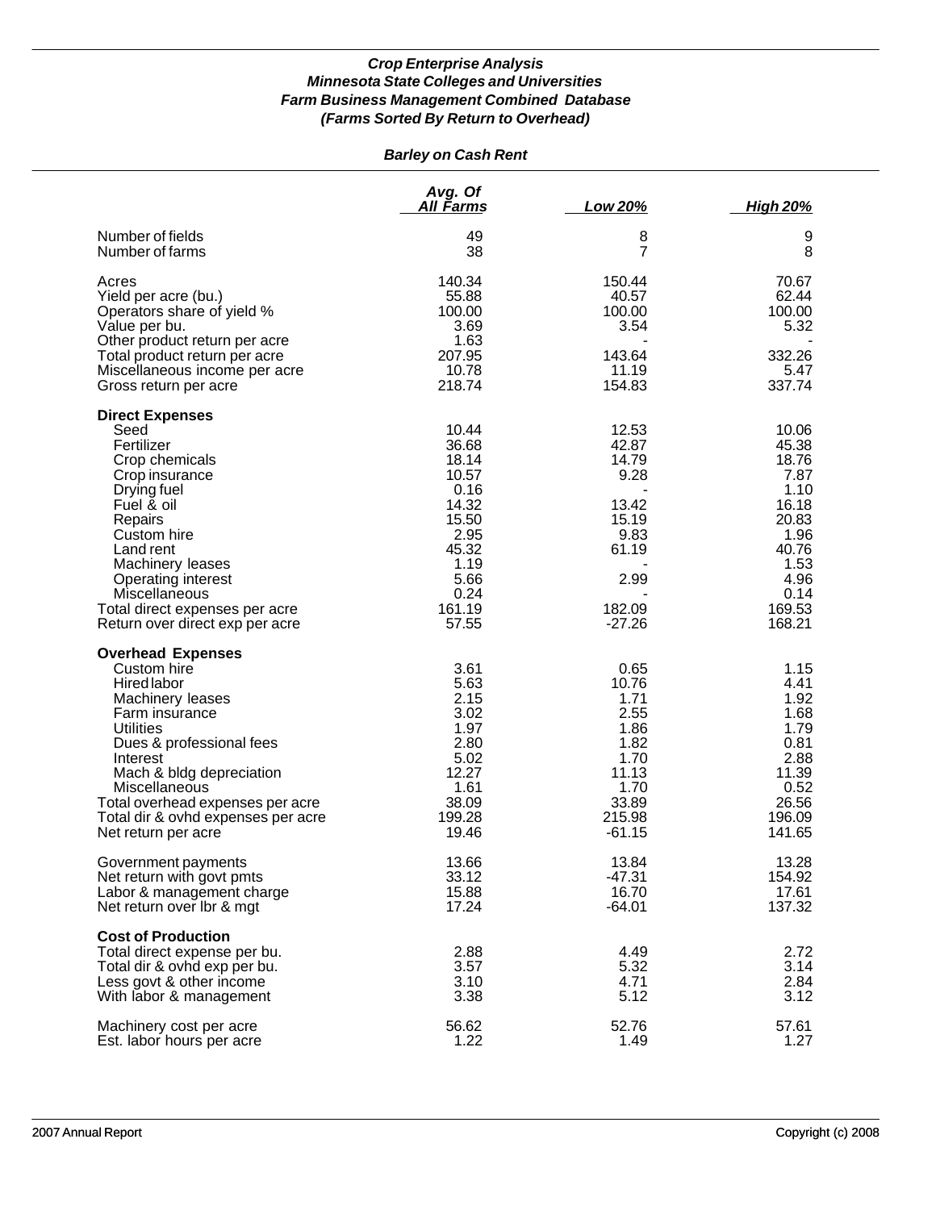# *Barley on Cash Rent*

|                                                                                                                                                                                                                                                                                                                  | Avg. Of<br><u>All Farms</u>                                                                                            | Low 20%                                                                                          | <b>High 20%</b>                                                                                                        |
|------------------------------------------------------------------------------------------------------------------------------------------------------------------------------------------------------------------------------------------------------------------------------------------------------------------|------------------------------------------------------------------------------------------------------------------------|--------------------------------------------------------------------------------------------------|------------------------------------------------------------------------------------------------------------------------|
| Number of fields                                                                                                                                                                                                                                                                                                 | 49                                                                                                                     | 8                                                                                                | 9                                                                                                                      |
| Number of farms                                                                                                                                                                                                                                                                                                  | 38                                                                                                                     | $\overline{7}$                                                                                   | 8                                                                                                                      |
| Acres<br>Yield per acre (bu.)<br>Operators share of yield %<br>Value per bu.<br>Other product return per acre<br>Total product return per acre<br>Miscellaneous income per acre<br>Gross return per acre                                                                                                         | 140.34<br>55.88<br>100.00<br>3.69<br>1.63<br>207.95<br>10.78<br>218.74                                                 | 150.44<br>40.57<br>100.00<br>3.54<br>143.64<br>11.19<br>154.83                                   | 70.67<br>62.44<br>100.00<br>5.32<br>332.26<br>5.47<br>337.74                                                           |
| <b>Direct Expenses</b><br>Seed<br>Fertilizer<br>Crop chemicals<br>Crop insurance<br>Drying fuel<br>Fuel & oil<br>Repairs<br>Custom hire<br>Land rent<br>Machinery leases<br>Operating interest<br>Miscellaneous<br>Total direct expenses per acre<br>Return over direct exp per acre<br><b>Overhead Expenses</b> | 10.44<br>36.68<br>18.14<br>10.57<br>0.16<br>14.32<br>15.50<br>2.95<br>45.32<br>1.19<br>5.66<br>0.24<br>161.19<br>57.55 | 12.53<br>42.87<br>14.79<br>9.28<br>13.42<br>15.19<br>9.83<br>61.19<br>2.99<br>182.09<br>$-27.26$ | 10.06<br>45.38<br>18.76<br>7.87<br>1.10<br>16.18<br>20.83<br>1.96<br>40.76<br>1.53<br>4.96<br>0.14<br>169.53<br>168.21 |
| Custom hire                                                                                                                                                                                                                                                                                                      | 3.61                                                                                                                   | 0.65                                                                                             | 1.15                                                                                                                   |
| <b>Hired labor</b>                                                                                                                                                                                                                                                                                               | 5.63                                                                                                                   | 10.76                                                                                            | 4.41                                                                                                                   |
| Machinery leases                                                                                                                                                                                                                                                                                                 | 2.15                                                                                                                   | 1.71                                                                                             | 1.92                                                                                                                   |
| Farm insurance                                                                                                                                                                                                                                                                                                   | 3.02                                                                                                                   | 2.55                                                                                             | 1.68                                                                                                                   |
| <b>Utilities</b>                                                                                                                                                                                                                                                                                                 | 1.97                                                                                                                   | 1.86                                                                                             | 1.79                                                                                                                   |
| Dues & professional fees                                                                                                                                                                                                                                                                                         | 2.80                                                                                                                   | 1.82                                                                                             | 0.81                                                                                                                   |
| Interest                                                                                                                                                                                                                                                                                                         | 5.02                                                                                                                   | 1.70                                                                                             | 2.88                                                                                                                   |
| Mach & bldg depreciation                                                                                                                                                                                                                                                                                         | 12.27                                                                                                                  | 11.13                                                                                            | 11.39                                                                                                                  |
| Miscellaneous                                                                                                                                                                                                                                                                                                    | 1.61                                                                                                                   | 1.70                                                                                             | 0.52                                                                                                                   |
| Total overhead expenses per acre                                                                                                                                                                                                                                                                                 | 38.09                                                                                                                  | 33.89                                                                                            | 26.56                                                                                                                  |
| Total dir & ovhd expenses per acre                                                                                                                                                                                                                                                                               | 199.28                                                                                                                 | 215.98                                                                                           | 196.09                                                                                                                 |
| Net return per acre                                                                                                                                                                                                                                                                                              | 19.46                                                                                                                  | $-61.15$                                                                                         | 141.65                                                                                                                 |
| Government payments                                                                                                                                                                                                                                                                                              | 13.66                                                                                                                  | 13.84                                                                                            | 13.28                                                                                                                  |
| Net return with govt pmts                                                                                                                                                                                                                                                                                        | 33.12                                                                                                                  | $-47.31$                                                                                         | 154.92                                                                                                                 |
| Labor & management charge                                                                                                                                                                                                                                                                                        | 15.88                                                                                                                  | 16.70                                                                                            | 17.61                                                                                                                  |
| Net return over Ibr & mgt                                                                                                                                                                                                                                                                                        | 17.24                                                                                                                  | $-64.01$                                                                                         | 137.32                                                                                                                 |
| <b>Cost of Production</b><br>Total direct expense per bu.<br>Total dir & ovhd exp per bu.<br>Less govt & other income<br>With labor & management                                                                                                                                                                 | 2.88<br>3.57<br>3.10<br>3.38                                                                                           | 4.49<br>5.32<br>4.71<br>5.12                                                                     | 2.72<br>3.14<br>2.84<br>3.12                                                                                           |
| Machinery cost per acre                                                                                                                                                                                                                                                                                          | 56.62                                                                                                                  | 52.76                                                                                            | 57.61                                                                                                                  |
| Est. labor hours per acre                                                                                                                                                                                                                                                                                        | 1.22                                                                                                                   | 1.49                                                                                             | 1.27                                                                                                                   |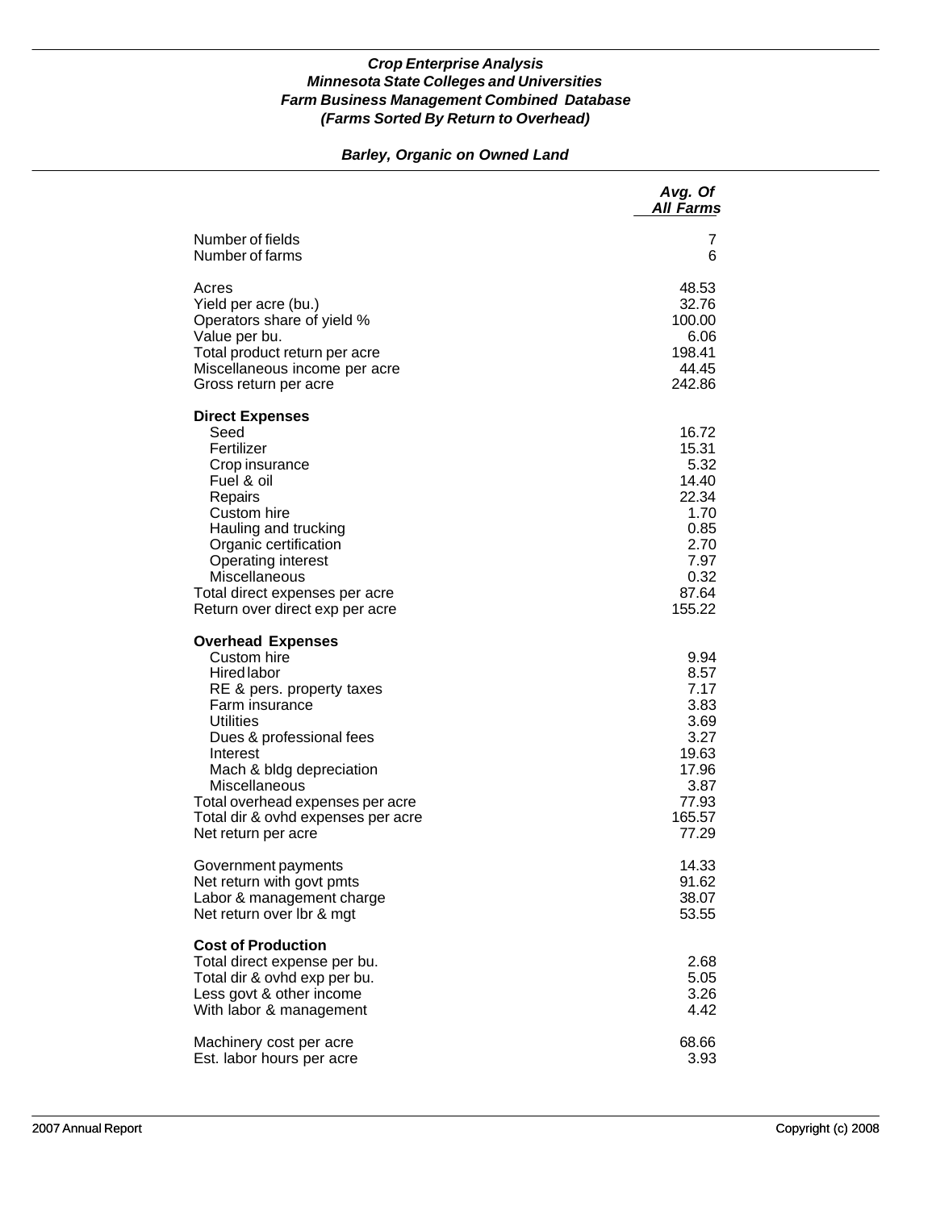# *Barley, Organic on Owned Land*

|                                                                                                                                                                                                                                                                                                                        | Avg. Of<br><b>All Farms</b>                                                                         |
|------------------------------------------------------------------------------------------------------------------------------------------------------------------------------------------------------------------------------------------------------------------------------------------------------------------------|-----------------------------------------------------------------------------------------------------|
| Number of fields                                                                                                                                                                                                                                                                                                       | 7                                                                                                   |
| Number of farms                                                                                                                                                                                                                                                                                                        | 6                                                                                                   |
| Acres                                                                                                                                                                                                                                                                                                                  | 48.53                                                                                               |
| Yield per acre (bu.)                                                                                                                                                                                                                                                                                                   | 32.76                                                                                               |
| Operators share of yield %                                                                                                                                                                                                                                                                                             | 100.00                                                                                              |
| Value per bu.                                                                                                                                                                                                                                                                                                          | 6.06                                                                                                |
| Total product return per acre                                                                                                                                                                                                                                                                                          | 198.41                                                                                              |
| Miscellaneous income per acre                                                                                                                                                                                                                                                                                          | 44.45                                                                                               |
| Gross return per acre                                                                                                                                                                                                                                                                                                  | 242.86                                                                                              |
| <b>Direct Expenses</b><br>Seed<br>Fertilizer<br>Crop insurance<br>Fuel & oil<br>Repairs<br>Custom hire<br>Hauling and trucking<br>Organic certification<br>Operating interest<br>Miscellaneous<br>Total direct expenses per acre<br>Return over direct exp per acre                                                    | 16.72<br>15.31<br>5.32<br>14.40<br>22.34<br>1.70<br>0.85<br>2.70<br>7.97<br>0.32<br>87.64<br>155.22 |
| <b>Overhead Expenses</b><br>Custom hire<br><b>Hired labor</b><br>RE & pers. property taxes<br>Farm insurance<br><b>Utilities</b><br>Dues & professional fees<br>Interest<br>Mach & bldg depreciation<br>Miscellaneous<br>Total overhead expenses per acre<br>Total dir & ovhd expenses per acre<br>Net return per acre | 9.94<br>8.57<br>7.17<br>3.83<br>3.69<br>3.27<br>19.63<br>17.96<br>3.87<br>77.93<br>165.57<br>77.29  |
| Government payments                                                                                                                                                                                                                                                                                                    | 14.33                                                                                               |
| Net return with govt pmts                                                                                                                                                                                                                                                                                              | 91.62                                                                                               |
| Labor & management charge                                                                                                                                                                                                                                                                                              | 38.07                                                                                               |
| Net return over Ibr & mgt                                                                                                                                                                                                                                                                                              | 53.55                                                                                               |
| <b>Cost of Production</b><br>Total direct expense per bu.<br>Total dir & ovhd exp per bu.<br>Less govt & other income<br>With labor & management                                                                                                                                                                       | 2.68<br>5.05<br>3.26<br>4.42                                                                        |
| Machinery cost per acre                                                                                                                                                                                                                                                                                                | 68.66                                                                                               |
| Est. labor hours per acre                                                                                                                                                                                                                                                                                              | 3.93                                                                                                |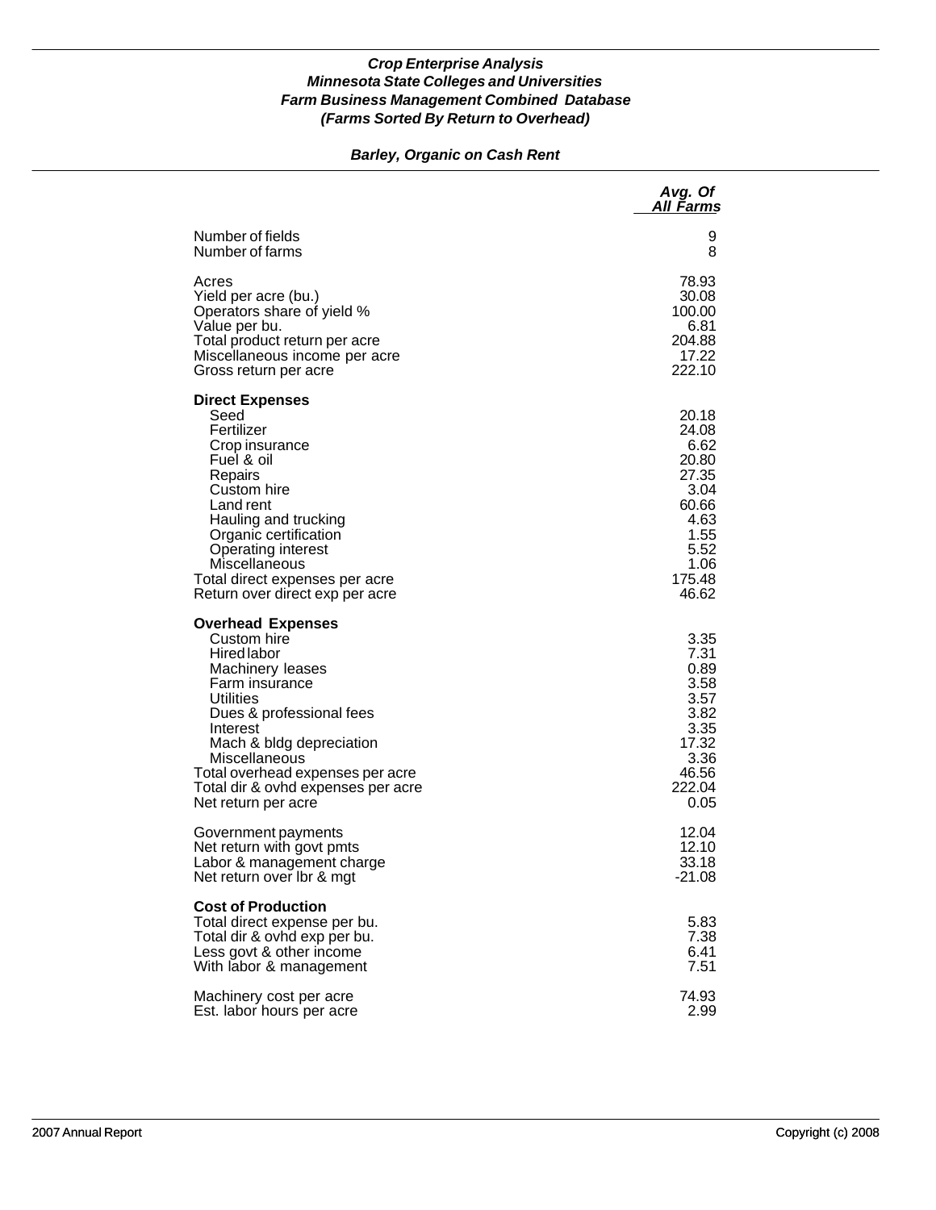# *Barley, Organic on Cash Rent*

|                                                                                                                                                                                                                                                                                                 | Avg. Of<br>All Farms                                                                                         |
|-------------------------------------------------------------------------------------------------------------------------------------------------------------------------------------------------------------------------------------------------------------------------------------------------|--------------------------------------------------------------------------------------------------------------|
| Number of fields                                                                                                                                                                                                                                                                                | 9                                                                                                            |
| Number of farms                                                                                                                                                                                                                                                                                 | 8                                                                                                            |
| Acres                                                                                                                                                                                                                                                                                           | 78.93                                                                                                        |
| Yield per acre (bu.)                                                                                                                                                                                                                                                                            | 30.08                                                                                                        |
| Operators share of yield %                                                                                                                                                                                                                                                                      | 100.00                                                                                                       |
| Value per bu.                                                                                                                                                                                                                                                                                   | 6.81                                                                                                         |
| Total product return per acre                                                                                                                                                                                                                                                                   | 204.88                                                                                                       |
| Miscellaneous income per acre                                                                                                                                                                                                                                                                   | 17.22                                                                                                        |
| Gross return per acre                                                                                                                                                                                                                                                                           | 222.10                                                                                                       |
| <b>Direct Expenses</b><br>Seed<br>Fertilizer<br>Crop insurance<br>Fuel & oil<br>Repairs<br>Custom hire<br>Land rent<br>Hauling and trucking<br>Organic certification<br><b>Operating interest</b><br>Miscellaneous<br>Total direct expenses per acre<br>Return over direct exp per acre         | 20.18<br>24.08<br>6.62<br>20.80<br>27.35<br>3.04<br>60.66<br>4.63<br>1.55<br>5.52<br>1.06<br>175.48<br>46.62 |
| <b>Overhead Expenses</b><br>Custom hire<br>Hired labor<br>Machinery leases<br>Farm insurance<br>Utilities<br>Dues & professional fees<br>Interest<br>Mach & bldg depreciation<br>Miscellaneous<br>Total overhead expenses per acre<br>Total dir & ovhd expenses per acre<br>Net return per acre | 3.35<br>7.31<br>0.89<br>3.58<br>3.57<br>3.82<br>3.35<br>17.32<br>3.36<br>46.56<br>222.04<br>0.05             |
| Government payments                                                                                                                                                                                                                                                                             | 12.04                                                                                                        |
| Net return with govt pmts                                                                                                                                                                                                                                                                       | 12.10                                                                                                        |
| Labor & management charge                                                                                                                                                                                                                                                                       | 33.18                                                                                                        |
| Net return over Ibr & mgt                                                                                                                                                                                                                                                                       | $-21.08$                                                                                                     |
| <b>Cost of Production</b><br>Total direct expense per bu.<br>Total dir & ovhd exp per bu.<br>Less govt & other income<br>With labor & management                                                                                                                                                | 5.83<br>7.38<br>6.41<br>7.51                                                                                 |
| Machinery cost per acre                                                                                                                                                                                                                                                                         | 74.93                                                                                                        |
| Est. labor hours per acre                                                                                                                                                                                                                                                                       | 2.99                                                                                                         |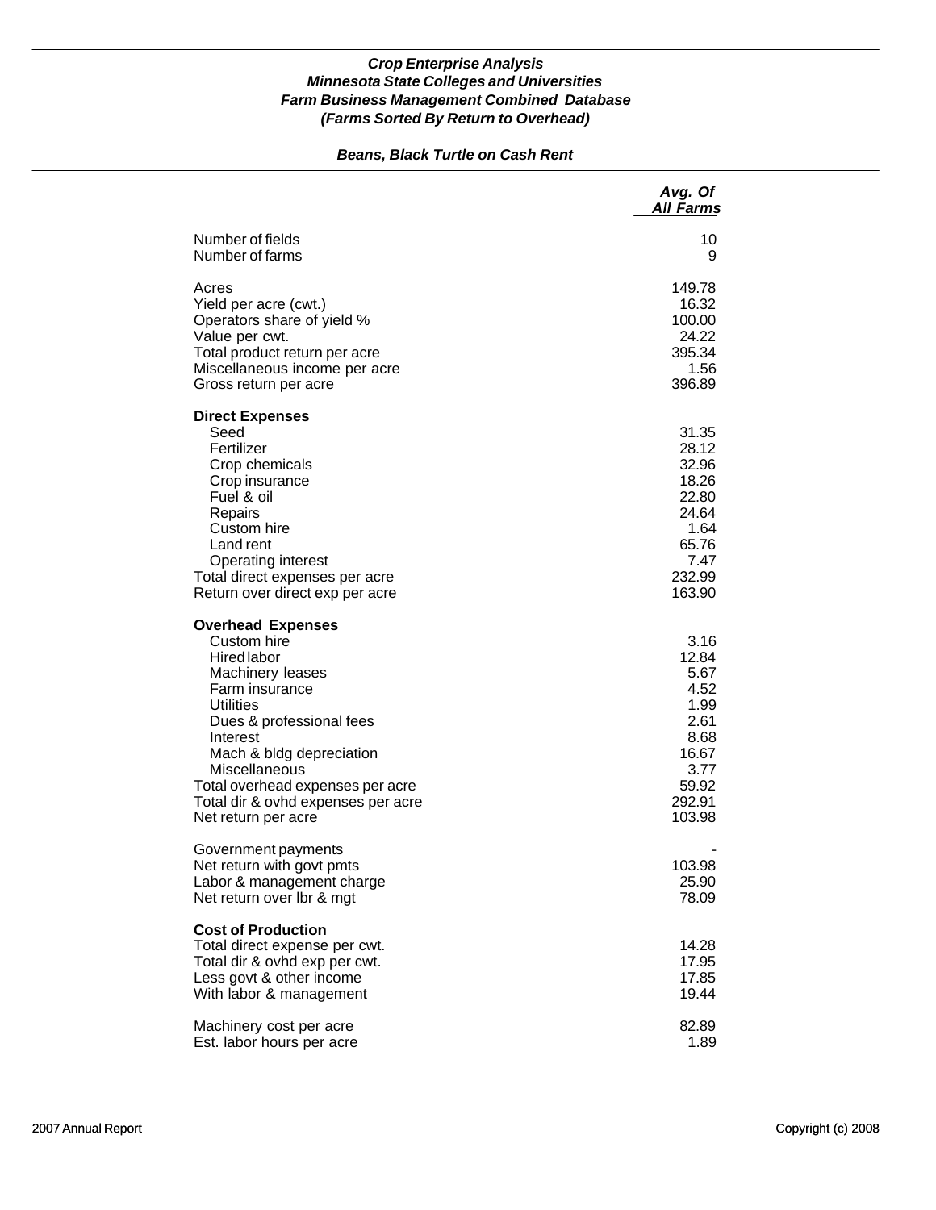# *Beans, Black Turtle on Cash Rent*

|                                                                                                                                                                                                                                                                                                               | Avg. Of<br><b>All Farms</b>                                                                         |
|---------------------------------------------------------------------------------------------------------------------------------------------------------------------------------------------------------------------------------------------------------------------------------------------------------------|-----------------------------------------------------------------------------------------------------|
| Number of fields<br>Number of farms                                                                                                                                                                                                                                                                           | 10<br>9                                                                                             |
| Acres<br>Yield per acre (cwt.)<br>Operators share of yield %<br>Value per cwt.<br>Total product return per acre<br>Miscellaneous income per acre<br>Gross return per acre                                                                                                                                     | 149.78<br>16.32<br>100.00<br>24.22<br>395.34<br>1.56<br>396.89                                      |
| <b>Direct Expenses</b><br>Seed<br>Fertilizer<br>Crop chemicals<br>Crop insurance<br>Fuel & oil<br>Repairs<br>Custom hire<br>Land rent<br><b>Operating interest</b><br>Total direct expenses per acre<br>Return over direct exp per acre                                                                       | 31.35<br>28.12<br>32.96<br>18.26<br>22.80<br>24.64<br>1.64<br>65.76<br>7.47<br>232.99<br>163.90     |
| <b>Overhead Expenses</b><br>Custom hire<br><b>Hired labor</b><br>Machinery leases<br>Farm insurance<br><b>Utilities</b><br>Dues & professional fees<br>Interest<br>Mach & bldg depreciation<br>Miscellaneous<br>Total overhead expenses per acre<br>Total dir & ovhd expenses per acre<br>Net return per acre | 3.16<br>12.84<br>5.67<br>4.52<br>1.99<br>2.61<br>8.68<br>16.67<br>3.77<br>59.92<br>292.91<br>103.98 |
| Government payments<br>Net return with govt pmts<br>Labor & management charge<br>Net return over Ibr & mgt                                                                                                                                                                                                    | 103.98<br>25.90<br>78.09                                                                            |
| <b>Cost of Production</b><br>Total direct expense per cwt.<br>Total dir & ovhd exp per cwt.<br>Less govt & other income<br>With labor & management                                                                                                                                                            | 14.28<br>17.95<br>17.85<br>19.44                                                                    |
| Machinery cost per acre<br>Est. labor hours per acre                                                                                                                                                                                                                                                          | 82.89<br>1.89                                                                                       |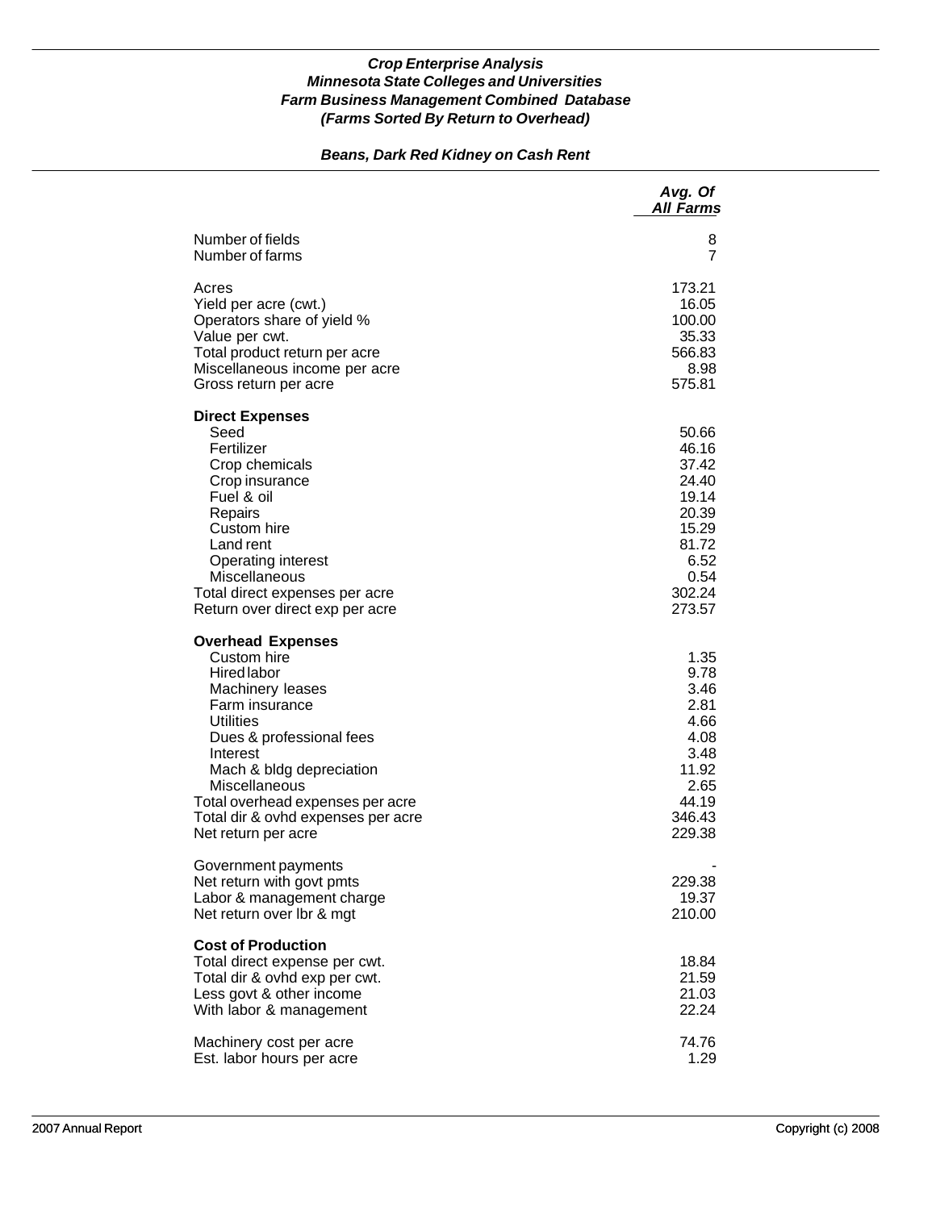# *Beans, Dark Red Kidney on Cash Rent*

|                                                                                                                                                                                                                                                                                                               | Avg. Of<br><b>All Farms</b>                                                                              |
|---------------------------------------------------------------------------------------------------------------------------------------------------------------------------------------------------------------------------------------------------------------------------------------------------------------|----------------------------------------------------------------------------------------------------------|
| Number of fields<br>Number of farms                                                                                                                                                                                                                                                                           | 8<br>7                                                                                                   |
| Acres<br>Yield per acre (cwt.)<br>Operators share of yield %<br>Value per cwt.<br>Total product return per acre<br>Miscellaneous income per acre<br>Gross return per acre                                                                                                                                     | 173.21<br>16.05<br>100.00<br>35.33<br>566.83<br>8.98<br>575.81                                           |
| <b>Direct Expenses</b><br>Seed<br>Fertilizer<br>Crop chemicals<br>Crop insurance<br>Fuel & oil<br>Repairs<br>Custom hire<br>Land rent<br><b>Operating interest</b><br>Miscellaneous<br>Total direct expenses per acre<br>Return over direct exp per acre                                                      | 50.66<br>46.16<br>37.42<br>24.40<br>19.14<br>20.39<br>15.29<br>81.72<br>6.52<br>0.54<br>302.24<br>273.57 |
| <b>Overhead Expenses</b><br>Custom hire<br><b>Hired labor</b><br>Machinery leases<br>Farm insurance<br><b>Utilities</b><br>Dues & professional fees<br>Interest<br>Mach & bldg depreciation<br>Miscellaneous<br>Total overhead expenses per acre<br>Total dir & ovhd expenses per acre<br>Net return per acre | 1.35<br>9.78<br>3.46<br>2.81<br>4.66<br>4.08<br>3.48<br>11.92<br>2.65<br>44.19<br>346.43<br>229.38       |
| Government payments<br>Net return with govt pmts<br>Labor & management charge<br>Net return over lbr & mgt                                                                                                                                                                                                    | 229.38<br>19.37<br>210.00                                                                                |
| <b>Cost of Production</b><br>Total direct expense per cwt.<br>Total dir & ovhd exp per cwt.<br>Less govt & other income<br>With labor & management                                                                                                                                                            | 18.84<br>21.59<br>21.03<br>22.24                                                                         |
| Machinery cost per acre<br>Est. labor hours per acre                                                                                                                                                                                                                                                          | 74.76<br>1.29                                                                                            |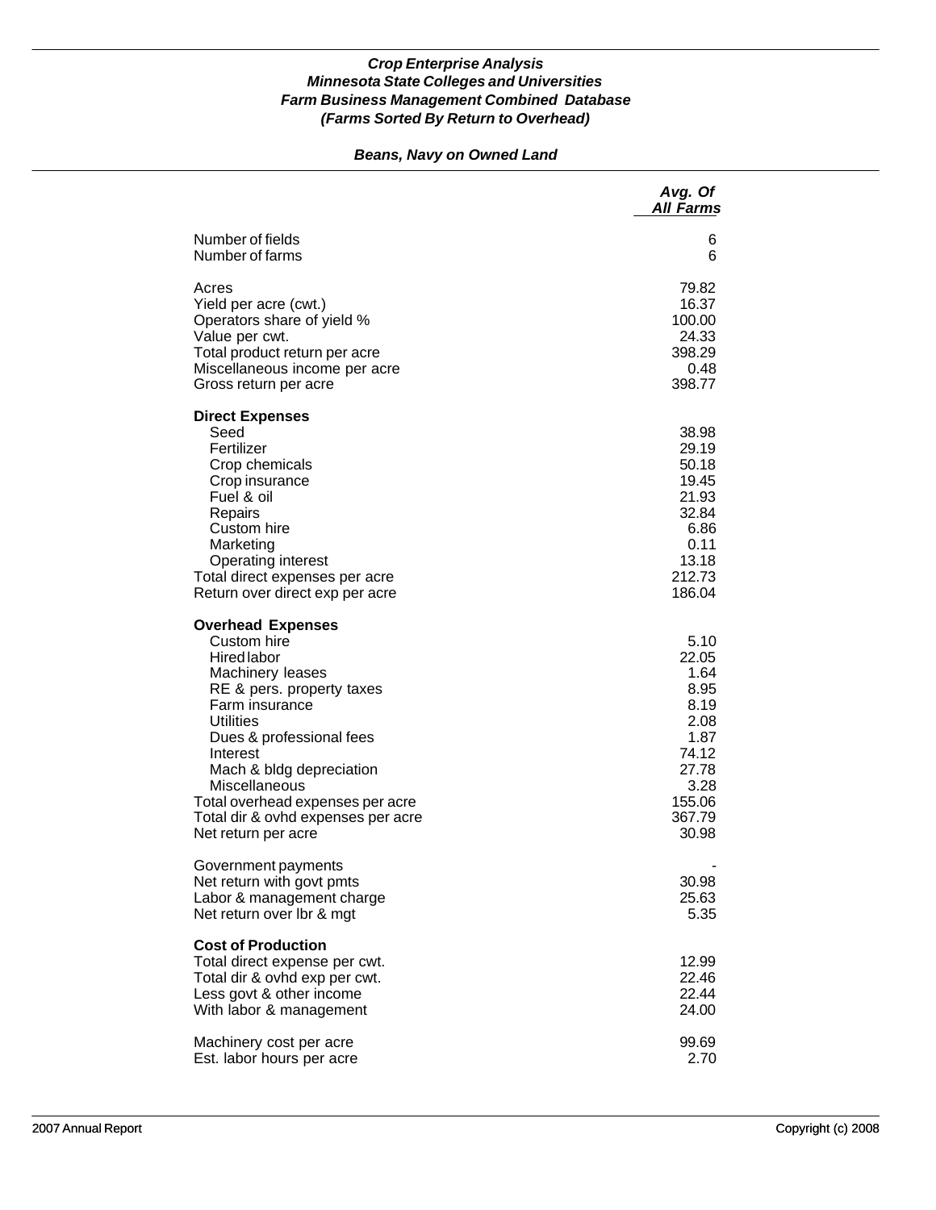## *Beans, Navy on Owned Land*

|                                                                                                                                                                                                                                                                                                                                            | Avg. Of<br><b>All Farms</b>                                                                                  |
|--------------------------------------------------------------------------------------------------------------------------------------------------------------------------------------------------------------------------------------------------------------------------------------------------------------------------------------------|--------------------------------------------------------------------------------------------------------------|
| Number of fields<br>Number of farms                                                                                                                                                                                                                                                                                                        | 6<br>6                                                                                                       |
| Acres<br>Yield per acre (cwt.)<br>Operators share of yield %<br>Value per cwt.<br>Total product return per acre<br>Miscellaneous income per acre<br>Gross return per acre                                                                                                                                                                  | 79.82<br>16.37<br>100.00<br>24.33<br>398.29<br>0.48<br>398.77                                                |
| <b>Direct Expenses</b><br>Seed<br>Fertilizer<br>Crop chemicals<br>Crop insurance<br>Fuel & oil<br>Repairs<br>Custom hire<br>Marketing<br><b>Operating interest</b><br>Total direct expenses per acre<br>Return over direct exp per acre                                                                                                    | 38.98<br>29.19<br>50.18<br>19.45<br>21.93<br>32.84<br>6.86<br>0.11<br>13.18<br>212.73<br>186.04              |
| <b>Overhead Expenses</b><br>Custom hire<br><b>Hired labor</b><br>Machinery leases<br>RE & pers. property taxes<br>Farm insurance<br><b>Utilities</b><br>Dues & professional fees<br>Interest<br>Mach & bldg depreciation<br>Miscellaneous<br>Total overhead expenses per acre<br>Total dir & ovhd expenses per acre<br>Net return per acre | 5.10<br>22.05<br>1.64<br>8.95<br>8.19<br>2.08<br>1.87<br>74.12<br>27.78<br>3.28<br>155.06<br>367.79<br>30.98 |
| Government payments<br>Net return with govt pmts<br>Labor & management charge<br>Net return over Ibr & mgt                                                                                                                                                                                                                                 | 30.98<br>25.63<br>5.35                                                                                       |
| <b>Cost of Production</b><br>Total direct expense per cwt.<br>Total dir & ovhd exp per cwt.<br>Less govt & other income<br>With labor & management                                                                                                                                                                                         | 12.99<br>22.46<br>22.44<br>24.00                                                                             |
| Machinery cost per acre<br>Est. labor hours per acre                                                                                                                                                                                                                                                                                       | 99.69<br>2.70                                                                                                |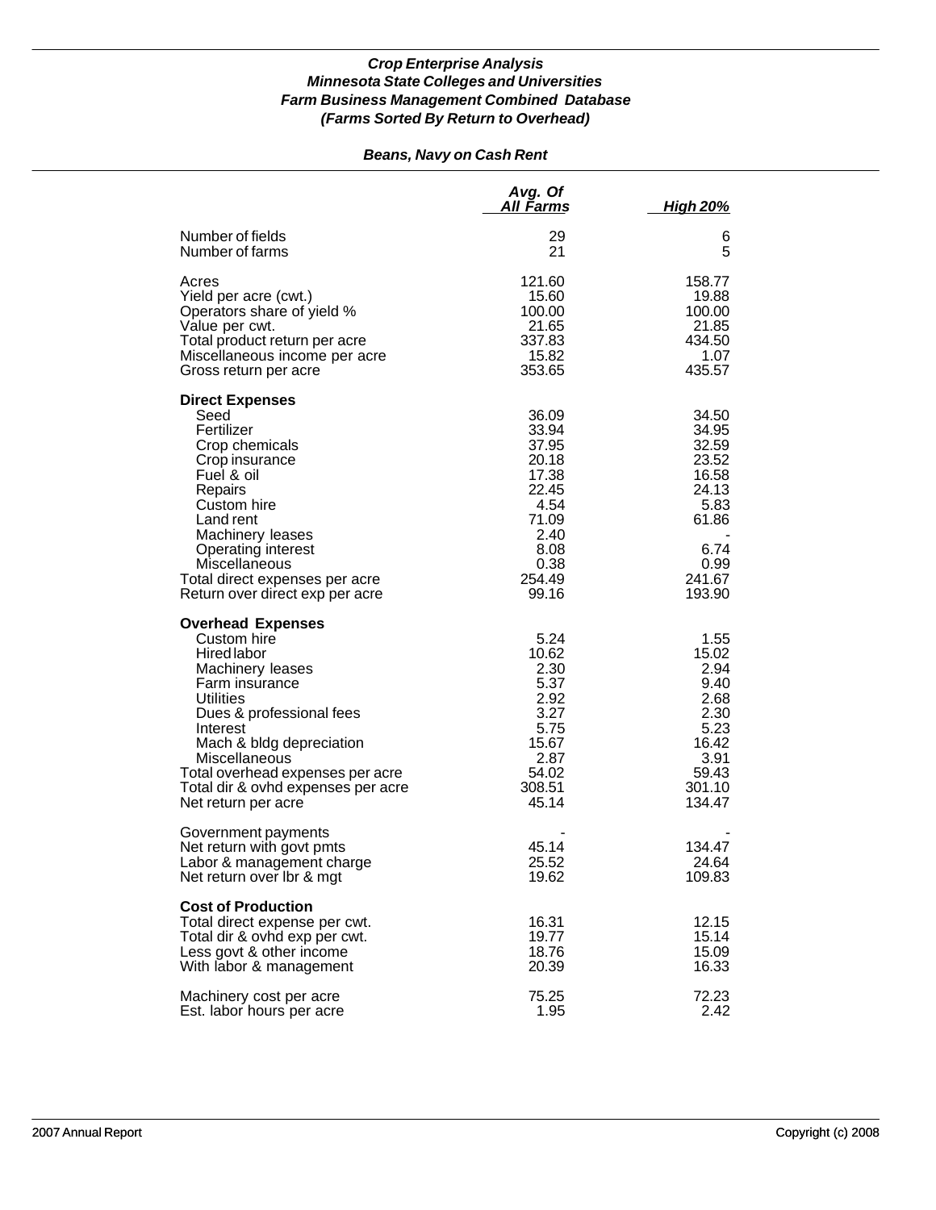# *Beans, Navy on Cash Rent*

|                                                                                                                                                                                                                                                                                                        | Avg. Of<br>All <u>Farm</u> s                                                                                   | <u>High 20%</u>                                                                                         |
|--------------------------------------------------------------------------------------------------------------------------------------------------------------------------------------------------------------------------------------------------------------------------------------------------------|----------------------------------------------------------------------------------------------------------------|---------------------------------------------------------------------------------------------------------|
| Number of fields<br>Number of farms                                                                                                                                                                                                                                                                    | 29<br>21                                                                                                       | 6<br>5                                                                                                  |
| Acres<br>Yield per acre (cwt.)<br>Operators share of yield %<br>Value per cwt.<br>Total product return per acre<br>Miscellaneous income per acre<br>Gross return per acre                                                                                                                              | 121.60<br>15.60<br>100.00<br>21.65<br>337.83<br>15.82<br>353.65                                                | 158.77<br>19.88<br>100.00<br>21.85<br>434.50<br>1.07<br>435.57                                          |
| <b>Direct Expenses</b><br>Seed<br>Fertilizer<br>Crop chemicals<br>Crop insurance<br>Fuel & oil<br>Repairs<br>Custom hire<br>Land rent<br>Machinery leases<br><b>Operating interest</b><br>Miscellaneous<br>Total direct expenses per acre<br>Return over direct exp per acre                           | 36.09<br>33.94<br>37.95<br>20.18<br>17.38<br>22.45<br>4.54<br>71.09<br>2.40<br>8.08<br>0.38<br>254.49<br>99.16 | 34.50<br>34.95<br>32.59<br>23.52<br>16.58<br>24.13<br>5.83<br>61.86<br>6.74<br>0.99<br>241.67<br>193.90 |
| <b>Overhead Expenses</b><br>Custom hire<br>Hired labor<br>Machinery leases<br>Farm insurance<br><b>Utilities</b><br>Dues & professional fees<br>Interest<br>Mach & bldg depreciation<br>Miscellaneous<br>Total overhead expenses per acre<br>Total dir & ovhd expenses per acre<br>Net return per acre | 5.24<br>10.62<br>2.30<br>5.37<br>2.92<br>3.27<br>5.75<br>15.67<br>2.87<br>54.02<br>308.51<br>45.14             | 1.55<br>15.02<br>2.94<br>9.40<br>2.68<br>2.30<br>5.23<br>16.42<br>3.91<br>59.43<br>301.10<br>134.47     |
| Government payments<br>Net return with govt pmts<br>Labor & management charge<br>Net return over Ibr & mgt                                                                                                                                                                                             | 45.14<br>25.52<br>19.62                                                                                        | 134.47<br>24.64<br>109.83                                                                               |
| <b>Cost of Production</b><br>Total direct expense per cwt.<br>Total dir & ovhd exp per cwt.<br>Less govt & other income<br>With labor & management                                                                                                                                                     | 16.31<br>19.77<br>18.76<br>20.39                                                                               | 12.15<br>15.14<br>15.09<br>16.33                                                                        |
| Machinery cost per acre<br>Est. labor hours per acre                                                                                                                                                                                                                                                   | 75.25<br>1.95                                                                                                  | 72.23<br>2.42                                                                                           |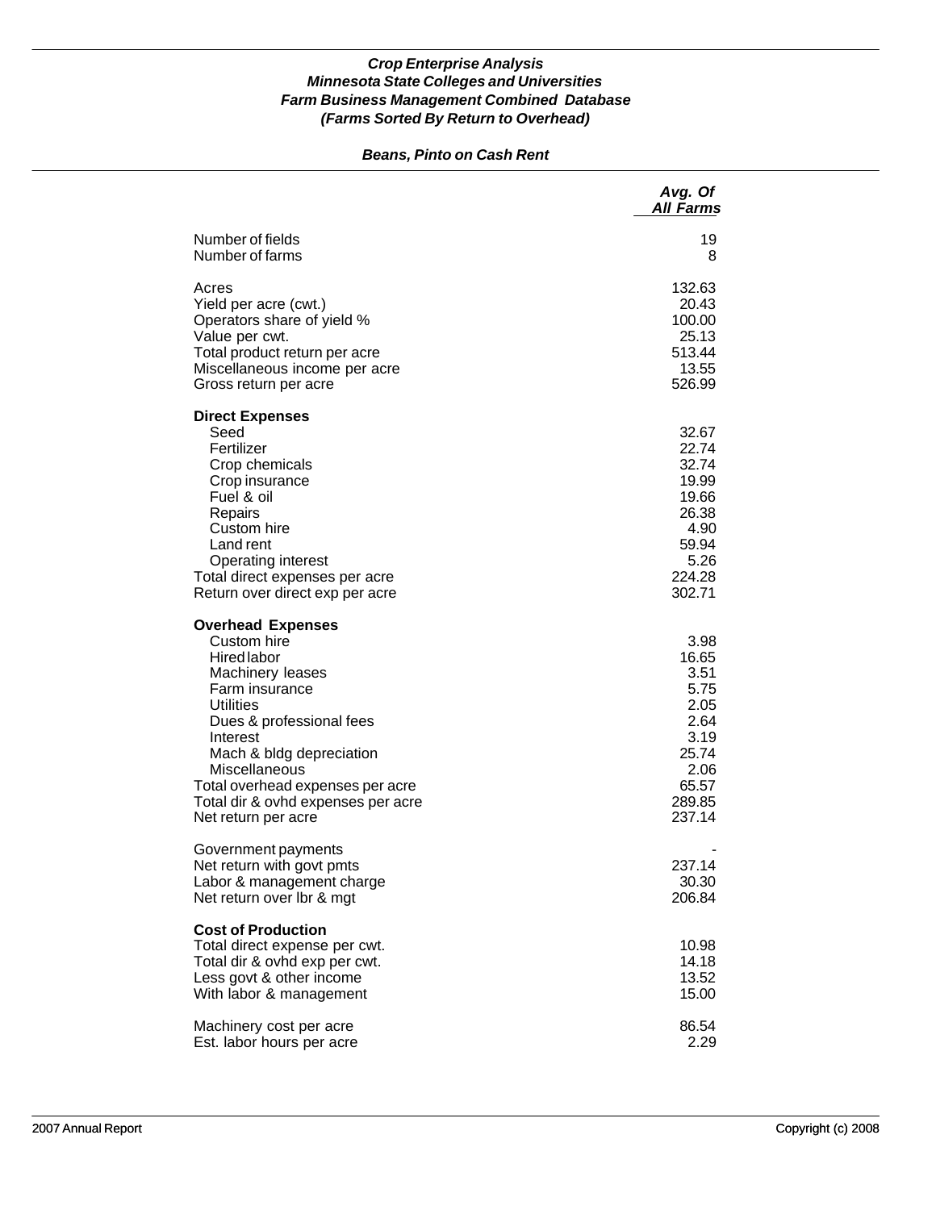## *Beans, Pinto on Cash Rent*

|                                                                                                                                                                                                                                                                                                               | Avg. Of<br><b>All Farms</b>                                                                         |
|---------------------------------------------------------------------------------------------------------------------------------------------------------------------------------------------------------------------------------------------------------------------------------------------------------------|-----------------------------------------------------------------------------------------------------|
| Number of fields<br>Number of farms                                                                                                                                                                                                                                                                           | 19<br>8                                                                                             |
| Acres<br>Yield per acre (cwt.)<br>Operators share of yield %<br>Value per cwt.<br>Total product return per acre<br>Miscellaneous income per acre<br>Gross return per acre                                                                                                                                     | 132.63<br>20.43<br>100.00<br>25.13<br>513.44<br>13.55<br>526.99                                     |
| <b>Direct Expenses</b><br>Seed<br>Fertilizer<br>Crop chemicals<br>Crop insurance<br>Fuel & oil<br>Repairs<br>Custom hire<br>Land rent<br><b>Operating interest</b><br>Total direct expenses per acre<br>Return over direct exp per acre                                                                       | 32.67<br>22.74<br>32.74<br>19.99<br>19.66<br>26.38<br>4.90<br>59.94<br>5.26<br>224.28<br>302.71     |
| <b>Overhead Expenses</b><br>Custom hire<br><b>Hired labor</b><br>Machinery leases<br>Farm insurance<br><b>Utilities</b><br>Dues & professional fees<br>Interest<br>Mach & bldg depreciation<br>Miscellaneous<br>Total overhead expenses per acre<br>Total dir & ovhd expenses per acre<br>Net return per acre | 3.98<br>16.65<br>3.51<br>5.75<br>2.05<br>2.64<br>3.19<br>25.74<br>2.06<br>65.57<br>289.85<br>237.14 |
| Government payments<br>Net return with govt pmts<br>Labor & management charge<br>Net return over Ibr & mgt                                                                                                                                                                                                    | 237.14<br>30.30<br>206.84                                                                           |
| <b>Cost of Production</b><br>Total direct expense per cwt.<br>Total dir & ovhd exp per cwt.<br>Less govt & other income<br>With labor & management                                                                                                                                                            | 10.98<br>14.18<br>13.52<br>15.00                                                                    |
| Machinery cost per acre<br>Est. labor hours per acre                                                                                                                                                                                                                                                          | 86.54<br>2.29                                                                                       |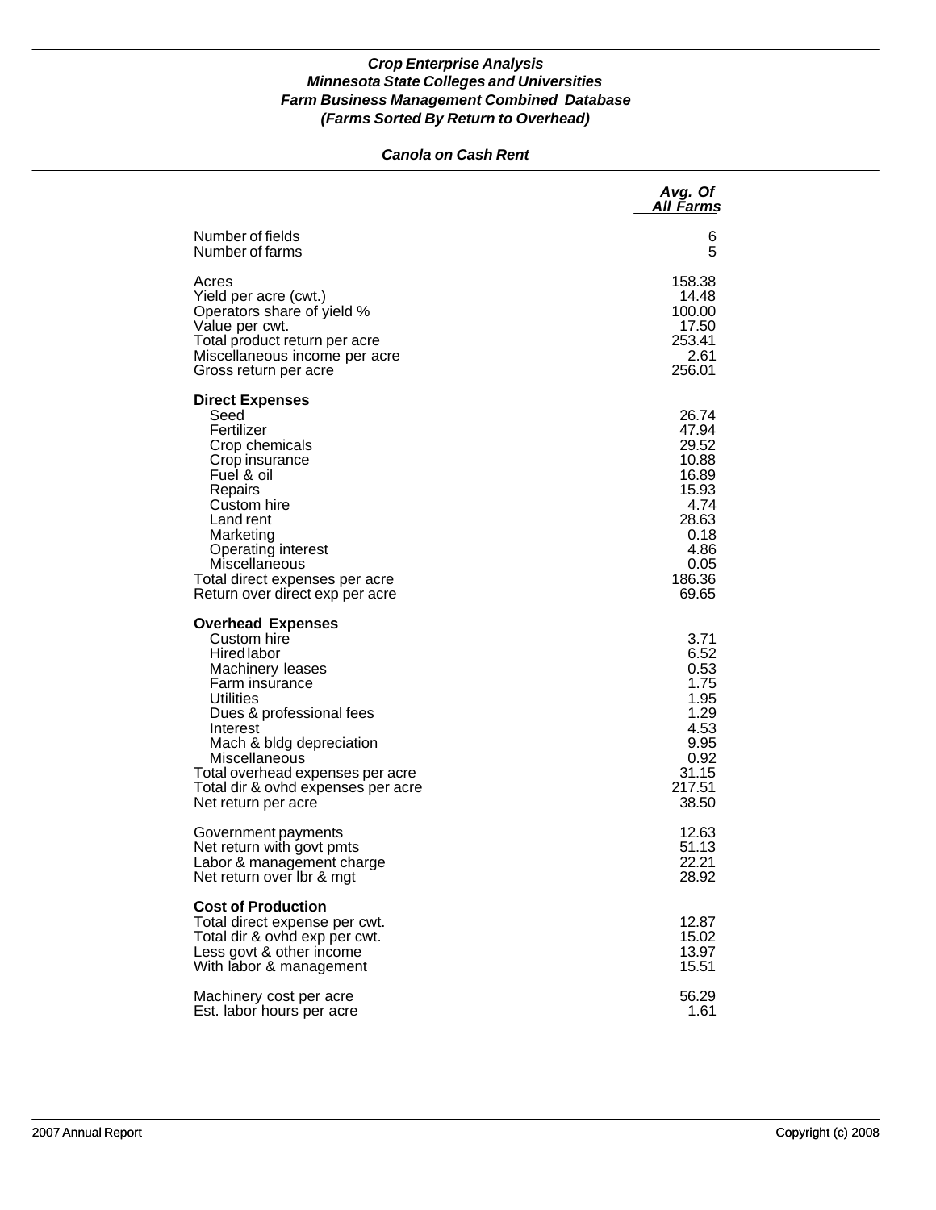## *Canola on Cash Rent*

|                                                                                                                                                                                                                                                                                                 | Avg. Of<br>All Farms                                                                                           |
|-------------------------------------------------------------------------------------------------------------------------------------------------------------------------------------------------------------------------------------------------------------------------------------------------|----------------------------------------------------------------------------------------------------------------|
| Number of fields                                                                                                                                                                                                                                                                                | 6                                                                                                              |
| Number of farms                                                                                                                                                                                                                                                                                 | 5                                                                                                              |
| Acres                                                                                                                                                                                                                                                                                           | 158.38                                                                                                         |
| Yield per acre (cwt.)                                                                                                                                                                                                                                                                           | 14.48                                                                                                          |
| Operators share of yield %                                                                                                                                                                                                                                                                      | 100.00                                                                                                         |
| Value per cwt.                                                                                                                                                                                                                                                                                  | 17.50                                                                                                          |
| Total product return per acre                                                                                                                                                                                                                                                                   | 253.41                                                                                                         |
| Miscellaneous income per acre                                                                                                                                                                                                                                                                   | 2.61                                                                                                           |
| Gross return per acre                                                                                                                                                                                                                                                                           | 256.01                                                                                                         |
| <b>Direct Expenses</b><br>Seed<br>Fertilizer<br>Crop chemicals<br>Crop insurance<br>Fuel & oil<br>Repairs<br>Custom hire<br>Land rent<br>Marketing<br><b>Operating interest</b><br>Miscellaneous<br>Total direct expenses per acre<br>Return over direct exp per acre                           | 26.74<br>47.94<br>29.52<br>10.88<br>16.89<br>15.93<br>4.74<br>28.63<br>0.18<br>4.86<br>0.05<br>186.36<br>69.65 |
| <b>Overhead Expenses</b><br>Custom hire<br>Hired labor<br>Machinery leases<br>Farm insurance<br>Utilities<br>Dues & professional fees<br>Interest<br>Mach & bldg depreciation<br>Miscellaneous<br>Total overhead expenses per acre<br>Total dir & ovhd expenses per acre<br>Net return per acre | 3.71<br>6.52<br>0.53<br>1.75<br>1.95<br>1.29<br>4.53<br>9.95<br>0.92<br>31.15<br>217.51<br>38.50               |
| Government payments                                                                                                                                                                                                                                                                             | 12.63                                                                                                          |
| Net return with govt pmts                                                                                                                                                                                                                                                                       | 51.13                                                                                                          |
| Labor & management charge                                                                                                                                                                                                                                                                       | 22.21                                                                                                          |
| Net return over Ibr & mgt                                                                                                                                                                                                                                                                       | 28.92                                                                                                          |
| <b>Cost of Production</b><br>Total direct expense per cwt.<br>Total dir & ovhd exp per cwt.<br>Less govt & other income<br>With labor & management                                                                                                                                              | 12.87<br>15.02<br>13.97<br>15.51                                                                               |
| Machinery cost per acre                                                                                                                                                                                                                                                                         | 56.29                                                                                                          |
| Est. labor hours per acre                                                                                                                                                                                                                                                                       | 1.61                                                                                                           |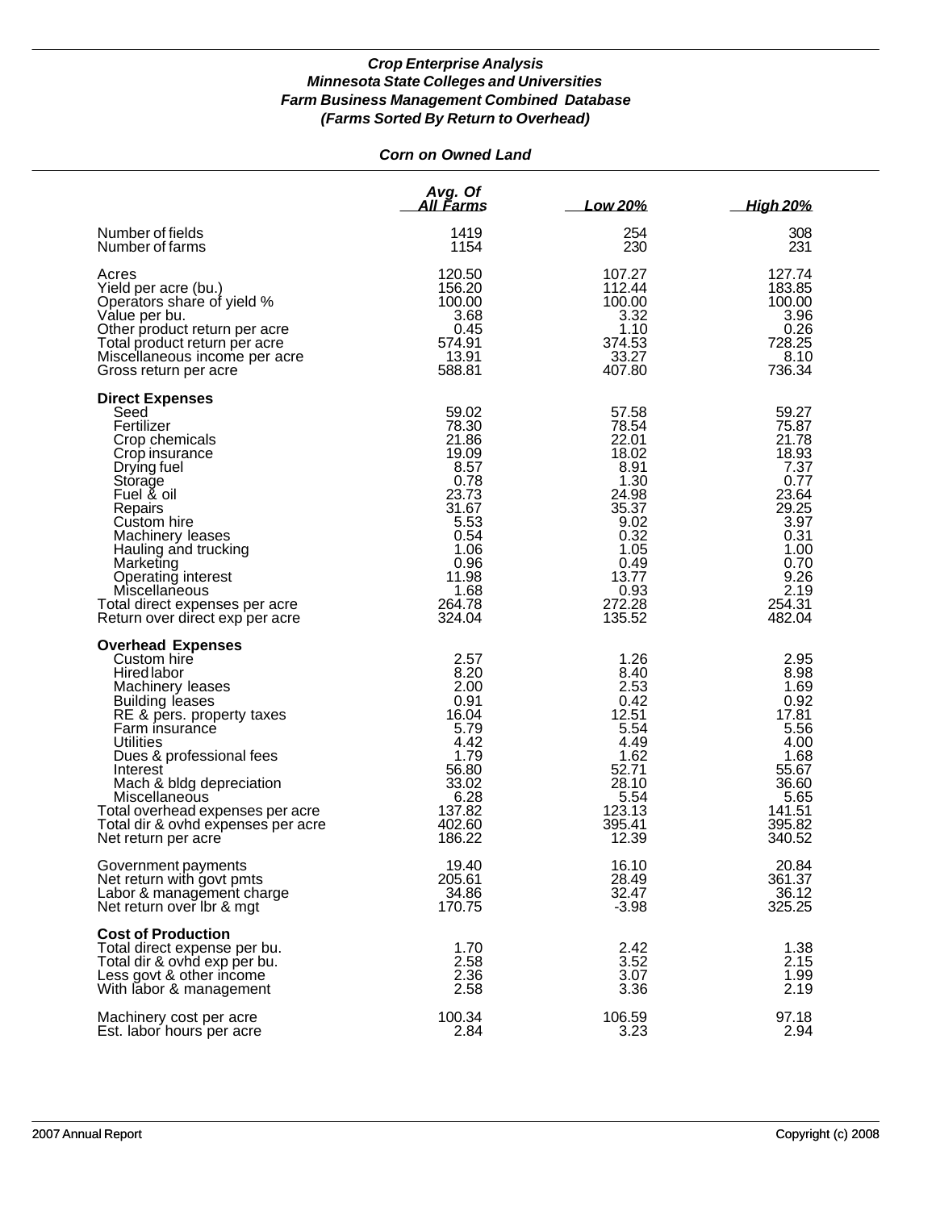# *Corn on Owned Land*

|                                                                                                                                                                                                                                                                                                                                                               | Avg. Of<br><u>All Farms</u>                                                                                                             | Low 20%                                                                                                                                 | <b>High 20%</b>                                                                                                                        |
|---------------------------------------------------------------------------------------------------------------------------------------------------------------------------------------------------------------------------------------------------------------------------------------------------------------------------------------------------------------|-----------------------------------------------------------------------------------------------------------------------------------------|-----------------------------------------------------------------------------------------------------------------------------------------|----------------------------------------------------------------------------------------------------------------------------------------|
| Number of fields                                                                                                                                                                                                                                                                                                                                              | 1419                                                                                                                                    | 254                                                                                                                                     | 308                                                                                                                                    |
| Number of farms                                                                                                                                                                                                                                                                                                                                               | 1154                                                                                                                                    | 230                                                                                                                                     | 231                                                                                                                                    |
| Acres                                                                                                                                                                                                                                                                                                                                                         | 120.50                                                                                                                                  | 107.27                                                                                                                                  | 127.74                                                                                                                                 |
| Yield per acre (bu.)                                                                                                                                                                                                                                                                                                                                          | 156.20                                                                                                                                  | 112.44                                                                                                                                  | 183.85                                                                                                                                 |
| Operators share of yield %                                                                                                                                                                                                                                                                                                                                    | 100.00                                                                                                                                  | 100.00                                                                                                                                  | 100.00                                                                                                                                 |
| Value per bu.                                                                                                                                                                                                                                                                                                                                                 | 3.68                                                                                                                                    | 3.32                                                                                                                                    | 3.96                                                                                                                                   |
| Other product return per acre                                                                                                                                                                                                                                                                                                                                 | 0.45                                                                                                                                    | 1.10                                                                                                                                    | 0.26                                                                                                                                   |
| Total product return per acre                                                                                                                                                                                                                                                                                                                                 | 574.91                                                                                                                                  | 374.53                                                                                                                                  | 728.25                                                                                                                                 |
| Miscellaneous income per acre                                                                                                                                                                                                                                                                                                                                 | 13.91                                                                                                                                   | 33.27                                                                                                                                   | 8.10                                                                                                                                   |
| Gross return per acre                                                                                                                                                                                                                                                                                                                                         | 588.81                                                                                                                                  | 407.80                                                                                                                                  | 736.34                                                                                                                                 |
| <b>Direct Expenses</b><br>Seed<br>Fertilizer<br>Crop chemicals<br>Crop insurance<br>Drying fuel<br>Storage<br>Fuel & oil<br>Repairs<br>Custom hire<br>Machinery leases<br>Hauling and trucking<br>Marketing<br>Operating interest<br>Miscellaneous<br>Total direct expenses per acre<br>Return over direct exp per acre                                       | 59.02<br>78.30<br>21.86<br>19.09<br>8.57<br>0.78<br>23.73<br>31.67<br>5.53<br>0.54<br>1.06<br>0.96<br>11.98<br>1.68<br>264.78<br>324.04 | 57.58<br>78.54<br>22.01<br>18.02<br>8.91<br>1.30<br>24.98<br>35.37<br>9.02<br>0.32<br>1.05<br>0.49<br>13.77<br>0.93<br>272.28<br>135.52 | 59.27<br>75.87<br>21.78<br>18.93<br>7.37<br>0.77<br>23.64<br>29.25<br>3.97<br>0.31<br>1.00<br>0.70<br>9.26<br>2.19<br>254.31<br>482.04 |
| <b>Overhead Expenses</b><br>Custom hire<br>Hired labor<br>Machinery leases<br><b>Building leases</b><br>RE & pers. property taxes<br>Farm insurance<br><b>Utilities</b><br>Dues & professional fees<br>Interest<br>Mach & bldg depreciation<br>Miscellaneous<br>Total overhead expenses per acre<br>Total dir & ovhd expenses per acre<br>Net return per acre | 2.57<br>8.20<br>2.00<br>0.91<br>16.04<br>5.79<br>4.42<br>1.79<br>56.80<br>33.02<br>6.28<br>137.82<br>402.60<br>186.22                   | 1.26<br>8.40<br>2.53<br>0.42<br>12.51<br>5.54<br>4.49<br>1.62<br>52.71<br>28.10<br>5.54<br>123.13<br>395.41<br>12.39                    | 2.95<br>8.98<br>1.69<br>0.92<br>17.81<br>5.56<br>4.00<br>1.68<br>55.67<br>36.60<br>5.65<br>141.51<br>395.82<br>340.52                  |
| Government payments                                                                                                                                                                                                                                                                                                                                           | 19.40                                                                                                                                   | 16.10                                                                                                                                   | 20.84                                                                                                                                  |
| Net return with govt pmts                                                                                                                                                                                                                                                                                                                                     | 205.61                                                                                                                                  | 28.49                                                                                                                                   | 361.37                                                                                                                                 |
| Labor & management charge                                                                                                                                                                                                                                                                                                                                     | 34.86                                                                                                                                   | 32.47                                                                                                                                   | 36.12                                                                                                                                  |
| Net return over Ibr & mgt                                                                                                                                                                                                                                                                                                                                     | 170.75                                                                                                                                  | $-3.98$                                                                                                                                 | 325.25                                                                                                                                 |
| <b>Cost of Production</b><br>Total direct expense per bu.<br>Total dir & ovhd exp per bu.<br>Less govt & other income<br>With labor & management                                                                                                                                                                                                              | 1.70<br>2.58<br>2.36<br>2.58                                                                                                            | 2.42<br>3.52<br>3.07<br>3.36                                                                                                            | 1.38<br>2.15<br>1.99<br>2.19                                                                                                           |
| Machinery cost per acre                                                                                                                                                                                                                                                                                                                                       | 100.34                                                                                                                                  | 106.59                                                                                                                                  | 97.18                                                                                                                                  |
| Est. labor hours per acre                                                                                                                                                                                                                                                                                                                                     | 2.84                                                                                                                                    | 3.23                                                                                                                                    | 2.94                                                                                                                                   |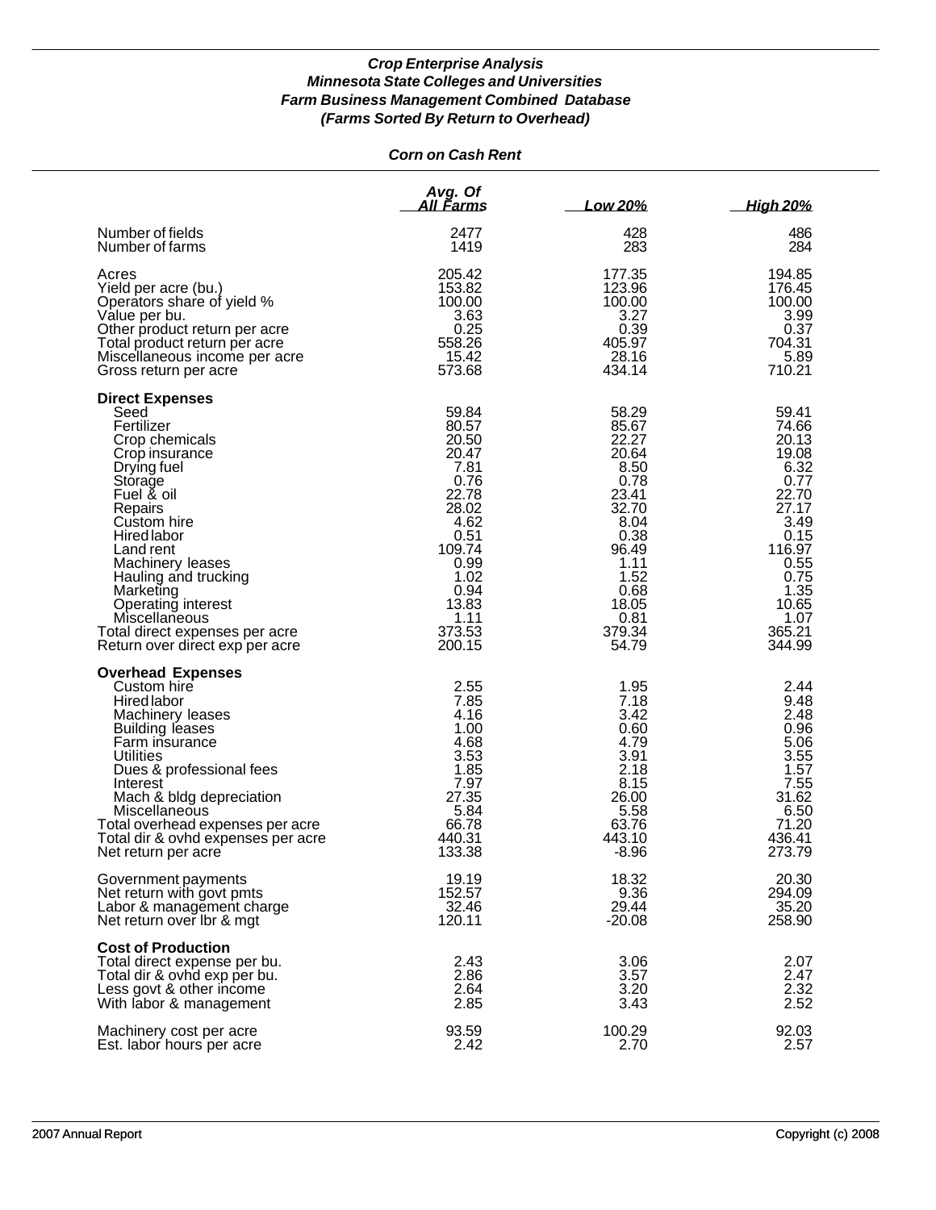# *Corn on Cash Rent*

|                                                                                                                                                                                                                                                                                                                                                            | Avg. Of<br><u>All Farms</u>                                                                                                                               | Low 20%                                                                                                                                                 | <b>High 20%</b>                                                                                                                                           |
|------------------------------------------------------------------------------------------------------------------------------------------------------------------------------------------------------------------------------------------------------------------------------------------------------------------------------------------------------------|-----------------------------------------------------------------------------------------------------------------------------------------------------------|---------------------------------------------------------------------------------------------------------------------------------------------------------|-----------------------------------------------------------------------------------------------------------------------------------------------------------|
| Number of fields                                                                                                                                                                                                                                                                                                                                           | 2477                                                                                                                                                      | 428                                                                                                                                                     | 486                                                                                                                                                       |
| Number of farms                                                                                                                                                                                                                                                                                                                                            | 1419                                                                                                                                                      | 283                                                                                                                                                     | 284                                                                                                                                                       |
| Acres                                                                                                                                                                                                                                                                                                                                                      | 205.42                                                                                                                                                    | 177.35                                                                                                                                                  | 194.85                                                                                                                                                    |
| Yield per acre (bu.)                                                                                                                                                                                                                                                                                                                                       | 153.82                                                                                                                                                    | 123.96                                                                                                                                                  | 176.45                                                                                                                                                    |
| Operators share of yield %                                                                                                                                                                                                                                                                                                                                 | 100.00                                                                                                                                                    | 100.00                                                                                                                                                  | 100.00                                                                                                                                                    |
| Value per bu.                                                                                                                                                                                                                                                                                                                                              | 3.63                                                                                                                                                      | 3.27                                                                                                                                                    | 3.99                                                                                                                                                      |
| Other product return per acre                                                                                                                                                                                                                                                                                                                              | 0.25                                                                                                                                                      | 0.39                                                                                                                                                    | 0.37                                                                                                                                                      |
| Total product return per acre                                                                                                                                                                                                                                                                                                                              | 558.26                                                                                                                                                    | 405.97                                                                                                                                                  | 704.31                                                                                                                                                    |
| Miscellaneous income per acre                                                                                                                                                                                                                                                                                                                              | 15.42                                                                                                                                                     | 28.16                                                                                                                                                   | 5.89                                                                                                                                                      |
| Gross return per acre                                                                                                                                                                                                                                                                                                                                      | 573.68                                                                                                                                                    | 434.14                                                                                                                                                  | 710.21                                                                                                                                                    |
| <b>Direct Expenses</b><br>Seed<br>Fertilizer<br>Crop chemicals<br>Crop insurance<br>Drying fuel<br>Storage<br>Fuel & oil<br>Repairs<br>Custom hire<br><b>Hired labor</b><br>Land rent<br>Machinery leases<br>Hauling and trucking<br>Marketing<br>Operating interest<br>Miscellaneous<br>Total direct expenses per acre<br>Return over direct exp per acre | 59.84<br>80.57<br>20.50<br>20.47<br>7.81<br>0.76<br>22.78<br>28.02<br>4.62<br>0.51<br>109.74<br>0.99<br>1.02<br>0.94<br>13.83<br>1.11<br>373.53<br>200.15 | 58.29<br>85.67<br>22.27<br>20.64<br>8.50<br>0.78<br>23.41<br>32.70<br>8.04<br>0.38<br>96.49<br>1.11<br>1.52<br>0.68<br>18.05<br>0.81<br>379.34<br>54.79 | 59.41<br>74.66<br>20.13<br>19.08<br>6.32<br>0.77<br>22.70<br>27.17<br>3.49<br>0.15<br>116.97<br>0.55<br>0.75<br>1.35<br>10.65<br>1.07<br>365.21<br>344.99 |
| <b>Overhead Expenses</b><br>Custom hire<br><b>Hired labor</b><br>Machinery leases<br><b>Building leases</b><br>Farm insurance<br>Utilities<br>Dues & professional fees<br>Interest<br>Mach & bldg depreciation<br>Miscellaneous<br>Total overhead expenses per acre<br>Total dir & ovhd expenses per acre<br>Net return per acre                           | 2.55<br>7.85<br>4.16<br>1.00<br>4.68<br>3.53<br>1.85<br>7.97<br>27.35<br>5.84<br>66.78<br>440.31<br>133.38                                                | 1.95<br>7.18<br>3.42<br>0.60<br>4.79<br>3.91<br>2.18<br>8.15<br>26.00<br>5.58<br>63.76<br>443.10<br>$-8.96$                                             | 2.44<br>9.48<br>2.48<br>0.96<br>5.06<br>3.55<br>1.57<br>7.55<br>31.62<br>6.50<br>71.20<br>436.41<br>273.79                                                |
| Government payments                                                                                                                                                                                                                                                                                                                                        | 19.19                                                                                                                                                     | 18.32                                                                                                                                                   | 20.30                                                                                                                                                     |
| Net return with govt pmts                                                                                                                                                                                                                                                                                                                                  | 152.57                                                                                                                                                    | 9.36                                                                                                                                                    | 294.09                                                                                                                                                    |
| Labor & management charge                                                                                                                                                                                                                                                                                                                                  | 32.46                                                                                                                                                     | 29.44                                                                                                                                                   | 35.20                                                                                                                                                     |
| Net return over Ibr & mgt                                                                                                                                                                                                                                                                                                                                  | 120.11                                                                                                                                                    | $-20.08$                                                                                                                                                | 258.90                                                                                                                                                    |
| <b>Cost of Production</b><br>Total direct expense per bu.<br>Total dir & ovhd exp per bu.<br>Less govt & other income<br>With labor & management                                                                                                                                                                                                           | 2.43<br>2.86<br>2.64<br>2.85                                                                                                                              | 3.06<br>3.57<br>3.20<br>3.43                                                                                                                            | 2.07<br>2.47<br>2.32<br>2.52                                                                                                                              |
| Machinery cost per acre                                                                                                                                                                                                                                                                                                                                    | 93.59                                                                                                                                                     | 100.29                                                                                                                                                  | 92.03                                                                                                                                                     |
| Est. labor hours per acre                                                                                                                                                                                                                                                                                                                                  | 2.42                                                                                                                                                      | 2.70                                                                                                                                                    | 2.57                                                                                                                                                      |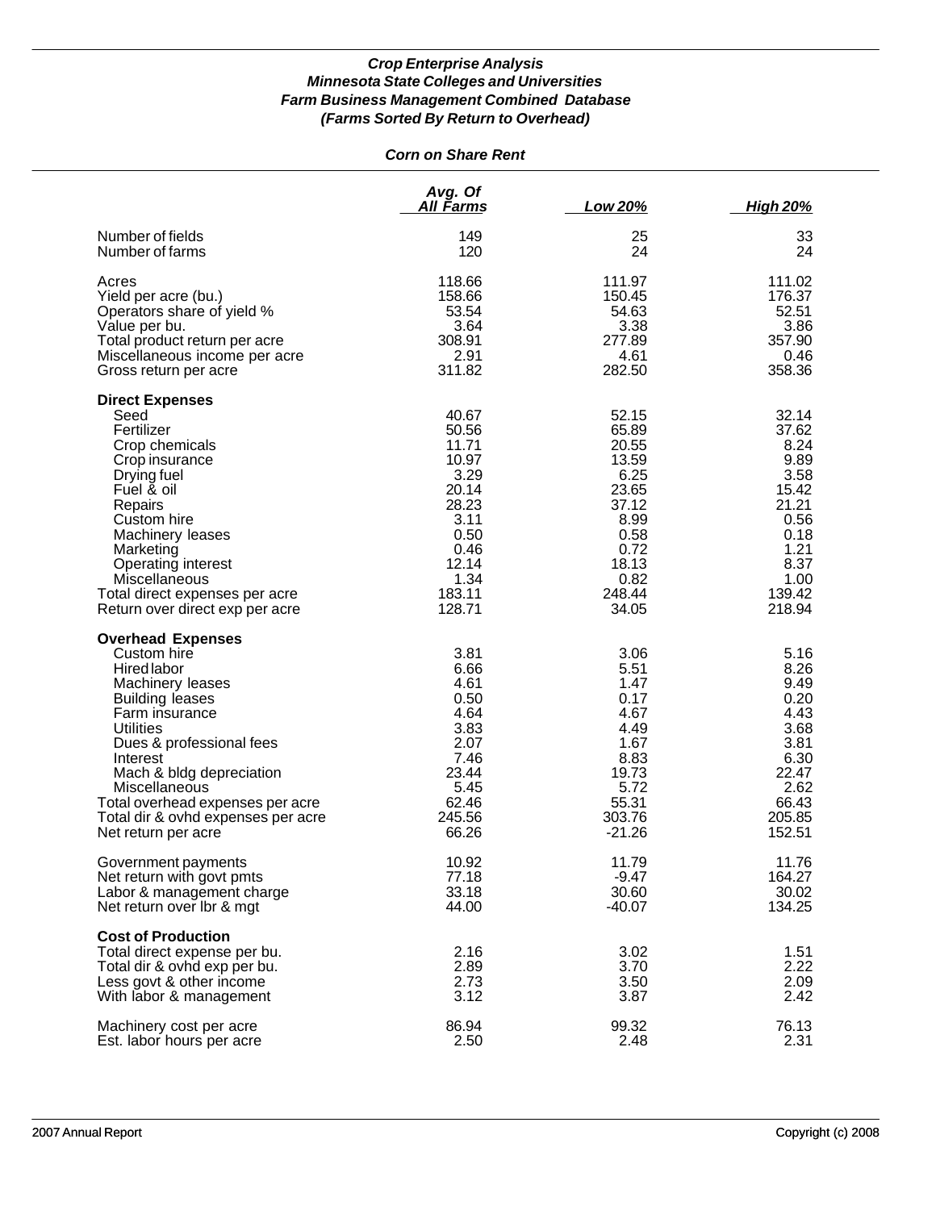# *Corn on Share Rent*

|                                                                                                                                                                                                                                                                                                                                  | Avg. Of<br>All Farms                                                                                                    | Low 20%                                                                                                                | <b>High 20%</b>                                                                                                      |
|----------------------------------------------------------------------------------------------------------------------------------------------------------------------------------------------------------------------------------------------------------------------------------------------------------------------------------|-------------------------------------------------------------------------------------------------------------------------|------------------------------------------------------------------------------------------------------------------------|----------------------------------------------------------------------------------------------------------------------|
| Number of fields                                                                                                                                                                                                                                                                                                                 | 149                                                                                                                     | 25                                                                                                                     | 33                                                                                                                   |
| Number of farms                                                                                                                                                                                                                                                                                                                  | 120                                                                                                                     | 24                                                                                                                     | 24                                                                                                                   |
| Acres                                                                                                                                                                                                                                                                                                                            | 118.66                                                                                                                  | 111.97                                                                                                                 | 111.02                                                                                                               |
| Yield per acre (bu.)                                                                                                                                                                                                                                                                                                             | 158.66                                                                                                                  | 150.45                                                                                                                 | 176.37                                                                                                               |
| Operators share of yield %                                                                                                                                                                                                                                                                                                       | 53.54                                                                                                                   | 54.63                                                                                                                  | 52.51                                                                                                                |
| Value per bu.                                                                                                                                                                                                                                                                                                                    | 3.64                                                                                                                    | 3.38                                                                                                                   | 3.86                                                                                                                 |
| Total product return per acre                                                                                                                                                                                                                                                                                                    | 308.91                                                                                                                  | 277.89                                                                                                                 | 357.90                                                                                                               |
| Miscellaneous income per acre                                                                                                                                                                                                                                                                                                    | 2.91                                                                                                                    | 4.61                                                                                                                   | 0.46                                                                                                                 |
| Gross return per acre                                                                                                                                                                                                                                                                                                            | 311.82                                                                                                                  | 282.50                                                                                                                 | 358.36                                                                                                               |
| <b>Direct Expenses</b><br>Seed<br>Fertilizer<br>Crop chemicals<br>Crop insurance<br>Drying fuel<br>Fuel & oil<br>Repairs<br>Custom hire<br>Machinery leases<br>Marketing<br>Operating interest<br>Miscellaneous<br>Total direct expenses per acre<br>Return over direct exp per acre                                             | 40.67<br>50.56<br>11.71<br>10.97<br>3.29<br>20.14<br>28.23<br>3.11<br>0.50<br>0.46<br>12.14<br>1.34<br>183.11<br>128.71 | 52.15<br>65.89<br>20.55<br>13.59<br>6.25<br>23.65<br>37.12<br>8.99<br>0.58<br>0.72<br>18.13<br>0.82<br>248.44<br>34.05 | 32.14<br>37.62<br>8.24<br>9.89<br>3.58<br>15.42<br>21.21<br>0.56<br>0.18<br>1.21<br>8.37<br>1.00<br>139.42<br>218.94 |
| <b>Overhead Expenses</b><br>Custom hire<br>Hired labor<br>Machinery leases<br><b>Building leases</b><br>Farm insurance<br><b>Utilities</b><br>Dues & professional fees<br>Interest<br>Mach & bldg depreciation<br>Miscellaneous<br>Total overhead expenses per acre<br>Total dir & ovhd expenses per acre<br>Net return per acre | 3.81<br>6.66<br>4.61<br>0.50<br>4.64<br>3.83<br>2.07<br>7.46<br>23.44<br>5.45<br>62.46<br>245.56<br>66.26               | 3.06<br>5.51<br>1.47<br>0.17<br>4.67<br>4.49<br>1.67<br>8.83<br>19.73<br>5.72<br>55.31<br>303.76<br>$-21.26$           | 5.16<br>8.26<br>9.49<br>0.20<br>4.43<br>3.68<br>3.81<br>6.30<br>22.47<br>2.62<br>66.43<br>205.85<br>152.51           |
| Government payments                                                                                                                                                                                                                                                                                                              | 10.92                                                                                                                   | 11.79                                                                                                                  | 11.76                                                                                                                |
| Net return with govt pmts                                                                                                                                                                                                                                                                                                        | 77.18                                                                                                                   | $-9.47$                                                                                                                | 164.27                                                                                                               |
| Labor & management charge                                                                                                                                                                                                                                                                                                        | 33.18                                                                                                                   | 30.60                                                                                                                  | 30.02                                                                                                                |
| Net return over Ibr & mgt                                                                                                                                                                                                                                                                                                        | 44.00                                                                                                                   | $-40.07$                                                                                                               | 134.25                                                                                                               |
| <b>Cost of Production</b><br>Total direct expense per bu.<br>Total dir & ovhd exp per bu.<br>Less govt & other income<br>With labor & management                                                                                                                                                                                 | 2.16<br>2.89<br>2.73<br>3.12                                                                                            | 3.02<br>3.70<br>3.50<br>3.87                                                                                           | 1.51<br>2.22<br>2.09<br>2.42                                                                                         |
| Machinery cost per acre                                                                                                                                                                                                                                                                                                          | 86.94                                                                                                                   | 99.32                                                                                                                  | 76.13                                                                                                                |
| Est. labor hours per acre                                                                                                                                                                                                                                                                                                        | 2.50                                                                                                                    | 2.48                                                                                                                   | 2.31                                                                                                                 |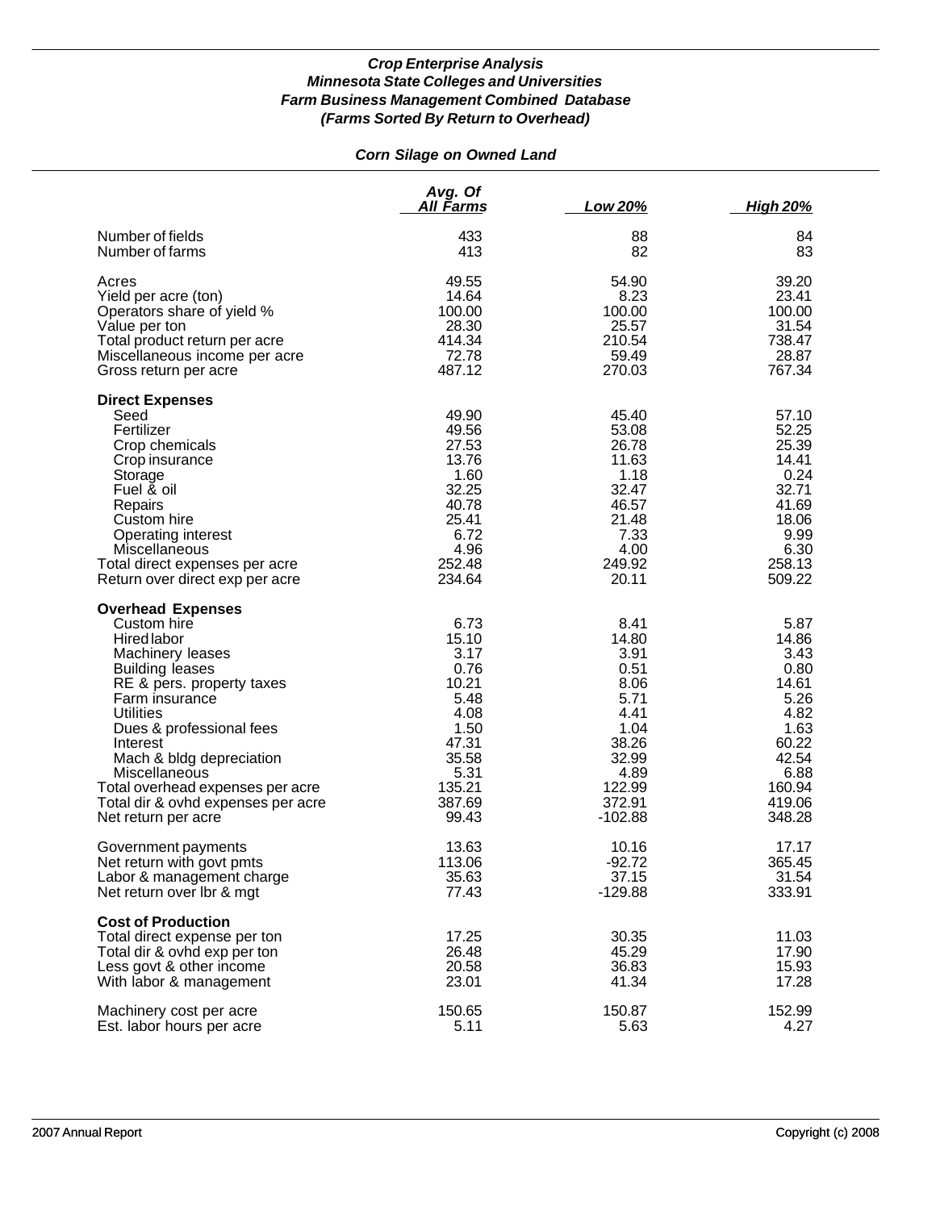# *Corn Silage on Owned Land*

|                                                                                                                                                                                                                                                                                                                                                               | Avg. Of<br>All Farms                                                                                                  | Low 20%                                                                                                                  | <u>High 20%</u>                                                                                                        |
|---------------------------------------------------------------------------------------------------------------------------------------------------------------------------------------------------------------------------------------------------------------------------------------------------------------------------------------------------------------|-----------------------------------------------------------------------------------------------------------------------|--------------------------------------------------------------------------------------------------------------------------|------------------------------------------------------------------------------------------------------------------------|
| Number of fields                                                                                                                                                                                                                                                                                                                                              | 433                                                                                                                   | 88                                                                                                                       | 84                                                                                                                     |
| Number of farms                                                                                                                                                                                                                                                                                                                                               | 413                                                                                                                   | 82                                                                                                                       | 83                                                                                                                     |
| Acres                                                                                                                                                                                                                                                                                                                                                         | 49.55                                                                                                                 | 54.90                                                                                                                    | 39.20                                                                                                                  |
| Yield per acre (ton)                                                                                                                                                                                                                                                                                                                                          | 14.64                                                                                                                 | 8.23                                                                                                                     | 23.41                                                                                                                  |
| Operators share of yield %                                                                                                                                                                                                                                                                                                                                    | 100.00                                                                                                                | 100.00                                                                                                                   | 100.00                                                                                                                 |
| Value per ton                                                                                                                                                                                                                                                                                                                                                 | 28.30                                                                                                                 | 25.57                                                                                                                    | 31.54                                                                                                                  |
| Total product return per acre                                                                                                                                                                                                                                                                                                                                 | 414.34                                                                                                                | 210.54                                                                                                                   | 738.47                                                                                                                 |
| Miscellaneous income per acre                                                                                                                                                                                                                                                                                                                                 | 72.78                                                                                                                 | 59.49                                                                                                                    | 28.87                                                                                                                  |
| Gross return per acre                                                                                                                                                                                                                                                                                                                                         | 487.12                                                                                                                | 270.03                                                                                                                   | 767.34                                                                                                                 |
| <b>Direct Expenses</b><br>Seed<br>Fertilizer<br>Crop chemicals<br>Crop insurance<br>Storage<br>Fuel & oil<br>Repairs<br>Custom hire<br><b>Operating interest</b><br>Miscellaneous<br>Total direct expenses per acre<br>Return over direct exp per acre                                                                                                        | 49.90<br>49.56<br>27.53<br>13.76<br>1.60<br>32.25<br>40.78<br>25.41<br>6.72<br>4.96<br>252.48<br>234.64               | 45.40<br>53.08<br>26.78<br>11.63<br>1.18<br>32.47<br>46.57<br>21.48<br>7.33<br>4.00<br>249.92<br>20.11                   | 57.10<br>52.25<br>25.39<br>14.41<br>0.24<br>32.71<br>41.69<br>18.06<br>9.99<br>6.30<br>258.13<br>509.22                |
| <b>Overhead Expenses</b><br>Custom hire<br>Hired labor<br>Machinery leases<br><b>Building leases</b><br>RE & pers. property taxes<br>Farm insurance<br><b>Utilities</b><br>Dues & professional fees<br>Interest<br>Mach & bldg depreciation<br>Miscellaneous<br>Total overhead expenses per acre<br>Total dir & ovhd expenses per acre<br>Net return per acre | 6.73<br>15.10<br>3.17<br>0.76<br>10.21<br>5.48<br>4.08<br>1.50<br>47.31<br>35.58<br>5.31<br>135.21<br>387.69<br>99.43 | 8.41<br>14.80<br>3.91<br>0.51<br>8.06<br>5.71<br>4.41<br>1.04<br>38.26<br>32.99<br>4.89<br>122.99<br>372.91<br>$-102.88$ | 5.87<br>14.86<br>3.43<br>0.80<br>14.61<br>5.26<br>4.82<br>1.63<br>60.22<br>42.54<br>6.88<br>160.94<br>419.06<br>348.28 |
| Government payments                                                                                                                                                                                                                                                                                                                                           | 13.63                                                                                                                 | 10.16                                                                                                                    | 17.17                                                                                                                  |
| Net return with govt pmts                                                                                                                                                                                                                                                                                                                                     | 113.06                                                                                                                | $-92.72$                                                                                                                 | 365.45                                                                                                                 |
| Labor & management charge                                                                                                                                                                                                                                                                                                                                     | 35.63                                                                                                                 | 37.15                                                                                                                    | 31.54                                                                                                                  |
| Net return over Ibr & mgt                                                                                                                                                                                                                                                                                                                                     | 77.43                                                                                                                 | $-129.88$                                                                                                                | 333.91                                                                                                                 |
| <b>Cost of Production</b><br>Total direct expense per ton<br>Total dir & ovhd exp per ton<br>Less govt & other income<br>With labor & management                                                                                                                                                                                                              | 17.25<br>26.48<br>20.58<br>23.01                                                                                      | 30.35<br>45.29<br>36.83<br>41.34                                                                                         | 11.03<br>17.90<br>15.93<br>17.28                                                                                       |
| Machinery cost per acre                                                                                                                                                                                                                                                                                                                                       | 150.65                                                                                                                | 150.87                                                                                                                   | 152.99                                                                                                                 |
| Est. labor hours per acre                                                                                                                                                                                                                                                                                                                                     | 5.11                                                                                                                  | 5.63                                                                                                                     | 4.27                                                                                                                   |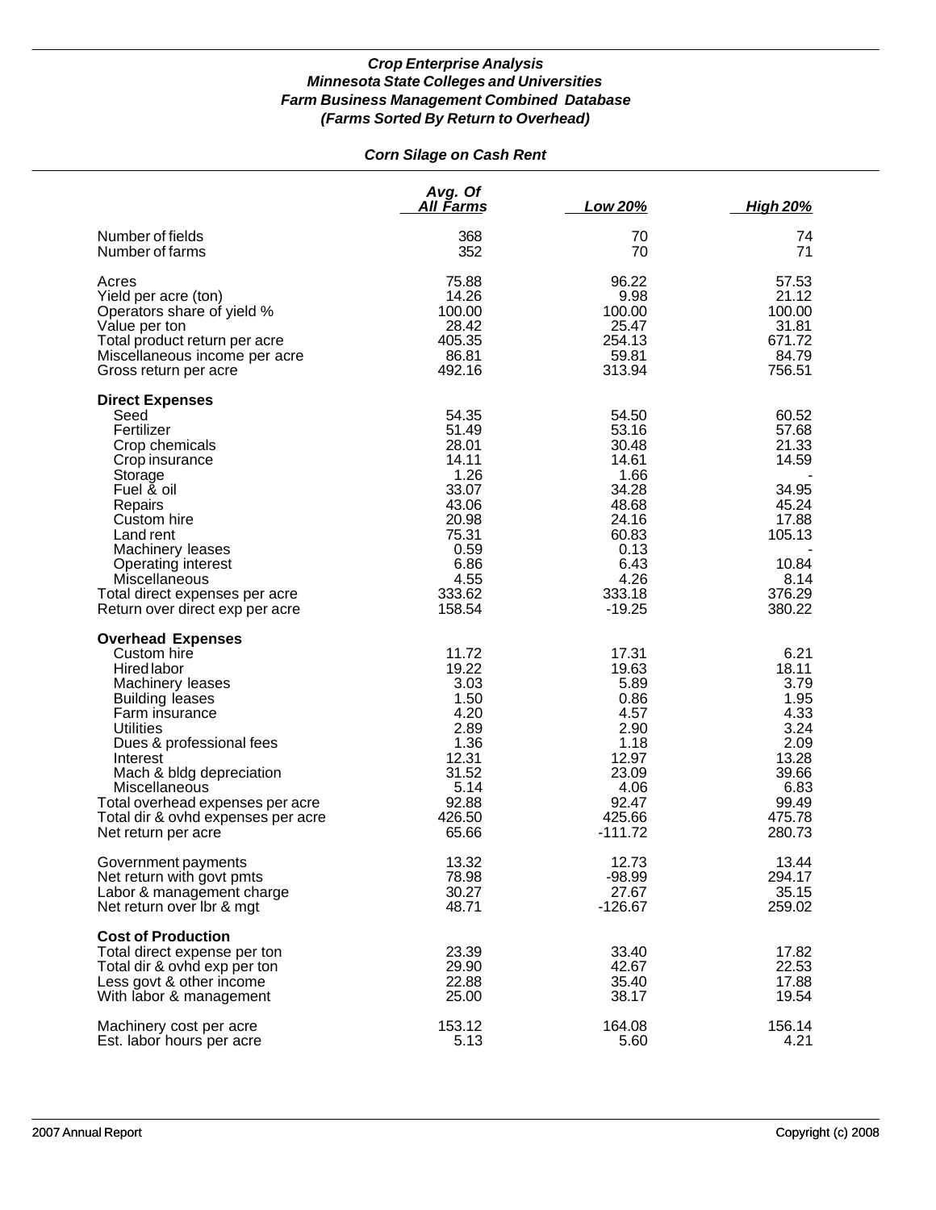# *Corn Silage on Cash Rent*

|                                                                                                                                                                                                                                                                                                                                  | Avg. Of<br>All Farms                                                                                                     | Low 20%                                                                                                                    | <b>High 20%</b>                                                                                              |
|----------------------------------------------------------------------------------------------------------------------------------------------------------------------------------------------------------------------------------------------------------------------------------------------------------------------------------|--------------------------------------------------------------------------------------------------------------------------|----------------------------------------------------------------------------------------------------------------------------|--------------------------------------------------------------------------------------------------------------|
| Number of fields                                                                                                                                                                                                                                                                                                                 | 368                                                                                                                      | 70                                                                                                                         | 74                                                                                                           |
| Number of farms                                                                                                                                                                                                                                                                                                                  | 352                                                                                                                      | 70                                                                                                                         | 71                                                                                                           |
| Acres                                                                                                                                                                                                                                                                                                                            | 75.88                                                                                                                    | 96.22                                                                                                                      | 57.53                                                                                                        |
| Yield per acre (ton)                                                                                                                                                                                                                                                                                                             | 14.26                                                                                                                    | 9.98                                                                                                                       | 21.12                                                                                                        |
| Operators share of yield %                                                                                                                                                                                                                                                                                                       | 100.00                                                                                                                   | 100.00                                                                                                                     | 100.00                                                                                                       |
| Value per ton                                                                                                                                                                                                                                                                                                                    | 28.42                                                                                                                    | 25.47                                                                                                                      | 31.81                                                                                                        |
| Total product return per acre                                                                                                                                                                                                                                                                                                    | 405.35                                                                                                                   | 254.13                                                                                                                     | 671.72                                                                                                       |
| Miscellaneous income per acre                                                                                                                                                                                                                                                                                                    | 86.81                                                                                                                    | 59.81                                                                                                                      | 84.79                                                                                                        |
| Gross return per acre                                                                                                                                                                                                                                                                                                            | 492.16                                                                                                                   | 313.94                                                                                                                     | 756.51                                                                                                       |
| <b>Direct Expenses</b><br>Seed<br>Fertilizer<br>Crop chemicals<br>Crop insurance<br>Storage<br>Fuel & oil<br>Repairs<br>Custom hire<br>Land rent<br>Machinery leases<br>Operating interest<br>Miscellaneous<br>Total direct expenses per acre<br>Return over direct exp per acre                                                 | 54.35<br>51.49<br>28.01<br>14.11<br>1.26<br>33.07<br>43.06<br>20.98<br>75.31<br>0.59<br>6.86<br>4.55<br>333.62<br>158.54 | 54.50<br>53.16<br>30.48<br>14.61<br>1.66<br>34.28<br>48.68<br>24.16<br>60.83<br>0.13<br>6.43<br>4.26<br>333.18<br>$-19.25$ | 60.52<br>57.68<br>21.33<br>14.59<br>34.95<br>45.24<br>17.88<br>105.13<br>10.84<br>8.14<br>376.29<br>380.22   |
| <b>Overhead Expenses</b><br>Custom hire<br>Hired labor<br>Machinery leases<br><b>Building leases</b><br>Farm insurance<br><b>Utilities</b><br>Dues & professional fees<br>Interest<br>Mach & bldg depreciation<br>Miscellaneous<br>Total overhead expenses per acre<br>Total dir & ovhd expenses per acre<br>Net return per acre | 11.72<br>19.22<br>3.03<br>1.50<br>4.20<br>2.89<br>1.36<br>12.31<br>31.52<br>5.14<br>92.88<br>426.50<br>65.66             | 17.31<br>19.63<br>5.89<br>0.86<br>4.57<br>2.90<br>1.18<br>12.97<br>23.09<br>4.06<br>92.47<br>425.66<br>$-111.72$           | 6.21<br>18.11<br>3.79<br>1.95<br>4.33<br>3.24<br>2.09<br>13.28<br>39.66<br>6.83<br>99.49<br>475.78<br>280.73 |
| Government payments                                                                                                                                                                                                                                                                                                              | 13.32                                                                                                                    | 12.73                                                                                                                      | 13.44                                                                                                        |
| Net return with govt pmts                                                                                                                                                                                                                                                                                                        | 78.98                                                                                                                    | $-98.99$                                                                                                                   | 294.17                                                                                                       |
| Labor & management charge                                                                                                                                                                                                                                                                                                        | 30.27                                                                                                                    | 27.67                                                                                                                      | 35.15                                                                                                        |
| Net return over Ibr & mgt                                                                                                                                                                                                                                                                                                        | 48.71                                                                                                                    | $-126.67$                                                                                                                  | 259.02                                                                                                       |
| <b>Cost of Production</b><br>Total direct expense per ton<br>Total dir & ovhd exp per ton<br>Less govt & other income<br>With labor & management                                                                                                                                                                                 | 23.39<br>29.90<br>22.88<br>25.00                                                                                         | 33.40<br>42.67<br>35.40<br>38.17                                                                                           | 17.82<br>22.53<br>17.88<br>19.54                                                                             |
| Machinery cost per acre                                                                                                                                                                                                                                                                                                          | 153.12                                                                                                                   | 164.08                                                                                                                     | 156.14                                                                                                       |
| Est. labor hours per acre                                                                                                                                                                                                                                                                                                        | 5.13                                                                                                                     | 5.60                                                                                                                       | 4.21                                                                                                         |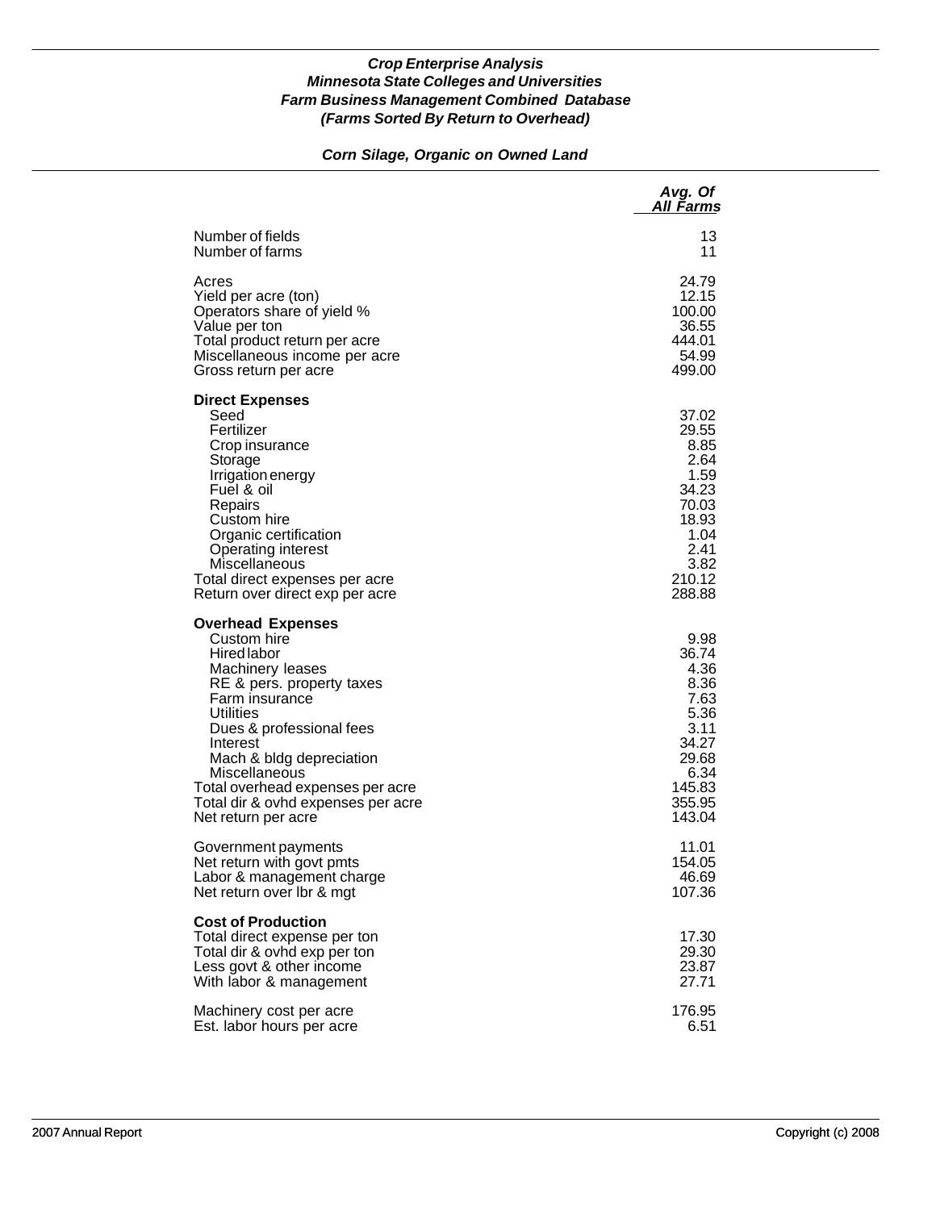# *Corn Silage, Organic on Owned Land*

|                                                                                                                                                                                                                                                                                                                                     | Avg. Of<br>All Farms                                                                                          |
|-------------------------------------------------------------------------------------------------------------------------------------------------------------------------------------------------------------------------------------------------------------------------------------------------------------------------------------|---------------------------------------------------------------------------------------------------------------|
| Number of fields                                                                                                                                                                                                                                                                                                                    | 13                                                                                                            |
| Number of farms                                                                                                                                                                                                                                                                                                                     | 11                                                                                                            |
| Acres                                                                                                                                                                                                                                                                                                                               | 24.79                                                                                                         |
| Yield per acre (ton)                                                                                                                                                                                                                                                                                                                | 12.15                                                                                                         |
| Operators share of yield %                                                                                                                                                                                                                                                                                                          | 100.00                                                                                                        |
| Value per ton                                                                                                                                                                                                                                                                                                                       | 36.55                                                                                                         |
| Total product return per acre                                                                                                                                                                                                                                                                                                       | 444.01                                                                                                        |
| Miscellaneous income per acre                                                                                                                                                                                                                                                                                                       | 54.99                                                                                                         |
| Gross return per acre                                                                                                                                                                                                                                                                                                               | 499.00                                                                                                        |
| <b>Direct Expenses</b><br>Seed<br>Fertilizer<br>Crop insurance<br>Storage<br>Irrigation energy<br>Fuel & oil<br>Repairs<br>Custom hire<br>Organic certification<br>Operating interest<br>Miscellaneous<br>Total direct expenses per acre<br>Return over direct exp per acre                                                         | 37.02<br>29.55<br>8.85<br>2.64<br>1.59<br>34.23<br>70.03<br>18.93<br>1.04<br>2.41<br>3.82<br>210.12<br>288.88 |
| <b>Overhead Expenses</b><br>Custom hire<br><b>Hired labor</b><br>Machinery leases<br>RE & pers. property taxes<br>Farm insurance<br>Utilities<br>Dues & professional fees<br>Interest<br>Mach & bldg depreciation<br>Miscellaneous<br>Total overhead expenses per acre<br>Total dir & ovhd expenses per acre<br>Net return per acre | 9.98<br>36.74<br>4.36<br>8.36<br>7.63<br>5.36<br>3.11<br>34.27<br>29.68<br>6.34<br>145.83<br>355.95<br>143.04 |
| Government payments                                                                                                                                                                                                                                                                                                                 | 11.01                                                                                                         |
| Net return with govt pmts                                                                                                                                                                                                                                                                                                           | 154.05                                                                                                        |
| Labor & management charge                                                                                                                                                                                                                                                                                                           | 46.69                                                                                                         |
| Net return over Ibr & mgt                                                                                                                                                                                                                                                                                                           | 107.36                                                                                                        |
| <b>Cost of Production</b><br>Total direct expense per ton<br>Total dir & ovhd exp per ton<br>Less govt & other income<br>With labor & management                                                                                                                                                                                    | 17.30<br>29.30<br>23.87<br>27.71                                                                              |
| Machinery cost per acre                                                                                                                                                                                                                                                                                                             | 176.95                                                                                                        |
| Est. labor hours per acre                                                                                                                                                                                                                                                                                                           | 6.51                                                                                                          |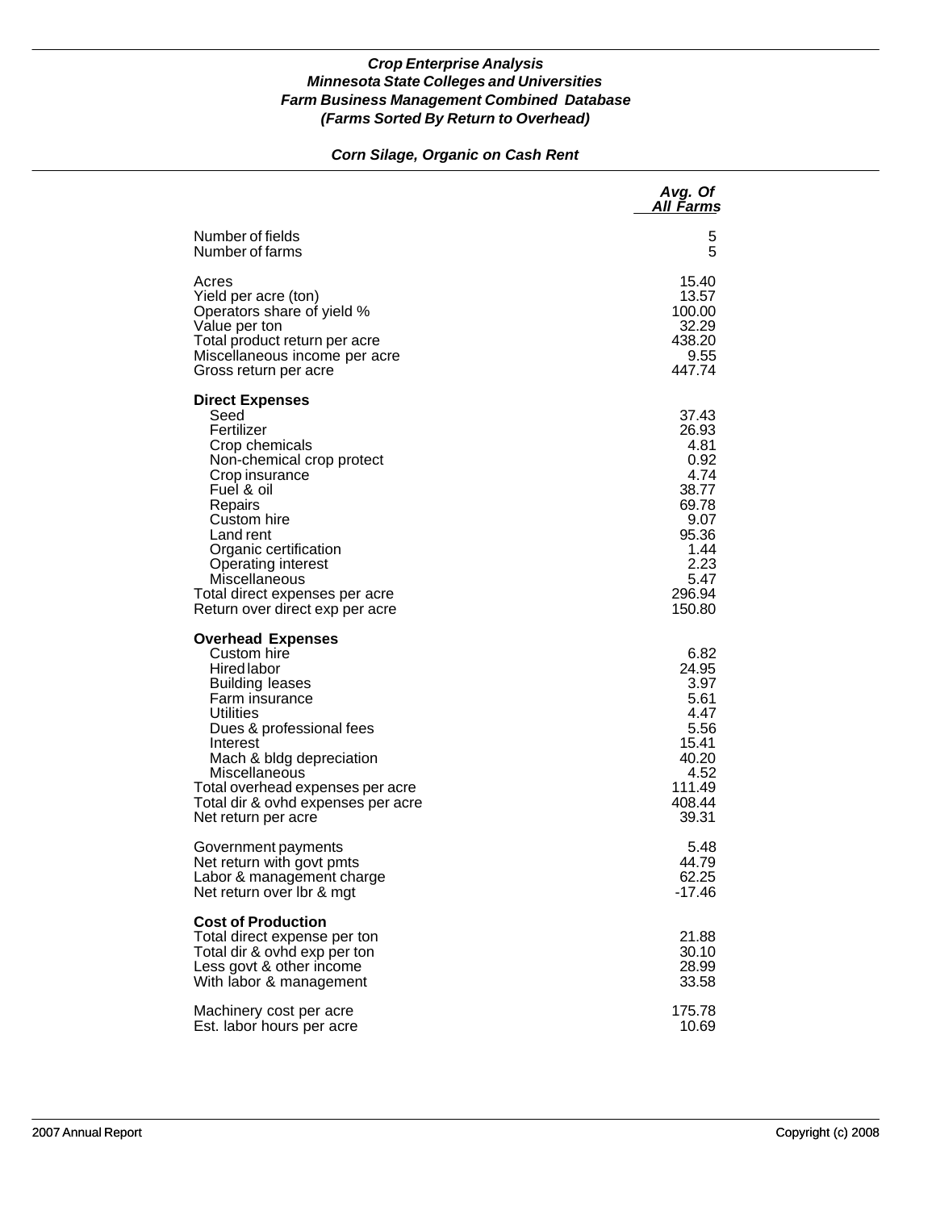# *Corn Silage, Organic on Cash Rent*

|                                                                                                                                                                                                                                                                                                                | Avg. Of<br>All Farms                                                                                                  |
|----------------------------------------------------------------------------------------------------------------------------------------------------------------------------------------------------------------------------------------------------------------------------------------------------------------|-----------------------------------------------------------------------------------------------------------------------|
| Number of fields                                                                                                                                                                                                                                                                                               | 5                                                                                                                     |
| Number of farms                                                                                                                                                                                                                                                                                                | 5                                                                                                                     |
| Acres                                                                                                                                                                                                                                                                                                          | 15.40                                                                                                                 |
| Yield per acre (ton)                                                                                                                                                                                                                                                                                           | 13.57                                                                                                                 |
| Operators share of yield %                                                                                                                                                                                                                                                                                     | 100.00                                                                                                                |
| Value per ton                                                                                                                                                                                                                                                                                                  | 32.29                                                                                                                 |
| Total product return per acre                                                                                                                                                                                                                                                                                  | 438.20                                                                                                                |
| Miscellaneous income per acre                                                                                                                                                                                                                                                                                  | 9.55                                                                                                                  |
| Gross return per acre                                                                                                                                                                                                                                                                                          | 447.74                                                                                                                |
| <b>Direct Expenses</b><br>Seed<br>Fertilizer<br>Crop chemicals<br>Non-chemical crop protect<br>Crop insurance<br>Fuel & oil<br>Repairs<br>Custom hire<br>Land rent<br>Organic certification<br><b>Operating interest</b><br>Miscellaneous<br>Total direct expenses per acre<br>Return over direct exp per acre | 37.43<br>26.93<br>4.81<br>0.92<br>4.74<br>38.77<br>69.78<br>9.07<br>95.36<br>1.44<br>2.23<br>5.47<br>296.94<br>150.80 |
| <b>Overhead Expenses</b><br>Custom hire<br>Hired labor<br><b>Building leases</b><br>Farm insurance<br>Utilities<br>Dues & professional fees<br>Interest<br>Mach & bldg depreciation<br>Miscellaneous<br>Total overhead expenses per acre<br>Total dir & ovhd expenses per acre<br>Net return per acre          | 6.82<br>24.95<br>3.97<br>5.61<br>4.47<br>5.56<br>15.41<br>40.20<br>4.52<br>111.49<br>408.44<br>39.31                  |
| Government payments                                                                                                                                                                                                                                                                                            | 5.48                                                                                                                  |
| Net return with govt pmts                                                                                                                                                                                                                                                                                      | 44.79                                                                                                                 |
| Labor & management charge                                                                                                                                                                                                                                                                                      | 62.25                                                                                                                 |
| Net return over Ibr & mgt                                                                                                                                                                                                                                                                                      | $-17.46$                                                                                                              |
| <b>Cost of Production</b><br>Total direct expense per ton<br>Total dir & ovhd exp per ton<br>Less govt & other income<br>With labor & management                                                                                                                                                               | 21.88<br>30.10<br>28.99<br>33.58                                                                                      |
| Machinery cost per acre                                                                                                                                                                                                                                                                                        | 175.78                                                                                                                |
| Est. labor hours per acre                                                                                                                                                                                                                                                                                      | 10.69                                                                                                                 |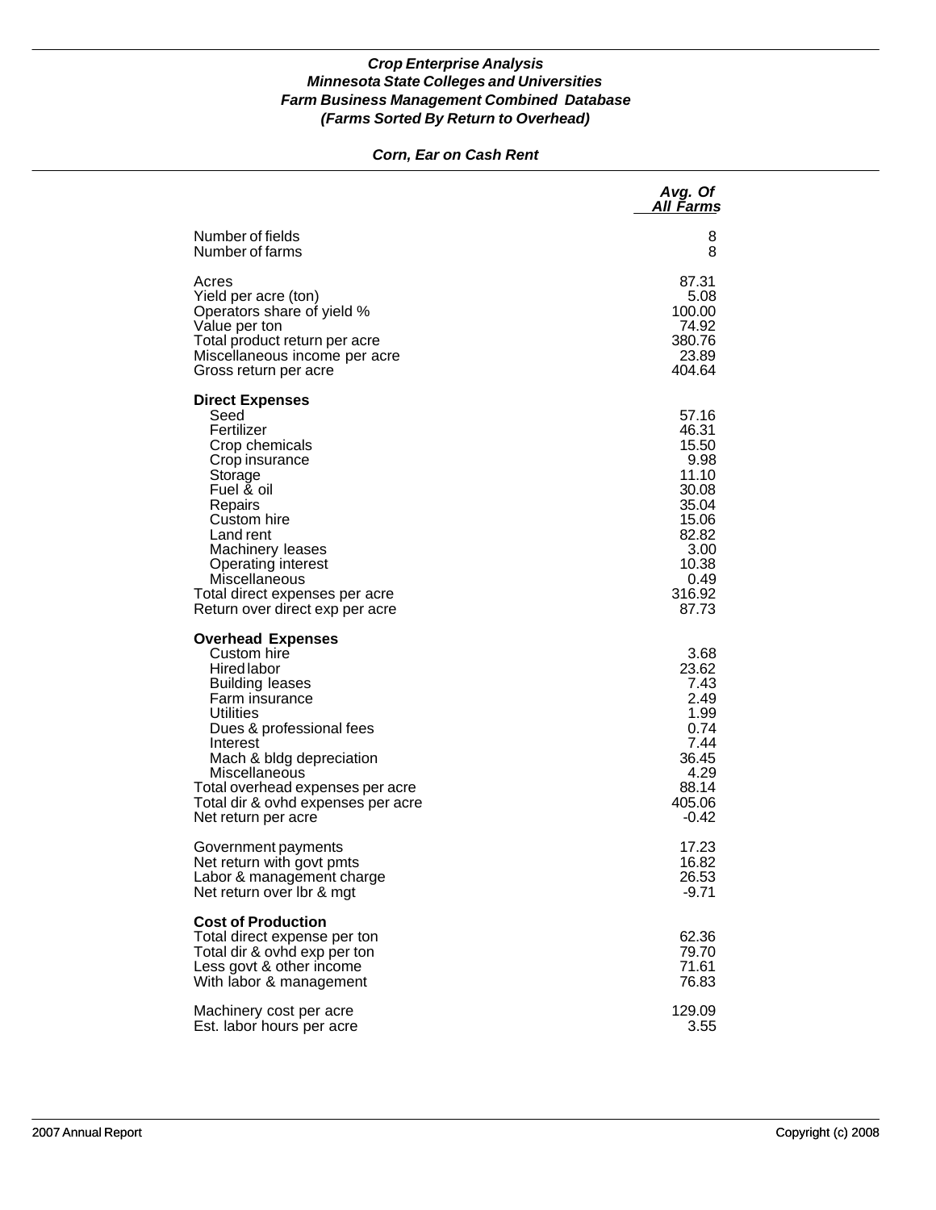## *Corn, Ear on Cash Rent*

|                                                                                                                                                                                                                                                                                                       | Avg. Of<br>All Farms                                                                                                     |
|-------------------------------------------------------------------------------------------------------------------------------------------------------------------------------------------------------------------------------------------------------------------------------------------------------|--------------------------------------------------------------------------------------------------------------------------|
| Number of fields                                                                                                                                                                                                                                                                                      | 8                                                                                                                        |
| Number of farms                                                                                                                                                                                                                                                                                       | 8                                                                                                                        |
| Acres                                                                                                                                                                                                                                                                                                 | 87.31                                                                                                                    |
| Yield per acre (ton)                                                                                                                                                                                                                                                                                  | 5.08                                                                                                                     |
| Operators share of yield %                                                                                                                                                                                                                                                                            | 100.00                                                                                                                   |
| Value per ton                                                                                                                                                                                                                                                                                         | 74.92                                                                                                                    |
| Total product return per acre                                                                                                                                                                                                                                                                         | 380.76                                                                                                                   |
| Miscellaneous income per acre                                                                                                                                                                                                                                                                         | 23.89                                                                                                                    |
| Gross return per acre                                                                                                                                                                                                                                                                                 | 404.64                                                                                                                   |
| <b>Direct Expenses</b><br>Seed<br>Fertilizer<br>Crop chemicals<br>Crop insurance<br>Storage<br>Fuel & oil<br>Repairs<br>Custom hire<br>Land rent<br>Machinery leases<br><b>Operating interest</b><br>Miscellaneous<br>Total direct expenses per acre<br>Return over direct exp per acre               | 57.16<br>46.31<br>15.50<br>9.98<br>11.10<br>30.08<br>35.04<br>15.06<br>82.82<br>3.00<br>10.38<br>0.49<br>316.92<br>87.73 |
| <b>Overhead Expenses</b><br>Custom hire<br>Hired labor<br><b>Building leases</b><br>Farm insurance<br>Utilities<br>Dues & professional fees<br>Interest<br>Mach & bldg depreciation<br>Miscellaneous<br>Total overhead expenses per acre<br>Total dir & ovhd expenses per acre<br>Net return per acre | 3.68<br>23.62<br>7.43<br>2.49<br>1.99<br>0.74<br>7.44<br>36.45<br>4.29<br>88.14<br>405.06<br>-0.42                       |
| Government payments                                                                                                                                                                                                                                                                                   | 17.23                                                                                                                    |
| Net return with govt pmts                                                                                                                                                                                                                                                                             | 16.82                                                                                                                    |
| Labor & management charge                                                                                                                                                                                                                                                                             | 26.53                                                                                                                    |
| Net return over Ibr & mgt                                                                                                                                                                                                                                                                             | -9.71                                                                                                                    |
| <b>Cost of Production</b><br>Total direct expense per ton<br>Total dir & ovhd exp per ton<br>Less govt & other income<br>With labor & management                                                                                                                                                      | 62.36<br>79.70<br>71.61<br>76.83                                                                                         |
| Machinery cost per acre                                                                                                                                                                                                                                                                               | 129.09                                                                                                                   |
| Est. labor hours per acre                                                                                                                                                                                                                                                                             | 3.55                                                                                                                     |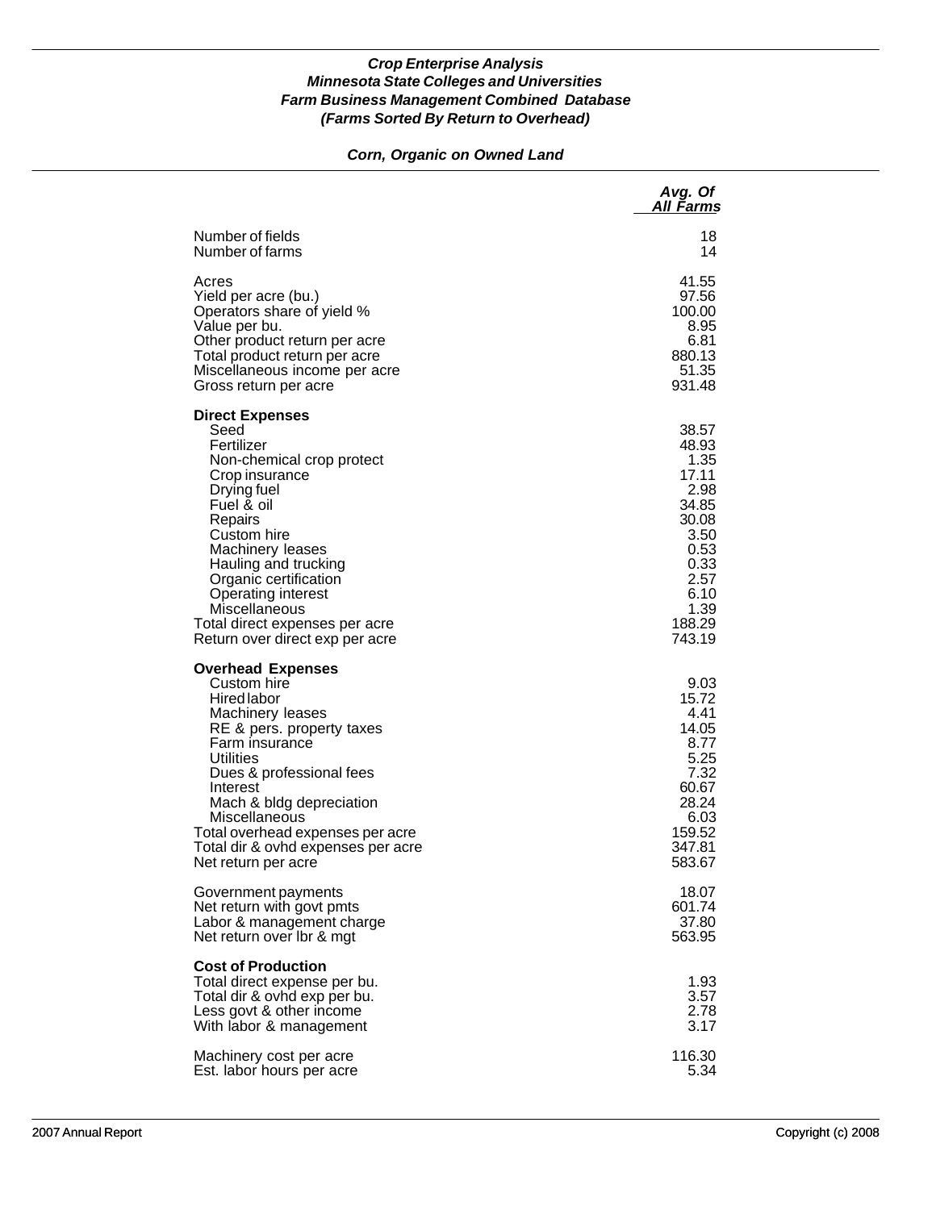# *Corn, Organic on Owned Land*

|                                                                                                                                                                                                                                                                                                                                            | Avg. Of<br>All Farms                                                                                                          |
|--------------------------------------------------------------------------------------------------------------------------------------------------------------------------------------------------------------------------------------------------------------------------------------------------------------------------------------------|-------------------------------------------------------------------------------------------------------------------------------|
| Number of fields                                                                                                                                                                                                                                                                                                                           | 18                                                                                                                            |
| Number of farms                                                                                                                                                                                                                                                                                                                            | 14                                                                                                                            |
| Acres                                                                                                                                                                                                                                                                                                                                      | 41.55                                                                                                                         |
| Yield per acre (bu.)                                                                                                                                                                                                                                                                                                                       | 97.56                                                                                                                         |
| Operators share of yield %                                                                                                                                                                                                                                                                                                                 | 100.00                                                                                                                        |
| Value per bu.                                                                                                                                                                                                                                                                                                                              | 8.95                                                                                                                          |
| Other product return per acre                                                                                                                                                                                                                                                                                                              | 6.81                                                                                                                          |
| Total product return per acre                                                                                                                                                                                                                                                                                                              | 880.13                                                                                                                        |
| Miscellaneous income per acre                                                                                                                                                                                                                                                                                                              | 51.35                                                                                                                         |
| Gross return per acre                                                                                                                                                                                                                                                                                                                      | 931.48                                                                                                                        |
| <b>Direct Expenses</b><br>Seed<br>Fertilizer<br>Non-chemical crop protect<br>Crop insurance<br>Drying fuel<br>Fuel & oil<br>Repairs<br>Custom hire<br>Machinery leases<br>Hauling and trucking<br>Organic certification<br><b>Operating interest</b><br>Miscellaneous<br>Total direct expenses per acre<br>Return over direct exp per acre | 38.57<br>48.93<br>1.35<br>17.11<br>2.98<br>34.85<br>30.08<br>3.50<br>0.53<br>0.33<br>2.57<br>6.10<br>1.39<br>188.29<br>743.19 |
| <b>Overhead Expenses</b><br>Custom hire<br><b>Hired labor</b><br>Machinery leases<br>RE & pers. property taxes<br>Farm insurance<br>Utilities<br>Dues & professional fees<br>Interest<br>Mach & bldg depreciation<br>Miscellaneous<br>Total overhead expenses per acre<br>Total dir & ovhd expenses per acre<br>Net return per acre        | 9.03<br>15.72<br>4.41<br>14.05<br>8.77<br>5.25<br>7.32<br>60.67<br>28.24<br>6.03<br>159.52<br>347.81<br>583.67                |
| Government payments                                                                                                                                                                                                                                                                                                                        | 18.07                                                                                                                         |
| Net return with govt pmts                                                                                                                                                                                                                                                                                                                  | 601.74                                                                                                                        |
| Labor & management charge                                                                                                                                                                                                                                                                                                                  | 37.80                                                                                                                         |
| Net return over Ibr & mgt                                                                                                                                                                                                                                                                                                                  | 563.95                                                                                                                        |
| <b>Cost of Production</b><br>Total direct expense per bu.<br>Total dir & ovhd exp per bu.<br>Less govt & other income<br>With labor & management                                                                                                                                                                                           | 1.93<br>3.57<br>2.78<br>3.17                                                                                                  |
| Machinery cost per acre                                                                                                                                                                                                                                                                                                                    | 116.30                                                                                                                        |
| Est. labor hours per acre                                                                                                                                                                                                                                                                                                                  | 5.34                                                                                                                          |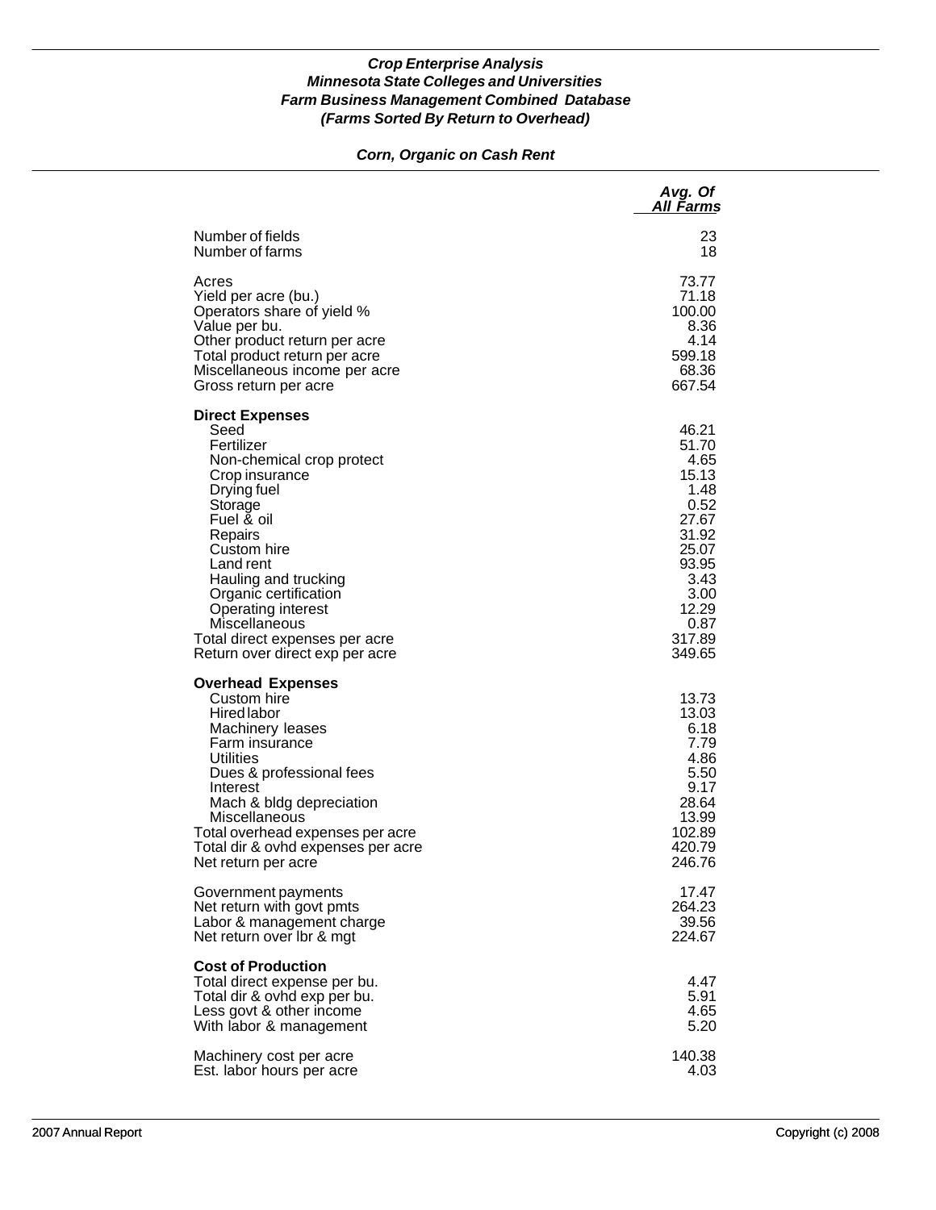## *Corn, Organic on Cash Rent*

|                                                                                                                                                                                                                                                                                                                                                | Avg. Of<br>All Farms                                                                                                                     |
|------------------------------------------------------------------------------------------------------------------------------------------------------------------------------------------------------------------------------------------------------------------------------------------------------------------------------------------------|------------------------------------------------------------------------------------------------------------------------------------------|
| Number of fields                                                                                                                                                                                                                                                                                                                               | 23                                                                                                                                       |
| Number of farms                                                                                                                                                                                                                                                                                                                                | 18                                                                                                                                       |
| Acres                                                                                                                                                                                                                                                                                                                                          | 73.77                                                                                                                                    |
| Yield per acre (bu.)                                                                                                                                                                                                                                                                                                                           | 71.18                                                                                                                                    |
| Operators share of yield %                                                                                                                                                                                                                                                                                                                     | 100.00                                                                                                                                   |
| Value per bu.                                                                                                                                                                                                                                                                                                                                  | 8.36                                                                                                                                     |
| Other product return per acre                                                                                                                                                                                                                                                                                                                  | 4.14                                                                                                                                     |
| Total product return per acre                                                                                                                                                                                                                                                                                                                  | 599.18                                                                                                                                   |
| Miscellaneous income per acre                                                                                                                                                                                                                                                                                                                  | 68.36                                                                                                                                    |
| Gross return per acre                                                                                                                                                                                                                                                                                                                          | 667.54                                                                                                                                   |
| <b>Direct Expenses</b><br>Seed<br>Fertilizer<br>Non-chemical crop protect<br>Crop insurance<br>Drying fuel<br>Storage<br>Fuel & oil<br>Repairs<br>Custom hire<br>Land rent<br>Hauling and trucking<br>Organic certification<br><b>Operating interest</b><br>Miscellaneous<br>Total direct expenses per acre<br>Return over direct exp per acre | 46.21<br>51.70<br>4.65<br>15.13<br>1.48<br>0.52<br>27.67<br>31.92<br>25.07<br>93.95<br>3.43<br>3.00<br>12.29<br>0.87<br>317.89<br>349.65 |
| <b>Overhead Expenses</b><br>Custom hire<br>Hired labor<br>Machinery leases<br>Farm insurance<br><b>Utilities</b><br>Dues & professional fees<br>Interest<br>Mach & bldg depreciation<br>Miscellaneous<br>Total overhead expenses per acre<br>Total dir & ovhd expenses per acre<br>Net return per acre                                         | 13.73<br>13.03<br>6.18<br>7.79<br>4.86<br>5.50<br>9.17<br>28.64<br>13.99<br>102.89<br>420.79<br>246.76                                   |
| Government payments                                                                                                                                                                                                                                                                                                                            | 17.47                                                                                                                                    |
| Net return with govt pmts                                                                                                                                                                                                                                                                                                                      | 264.23                                                                                                                                   |
| Labor & management charge                                                                                                                                                                                                                                                                                                                      | 39.56                                                                                                                                    |
| Net return over Ibr & mgt                                                                                                                                                                                                                                                                                                                      | 224.67                                                                                                                                   |
| <b>Cost of Production</b><br>Total direct expense per bu.<br>Total dir & ovhd exp per bu.<br>Less govt & other income<br>With labor & management                                                                                                                                                                                               | 4.47<br>5.91<br>4.65<br>5.20                                                                                                             |
| Machinery cost per acre                                                                                                                                                                                                                                                                                                                        | 140.38                                                                                                                                   |
| Est. labor hours per acre                                                                                                                                                                                                                                                                                                                      | 4.03                                                                                                                                     |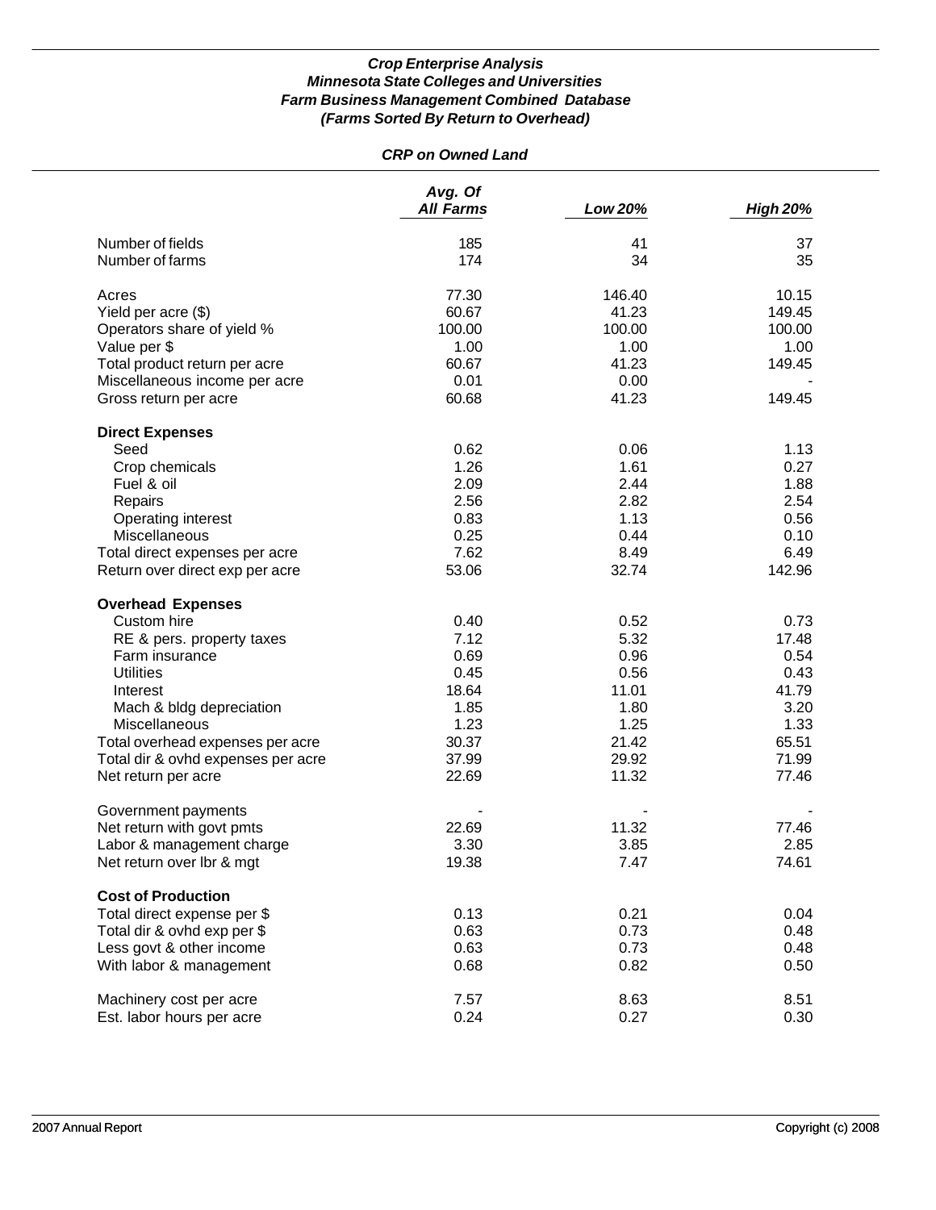## *CRP on Owned Land*

|                                                  | Avg. Of<br><b>All Farms</b> | Low 20% | <b>High 20%</b> |
|--------------------------------------------------|-----------------------------|---------|-----------------|
| Number of fields                                 | 185                         | 41      | 37              |
| Number of farms                                  | 174                         | 34      | 35              |
| Acres                                            | 77.30                       | 146.40  | 10.15           |
| Yield per acre (\$)                              | 60.67                       | 41.23   | 149.45          |
| Operators share of yield %                       | 100.00                      | 100.00  | 100.00          |
| Value per \$                                     | 1.00                        | 1.00    | 1.00            |
| Total product return per acre                    | 60.67                       | 41.23   | 149.45          |
| Miscellaneous income per acre                    | 0.01                        | 0.00    |                 |
| Gross return per acre                            | 60.68                       | 41.23   | 149.45          |
|                                                  |                             |         |                 |
| <b>Direct Expenses</b>                           |                             |         |                 |
| Seed                                             | 0.62                        | 0.06    | 1.13            |
| Crop chemicals                                   | 1.26                        | 1.61    | 0.27            |
| Fuel & oil                                       | 2.09                        | 2.44    | 1.88            |
| Repairs                                          | 2.56                        | 2.82    | 2.54            |
| Operating interest                               | 0.83                        | 1.13    | 0.56            |
| Miscellaneous                                    | 0.25                        | 0.44    | 0.10            |
| Total direct expenses per acre                   | 7.62                        | 8.49    | 6.49            |
| Return over direct exp per acre                  | 53.06                       | 32.74   | 142.96          |
| <b>Overhead Expenses</b>                         |                             |         |                 |
| Custom hire                                      | 0.40                        | 0.52    | 0.73            |
| RE & pers. property taxes                        | 7.12                        | 5.32    | 17.48           |
| Farm insurance                                   | 0.69                        | 0.96    | 0.54            |
| <b>Utilities</b>                                 | 0.45                        | 0.56    | 0.43            |
| Interest                                         | 18.64                       | 11.01   | 41.79           |
| Mach & bldg depreciation                         | 1.85                        | 1.80    | 3.20            |
| Miscellaneous                                    | 1.23                        | 1.25    | 1.33            |
| Total overhead expenses per acre                 | 30.37                       | 21.42   | 65.51           |
| Total dir & ovhd expenses per acre               | 37.99                       | 29.92   | 71.99           |
| Net return per acre                              | 22.69                       | 11.32   | 77.46           |
|                                                  |                             |         |                 |
| Government payments<br>Net return with govt pmts | 22.69                       | 11.32   | 77.46           |
| Labor & management charge                        | 3.30                        | 3.85    | 2.85            |
|                                                  |                             |         |                 |
| Net return over lbr & mgt                        | 19.38                       | 7.47    | 74.61           |
| <b>Cost of Production</b>                        |                             |         |                 |
| Total direct expense per \$                      | 0.13                        | 0.21    | 0.04            |
| Total dir & ovhd exp per \$                      | 0.63                        | 0.73    | 0.48            |
| Less govt & other income                         | 0.63                        | 0.73    | 0.48            |
| With labor & management                          | 0.68                        | 0.82    | 0.50            |
| Machinery cost per acre                          | 7.57                        | 8.63    | 8.51            |
| Est. labor hours per acre                        | 0.24                        | 0.27    | 0.30            |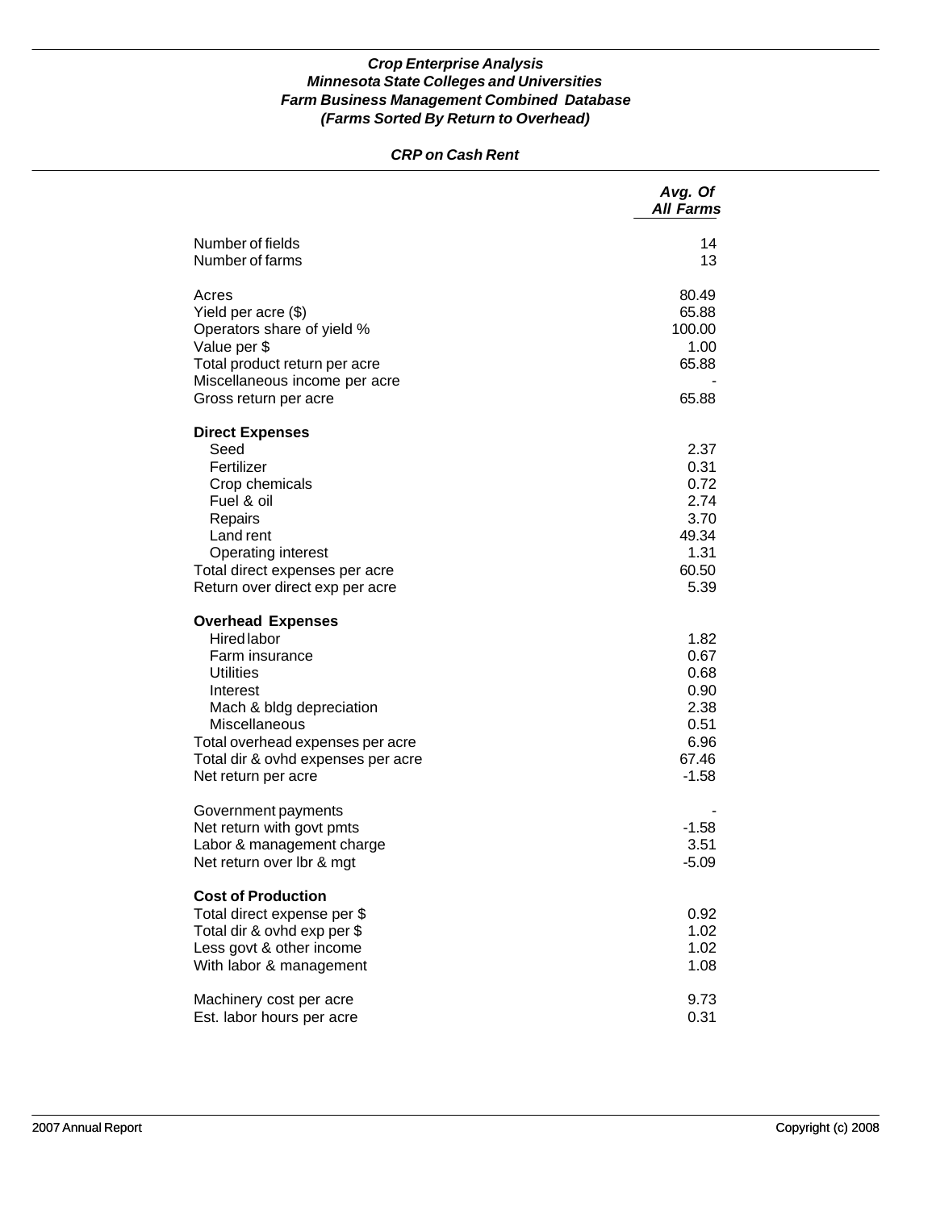## *CRP on Cash Rent*

|                                                                                                                                                                                                                                                | Avg. Of<br><b>All Farms</b>                                              |
|------------------------------------------------------------------------------------------------------------------------------------------------------------------------------------------------------------------------------------------------|--------------------------------------------------------------------------|
| Number of fields<br>Number of farms                                                                                                                                                                                                            | 14<br>13                                                                 |
| Acres<br>Yield per acre (\$)<br>Operators share of yield %<br>Value per \$<br>Total product return per acre<br>Miscellaneous income per acre<br>Gross return per acre                                                                          | 80.49<br>65.88<br>100.00<br>1.00<br>65.88<br>65.88                       |
| <b>Direct Expenses</b><br>Seed<br>Fertilizer<br>Crop chemicals<br>Fuel & oil<br>Repairs<br>Land rent<br>Operating interest<br>Total direct expenses per acre<br>Return over direct exp per acre                                                | 2.37<br>0.31<br>0.72<br>2.74<br>3.70<br>49.34<br>1.31<br>60.50<br>5.39   |
| <b>Overhead Expenses</b><br><b>Hired labor</b><br>Farm insurance<br><b>Utilities</b><br>Interest<br>Mach & bldg depreciation<br>Miscellaneous<br>Total overhead expenses per acre<br>Total dir & ovhd expenses per acre<br>Net return per acre | 1.82<br>0.67<br>0.68<br>0.90<br>2.38<br>0.51<br>6.96<br>67.46<br>$-1.58$ |
| Government payments<br>Net return with govt pmts<br>Labor & management charge<br>Net return over Ibr & mgt                                                                                                                                     | $-1.58$<br>3.51<br>$-5.09$                                               |
| <b>Cost of Production</b><br>Total direct expense per \$<br>Total dir & ovhd exp per \$<br>Less govt & other income<br>With labor & management                                                                                                 | 0.92<br>1.02<br>1.02<br>1.08                                             |
| Machinery cost per acre<br>Est. labor hours per acre                                                                                                                                                                                           | 9.73<br>0.31                                                             |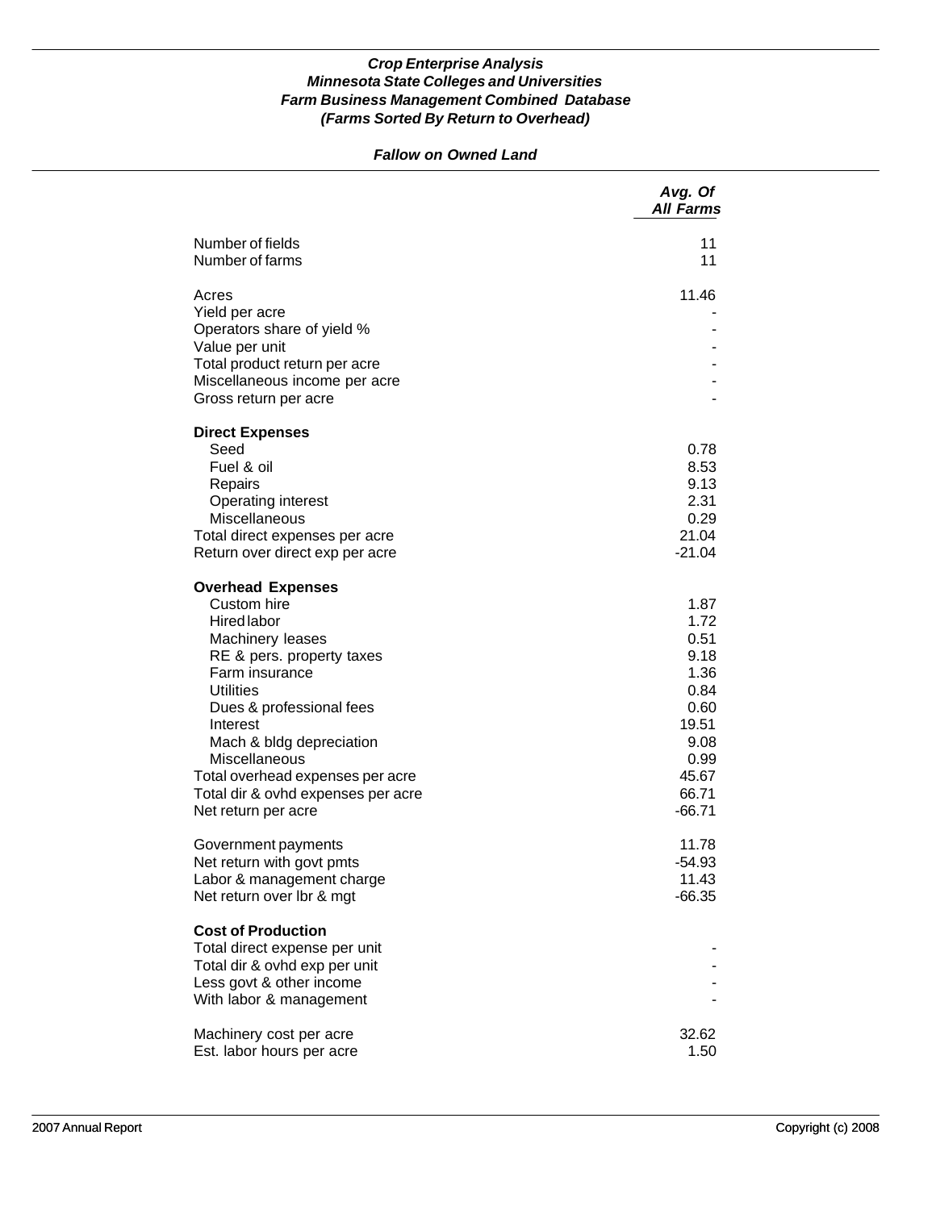## *Fallow on Owned Land*

|                                              | Avg. Of<br><b>All Farms</b> |
|----------------------------------------------|-----------------------------|
| Number of fields<br>Number of farms          | 11<br>11                    |
|                                              |                             |
| Acres                                        | 11.46                       |
| Yield per acre                               |                             |
| Operators share of yield %<br>Value per unit |                             |
| Total product return per acre                |                             |
| Miscellaneous income per acre                |                             |
| Gross return per acre                        |                             |
| <b>Direct Expenses</b>                       |                             |
| Seed                                         | 0.78                        |
| Fuel & oil                                   | 8.53                        |
| Repairs                                      | 9.13                        |
| Operating interest                           | 2.31                        |
| Miscellaneous                                | 0.29                        |
| Total direct expenses per acre               | 21.04<br>$-21.04$           |
| Return over direct exp per acre              |                             |
| <b>Overhead Expenses</b>                     |                             |
| Custom hire                                  | 1.87                        |
| <b>Hired labor</b><br>Machinery leases       | 1.72<br>0.51                |
| RE & pers. property taxes                    | 9.18                        |
| Farm insurance                               | 1.36                        |
| <b>Utilities</b>                             | 0.84                        |
| Dues & professional fees                     | 0.60                        |
| Interest                                     | 19.51                       |
| Mach & bldg depreciation                     | 9.08                        |
| Miscellaneous                                | 0.99                        |
| Total overhead expenses per acre             | 45.67                       |
| Total dir & ovhd expenses per acre           | 66.71                       |
| Net return per acre                          | $-66.71$                    |
| Government payments                          | 11.78                       |
| Net return with govt pmts                    | $-54.93$                    |
| Labor & management charge                    | 11.43                       |
| Net return over Ibr & mgt                    | $-66.35$                    |
| <b>Cost of Production</b>                    |                             |
| Total direct expense per unit                |                             |
| Total dir & ovhd exp per unit                |                             |
| Less govt & other income                     |                             |
| With labor & management                      |                             |
| Machinery cost per acre                      | 32.62                       |
| Est. labor hours per acre                    | 1.50                        |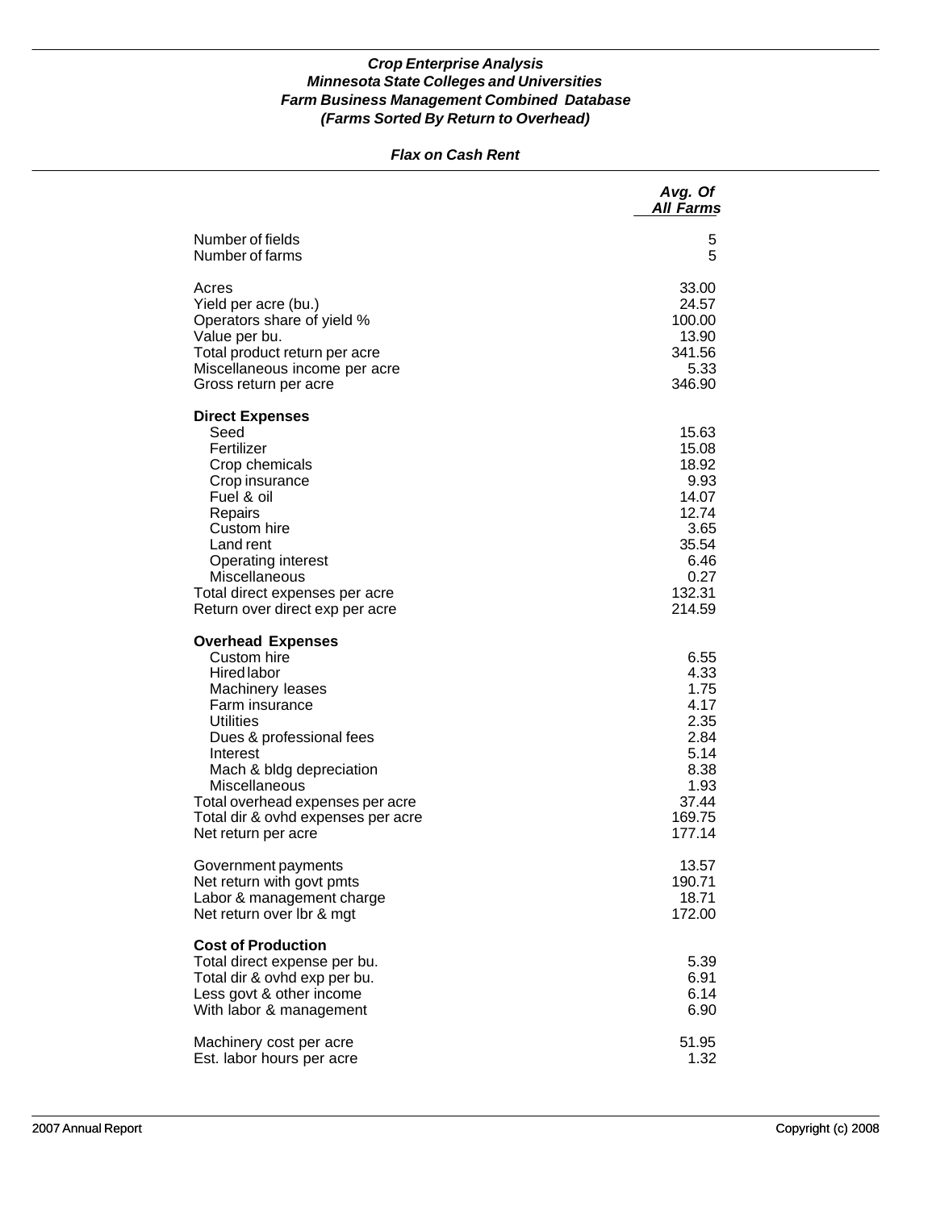## *Flax on Cash Rent*

|                                                                                                                                                                                                                                                                                                               | Avg. Of<br><b>All Farms</b>                                                                            |
|---------------------------------------------------------------------------------------------------------------------------------------------------------------------------------------------------------------------------------------------------------------------------------------------------------------|--------------------------------------------------------------------------------------------------------|
| Number of fields                                                                                                                                                                                                                                                                                              | 5                                                                                                      |
| Number of farms                                                                                                                                                                                                                                                                                               | 5                                                                                                      |
| Acres                                                                                                                                                                                                                                                                                                         | 33.00                                                                                                  |
| Yield per acre (bu.)                                                                                                                                                                                                                                                                                          | 24.57                                                                                                  |
| Operators share of yield %                                                                                                                                                                                                                                                                                    | 100.00                                                                                                 |
| Value per bu.                                                                                                                                                                                                                                                                                                 | 13.90                                                                                                  |
| Total product return per acre                                                                                                                                                                                                                                                                                 | 341.56                                                                                                 |
| Miscellaneous income per acre                                                                                                                                                                                                                                                                                 | 5.33                                                                                                   |
| Gross return per acre                                                                                                                                                                                                                                                                                         | 346.90                                                                                                 |
| <b>Direct Expenses</b><br>Seed<br>Fertilizer<br>Crop chemicals<br>Crop insurance<br>Fuel & oil<br>Repairs<br>Custom hire<br>Land rent<br><b>Operating interest</b><br>Miscellaneous<br>Total direct expenses per acre<br>Return over direct exp per acre                                                      | 15.63<br>15.08<br>18.92<br>9.93<br>14.07<br>12.74<br>3.65<br>35.54<br>6.46<br>0.27<br>132.31<br>214.59 |
| <b>Overhead Expenses</b><br>Custom hire<br><b>Hired labor</b><br>Machinery leases<br>Farm insurance<br><b>Utilities</b><br>Dues & professional fees<br>Interest<br>Mach & bldg depreciation<br>Miscellaneous<br>Total overhead expenses per acre<br>Total dir & ovhd expenses per acre<br>Net return per acre | 6.55<br>4.33<br>1.75<br>4.17<br>2.35<br>2.84<br>5.14<br>8.38<br>1.93<br>37.44<br>169.75<br>177.14      |
| Government payments                                                                                                                                                                                                                                                                                           | 13.57                                                                                                  |
| Net return with govt pmts                                                                                                                                                                                                                                                                                     | 190.71                                                                                                 |
| Labor & management charge                                                                                                                                                                                                                                                                                     | 18.71                                                                                                  |
| Net return over Ibr & mgt                                                                                                                                                                                                                                                                                     | 172.00                                                                                                 |
| <b>Cost of Production</b><br>Total direct expense per bu.<br>Total dir & ovhd exp per bu.<br>Less govt & other income<br>With labor & management                                                                                                                                                              | 5.39<br>6.91<br>6.14<br>6.90                                                                           |
| Machinery cost per acre                                                                                                                                                                                                                                                                                       | 51.95                                                                                                  |
| Est. labor hours per acre                                                                                                                                                                                                                                                                                     | 1.32                                                                                                   |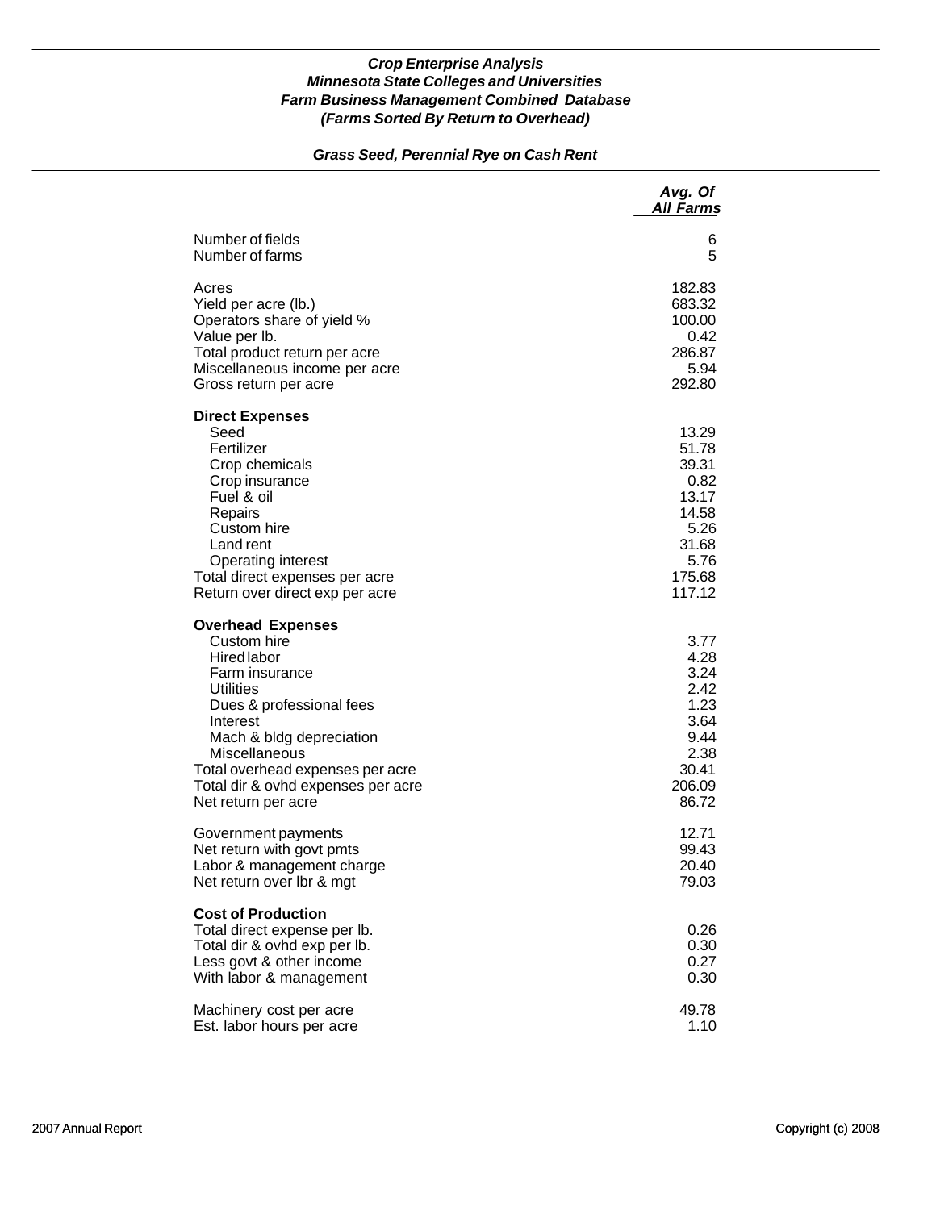## *Grass Seed, Perennial Rye on Cash Rent*

|                                                                                                                                                                                                                                                                                           | Avg. Of<br><b>All Farms</b>                                                                    |
|-------------------------------------------------------------------------------------------------------------------------------------------------------------------------------------------------------------------------------------------------------------------------------------------|------------------------------------------------------------------------------------------------|
| Number of fields                                                                                                                                                                                                                                                                          | 6                                                                                              |
| Number of farms                                                                                                                                                                                                                                                                           | 5                                                                                              |
| Acres                                                                                                                                                                                                                                                                                     | 182.83                                                                                         |
| Yield per acre (lb.)                                                                                                                                                                                                                                                                      | 683.32                                                                                         |
| Operators share of yield %                                                                                                                                                                                                                                                                | 100.00                                                                                         |
| Value per lb.                                                                                                                                                                                                                                                                             | 0.42                                                                                           |
| Total product return per acre                                                                                                                                                                                                                                                             | 286.87                                                                                         |
| Miscellaneous income per acre                                                                                                                                                                                                                                                             | 5.94                                                                                           |
| Gross return per acre                                                                                                                                                                                                                                                                     | 292.80                                                                                         |
| <b>Direct Expenses</b><br>Seed<br>Fertilizer<br>Crop chemicals<br>Crop insurance<br>Fuel & oil<br>Repairs<br>Custom hire<br>Land rent<br><b>Operating interest</b><br>Total direct expenses per acre<br>Return over direct exp per acre                                                   | 13.29<br>51.78<br>39.31<br>0.82<br>13.17<br>14.58<br>5.26<br>31.68<br>5.76<br>175.68<br>117.12 |
| <b>Overhead Expenses</b><br>Custom hire<br><b>Hired labor</b><br>Farm insurance<br><b>Utilities</b><br>Dues & professional fees<br>Interest<br>Mach & bldg depreciation<br>Miscellaneous<br>Total overhead expenses per acre<br>Total dir & ovhd expenses per acre<br>Net return per acre | 3.77<br>4.28<br>3.24<br>2.42<br>1.23<br>3.64<br>9.44<br>2.38<br>30.41<br>206.09<br>86.72       |
| Government payments                                                                                                                                                                                                                                                                       | 12.71                                                                                          |
| Net return with govt pmts                                                                                                                                                                                                                                                                 | 99.43                                                                                          |
| Labor & management charge                                                                                                                                                                                                                                                                 | 20.40                                                                                          |
| Net return over Ibr & mgt                                                                                                                                                                                                                                                                 | 79.03                                                                                          |
| <b>Cost of Production</b><br>Total direct expense per lb.<br>Total dir & ovhd exp per lb.<br>Less govt & other income<br>With labor & management                                                                                                                                          | 0.26<br>0.30<br>0.27<br>0.30                                                                   |
| Machinery cost per acre                                                                                                                                                                                                                                                                   | 49.78                                                                                          |
| Est. labor hours per acre                                                                                                                                                                                                                                                                 | 1.10                                                                                           |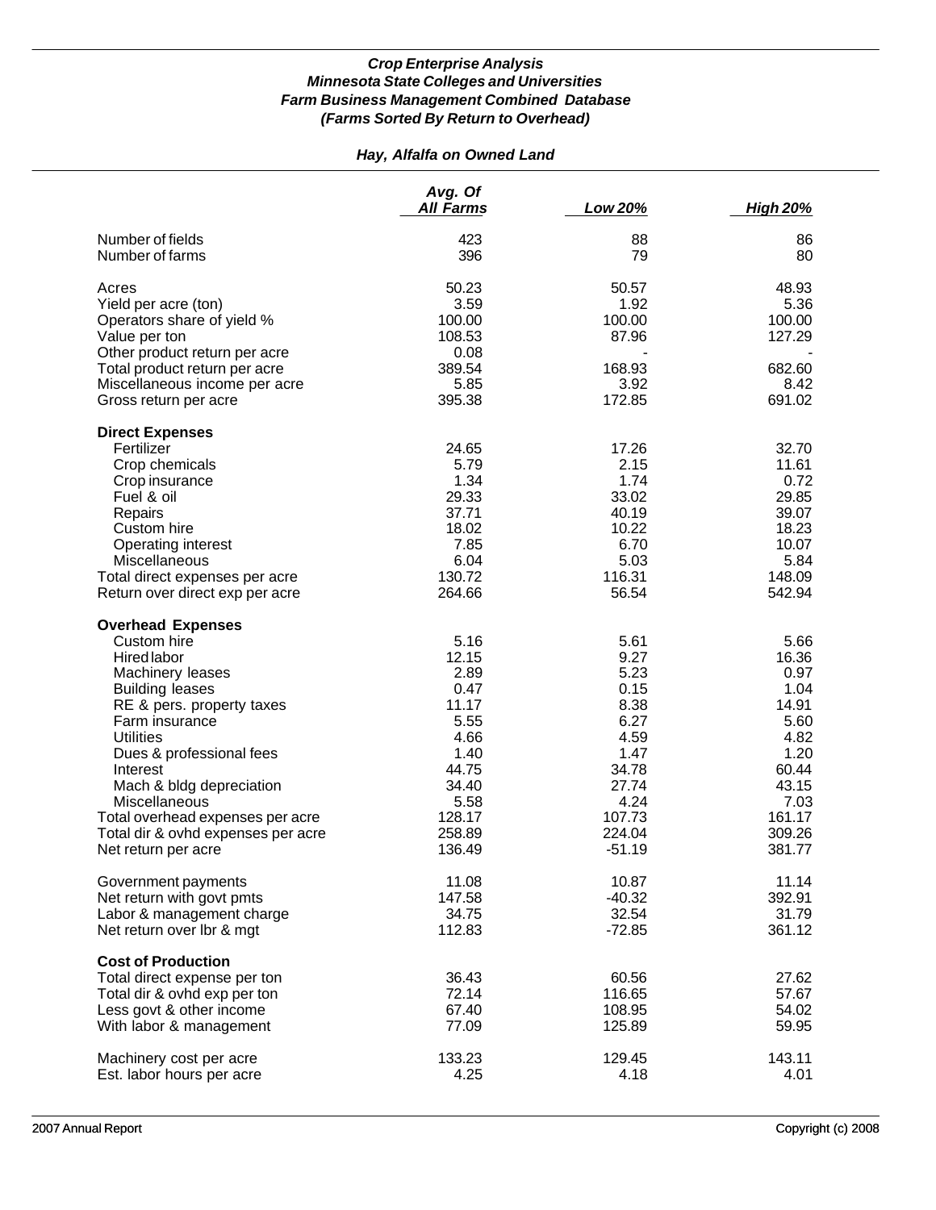## *Hay, Alfalfa on Owned Land*

|                                           | Avg. Of<br>All Farms | Low 20%        | <b>High 20%</b> |
|-------------------------------------------|----------------------|----------------|-----------------|
| Number of fields<br>Number of farms       | 423<br>396           | 88<br>79       | 86<br>80        |
| Acres                                     | 50.23                | 50.57          | 48.93           |
| Yield per acre (ton)                      | 3.59                 | 1.92           | 5.36            |
| Operators share of yield %                | 100.00               | 100.00         | 100.00          |
| Value per ton                             | 108.53               | 87.96          | 127.29          |
| Other product return per acre             | 0.08                 |                |                 |
| Total product return per acre             | 389.54               | 168.93         | 682.60          |
| Miscellaneous income per acre             | 5.85                 | 3.92           | 8.42            |
| Gross return per acre                     | 395.38               | 172.85         | 691.02          |
| <b>Direct Expenses</b>                    |                      |                |                 |
| Fertilizer                                | 24.65                | 17.26          | 32.70           |
| Crop chemicals                            | 5.79                 | 2.15           | 11.61           |
| Crop insurance                            | 1.34                 | 1.74           | 0.72            |
| Fuel & oil                                | 29.33                | 33.02          | 29.85           |
| Repairs                                   | 37.71<br>18.02       | 40.19<br>10.22 | 39.07<br>18.23  |
| Custom hire<br>Operating interest         | 7.85                 | 6.70           | 10.07           |
| <b>Miscellaneous</b>                      | 6.04                 | 5.03           | 5.84            |
| Total direct expenses per acre            | 130.72               | 116.31         | 148.09          |
| Return over direct exp per acre           | 264.66               | 56.54          | 542.94          |
| <b>Overhead Expenses</b>                  |                      |                |                 |
| Custom hire                               | 5.16                 | 5.61           | 5.66            |
| <b>Hired labor</b>                        | 12.15                | 9.27           | 16.36           |
| Machinery leases                          | 2.89                 | 5.23           | 0.97            |
| <b>Building leases</b>                    | 0.47                 | 0.15           | 1.04            |
| RE & pers. property taxes                 | 11.17                | 8.38           | 14.91           |
| Farm insurance                            | 5.55                 | 6.27           | 5.60            |
| <b>Utilities</b>                          | 4.66                 | 4.59           | 4.82            |
| Dues & professional fees                  | 1.40                 | 1.47           | 1.20            |
| Interest                                  | 44.75<br>34.40       | 34.78<br>27.74 | 60.44<br>43.15  |
| Mach & bldg depreciation<br>Miscellaneous | 5.58                 | 4.24           | 7.03            |
| Total overhead expenses per acre          | 128.17               | 107.73         | 161.17          |
| Total dir & ovhd expenses per acre        | 258.89               | 224.04         | 309.26          |
| Net return per acre                       | 136.49               | $-51.19$       | 381.77          |
| Government payments                       | 11.08                | 10.87          | 11.14           |
| Net return with govt pmts                 | 147.58               | $-40.32$       | 392.91          |
| Labor & management charge                 | 34.75                | 32.54          | 31.79           |
| Net return over lbr & mgt                 | 112.83               | $-72.85$       | 361.12          |
| <b>Cost of Production</b>                 |                      |                |                 |
| Total direct expense per ton              | 36.43                | 60.56          | 27.62           |
| Total dir & ovhd exp per ton              | 72.14                | 116.65         | 57.67           |
| Less govt & other income                  | 67.40                | 108.95         | 54.02           |
| With labor & management                   | 77.09                | 125.89         | 59.95           |
| Machinery cost per acre                   | 133.23               | 129.45         | 143.11          |
| Est. labor hours per acre                 | 4.25                 | 4.18           | 4.01            |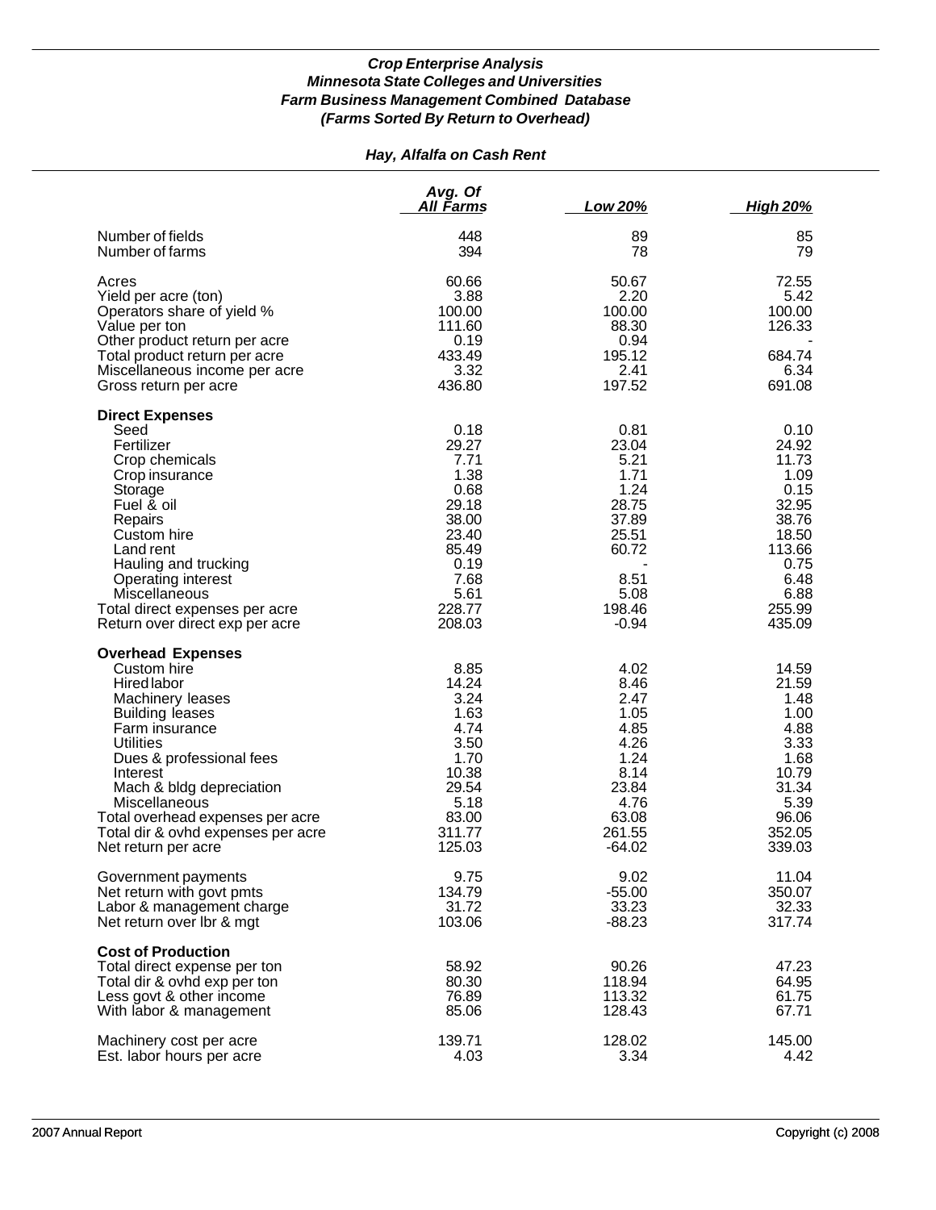## *Hay, Alfalfa on Cash Rent*

|                                                                                                                                                                                                                                                                                                                                         | Avg. Of<br><b>All Farms</b>                                                                                           | Low 20%                                                                                                        | <b>High 20%</b>                                                                                                         |
|-----------------------------------------------------------------------------------------------------------------------------------------------------------------------------------------------------------------------------------------------------------------------------------------------------------------------------------------|-----------------------------------------------------------------------------------------------------------------------|----------------------------------------------------------------------------------------------------------------|-------------------------------------------------------------------------------------------------------------------------|
| Number of fields<br>Number of farms                                                                                                                                                                                                                                                                                                     | 448<br>394                                                                                                            | 89<br>78                                                                                                       | 85<br>79                                                                                                                |
| Acres<br>Yield per acre (ton)<br>Operators share of yield %<br>Value per ton<br>Other product return per acre<br>Total product return per acre<br>Miscellaneous income per acre<br>Gross return per acre                                                                                                                                | 60.66<br>3.88<br>100.00<br>111.60<br>0.19<br>433.49<br>3.32<br>436.80                                                 | 50.67<br>2.20<br>100.00<br>88.30<br>0.94<br>195.12<br>2.41<br>197.52                                           | 72.55<br>5.42<br>100.00<br>126.33<br>684.74<br>6.34<br>691.08                                                           |
| <b>Direct Expenses</b><br>Seed<br>Fertilizer<br>Crop chemicals<br>Crop insurance<br>Storage<br>Fuel & oil<br>Repairs<br>Custom hire<br>Land rent<br>Hauling and trucking<br>Operating interest<br>Miscellaneous<br>Total direct expenses per acre<br>Return over direct exp per acre                                                    | 0.18<br>29.27<br>7.71<br>1.38<br>0.68<br>29.18<br>38.00<br>23.40<br>85.49<br>0.19<br>7.68<br>5.61<br>228.77<br>208.03 | 0.81<br>23.04<br>5.21<br>1.71<br>1.24<br>28.75<br>37.89<br>25.51<br>60.72<br>8.51<br>5.08<br>198.46<br>$-0.94$ | 0.10<br>24.92<br>11.73<br>1.09<br>0.15<br>32.95<br>38.76<br>18.50<br>113.66<br>0.75<br>6.48<br>6.88<br>255.99<br>435.09 |
| <b>Overhead Expenses</b><br>Custom hire<br><b>Hired labor</b><br>Machinery leases<br><b>Building leases</b><br>Farm insurance<br><b>Utilities</b><br>Dues & professional fees<br>Interest<br>Mach & bldg depreciation<br>Miscellaneous<br>Total overhead expenses per acre<br>Total dir & ovhd expenses per acre<br>Net return per acre | 8.85<br>14.24<br>3.24<br>1.63<br>4.74<br>3.50<br>1.70<br>10.38<br>29.54<br>5.18<br>83.00<br>311.77<br>125.03          | 4.02<br>8.46<br>2.47<br>1.05<br>4.85<br>4.26<br>1.24<br>8.14<br>23.84<br>4.76<br>63.08<br>261.55<br>$-64.02$   | 14.59<br>21.59<br>1.48<br>1.00<br>4.88<br>3.33<br>1.68<br>10.79<br>31.34<br>5.39<br>96.06<br>352.05<br>339.03           |
| Government payments<br>Net return with govt pmts<br>Labor & management charge<br>Net return over Ibr & mgt                                                                                                                                                                                                                              | 9.75<br>134.79<br>31.72<br>103.06                                                                                     | 9.02<br>$-55.00$<br>33.23<br>$-88.23$                                                                          | 11.04<br>350.07<br>32.33<br>317.74                                                                                      |
| <b>Cost of Production</b><br>Total direct expense per ton<br>Total dir & ovhd exp per ton<br>Less govt & other income<br>With labor & management                                                                                                                                                                                        | 58.92<br>80.30<br>76.89<br>85.06                                                                                      | 90.26<br>118.94<br>113.32<br>128.43                                                                            | 47.23<br>64.95<br>61.75<br>67.71                                                                                        |
| Machinery cost per acre<br>Est. labor hours per acre                                                                                                                                                                                                                                                                                    | 139.71<br>4.03                                                                                                        | 128.02<br>3.34                                                                                                 | 145.00<br>4.42                                                                                                          |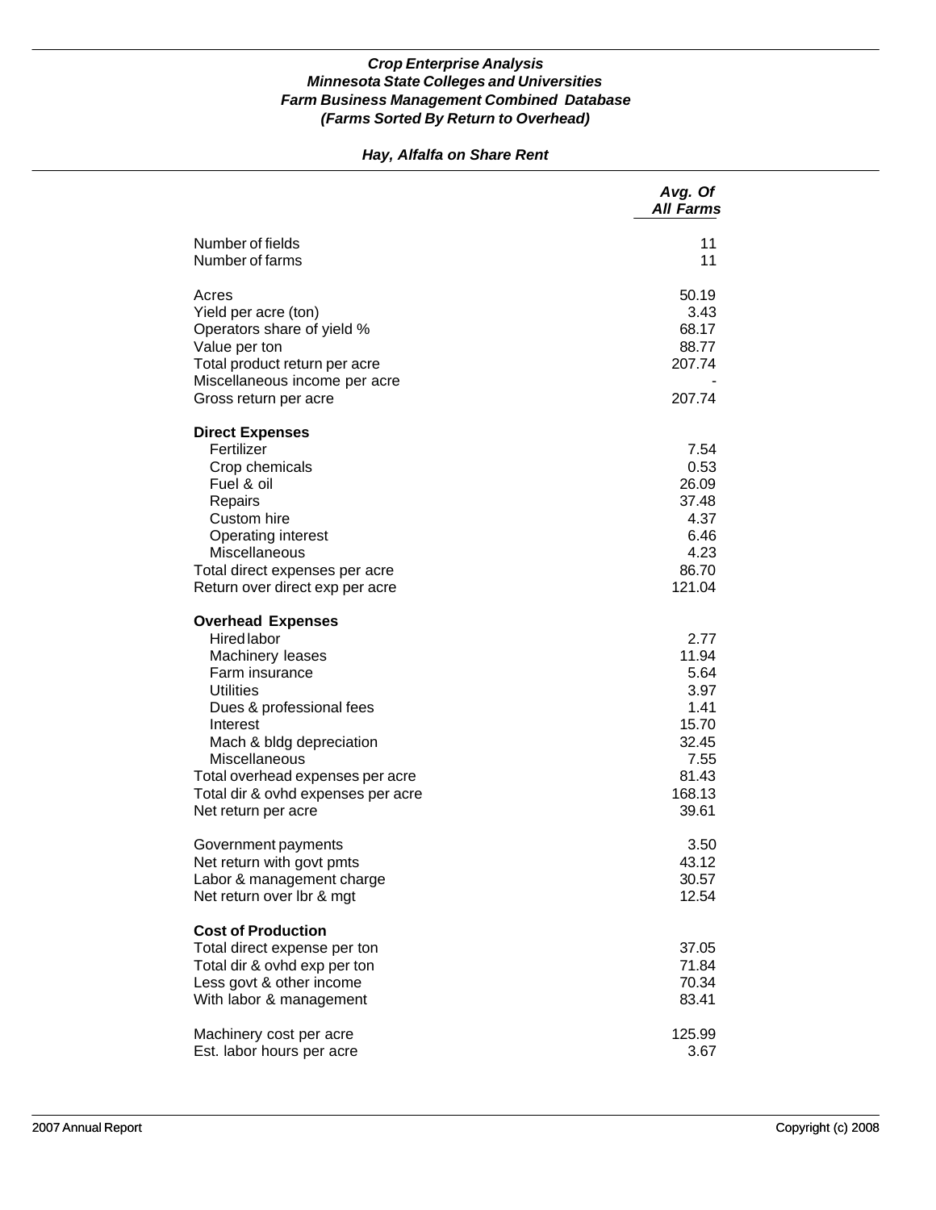## *Hay, Alfalfa on Share Rent*

|                                                                                                                                                                                                                                                                                                | Avg. Of<br><b>All Farms</b>                                                                 |
|------------------------------------------------------------------------------------------------------------------------------------------------------------------------------------------------------------------------------------------------------------------------------------------------|---------------------------------------------------------------------------------------------|
| Number of fields<br>Number of farms                                                                                                                                                                                                                                                            | 11<br>11                                                                                    |
| Acres<br>Yield per acre (ton)<br>Operators share of yield %<br>Value per ton<br>Total product return per acre<br>Miscellaneous income per acre<br>Gross return per acre                                                                                                                        | 50.19<br>3.43<br>68.17<br>88.77<br>207.74<br>207.74                                         |
| <b>Direct Expenses</b><br>Fertilizer<br>Crop chemicals<br>Fuel & oil<br>Repairs<br>Custom hire<br>Operating interest<br>Miscellaneous<br>Total direct expenses per acre<br>Return over direct exp per acre                                                                                     | 7.54<br>0.53<br>26.09<br>37.48<br>4.37<br>6.46<br>4.23<br>86.70<br>121.04                   |
| <b>Overhead Expenses</b><br><b>Hired labor</b><br>Machinery leases<br>Farm insurance<br><b>Utilities</b><br>Dues & professional fees<br>Interest<br>Mach & bldg depreciation<br>Miscellaneous<br>Total overhead expenses per acre<br>Total dir & ovhd expenses per acre<br>Net return per acre | 2.77<br>11.94<br>5.64<br>3.97<br>1.41<br>15.70<br>32.45<br>7.55<br>81.43<br>168.13<br>39.61 |
| Government payments<br>Net return with govt pmts<br>Labor & management charge<br>Net return over lbr & mgt                                                                                                                                                                                     | 3.50<br>43.12<br>30.57<br>12.54                                                             |
| <b>Cost of Production</b><br>Total direct expense per ton<br>Total dir & ovhd exp per ton<br>Less govt & other income<br>With labor & management                                                                                                                                               | 37.05<br>71.84<br>70.34<br>83.41                                                            |
| Machinery cost per acre<br>Est. labor hours per acre                                                                                                                                                                                                                                           | 125.99<br>3.67                                                                              |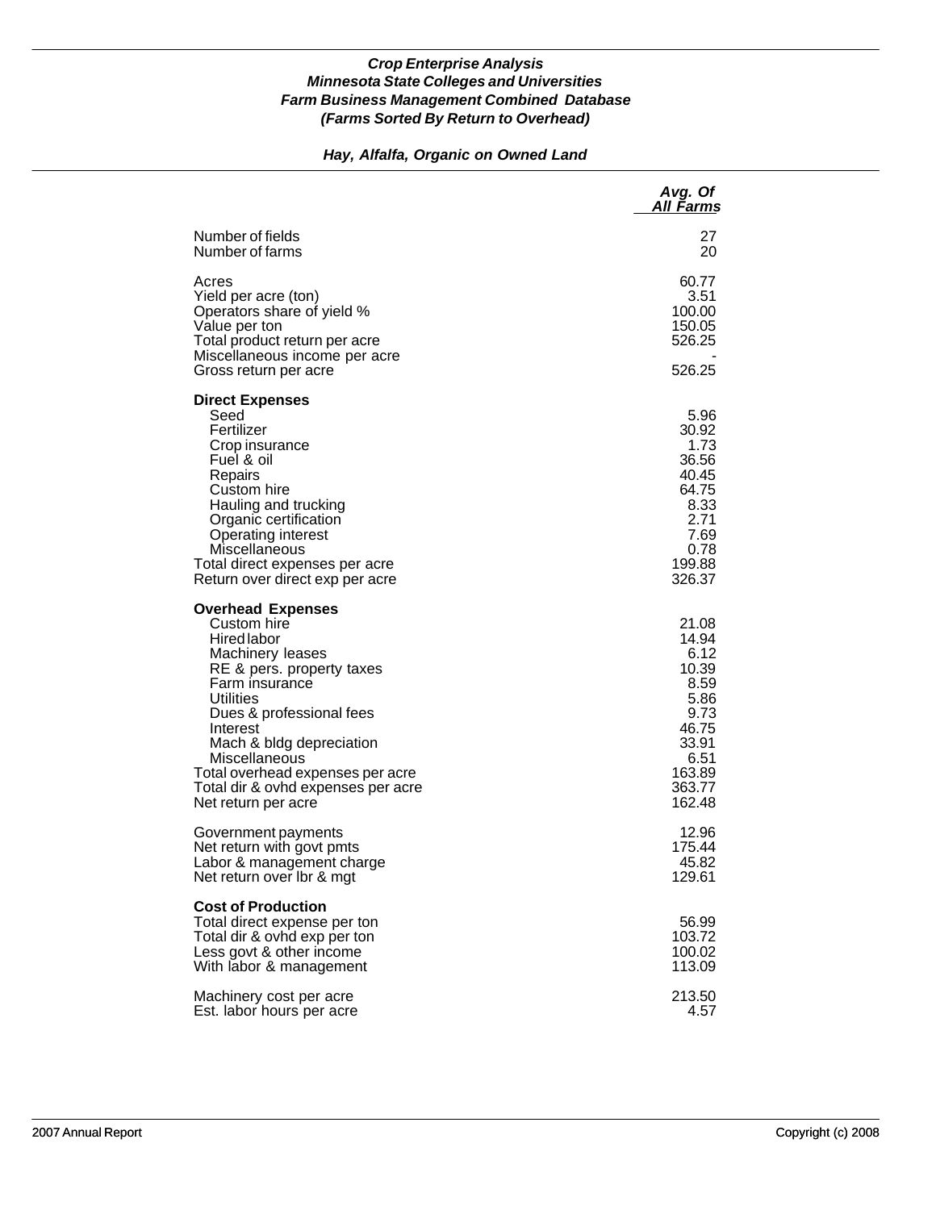## *Hay, Alfalfa, Organic on Owned Land*

|                                                                                                                                                                                                                                                                                                                              | Avg. Of<br>All Farms                                                                                            |
|------------------------------------------------------------------------------------------------------------------------------------------------------------------------------------------------------------------------------------------------------------------------------------------------------------------------------|-----------------------------------------------------------------------------------------------------------------|
| Number of fields<br>Number of farms                                                                                                                                                                                                                                                                                          | 27<br>20                                                                                                        |
| Acres<br>Yield per acre (ton)<br>Operators share of yield %<br>Value per ton<br>Total product return per acre<br>Miscellaneous income per acre                                                                                                                                                                               | 60.77<br>3.51<br>100.00<br>150.05<br>526.25                                                                     |
| Gross return per acre                                                                                                                                                                                                                                                                                                        | 526.25                                                                                                          |
| <b>Direct Expenses</b><br>Seed<br>Fertilizer<br>Crop insurance<br>Fuel & oil<br>Repairs<br>Custom hire<br>Hauling and trucking<br>Organic certification<br>Operating interest<br>Miscellaneous<br>Total direct expenses per acre<br>Return over direct exp per acre                                                          | 5.96<br>30.92<br>1.73<br>36.56<br>40.45<br>64.75<br>8.33<br>2.71<br>7.69<br>0.78<br>199.88<br>326.37            |
| <b>Overhead Expenses</b><br>Custom hire<br>Hired labor<br>Machinery leases<br>RE & pers. property taxes<br>Farm insurance<br>Utilities<br>Dues & professional fees<br>Interest<br>Mach & bldg depreciation<br>Miscellaneous<br>Total overhead expenses per acre<br>Total dir & ovhd expenses per acre<br>Net return per acre | 21.08<br>14.94<br>6.12<br>10.39<br>8.59<br>5.86<br>9.73<br>46.75<br>33.91<br>6.51<br>163.89<br>363.77<br>162.48 |
| Government payments<br>Net return with govt pmts<br>Labor & management charge<br>Net return over Ibr & mgt                                                                                                                                                                                                                   | 12.96<br>175.44<br>45.82<br>129.61                                                                              |
| <b>Cost of Production</b><br>Total direct expense per ton<br>Total dir & ovhd exp per ton<br>Less govt & other income<br>With labor & management                                                                                                                                                                             | 56.99<br>103.72<br>100.02<br>113.09                                                                             |
| Machinery cost per acre<br>Est. labor hours per acre                                                                                                                                                                                                                                                                         | 213.50<br>4.57                                                                                                  |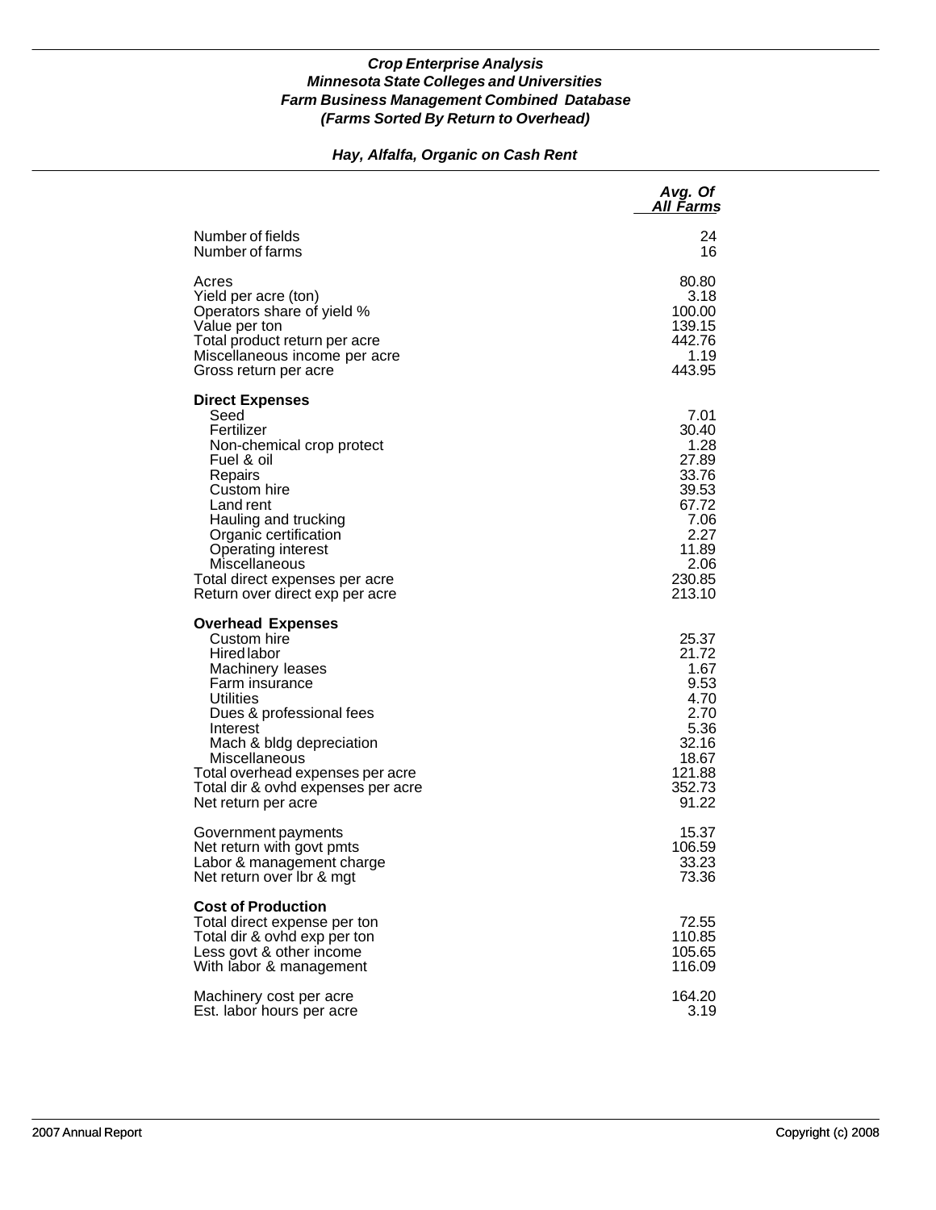## *Hay, Alfalfa, Organic on Cash Rent*

|                                                                                                                                                                                                                                                                                                 | Avg. Of<br>All Farms                                                                                           |
|-------------------------------------------------------------------------------------------------------------------------------------------------------------------------------------------------------------------------------------------------------------------------------------------------|----------------------------------------------------------------------------------------------------------------|
| Number of fields                                                                                                                                                                                                                                                                                | 24                                                                                                             |
| Number of farms                                                                                                                                                                                                                                                                                 | 16                                                                                                             |
| Acres                                                                                                                                                                                                                                                                                           | 80.80                                                                                                          |
| Yield per acre (ton)                                                                                                                                                                                                                                                                            | 3.18                                                                                                           |
| Operators share of yield %                                                                                                                                                                                                                                                                      | 100.00                                                                                                         |
| Value per ton                                                                                                                                                                                                                                                                                   | 139.15                                                                                                         |
| Total product return per acre                                                                                                                                                                                                                                                                   | 442.76                                                                                                         |
| Miscellaneous income per acre                                                                                                                                                                                                                                                                   | 1.19                                                                                                           |
| Gross return per acre                                                                                                                                                                                                                                                                           | 443.95                                                                                                         |
| <b>Direct Expenses</b><br>Seed<br>Fertilizer<br>Non-chemical crop protect<br>Fuel & oil<br>Repairs<br>Custom hire<br>Land rent<br>Hauling and trucking<br>Organic certification<br>Operating interest<br>Miscellaneous<br>Total direct expenses per acre<br>Return over direct exp per acre     | 7.01<br>30.40<br>1.28<br>27.89<br>33.76<br>39.53<br>67.72<br>7.06<br>2.27<br>11.89<br>2.06<br>230.85<br>213.10 |
| <b>Overhead Expenses</b><br>Custom hire<br>Hired labor<br>Machinery leases<br>Farm insurance<br>Utilities<br>Dues & professional fees<br>Interest<br>Mach & bldg depreciation<br>Miscellaneous<br>Total overhead expenses per acre<br>Total dir & ovhd expenses per acre<br>Net return per acre | 25.37<br>21.72<br>1.67<br>9.53<br>4.70<br>2.70<br>5.36<br>32.16<br>18.67<br>121.88<br>352.73<br>91.22          |
| Government payments                                                                                                                                                                                                                                                                             | 15.37                                                                                                          |
| Net return with govt pmts                                                                                                                                                                                                                                                                       | 106.59                                                                                                         |
| Labor & management charge                                                                                                                                                                                                                                                                       | 33.23                                                                                                          |
| Net return over Ibr & mgt                                                                                                                                                                                                                                                                       | 73.36                                                                                                          |
| <b>Cost of Production</b><br>Total direct expense per ton<br>Total dir & ovhd exp per ton<br>Less govt & other income<br>With labor & management                                                                                                                                                | 72.55<br>110.85<br>105.65<br>116.09                                                                            |
| Machinery cost per acre                                                                                                                                                                                                                                                                         | 164.20                                                                                                         |
| Est. labor hours per acre                                                                                                                                                                                                                                                                       | 3.19                                                                                                           |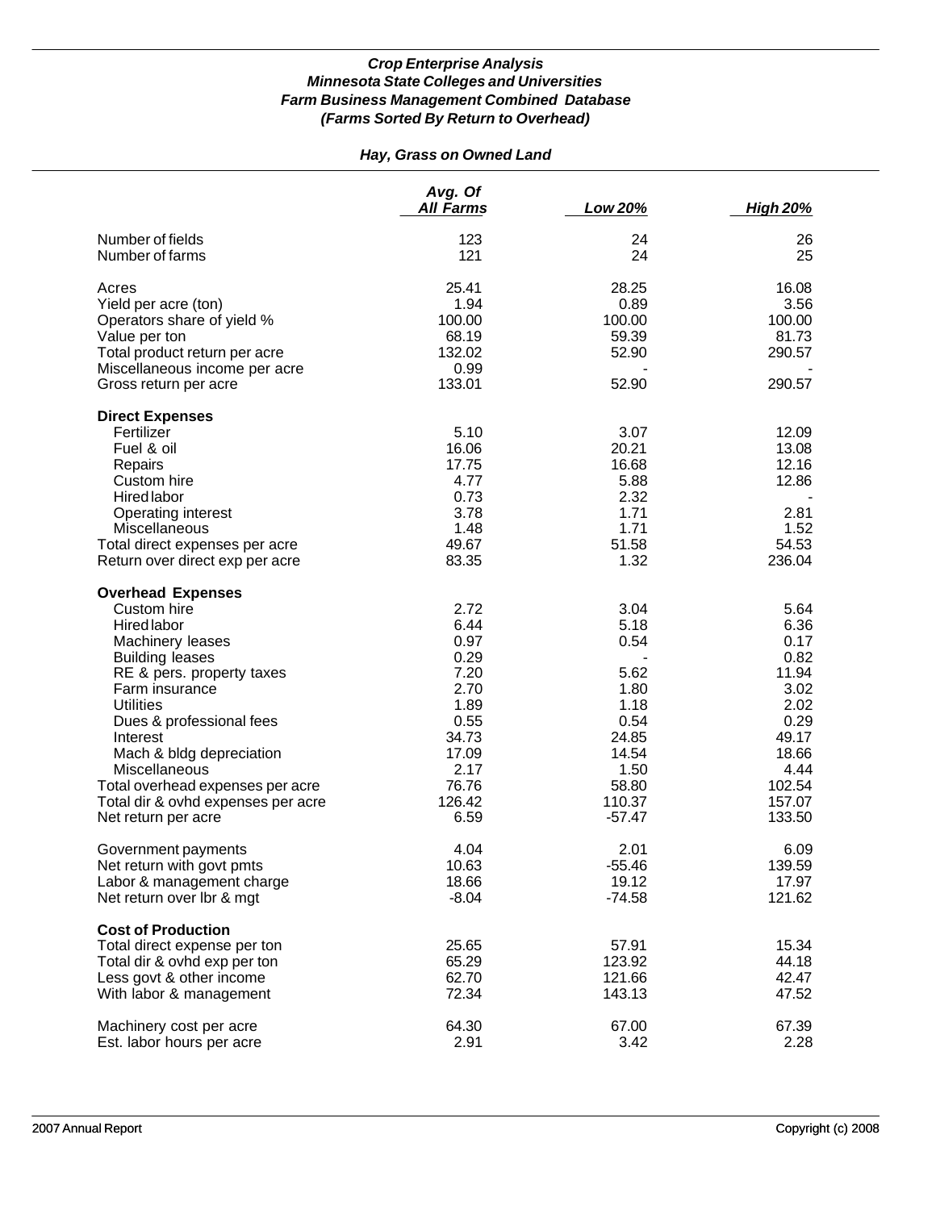# *Hay, Grass on Owned Land*

|                                    | Avg. Of<br><b>All Farms</b> | Low 20%  | <b>High 20%</b> |
|------------------------------------|-----------------------------|----------|-----------------|
| Number of fields                   | 123                         | 24       | 26              |
| Number of farms                    | 121                         | 24       | 25              |
| Acres                              | 25.41                       | 28.25    | 16.08           |
| Yield per acre (ton)               | 1.94                        | 0.89     | 3.56            |
| Operators share of yield %         | 100.00                      | 100.00   | 100.00          |
| Value per ton                      | 68.19                       | 59.39    | 81.73           |
| Total product return per acre      | 132.02                      | 52.90    | 290.57          |
| Miscellaneous income per acre      | 0.99                        |          |                 |
| Gross return per acre              | 133.01                      | 52.90    | 290.57          |
| <b>Direct Expenses</b>             |                             |          |                 |
| Fertilizer                         | 5.10                        | 3.07     | 12.09           |
| Fuel & oil                         | 16.06                       | 20.21    | 13.08           |
| Repairs                            | 17.75                       | 16.68    | 12.16           |
| Custom hire                        | 4.77                        | 5.88     | 12.86           |
| Hired labor                        | 0.73                        | 2.32     |                 |
| Operating interest                 | 3.78                        | 1.71     | 2.81            |
| Miscellaneous                      | 1.48                        | 1.71     | 1.52            |
| Total direct expenses per acre     | 49.67                       | 51.58    | 54.53           |
| Return over direct exp per acre    | 83.35                       | 1.32     | 236.04          |
| <b>Overhead Expenses</b>           |                             |          |                 |
| Custom hire                        | 2.72                        | 3.04     | 5.64            |
| Hired labor                        | 6.44                        | 5.18     | 6.36            |
| Machinery leases                   | 0.97                        | 0.54     | 0.17            |
| <b>Building leases</b>             | 0.29                        |          | 0.82            |
| RE & pers. property taxes          | 7.20                        | 5.62     | 11.94           |
| Farm insurance                     | 2.70                        | 1.80     | 3.02            |
| <b>Utilities</b>                   | 1.89                        | 1.18     | 2.02            |
| Dues & professional fees           | 0.55                        | 0.54     | 0.29            |
| Interest                           | 34.73                       | 24.85    | 49.17           |
| Mach & bldg depreciation           | 17.09                       | 14.54    | 18.66           |
| Miscellaneous                      | 2.17                        | 1.50     | 4.44            |
| Total overhead expenses per acre   | 76.76                       | 58.80    | 102.54          |
| Total dir & ovhd expenses per acre | 126.42                      | 110.37   | 157.07          |
| Net return per acre                | 6.59                        | $-57.47$ | 133.50          |
| Government payments                | 4.04                        | 2.01     | 6.09            |
| Net return with govt pmts          | 10.63                       | $-55.46$ | 139.59          |
| Labor & management charge          | 18.66                       | 19.12    | 17.97           |
| Net return over lbr & mgt          | $-8.04$                     | $-74.58$ | 121.62          |
| <b>Cost of Production</b>          |                             |          |                 |
| Total direct expense per ton       | 25.65                       | 57.91    | 15.34           |
| Total dir & ovhd exp per ton       | 65.29                       | 123.92   | 44.18           |
| Less govt & other income           | 62.70                       | 121.66   | 42.47           |
| With labor & management            | 72.34                       | 143.13   | 47.52           |
| Machinery cost per acre            | 64.30                       | 67.00    | 67.39           |
| Est. labor hours per acre          | 2.91                        | 3.42     | 2.28            |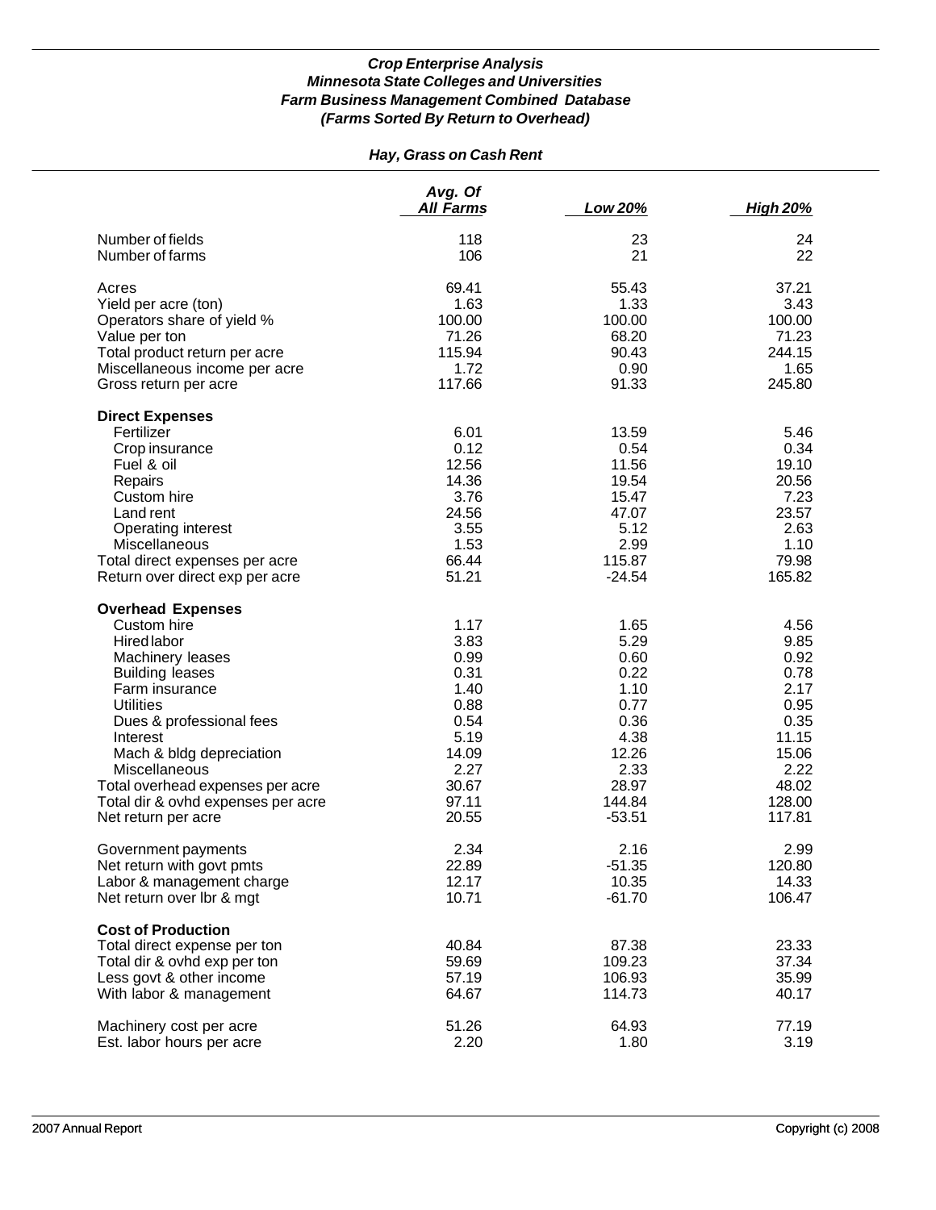## *Hay, Grass on Cash Rent*

|                                                                                                                                                                                                                                                                                                                                  | Avg. Of<br><b>All Farms</b>                                                                              | Low 20%                                                                                                      | <b>High 20%</b>                                                                                             |
|----------------------------------------------------------------------------------------------------------------------------------------------------------------------------------------------------------------------------------------------------------------------------------------------------------------------------------|----------------------------------------------------------------------------------------------------------|--------------------------------------------------------------------------------------------------------------|-------------------------------------------------------------------------------------------------------------|
| Number of fields                                                                                                                                                                                                                                                                                                                 | 118                                                                                                      | 23                                                                                                           | 24                                                                                                          |
| Number of farms                                                                                                                                                                                                                                                                                                                  | 106                                                                                                      | 21                                                                                                           | 22                                                                                                          |
| Acres                                                                                                                                                                                                                                                                                                                            | 69.41                                                                                                    | 55.43                                                                                                        | 37.21                                                                                                       |
| Yield per acre (ton)                                                                                                                                                                                                                                                                                                             | 1.63                                                                                                     | 1.33                                                                                                         | 3.43                                                                                                        |
| Operators share of yield %                                                                                                                                                                                                                                                                                                       | 100.00                                                                                                   | 100.00                                                                                                       | 100.00                                                                                                      |
| Value per ton                                                                                                                                                                                                                                                                                                                    | 71.26                                                                                                    | 68.20                                                                                                        | 71.23                                                                                                       |
| Total product return per acre                                                                                                                                                                                                                                                                                                    | 115.94                                                                                                   | 90.43                                                                                                        | 244.15                                                                                                      |
| Miscellaneous income per acre                                                                                                                                                                                                                                                                                                    | 1.72                                                                                                     | 0.90                                                                                                         | 1.65                                                                                                        |
| Gross return per acre                                                                                                                                                                                                                                                                                                            | 117.66                                                                                                   | 91.33                                                                                                        | 245.80                                                                                                      |
| <b>Direct Expenses</b><br>Fertilizer<br>Crop insurance<br>Fuel & oil<br>Repairs<br>Custom hire<br>Land rent<br>Operating interest<br>Miscellaneous<br>Total direct expenses per acre<br>Return over direct exp per acre                                                                                                          | 6.01<br>0.12<br>12.56<br>14.36<br>3.76<br>24.56<br>3.55<br>1.53<br>66.44<br>51.21                        | 13.59<br>0.54<br>11.56<br>19.54<br>15.47<br>47.07<br>5.12<br>2.99<br>115.87<br>$-24.54$                      | 5.46<br>0.34<br>19.10<br>20.56<br>7.23<br>23.57<br>2.63<br>1.10<br>79.98<br>165.82                          |
| <b>Overhead Expenses</b><br>Custom hire<br>Hired labor<br>Machinery leases<br><b>Building leases</b><br>Farm insurance<br><b>Utilities</b><br>Dues & professional fees<br>Interest<br>Mach & bldg depreciation<br>Miscellaneous<br>Total overhead expenses per acre<br>Total dir & ovhd expenses per acre<br>Net return per acre | 1.17<br>3.83<br>0.99<br>0.31<br>1.40<br>0.88<br>0.54<br>5.19<br>14.09<br>2.27<br>30.67<br>97.11<br>20.55 | 1.65<br>5.29<br>0.60<br>0.22<br>1.10<br>0.77<br>0.36<br>4.38<br>12.26<br>2.33<br>28.97<br>144.84<br>$-53.51$ | 4.56<br>9.85<br>0.92<br>0.78<br>2.17<br>0.95<br>0.35<br>11.15<br>15.06<br>2.22<br>48.02<br>128.00<br>117.81 |
| Government payments                                                                                                                                                                                                                                                                                                              | 2.34                                                                                                     | 2.16                                                                                                         | 2.99                                                                                                        |
| Net return with govt pmts                                                                                                                                                                                                                                                                                                        | 22.89                                                                                                    | $-51.35$                                                                                                     | 120.80                                                                                                      |
| Labor & management charge                                                                                                                                                                                                                                                                                                        | 12.17                                                                                                    | 10.35                                                                                                        | 14.33                                                                                                       |
| Net return over lbr & mgt                                                                                                                                                                                                                                                                                                        | 10.71                                                                                                    | $-61.70$                                                                                                     | 106.47                                                                                                      |
| <b>Cost of Production</b><br>Total direct expense per ton<br>Total dir & ovhd exp per ton<br>Less govt & other income<br>With labor & management                                                                                                                                                                                 | 40.84<br>59.69<br>57.19<br>64.67                                                                         | 87.38<br>109.23<br>106.93<br>114.73                                                                          | 23.33<br>37.34<br>35.99<br>40.17                                                                            |
| Machinery cost per acre                                                                                                                                                                                                                                                                                                          | 51.26                                                                                                    | 64.93                                                                                                        | 77.19                                                                                                       |
| Est. labor hours per acre                                                                                                                                                                                                                                                                                                        | 2.20                                                                                                     | 1.80                                                                                                         | 3.19                                                                                                        |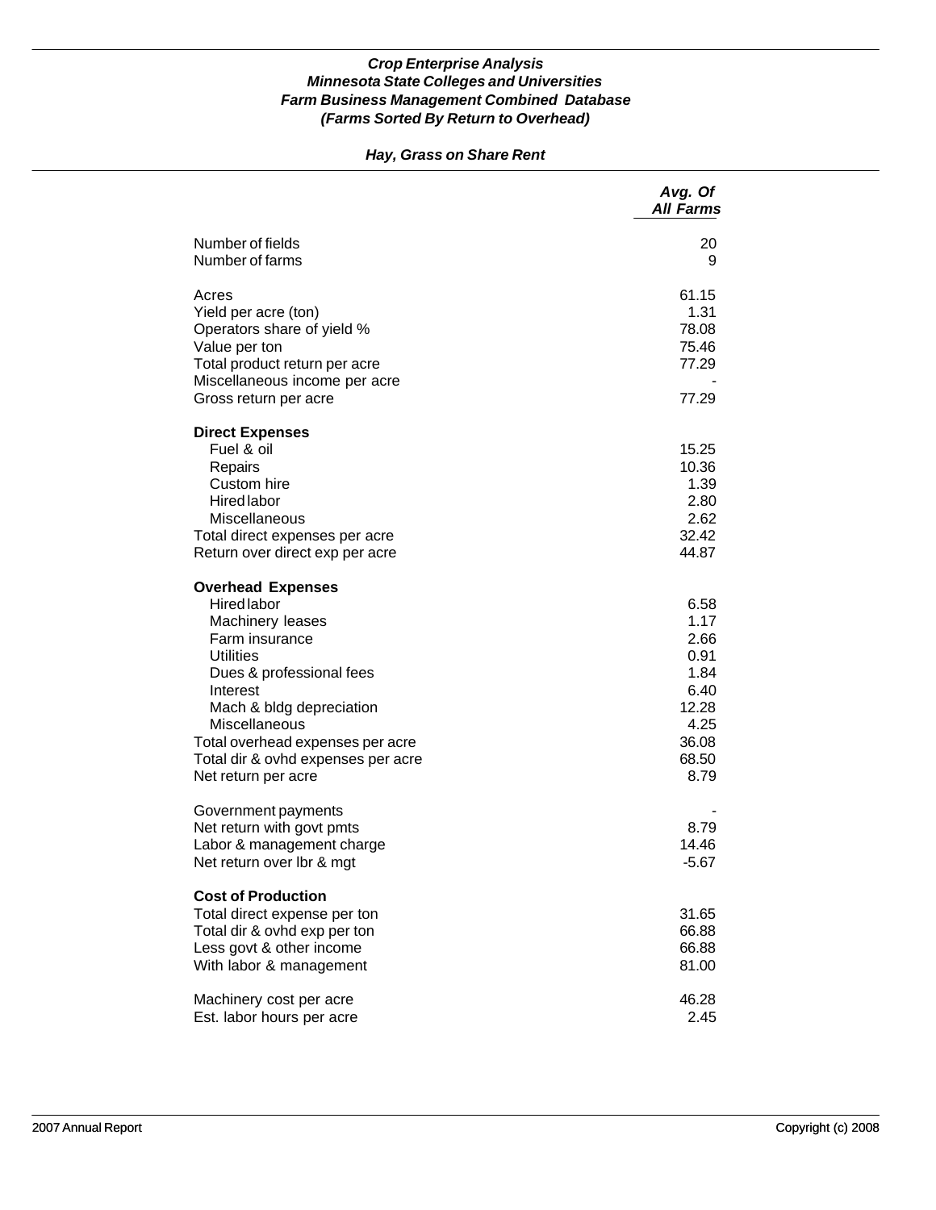## *Hay, Grass on Share Rent*

|                                                                                                                                                                                                                                                                                                | Avg. Of<br><b>All Farms</b>                                                             |
|------------------------------------------------------------------------------------------------------------------------------------------------------------------------------------------------------------------------------------------------------------------------------------------------|-----------------------------------------------------------------------------------------|
| Number of fields<br>Number of farms                                                                                                                                                                                                                                                            | 20<br>9                                                                                 |
| Acres<br>Yield per acre (ton)<br>Operators share of yield %<br>Value per ton<br>Total product return per acre<br>Miscellaneous income per acre<br>Gross return per acre                                                                                                                        | 61.15<br>1.31<br>78.08<br>75.46<br>77.29<br>77.29                                       |
| <b>Direct Expenses</b><br>Fuel & oil<br>Repairs<br>Custom hire<br><b>Hired labor</b><br>Miscellaneous<br>Total direct expenses per acre<br>Return over direct exp per acre                                                                                                                     | 15.25<br>10.36<br>1.39<br>2.80<br>2.62<br>32.42<br>44.87                                |
| <b>Overhead Expenses</b><br><b>Hired labor</b><br>Machinery leases<br>Farm insurance<br><b>Utilities</b><br>Dues & professional fees<br>Interest<br>Mach & bldg depreciation<br>Miscellaneous<br>Total overhead expenses per acre<br>Total dir & ovhd expenses per acre<br>Net return per acre | 6.58<br>1.17<br>2.66<br>0.91<br>1.84<br>6.40<br>12.28<br>4.25<br>36.08<br>68.50<br>8.79 |
| Government payments<br>Net return with govt pmts<br>Labor & management charge<br>Net return over Ibr & mgt                                                                                                                                                                                     | 8.79<br>14.46<br>$-5.67$                                                                |
| <b>Cost of Production</b><br>Total direct expense per ton<br>Total dir & ovhd exp per ton<br>Less govt & other income<br>With labor & management                                                                                                                                               | 31.65<br>66.88<br>66.88<br>81.00                                                        |
| Machinery cost per acre<br>Est. labor hours per acre                                                                                                                                                                                                                                           | 46.28<br>2.45                                                                           |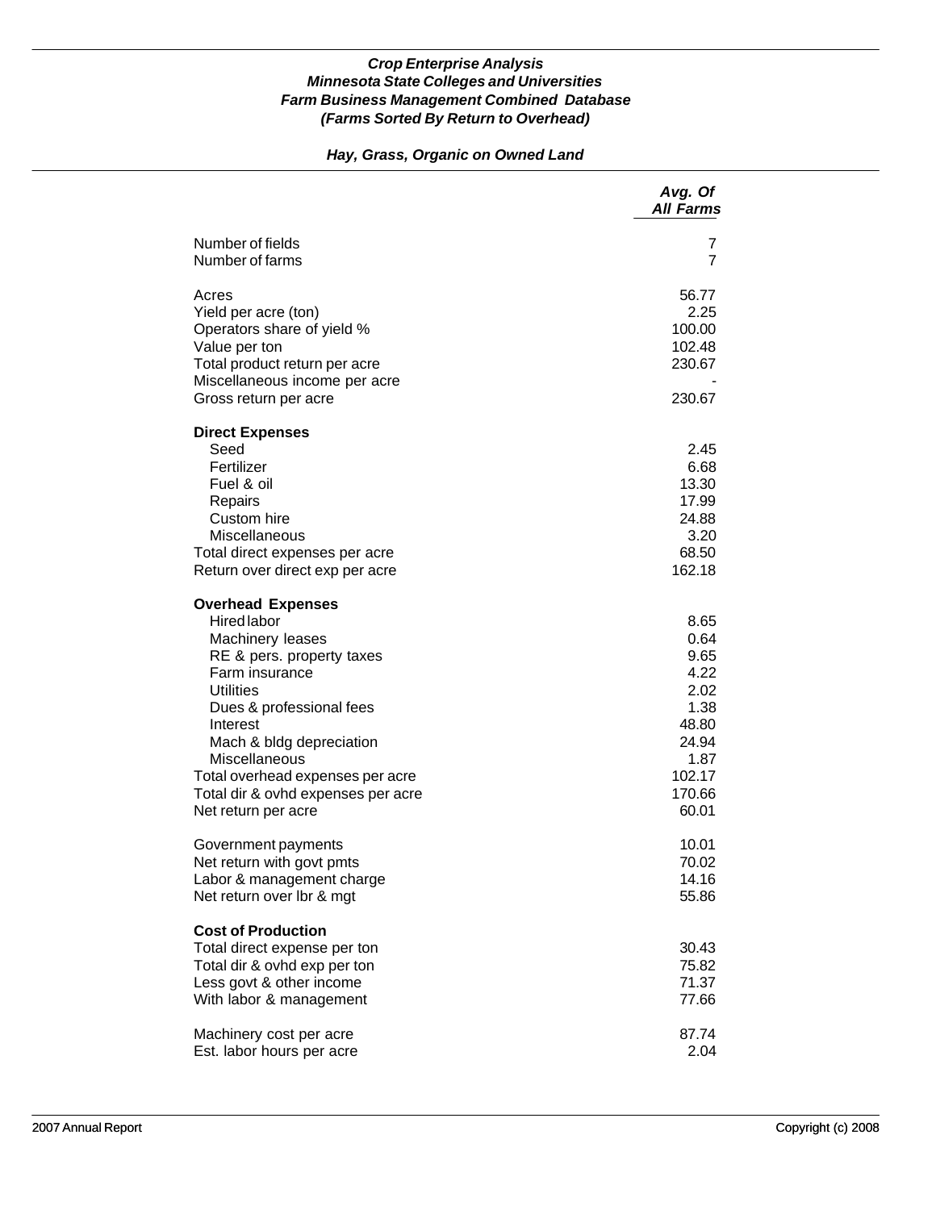## *Hay, Grass, Organic on Owned Land*

|                                                                                                                                                                                                                                                                                                                             | Avg. Of<br><b>All Farms</b>                                                                         |
|-----------------------------------------------------------------------------------------------------------------------------------------------------------------------------------------------------------------------------------------------------------------------------------------------------------------------------|-----------------------------------------------------------------------------------------------------|
| Number of fields<br>Number of farms                                                                                                                                                                                                                                                                                         | 7<br>7                                                                                              |
| Acres<br>Yield per acre (ton)<br>Operators share of yield %<br>Value per ton<br>Total product return per acre<br>Miscellaneous income per acre<br>Gross return per acre                                                                                                                                                     | 56.77<br>2.25<br>100.00<br>102.48<br>230.67<br>230.67                                               |
| <b>Direct Expenses</b><br>Seed<br>Fertilizer<br>Fuel & oil<br>Repairs<br>Custom hire<br>Miscellaneous<br>Total direct expenses per acre<br>Return over direct exp per acre                                                                                                                                                  | 2.45<br>6.68<br>13.30<br>17.99<br>24.88<br>3.20<br>68.50<br>162.18                                  |
| <b>Overhead Expenses</b><br><b>Hired labor</b><br>Machinery leases<br>RE & pers. property taxes<br>Farm insurance<br><b>Utilities</b><br>Dues & professional fees<br>Interest<br>Mach & bldg depreciation<br>Miscellaneous<br>Total overhead expenses per acre<br>Total dir & ovhd expenses per acre<br>Net return per acre | 8.65<br>0.64<br>9.65<br>4.22<br>2.02<br>1.38<br>48.80<br>24.94<br>1.87<br>102.17<br>170.66<br>60.01 |
| Government payments<br>Net return with govt pmts<br>Labor & management charge<br>Net return over lbr & mgt                                                                                                                                                                                                                  | 10.01<br>70.02<br>14.16<br>55.86                                                                    |
| <b>Cost of Production</b><br>Total direct expense per ton<br>Total dir & ovhd exp per ton<br>Less govt & other income<br>With labor & management                                                                                                                                                                            | 30.43<br>75.82<br>71.37<br>77.66                                                                    |
| Machinery cost per acre<br>Est. labor hours per acre                                                                                                                                                                                                                                                                        | 87.74<br>2.04                                                                                       |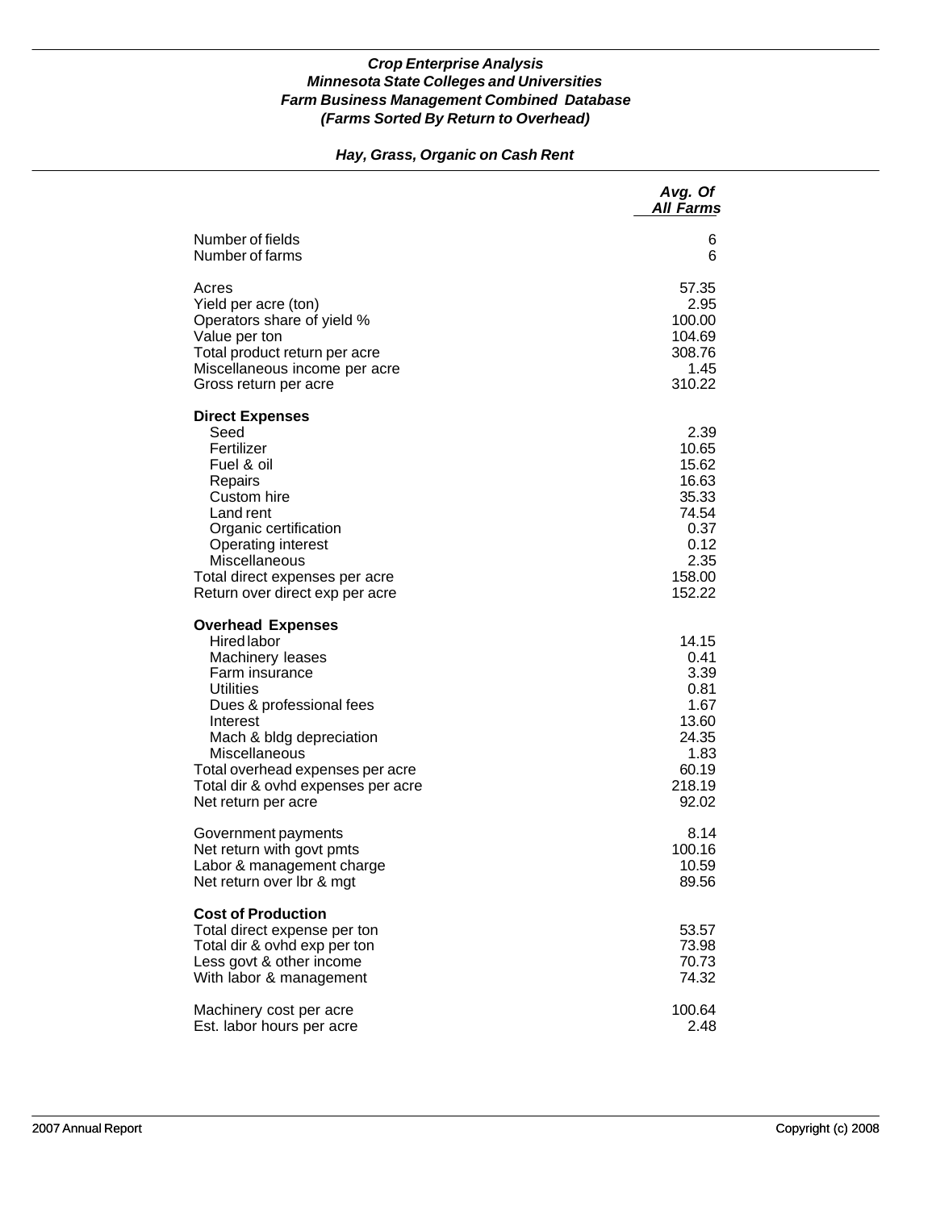## *Hay, Grass, Organic on Cash Rent*

|                                                                                                                                                                                                                                                                                                | Avg. Of<br><b>All Farms</b>                                                                   |
|------------------------------------------------------------------------------------------------------------------------------------------------------------------------------------------------------------------------------------------------------------------------------------------------|-----------------------------------------------------------------------------------------------|
| Number of fields                                                                                                                                                                                                                                                                               | 6                                                                                             |
| Number of farms                                                                                                                                                                                                                                                                                | 6                                                                                             |
| Acres                                                                                                                                                                                                                                                                                          | 57.35                                                                                         |
| Yield per acre (ton)                                                                                                                                                                                                                                                                           | 2.95                                                                                          |
| Operators share of yield %                                                                                                                                                                                                                                                                     | 100.00                                                                                        |
| Value per ton                                                                                                                                                                                                                                                                                  | 104.69                                                                                        |
| Total product return per acre                                                                                                                                                                                                                                                                  | 308.76                                                                                        |
| Miscellaneous income per acre                                                                                                                                                                                                                                                                  | 1.45                                                                                          |
| Gross return per acre                                                                                                                                                                                                                                                                          | 310.22                                                                                        |
| <b>Direct Expenses</b><br>Seed<br>Fertilizer<br>Fuel & oil<br>Repairs<br>Custom hire<br>Land rent<br>Organic certification<br><b>Operating interest</b><br>Miscellaneous<br>Total direct expenses per acre<br>Return over direct exp per acre                                                  | 2.39<br>10.65<br>15.62<br>16.63<br>35.33<br>74.54<br>0.37<br>0.12<br>2.35<br>158.00<br>152.22 |
| <b>Overhead Expenses</b><br><b>Hired labor</b><br>Machinery leases<br>Farm insurance<br><b>Utilities</b><br>Dues & professional fees<br>Interest<br>Mach & bldg depreciation<br>Miscellaneous<br>Total overhead expenses per acre<br>Total dir & ovhd expenses per acre<br>Net return per acre | 14.15<br>0.41<br>3.39<br>0.81<br>1.67<br>13.60<br>24.35<br>1.83<br>60.19<br>218.19<br>92.02   |
| Government payments                                                                                                                                                                                                                                                                            | 8.14                                                                                          |
| Net return with govt pmts                                                                                                                                                                                                                                                                      | 100.16                                                                                        |
| Labor & management charge                                                                                                                                                                                                                                                                      | 10.59                                                                                         |
| Net return over Ibr & mgt                                                                                                                                                                                                                                                                      | 89.56                                                                                         |
| <b>Cost of Production</b><br>Total direct expense per ton<br>Total dir & ovhd exp per ton<br>Less govt & other income<br>With labor & management                                                                                                                                               | 53.57<br>73.98<br>70.73<br>74.32                                                              |
| Machinery cost per acre                                                                                                                                                                                                                                                                        | 100.64                                                                                        |
| Est. labor hours per acre                                                                                                                                                                                                                                                                      | 2.48                                                                                          |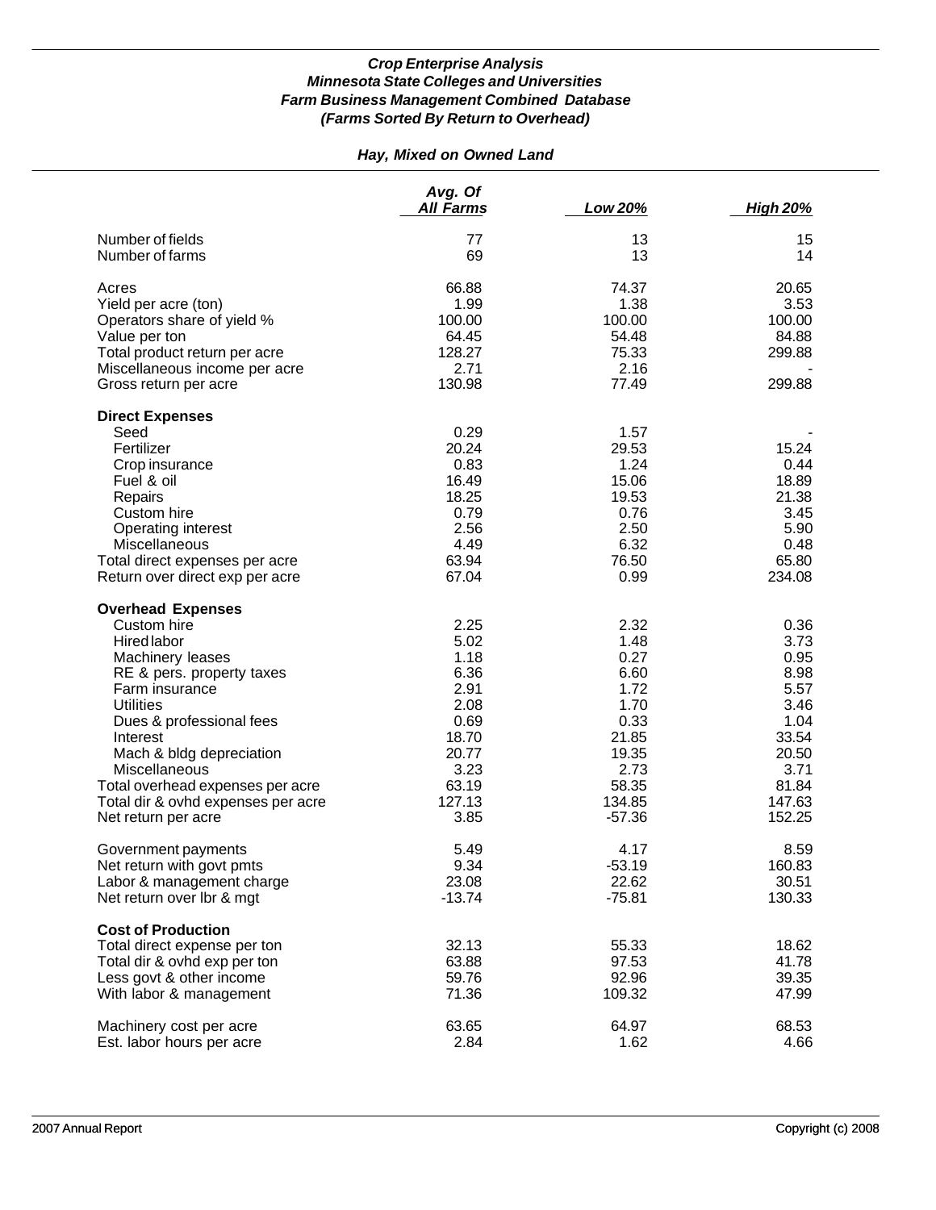## *Hay, Mixed on Owned Land*

|                                    | Avg. Of<br>All Farms | Low 20%  | <b>High 20%</b> |
|------------------------------------|----------------------|----------|-----------------|
| Number of fields                   | 77                   | 13       | 15              |
| Number of farms                    | 69                   | 13       | 14              |
| Acres                              | 66.88                | 74.37    | 20.65           |
| Yield per acre (ton)               | 1.99                 | 1.38     | 3.53            |
| Operators share of yield %         | 100.00               | 100.00   | 100.00          |
| Value per ton                      | 64.45                | 54.48    | 84.88           |
| Total product return per acre      | 128.27               | 75.33    | 299.88          |
| Miscellaneous income per acre      | 2.71                 | 2.16     |                 |
| Gross return per acre              | 130.98               | 77.49    | 299.88          |
| <b>Direct Expenses</b>             |                      |          |                 |
| Seed                               | 0.29                 | 1.57     |                 |
| Fertilizer                         | 20.24                | 29.53    | 15.24           |
| Crop insurance                     | 0.83                 | 1.24     | 0.44            |
| Fuel & oil                         | 16.49                | 15.06    | 18.89           |
| Repairs                            | 18.25                | 19.53    | 21.38           |
| Custom hire                        | 0.79                 | 0.76     | 3.45            |
| Operating interest                 | 2.56                 | 2.50     | 5.90            |
| Miscellaneous                      | 4.49                 | 6.32     | 0.48            |
| Total direct expenses per acre     | 63.94                | 76.50    | 65.80           |
| Return over direct exp per acre    | 67.04                | 0.99     | 234.08          |
| <b>Overhead Expenses</b>           |                      |          |                 |
| Custom hire                        | 2.25                 | 2.32     | 0.36            |
| Hired labor                        | 5.02                 | 1.48     | 3.73            |
| Machinery leases                   | 1.18                 | 0.27     | 0.95            |
| RE & pers. property taxes          | 6.36                 | 6.60     | 8.98            |
| Farm insurance                     | 2.91                 | 1.72     | 5.57            |
| <b>Utilities</b>                   | 2.08                 | 1.70     | 3.46            |
| Dues & professional fees           | 0.69                 | 0.33     | 1.04            |
| Interest                           | 18.70                | 21.85    | 33.54           |
| Mach & bldg depreciation           | 20.77                | 19.35    | 20.50           |
| Miscellaneous                      | 3.23                 | 2.73     | 3.71            |
| Total overhead expenses per acre   | 63.19                | 58.35    | 81.84           |
| Total dir & ovhd expenses per acre | 127.13               | 134.85   | 147.63          |
| Net return per acre                | 3.85                 | $-57.36$ | 152.25          |
| Government payments                | 5.49                 | 4.17     | 8.59            |
| Net return with govt pmts          | 9.34                 | $-53.19$ | 160.83          |
| Labor & management charge          | 23.08                | 22.62    | 30.51           |
| Net return over lbr & mgt          | $-13.74$             | $-75.81$ | 130.33          |
| <b>Cost of Production</b>          |                      |          |                 |
| Total direct expense per ton       | 32.13                | 55.33    | 18.62           |
| Total dir & ovhd exp per ton       | 63.88                | 97.53    | 41.78           |
| Less govt & other income           | 59.76                | 92.96    | 39.35           |
| With labor & management            | 71.36                | 109.32   | 47.99           |
| Machinery cost per acre            | 63.65                | 64.97    | 68.53           |
| Est. labor hours per acre          | 2.84                 | 1.62     | 4.66            |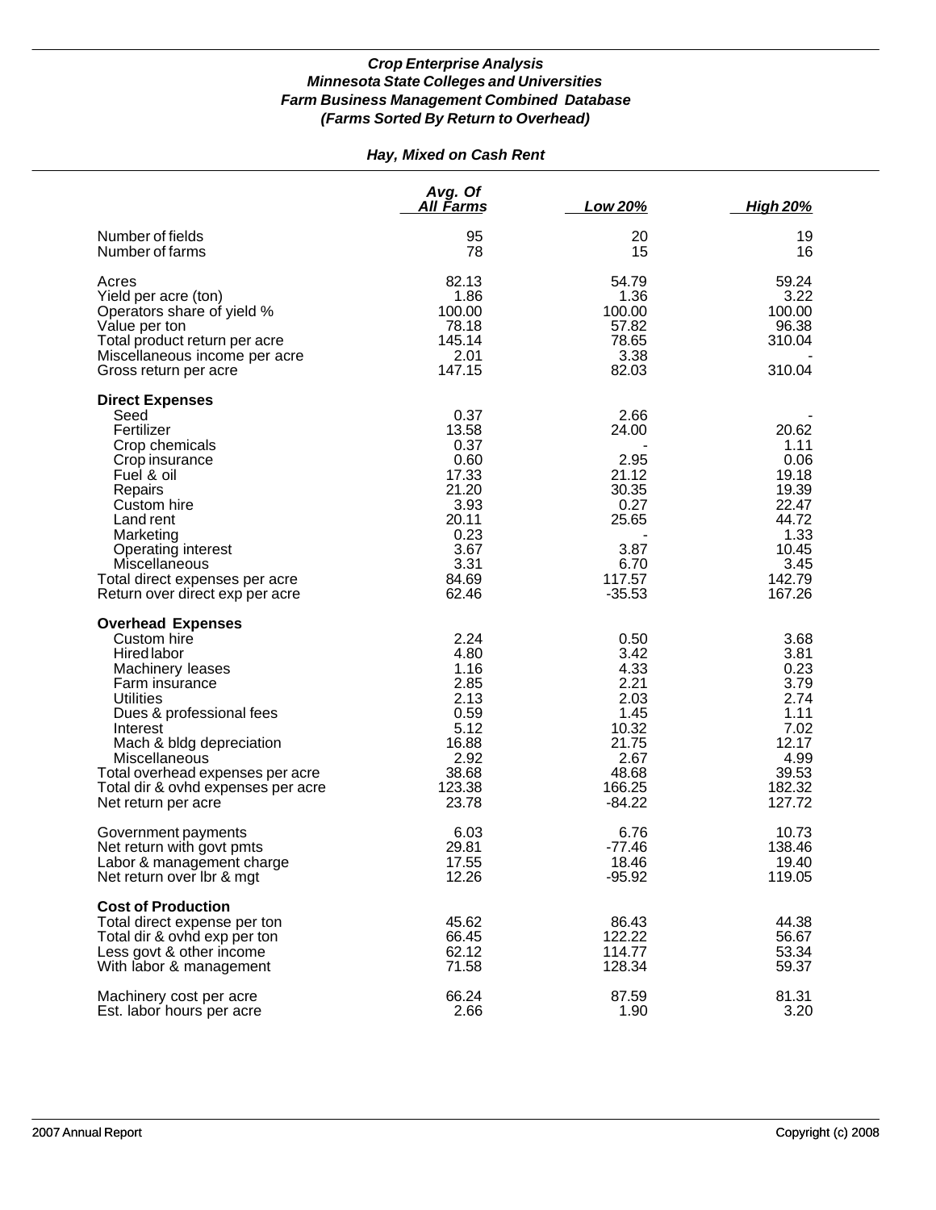## *Hay, Mixed on Cash Rent*

|                                                                                                                                                                                                                                                                                                               | Avg. Of<br><u>All Farms</u>                                                                                | Low 20%                                                                                               | <b>High 20%</b>                                                                                        |
|---------------------------------------------------------------------------------------------------------------------------------------------------------------------------------------------------------------------------------------------------------------------------------------------------------------|------------------------------------------------------------------------------------------------------------|-------------------------------------------------------------------------------------------------------|--------------------------------------------------------------------------------------------------------|
| Number of fields<br>Number of farms                                                                                                                                                                                                                                                                           | 95<br>78                                                                                                   | 20<br>15                                                                                              | 19<br>16                                                                                               |
| Acres<br>Yield per acre (ton)<br>Operators share of yield %<br>Value per ton<br>Total product return per acre<br>Miscellaneous income per acre<br>Gross return per acre                                                                                                                                       | 82.13<br>1.86<br>100.00<br>78.18<br>145.14<br>2.01<br>147.15                                               | 54.79<br>1.36<br>100.00<br>57.82<br>78.65<br>3.38<br>82.03                                            | 59.24<br>3.22<br>100.00<br>96.38<br>310.04<br>310.04                                                   |
| <b>Direct Expenses</b><br>Seed<br>Fertilizer<br>Crop chemicals<br>Crop insurance<br>Fuel & oil<br>Repairs<br>Custom hire<br>Land rent<br>Marketing<br>Operating interest<br>Miscellaneous<br>Total direct expenses per acre<br>Return over direct exp per acre                                                | 0.37<br>13.58<br>0.37<br>0.60<br>17.33<br>21.20<br>3.93<br>20.11<br>0.23<br>3.67<br>3.31<br>84.69<br>62.46 | 2.66<br>24.00<br>2.95<br>21.12<br>30.35<br>0.27<br>25.65<br>3.87<br>6.70<br>117.57<br>$-35.53$        | 20.62<br>1.11<br>0.06<br>19.18<br>19.39<br>22.47<br>44.72<br>1.33<br>10.45<br>3.45<br>142.79<br>167.26 |
| <b>Overhead Expenses</b><br>Custom hire<br><b>Hired labor</b><br>Machinery leases<br>Farm insurance<br><b>Utilities</b><br>Dues & professional fees<br>Interest<br>Mach & bldg depreciation<br>Miscellaneous<br>Total overhead expenses per acre<br>Total dir & ovhd expenses per acre<br>Net return per acre | 2.24<br>4.80<br>1.16<br>2.85<br>2.13<br>0.59<br>5.12<br>16.88<br>2.92<br>38.68<br>123.38<br>23.78          | 0.50<br>3.42<br>4.33<br>2.21<br>2.03<br>1.45<br>10.32<br>21.75<br>2.67<br>48.68<br>166.25<br>$-84.22$ | 3.68<br>3.81<br>0.23<br>3.79<br>2.74<br>1.11<br>7.02<br>12.17<br>4.99<br>39.53<br>182.32<br>127.72     |
| Government payments<br>Net return with govt pmts<br>Labor & management charge<br>Net return over Ibr & mgt                                                                                                                                                                                                    | 6.03<br>29.81<br>17.55<br>12.26                                                                            | 6.76<br>$-77.46$<br>18.46<br>$-95.92$                                                                 | 10.73<br>138.46<br>19.40<br>119.05                                                                     |
| <b>Cost of Production</b><br>Total direct expense per ton<br>Total dir & ovhd exp per ton<br>Less govt & other income<br>With labor & management                                                                                                                                                              | 45.62<br>66.45<br>62.12<br>71.58                                                                           | 86.43<br>122.22<br>114.77<br>128.34                                                                   | 44.38<br>56.67<br>53.34<br>59.37                                                                       |
| Machinery cost per acre<br>Est. labor hours per acre                                                                                                                                                                                                                                                          | 66.24<br>2.66                                                                                              | 87.59<br>1.90                                                                                         | 81.31<br>3.20                                                                                          |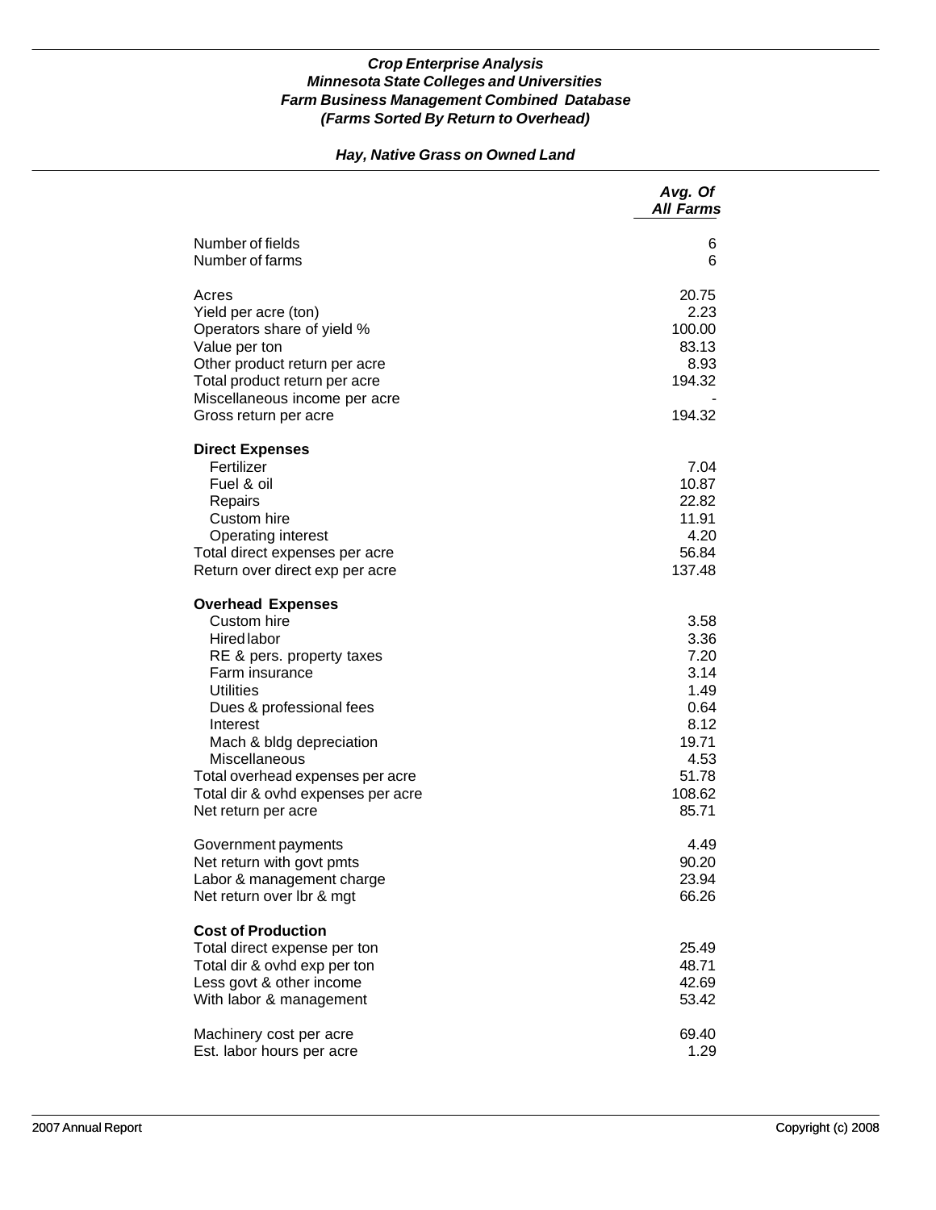## *Hay, Native Grass on Owned Land*

|                                                                                                                                                                                                                                                                                                                 | Avg. Of<br><b>All Farms</b>                                                                       |
|-----------------------------------------------------------------------------------------------------------------------------------------------------------------------------------------------------------------------------------------------------------------------------------------------------------------|---------------------------------------------------------------------------------------------------|
| Number of fields<br>Number of farms                                                                                                                                                                                                                                                                             | 6<br>6                                                                                            |
| Acres<br>Yield per acre (ton)<br>Operators share of yield %<br>Value per ton<br>Other product return per acre<br>Total product return per acre<br>Miscellaneous income per acre<br>Gross return per acre                                                                                                        | 20.75<br>2.23<br>100.00<br>83.13<br>8.93<br>194.32<br>194.32                                      |
| <b>Direct Expenses</b><br>Fertilizer<br>Fuel & oil<br>Repairs<br>Custom hire<br>Operating interest<br>Total direct expenses per acre<br>Return over direct exp per acre                                                                                                                                         | 7.04<br>10.87<br>22.82<br>11.91<br>4.20<br>56.84<br>137.48                                        |
| <b>Overhead Expenses</b><br>Custom hire<br>Hired labor<br>RE & pers. property taxes<br>Farm insurance<br><b>Utilities</b><br>Dues & professional fees<br>Interest<br>Mach & bldg depreciation<br>Miscellaneous<br>Total overhead expenses per acre<br>Total dir & ovhd expenses per acre<br>Net return per acre | 3.58<br>3.36<br>7.20<br>3.14<br>1.49<br>0.64<br>8.12<br>19.71<br>4.53<br>51.78<br>108.62<br>85.71 |
| Government payments<br>Net return with govt pmts<br>Labor & management charge<br>Net return over lbr & mgt                                                                                                                                                                                                      | 4.49<br>90.20<br>23.94<br>66.26                                                                   |
| <b>Cost of Production</b><br>Total direct expense per ton<br>Total dir & ovhd exp per ton<br>Less govt & other income<br>With labor & management                                                                                                                                                                | 25.49<br>48.71<br>42.69<br>53.42                                                                  |
| Machinery cost per acre<br>Est. labor hours per acre                                                                                                                                                                                                                                                            | 69.40<br>1.29                                                                                     |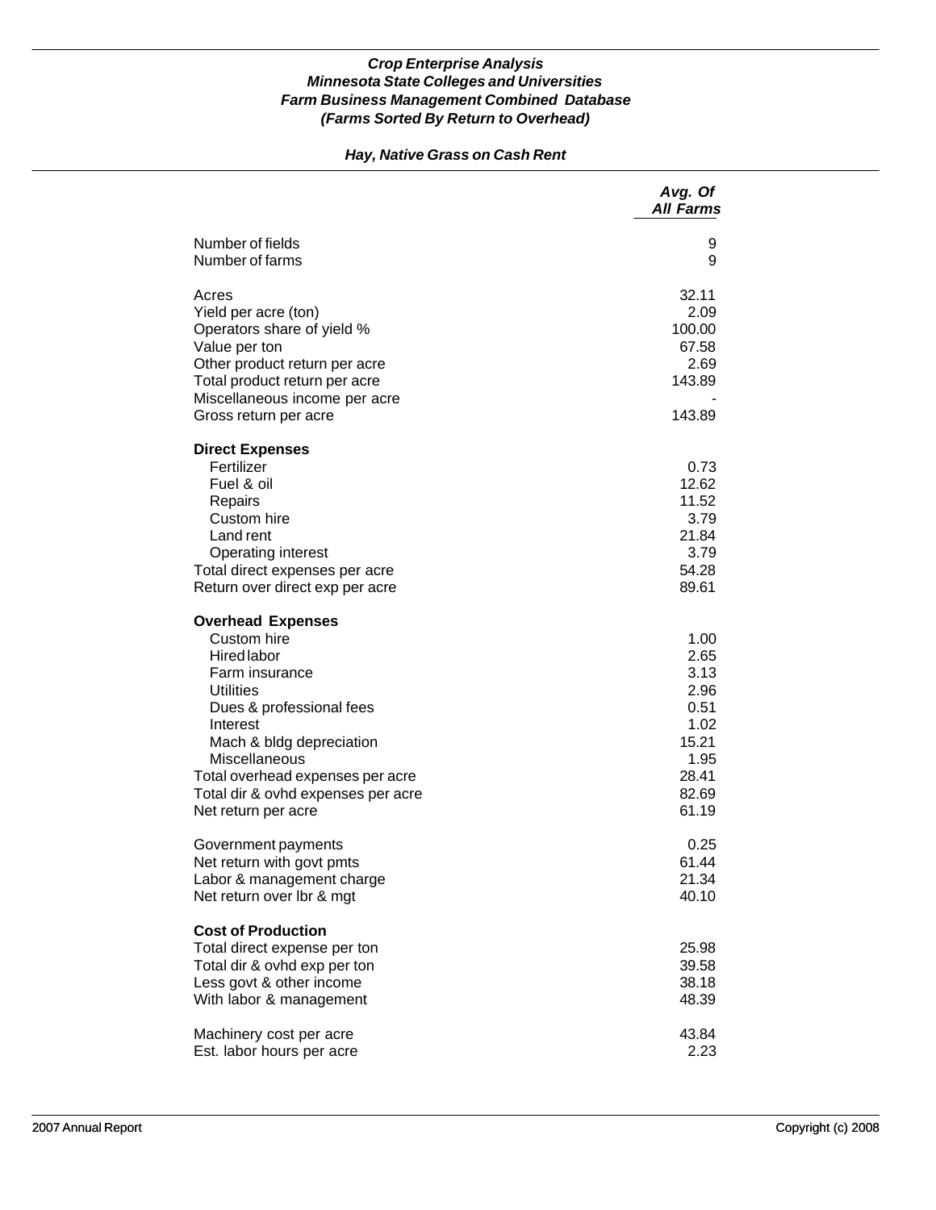## *Hay, Native Grass on Cash Rent*

|                                                                                                                                                                                                                                                                                    | Avg. Of<br><b>All Farms</b>                                                              |
|------------------------------------------------------------------------------------------------------------------------------------------------------------------------------------------------------------------------------------------------------------------------------------|------------------------------------------------------------------------------------------|
| Number of fields<br>Number of farms                                                                                                                                                                                                                                                | 9<br>9                                                                                   |
| Acres<br>Yield per acre (ton)<br>Operators share of yield %<br>Value per ton<br>Other product return per acre<br>Total product return per acre<br>Miscellaneous income per acre<br>Gross return per acre                                                                           | 32.11<br>2.09<br>100.00<br>67.58<br>2.69<br>143.89<br>143.89                             |
| <b>Direct Expenses</b><br>Fertilizer<br>Fuel & oil<br>Repairs<br>Custom hire<br>Land rent<br><b>Operating interest</b><br>Total direct expenses per acre<br>Return over direct exp per acre                                                                                        | 0.73<br>12.62<br>11.52<br>3.79<br>21.84<br>3.79<br>54.28<br>89.61                        |
| <b>Overhead Expenses</b><br>Custom hire<br>Hired labor<br>Farm insurance<br><b>Utilities</b><br>Dues & professional fees<br>Interest<br>Mach & bldg depreciation<br>Miscellaneous<br>Total overhead expenses per acre<br>Total dir & ovhd expenses per acre<br>Net return per acre | 1.00<br>2.65<br>3.13<br>2.96<br>0.51<br>1.02<br>15.21<br>1.95<br>28.41<br>82.69<br>61.19 |
| Government payments<br>Net return with govt pmts<br>Labor & management charge<br>Net return over lbr & mgt                                                                                                                                                                         | 0.25<br>61.44<br>21.34<br>40.10                                                          |
| <b>Cost of Production</b><br>Total direct expense per ton<br>Total dir & ovhd exp per ton<br>Less govt & other income<br>With labor & management                                                                                                                                   | 25.98<br>39.58<br>38.18<br>48.39                                                         |
| Machinery cost per acre<br>Est. labor hours per acre                                                                                                                                                                                                                               | 43.84<br>2.23                                                                            |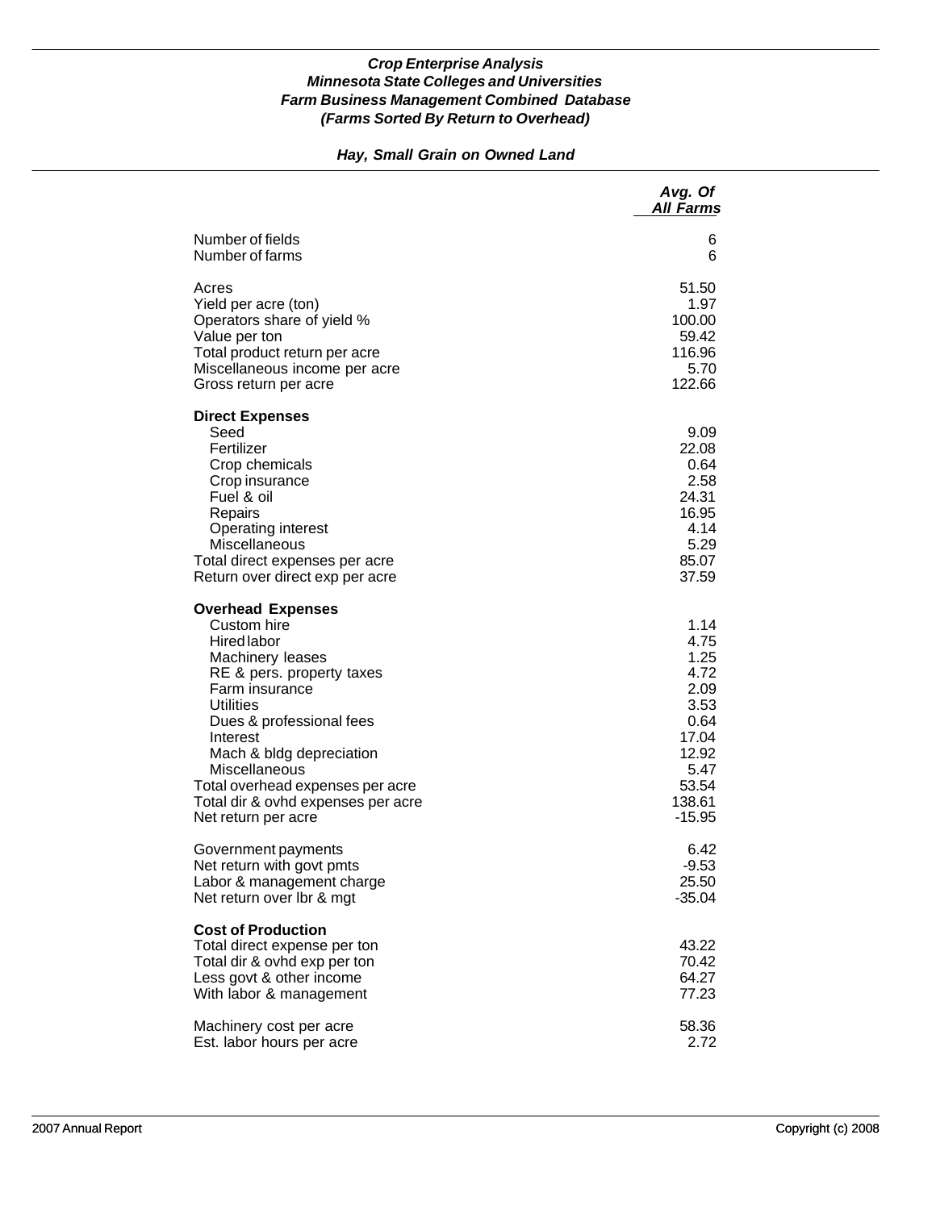## *Hay, Small Grain on Owned Land*

|                                                                                                                                                                                                                                                                                                                                            | Avg. Of<br><b>All Farms</b>                                                                                   |
|--------------------------------------------------------------------------------------------------------------------------------------------------------------------------------------------------------------------------------------------------------------------------------------------------------------------------------------------|---------------------------------------------------------------------------------------------------------------|
| Number of fields                                                                                                                                                                                                                                                                                                                           | 6                                                                                                             |
| Number of farms                                                                                                                                                                                                                                                                                                                            | 6                                                                                                             |
| Acres                                                                                                                                                                                                                                                                                                                                      | 51.50                                                                                                         |
| Yield per acre (ton)                                                                                                                                                                                                                                                                                                                       | 1.97                                                                                                          |
| Operators share of yield %                                                                                                                                                                                                                                                                                                                 | 100.00                                                                                                        |
| Value per ton                                                                                                                                                                                                                                                                                                                              | 59.42                                                                                                         |
| Total product return per acre                                                                                                                                                                                                                                                                                                              | 116.96                                                                                                        |
| Miscellaneous income per acre                                                                                                                                                                                                                                                                                                              | 5.70                                                                                                          |
| Gross return per acre                                                                                                                                                                                                                                                                                                                      | 122.66                                                                                                        |
| <b>Direct Expenses</b><br>Seed<br>Fertilizer<br>Crop chemicals<br>Crop insurance<br>Fuel & oil<br>Repairs<br>Operating interest<br>Miscellaneous<br>Total direct expenses per acre<br>Return over direct exp per acre                                                                                                                      | 9.09<br>22.08<br>0.64<br>2.58<br>24.31<br>16.95<br>4.14<br>5.29<br>85.07<br>37.59                             |
| <b>Overhead Expenses</b><br>Custom hire<br><b>Hired labor</b><br>Machinery leases<br>RE & pers. property taxes<br>Farm insurance<br><b>Utilities</b><br>Dues & professional fees<br>Interest<br>Mach & bldg depreciation<br>Miscellaneous<br>Total overhead expenses per acre<br>Total dir & ovhd expenses per acre<br>Net return per acre | 1.14<br>4.75<br>1.25<br>4.72<br>2.09<br>3.53<br>0.64<br>17.04<br>12.92<br>5.47<br>53.54<br>138.61<br>$-15.95$ |
| Government payments                                                                                                                                                                                                                                                                                                                        | 6.42                                                                                                          |
| Net return with govt pmts                                                                                                                                                                                                                                                                                                                  | $-9.53$                                                                                                       |
| Labor & management charge                                                                                                                                                                                                                                                                                                                  | 25.50                                                                                                         |
| Net return over Ibr & mgt                                                                                                                                                                                                                                                                                                                  | $-35.04$                                                                                                      |
| <b>Cost of Production</b><br>Total direct expense per ton<br>Total dir & ovhd exp per ton<br>Less govt & other income<br>With labor & management                                                                                                                                                                                           | 43.22<br>70.42<br>64.27<br>77.23                                                                              |
| Machinery cost per acre                                                                                                                                                                                                                                                                                                                    | 58.36                                                                                                         |
| Est. labor hours per acre                                                                                                                                                                                                                                                                                                                  | 2.72                                                                                                          |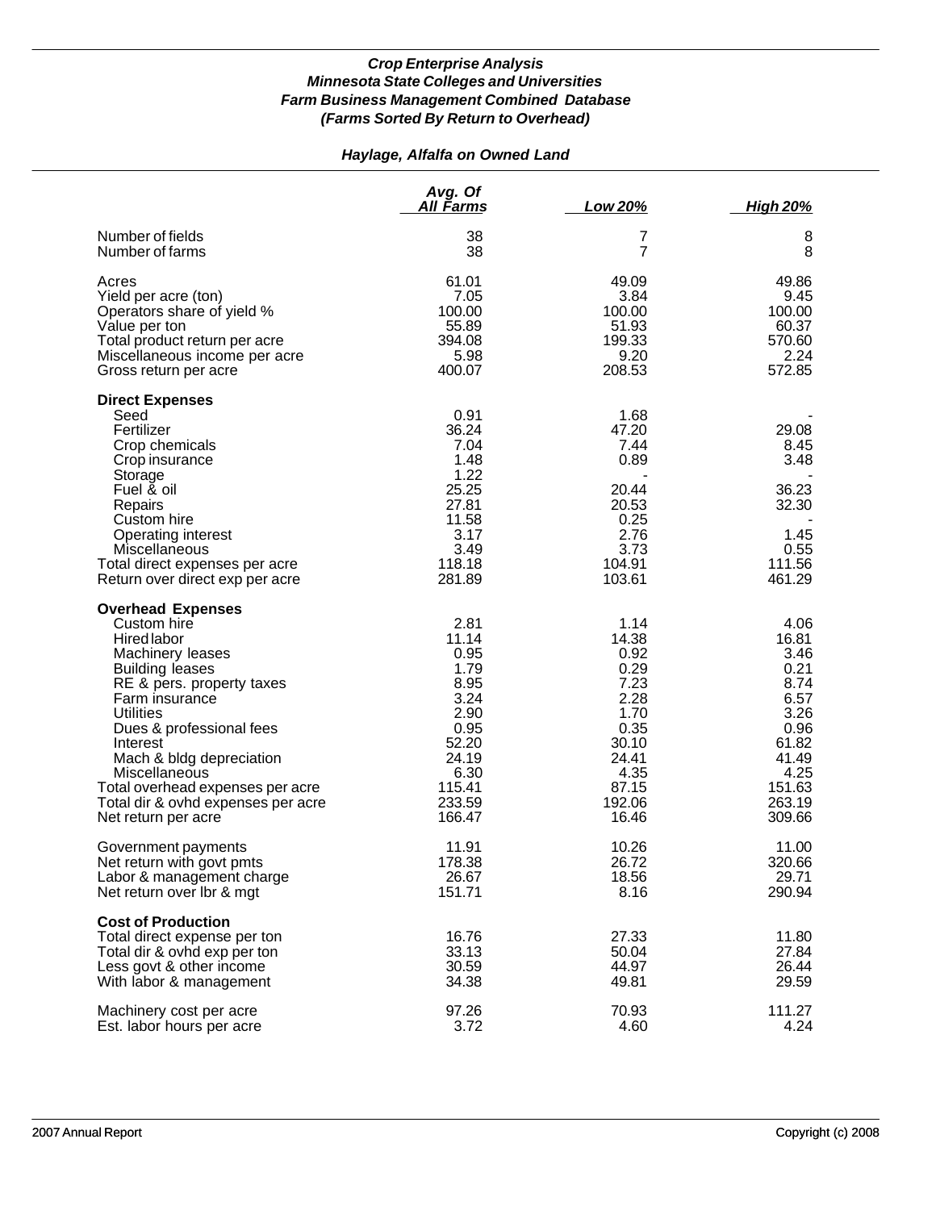## *Haylage, Alfalfa on Owned Land*

|                                                                                                                                                                                                                                                                                                                                                               | Avg. Of<br><u>All Farms</u>                                                                                           | Low 20%                                                                                                             | <b>High 20%</b>                                                                                                       |
|---------------------------------------------------------------------------------------------------------------------------------------------------------------------------------------------------------------------------------------------------------------------------------------------------------------------------------------------------------------|-----------------------------------------------------------------------------------------------------------------------|---------------------------------------------------------------------------------------------------------------------|-----------------------------------------------------------------------------------------------------------------------|
| Number of fields                                                                                                                                                                                                                                                                                                                                              | 38                                                                                                                    | 7                                                                                                                   | 8                                                                                                                     |
| Number of farms                                                                                                                                                                                                                                                                                                                                               | 38                                                                                                                    | $\overline{7}$                                                                                                      | 8                                                                                                                     |
| Acres                                                                                                                                                                                                                                                                                                                                                         | 61.01                                                                                                                 | 49.09                                                                                                               | 49.86                                                                                                                 |
| Yield per acre (ton)                                                                                                                                                                                                                                                                                                                                          | 7.05                                                                                                                  | 3.84                                                                                                                | 9.45                                                                                                                  |
| Operators share of yield %                                                                                                                                                                                                                                                                                                                                    | 100.00                                                                                                                | 100.00                                                                                                              | 100.00                                                                                                                |
| Value per ton                                                                                                                                                                                                                                                                                                                                                 | 55.89                                                                                                                 | 51.93                                                                                                               | 60.37                                                                                                                 |
| Total product return per acre                                                                                                                                                                                                                                                                                                                                 | 394.08                                                                                                                | 199.33                                                                                                              | 570.60                                                                                                                |
| Miscellaneous income per acre                                                                                                                                                                                                                                                                                                                                 | 5.98                                                                                                                  | 9.20                                                                                                                | 2.24                                                                                                                  |
| Gross return per acre                                                                                                                                                                                                                                                                                                                                         | 400.07                                                                                                                | 208.53                                                                                                              | 572.85                                                                                                                |
| <b>Direct Expenses</b><br>Seed<br>Fertilizer<br>Crop chemicals<br>Crop insurance<br>Storage<br>Fuel & oil<br>Repairs<br>Custom hire<br>Operating interest<br>Miscellaneous<br>Total direct expenses per acre<br>Return over direct exp per acre                                                                                                               | 0.91<br>36.24<br>7.04<br>1.48<br>1.22<br>25.25<br>27.81<br>11.58<br>3.17<br>3.49<br>118.18<br>281.89                  | 1.68<br>47.20<br>7.44<br>0.89<br>20.44<br>20.53<br>0.25<br>2.76<br>3.73<br>104.91<br>103.61                         | 29.08<br>8.45<br>3.48<br>36.23<br>32.30<br>1.45<br>0.55<br>111.56<br>461.29                                           |
| <b>Overhead Expenses</b><br>Custom hire<br>Hired labor<br>Machinery leases<br><b>Building leases</b><br>RE & pers. property taxes<br>Farm insurance<br><b>Utilities</b><br>Dues & professional fees<br>Interest<br>Mach & bldg depreciation<br>Miscellaneous<br>Total overhead expenses per acre<br>Total dir & ovhd expenses per acre<br>Net return per acre | 2.81<br>11.14<br>0.95<br>1.79<br>8.95<br>3.24<br>2.90<br>0.95<br>52.20<br>24.19<br>6.30<br>115.41<br>233.59<br>166.47 | 1.14<br>14.38<br>0.92<br>0.29<br>7.23<br>2.28<br>1.70<br>0.35<br>30.10<br>24.41<br>4.35<br>87.15<br>192.06<br>16.46 | 4.06<br>16.81<br>3.46<br>0.21<br>8.74<br>6.57<br>3.26<br>0.96<br>61.82<br>41.49<br>4.25<br>151.63<br>263.19<br>309.66 |
| Government payments                                                                                                                                                                                                                                                                                                                                           | 11.91                                                                                                                 | 10.26                                                                                                               | 11.00                                                                                                                 |
| Net return with govt pmts                                                                                                                                                                                                                                                                                                                                     | 178.38                                                                                                                | 26.72                                                                                                               | 320.66                                                                                                                |
| Labor & management charge                                                                                                                                                                                                                                                                                                                                     | 26.67                                                                                                                 | 18.56                                                                                                               | 29.71                                                                                                                 |
| Net return over Ibr & mgt                                                                                                                                                                                                                                                                                                                                     | 151.71                                                                                                                | 8.16                                                                                                                | 290.94                                                                                                                |
| <b>Cost of Production</b><br>Total direct expense per ton<br>Total dir & ovhd exp per ton<br>Less govt & other income<br>With labor & management                                                                                                                                                                                                              | 16.76<br>33.13<br>30.59<br>34.38                                                                                      | 27.33<br>50.04<br>44.97<br>49.81                                                                                    | 11.80<br>27.84<br>26.44<br>29.59                                                                                      |
| Machinery cost per acre                                                                                                                                                                                                                                                                                                                                       | 97.26                                                                                                                 | 70.93                                                                                                               | 111.27                                                                                                                |
| Est. labor hours per acre                                                                                                                                                                                                                                                                                                                                     | 3.72                                                                                                                  | 4.60                                                                                                                | 4.24                                                                                                                  |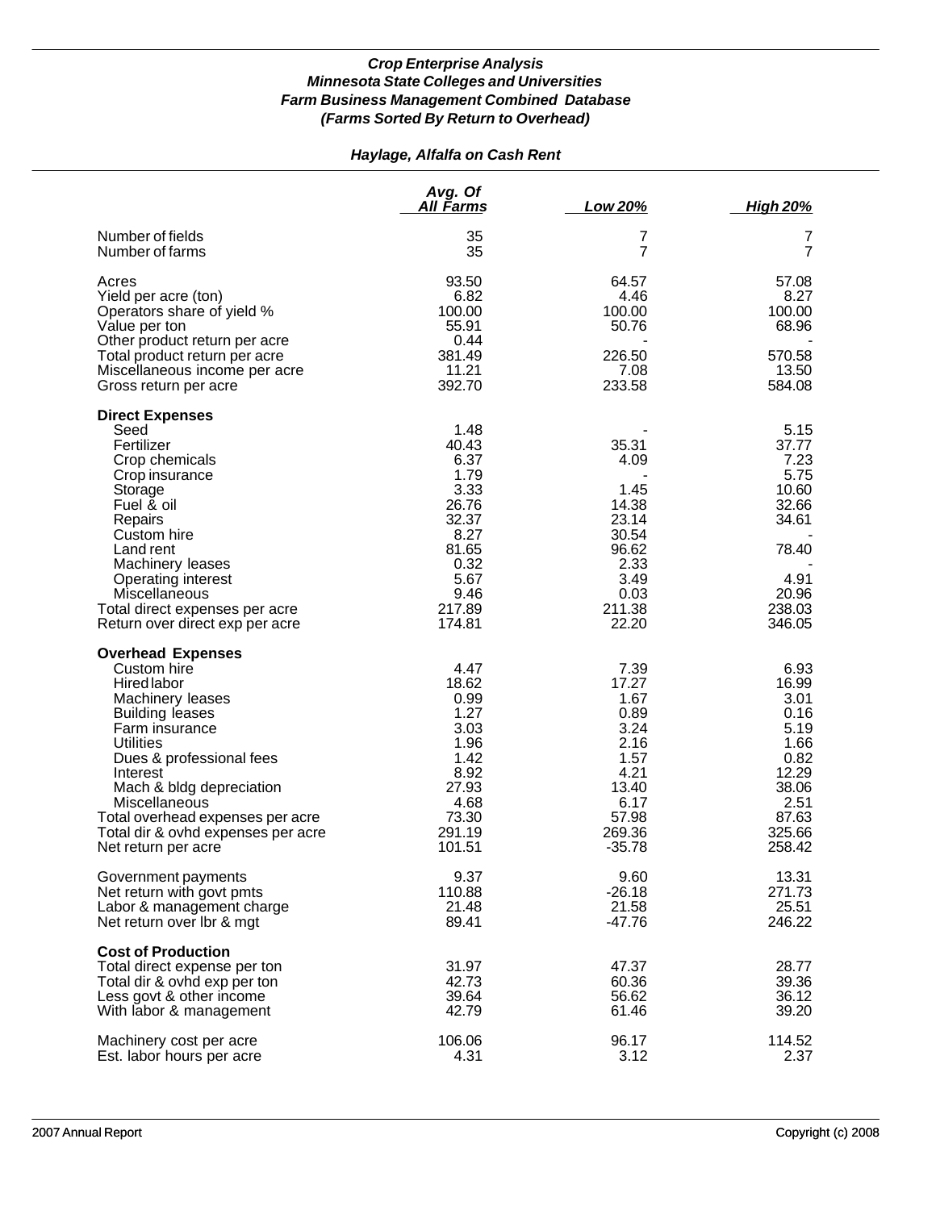## *Haylage, Alfalfa on Cash Rent*

|                                                                                                                                                                                                                                                                                                                                  | Avg. Of<br>All Farms                                                                                                 | Low 20%                                                                                                       | <b>High 20%</b>                                                                                              |
|----------------------------------------------------------------------------------------------------------------------------------------------------------------------------------------------------------------------------------------------------------------------------------------------------------------------------------|----------------------------------------------------------------------------------------------------------------------|---------------------------------------------------------------------------------------------------------------|--------------------------------------------------------------------------------------------------------------|
| Number of fields<br>Number of farms                                                                                                                                                                                                                                                                                              | 35<br>35                                                                                                             | 7<br>$\overline{7}$                                                                                           | 7<br>$\overline{7}$                                                                                          |
| Acres<br>Yield per acre (ton)<br>Operators share of yield %<br>Value per ton<br>Other product return per acre                                                                                                                                                                                                                    | 93.50<br>6.82<br>100.00<br>55.91<br>0.44                                                                             | 64.57<br>4.46<br>100.00<br>50.76                                                                              | 57.08<br>8.27<br>100.00<br>68.96                                                                             |
| Total product return per acre<br>Miscellaneous income per acre<br>Gross return per acre                                                                                                                                                                                                                                          | 381.49<br>11.21<br>392.70                                                                                            | 226.50<br>7.08<br>233.58                                                                                      | 570.58<br>13.50<br>584.08                                                                                    |
| <b>Direct Expenses</b><br>Seed<br>Fertilizer<br>Crop chemicals<br>Crop insurance<br>Storage<br>Fuel & oil<br>Repairs<br>Custom hire<br>Land rent<br>Machinery leases<br>Operating interest<br>Miscellaneous<br>Total direct expenses per acre<br>Return over direct exp per acre                                                 | 1.48<br>40.43<br>6.37<br>1.79<br>3.33<br>26.76<br>32.37<br>8.27<br>81.65<br>0.32<br>5.67<br>9.46<br>217.89<br>174.81 | 35.31<br>4.09<br>1.45<br>14.38<br>23.14<br>30.54<br>96.62<br>2.33<br>3.49<br>0.03<br>211.38<br>22.20          | 5.15<br>37.77<br>7.23<br>5.75<br>10.60<br>32.66<br>34.61<br>78.40<br>4.91<br>20.96<br>238.03<br>346.05       |
| <b>Overhead Expenses</b><br>Custom hire<br>Hired labor<br>Machinery leases<br><b>Building leases</b><br>Farm insurance<br><b>Utilities</b><br>Dues & professional fees<br>Interest<br>Mach & bldg depreciation<br>Miscellaneous<br>Total overhead expenses per acre<br>Total dir & ovhd expenses per acre<br>Net return per acre | 4.47<br>18.62<br>0.99<br>1.27<br>3.03<br>1.96<br>1.42<br>8.92<br>27.93<br>4.68<br>73.30<br>291.19<br>101.51          | 7.39<br>17.27<br>1.67<br>0.89<br>3.24<br>2.16<br>1.57<br>4.21<br>13.40<br>6.17<br>57.98<br>269.36<br>$-35.78$ | 6.93<br>16.99<br>3.01<br>0.16<br>5.19<br>1.66<br>0.82<br>12.29<br>38.06<br>2.51<br>87.63<br>325.66<br>258.42 |
| Government payments<br>Net return with govt pmts<br>Labor & management charge<br>Net return over Ibr & mgt                                                                                                                                                                                                                       | 9.37<br>110.88<br>21.48<br>89.41                                                                                     | 9.60<br>$-26.18$<br>21.58<br>$-47.76$                                                                         | 13.31<br>271.73<br>25.51<br>246.22                                                                           |
| <b>Cost of Production</b><br>Total direct expense per ton<br>Total dir & ovhd exp per ton<br>Less govt & other income<br>With labor & management                                                                                                                                                                                 | 31.97<br>42.73<br>39.64<br>42.79                                                                                     | 47.37<br>60.36<br>56.62<br>61.46                                                                              | 28.77<br>39.36<br>36.12<br>39.20                                                                             |
| Machinery cost per acre<br>Est. labor hours per acre                                                                                                                                                                                                                                                                             | 106.06<br>4.31                                                                                                       | 96.17<br>3.12                                                                                                 | 114.52<br>2.37                                                                                               |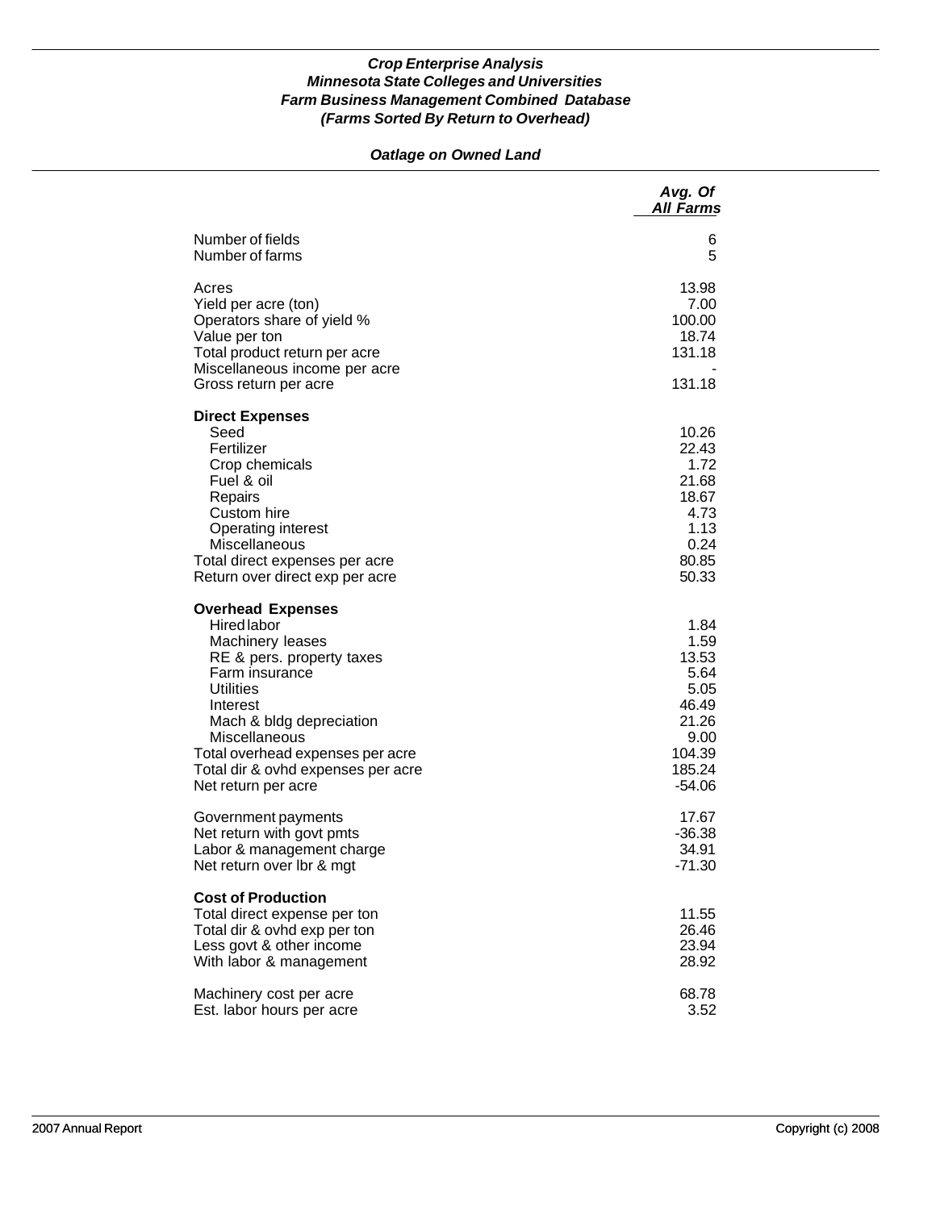## *Oatlage on Owned Land*

|                                                                                                                                                                                                                                                                                                 | Avg. Of<br><b>All Farms</b>                                                                     |
|-------------------------------------------------------------------------------------------------------------------------------------------------------------------------------------------------------------------------------------------------------------------------------------------------|-------------------------------------------------------------------------------------------------|
| Number of fields<br>Number of farms                                                                                                                                                                                                                                                             | 6<br>5                                                                                          |
| Acres<br>Yield per acre (ton)<br>Operators share of yield %<br>Value per ton<br>Total product return per acre<br>Miscellaneous income per acre<br>Gross return per acre                                                                                                                         | 13.98<br>7.00<br>100.00<br>18.74<br>131.18<br>131.18                                            |
| <b>Direct Expenses</b><br>Seed<br>Fertilizer<br>Crop chemicals<br>Fuel & oil<br>Repairs<br>Custom hire<br><b>Operating interest</b><br>Miscellaneous<br>Total direct expenses per acre<br>Return over direct exp per acre                                                                       | 10.26<br>22.43<br>1.72<br>21.68<br>18.67<br>4.73<br>1.13<br>0.24<br>80.85<br>50.33              |
| <b>Overhead Expenses</b><br><b>Hired labor</b><br>Machinery leases<br>RE & pers. property taxes<br>Farm insurance<br><b>Utilities</b><br>Interest<br>Mach & bldg depreciation<br>Miscellaneous<br>Total overhead expenses per acre<br>Total dir & ovhd expenses per acre<br>Net return per acre | 1.84<br>1.59<br>13.53<br>5.64<br>5.05<br>46.49<br>21.26<br>9.00<br>104.39<br>185.24<br>$-54.06$ |
| Government payments<br>Net return with govt pmts<br>Labor & management charge<br>Net return over Ibr & mgt                                                                                                                                                                                      | 17.67<br>$-36.38$<br>34.91<br>$-71.30$                                                          |
| <b>Cost of Production</b><br>Total direct expense per ton<br>Total dir & ovhd exp per ton<br>Less govt & other income<br>With labor & management                                                                                                                                                | 11.55<br>26.46<br>23.94<br>28.92                                                                |
| Machinery cost per acre<br>Est. labor hours per acre                                                                                                                                                                                                                                            | 68.78<br>3.52                                                                                   |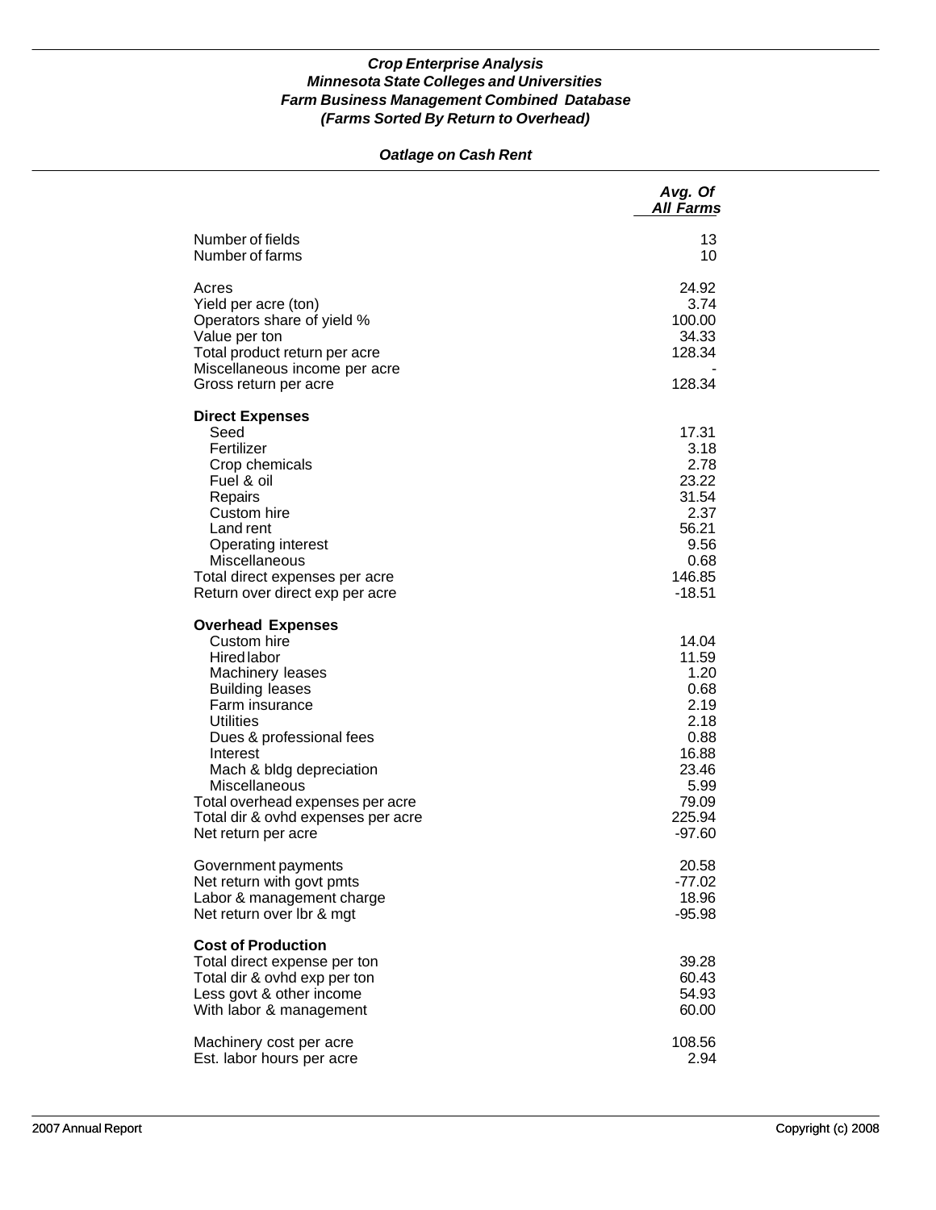## *Oatlage on Cash Rent*

|                                                                                                                                                                                                                                                                                                                                         | Avg. Of<br><b>All Farms</b>                                                                                     |
|-----------------------------------------------------------------------------------------------------------------------------------------------------------------------------------------------------------------------------------------------------------------------------------------------------------------------------------------|-----------------------------------------------------------------------------------------------------------------|
| Number of fields<br>Number of farms                                                                                                                                                                                                                                                                                                     | 13<br>10                                                                                                        |
| Acres<br>Yield per acre (ton)<br>Operators share of yield %<br>Value per ton<br>Total product return per acre<br>Miscellaneous income per acre<br>Gross return per acre                                                                                                                                                                 | 24.92<br>3.74<br>100.00<br>34.33<br>128.34<br>128.34                                                            |
| <b>Direct Expenses</b><br>Seed<br>Fertilizer<br>Crop chemicals<br>Fuel & oil<br>Repairs<br>Custom hire<br>Land rent<br>Operating interest<br>Miscellaneous<br>Total direct expenses per acre<br>Return over direct exp per acre                                                                                                         | 17.31<br>3.18<br>2.78<br>23.22<br>31.54<br>2.37<br>56.21<br>9.56<br>0.68<br>146.85<br>$-18.51$                  |
| <b>Overhead Expenses</b><br>Custom hire<br><b>Hired labor</b><br>Machinery leases<br><b>Building leases</b><br>Farm insurance<br><b>Utilities</b><br>Dues & professional fees<br>Interest<br>Mach & bldg depreciation<br>Miscellaneous<br>Total overhead expenses per acre<br>Total dir & ovhd expenses per acre<br>Net return per acre | 14.04<br>11.59<br>1.20<br>0.68<br>2.19<br>2.18<br>0.88<br>16.88<br>23.46<br>5.99<br>79.09<br>225.94<br>$-97.60$ |
| Government payments<br>Net return with govt pmts<br>Labor & management charge<br>Net return over Ibr & mgt                                                                                                                                                                                                                              | 20.58<br>$-77.02$<br>18.96<br>$-95.98$                                                                          |
| <b>Cost of Production</b><br>Total direct expense per ton<br>Total dir & ovhd exp per ton<br>Less govt & other income<br>With labor & management                                                                                                                                                                                        | 39.28<br>60.43<br>54.93<br>60.00                                                                                |
| Machinery cost per acre<br>Est. labor hours per acre                                                                                                                                                                                                                                                                                    | 108.56<br>2.94                                                                                                  |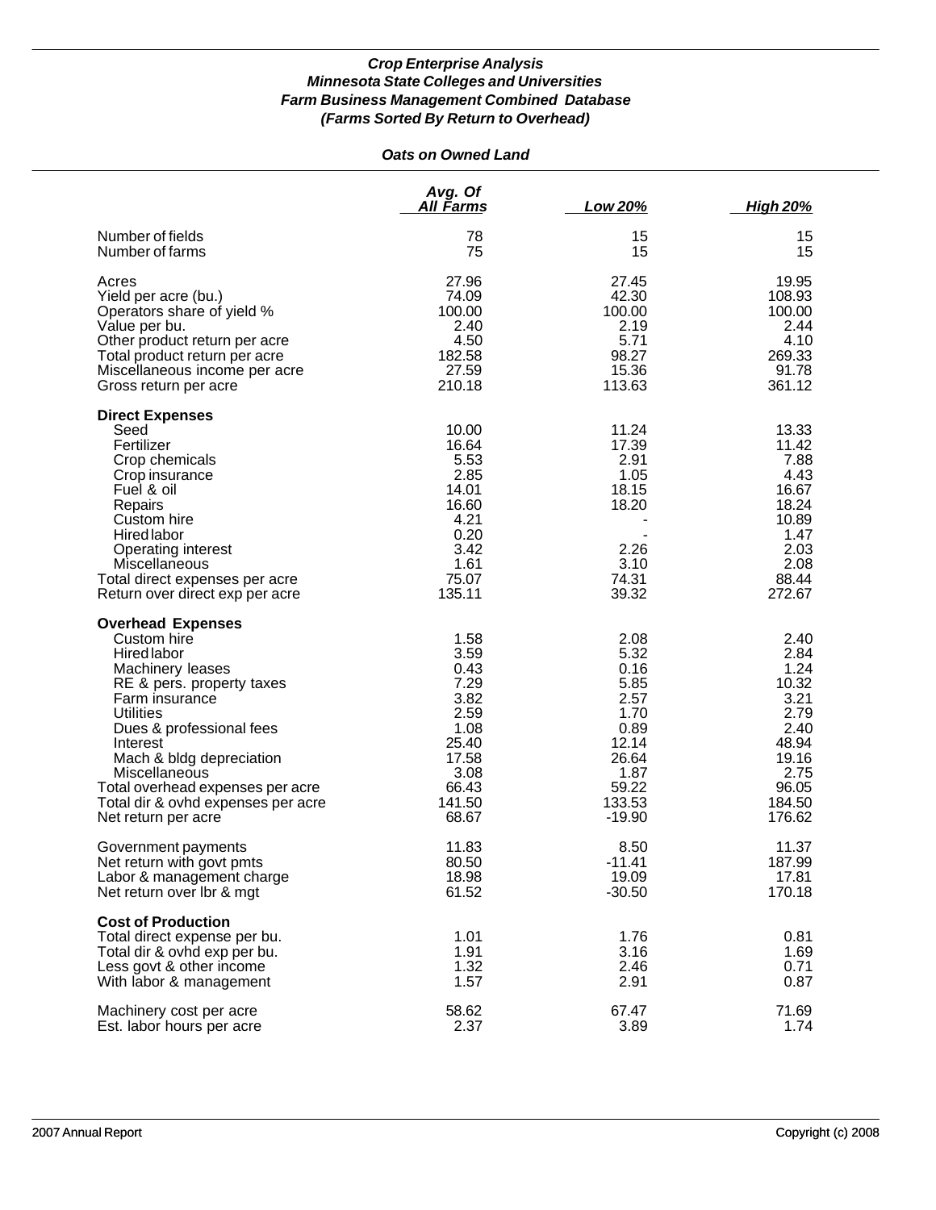## *Oats on Owned Land*

|                                                                                                                                                                                                                                                                                                                                     | Avg. Of<br>All Farms                                                                                       | Low 20%                                                                                                       | <b>High 20%</b>                                                                                              |
|-------------------------------------------------------------------------------------------------------------------------------------------------------------------------------------------------------------------------------------------------------------------------------------------------------------------------------------|------------------------------------------------------------------------------------------------------------|---------------------------------------------------------------------------------------------------------------|--------------------------------------------------------------------------------------------------------------|
| Number of fields                                                                                                                                                                                                                                                                                                                    | 78                                                                                                         | 15                                                                                                            | 15                                                                                                           |
| Number of farms                                                                                                                                                                                                                                                                                                                     | 75                                                                                                         | 15                                                                                                            | 15                                                                                                           |
| Acres                                                                                                                                                                                                                                                                                                                               | 27.96                                                                                                      | 27.45                                                                                                         | 19.95                                                                                                        |
| Yield per acre (bu.)                                                                                                                                                                                                                                                                                                                | 74.09                                                                                                      | 42.30                                                                                                         | 108.93                                                                                                       |
| Operators share of yield %                                                                                                                                                                                                                                                                                                          | 100.00                                                                                                     | 100.00                                                                                                        | 100.00                                                                                                       |
| Value per bu.                                                                                                                                                                                                                                                                                                                       | 2.40                                                                                                       | 2.19                                                                                                          | 2.44                                                                                                         |
| Other product return per acre                                                                                                                                                                                                                                                                                                       | 4.50                                                                                                       | 5.71                                                                                                          | 4.10                                                                                                         |
| Total product return per acre                                                                                                                                                                                                                                                                                                       | 182.58                                                                                                     | 98.27                                                                                                         | 269.33                                                                                                       |
| Miscellaneous income per acre                                                                                                                                                                                                                                                                                                       | 27.59                                                                                                      | 15.36                                                                                                         | 91.78                                                                                                        |
| Gross return per acre                                                                                                                                                                                                                                                                                                               | 210.18                                                                                                     | 113.63                                                                                                        | 361.12                                                                                                       |
| <b>Direct Expenses</b><br>Seed<br>Fertilizer<br>Crop chemicals<br>Crop insurance<br>Fuel & oil<br>Repairs<br>Custom hire<br>Hired labor<br>Operating interest<br>Miscellaneous<br>Total direct expenses per acre<br>Return over direct exp per acre                                                                                 | 10.00<br>16.64<br>5.53<br>2.85<br>14.01<br>16.60<br>4.21<br>0.20<br>3.42<br>1.61<br>75.07<br>135.11        | 11.24<br>17.39<br>2.91<br>1.05<br>18.15<br>18.20<br>2.26<br>3.10<br>74.31<br>39.32                            | 13.33<br>11.42<br>7.88<br>4.43<br>16.67<br>18.24<br>10.89<br>1.47<br>2.03<br>2.08<br>88.44<br>272.67         |
| <b>Overhead Expenses</b><br>Custom hire<br>Hired labor<br>Machinery leases<br>RE & pers. property taxes<br>Farm insurance<br><b>Utilities</b><br>Dues & professional fees<br>Interest<br>Mach & bldg depreciation<br>Miscellaneous<br>Total overhead expenses per acre<br>Total dir & ovhd expenses per acre<br>Net return per acre | 1.58<br>3.59<br>0.43<br>7.29<br>3.82<br>2.59<br>1.08<br>25.40<br>17.58<br>3.08<br>66.43<br>141.50<br>68.67 | 2.08<br>5.32<br>0.16<br>5.85<br>2.57<br>1.70<br>0.89<br>12.14<br>26.64<br>1.87<br>59.22<br>133.53<br>$-19.90$ | 2.40<br>2.84<br>1.24<br>10.32<br>3.21<br>2.79<br>2.40<br>48.94<br>19.16<br>2.75<br>96.05<br>184.50<br>176.62 |
| Government payments                                                                                                                                                                                                                                                                                                                 | 11.83                                                                                                      | 8.50                                                                                                          | 11.37                                                                                                        |
| Net return with govt pmts                                                                                                                                                                                                                                                                                                           | 80.50                                                                                                      | -11.41                                                                                                        | 187.99                                                                                                       |
| Labor & management charge                                                                                                                                                                                                                                                                                                           | 18.98                                                                                                      | 19.09                                                                                                         | 17.81                                                                                                        |
| Net return over Ibr & mgt                                                                                                                                                                                                                                                                                                           | 61.52                                                                                                      | $-30.50$                                                                                                      | 170.18                                                                                                       |
| <b>Cost of Production</b><br>Total direct expense per bu.<br>Total dir & ovhd exp per bu.<br>Less govt & other income<br>With labor & management                                                                                                                                                                                    | 1.01<br>1.91<br>1.32<br>1.57                                                                               | 1.76<br>3.16<br>2.46<br>2.91                                                                                  | 0.81<br>1.69<br>0.71<br>0.87                                                                                 |
| Machinery cost per acre                                                                                                                                                                                                                                                                                                             | 58.62                                                                                                      | 67.47                                                                                                         | 71.69                                                                                                        |
| Est. labor hours per acre                                                                                                                                                                                                                                                                                                           | 2.37                                                                                                       | 3.89                                                                                                          | 1.74                                                                                                         |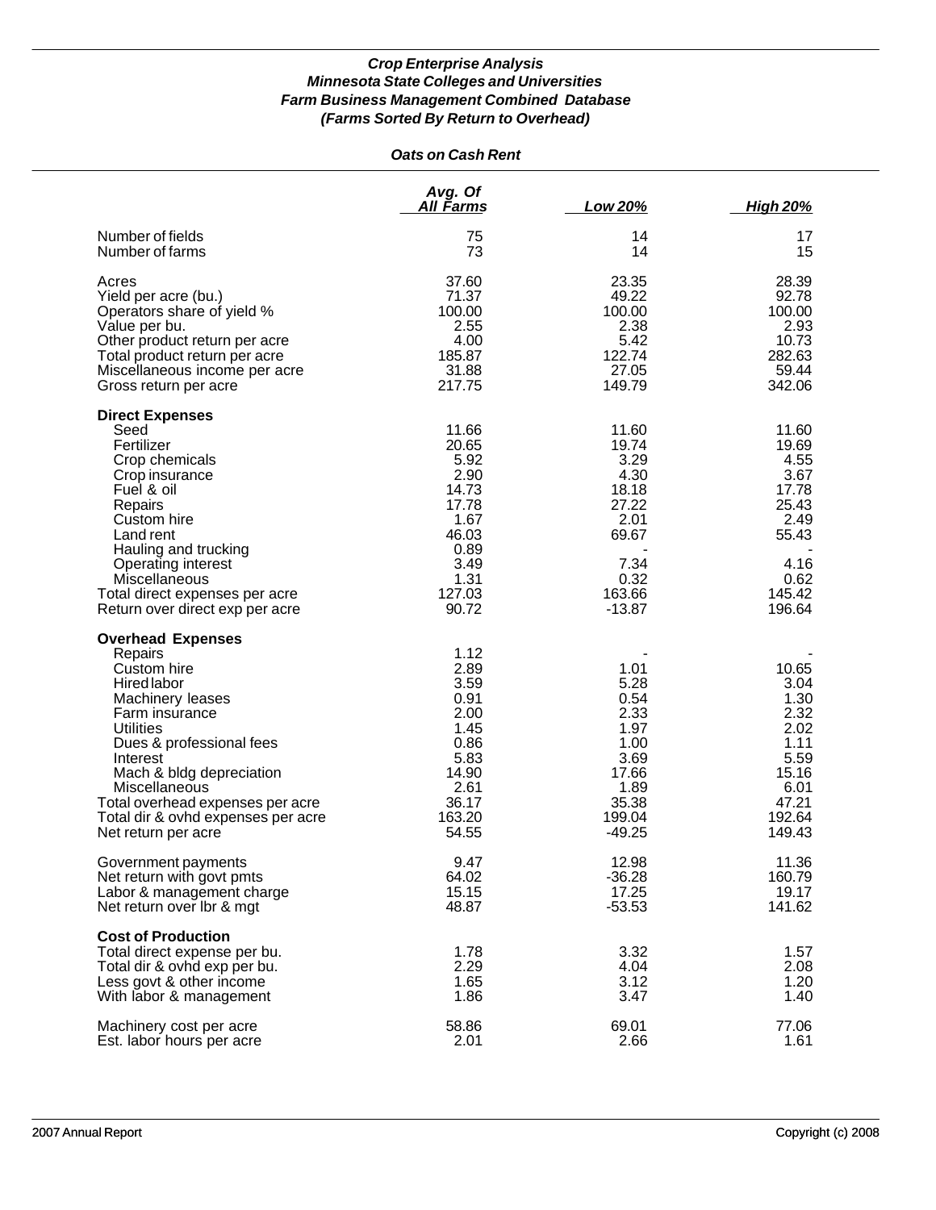| <b>Oats on Cash Rent</b>                                                                                                                                                                                                                                                                                          |                                                                                                              |                                                                                                         |                                                                                                       |
|-------------------------------------------------------------------------------------------------------------------------------------------------------------------------------------------------------------------------------------------------------------------------------------------------------------------|--------------------------------------------------------------------------------------------------------------|---------------------------------------------------------------------------------------------------------|-------------------------------------------------------------------------------------------------------|
|                                                                                                                                                                                                                                                                                                                   | Avg. Of<br>All Farms                                                                                         | Low 20%                                                                                                 | <b>High 20%</b>                                                                                       |
| Number of fields<br>Number of farms                                                                                                                                                                                                                                                                               | 75<br>73                                                                                                     | 14<br>14                                                                                                | 17<br>15                                                                                              |
| Acres<br>Yield per acre (bu.)<br>Operators share of yield %<br>Value per bu.<br>Other product return per acre<br>Total product return per acre<br>Miscellaneous income per acre<br>Gross return per acre                                                                                                          | 37.60<br>71.37<br>100.00<br>2.55<br>4.00<br>185.87<br>31.88<br>217.75                                        | 23.35<br>49.22<br>100.00<br>2.38<br>5.42<br>122.74<br>27.05<br>149.79                                   | 28.39<br>92.78<br>100.00<br>2.93<br>10.73<br>282.63<br>59.44<br>342.06                                |
| <b>Direct Expenses</b><br>Seed<br>Fertilizer<br>Crop chemicals<br>Crop insurance<br>Fuel & oil<br>Repairs<br>Custom hire<br>Land rent<br>Hauling and trucking<br>Operating interest<br>Miscellaneous<br>Total direct expenses per acre<br>Return over direct exp per acre                                         | 11.66<br>20.65<br>5.92<br>2.90<br>14.73<br>17.78<br>1.67<br>46.03<br>0.89<br>3.49<br>1.31<br>127.03<br>90.72 | 11.60<br>19.74<br>3.29<br>4.30<br>18.18<br>27.22<br>2.01<br>69.67<br>7.34<br>0.32<br>163.66<br>$-13.87$ | 11.60<br>19.69<br>4.55<br>3.67<br>17.78<br>25.43<br>2.49<br>55.43<br>4.16<br>0.62<br>145.42<br>196.64 |
| <b>Overhead Expenses</b><br>Repairs<br>Custom hire<br>Hired labor<br>Machinery leases<br>Farm insurance<br><b>Utilities</b><br>Dues & professional fees<br>Interest<br>Mach & bldg depreciation<br>Miscellaneous<br>Total overhead expenses per acre<br>Total dir & ovhd expenses per acre<br>Net return per acre | 1.12<br>2.89<br>3.59<br>0.91<br>2.00<br>1.45<br>0.86<br>5.83<br>14.90<br>2.61<br>36.17<br>163.20<br>54.55    | 1.01<br>5.28<br>0.54<br>2.33<br>1.97<br>1.00<br>3.69<br>17.66<br>1.89<br>35.38<br>199.04<br>-49.25      | 10.65<br>3.04<br>1.30<br>2.32<br>2.02<br>1.11<br>5.59<br>15.16<br>6.01<br>47.21<br>192.64<br>149.43   |
| Government payments<br>Net return with govt pmts<br>Labor & management charge<br>Net return over Ibr & mgt                                                                                                                                                                                                        | 9.47<br>64.02<br>15.15<br>48.87                                                                              | 12.98<br>$-36.28$<br>17.25<br>$-53.53$                                                                  | 11.36<br>160.79<br>19.17<br>141.62                                                                    |
| <b>Cost of Production</b><br>Total direct expense per bu.<br>Total dir & ovhd exp per bu.<br>Less govt & other income<br>With labor & management                                                                                                                                                                  | 1.78<br>2.29<br>1.65<br>1.86                                                                                 | 3.32<br>4.04<br>3.12<br>3.47                                                                            | 1.57<br>2.08<br>1.20<br>1.40                                                                          |
| Machinery cost per acre<br>Est. labor hours per acre                                                                                                                                                                                                                                                              | 58.86<br>2.01                                                                                                | 69.01<br>2.66                                                                                           | 77.06<br>1.61                                                                                         |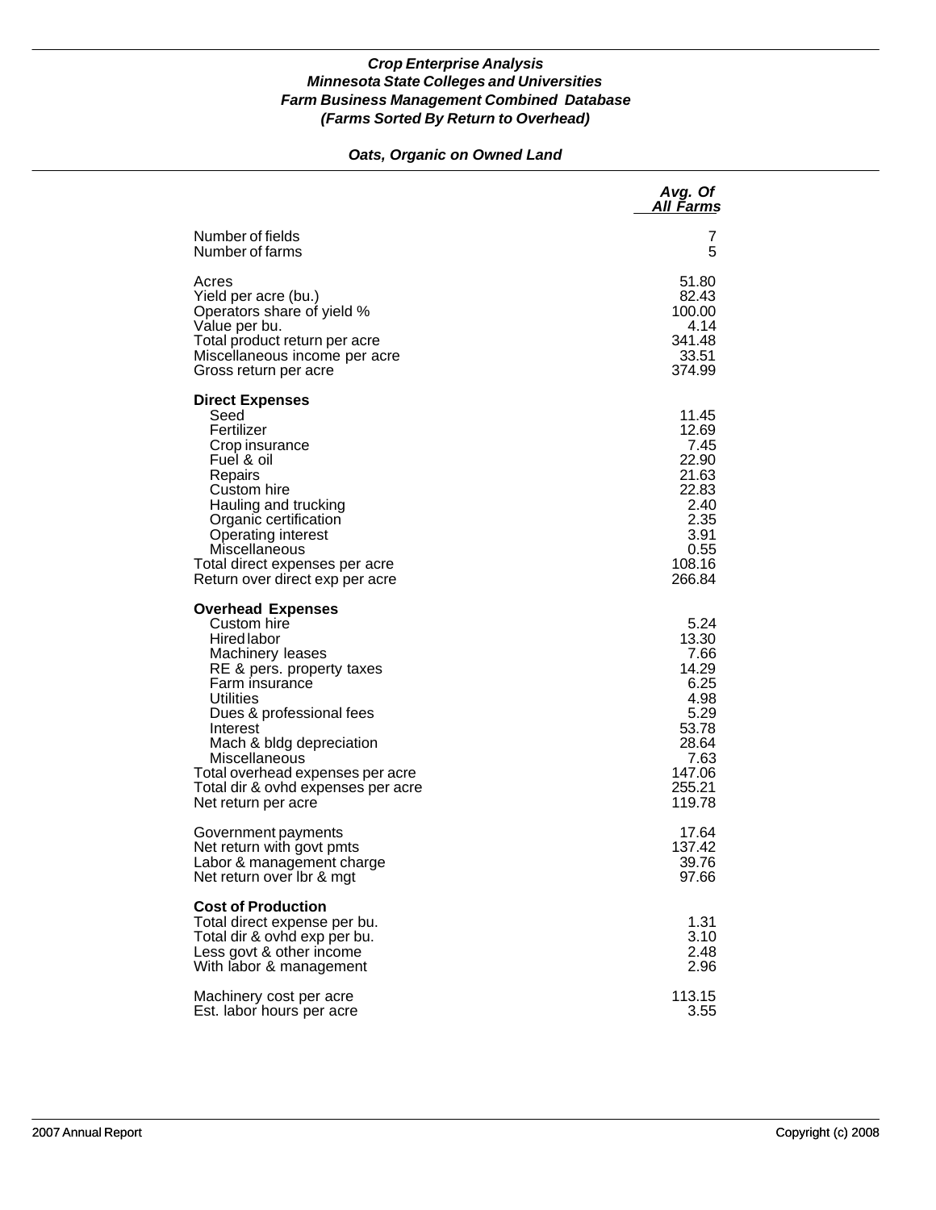## *Oats, Organic on Owned Land*

|                                                                                                                                                                                                                                                                                                                                     | Avg. Of<br>All Farms                                                                                           |
|-------------------------------------------------------------------------------------------------------------------------------------------------------------------------------------------------------------------------------------------------------------------------------------------------------------------------------------|----------------------------------------------------------------------------------------------------------------|
| Number of fields                                                                                                                                                                                                                                                                                                                    | 7                                                                                                              |
| Number of farms                                                                                                                                                                                                                                                                                                                     | 5                                                                                                              |
| Acres                                                                                                                                                                                                                                                                                                                               | 51.80                                                                                                          |
| Yield per acre (bu.)                                                                                                                                                                                                                                                                                                                | 82.43                                                                                                          |
| Operators share of yield %                                                                                                                                                                                                                                                                                                          | 100.00                                                                                                         |
| Value per bu.                                                                                                                                                                                                                                                                                                                       | 4.14                                                                                                           |
| Total product return per acre                                                                                                                                                                                                                                                                                                       | 341.48                                                                                                         |
| Miscellaneous income per acre                                                                                                                                                                                                                                                                                                       | 33.51                                                                                                          |
| Gross return per acre                                                                                                                                                                                                                                                                                                               | 374.99                                                                                                         |
| <b>Direct Expenses</b><br>Seed<br>Fertilizer<br>Crop insurance<br>Fuel & oil<br>Repairs<br>Custom hire<br>Hauling and trucking<br>Organic certification<br>Operating interest<br>Miscellaneous<br>Total direct expenses per acre<br>Return over direct exp per acre                                                                 | 11.45<br>12.69<br>7.45<br>22.90<br>21.63<br>22.83<br>2.40<br>2.35<br>3.91<br>0.55<br>108.16<br>266.84          |
| <b>Overhead Expenses</b><br>Custom hire<br><b>Hired labor</b><br>Machinery leases<br>RE & pers. property taxes<br>Farm insurance<br>Utilities<br>Dues & professional fees<br>Interest<br>Mach & bldg depreciation<br>Miscellaneous<br>Total overhead expenses per acre<br>Total dir & ovhd expenses per acre<br>Net return per acre | 5.24<br>13.30<br>7.66<br>14.29<br>6.25<br>4.98<br>5.29<br>53.78<br>28.64<br>7.63<br>147.06<br>255.21<br>119.78 |
| Government payments                                                                                                                                                                                                                                                                                                                 | 17.64                                                                                                          |
| Net return with govt pmts                                                                                                                                                                                                                                                                                                           | 137.42                                                                                                         |
| Labor & management charge                                                                                                                                                                                                                                                                                                           | 39.76                                                                                                          |
| Net return over Ibr & mgt                                                                                                                                                                                                                                                                                                           | 97.66                                                                                                          |
| <b>Cost of Production</b><br>Total direct expense per bu.<br>Total dir & ovhd exp per bu.<br>Less govt & other income<br>With labor & management                                                                                                                                                                                    | 1.31<br>3.10<br>2.48<br>2.96                                                                                   |
| Machinery cost per acre                                                                                                                                                                                                                                                                                                             | 113.15                                                                                                         |
| Est. labor hours per acre                                                                                                                                                                                                                                                                                                           | 3.55                                                                                                           |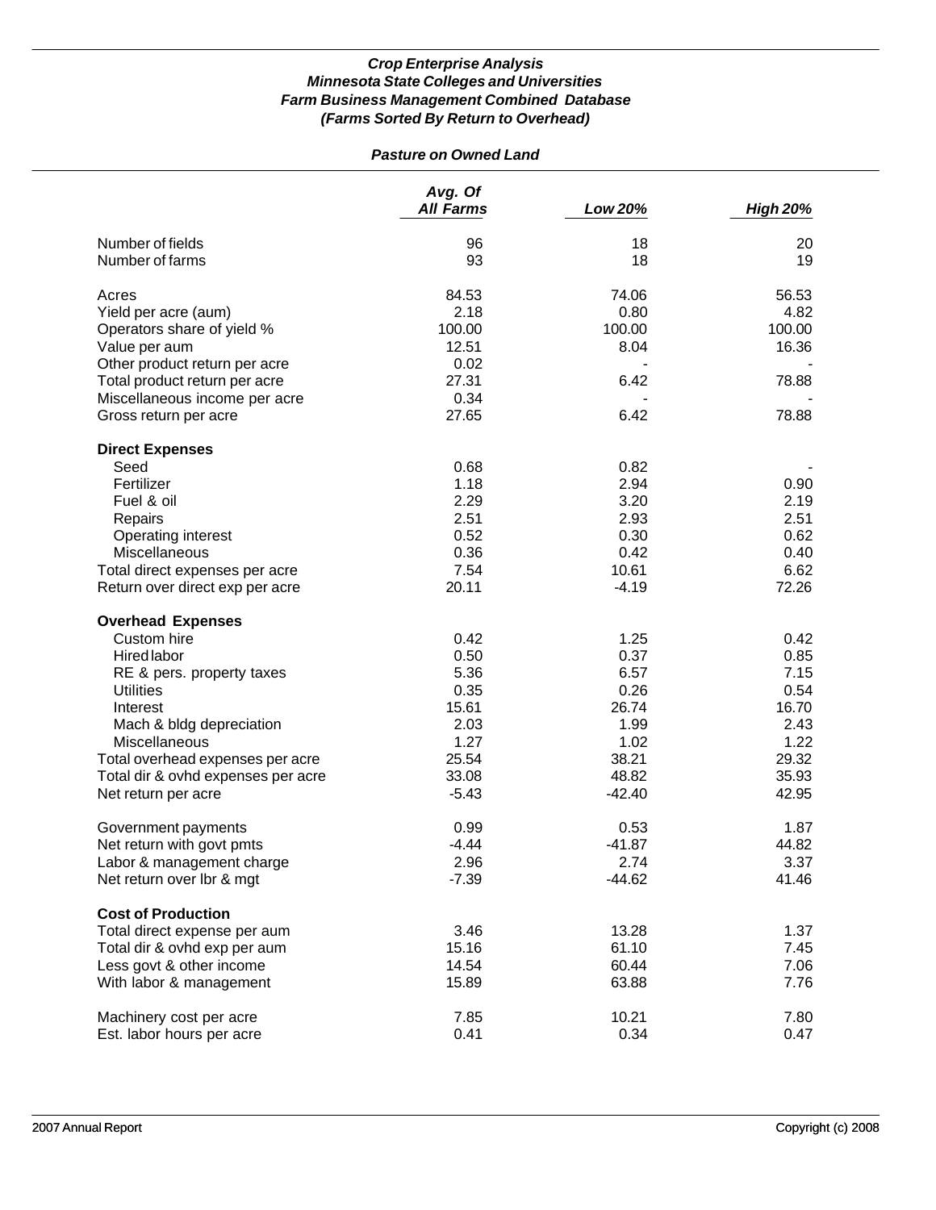## *Pasture on Owned Land*

|                                    | Avg. Of<br><b>All Farms</b> | Low 20%  | <b>High 20%</b> |
|------------------------------------|-----------------------------|----------|-----------------|
| Number of fields                   | 96                          | 18       | 20              |
| Number of farms                    | 93                          | 18       | 19              |
|                                    |                             |          |                 |
| Acres                              | 84.53                       | 74.06    | 56.53           |
| Yield per acre (aum)               | 2.18                        | 0.80     | 4.82            |
| Operators share of yield %         | 100.00                      | 100.00   | 100.00          |
| Value per aum                      | 12.51                       | 8.04     | 16.36           |
| Other product return per acre      | 0.02                        |          |                 |
| Total product return per acre      | 27.31                       | 6.42     | 78.88           |
| Miscellaneous income per acre      | 0.34                        |          |                 |
| Gross return per acre              | 27.65                       | 6.42     | 78.88           |
|                                    |                             |          |                 |
| <b>Direct Expenses</b>             |                             |          |                 |
| Seed                               | 0.68                        | 0.82     |                 |
| Fertilizer                         | 1.18                        | 2.94     | 0.90            |
| Fuel & oil                         | 2.29                        | 3.20     | 2.19            |
| Repairs                            | 2.51                        | 2.93     | 2.51            |
| Operating interest                 | 0.52                        | 0.30     | 0.62            |
| Miscellaneous                      | 0.36                        | 0.42     | 0.40            |
| Total direct expenses per acre     | 7.54                        | 10.61    | 6.62            |
| Return over direct exp per acre    | 20.11                       | $-4.19$  | 72.26           |
|                                    |                             |          |                 |
| <b>Overhead Expenses</b>           |                             |          |                 |
| Custom hire                        | 0.42                        | 1.25     | 0.42            |
| <b>Hired labor</b>                 | 0.50                        | 0.37     | 0.85            |
| RE & pers. property taxes          | 5.36                        | 6.57     | 7.15            |
| <b>Utilities</b>                   | 0.35                        | 0.26     | 0.54            |
| Interest                           | 15.61                       | 26.74    | 16.70           |
| Mach & bldg depreciation           | 2.03                        | 1.99     | 2.43            |
| Miscellaneous                      | 1.27                        | 1.02     | 1.22            |
| Total overhead expenses per acre   | 25.54                       | 38.21    | 29.32           |
| Total dir & ovhd expenses per acre | 33.08                       | 48.82    | 35.93           |
| Net return per acre                | $-5.43$                     | $-42.40$ | 42.95           |
| Government payments                | 0.99                        | 0.53     | 1.87            |
| Net return with govt pmts          | $-4.44$                     | $-41.87$ | 44.82           |
| Labor & management charge          | 2.96                        | 2.74     | 3.37            |
| Net return over Ibr & mgt          | $-7.39$                     | $-44.62$ | 41.46           |
|                                    |                             |          |                 |
| <b>Cost of Production</b>          |                             |          |                 |
| Total direct expense per aum       | 3.46                        | 13.28    | 1.37            |
| Total dir & ovhd exp per aum       | 15.16                       | 61.10    | 7.45            |
| Less govt & other income           | 14.54                       | 60.44    | 7.06            |
| With labor & management            | 15.89                       | 63.88    | 7.76            |
|                                    |                             |          |                 |
| Machinery cost per acre            | 7.85                        | 10.21    | 7.80            |
| Est. labor hours per acre          | 0.41                        | 0.34     | 0.47            |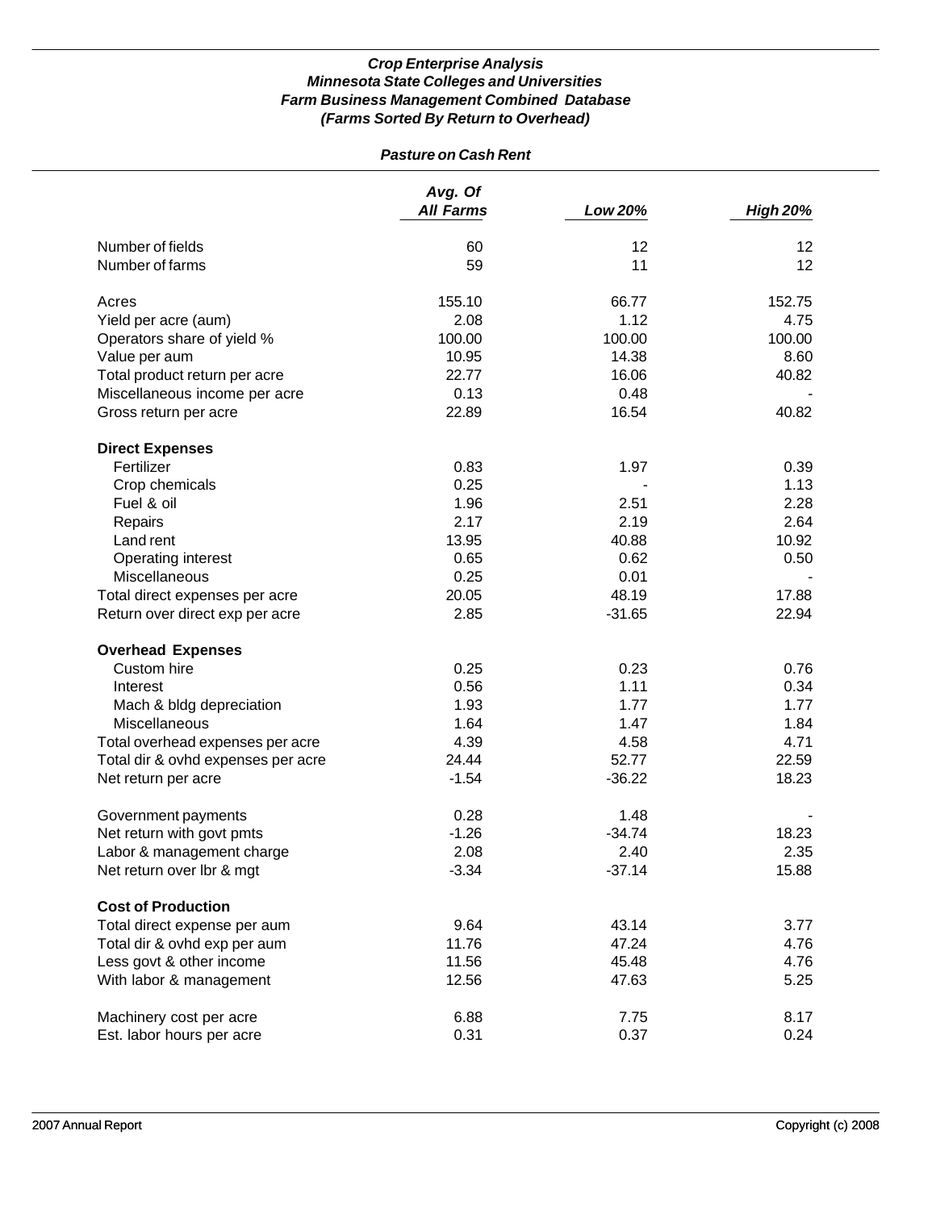| <b>Pasture on Cash Rent</b>        |                             |          |                          |
|------------------------------------|-----------------------------|----------|--------------------------|
|                                    | Avg. Of<br><b>All Farms</b> | Low 20%  | <b>High 20%</b>          |
| Number of fields                   | 60                          | 12       | 12                       |
| Number of farms                    | 59                          | 11       | 12                       |
|                                    |                             |          |                          |
| Acres                              | 155.10                      | 66.77    | 152.75                   |
| Yield per acre (aum)               | 2.08                        | 1.12     | 4.75                     |
| Operators share of yield %         | 100.00                      | 100.00   | 100.00                   |
| Value per aum                      | 10.95                       | 14.38    | 8.60                     |
| Total product return per acre      | 22.77                       | 16.06    | 40.82                    |
| Miscellaneous income per acre      | 0.13                        | 0.48     |                          |
| Gross return per acre              | 22.89                       | 16.54    | 40.82                    |
| <b>Direct Expenses</b>             |                             |          |                          |
| Fertilizer                         | 0.83                        | 1.97     | 0.39                     |
| Crop chemicals                     | 0.25                        |          | 1.13                     |
| Fuel & oil                         | 1.96                        | 2.51     | 2.28                     |
| Repairs                            | 2.17                        | 2.19     | 2.64                     |
| Land rent                          | 13.95                       | 40.88    | 10.92                    |
| Operating interest                 | 0.65                        | 0.62     | 0.50                     |
| <b>Miscellaneous</b>               | 0.25                        | 0.01     |                          |
| Total direct expenses per acre     | 20.05                       | 48.19    | 17.88                    |
| Return over direct exp per acre    | 2.85                        | $-31.65$ | 22.94                    |
| <b>Overhead Expenses</b>           |                             |          |                          |
| Custom hire                        | 0.25                        | 0.23     | 0.76                     |
| Interest                           | 0.56                        | 1.11     | 0.34                     |
| Mach & bldg depreciation           | 1.93                        | 1.77     | 1.77                     |
| Miscellaneous                      | 1.64                        | 1.47     | 1.84                     |
| Total overhead expenses per acre   | 4.39                        | 4.58     | 4.71                     |
| Total dir & ovhd expenses per acre | 24.44                       | 52.77    | 22.59                    |
| Net return per acre                | $-1.54$                     | $-36.22$ | 18.23                    |
|                                    |                             |          |                          |
| Government payments                | 0.28                        | 1.48     | $\overline{\phantom{a}}$ |
| Net return with govt pmts          | $-1.26$                     | $-34.74$ | 18.23                    |
| Labor & management charge          | 2.08                        | 2.40     | 2.35                     |
| Net return over lbr & mgt          | $-3.34$                     | $-37.14$ | 15.88                    |
| <b>Cost of Production</b>          |                             |          |                          |
| Total direct expense per aum       | 9.64                        | 43.14    | 3.77                     |
| Total dir & ovhd exp per aum       | 11.76                       | 47.24    | 4.76                     |
| Less govt & other income           | 11.56                       | 45.48    | 4.76                     |
| With labor & management            | 12.56                       | 47.63    | 5.25                     |
|                                    | 6.88                        | 7.75     | 8.17                     |
| Machinery cost per acre            |                             |          | 0.24                     |
| Est. labor hours per acre          | 0.31                        | 0.37     |                          |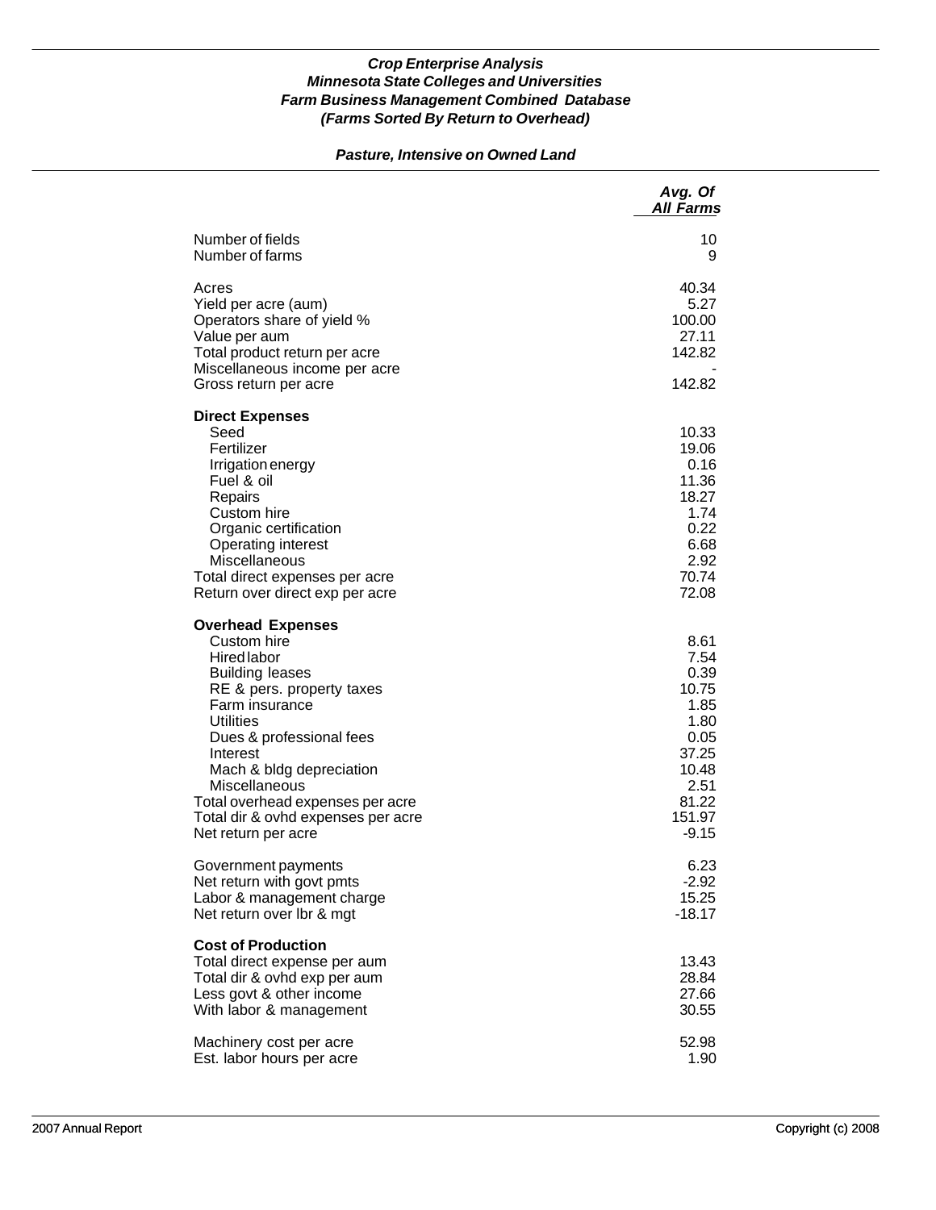## *Pasture, Intensive on Owned Land*

|                                                                                                                                                                                                                                                                                                                                                  | Avg. Of<br><b>All Farms</b>                                                                                   |
|--------------------------------------------------------------------------------------------------------------------------------------------------------------------------------------------------------------------------------------------------------------------------------------------------------------------------------------------------|---------------------------------------------------------------------------------------------------------------|
| Number of fields<br>Number of farms                                                                                                                                                                                                                                                                                                              | 10<br>9                                                                                                       |
| Acres<br>Yield per acre (aum)<br>Operators share of yield %<br>Value per aum<br>Total product return per acre<br>Miscellaneous income per acre<br>Gross return per acre                                                                                                                                                                          | 40.34<br>5.27<br>100.00<br>27.11<br>142.82<br>142.82                                                          |
| <b>Direct Expenses</b><br>Seed<br>Fertilizer<br>Irrigation energy<br>Fuel & oil<br>Repairs<br>Custom hire<br>Organic certification<br>Operating interest<br>Miscellaneous<br>Total direct expenses per acre<br>Return over direct exp per acre                                                                                                   | 10.33<br>19.06<br>0.16<br>11.36<br>18.27<br>1.74<br>0.22<br>6.68<br>2.92<br>70.74<br>72.08                    |
| <b>Overhead Expenses</b><br>Custom hire<br><b>Hired labor</b><br><b>Building leases</b><br>RE & pers. property taxes<br>Farm insurance<br><b>Utilities</b><br>Dues & professional fees<br>Interest<br>Mach & bldg depreciation<br>Miscellaneous<br>Total overhead expenses per acre<br>Total dir & ovhd expenses per acre<br>Net return per acre | 8.61<br>7.54<br>0.39<br>10.75<br>1.85<br>1.80<br>0.05<br>37.25<br>10.48<br>2.51<br>81.22<br>151.97<br>$-9.15$ |
| Government payments<br>Net return with govt pmts<br>Labor & management charge<br>Net return over Ibr & mgt                                                                                                                                                                                                                                       | 6.23<br>$-2.92$<br>15.25<br>$-18.17$                                                                          |
| <b>Cost of Production</b><br>Total direct expense per aum<br>Total dir & ovhd exp per aum<br>Less govt & other income<br>With labor & management                                                                                                                                                                                                 | 13.43<br>28.84<br>27.66<br>30.55                                                                              |
| Machinery cost per acre<br>Est. labor hours per acre                                                                                                                                                                                                                                                                                             | 52.98<br>1.90                                                                                                 |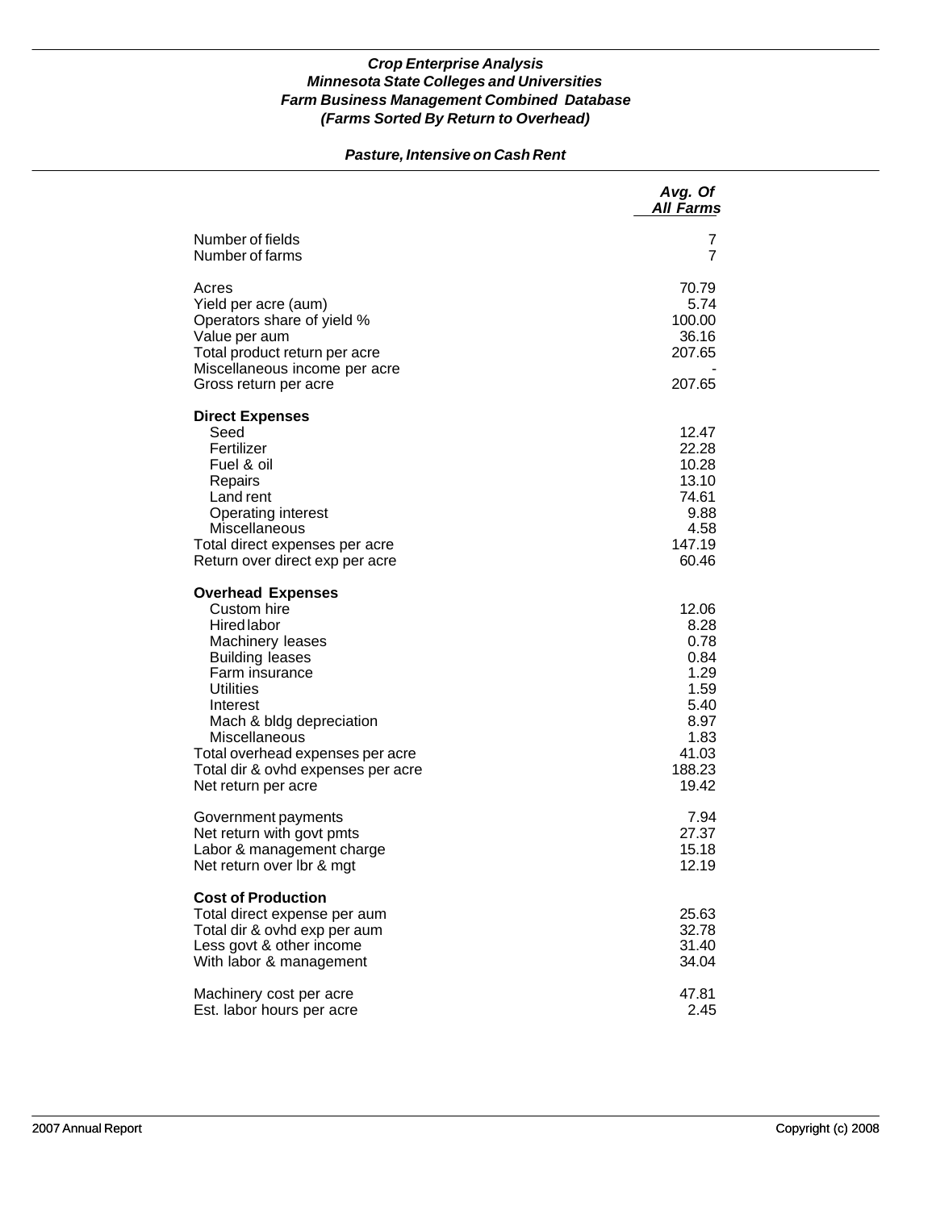## *Pasture, Intensive on Cash Rent*

|                                                                                                                                                                                                                                                                                                             | Avg. Of<br><b>All Farms</b>                                                                       |
|-------------------------------------------------------------------------------------------------------------------------------------------------------------------------------------------------------------------------------------------------------------------------------------------------------------|---------------------------------------------------------------------------------------------------|
| Number of fields<br>Number of farms                                                                                                                                                                                                                                                                         | 7<br>7                                                                                            |
| Acres<br>Yield per acre (aum)<br>Operators share of yield %<br>Value per aum<br>Total product return per acre<br>Miscellaneous income per acre<br>Gross return per acre                                                                                                                                     | 70.79<br>5.74<br>100.00<br>36.16<br>207.65<br>207.65                                              |
| <b>Direct Expenses</b><br>Seed<br>Fertilizer<br>Fuel & oil<br>Repairs<br>Land rent<br>Operating interest<br>Miscellaneous<br>Total direct expenses per acre<br>Return over direct exp per acre                                                                                                              | 12.47<br>22.28<br>10.28<br>13.10<br>74.61<br>9.88<br>4.58<br>147.19<br>60.46                      |
| <b>Overhead Expenses</b><br>Custom hire<br><b>Hired labor</b><br>Machinery leases<br><b>Building leases</b><br>Farm insurance<br><b>Utilities</b><br>Interest<br>Mach & bldg depreciation<br>Miscellaneous<br>Total overhead expenses per acre<br>Total dir & ovhd expenses per acre<br>Net return per acre | 12.06<br>8.28<br>0.78<br>0.84<br>1.29<br>1.59<br>5.40<br>8.97<br>1.83<br>41.03<br>188.23<br>19.42 |
| Government payments<br>Net return with govt pmts<br>Labor & management charge<br>Net return over lbr & mgt                                                                                                                                                                                                  | 7.94<br>27.37<br>15.18<br>12.19                                                                   |
| <b>Cost of Production</b><br>Total direct expense per aum<br>Total dir & ovhd exp per aum<br>Less govt & other income<br>With labor & management                                                                                                                                                            | 25.63<br>32.78<br>31.40<br>34.04                                                                  |
| Machinery cost per acre<br>Est. labor hours per acre                                                                                                                                                                                                                                                        | 47.81<br>2.45                                                                                     |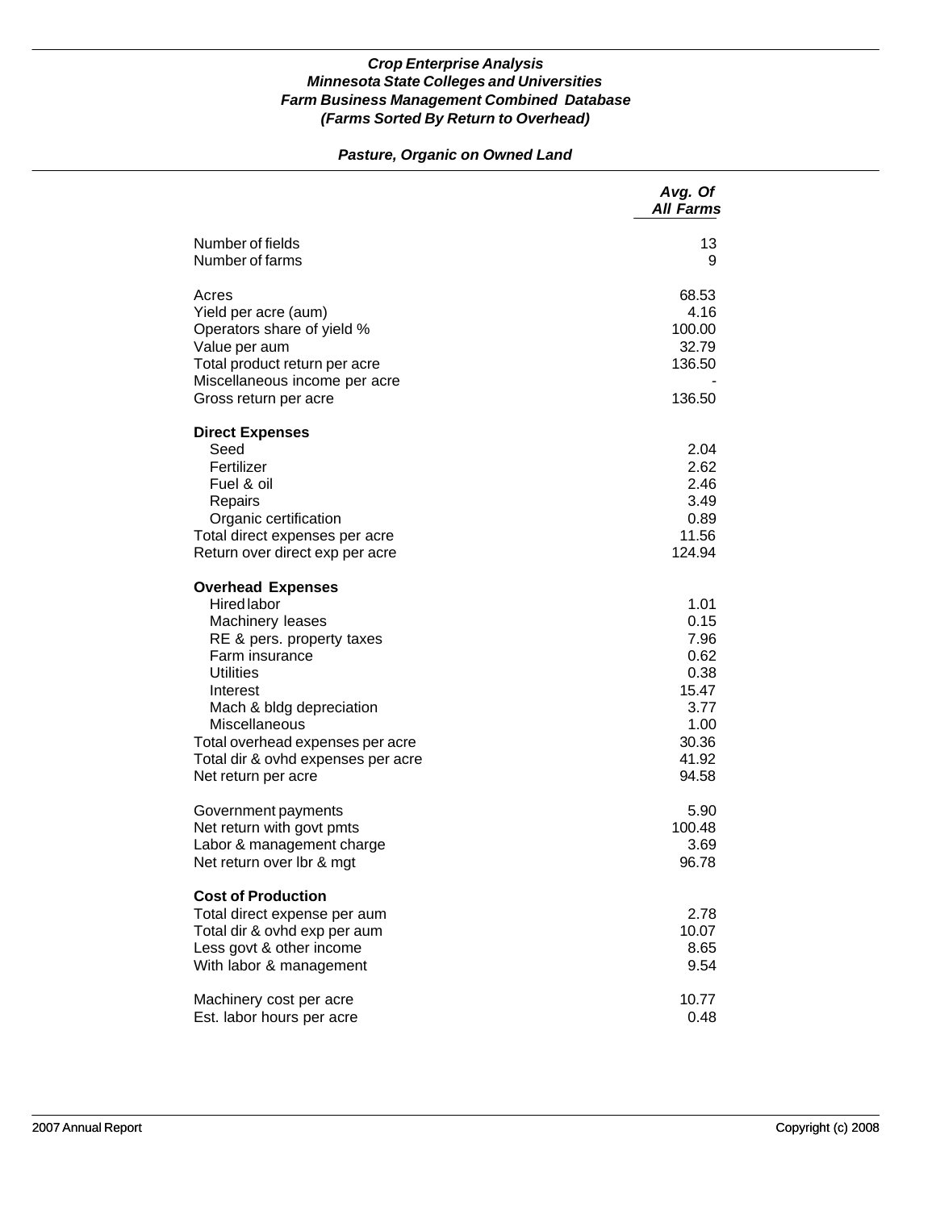## *Pasture, Organic on Owned Land*

|                                                                                                                                                                                                                                                                                                 | Avg. Of<br><b>All Farms</b>                                                              |
|-------------------------------------------------------------------------------------------------------------------------------------------------------------------------------------------------------------------------------------------------------------------------------------------------|------------------------------------------------------------------------------------------|
| Number of fields<br>Number of farms                                                                                                                                                                                                                                                             | 13<br>9                                                                                  |
| Acres<br>Yield per acre (aum)<br>Operators share of yield %<br>Value per aum<br>Total product return per acre<br>Miscellaneous income per acre<br>Gross return per acre                                                                                                                         | 68.53<br>4.16<br>100.00<br>32.79<br>136.50<br>136.50                                     |
| <b>Direct Expenses</b><br>Seed<br>Fertilizer<br>Fuel & oil<br>Repairs<br>Organic certification<br>Total direct expenses per acre<br>Return over direct exp per acre                                                                                                                             | 2.04<br>2.62<br>2.46<br>3.49<br>0.89<br>11.56<br>124.94                                  |
| <b>Overhead Expenses</b><br><b>Hired labor</b><br>Machinery leases<br>RE & pers. property taxes<br>Farm insurance<br><b>Utilities</b><br>Interest<br>Mach & bldg depreciation<br>Miscellaneous<br>Total overhead expenses per acre<br>Total dir & ovhd expenses per acre<br>Net return per acre | 1.01<br>0.15<br>7.96<br>0.62<br>0.38<br>15.47<br>3.77<br>1.00<br>30.36<br>41.92<br>94.58 |
| Government payments<br>Net return with govt pmts<br>Labor & management charge<br>Net return over Ibr & mgt                                                                                                                                                                                      | 5.90<br>100.48<br>3.69<br>96.78                                                          |
| <b>Cost of Production</b><br>Total direct expense per aum<br>Total dir & ovhd exp per aum<br>Less govt & other income<br>With labor & management                                                                                                                                                | 2.78<br>10.07<br>8.65<br>9.54                                                            |
| Machinery cost per acre<br>Est. labor hours per acre                                                                                                                                                                                                                                            | 10.77<br>0.48                                                                            |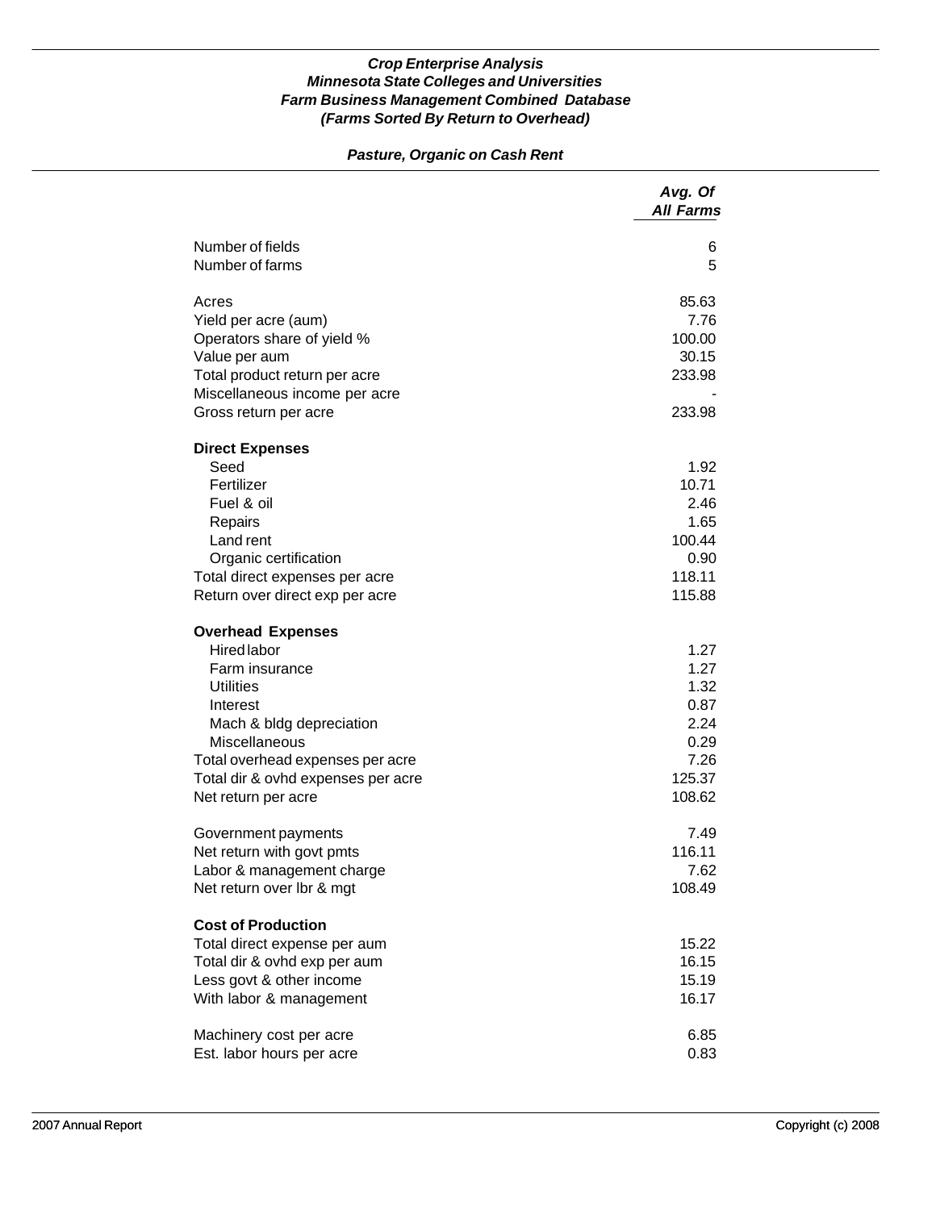## *Pasture, Organic on Cash Rent*

|                                           | Avg. Of<br><b>All Farms</b> |
|-------------------------------------------|-----------------------------|
| Number of fields                          | 6                           |
| Number of farms                           | 5                           |
| Acres                                     | 85.63                       |
| Yield per acre (aum)                      | 7.76                        |
| Operators share of yield %                | 100.00                      |
| Value per aum                             | 30.15                       |
| Total product return per acre             | 233.98                      |
| Miscellaneous income per acre             |                             |
| Gross return per acre                     | 233.98                      |
| <b>Direct Expenses</b>                    |                             |
| Seed                                      | 1.92                        |
| Fertilizer                                | 10.71                       |
| Fuel & oil                                | 2.46                        |
| Repairs                                   | 1.65                        |
| Land rent                                 | 100.44                      |
| Organic certification                     | 0.90<br>118.11              |
| Total direct expenses per acre            | 115.88                      |
| Return over direct exp per acre           |                             |
| <b>Overhead Expenses</b>                  |                             |
| Hired labor                               | 1.27                        |
| Farm insurance                            | 1.27                        |
| <b>Utilities</b>                          | 1.32                        |
| Interest                                  | 0.87<br>2.24                |
| Mach & bldg depreciation<br>Miscellaneous | 0.29                        |
| Total overhead expenses per acre          | 7.26                        |
| Total dir & ovhd expenses per acre        | 125.37                      |
| Net return per acre                       | 108.62                      |
|                                           |                             |
| Government payments                       | 7.49                        |
| Net return with govt pmts                 | 116.11                      |
| Labor & management charge                 | 7.62                        |
| Net return over Ibr & mgt                 | 108.49                      |
| <b>Cost of Production</b>                 |                             |
| Total direct expense per aum              | 15.22                       |
| Total dir & ovhd exp per aum              | 16.15                       |
| Less govt & other income                  | 15.19                       |
| With labor & management                   | 16.17                       |
| Machinery cost per acre                   | 6.85                        |
| Est. labor hours per acre                 | 0.83                        |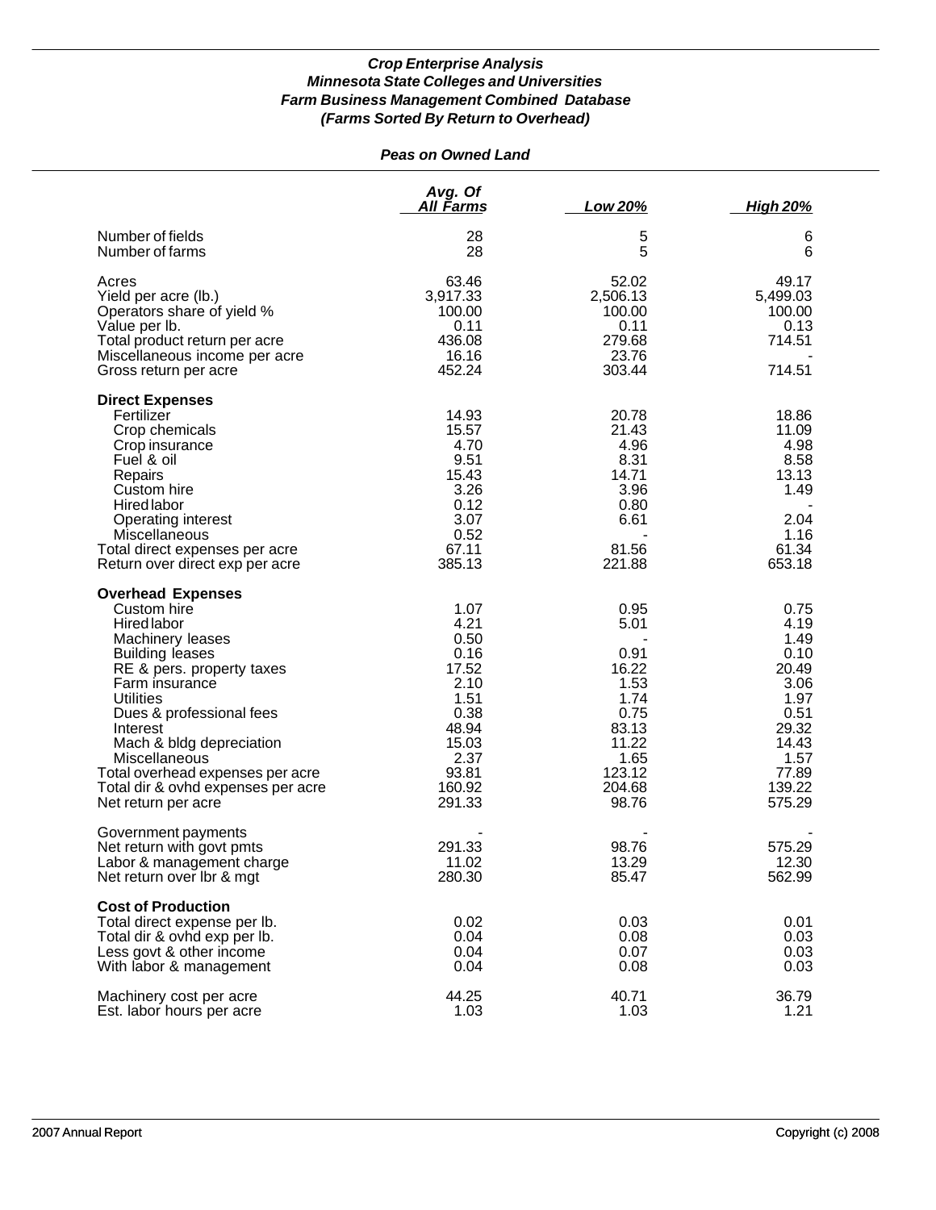## *Peas on Owned Land*

|                                                                                                                                                                                                                                                                                                                                                                      | Avg. Of<br><u>All Farms</u>                                                                                          | Low 20%                                                                                                      | <b>High 20%</b>                                                                                                      |
|----------------------------------------------------------------------------------------------------------------------------------------------------------------------------------------------------------------------------------------------------------------------------------------------------------------------------------------------------------------------|----------------------------------------------------------------------------------------------------------------------|--------------------------------------------------------------------------------------------------------------|----------------------------------------------------------------------------------------------------------------------|
| Number of fields<br>Number of farms                                                                                                                                                                                                                                                                                                                                  | 28<br>28                                                                                                             | 5<br>5                                                                                                       | 6<br>6                                                                                                               |
| Acres<br>Yield per acre (lb.)<br>Operators share of yield %<br>Value per lb.<br>Total product return per acre<br>Miscellaneous income per acre<br>Gross return per acre                                                                                                                                                                                              | 63.46<br>3,917.33<br>100.00<br>0.11<br>436.08<br>16.16<br>452.24                                                     | 52.02<br>2,506.13<br>100.00<br>0.11<br>279.68<br>23.76<br>303.44                                             | 49.17<br>5,499.03<br>100.00<br>0.13<br>714.51<br>714.51                                                              |
| <b>Direct Expenses</b><br>Fertilizer<br>Crop chemicals<br>Crop insurance<br>Fuel & oil<br>Repairs<br>Custom hire<br><b>Hired labor</b><br>Operating interest<br>Miscellaneous<br>Total direct expenses per acre<br>Return over direct exp per acre                                                                                                                   | 14.93<br>15.57<br>4.70<br>9.51<br>15.43<br>3.26<br>0.12<br>3.07<br>0.52<br>67.11<br>385.13                           | 20.78<br>21.43<br>4.96<br>8.31<br>14.71<br>3.96<br>0.80<br>6.61<br>81.56<br>221.88                           | 18.86<br>11.09<br>4.98<br>8.58<br>13.13<br>1.49<br>2.04<br>1.16<br>61.34<br>653.18                                   |
| <b>Overhead Expenses</b><br>Custom hire<br><b>Hired labor</b><br>Machinery leases<br><b>Building leases</b><br>RE & pers. property taxes<br>Farm insurance<br><b>Utilities</b><br>Dues & professional fees<br>Interest<br>Mach & bldg depreciation<br>Miscellaneous<br>Total overhead expenses per acre<br>Total dir & ovhd expenses per acre<br>Net return per acre | 1.07<br>4.21<br>0.50<br>0.16<br>17.52<br>2.10<br>1.51<br>0.38<br>48.94<br>15.03<br>2.37<br>93.81<br>160.92<br>291.33 | 0.95<br>5.01<br>0.91<br>16.22<br>1.53<br>1.74<br>0.75<br>83.13<br>11.22<br>1.65<br>123.12<br>204.68<br>98.76 | 0.75<br>4.19<br>1.49<br>0.10<br>20.49<br>3.06<br>1.97<br>0.51<br>29.32<br>14.43<br>1.57<br>77.89<br>139.22<br>575.29 |
| Government payments<br>Net return with govt pmts<br>Labor & management charge<br>Net return over Ibr & mgt                                                                                                                                                                                                                                                           | 291.33<br>11.02<br>280.30                                                                                            | 98.76<br>13.29<br>85.47                                                                                      | 575.29<br>12.30<br>562.99                                                                                            |
| <b>Cost of Production</b><br>Total direct expense per lb.<br>Total dir & ovhd exp per lb.<br>Less govt & other income<br>With labor & management                                                                                                                                                                                                                     | 0.02<br>0.04<br>0.04<br>0.04                                                                                         | 0.03<br>0.08<br>0.07<br>0.08                                                                                 | 0.01<br>0.03<br>0.03<br>0.03                                                                                         |
| Machinery cost per acre<br>Est. labor hours per acre                                                                                                                                                                                                                                                                                                                 | 44.25<br>1.03                                                                                                        | 40.71<br>1.03                                                                                                | 36.79<br>1.21                                                                                                        |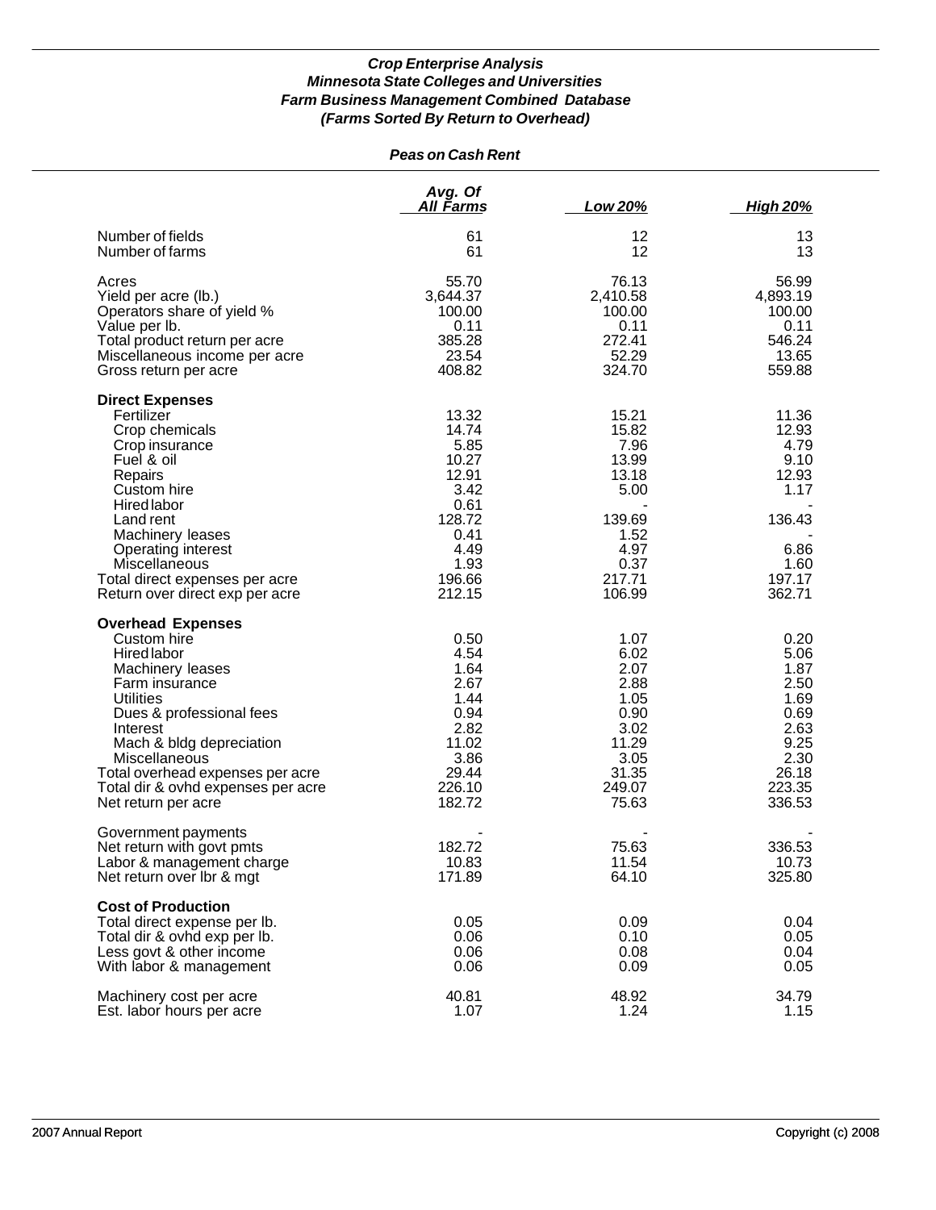|                                                                                                                                                                                                                                                                                                        | <b>Peas on Cash Rent</b>                                                                                       |                                                                                                        |                                                                                                   |
|--------------------------------------------------------------------------------------------------------------------------------------------------------------------------------------------------------------------------------------------------------------------------------------------------------|----------------------------------------------------------------------------------------------------------------|--------------------------------------------------------------------------------------------------------|---------------------------------------------------------------------------------------------------|
|                                                                                                                                                                                                                                                                                                        | Avg. Of<br>All Farms                                                                                           | Low 20%                                                                                                | <b>High 20%</b>                                                                                   |
| Number of fields<br>Number of farms                                                                                                                                                                                                                                                                    | 61<br>61                                                                                                       | 12<br>12                                                                                               | 13<br>13                                                                                          |
| Acres<br>Yield per acre (lb.)<br>Operators share of yield %<br>Value per lb.<br>Total product return per acre<br>Miscellaneous income per acre<br>Gross return per acre                                                                                                                                | 55.70<br>3,644.37<br>100.00<br>0.11<br>385.28<br>23.54<br>408.82                                               | 76.13<br>2,410.58<br>100.00<br>0.11<br>272.41<br>52.29<br>324.70                                       | 56.99<br>4,893.19<br>100.00<br>0.11<br>546.24<br>13.65<br>559.88                                  |
| <b>Direct Expenses</b><br>Fertilizer<br>Crop chemicals<br>Crop insurance<br>Fuel & oil<br>Repairs<br>Custom hire<br>Hired labor<br>Land rent<br>Machinery leases<br>Operating interest<br><b>Miscellaneous</b><br>Total direct expenses per acre<br>Return over direct exp per acre                    | 13.32<br>14.74<br>5.85<br>10.27<br>12.91<br>3.42<br>0.61<br>128.72<br>0.41<br>4.49<br>1.93<br>196.66<br>212.15 | 15.21<br>15.82<br>7.96<br>13.99<br>13.18<br>5.00<br>139.69<br>1.52<br>4.97<br>0.37<br>217.71<br>106.99 | 11.36<br>12.93<br>4.79<br>9.10<br>12.93<br>1.17<br>136.43<br>6.86<br>1.60<br>197.17<br>362.71     |
| <b>Overhead Expenses</b><br>Custom hire<br>Hired labor<br>Machinery leases<br>Farm insurance<br><b>Utilities</b><br>Dues & professional fees<br>Interest<br>Mach & bldg depreciation<br>Miscellaneous<br>Total overhead expenses per acre<br>Total dir & ovhd expenses per acre<br>Net return per acre | 0.50<br>4.54<br>1.64<br>2.67<br>1.44<br>0.94<br>2.82<br>11.02<br>3.86<br>29.44<br>226.10<br>182.72             | 1.07<br>6.02<br>2.07<br>2.88<br>1.05<br>0.90<br>3.02<br>11.29<br>3.05<br>31.35<br>249.07<br>75.63      | 0.20<br>5.06<br>1.87<br>2.50<br>1.69<br>0.69<br>2.63<br>9.25<br>2.30<br>26.18<br>223.35<br>336.53 |
| Government payments<br>Net return with govt pmts<br>Labor & management charge<br>Net return over Ibr & mgt                                                                                                                                                                                             | 182.72<br>10.83<br>171.89                                                                                      | 75.63<br>11.54<br>64.10                                                                                | 336.53<br>10.73<br>325.80                                                                         |
| <b>Cost of Production</b><br>Total direct expense per lb.<br>Total dir & ovhd exp per lb.<br>Less govt & other income<br>With labor & management                                                                                                                                                       | 0.05<br>0.06<br>0.06<br>0.06                                                                                   | 0.09<br>0.10<br>0.08<br>0.09                                                                           | 0.04<br>0.05<br>0.04<br>0.05                                                                      |
| Machinery cost per acre<br>Est. labor hours per acre                                                                                                                                                                                                                                                   | 40.81<br>1.07                                                                                                  | 48.92<br>1.24                                                                                          | 34.79<br>1.15                                                                                     |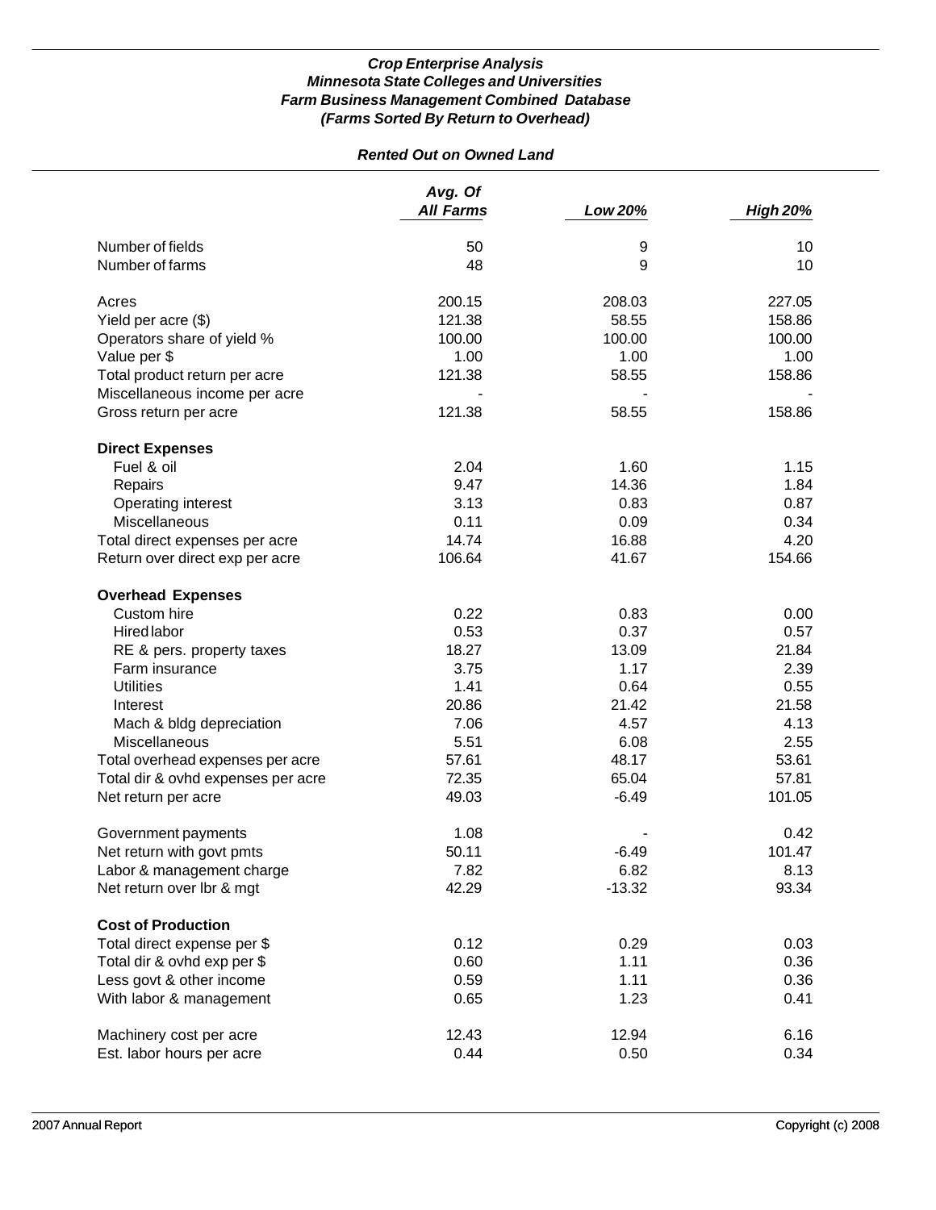# *Rented Out on Owned Land*

|                                    | Avg. Of          |          |                 |
|------------------------------------|------------------|----------|-----------------|
|                                    | <b>All Farms</b> | Low 20%  | <b>High 20%</b> |
| Number of fields                   | 50               | 9        | 10              |
| Number of farms                    | 48               | 9        | 10              |
| Acres                              | 200.15           | 208.03   | 227.05          |
| Yield per acre (\$)                | 121.38           | 58.55    | 158.86          |
| Operators share of yield %         | 100.00           | 100.00   | 100.00          |
| Value per \$                       | 1.00             | 1.00     | 1.00            |
| Total product return per acre      | 121.38           | 58.55    | 158.86          |
| Miscellaneous income per acre      |                  |          |                 |
| Gross return per acre              | 121.38           | 58.55    | 158.86          |
| <b>Direct Expenses</b>             |                  |          |                 |
| Fuel & oil                         | 2.04             | 1.60     | 1.15            |
| Repairs                            | 9.47             | 14.36    | 1.84            |
| Operating interest                 | 3.13             | 0.83     | 0.87            |
| Miscellaneous                      | 0.11             | 0.09     | 0.34            |
| Total direct expenses per acre     | 14.74            | 16.88    | 4.20            |
| Return over direct exp per acre    | 106.64           | 41.67    | 154.66          |
| <b>Overhead Expenses</b>           |                  |          |                 |
| Custom hire                        | 0.22             | 0.83     | 0.00            |
| <b>Hired labor</b>                 | 0.53             | 0.37     | 0.57            |
| RE & pers. property taxes          | 18.27            | 13.09    | 21.84           |
| Farm insurance                     | 3.75             | 1.17     | 2.39            |
| <b>Utilities</b>                   | 1.41             | 0.64     | 0.55            |
| Interest                           | 20.86            | 21.42    | 21.58           |
| Mach & bldg depreciation           | 7.06             | 4.57     | 4.13            |
| Miscellaneous                      | 5.51             | 6.08     | 2.55            |
| Total overhead expenses per acre   | 57.61            | 48.17    | 53.61           |
| Total dir & ovhd expenses per acre | 72.35            | 65.04    | 57.81           |
| Net return per acre                | 49.03            | $-6.49$  | 101.05          |
| Government payments                | 1.08             |          | 0.42            |
| Net return with govt pmts          | 50.11            | $-6.49$  | 101.47          |
| Labor & management charge          | 7.82             | 6.82     | 8.13            |
| Net return over lbr & mgt          | 42.29            | $-13.32$ | 93.34           |
| <b>Cost of Production</b>          |                  |          |                 |
| Total direct expense per \$        | 0.12             | 0.29     | 0.03            |
| Total dir & ovhd exp per \$        | 0.60             | 1.11     | 0.36            |
| Less govt & other income           | 0.59             | 1.11     | 0.36            |
| With labor & management            | 0.65             | 1.23     | 0.41            |
| Machinery cost per acre            | 12.43            | 12.94    | 6.16            |
| Est. labor hours per acre          | 0.44             | 0.50     | 0.34            |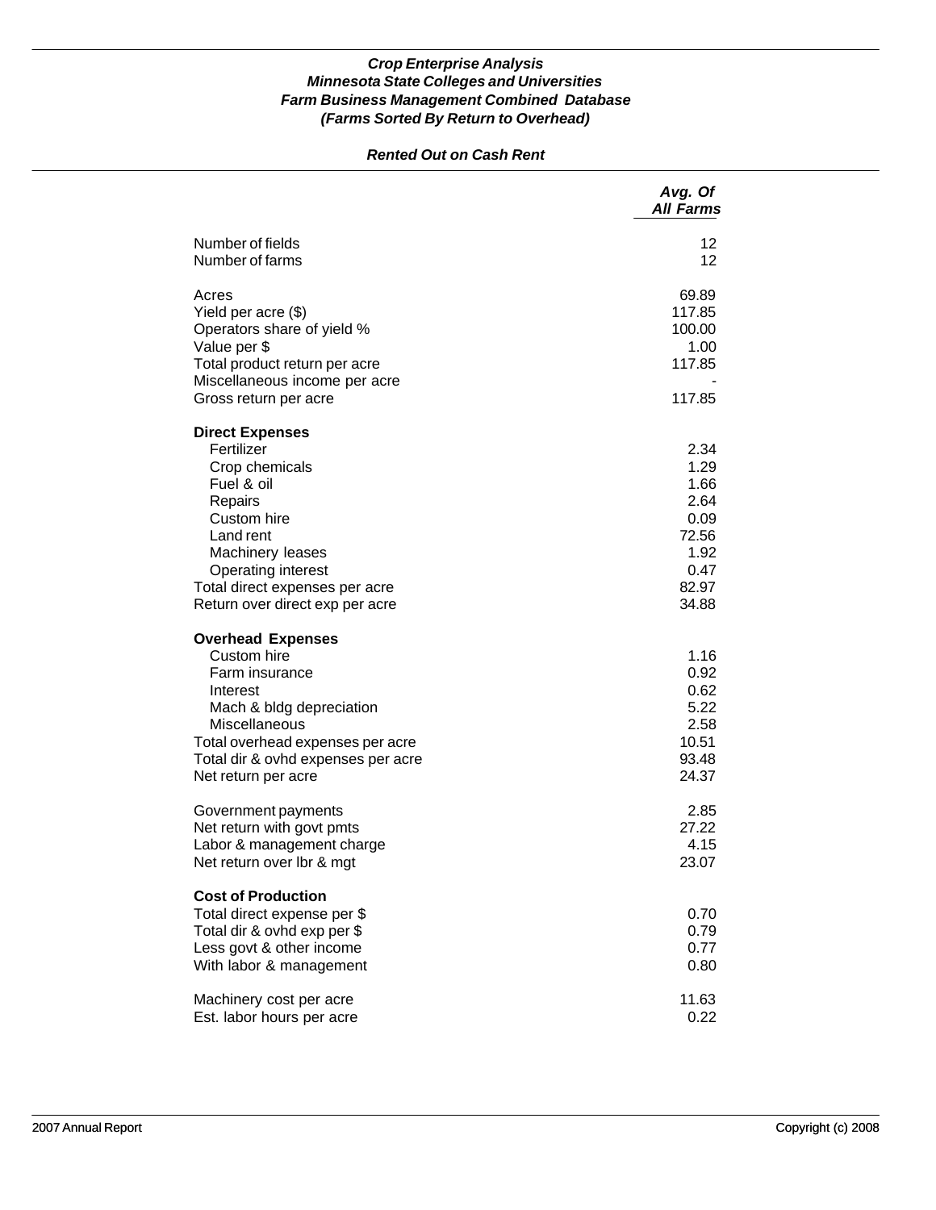### *Rented Out on Cash Rent*

|                                                                                                                                                                                                                            | Avg. Of<br><b>All Farms</b>                                                     |
|----------------------------------------------------------------------------------------------------------------------------------------------------------------------------------------------------------------------------|---------------------------------------------------------------------------------|
| Number of fields<br>Number of farms                                                                                                                                                                                        | 12<br>12                                                                        |
| Acres<br>Yield per acre (\$)<br>Operators share of yield %<br>Value per \$<br>Total product return per acre<br>Miscellaneous income per acre<br>Gross return per acre                                                      | 69.89<br>117.85<br>100.00<br>1.00<br>117.85<br>117.85                           |
| <b>Direct Expenses</b><br>Fertilizer<br>Crop chemicals<br>Fuel & oil<br>Repairs<br>Custom hire<br>Land rent<br>Machinery leases<br>Operating interest<br>Total direct expenses per acre<br>Return over direct exp per acre | 2.34<br>1.29<br>1.66<br>2.64<br>0.09<br>72.56<br>1.92<br>0.47<br>82.97<br>34.88 |
| <b>Overhead Expenses</b><br>Custom hire<br>Farm insurance<br>Interest<br>Mach & bldg depreciation<br>Miscellaneous<br>Total overhead expenses per acre<br>Total dir & ovhd expenses per acre<br>Net return per acre        | 1.16<br>0.92<br>0.62<br>5.22<br>2.58<br>10.51<br>93.48<br>24.37                 |
| Government payments<br>Net return with govt pmts<br>Labor & management charge<br>Net return over Ibr & mgt                                                                                                                 | 2.85<br>27.22<br>4.15<br>23.07                                                  |
| <b>Cost of Production</b><br>Total direct expense per \$<br>Total dir & ovhd exp per \$<br>Less govt & other income<br>With labor & management                                                                             | 0.70<br>0.79<br>0.77<br>0.80                                                    |
| Machinery cost per acre<br>Est. labor hours per acre                                                                                                                                                                       | 11.63<br>0.22                                                                   |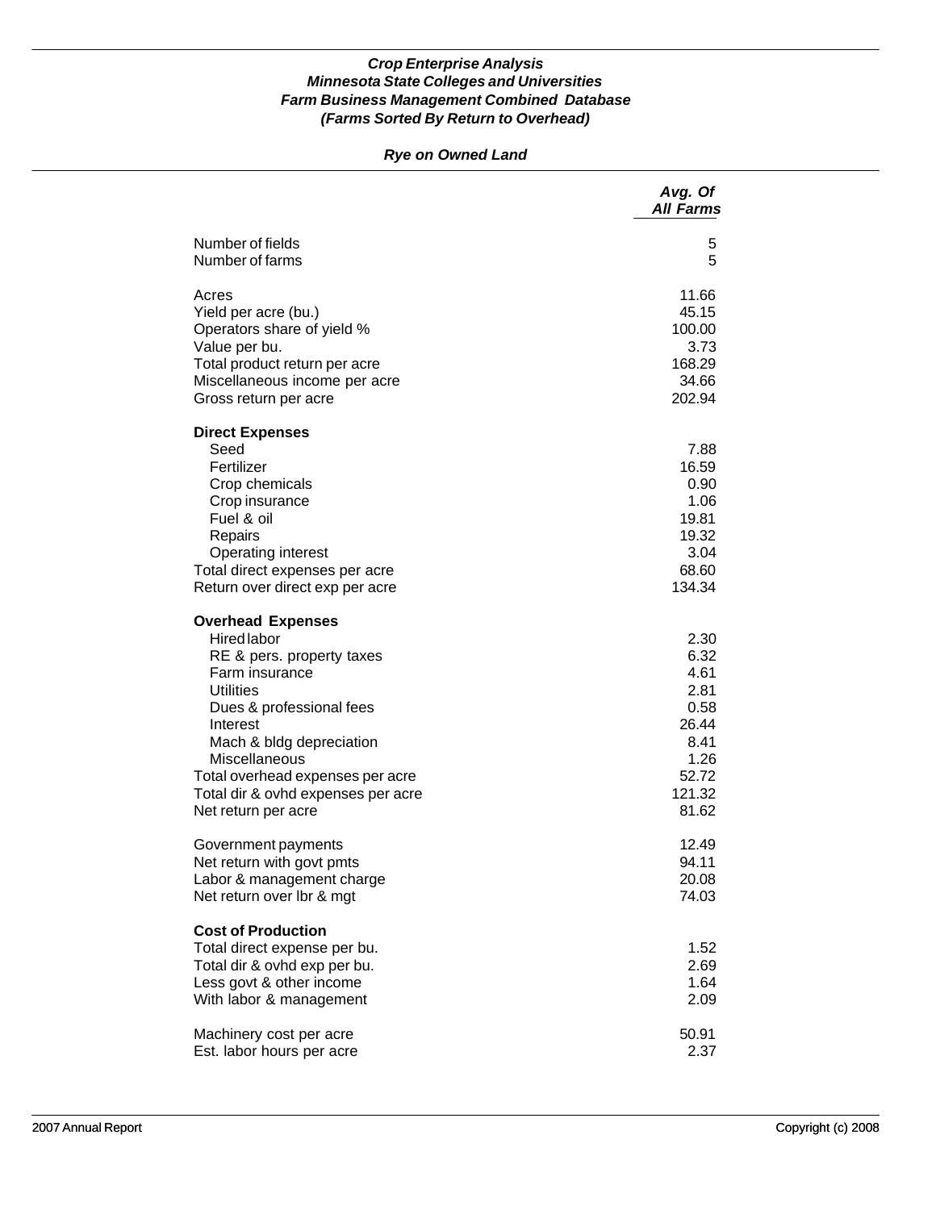# *Rye on Owned Land*

|                                                                                                                                                                                                                                                                                                  | Avg. Of<br><b>All Farms</b>                                                               |
|--------------------------------------------------------------------------------------------------------------------------------------------------------------------------------------------------------------------------------------------------------------------------------------------------|-------------------------------------------------------------------------------------------|
| Number of fields                                                                                                                                                                                                                                                                                 | 5                                                                                         |
| Number of farms                                                                                                                                                                                                                                                                                  | 5                                                                                         |
| Acres                                                                                                                                                                                                                                                                                            | 11.66                                                                                     |
| Yield per acre (bu.)                                                                                                                                                                                                                                                                             | 45.15                                                                                     |
| Operators share of yield %                                                                                                                                                                                                                                                                       | 100.00                                                                                    |
| Value per bu.                                                                                                                                                                                                                                                                                    | 3.73                                                                                      |
| Total product return per acre                                                                                                                                                                                                                                                                    | 168.29                                                                                    |
| Miscellaneous income per acre                                                                                                                                                                                                                                                                    | 34.66                                                                                     |
| Gross return per acre                                                                                                                                                                                                                                                                            | 202.94                                                                                    |
| <b>Direct Expenses</b><br>Seed<br>Fertilizer<br>Crop chemicals<br>Crop insurance<br>Fuel & oil<br>Repairs<br>Operating interest<br>Total direct expenses per acre<br>Return over direct exp per acre                                                                                             | 7.88<br>16.59<br>0.90<br>1.06<br>19.81<br>19.32<br>3.04<br>68.60<br>134.34                |
| <b>Overhead Expenses</b><br>Hired labor<br>RE & pers. property taxes<br>Farm insurance<br><b>Utilities</b><br>Dues & professional fees<br>Interest<br>Mach & bldg depreciation<br>Miscellaneous<br>Total overhead expenses per acre<br>Total dir & ovhd expenses per acre<br>Net return per acre | 2.30<br>6.32<br>4.61<br>2.81<br>0.58<br>26.44<br>8.41<br>1.26<br>52.72<br>121.32<br>81.62 |
| Government payments                                                                                                                                                                                                                                                                              | 12.49                                                                                     |
| Net return with govt pmts                                                                                                                                                                                                                                                                        | 94.11                                                                                     |
| Labor & management charge                                                                                                                                                                                                                                                                        | 20.08                                                                                     |
| Net return over lbr & mgt                                                                                                                                                                                                                                                                        | 74.03                                                                                     |
| <b>Cost of Production</b><br>Total direct expense per bu.<br>Total dir & ovhd exp per bu.<br>Less govt & other income<br>With labor & management                                                                                                                                                 | 1.52<br>2.69<br>1.64<br>2.09                                                              |
| Machinery cost per acre                                                                                                                                                                                                                                                                          | 50.91                                                                                     |
| Est. labor hours per acre                                                                                                                                                                                                                                                                        | 2.37                                                                                      |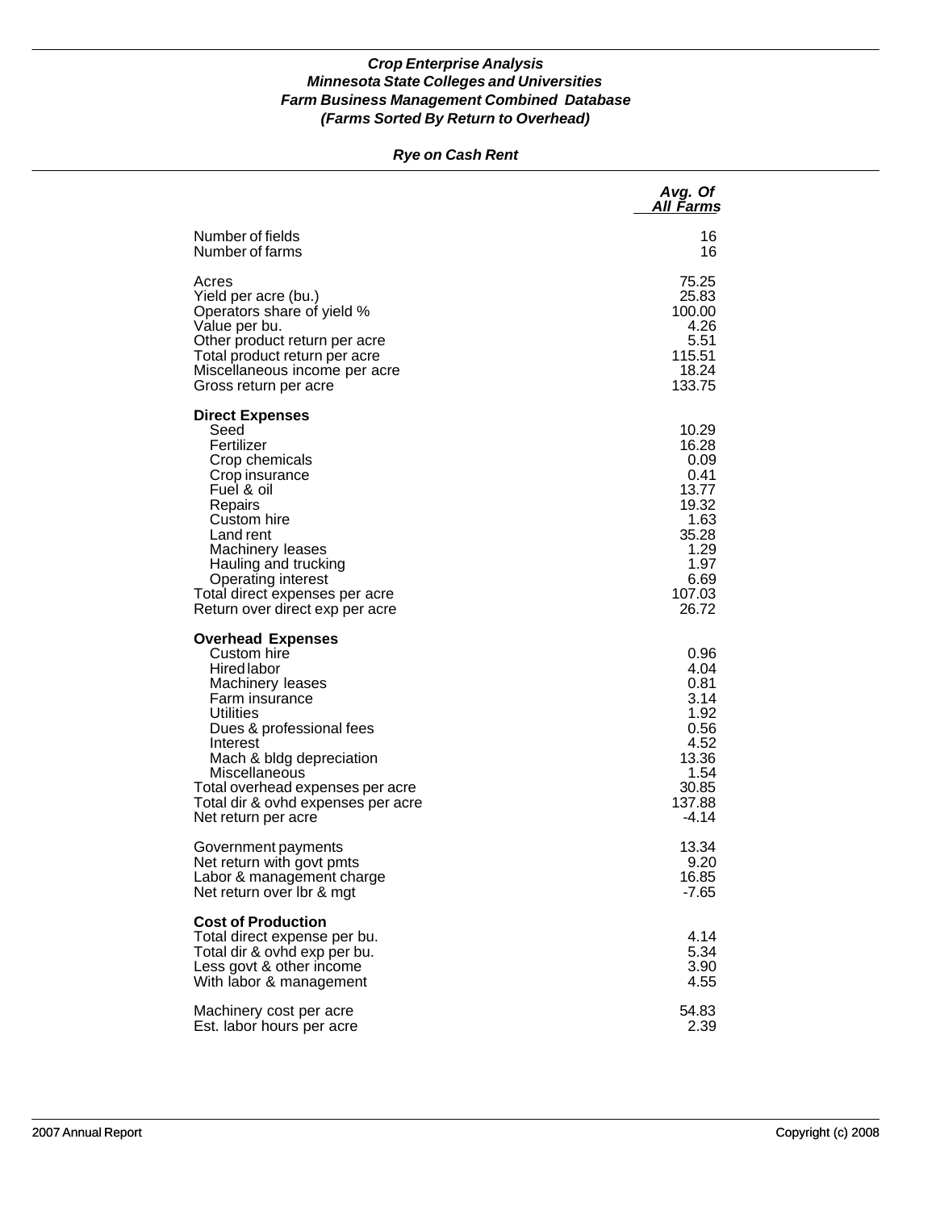### *Rye on Cash Rent*

|                                                                                                                                                                                                                                                                                                 | Avg. Of<br>A <u>ll Farm</u> s                                                                                |
|-------------------------------------------------------------------------------------------------------------------------------------------------------------------------------------------------------------------------------------------------------------------------------------------------|--------------------------------------------------------------------------------------------------------------|
| Number of fields                                                                                                                                                                                                                                                                                | 16                                                                                                           |
| Number of farms                                                                                                                                                                                                                                                                                 | 16                                                                                                           |
| Acres                                                                                                                                                                                                                                                                                           | 75.25                                                                                                        |
| Yield per acre (bu.)                                                                                                                                                                                                                                                                            | 25.83                                                                                                        |
| Operators share of yield %                                                                                                                                                                                                                                                                      | 100.00                                                                                                       |
| Value per bu.                                                                                                                                                                                                                                                                                   | 4.26                                                                                                         |
| Other product return per acre                                                                                                                                                                                                                                                                   | 5.51                                                                                                         |
| Total product return per acre                                                                                                                                                                                                                                                                   | 115.51                                                                                                       |
| Miscellaneous income per acre                                                                                                                                                                                                                                                                   | 18.24                                                                                                        |
| Gross return per acre                                                                                                                                                                                                                                                                           | 133.75                                                                                                       |
| <b>Direct Expenses</b><br>Seed<br>Fertilizer<br>Crop chemicals<br>Crop insurance<br>Fuel & oil<br>Repairs<br>Custom hire<br>Land rent<br>Machinery leases<br>Hauling and trucking<br><b>Operating interest</b><br>Total direct expenses per acre<br>Return over direct exp per acre             | 10.29<br>16.28<br>0.09<br>0.41<br>13.77<br>19.32<br>1.63<br>35.28<br>1.29<br>1.97<br>6.69<br>107.03<br>26.72 |
| <b>Overhead Expenses</b><br>Custom hire<br>Hired labor<br>Machinery leases<br>Farm insurance<br>Utilities<br>Dues & professional fees<br>Interest<br>Mach & bldg depreciation<br>Miscellaneous<br>Total overhead expenses per acre<br>Total dir & ovhd expenses per acre<br>Net return per acre | 0.96<br>4.04<br>0.81<br>3.14<br>1.92<br>0.56<br>4.52<br>13.36<br>1.54<br>30.85<br>137.88<br>$-4.14$          |
| Government payments                                                                                                                                                                                                                                                                             | 13.34                                                                                                        |
| Net return with govt pmts                                                                                                                                                                                                                                                                       | 9.20                                                                                                         |
| Labor & management charge                                                                                                                                                                                                                                                                       | 16.85                                                                                                        |
| Net return over Ibr & mgt                                                                                                                                                                                                                                                                       | $-7.65$                                                                                                      |
| <b>Cost of Production</b><br>Total direct expense per bu.<br>Total dir & ovhd exp per bu.<br>Less govt & other income<br>With labor & management                                                                                                                                                | 4.14<br>5.34<br>3.90<br>4.55                                                                                 |
| Machinery cost per acre                                                                                                                                                                                                                                                                         | 54.83                                                                                                        |
| Est. labor hours per acre                                                                                                                                                                                                                                                                       | 2.39                                                                                                         |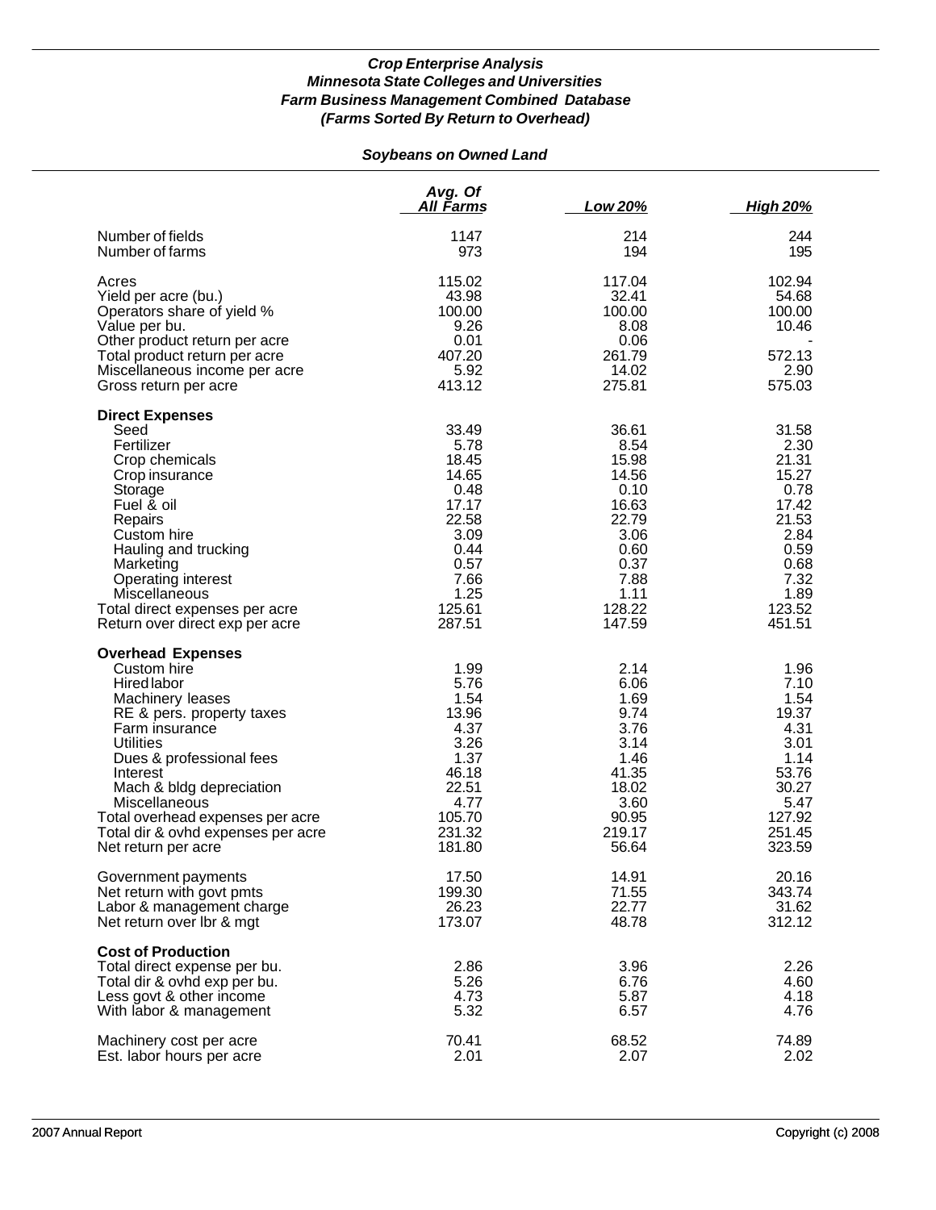# *Soybeans on Owned Land*

|                                                                                                                                                                                                                                                                                                                                            | Avg. Of<br><u>All Farms</u>                                                                                           | Low 20%                                                                                                               | <b>High 20%</b>                                                                                                       |
|--------------------------------------------------------------------------------------------------------------------------------------------------------------------------------------------------------------------------------------------------------------------------------------------------------------------------------------------|-----------------------------------------------------------------------------------------------------------------------|-----------------------------------------------------------------------------------------------------------------------|-----------------------------------------------------------------------------------------------------------------------|
| Number of fields<br>Number of farms                                                                                                                                                                                                                                                                                                        | 1147<br>973                                                                                                           | 214<br>194                                                                                                            | 244<br>195                                                                                                            |
| Acres<br>Yield per acre (bu.)<br>Operators share of yield %<br>Value per bu.<br>Other product return per acre<br>Total product return per acre<br>Miscellaneous income per acre<br>Gross return per acre                                                                                                                                   | 115.02<br>43.98<br>100.00<br>9.26<br>0.01<br>407.20<br>5.92<br>413.12                                                 | 117.04<br>32.41<br>100.00<br>8.08<br>0.06<br>261.79<br>14.02<br>275.81                                                | 102.94<br>54.68<br>100.00<br>10.46<br>572.13<br>2.90<br>575.03                                                        |
| <b>Direct Expenses</b><br>Seed<br>Fertilizer<br>Crop chemicals<br>Crop insurance<br>Storage<br>Fuel & oil<br>Repairs<br>Custom hire<br>Hauling and trucking<br>Marketing<br>Operating interest<br>Miscellaneous<br>Total direct expenses per acre<br>Return over direct exp per acre                                                       | 33.49<br>5.78<br>18.45<br>14.65<br>0.48<br>17.17<br>22.58<br>3.09<br>0.44<br>0.57<br>7.66<br>1.25<br>125.61<br>287.51 | 36.61<br>8.54<br>15.98<br>14.56<br>0.10<br>16.63<br>22.79<br>3.06<br>0.60<br>0.37<br>7.88<br>1.11<br>128.22<br>147.59 | 31.58<br>2.30<br>21.31<br>15.27<br>0.78<br>17.42<br>21.53<br>2.84<br>0.59<br>0.68<br>7.32<br>1.89<br>123.52<br>451.51 |
| <b>Overhead Expenses</b><br>Custom hire<br><b>Hired labor</b><br>Machinery leases<br>RE & pers. property taxes<br>Farm insurance<br><b>Utilities</b><br>Dues & professional fees<br>Interest<br>Mach & bldg depreciation<br>Miscellaneous<br>Total overhead expenses per acre<br>Total dir & ovhd expenses per acre<br>Net return per acre | 1.99<br>5.76<br>1.54<br>13.96<br>4.37<br>3.26<br>1.37<br>46.18<br>22.51<br>4.77<br>105.70<br>231.32<br>181.80         | 2.14<br>6.06<br>1.69<br>9.74<br>3.76<br>3.14<br>1.46<br>41.35<br>18.02<br>3.60<br>90.95<br>219.17<br>56.64            | 1.96<br>7.10<br>1.54<br>19.37<br>4.31<br>3.01<br>1.14<br>53.76<br>30.27<br>5.47<br>127.92<br>251.45<br>323.59         |
| Government payments<br>Net return with govt pmts<br>Labor & management charge<br>Net return over Ibr & mgt                                                                                                                                                                                                                                 | 17.50<br>199.30<br>26.23<br>173.07                                                                                    | 14.91<br>71.55<br>22.77<br>48.78                                                                                      | 20.16<br>343.74<br>31.62<br>312.12                                                                                    |
| <b>Cost of Production</b><br>Total direct expense per bu.<br>Total dir & ovhd exp per bu.<br>Less govt & other income<br>With labor & management                                                                                                                                                                                           | 2.86<br>5.26<br>4.73<br>5.32                                                                                          | 3.96<br>6.76<br>5.87<br>6.57                                                                                          | 2.26<br>4.60<br>4.18<br>4.76                                                                                          |
| Machinery cost per acre<br>Est. labor hours per acre                                                                                                                                                                                                                                                                                       | 70.41<br>2.01                                                                                                         | 68.52<br>2.07                                                                                                         | 74.89<br>2.02                                                                                                         |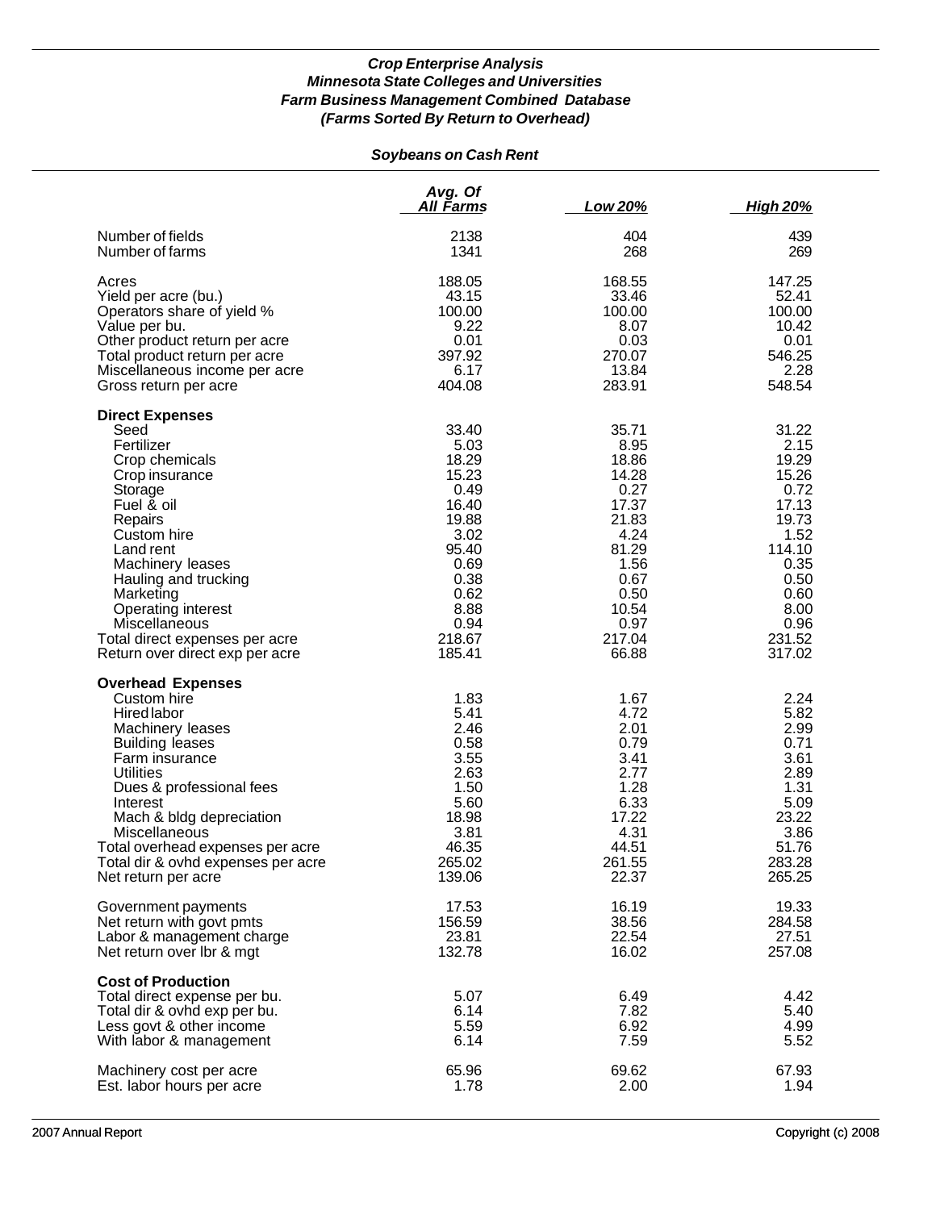## *Soybeans on Cash Rent*

|                                                                                                                                                                                                                                                                                                                                  | Avg. Of<br>All Farms                                                                                                                   | Low 20%                                                                                                                                | <b>High 20%</b>                                                                                                                         |
|----------------------------------------------------------------------------------------------------------------------------------------------------------------------------------------------------------------------------------------------------------------------------------------------------------------------------------|----------------------------------------------------------------------------------------------------------------------------------------|----------------------------------------------------------------------------------------------------------------------------------------|-----------------------------------------------------------------------------------------------------------------------------------------|
| Number of fields                                                                                                                                                                                                                                                                                                                 | 2138                                                                                                                                   | 404                                                                                                                                    | 439                                                                                                                                     |
| Number of farms                                                                                                                                                                                                                                                                                                                  | 1341                                                                                                                                   | 268                                                                                                                                    | 269                                                                                                                                     |
| Acres                                                                                                                                                                                                                                                                                                                            | 188.05                                                                                                                                 | 168.55                                                                                                                                 | 147.25                                                                                                                                  |
| Yield per acre (bu.)                                                                                                                                                                                                                                                                                                             | 43.15                                                                                                                                  | 33.46                                                                                                                                  | 52.41                                                                                                                                   |
| Operators share of yield %                                                                                                                                                                                                                                                                                                       | 100.00                                                                                                                                 | 100.00                                                                                                                                 | 100.00                                                                                                                                  |
| Value per bu.                                                                                                                                                                                                                                                                                                                    | 9.22                                                                                                                                   | 8.07                                                                                                                                   | 10.42                                                                                                                                   |
| Other product return per acre                                                                                                                                                                                                                                                                                                    | 0.01                                                                                                                                   | 0.03                                                                                                                                   | 0.01                                                                                                                                    |
| Total product return per acre                                                                                                                                                                                                                                                                                                    | 397.92                                                                                                                                 | 270.07                                                                                                                                 | 546.25                                                                                                                                  |
| Miscellaneous income per acre                                                                                                                                                                                                                                                                                                    | 6.17                                                                                                                                   | 13.84                                                                                                                                  | 2.28                                                                                                                                    |
| Gross return per acre                                                                                                                                                                                                                                                                                                            | 404.08                                                                                                                                 | 283.91                                                                                                                                 | 548.54                                                                                                                                  |
| <b>Direct Expenses</b><br>Seed<br>Fertilizer<br>Crop chemicals<br>Crop insurance<br>Storage<br>Fuel & oil<br>Repairs<br>Custom hire<br>Land rent<br>Machinery leases<br>Hauling and trucking<br>Marketing<br>Operating interest<br>Miscellaneous<br>Total direct expenses per acre<br>Return over direct exp per acre            | 33.40<br>5.03<br>18.29<br>15.23<br>0.49<br>16.40<br>19.88<br>3.02<br>95.40<br>0.69<br>0.38<br>0.62<br>8.88<br>0.94<br>218.67<br>185.41 | 35.71<br>8.95<br>18.86<br>14.28<br>0.27<br>17.37<br>21.83<br>4.24<br>81.29<br>1.56<br>0.67<br>0.50<br>10.54<br>0.97<br>217.04<br>66.88 | 31.22<br>2.15<br>19.29<br>15.26<br>0.72<br>17.13<br>19.73<br>1.52<br>114.10<br>0.35<br>0.50<br>0.60<br>8.00<br>0.96<br>231.52<br>317.02 |
| <b>Overhead Expenses</b><br>Custom hire<br>Hired labor<br>Machinery leases<br><b>Building leases</b><br>Farm insurance<br><b>Utilities</b><br>Dues & professional fees<br>Interest<br>Mach & bldg depreciation<br>Miscellaneous<br>Total overhead expenses per acre<br>Total dir & ovhd expenses per acre<br>Net return per acre | 1.83<br>5.41<br>2.46<br>0.58<br>3.55<br>2.63<br>1.50<br>5.60<br>18.98<br>3.81<br>46.35<br>265.02<br>139.06                             | 1.67<br>4.72<br>2.01<br>0.79<br>3.41<br>2.77<br>1.28<br>6.33<br>17.22<br>4.31<br>44.51<br>261.55<br>22.37                              | 2.24<br>5.82<br>2.99<br>0.71<br>3.61<br>2.89<br>1.31<br>5.09<br>23.22<br>3.86<br>51.76<br>283.28<br>265.25                              |
| Government payments                                                                                                                                                                                                                                                                                                              | 17.53                                                                                                                                  | 16.19                                                                                                                                  | 19.33                                                                                                                                   |
| Net return with govt pmts                                                                                                                                                                                                                                                                                                        | 156.59                                                                                                                                 | 38.56                                                                                                                                  | 284.58                                                                                                                                  |
| Labor & management charge                                                                                                                                                                                                                                                                                                        | 23.81                                                                                                                                  | 22.54                                                                                                                                  | 27.51                                                                                                                                   |
| Net return over Ibr & mgt                                                                                                                                                                                                                                                                                                        | 132.78                                                                                                                                 | 16.02                                                                                                                                  | 257.08                                                                                                                                  |
| <b>Cost of Production</b><br>Total direct expense per bu.<br>Total dir & ovhd exp per bu.<br>Less govt & other income<br>With labor & management                                                                                                                                                                                 | 5.07<br>6.14<br>5.59<br>6.14                                                                                                           | 6.49<br>7.82<br>6.92<br>7.59                                                                                                           | 4.42<br>5.40<br>4.99<br>5.52                                                                                                            |
| Machinery cost per acre                                                                                                                                                                                                                                                                                                          | 65.96                                                                                                                                  | 69.62                                                                                                                                  | 67.93                                                                                                                                   |
| Est. labor hours per acre                                                                                                                                                                                                                                                                                                        | 1.78                                                                                                                                   | 2.00                                                                                                                                   | 1.94                                                                                                                                    |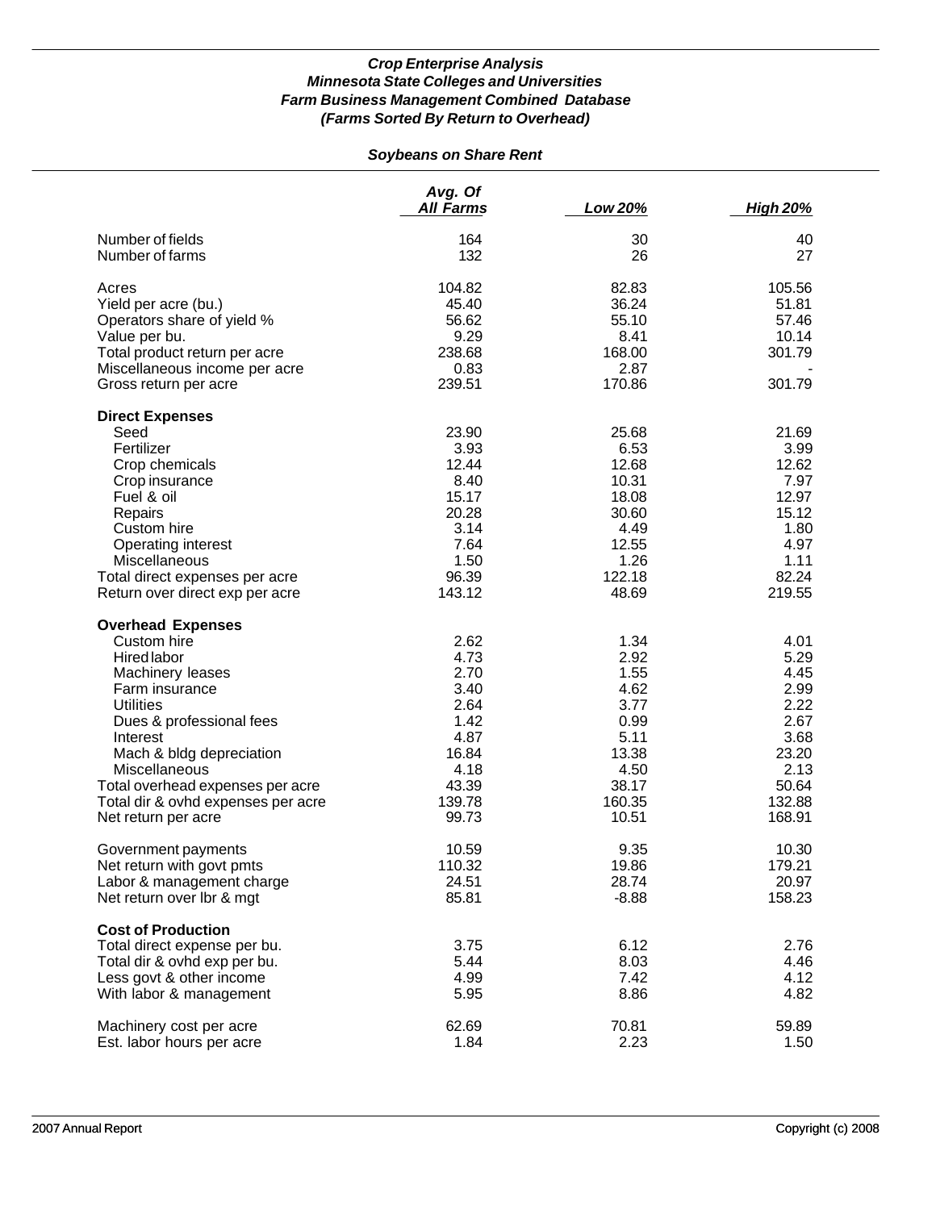# *Soybeans on Share Rent*

|                                    | Avg. Of<br><b>All Farms</b> | Low 20% | <b>High 20%</b> |
|------------------------------------|-----------------------------|---------|-----------------|
| Number of fields                   | 164                         | 30      | 40              |
| Number of farms                    | 132                         | 26      | 27              |
| Acres                              | 104.82                      | 82.83   | 105.56          |
| Yield per acre (bu.)               | 45.40                       | 36.24   | 51.81           |
| Operators share of yield %         | 56.62                       | 55.10   | 57.46           |
| Value per bu.                      | 9.29                        | 8.41    | 10.14           |
| Total product return per acre      | 238.68                      | 168.00  | 301.79          |
| Miscellaneous income per acre      | 0.83                        | 2.87    |                 |
| Gross return per acre              | 239.51                      | 170.86  | 301.79          |
| <b>Direct Expenses</b>             |                             |         |                 |
| Seed                               | 23.90                       | 25.68   | 21.69           |
| Fertilizer                         | 3.93                        | 6.53    | 3.99            |
| Crop chemicals                     | 12.44                       | 12.68   | 12.62           |
| Crop insurance                     | 8.40                        | 10.31   | 7.97            |
| Fuel & oil                         | 15.17                       | 18.08   | 12.97           |
| Repairs                            | 20.28                       | 30.60   | 15.12           |
| Custom hire                        | 3.14                        | 4.49    | 1.80            |
| Operating interest                 | 7.64                        | 12.55   | 4.97            |
| Miscellaneous                      | 1.50                        | 1.26    | 1.11            |
| Total direct expenses per acre     | 96.39                       | 122.18  | 82.24           |
| Return over direct exp per acre    | 143.12                      | 48.69   | 219.55          |
| <b>Overhead Expenses</b>           |                             |         |                 |
| Custom hire                        | 2.62                        | 1.34    | 4.01            |
| <b>Hired labor</b>                 | 4.73                        | 2.92    | 5.29            |
| Machinery leases                   | 2.70                        | 1.55    | 4.45            |
| Farm insurance                     | 3.40                        | 4.62    | 2.99            |
| <b>Utilities</b>                   | 2.64                        | 3.77    | 2.22            |
| Dues & professional fees           | 1.42                        | 0.99    | 2.67            |
| Interest                           | 4.87                        | 5.11    | 3.68            |
| Mach & bldg depreciation           | 16.84                       | 13.38   | 23.20           |
| Miscellaneous                      | 4.18                        | 4.50    | 2.13            |
| Total overhead expenses per acre   | 43.39                       | 38.17   | 50.64           |
| Total dir & ovhd expenses per acre | 139.78                      | 160.35  | 132.88          |
| Net return per acre                | 99.73                       | 10.51   | 168.91          |
| Government payments                | 10.59                       | 9.35    | 10.30           |
| Net return with govt pmts          | 110.32                      | 19.86   | 179.21          |
| Labor & management charge          | 24.51                       | 28.74   | 20.97           |
| Net return over lbr & mgt          | 85.81                       | $-8.88$ | 158.23          |
| <b>Cost of Production</b>          |                             |         |                 |
| Total direct expense per bu.       | 3.75                        | 6.12    | 2.76            |
| Total dir & ovhd exp per bu.       | 5.44                        | 8.03    | 4.46            |
| Less govt & other income           | 4.99                        | 7.42    | 4.12            |
| With labor & management            | 5.95                        | 8.86    | 4.82            |
| Machinery cost per acre            | 62.69                       | 70.81   | 59.89           |
| Est. labor hours per acre          | 1.84                        | 2.23    | 1.50            |
|                                    |                             |         |                 |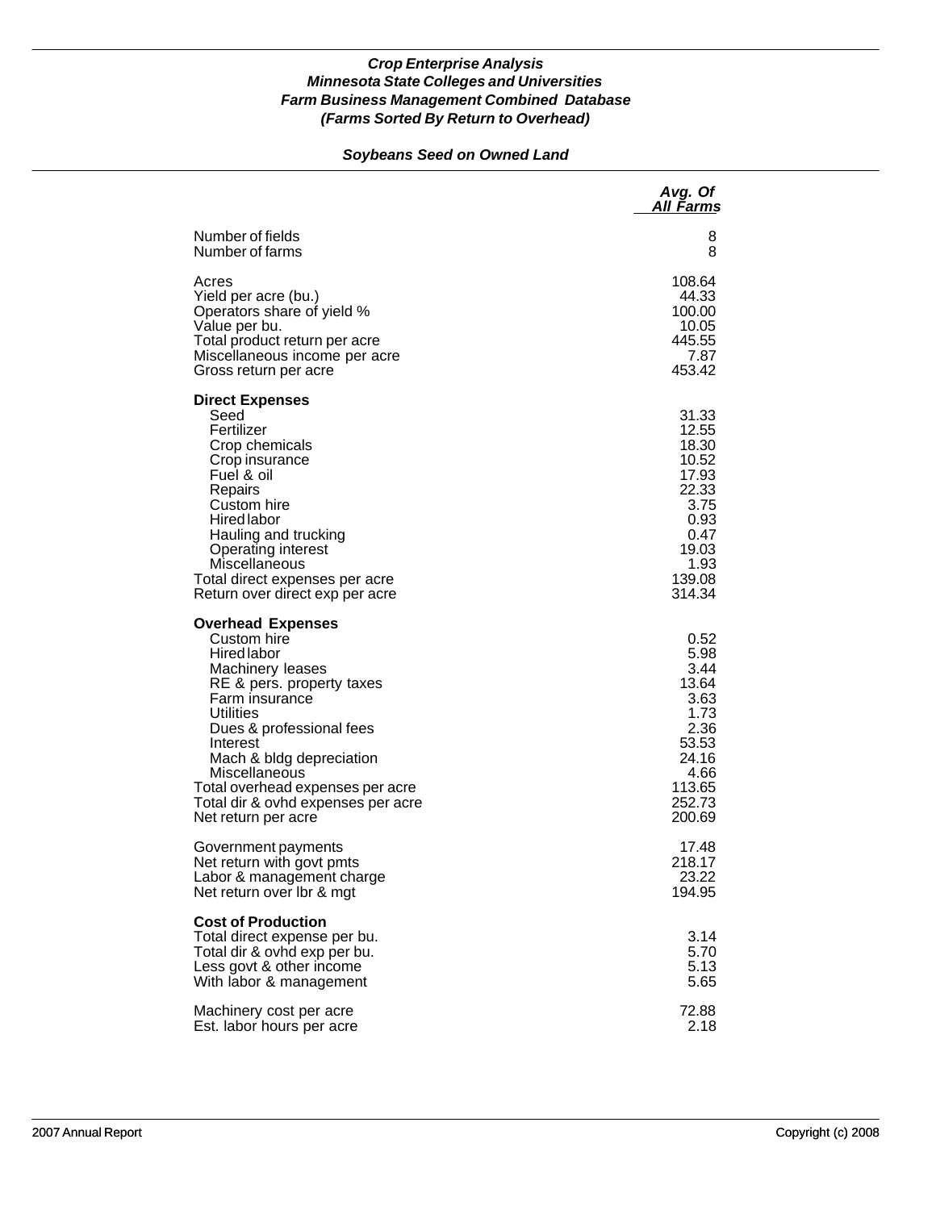### *Soybeans Seed on Owned Land*

|                                                                                                                                                                                                                                                                                                                                     | Avg. Of<br>All Farms                                                                                            |
|-------------------------------------------------------------------------------------------------------------------------------------------------------------------------------------------------------------------------------------------------------------------------------------------------------------------------------------|-----------------------------------------------------------------------------------------------------------------|
| Number of fields                                                                                                                                                                                                                                                                                                                    | 8                                                                                                               |
| Number of farms                                                                                                                                                                                                                                                                                                                     | 8                                                                                                               |
| Acres                                                                                                                                                                                                                                                                                                                               | 108.64                                                                                                          |
| Yield per acre (bu.)                                                                                                                                                                                                                                                                                                                | 44.33                                                                                                           |
| Operators share of yield %                                                                                                                                                                                                                                                                                                          | 100.00                                                                                                          |
| Value per bu.                                                                                                                                                                                                                                                                                                                       | 10.05                                                                                                           |
| Total product return per acre                                                                                                                                                                                                                                                                                                       | 445.55                                                                                                          |
| Miscellaneous income per acre                                                                                                                                                                                                                                                                                                       | 7.87                                                                                                            |
| Gross return per acre                                                                                                                                                                                                                                                                                                               | 453.42                                                                                                          |
| <b>Direct Expenses</b><br>Seed<br>Fertilizer<br>Crop chemicals<br>Crop insurance<br>Fuel & oil<br>Repairs<br>Custom hire<br><b>Hired labor</b><br>Hauling and trucking<br>Operating interest<br>Miscellaneous<br>Total direct expenses per acre<br>Return over direct exp per acre                                                  | 31.33<br>12.55<br>18.30<br>10.52<br>17.93<br>22.33<br>3.75<br>0.93<br>0.47<br>19.03<br>1.93<br>139.08<br>314.34 |
| <b>Overhead Expenses</b><br>Custom hire<br><b>Hired labor</b><br>Machinery leases<br>RE & pers. property taxes<br>Farm insurance<br>Utilities<br>Dues & professional fees<br>Interest<br>Mach & bldg depreciation<br>Miscellaneous<br>Total overhead expenses per acre<br>Total dir & ovhd expenses per acre<br>Net return per acre | 0.52<br>5.98<br>3.44<br>13.64<br>3.63<br>1.73<br>2.36<br>53.53<br>24.16<br>4.66<br>113.65<br>252.73<br>200.69   |
| Government payments                                                                                                                                                                                                                                                                                                                 | 17.48                                                                                                           |
| Net return with govt pmts                                                                                                                                                                                                                                                                                                           | 218.17                                                                                                          |
| Labor & management charge                                                                                                                                                                                                                                                                                                           | 23.22                                                                                                           |
| Net return over Ibr & mgt                                                                                                                                                                                                                                                                                                           | 194.95                                                                                                          |
| <b>Cost of Production</b><br>Total direct expense per bu.<br>Total dir & ovhd exp per bu.<br>Less govt & other income<br>With labor & management                                                                                                                                                                                    | 3.14<br>5.70<br>5.13<br>5.65                                                                                    |
| Machinery cost per acre                                                                                                                                                                                                                                                                                                             | 72.88                                                                                                           |
| Est. labor hours per acre                                                                                                                                                                                                                                                                                                           | 2.18                                                                                                            |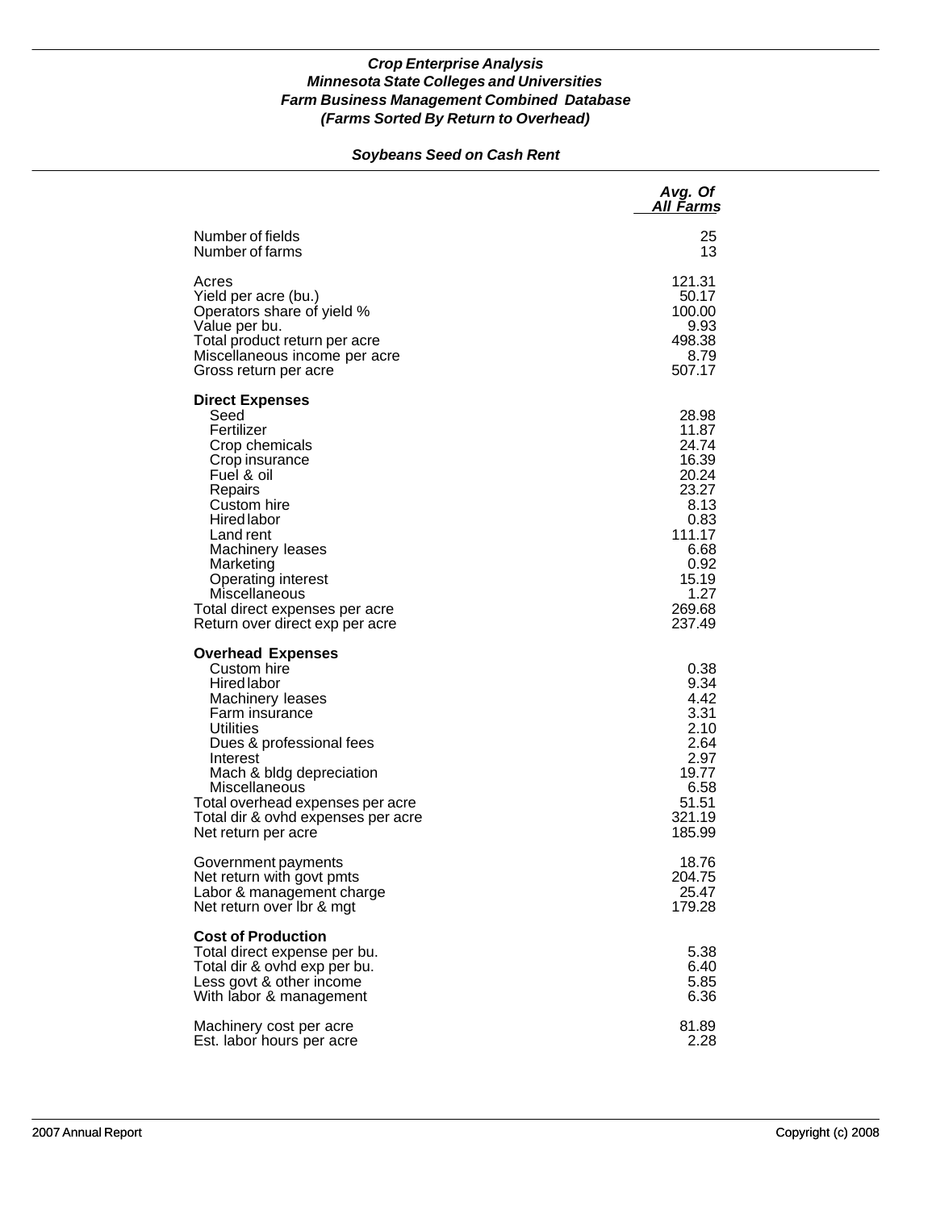### *Soybeans Seed on Cash Rent*

|                                                                                                                                                                                                                                                                                                                 | Avg. Of<br>All Farms                                                                                                              |
|-----------------------------------------------------------------------------------------------------------------------------------------------------------------------------------------------------------------------------------------------------------------------------------------------------------------|-----------------------------------------------------------------------------------------------------------------------------------|
| Number of fields                                                                                                                                                                                                                                                                                                | 25                                                                                                                                |
| Number of farms                                                                                                                                                                                                                                                                                                 | 13                                                                                                                                |
| Acres                                                                                                                                                                                                                                                                                                           | 121.31                                                                                                                            |
| Yield per acre (bu.)                                                                                                                                                                                                                                                                                            | 50.17                                                                                                                             |
| Operators share of yield %                                                                                                                                                                                                                                                                                      | 100.00                                                                                                                            |
| Value per bu.                                                                                                                                                                                                                                                                                                   | 9.93                                                                                                                              |
| Total product return per acre                                                                                                                                                                                                                                                                                   | 498.38                                                                                                                            |
| Miscellaneous income per acre                                                                                                                                                                                                                                                                                   | 8.79                                                                                                                              |
| Gross return per acre                                                                                                                                                                                                                                                                                           | 507.17                                                                                                                            |
| <b>Direct Expenses</b><br>Seed<br>Fertilizer<br>Crop chemicals<br>Crop insurance<br>Fuel & oil<br>Repairs<br>Custom hire<br><b>Hired labor</b><br>Land rent<br>Machinery leases<br>Marketing<br><b>Operating interest</b><br>Miscellaneous<br>Total direct expenses per acre<br>Return over direct exp per acre | 28.98<br>11.87<br>24.74<br>16.39<br>20.24<br>23.27<br>8.13<br>0.83<br>111.17<br>6.68<br>0.92<br>15.19<br>1.27<br>269.68<br>237.49 |
| <b>Overhead Expenses</b><br>Custom hire<br>Hired labor<br>Machinery leases<br>Farm insurance<br><b>Utilities</b><br>Dues & professional fees<br>Interest<br>Mach & bldg depreciation<br>Miscellaneous<br>Total overhead expenses per acre<br>Total dir & ovhd expenses per acre<br>Net return per acre          | 0.38<br>9.34<br>4.42<br>3.31<br>2.10<br>2.64<br>2.97<br>19.77<br>6.58<br>51.51<br>321.19<br>185.99                                |
| Government payments                                                                                                                                                                                                                                                                                             | 18.76                                                                                                                             |
| Net return with govt pmts                                                                                                                                                                                                                                                                                       | 204.75                                                                                                                            |
| Labor & management charge                                                                                                                                                                                                                                                                                       | 25.47                                                                                                                             |
| Net return over Ibr & mgt                                                                                                                                                                                                                                                                                       | 179.28                                                                                                                            |
| <b>Cost of Production</b><br>Total direct expense per bu.<br>Total dir & ovhd exp per bu.<br>Less govt & other income<br>With labor & management                                                                                                                                                                | 5.38<br>6.40<br>5.85<br>6.36                                                                                                      |
| Machinery cost per acre                                                                                                                                                                                                                                                                                         | 81.89                                                                                                                             |
| Est. labor hours per acre                                                                                                                                                                                                                                                                                       | 2.28                                                                                                                              |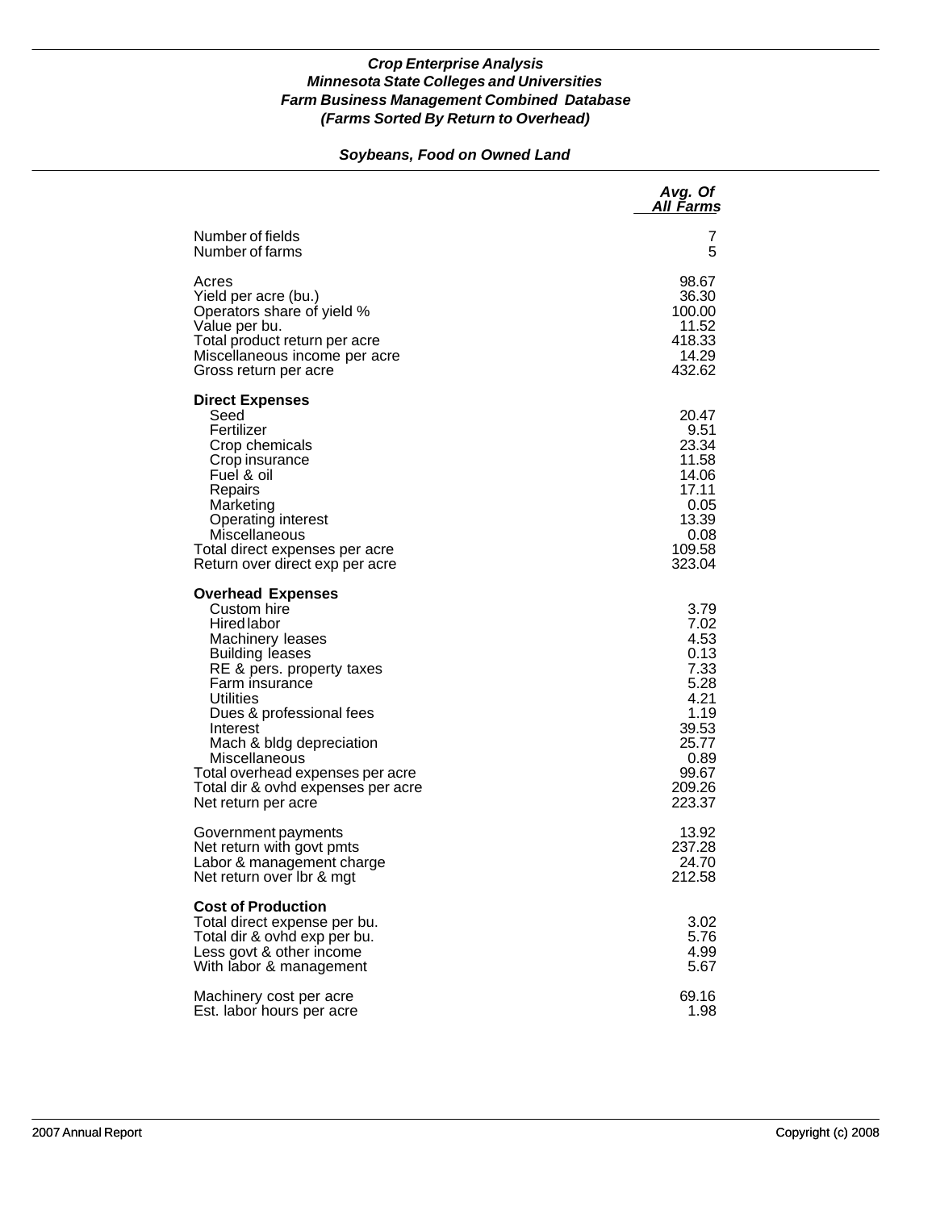### *Soybeans, Food on Owned Land*

|                                                                                                                                                                                                                                                                                                                                                               | Avg. Of<br><b>All Farms</b>                                                                                         |
|---------------------------------------------------------------------------------------------------------------------------------------------------------------------------------------------------------------------------------------------------------------------------------------------------------------------------------------------------------------|---------------------------------------------------------------------------------------------------------------------|
| Number of fields                                                                                                                                                                                                                                                                                                                                              | 7                                                                                                                   |
| Number of farms                                                                                                                                                                                                                                                                                                                                               | 5                                                                                                                   |
| Acres                                                                                                                                                                                                                                                                                                                                                         | 98.67                                                                                                               |
| Yield per acre (bu.)                                                                                                                                                                                                                                                                                                                                          | 36.30                                                                                                               |
| Operators share of yield %                                                                                                                                                                                                                                                                                                                                    | 100.00                                                                                                              |
| Value per bu.                                                                                                                                                                                                                                                                                                                                                 | 11.52                                                                                                               |
| Total product return per acre                                                                                                                                                                                                                                                                                                                                 | 418.33                                                                                                              |
| Miscellaneous income per acre                                                                                                                                                                                                                                                                                                                                 | 14.29                                                                                                               |
| Gross return per acre                                                                                                                                                                                                                                                                                                                                         | 432.62                                                                                                              |
| <b>Direct Expenses</b><br>Seed<br>Fertilizer<br>Crop chemicals<br>Crop insurance<br>Fuel & oil<br>Repairs<br>Marketing<br>Operating interest<br>Miscellaneous<br>Total direct expenses per acre<br>Return over direct exp per acre                                                                                                                            | 20.47<br>9.51<br>23.34<br>11.58<br>14.06<br>17.11<br>0.05<br>13.39<br>0.08<br>109.58<br>323.04                      |
| <b>Overhead Expenses</b><br>Custom hire<br><b>Hired labor</b><br>Machinery leases<br><b>Building leases</b><br>RE & pers. property taxes<br>Farm insurance<br>Utilities<br>Dues & professional fees<br>Interest<br>Mach & bldg depreciation<br>Miscellaneous<br>Total overhead expenses per acre<br>Total dir & ovhd expenses per acre<br>Net return per acre | 3.79<br>7.02<br>4.53<br>0.13<br>7.33<br>5.28<br>4.21<br>1.19<br>39.53<br>25.77<br>0.89<br>99.67<br>209.26<br>223.37 |
| Government payments                                                                                                                                                                                                                                                                                                                                           | 13.92                                                                                                               |
| Net return with govt pmts                                                                                                                                                                                                                                                                                                                                     | 237.28                                                                                                              |
| Labor & management charge                                                                                                                                                                                                                                                                                                                                     | 24.70                                                                                                               |
| Net return over Ibr & mgt                                                                                                                                                                                                                                                                                                                                     | 212.58                                                                                                              |
| <b>Cost of Production</b><br>Total direct expense per bu.<br>Total dir & ovhd exp per bu.<br>Less govt & other income<br>With labor & management                                                                                                                                                                                                              | 3.02<br>5.76<br>4.99<br>5.67                                                                                        |
| Machinery cost per acre                                                                                                                                                                                                                                                                                                                                       | 69.16                                                                                                               |
| Est. labor hours per acre                                                                                                                                                                                                                                                                                                                                     | 1.98                                                                                                                |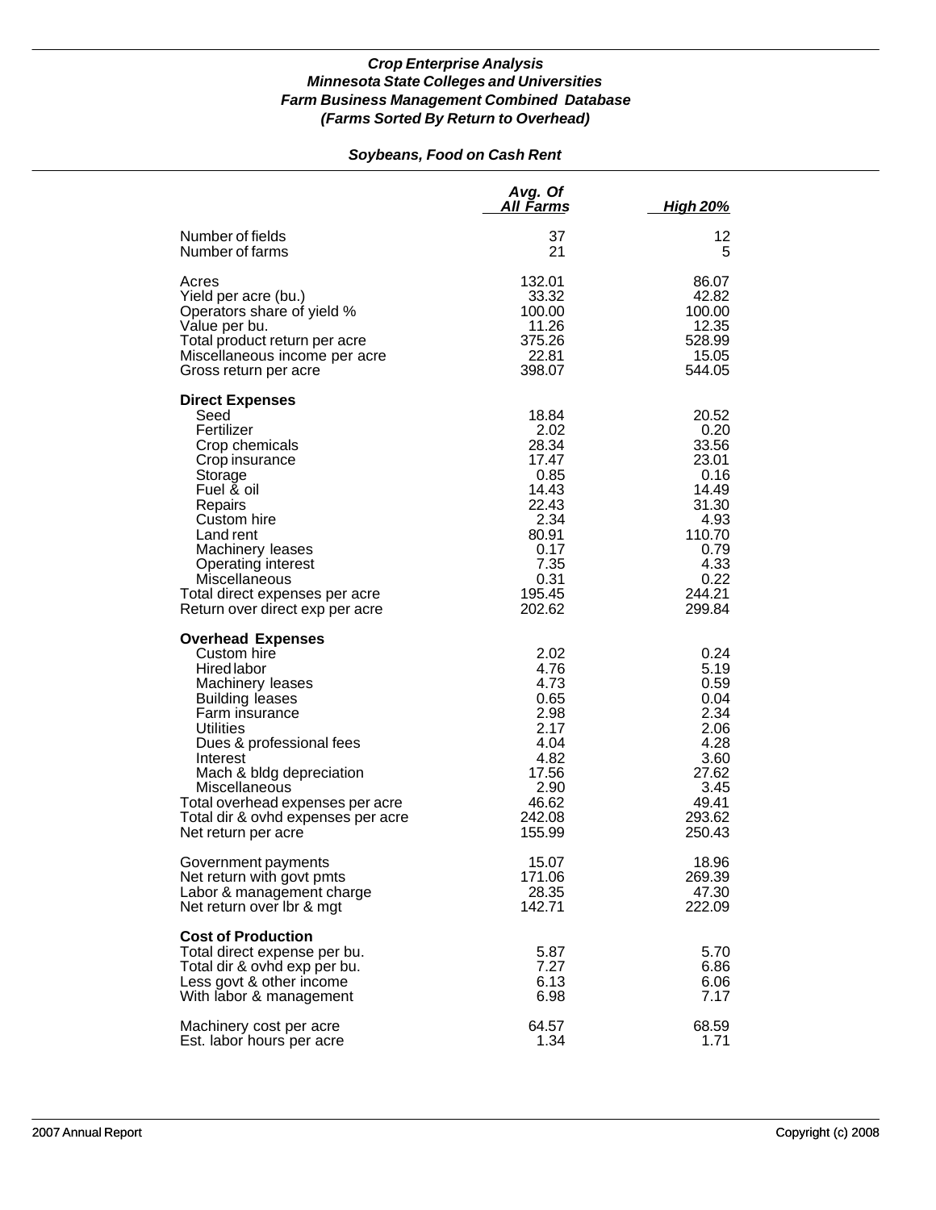## *Soybeans, Food on Cash Rent*

|                                                                                                                                                                                                                                                                                                                                  | Avg. Of<br>All Farms                                                                                                   | <u>High 20%</u>                                                                                                         |
|----------------------------------------------------------------------------------------------------------------------------------------------------------------------------------------------------------------------------------------------------------------------------------------------------------------------------------|------------------------------------------------------------------------------------------------------------------------|-------------------------------------------------------------------------------------------------------------------------|
| Number of fields                                                                                                                                                                                                                                                                                                                 | 37                                                                                                                     | 12                                                                                                                      |
| Number of farms                                                                                                                                                                                                                                                                                                                  | 21                                                                                                                     | 5                                                                                                                       |
| Acres                                                                                                                                                                                                                                                                                                                            | 132.01                                                                                                                 | 86.07                                                                                                                   |
| Yield per acre (bu.)                                                                                                                                                                                                                                                                                                             | 33.32                                                                                                                  | 42.82                                                                                                                   |
| Operators share of yield %                                                                                                                                                                                                                                                                                                       | 100.00                                                                                                                 | 100.00                                                                                                                  |
| Value per bu.                                                                                                                                                                                                                                                                                                                    | 11.26                                                                                                                  | 12.35                                                                                                                   |
| Total product return per acre                                                                                                                                                                                                                                                                                                    | 375.26                                                                                                                 | 528.99                                                                                                                  |
| Miscellaneous income per acre                                                                                                                                                                                                                                                                                                    | 22.81                                                                                                                  | 15.05                                                                                                                   |
| Gross return per acre                                                                                                                                                                                                                                                                                                            | 398.07                                                                                                                 | 544.05                                                                                                                  |
| <b>Direct Expenses</b><br>Seed<br>Fertilizer<br>Crop chemicals<br>Crop insurance<br>Storage<br>Fuel & oil<br>Repairs<br>Custom hire<br>Land rent<br>Machinery leases<br>Operating interest<br>Miscellaneous<br>Total direct expenses per acre<br>Return over direct exp per acre                                                 | 18.84<br>2.02<br>28.34<br>17.47<br>0.85<br>14.43<br>22.43<br>2.34<br>80.91<br>0.17<br>7.35<br>0.31<br>195.45<br>202.62 | 20.52<br>0.20<br>33.56<br>23.01<br>0.16<br>14.49<br>31.30<br>4.93<br>110.70<br>0.79<br>4.33<br>0.22<br>244.21<br>299.84 |
| <b>Overhead Expenses</b><br>Custom hire<br><b>Hired labor</b><br>Machinery leases<br><b>Building leases</b><br>Farm insurance<br>Utilities<br>Dues & professional fees<br>Interest<br>Mach & bldg depreciation<br>Miscellaneous<br>Total overhead expenses per acre<br>Total dir & ovhd expenses per acre<br>Net return per acre | 2.02<br>4.76<br>4.73<br>0.65<br>2.98<br>2.17<br>4.04<br>4.82<br>17.56<br>2.90<br>46.62<br>242.08<br>155.99             | 0.24<br>5.19<br>0.59<br>0.04<br>2.34<br>2.06<br>4.28<br>3.60<br>27.62<br>3.45<br>49.41<br>293.62<br>250.43              |
| Government payments                                                                                                                                                                                                                                                                                                              | 15.07                                                                                                                  | 18.96                                                                                                                   |
| Net return with govt pmts                                                                                                                                                                                                                                                                                                        | 171.06                                                                                                                 | 269.39                                                                                                                  |
| Labor & management charge                                                                                                                                                                                                                                                                                                        | 28.35                                                                                                                  | 47.30                                                                                                                   |
| Net return over Ibr & mgt                                                                                                                                                                                                                                                                                                        | 142.71                                                                                                                 | 222.09                                                                                                                  |
| <b>Cost of Production</b><br>Total direct expense per bu.<br>Total dir & ovhd exp per bu.<br>Less govt & other income<br>With labor & management                                                                                                                                                                                 | 5.87<br>7.27<br>6.13<br>6.98                                                                                           | 5.70<br>6.86<br>6.06<br>7.17                                                                                            |
| Machinery cost per acre                                                                                                                                                                                                                                                                                                          | 64.57                                                                                                                  | 68.59                                                                                                                   |
| Est. labor hours per acre                                                                                                                                                                                                                                                                                                        | 1.34                                                                                                                   | 1.71                                                                                                                    |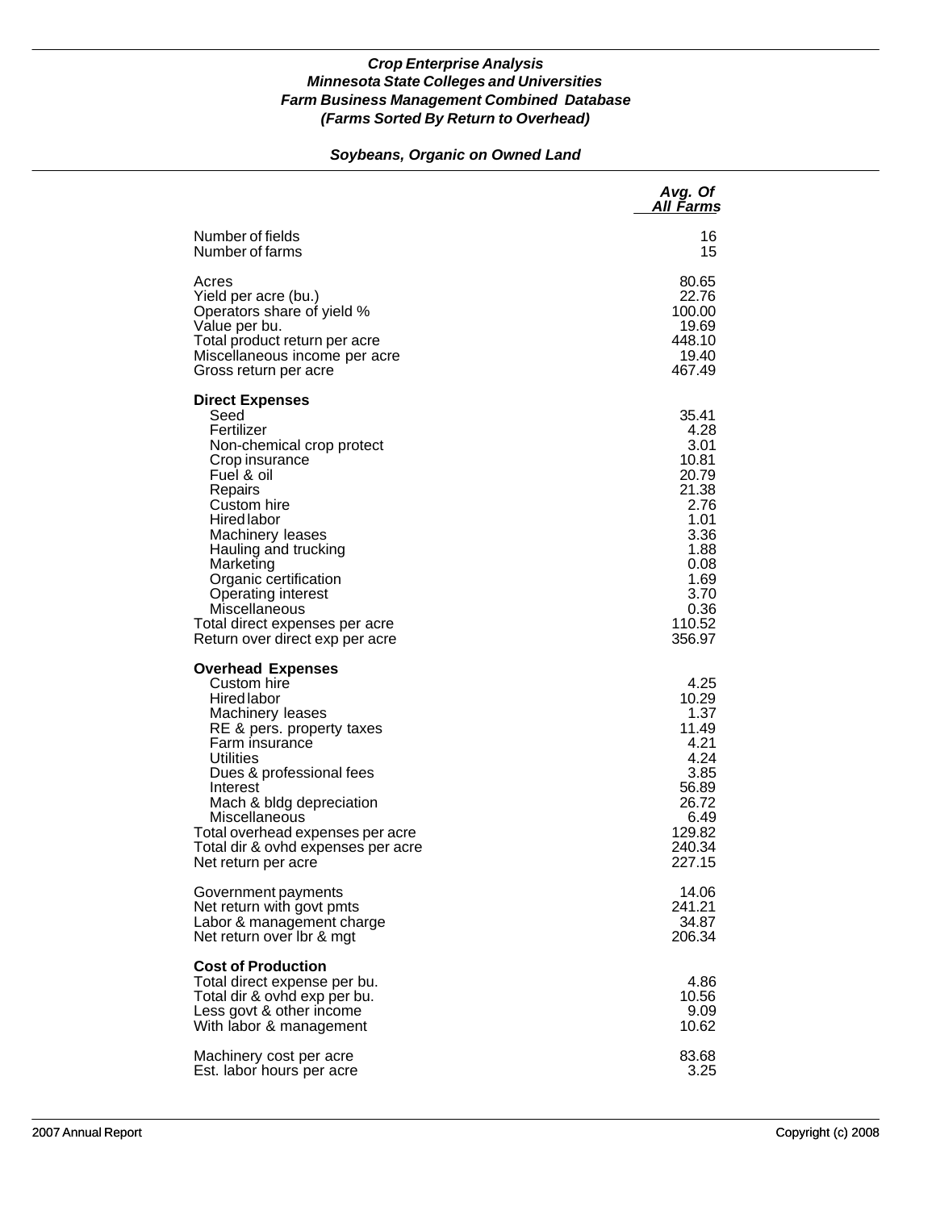### *Soybeans, Organic on Owned Land*

|                                                                                                                                                                                                                                                                                                                                                         | Avg. Of<br>All Farms                                                                                                                 |
|---------------------------------------------------------------------------------------------------------------------------------------------------------------------------------------------------------------------------------------------------------------------------------------------------------------------------------------------------------|--------------------------------------------------------------------------------------------------------------------------------------|
| Number of fields                                                                                                                                                                                                                                                                                                                                        | 16                                                                                                                                   |
| Number of farms                                                                                                                                                                                                                                                                                                                                         | 15                                                                                                                                   |
| Acres                                                                                                                                                                                                                                                                                                                                                   | 80.65                                                                                                                                |
| Yield per acre (bu.)                                                                                                                                                                                                                                                                                                                                    | 22.76                                                                                                                                |
| Operators share of yield %                                                                                                                                                                                                                                                                                                                              | 100.00                                                                                                                               |
| Value per bu.                                                                                                                                                                                                                                                                                                                                           | 19.69                                                                                                                                |
| Total product return per acre                                                                                                                                                                                                                                                                                                                           | 448.10                                                                                                                               |
| Miscellaneous income per acre                                                                                                                                                                                                                                                                                                                           | 19.40                                                                                                                                |
| Gross return per acre                                                                                                                                                                                                                                                                                                                                   | 467.49                                                                                                                               |
| <b>Direct Expenses</b><br>Seed<br>Fertilizer<br>Non-chemical crop protect<br>Crop insurance<br>Fuel & oil<br>Repairs<br>Custom hire<br>Hired labor<br>Machinery leases<br>Hauling and trucking<br>Marketing<br>Organic certification<br><b>Operating interest</b><br>Miscellaneous<br>Total direct expenses per acre<br>Return over direct exp per acre | 35.41<br>4.28<br>3.01<br>10.81<br>20.79<br>21.38<br>2.76<br>1.01<br>3.36<br>1.88<br>0.08<br>1.69<br>3.70<br>0.36<br>110.52<br>356.97 |
| <b>Overhead Expenses</b><br>Custom hire<br><b>Hired labor</b><br>Machinery leases<br>RE & pers. property taxes<br>Farm insurance<br>Utilities<br>Dues & professional fees<br>Interest<br>Mach & bldg depreciation<br>Miscellaneous<br>Total overhead expenses per acre<br>Total dir & ovhd expenses per acre<br>Net return per acre                     | 4.25<br>10.29<br>1.37<br>11.49<br>4.21<br>4.24<br>3.85<br>56.89<br>26.72<br>6.49<br>129.82<br>240.34<br>227.15                       |
| Government payments                                                                                                                                                                                                                                                                                                                                     | 14.06                                                                                                                                |
| Net return with govt pmts                                                                                                                                                                                                                                                                                                                               | 241.21                                                                                                                               |
| Labor & management charge                                                                                                                                                                                                                                                                                                                               | 34.87                                                                                                                                |
| Net return over Ibr & mgt                                                                                                                                                                                                                                                                                                                               | 206.34                                                                                                                               |
| <b>Cost of Production</b><br>Total direct expense per bu.<br>Total dir & ovhd exp per bu.<br>Less govt & other income<br>With labor & management                                                                                                                                                                                                        | 4.86<br>10.56<br>9.09<br>10.62                                                                                                       |
| Machinery cost per acre                                                                                                                                                                                                                                                                                                                                 | 83.68                                                                                                                                |
| Est. labor hours per acre                                                                                                                                                                                                                                                                                                                               | 3.25                                                                                                                                 |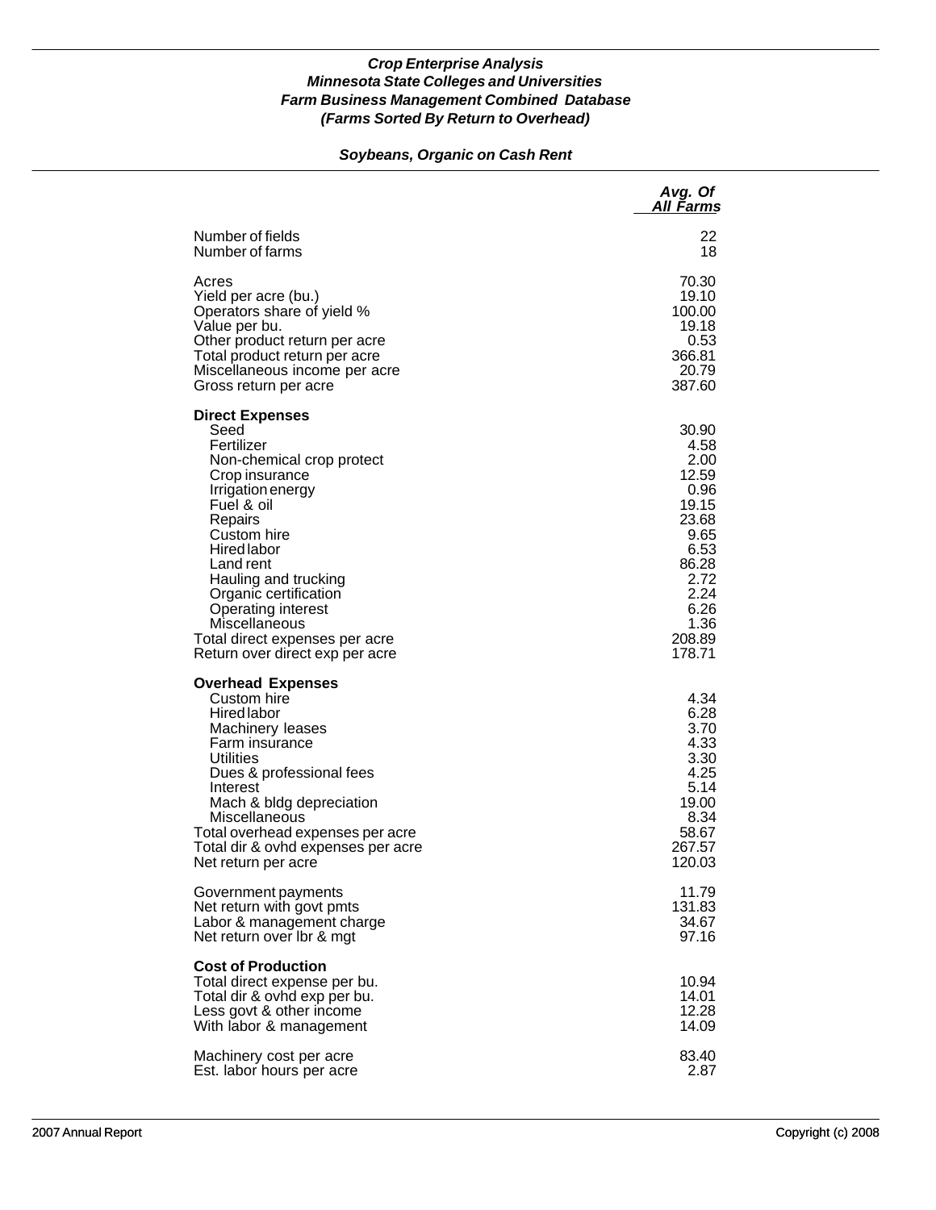## *Soybeans, Organic on Cash Rent*

|                                                                                                                                                                                                                                                                                                                                                                 | Avg. Of<br>All Farms                                                                                                                  |
|-----------------------------------------------------------------------------------------------------------------------------------------------------------------------------------------------------------------------------------------------------------------------------------------------------------------------------------------------------------------|---------------------------------------------------------------------------------------------------------------------------------------|
| Number of fields                                                                                                                                                                                                                                                                                                                                                | 22                                                                                                                                    |
| Number of farms                                                                                                                                                                                                                                                                                                                                                 | 18                                                                                                                                    |
| Acres                                                                                                                                                                                                                                                                                                                                                           | 70.30                                                                                                                                 |
| Yield per acre (bu.)                                                                                                                                                                                                                                                                                                                                            | 19.10                                                                                                                                 |
| Operators share of yield %                                                                                                                                                                                                                                                                                                                                      | 100.00                                                                                                                                |
| Value per bu.                                                                                                                                                                                                                                                                                                                                                   | 19.18                                                                                                                                 |
| Other product return per acre                                                                                                                                                                                                                                                                                                                                   | 0.53                                                                                                                                  |
| Total product return per acre                                                                                                                                                                                                                                                                                                                                   | 366.81                                                                                                                                |
| Miscellaneous income per acre                                                                                                                                                                                                                                                                                                                                   | 20.79                                                                                                                                 |
| Gross return per acre                                                                                                                                                                                                                                                                                                                                           | 387.60                                                                                                                                |
| <b>Direct Expenses</b><br>Seed<br>Fertilizer<br>Non-chemical crop protect<br>Crop insurance<br>Irrigation energy<br>Fuel & oil<br>Repairs<br>Custom hire<br><b>Hired labor</b><br>Land rent<br>Hauling and trucking<br>Organic certification<br><b>Operating interest</b><br>Miscellaneous<br>Total direct expenses per acre<br>Return over direct exp per acre | 30.90<br>4.58<br>2.00<br>12.59<br>0.96<br>19.15<br>23.68<br>9.65<br>6.53<br>86.28<br>2.72<br>2.24<br>6.26<br>1.36<br>208.89<br>178.71 |
| <b>Overhead Expenses</b><br>Custom hire<br><b>Hired labor</b><br>Machinery leases<br>Farm insurance<br><b>Utilities</b><br>Dues & professional fees<br>Interest<br>Mach & bldg depreciation<br>Miscellaneous<br>Total overhead expenses per acre<br>Total dir & ovhd expenses per acre<br>Net return per acre                                                   | 4.34<br>6.28<br>3.70<br>4.33<br>3.30<br>4.25<br>5.14<br>19.00<br>8.34<br>58.67<br>267.57<br>120.03                                    |
| Government payments                                                                                                                                                                                                                                                                                                                                             | 11.79                                                                                                                                 |
| Net return with govt pmts                                                                                                                                                                                                                                                                                                                                       | 131.83                                                                                                                                |
| Labor & management charge                                                                                                                                                                                                                                                                                                                                       | 34.67                                                                                                                                 |
| Net return over Ibr & mgt                                                                                                                                                                                                                                                                                                                                       | 97.16                                                                                                                                 |
| <b>Cost of Production</b><br>Total direct expense per bu.<br>Total dir & ovhd exp per bu.<br>Less govt & other income<br>With labor & management                                                                                                                                                                                                                | 10.94<br>14.01<br>12.28<br>14.09                                                                                                      |
| Machinery cost per acre                                                                                                                                                                                                                                                                                                                                         | 83.40                                                                                                                                 |
| Est. labor hours per acre                                                                                                                                                                                                                                                                                                                                       | 2.87                                                                                                                                  |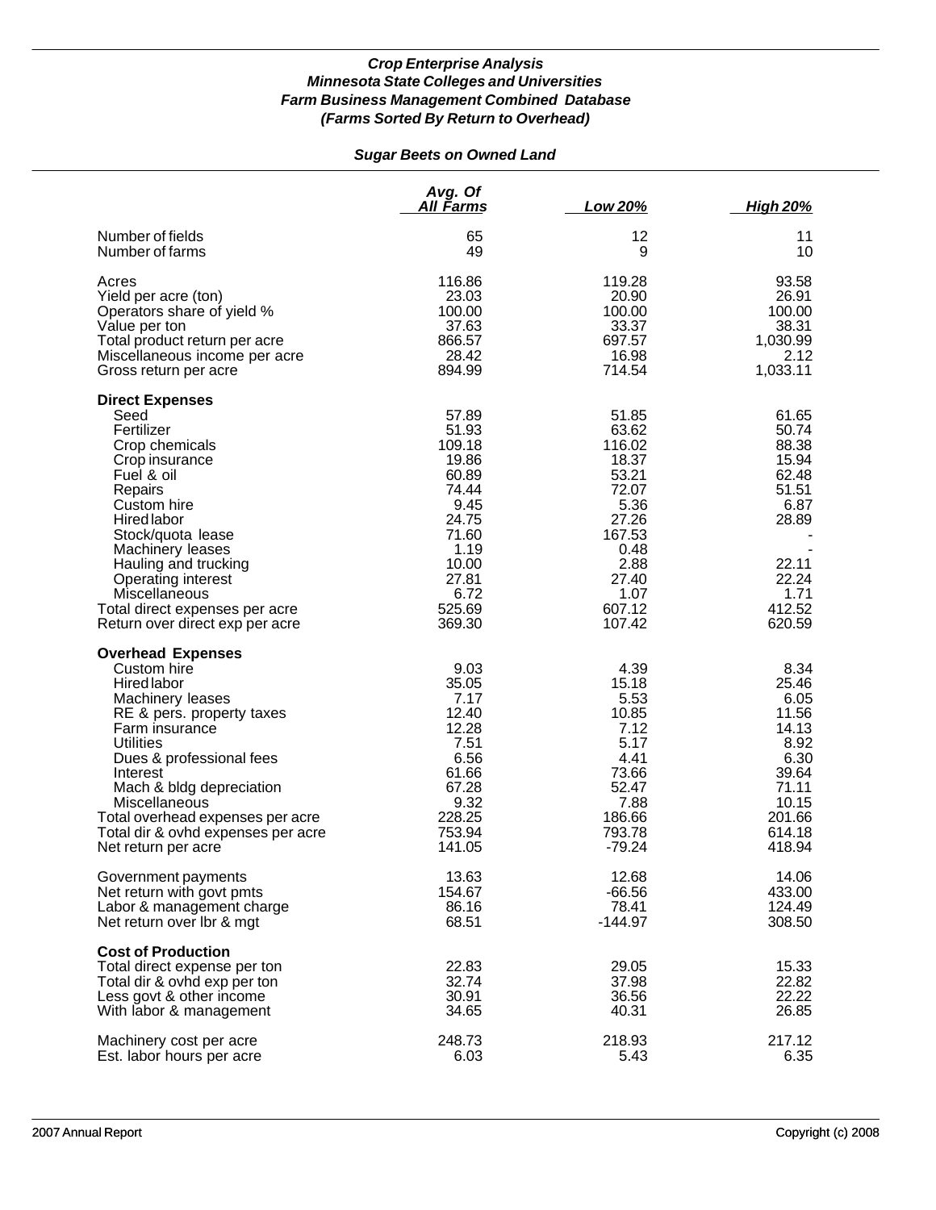# *Sugar Beets on Owned Land*

|                                                                                                                                                                                                                                                                                                                                     | Avg. Of<br>All Farms                                                                                                                | Low 20%                                                                                                                             | <b>High 20%</b>                                                                                                   |
|-------------------------------------------------------------------------------------------------------------------------------------------------------------------------------------------------------------------------------------------------------------------------------------------------------------------------------------|-------------------------------------------------------------------------------------------------------------------------------------|-------------------------------------------------------------------------------------------------------------------------------------|-------------------------------------------------------------------------------------------------------------------|
| Number of fields                                                                                                                                                                                                                                                                                                                    | 65                                                                                                                                  | 12                                                                                                                                  | 11                                                                                                                |
| Number of farms                                                                                                                                                                                                                                                                                                                     | 49                                                                                                                                  | 9                                                                                                                                   | 10                                                                                                                |
| Acres                                                                                                                                                                                                                                                                                                                               | 116.86                                                                                                                              | 119.28                                                                                                                              | 93.58                                                                                                             |
| Yield per acre (ton)                                                                                                                                                                                                                                                                                                                | 23.03                                                                                                                               | 20.90                                                                                                                               | 26.91                                                                                                             |
| Operators share of yield %                                                                                                                                                                                                                                                                                                          | 100.00                                                                                                                              | 100.00                                                                                                                              | 100.00                                                                                                            |
| Value per ton                                                                                                                                                                                                                                                                                                                       | 37.63                                                                                                                               | 33.37                                                                                                                               | 38.31                                                                                                             |
| Total product return per acre                                                                                                                                                                                                                                                                                                       | 866.57                                                                                                                              | 697.57                                                                                                                              | 1,030.99                                                                                                          |
| Miscellaneous income per acre                                                                                                                                                                                                                                                                                                       | 28.42                                                                                                                               | 16.98                                                                                                                               | 2.12                                                                                                              |
| Gross return per acre                                                                                                                                                                                                                                                                                                               | 894.99                                                                                                                              | 714.54                                                                                                                              | 1,033.11                                                                                                          |
| <b>Direct Expenses</b><br>Seed<br>Fertilizer<br>Crop chemicals<br>Crop insurance<br>Fuel & oil<br>Repairs<br>Custom hire<br><b>Hired labor</b><br>Stock/quota lease<br>Machinery leases<br>Hauling and trucking<br>Operating interest<br>Miscellaneous<br>Total direct expenses per acre<br>Return over direct exp per acre         | 57.89<br>51.93<br>109.18<br>19.86<br>60.89<br>74.44<br>9.45<br>24.75<br>71.60<br>1.19<br>10.00<br>27.81<br>6.72<br>525.69<br>369.30 | 51.85<br>63.62<br>116.02<br>18.37<br>53.21<br>72.07<br>5.36<br>27.26<br>167.53<br>0.48<br>2.88<br>27.40<br>1.07<br>607.12<br>107.42 | 61.65<br>50.74<br>88.38<br>15.94<br>62.48<br>51.51<br>6.87<br>28.89<br>22.11<br>22.24<br>1.71<br>412.52<br>620.59 |
| <b>Overhead Expenses</b><br>Custom hire<br>Hired labor<br>Machinery leases<br>RE & pers. property taxes<br>Farm insurance<br><b>Utilities</b><br>Dues & professional fees<br>Interest<br>Mach & bldg depreciation<br>Miscellaneous<br>Total overhead expenses per acre<br>Total dir & ovhd expenses per acre<br>Net return per acre | 9.03<br>35.05<br>7.17<br>12.40<br>12.28<br>7.51<br>6.56<br>61.66<br>67.28<br>9.32<br>228.25<br>753.94<br>141.05                     | 4.39<br>15.18<br>5.53<br>10.85<br>7.12<br>5.17<br>4.41<br>73.66<br>52.47<br>7.88<br>186.66<br>793.78<br>$-79.24$                    | 8.34<br>25.46<br>6.05<br>11.56<br>14.13<br>8.92<br>6.30<br>39.64<br>71.11<br>10.15<br>201.66<br>614.18<br>418.94  |
| Government payments                                                                                                                                                                                                                                                                                                                 | 13.63                                                                                                                               | 12.68                                                                                                                               | 14.06                                                                                                             |
| Net return with govt pmts                                                                                                                                                                                                                                                                                                           | 154.67                                                                                                                              | $-66.56$                                                                                                                            | 433.00                                                                                                            |
| Labor & management charge                                                                                                                                                                                                                                                                                                           | 86.16                                                                                                                               | 78.41                                                                                                                               | 124.49                                                                                                            |
| Net return over Ibr & mgt                                                                                                                                                                                                                                                                                                           | 68.51                                                                                                                               | $-144.97$                                                                                                                           | 308.50                                                                                                            |
| <b>Cost of Production</b><br>Total direct expense per ton<br>Total dir & ovhd exp per ton<br>Less govt & other income<br>With labor & management                                                                                                                                                                                    | 22.83<br>32.74<br>30.91<br>34.65                                                                                                    | 29.05<br>37.98<br>36.56<br>40.31                                                                                                    | 15.33<br>22.82<br>22.22<br>26.85                                                                                  |
| Machinery cost per acre                                                                                                                                                                                                                                                                                                             | 248.73                                                                                                                              | 218.93                                                                                                                              | 217.12                                                                                                            |
| Est. labor hours per acre                                                                                                                                                                                                                                                                                                           | 6.03                                                                                                                                | 5.43                                                                                                                                | 6.35                                                                                                              |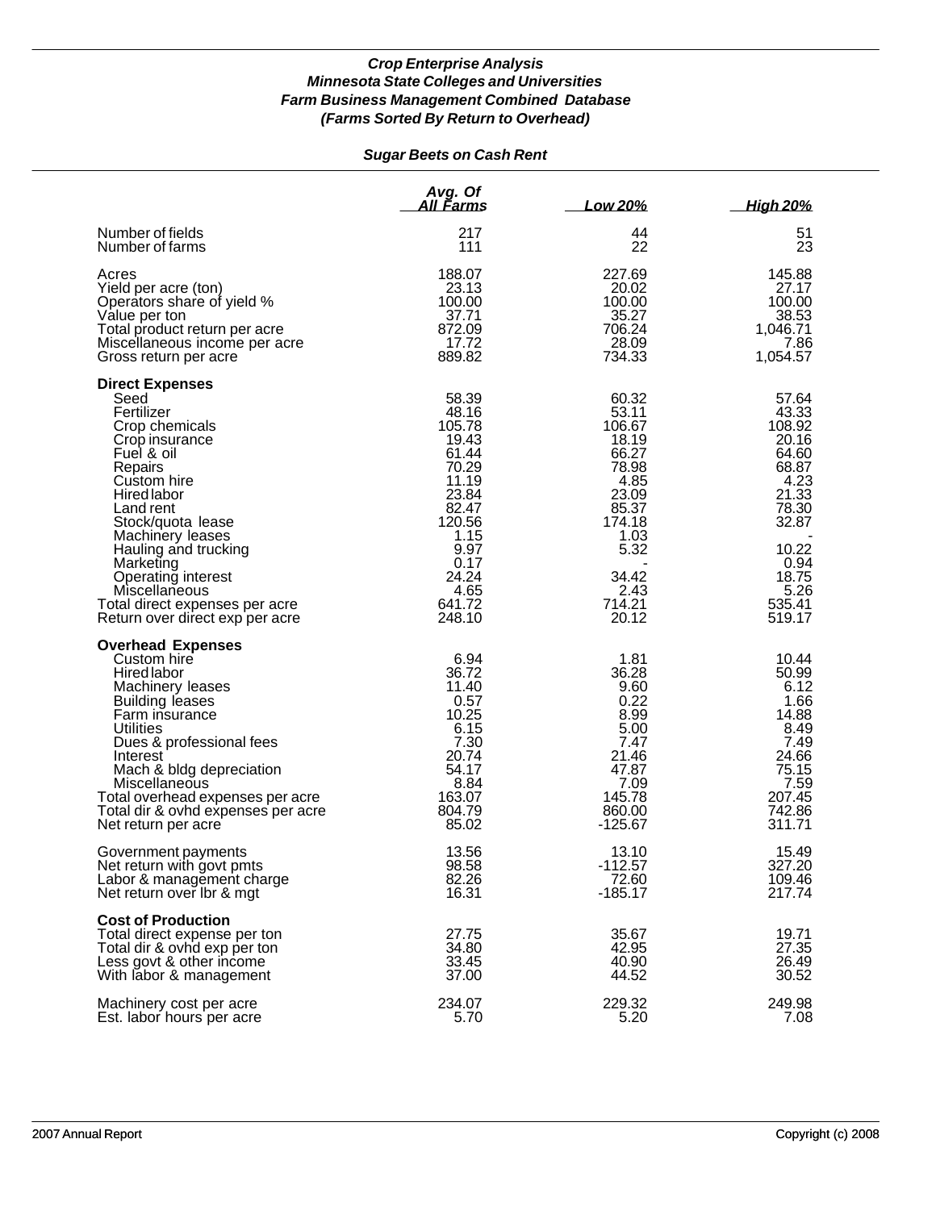# *Sugar Beets on Cash Rent*

|                                                                                                                                                                                                                                                                                                                                                | Avg. Of<br>All Farms                                                                                                                                  | Low 20%                                                                                                                                     | <b>High 20%</b>                                                                                                                              |
|------------------------------------------------------------------------------------------------------------------------------------------------------------------------------------------------------------------------------------------------------------------------------------------------------------------------------------------------|-------------------------------------------------------------------------------------------------------------------------------------------------------|---------------------------------------------------------------------------------------------------------------------------------------------|----------------------------------------------------------------------------------------------------------------------------------------------|
| Number of fields                                                                                                                                                                                                                                                                                                                               | 217                                                                                                                                                   | 44                                                                                                                                          | 51                                                                                                                                           |
| Number of farms                                                                                                                                                                                                                                                                                                                                | 111                                                                                                                                                   | 22                                                                                                                                          | 23                                                                                                                                           |
| Acres                                                                                                                                                                                                                                                                                                                                          | 188.07                                                                                                                                                | 227.69                                                                                                                                      | 145.88                                                                                                                                       |
| Yield per acre (ton)                                                                                                                                                                                                                                                                                                                           | 23.13                                                                                                                                                 | 20.02                                                                                                                                       | 27.17                                                                                                                                        |
| Operators share of yield %                                                                                                                                                                                                                                                                                                                     | 100.00                                                                                                                                                | 100.00                                                                                                                                      | 100.00                                                                                                                                       |
| Value per ton                                                                                                                                                                                                                                                                                                                                  | 37.71                                                                                                                                                 | 35.27                                                                                                                                       | 38.53                                                                                                                                        |
| Total product return per acre                                                                                                                                                                                                                                                                                                                  | 872.09                                                                                                                                                | 706.24                                                                                                                                      | 1,046.71                                                                                                                                     |
| Miscellaneous income per acre                                                                                                                                                                                                                                                                                                                  | 17.72                                                                                                                                                 | 28.09                                                                                                                                       | 7.86                                                                                                                                         |
| Gross return per acre                                                                                                                                                                                                                                                                                                                          | 889.82                                                                                                                                                | 734.33                                                                                                                                      | 1,054.57                                                                                                                                     |
| <b>Direct Expenses</b><br>Seed<br>Fertilizer<br>Crop chemicals<br>Crop insurance<br>Fuel & oil<br>Repairs<br>Custom hire<br>Hired labor<br>Land rent<br>Stock/quota lease<br>Machinery leases<br>Hauling and trucking<br>Marketing<br>Operating interest<br>Miscellaneous<br>Total direct expenses per acre<br>Return over direct exp per acre | 58.39<br>48.16<br>105.78<br>19.43<br>61.44<br>70.29<br>11.19<br>23.84<br>82.47<br>120.56<br>1.15<br>9.97<br>0.17<br>24.24<br>4.65<br>641.72<br>248.10 | 60.32<br>53.11<br>106.67<br>18.19<br>66.27<br>78.98<br>4.85<br>23.09<br>85.37<br>174.18<br>1.03<br>5.32<br>34.42<br>2.43<br>714.21<br>20.12 | 57.64<br>43.33<br>108.92<br>20.16<br>64.60<br>68.87<br>4.23<br>21.33<br>78.30<br>32.87<br>10.22<br>0.94<br>18.75<br>5.26<br>535.41<br>519.17 |
| <b>Overhead Expenses</b><br>Custom hire<br>Hired labor<br>Machinery leases<br><b>Building leases</b><br>Farm insurance<br><b>Utilities</b><br>Dues & professional fees<br>Interest<br>Mach & bldg depreciation<br>Miscellaneous<br>Total overhead expenses per acre<br>Total dir & ovhd expenses per acre<br>Net return per acre               | 6.94<br>36.72<br>11.40<br>0.57<br>10.25<br>6.15<br>7.30<br>20.74<br>54.17<br>8.84<br>163.07<br>804.79<br>85.02                                        | 1.81<br>36.28<br>9.60<br>0.22<br>8.99<br>5.00<br>7.47<br>21.46<br>47.87<br>7.09<br>145.78<br>860.00<br>$-125.67$                            | 10.44<br>50.99<br>6.12<br>1.66<br>14.88<br>8.49<br>7.49<br>24.66<br>75.15<br>7.59<br>207.45<br>742.86<br>311.71                              |
| Government payments                                                                                                                                                                                                                                                                                                                            | 13.56                                                                                                                                                 | 13.10                                                                                                                                       | 15.49                                                                                                                                        |
| Net return with govt pmts                                                                                                                                                                                                                                                                                                                      | 98.58                                                                                                                                                 | $-112.57$                                                                                                                                   | 327.20                                                                                                                                       |
| Labor & management charge                                                                                                                                                                                                                                                                                                                      | 82.26                                                                                                                                                 | 72.60                                                                                                                                       | 109.46                                                                                                                                       |
| Net return over Ibr & mgt                                                                                                                                                                                                                                                                                                                      | 16.31                                                                                                                                                 | $-185.17$                                                                                                                                   | 217.74                                                                                                                                       |
| <b>Cost of Production</b><br>Total direct expense per ton<br>Total dir & ovhd exp per ton<br>Less govt & other income<br>With labor & management                                                                                                                                                                                               | 27.75<br>34.80<br>33.45<br>37.00                                                                                                                      | 35.67<br>42.95<br>40.90<br>44.52                                                                                                            | 19.71<br>27.35<br>26.49<br>30.52                                                                                                             |
| Machinery cost per acre                                                                                                                                                                                                                                                                                                                        | 234.07                                                                                                                                                | 229.32                                                                                                                                      | 249.98                                                                                                                                       |
| Est. labor hours per acre                                                                                                                                                                                                                                                                                                                      | 5.70                                                                                                                                                  | 5.20                                                                                                                                        | 7.08                                                                                                                                         |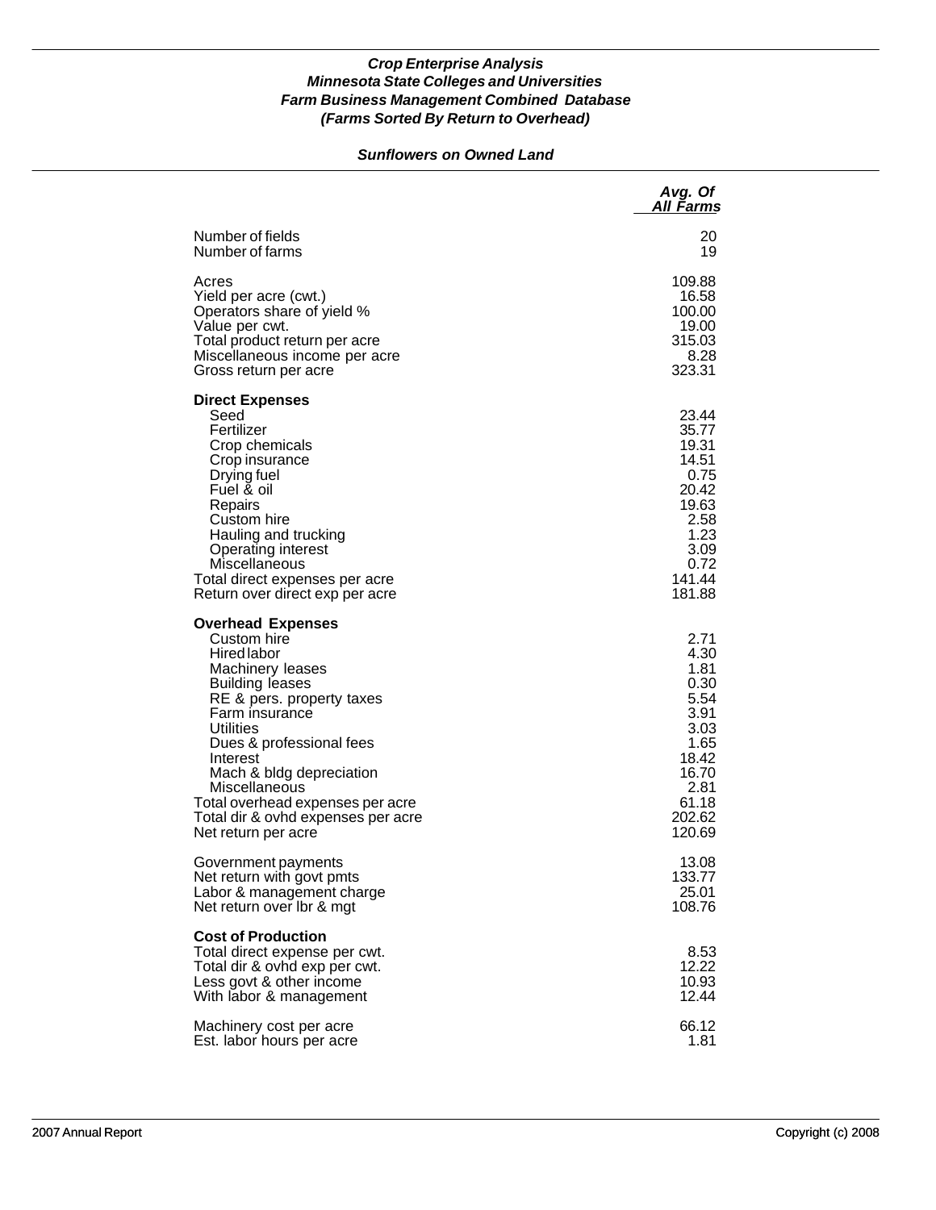### *Sunflowers on Owned Land*

|                                                                                                                                                                                                                                                                                                                                                               | Avg. Of<br>All Farms                                                                                                |
|---------------------------------------------------------------------------------------------------------------------------------------------------------------------------------------------------------------------------------------------------------------------------------------------------------------------------------------------------------------|---------------------------------------------------------------------------------------------------------------------|
| Number of fields                                                                                                                                                                                                                                                                                                                                              | 20                                                                                                                  |
| Number of farms                                                                                                                                                                                                                                                                                                                                               | 19                                                                                                                  |
| Acres                                                                                                                                                                                                                                                                                                                                                         | 109.88                                                                                                              |
| Yield per acre (cwt.)                                                                                                                                                                                                                                                                                                                                         | 16.58                                                                                                               |
| Operators share of yield %                                                                                                                                                                                                                                                                                                                                    | 100.00                                                                                                              |
| Value per cwt.                                                                                                                                                                                                                                                                                                                                                | 19.00                                                                                                               |
| Total product return per acre                                                                                                                                                                                                                                                                                                                                 | 315.03                                                                                                              |
| Miscellaneous income per acre                                                                                                                                                                                                                                                                                                                                 | 8.28                                                                                                                |
| Gross return per acre                                                                                                                                                                                                                                                                                                                                         | 323.31                                                                                                              |
| <b>Direct Expenses</b><br>Seed<br>Fertilizer<br>Crop chemicals<br>Crop insurance<br>Drying fuel<br>Fuel & oil<br>Repairs<br>Custom hire<br>Hauling and trucking<br>Operating interest<br>Miscellaneous<br>Total direct expenses per acre<br>Return over direct exp per acre                                                                                   | 23.44<br>35.77<br>19.31<br>14.51<br>0.75<br>20.42<br>19.63<br>2.58<br>1.23<br>3.09<br>0.72<br>141.44<br>181.88      |
| <b>Overhead Expenses</b><br>Custom hire<br><b>Hired labor</b><br>Machinery leases<br><b>Building leases</b><br>RE & pers. property taxes<br>Farm insurance<br>Utilities<br>Dues & professional fees<br>Interest<br>Mach & bldg depreciation<br>Miscellaneous<br>Total overhead expenses per acre<br>Total dir & ovhd expenses per acre<br>Net return per acre | 2.71<br>4.30<br>1.81<br>0.30<br>5.54<br>3.91<br>3.03<br>1.65<br>18.42<br>16.70<br>2.81<br>61.18<br>202.62<br>120.69 |
| Government payments                                                                                                                                                                                                                                                                                                                                           | 13.08                                                                                                               |
| Net return with govt pmts                                                                                                                                                                                                                                                                                                                                     | 133.77                                                                                                              |
| Labor & management charge                                                                                                                                                                                                                                                                                                                                     | 25.01                                                                                                               |
| Net return over Ibr & mgt                                                                                                                                                                                                                                                                                                                                     | 108.76                                                                                                              |
| <b>Cost of Production</b><br>Total direct expense per cwt.<br>Total dir & ovhd exp per cwt.<br>Less govt & other income<br>With labor & management                                                                                                                                                                                                            | 8.53<br>12.22<br>10.93<br>12.44                                                                                     |
| Machinery cost per acre                                                                                                                                                                                                                                                                                                                                       | 66.12                                                                                                               |
| Est. labor hours per acre                                                                                                                                                                                                                                                                                                                                     | 1.81                                                                                                                |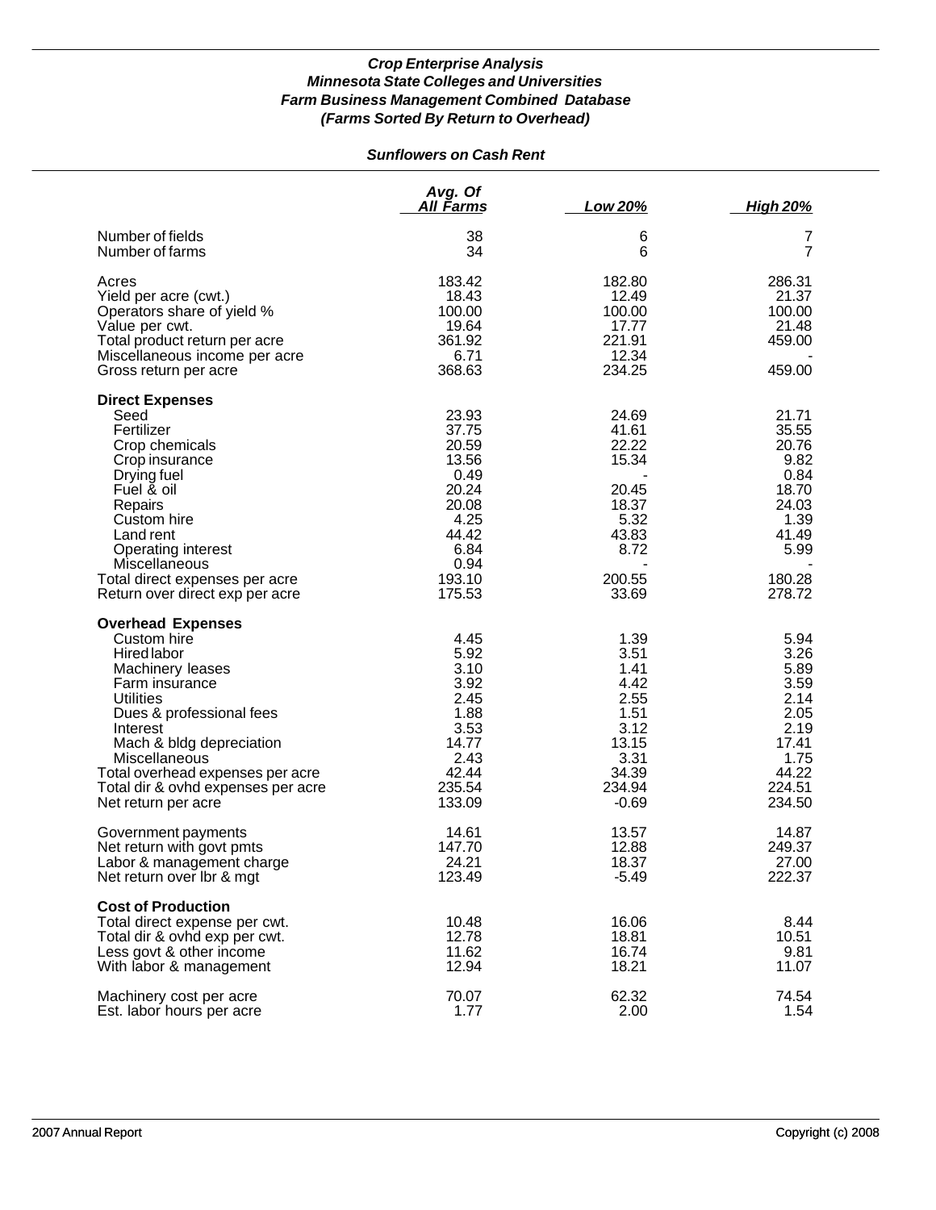# *Sunflowers on Cash Rent*

|                                                                                                                                                                                                                                                                                                               | Avg. Of<br>All Farms                                                                                            | Low 20%                                                                                             | <b>High 20%</b>                                                                                        |
|---------------------------------------------------------------------------------------------------------------------------------------------------------------------------------------------------------------------------------------------------------------------------------------------------------------|-----------------------------------------------------------------------------------------------------------------|-----------------------------------------------------------------------------------------------------|--------------------------------------------------------------------------------------------------------|
| Number of fields<br>Number of farms                                                                                                                                                                                                                                                                           | 38<br>34                                                                                                        | 6<br>6                                                                                              | 7<br>$\overline{7}$                                                                                    |
| Acres<br>Yield per acre (cwt.)<br>Operators share of yield %<br>Value per cwt.<br>Total product return per acre<br>Miscellaneous income per acre<br>Gross return per acre                                                                                                                                     | 183.42<br>18.43<br>100.00<br>19.64<br>361.92<br>6.71<br>368.63                                                  | 182.80<br>12.49<br>100.00<br>17.77<br>221.91<br>12.34<br>234.25                                     | 286.31<br>21.37<br>100.00<br>21.48<br>459.00<br>459.00                                                 |
| <b>Direct Expenses</b><br>Seed<br>Fertilizer<br>Crop chemicals<br>Crop insurance<br>Drying fuel<br>Fuel & oil<br>Repairs<br>Custom hire<br>Land rent<br>Operating interest<br>Miscellaneous<br>Total direct expenses per acre<br>Return over direct exp per acre                                              | 23.93<br>37.75<br>20.59<br>13.56<br>0.49<br>20.24<br>20.08<br>4.25<br>44.42<br>6.84<br>0.94<br>193.10<br>175.53 | 24.69<br>41.61<br>22.22<br>15.34<br>20.45<br>18.37<br>5.32<br>43.83<br>8.72<br>200.55<br>33.69      | 21.71<br>35.55<br>20.76<br>9.82<br>0.84<br>18.70<br>24.03<br>1.39<br>41.49<br>5.99<br>180.28<br>278.72 |
| <b>Overhead Expenses</b><br>Custom hire<br>Hired labor<br>Machinery leases<br>Farm insurance<br><b>Utilities</b><br>Dues & professional fees<br>Interest<br>Mach & bldg depreciation<br><b>Miscellaneous</b><br>Total overhead expenses per acre<br>Total dir & ovhd expenses per acre<br>Net return per acre | 4.45<br>5.92<br>3.10<br>3.92<br>2.45<br>1.88<br>3.53<br>14.77<br>2.43<br>42.44<br>235.54<br>133.09              | 1.39<br>3.51<br>1.41<br>4.42<br>2.55<br>1.51<br>3.12<br>13.15<br>3.31<br>34.39<br>234.94<br>$-0.69$ | 5.94<br>3.26<br>5.89<br>3.59<br>2.14<br>2.05<br>2.19<br>17.41<br>1.75<br>44.22<br>224.51<br>234.50     |
| Government payments<br>Net return with govt pmts<br>Labor & management charge<br>Net return over Ibr & mgt                                                                                                                                                                                                    | 14.61<br>147.70<br>24.21<br>123.49                                                                              | 13.57<br>12.88<br>18.37<br>$-5.49$                                                                  | 14.87<br>249.37<br>27.00<br>222.37                                                                     |
| <b>Cost of Production</b><br>Total direct expense per cwt.<br>Total dir & ovhd exp per cwt.<br>Less govt & other income<br>With labor & management                                                                                                                                                            | 10.48<br>12.78<br>11.62<br>12.94                                                                                | 16.06<br>18.81<br>16.74<br>18.21                                                                    | 8.44<br>10.51<br>9.81<br>11.07                                                                         |
| Machinery cost per acre<br>Est. labor hours per acre                                                                                                                                                                                                                                                          | 70.07<br>1.77                                                                                                   | 62.32<br>2.00                                                                                       | 74.54<br>1.54                                                                                          |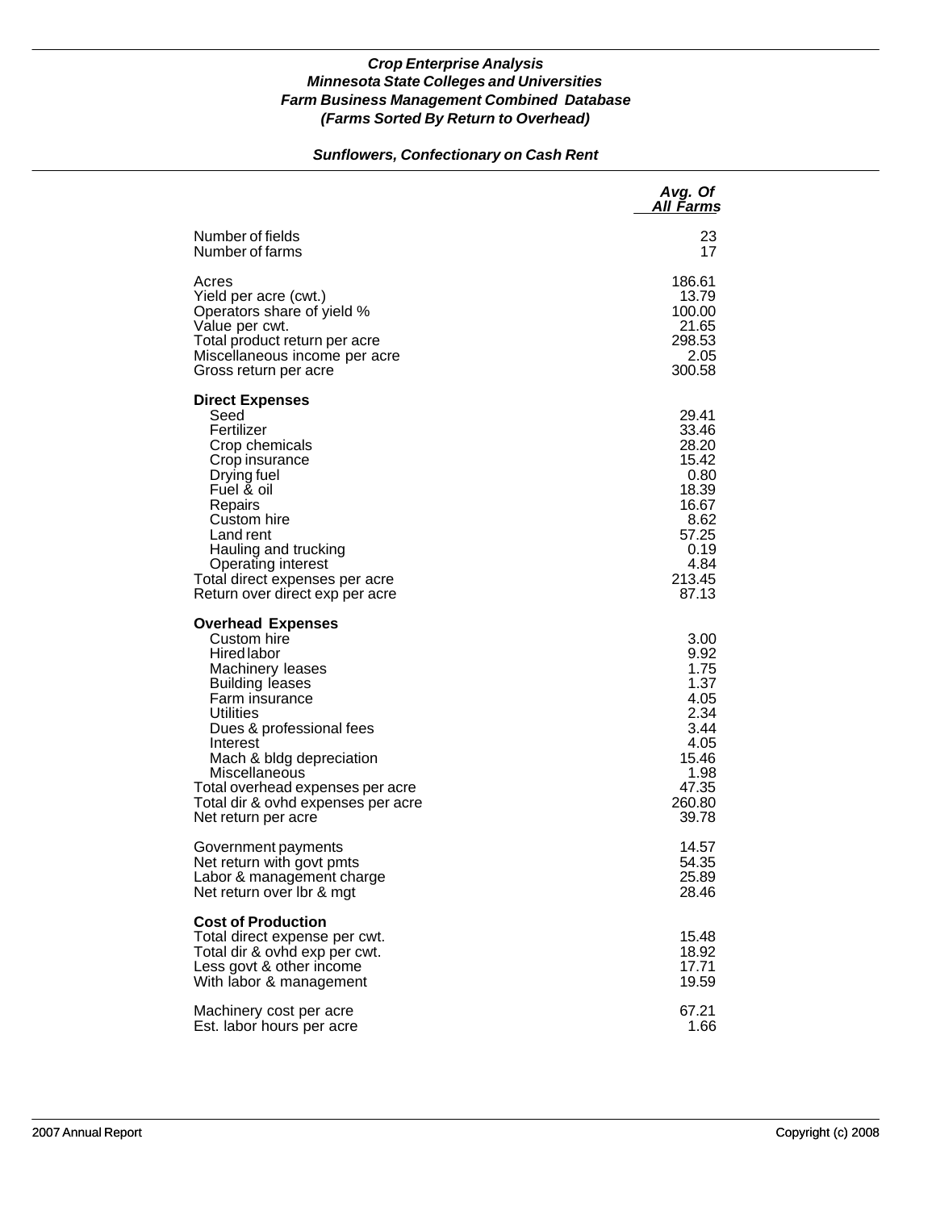### *Sunflowers, Confectionary on Cash Rent*

|                                                                                                                                                                                                                                                                                                                           | Avg. Of<br>All Farms                                                                                           |
|---------------------------------------------------------------------------------------------------------------------------------------------------------------------------------------------------------------------------------------------------------------------------------------------------------------------------|----------------------------------------------------------------------------------------------------------------|
| Number of fields                                                                                                                                                                                                                                                                                                          | 23                                                                                                             |
| Number of farms                                                                                                                                                                                                                                                                                                           | 17                                                                                                             |
| Acres                                                                                                                                                                                                                                                                                                                     | 186.61                                                                                                         |
| Yield per acre (cwt.)                                                                                                                                                                                                                                                                                                     | 13.79                                                                                                          |
| Operators share of yield %                                                                                                                                                                                                                                                                                                | 100.00                                                                                                         |
| Value per cwt.                                                                                                                                                                                                                                                                                                            | 21.65                                                                                                          |
| Total product return per acre                                                                                                                                                                                                                                                                                             | 298.53                                                                                                         |
| Miscellaneous income per acre                                                                                                                                                                                                                                                                                             | 2.05                                                                                                           |
| Gross return per acre                                                                                                                                                                                                                                                                                                     | 300.58                                                                                                         |
| <b>Direct Expenses</b><br>Seed<br>Fertilizer<br>Crop chemicals<br>Crop insurance<br>Drying fuel<br>Fuel & oil<br>Repairs<br>Custom hire<br>Land rent<br>Hauling and trucking<br><b>Operating interest</b><br>Total direct expenses per acre<br>Return over direct exp per acre                                            | 29.41<br>33.46<br>28.20<br>15.42<br>0.80<br>18.39<br>16.67<br>8.62<br>57.25<br>0.19<br>4.84<br>213.45<br>87.13 |
| <b>Overhead Expenses</b><br>Custom hire<br>Hired labor<br>Machinery leases<br><b>Building leases</b><br>Farm insurance<br>Utilities<br>Dues & professional fees<br>Interest<br>Mach & bldg depreciation<br>Miscellaneous<br>Total overhead expenses per acre<br>Total dir & ovhd expenses per acre<br>Net return per acre | 3.00<br>9.92<br>1.75<br>1.37<br>4.05<br>2.34<br>3.44<br>4.05<br>15.46<br>1.98<br>47.35<br>260.80<br>39.78      |
| Government payments                                                                                                                                                                                                                                                                                                       | 14.57                                                                                                          |
| Net return with govt pmts                                                                                                                                                                                                                                                                                                 | 54.35                                                                                                          |
| Labor & management charge                                                                                                                                                                                                                                                                                                 | 25.89                                                                                                          |
| Net return over Ibr & mgt                                                                                                                                                                                                                                                                                                 | 28.46                                                                                                          |
| <b>Cost of Production</b><br>Total direct expense per cwt.<br>Total dir & ovhd exp per cwt.<br>Less govt & other income<br>With labor & management                                                                                                                                                                        | 15.48<br>18.92<br>17.71<br>19.59                                                                               |
| Machinery cost per acre                                                                                                                                                                                                                                                                                                   | 67.21                                                                                                          |
| Est. labor hours per acre                                                                                                                                                                                                                                                                                                 | 1.66                                                                                                           |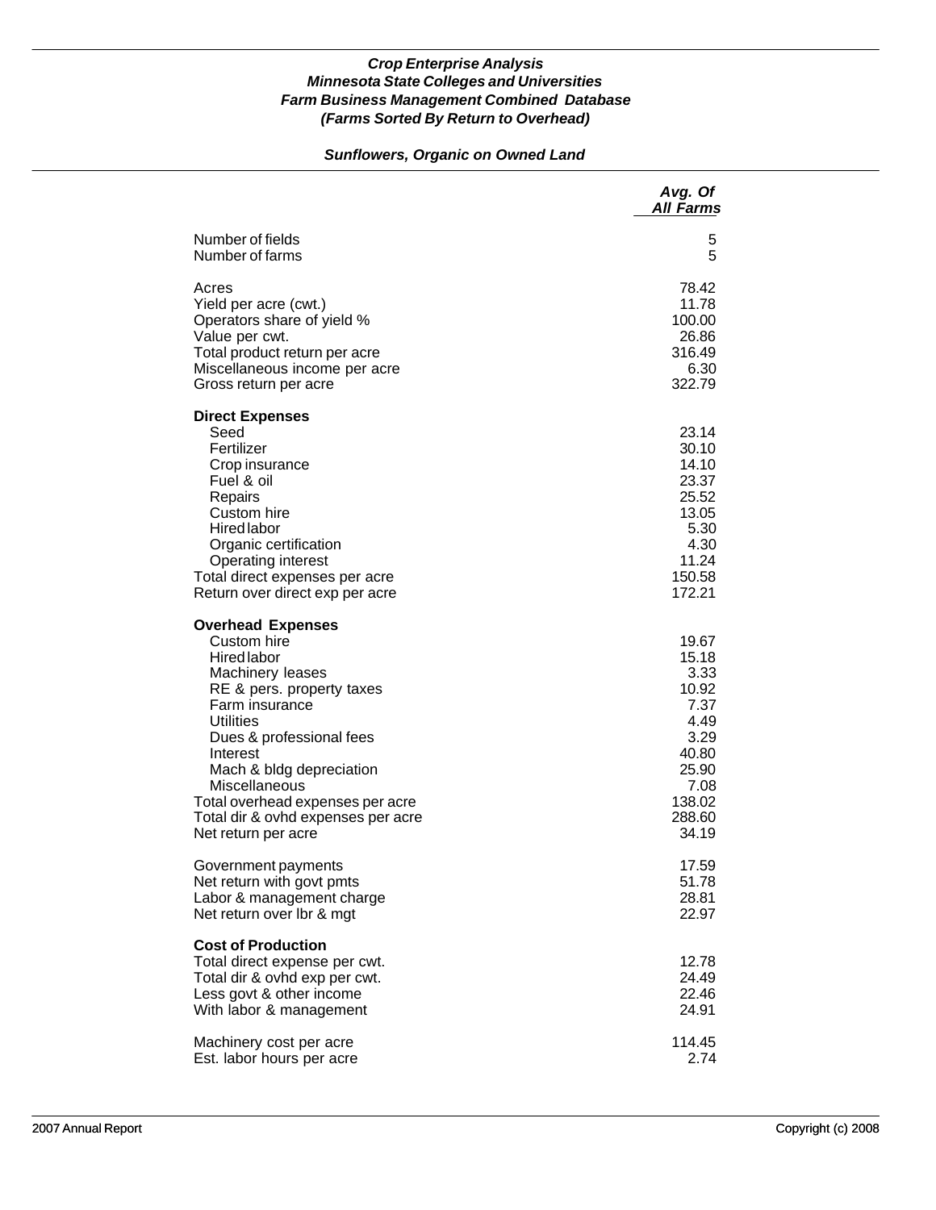## *Sunflowers, Organic on Owned Land*

|                                                                                                                                                                                                                                                                                                                                            | Avg. Of<br><b>All Farms</b>                                                                                    |
|--------------------------------------------------------------------------------------------------------------------------------------------------------------------------------------------------------------------------------------------------------------------------------------------------------------------------------------------|----------------------------------------------------------------------------------------------------------------|
| Number of fields                                                                                                                                                                                                                                                                                                                           | 5                                                                                                              |
| Number of farms                                                                                                                                                                                                                                                                                                                            | 5                                                                                                              |
| Acres                                                                                                                                                                                                                                                                                                                                      | 78.42                                                                                                          |
| Yield per acre (cwt.)                                                                                                                                                                                                                                                                                                                      | 11.78                                                                                                          |
| Operators share of yield %                                                                                                                                                                                                                                                                                                                 | 100.00                                                                                                         |
| Value per cwt.                                                                                                                                                                                                                                                                                                                             | 26.86                                                                                                          |
| Total product return per acre                                                                                                                                                                                                                                                                                                              | 316.49                                                                                                         |
| Miscellaneous income per acre                                                                                                                                                                                                                                                                                                              | 6.30                                                                                                           |
| Gross return per acre                                                                                                                                                                                                                                                                                                                      | 322.79                                                                                                         |
| <b>Direct Expenses</b><br>Seed<br>Fertilizer<br>Crop insurance<br>Fuel & oil<br>Repairs<br>Custom hire<br><b>Hired labor</b><br>Organic certification<br><b>Operating interest</b><br>Total direct expenses per acre<br>Return over direct exp per acre                                                                                    | 23.14<br>30.10<br>14.10<br>23.37<br>25.52<br>13.05<br>5.30<br>4.30<br>11.24<br>150.58<br>172.21                |
| <b>Overhead Expenses</b><br>Custom hire<br><b>Hired labor</b><br>Machinery leases<br>RE & pers. property taxes<br>Farm insurance<br><b>Utilities</b><br>Dues & professional fees<br>Interest<br>Mach & bldg depreciation<br>Miscellaneous<br>Total overhead expenses per acre<br>Total dir & ovhd expenses per acre<br>Net return per acre | 19.67<br>15.18<br>3.33<br>10.92<br>7.37<br>4.49<br>3.29<br>40.80<br>25.90<br>7.08<br>138.02<br>288.60<br>34.19 |
| Government payments                                                                                                                                                                                                                                                                                                                        | 17.59                                                                                                          |
| Net return with govt pmts                                                                                                                                                                                                                                                                                                                  | 51.78                                                                                                          |
| Labor & management charge                                                                                                                                                                                                                                                                                                                  | 28.81                                                                                                          |
| Net return over lbr & mgt                                                                                                                                                                                                                                                                                                                  | 22.97                                                                                                          |
| <b>Cost of Production</b><br>Total direct expense per cwt.<br>Total dir & ovhd exp per cwt.<br>Less govt & other income<br>With labor & management                                                                                                                                                                                         | 12.78<br>24.49<br>22.46<br>24.91                                                                               |
| Machinery cost per acre                                                                                                                                                                                                                                                                                                                    | 114.45                                                                                                         |
| Est. labor hours per acre                                                                                                                                                                                                                                                                                                                  | 2.74                                                                                                           |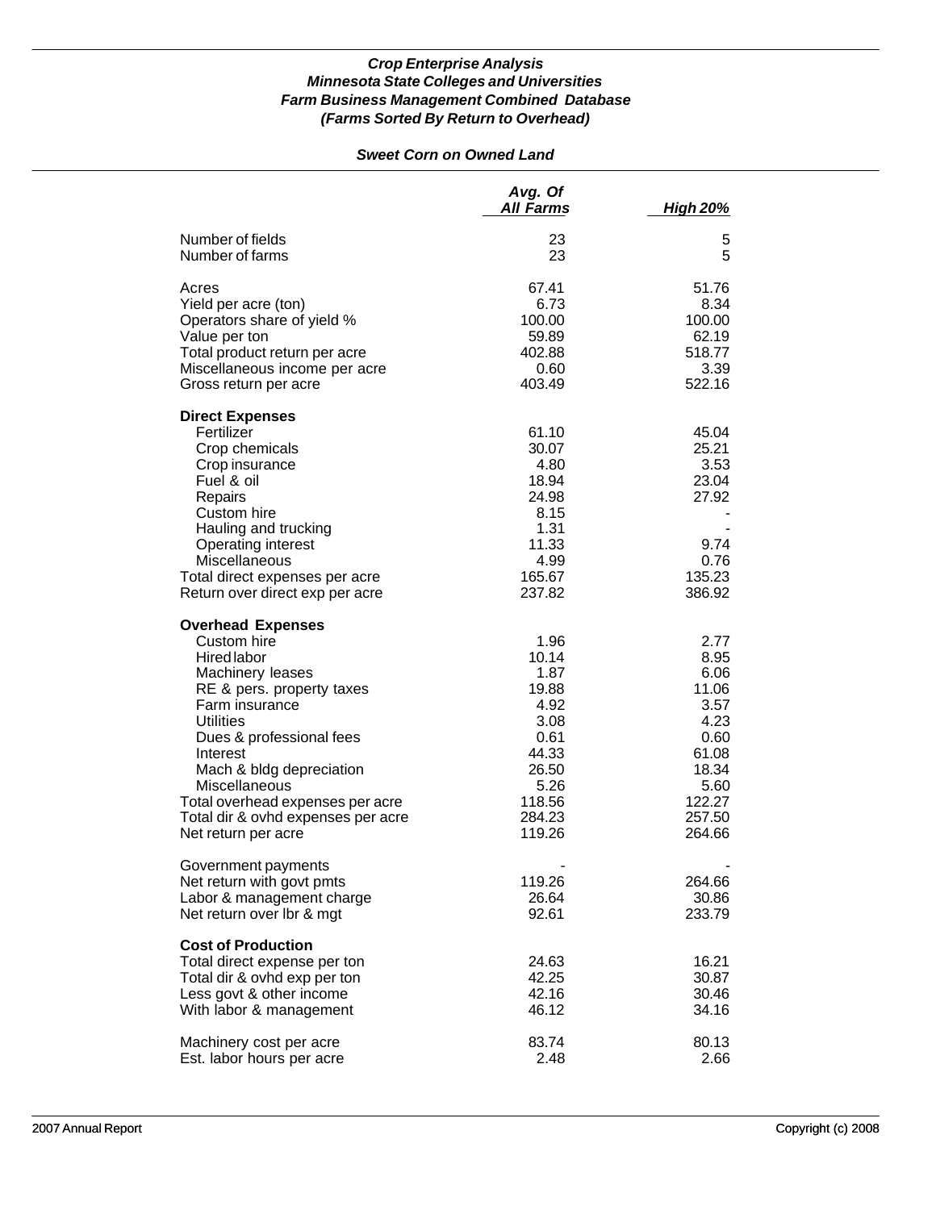### *Sweet Corn on Owned Land*

|                                                                                                                                                                                                                                                                                                                                            | Avg. Of<br><b>All Farms</b>                                                                                    | <b>High 20%</b>                                                                                               |
|--------------------------------------------------------------------------------------------------------------------------------------------------------------------------------------------------------------------------------------------------------------------------------------------------------------------------------------------|----------------------------------------------------------------------------------------------------------------|---------------------------------------------------------------------------------------------------------------|
| Number of fields<br>Number of farms                                                                                                                                                                                                                                                                                                        | 23<br>23                                                                                                       | 5<br>5                                                                                                        |
| Acres<br>Yield per acre (ton)<br>Operators share of yield %<br>Value per ton<br>Total product return per acre<br>Miscellaneous income per acre<br>Gross return per acre                                                                                                                                                                    | 67.41<br>6.73<br>100.00<br>59.89<br>402.88<br>0.60<br>403.49                                                   | 51.76<br>8.34<br>100.00<br>62.19<br>518.77<br>3.39<br>522.16                                                  |
| <b>Direct Expenses</b><br>Fertilizer<br>Crop chemicals<br>Crop insurance<br>Fuel & oil<br>Repairs<br>Custom hire<br>Hauling and trucking<br>Operating interest<br>Miscellaneous<br>Total direct expenses per acre<br>Return over direct exp per acre                                                                                       | 61.10<br>30.07<br>4.80<br>18.94<br>24.98<br>8.15<br>1.31<br>11.33<br>4.99<br>165.67<br>237.82                  | 45.04<br>25.21<br>3.53<br>23.04<br>27.92<br>9.74<br>0.76<br>135.23<br>386.92                                  |
| <b>Overhead Expenses</b><br>Custom hire<br><b>Hired labor</b><br>Machinery leases<br>RE & pers. property taxes<br>Farm insurance<br><b>Utilities</b><br>Dues & professional fees<br>Interest<br>Mach & bldg depreciation<br>Miscellaneous<br>Total overhead expenses per acre<br>Total dir & ovhd expenses per acre<br>Net return per acre | 1.96<br>10.14<br>1.87<br>19.88<br>4.92<br>3.08<br>0.61<br>44.33<br>26.50<br>5.26<br>118.56<br>284.23<br>119.26 | 2.77<br>8.95<br>6.06<br>11.06<br>3.57<br>4.23<br>0.60<br>61.08<br>18.34<br>5.60<br>122.27<br>257.50<br>264.66 |
| Government payments<br>Net return with govt pmts<br>Labor & management charge<br>Net return over Ibr & mgt                                                                                                                                                                                                                                 | 119.26<br>26.64<br>92.61                                                                                       | 264.66<br>30.86<br>233.79                                                                                     |
| <b>Cost of Production</b><br>Total direct expense per ton<br>Total dir & ovhd exp per ton<br>Less govt & other income<br>With labor & management                                                                                                                                                                                           | 24.63<br>42.25<br>42.16<br>46.12                                                                               | 16.21<br>30.87<br>30.46<br>34.16                                                                              |
| Machinery cost per acre<br>Est. labor hours per acre                                                                                                                                                                                                                                                                                       | 83.74<br>2.48                                                                                                  | 80.13<br>2.66                                                                                                 |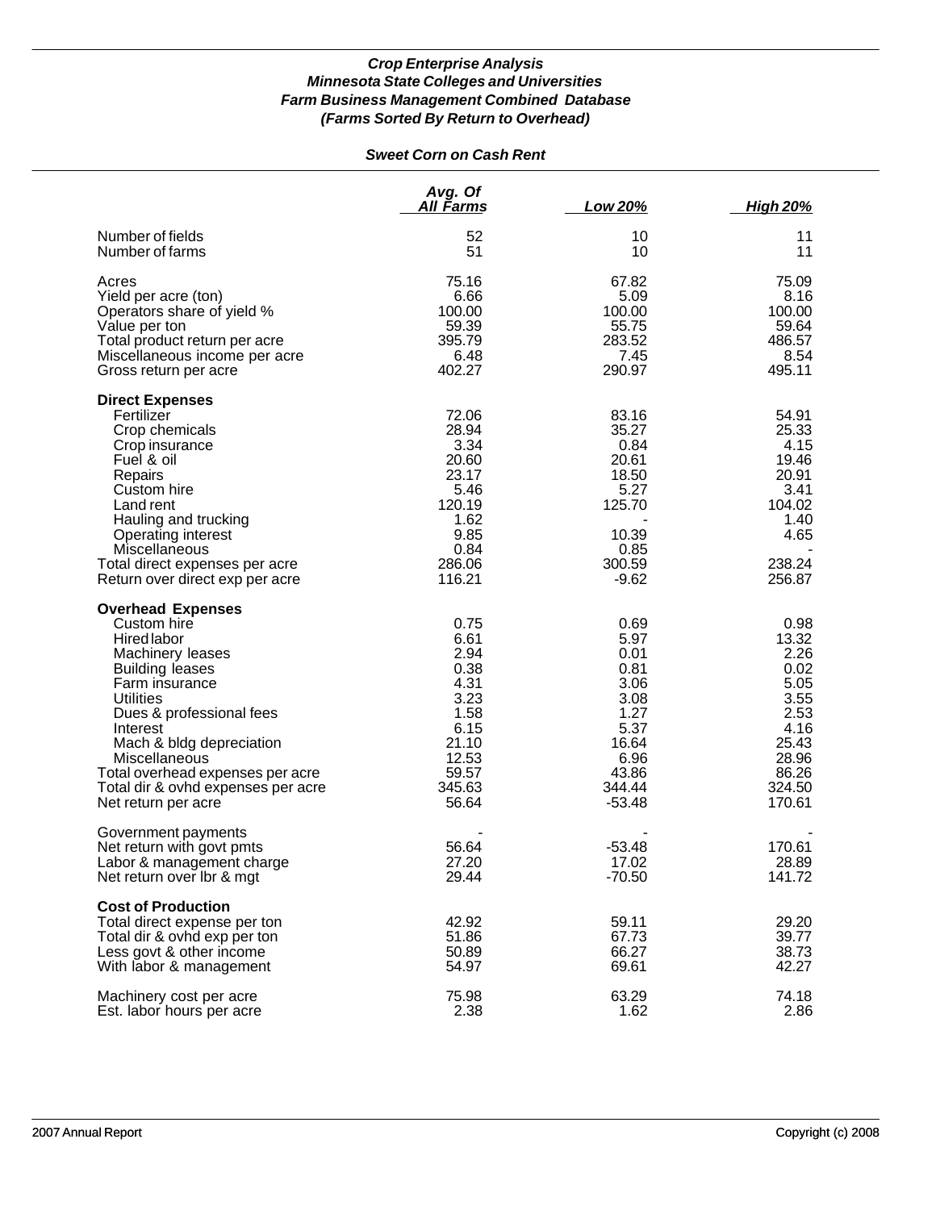# *Sweet Corn on Cash Rent*

|                                                                                                                                                                                                                                                                                                                                         | Avg. Of<br>All Farms                                                                                       | Low 20%                                                                                                      | <b>High 20%</b>                                                                                              |
|-----------------------------------------------------------------------------------------------------------------------------------------------------------------------------------------------------------------------------------------------------------------------------------------------------------------------------------------|------------------------------------------------------------------------------------------------------------|--------------------------------------------------------------------------------------------------------------|--------------------------------------------------------------------------------------------------------------|
| Number of fields<br>Number of farms                                                                                                                                                                                                                                                                                                     | 52<br>51                                                                                                   | 10<br>10                                                                                                     | 11<br>11                                                                                                     |
| Acres<br>Yield per acre (ton)<br>Operators share of yield %<br>Value per ton<br>Total product return per acre<br>Miscellaneous income per acre<br>Gross return per acre                                                                                                                                                                 | 75.16<br>6.66<br>100.00<br>59.39<br>395.79<br>6.48<br>402.27                                               | 67.82<br>5.09<br>100.00<br>55.75<br>283.52<br>7.45<br>290.97                                                 | 75.09<br>8.16<br>100.00<br>59.64<br>486.57<br>8.54<br>495.11                                                 |
| <b>Direct Expenses</b><br>Fertilizer<br>Crop chemicals<br>Crop insurance<br>Fuel & oil<br>Repairs<br>Custom hire<br>Land rent<br>Hauling and trucking<br>Operating interest<br>Miscellaneous<br>Total direct expenses per acre<br>Return over direct exp per acre                                                                       | 72.06<br>28.94<br>3.34<br>20.60<br>23.17<br>5.46<br>120.19<br>1.62<br>9.85<br>0.84<br>286.06<br>116.21     | 83.16<br>35.27<br>0.84<br>20.61<br>18.50<br>5.27<br>125.70<br>10.39<br>0.85<br>300.59<br>$-9.62$             | 54.91<br>25.33<br>4.15<br>19.46<br>20.91<br>3.41<br>104.02<br>1.40<br>4.65<br>238.24<br>256.87               |
| <b>Overhead Expenses</b><br>Custom hire<br>Hired labor<br>Machinery leases<br><b>Building leases</b><br>Farm insurance<br><b>Utilities</b><br>Dues & professional fees<br>Interest<br>Mach & bldg depreciation<br><b>Miscellaneous</b><br>Total overhead expenses per acre<br>Total dir & ovhd expenses per acre<br>Net return per acre | 0.75<br>6.61<br>2.94<br>0.38<br>4.31<br>3.23<br>1.58<br>6.15<br>21.10<br>12.53<br>59.57<br>345.63<br>56.64 | 0.69<br>5.97<br>0.01<br>0.81<br>3.06<br>3.08<br>1.27<br>5.37<br>16.64<br>6.96<br>43.86<br>344.44<br>$-53.48$ | 0.98<br>13.32<br>2.26<br>0.02<br>5.05<br>3.55<br>2.53<br>4.16<br>25.43<br>28.96<br>86.26<br>324.50<br>170.61 |
| Government payments<br>Net return with govt pmts<br>Labor & management charge<br>Net return over Ibr & mgt                                                                                                                                                                                                                              | 56.64<br>27.20<br>29.44                                                                                    | $-53.48$<br>17.02<br>$-70.50$                                                                                | 170.61<br>28.89<br>141.72                                                                                    |
| <b>Cost of Production</b><br>Total direct expense per ton<br>Total dir & ovhd exp per ton<br>Less govt & other income<br>With labor & management                                                                                                                                                                                        | 42.92<br>51.86<br>50.89<br>54.97                                                                           | 59.11<br>67.73<br>66.27<br>69.61                                                                             | 29.20<br>39.77<br>38.73<br>42.27                                                                             |
| Machinery cost per acre<br>Est. labor hours per acre                                                                                                                                                                                                                                                                                    | 75.98<br>2.38                                                                                              | 63.29<br>1.62                                                                                                | 74.18<br>2.86                                                                                                |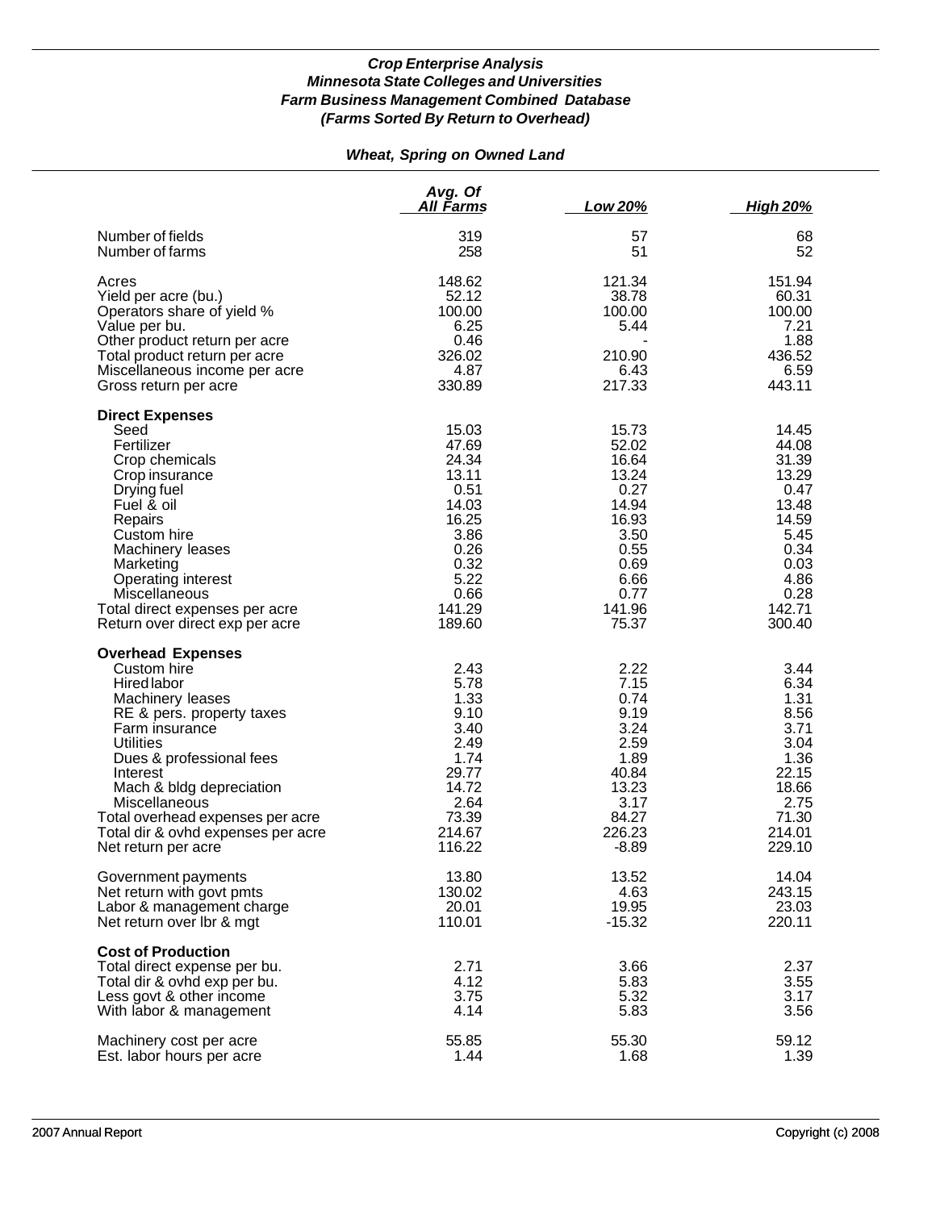# *Wheat, Spring on Owned Land*

|                                                                                                                                                                                                                                                                                                                                     | Avg. Of<br>All Farms                                                                                                   | Low 20%                                                                                                               | <u>High 20%</u>                                                                                                        |
|-------------------------------------------------------------------------------------------------------------------------------------------------------------------------------------------------------------------------------------------------------------------------------------------------------------------------------------|------------------------------------------------------------------------------------------------------------------------|-----------------------------------------------------------------------------------------------------------------------|------------------------------------------------------------------------------------------------------------------------|
| Number of fields<br>Number of farms                                                                                                                                                                                                                                                                                                 | 319<br>258                                                                                                             | 57<br>51                                                                                                              | 68<br>52                                                                                                               |
| Acres<br>Yield per acre (bu.)<br>Operators share of yield %<br>Value per bu.<br>Other product return per acre<br>Total product return per acre<br>Miscellaneous income per acre<br>Gross return per acre                                                                                                                            | 148.62<br>52.12<br>100.00<br>6.25<br>0.46<br>326.02<br>4.87<br>330.89                                                  | 121.34<br>38.78<br>100.00<br>5.44<br>210.90<br>6.43<br>217.33                                                         | 151.94<br>60.31<br>100.00<br>7.21<br>1.88<br>436.52<br>6.59<br>443.11                                                  |
| <b>Direct Expenses</b><br>Seed<br>Fertilizer<br>Crop chemicals<br>Crop insurance<br>Drying fuel<br>Fuel & oil<br>Repairs<br>Custom hire<br>Machinery leases<br>Marketing<br>Operating interest<br>Miscellaneous<br>Total direct expenses per acre<br>Return over direct exp per acre                                                | 15.03<br>47.69<br>24.34<br>13.11<br>0.51<br>14.03<br>16.25<br>3.86<br>0.26<br>0.32<br>5.22<br>0.66<br>141.29<br>189.60 | 15.73<br>52.02<br>16.64<br>13.24<br>0.27<br>14.94<br>16.93<br>3.50<br>0.55<br>0.69<br>6.66<br>0.77<br>141.96<br>75.37 | 14.45<br>44.08<br>31.39<br>13.29<br>0.47<br>13.48<br>14.59<br>5.45<br>0.34<br>0.03<br>4.86<br>0.28<br>142.71<br>300.40 |
| <b>Overhead Expenses</b><br>Custom hire<br>Hired labor<br>Machinery leases<br>RE & pers. property taxes<br>Farm insurance<br><b>Utilities</b><br>Dues & professional fees<br>Interest<br>Mach & bldg depreciation<br>Miscellaneous<br>Total overhead expenses per acre<br>Total dir & ovhd expenses per acre<br>Net return per acre | 2.43<br>5.78<br>1.33<br>9.10<br>3.40<br>2.49<br>1.74<br>29.77<br>14.72<br>2.64<br>73.39<br>214.67<br>116.22            | 2.22<br>7.15<br>0.74<br>9.19<br>3.24<br>2.59<br>1.89<br>40.84<br>13.23<br>3.17<br>84.27<br>226.23<br>$-8.89$          | 3.44<br>6.34<br>1.31<br>8.56<br>3.71<br>3.04<br>1.36<br>22.15<br>18.66<br>2.75<br>71.30<br>214.01<br>229.10            |
| Government payments<br>Net return with govt pmts<br>Labor & management charge<br>Net return over Ibr & mgt                                                                                                                                                                                                                          | 13.80<br>130.02<br>20.01<br>110.01                                                                                     | 13.52<br>4.63<br>19.95<br>$-15.32$                                                                                    | 14.04<br>243.15<br>23.03<br>220.11                                                                                     |
| <b>Cost of Production</b><br>Total direct expense per bu.<br>Total dir & ovhd exp per bu.<br>Less govt & other income<br>With labor & management                                                                                                                                                                                    | 2.71<br>4.12<br>3.75<br>4.14                                                                                           | 3.66<br>5.83<br>5.32<br>5.83                                                                                          | 2.37<br>3.55<br>3.17<br>3.56                                                                                           |
| Machinery cost per acre<br>Est. labor hours per acre                                                                                                                                                                                                                                                                                | 55.85<br>1.44                                                                                                          | 55.30<br>1.68                                                                                                         | 59.12<br>1.39                                                                                                          |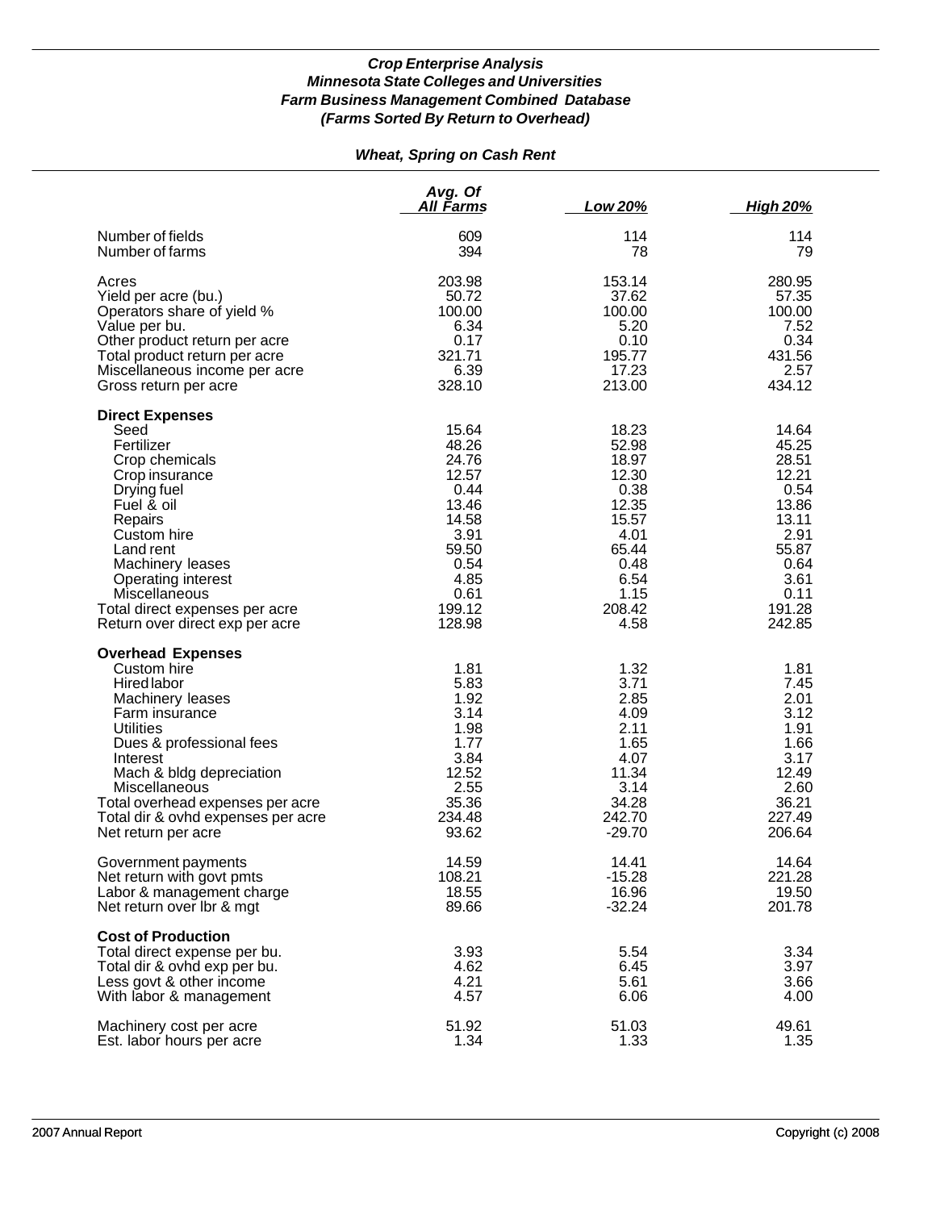# *Wheat, Spring on Cash Rent*

|                                                                                                                                                                                                                                                                                                        | Avg. Of<br>All Farms                                                                                                    | Low 20%                                                                                                               | <u>High 20%</u>                                                                                                         |
|--------------------------------------------------------------------------------------------------------------------------------------------------------------------------------------------------------------------------------------------------------------------------------------------------------|-------------------------------------------------------------------------------------------------------------------------|-----------------------------------------------------------------------------------------------------------------------|-------------------------------------------------------------------------------------------------------------------------|
| Number of fields                                                                                                                                                                                                                                                                                       | 609                                                                                                                     | 114                                                                                                                   | 114                                                                                                                     |
| Number of farms                                                                                                                                                                                                                                                                                        | 394                                                                                                                     | 78                                                                                                                    | 79                                                                                                                      |
| Acres                                                                                                                                                                                                                                                                                                  | 203.98                                                                                                                  | 153.14                                                                                                                | 280.95                                                                                                                  |
| Yield per acre (bu.)                                                                                                                                                                                                                                                                                   | 50.72                                                                                                                   | 37.62                                                                                                                 | 57.35                                                                                                                   |
| Operators share of yield %                                                                                                                                                                                                                                                                             | 100.00                                                                                                                  | 100.00                                                                                                                | 100.00                                                                                                                  |
| Value per bu.                                                                                                                                                                                                                                                                                          | 6.34                                                                                                                    | 5.20                                                                                                                  | 7.52                                                                                                                    |
| Other product return per acre                                                                                                                                                                                                                                                                          | 0.17                                                                                                                    | 0.10                                                                                                                  | 0.34                                                                                                                    |
| Total product return per acre                                                                                                                                                                                                                                                                          | 321.71                                                                                                                  | 195.77                                                                                                                | 431.56                                                                                                                  |
| Miscellaneous income per acre                                                                                                                                                                                                                                                                          | 6.39                                                                                                                    | 17.23                                                                                                                 | 2.57                                                                                                                    |
| Gross return per acre                                                                                                                                                                                                                                                                                  | 328.10                                                                                                                  | 213.00                                                                                                                | 434.12                                                                                                                  |
| <b>Direct Expenses</b><br>Seed<br>Fertilizer<br>Crop chemicals<br>Crop insurance<br>Drying fuel<br>Fuel & oil<br>Repairs<br>Custom hire<br>Land rent<br>Machinery leases<br>Operating interest<br>Miscellaneous<br>Total direct expenses per acre<br>Return over direct exp per acre                   | 15.64<br>48.26<br>24.76<br>12.57<br>0.44<br>13.46<br>14.58<br>3.91<br>59.50<br>0.54<br>4.85<br>0.61<br>199.12<br>128.98 | 18.23<br>52.98<br>18.97<br>12.30<br>0.38<br>12.35<br>15.57<br>4.01<br>65.44<br>0.48<br>6.54<br>1.15<br>208.42<br>4.58 | 14.64<br>45.25<br>28.51<br>12.21<br>0.54<br>13.86<br>13.11<br>2.91<br>55.87<br>0.64<br>3.61<br>0.11<br>191.28<br>242.85 |
| <b>Overhead Expenses</b><br>Custom hire<br>Hired labor<br>Machinery leases<br>Farm insurance<br><b>Utilities</b><br>Dues & professional fees<br>Interest<br>Mach & bldg depreciation<br>Miscellaneous<br>Total overhead expenses per acre<br>Total dir & ovhd expenses per acre<br>Net return per acre | 1.81<br>5.83<br>1.92<br>3.14<br>1.98<br>1.77<br>3.84<br>12.52<br>2.55<br>35.36<br>234.48<br>93.62                       | 1.32<br>3.71<br>2.85<br>4.09<br>2.11<br>1.65<br>4.07<br>11.34<br>3.14<br>34.28<br>242.70<br>$-29.70$                  | 1.81<br>7.45<br>2.01<br>3.12<br>1.91<br>1.66<br>3.17<br>12.49<br>2.60<br>36.21<br>227.49<br>206.64                      |
| Government payments                                                                                                                                                                                                                                                                                    | 14.59                                                                                                                   | 14.41                                                                                                                 | 14.64                                                                                                                   |
| Net return with govt pmts                                                                                                                                                                                                                                                                              | 108.21                                                                                                                  | $-15.28$                                                                                                              | 221.28                                                                                                                  |
| Labor & management charge                                                                                                                                                                                                                                                                              | 18.55                                                                                                                   | 16.96                                                                                                                 | 19.50                                                                                                                   |
| Net return over lbr & mgt                                                                                                                                                                                                                                                                              | 89.66                                                                                                                   | $-32.24$                                                                                                              | 201.78                                                                                                                  |
| <b>Cost of Production</b><br>Total direct expense per bu.<br>Total dir & ovhd exp per bu.<br>Less govt & other income<br>With labor & management                                                                                                                                                       | 3.93<br>4.62<br>4.21<br>4.57                                                                                            | 5.54<br>6.45<br>5.61<br>6.06                                                                                          | 3.34<br>3.97<br>3.66<br>4.00                                                                                            |
| Machinery cost per acre                                                                                                                                                                                                                                                                                | 51.92                                                                                                                   | 51.03                                                                                                                 | 49.61                                                                                                                   |
| Est. labor hours per acre                                                                                                                                                                                                                                                                              | 1.34                                                                                                                    | 1.33                                                                                                                  | 1.35                                                                                                                    |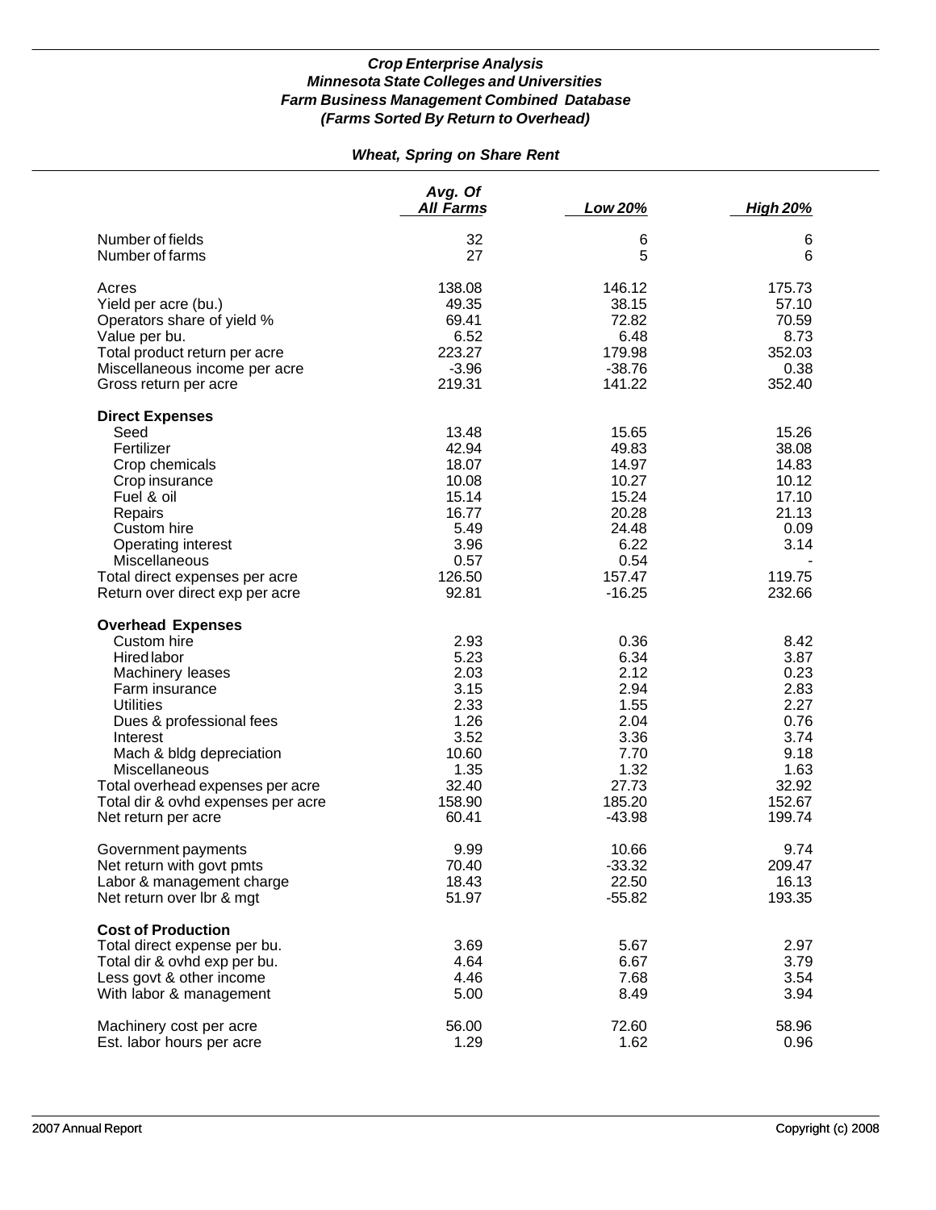# *Wheat, Spring on Share Rent*

|                                    | Avg. Of<br>All Farms | Low 20%  | <b>High 20%</b> |
|------------------------------------|----------------------|----------|-----------------|
| Number of fields                   | 32                   | 6        | 6               |
| Number of farms                    | 27                   | 5        | 6               |
| Acres                              | 138.08               | 146.12   | 175.73          |
| Yield per acre (bu.)               | 49.35                | 38.15    | 57.10           |
| Operators share of yield %         | 69.41                | 72.82    | 70.59           |
| Value per bu.                      | 6.52                 | 6.48     | 8.73            |
| Total product return per acre      | 223.27               | 179.98   | 352.03          |
| Miscellaneous income per acre      | $-3.96$              | $-38.76$ | 0.38            |
| Gross return per acre              | 219.31               | 141.22   | 352.40          |
| <b>Direct Expenses</b>             |                      |          |                 |
| Seed                               | 13.48                | 15.65    | 15.26           |
| Fertilizer                         | 42.94                | 49.83    | 38.08           |
| Crop chemicals                     | 18.07                | 14.97    | 14.83           |
| Crop insurance                     | 10.08                | 10.27    | 10.12           |
| Fuel & oil                         | 15.14                | 15.24    | 17.10           |
| Repairs                            | 16.77                | 20.28    | 21.13           |
| Custom hire                        | 5.49                 | 24.48    | 0.09            |
| Operating interest                 | 3.96                 | 6.22     | 3.14            |
| <b>Miscellaneous</b>               | 0.57                 | 0.54     |                 |
| Total direct expenses per acre     | 126.50               | 157.47   | 119.75          |
| Return over direct exp per acre    | 92.81                | $-16.25$ | 232.66          |
| <b>Overhead Expenses</b>           |                      |          |                 |
| Custom hire                        | 2.93                 | 0.36     | 8.42            |
| Hired labor                        | 5.23                 | 6.34     | 3.87            |
| Machinery leases                   | 2.03                 | 2.12     | 0.23            |
| Farm insurance                     | 3.15                 | 2.94     | 2.83            |
| <b>Utilities</b>                   | 2.33                 | 1.55     | 2.27            |
| Dues & professional fees           | 1.26                 | 2.04     | 0.76            |
| Interest                           | 3.52                 | 3.36     | 3.74            |
| Mach & bldg depreciation           | 10.60                | 7.70     | 9.18            |
| Miscellaneous                      | 1.35                 | 1.32     | 1.63            |
| Total overhead expenses per acre   | 32.40                | 27.73    | 32.92           |
| Total dir & ovhd expenses per acre | 158.90               | 185.20   | 152.67          |
| Net return per acre                | 60.41                | $-43.98$ | 199.74          |
| Government payments                | 9.99                 | 10.66    | 9.74            |
| Net return with govt pmts          | 70.40                | $-33.32$ | 209.47          |
| Labor & management charge          | 18.43                | 22.50    | 16.13           |
| Net return over lbr & mgt          | 51.97                | $-55.82$ | 193.35          |
| <b>Cost of Production</b>          |                      |          |                 |
| Total direct expense per bu.       | 3.69                 | 5.67     | 2.97            |
| Total dir & ovhd exp per bu.       | 4.64                 | 6.67     | 3.79            |
| Less govt & other income           | 4.46                 | 7.68     | 3.54            |
| With labor & management            | 5.00                 | 8.49     | 3.94            |
| Machinery cost per acre            | 56.00                | 72.60    | 58.96           |
| Est. labor hours per acre          | 1.29                 | 1.62     | 0.96            |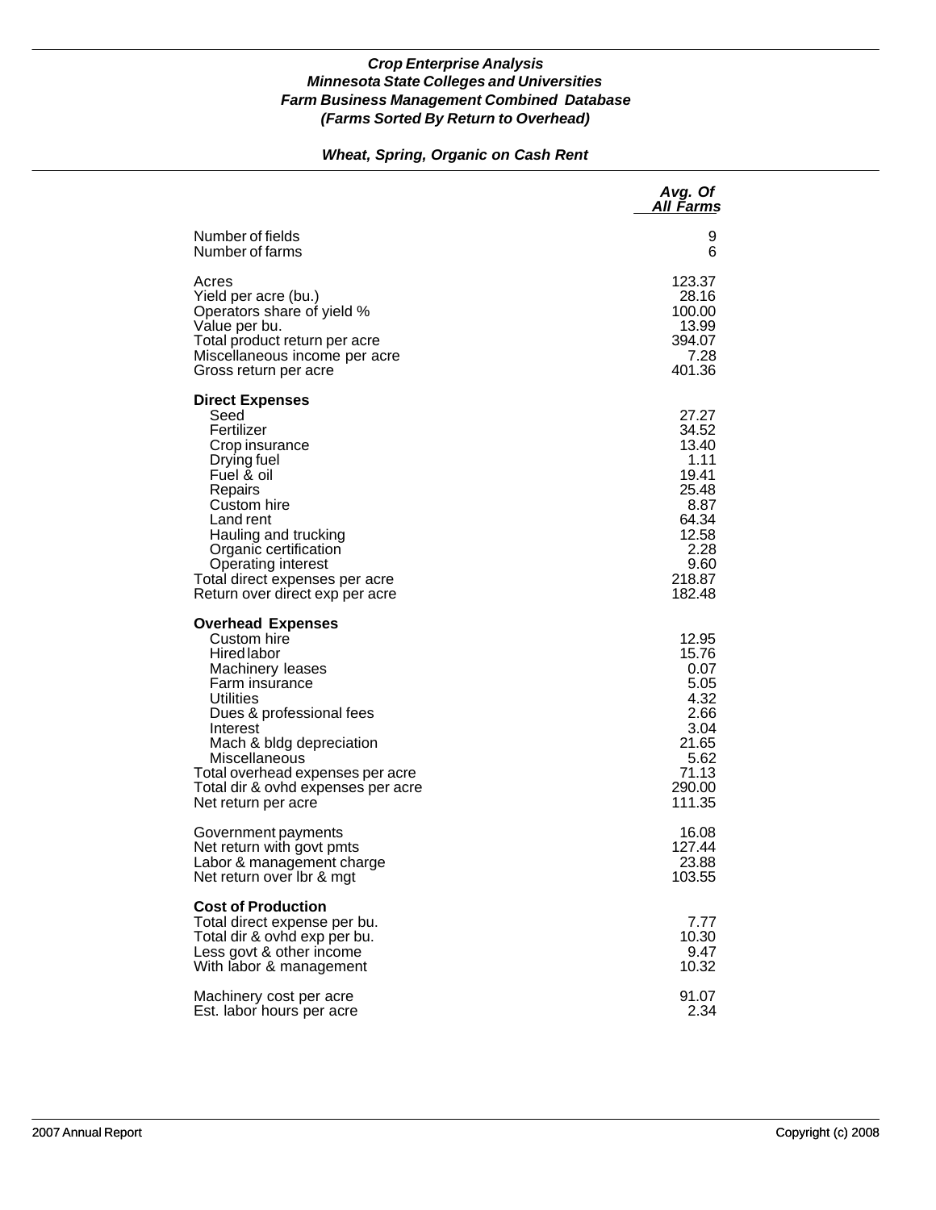## *Wheat, Spring, Organic on Cash Rent*

|                                                                                                                                                                                                                                                                                                 | Avg. Of<br><u>All Farms</u>                                                                                     |
|-------------------------------------------------------------------------------------------------------------------------------------------------------------------------------------------------------------------------------------------------------------------------------------------------|-----------------------------------------------------------------------------------------------------------------|
| Number of fields                                                                                                                                                                                                                                                                                | 9                                                                                                               |
| Number of farms                                                                                                                                                                                                                                                                                 | 6                                                                                                               |
| Acres                                                                                                                                                                                                                                                                                           | 123.37                                                                                                          |
| Yield per acre (bu.)                                                                                                                                                                                                                                                                            | 28.16                                                                                                           |
| Operators share of yield %                                                                                                                                                                                                                                                                      | 100.00                                                                                                          |
| Value per bu.                                                                                                                                                                                                                                                                                   | 13.99                                                                                                           |
| Total product return per acre                                                                                                                                                                                                                                                                   | 394.07                                                                                                          |
| Miscellaneous income per acre                                                                                                                                                                                                                                                                   | 7.28                                                                                                            |
| Gross return per acre                                                                                                                                                                                                                                                                           | 401.36                                                                                                          |
| <b>Direct Expenses</b><br>Seed<br>Fertilizer<br>Crop insurance<br>Drying fuel<br>Fuel & oil<br>Repairs<br>Custom hire<br>Land rent<br>Hauling and trucking<br>Organic certification<br>Operating interest<br>Total direct expenses per acre<br>Return over direct exp per acre                  | 27.27<br>34.52<br>13.40<br>1.11<br>19.41<br>25.48<br>8.87<br>64.34<br>12.58<br>2.28<br>9.60<br>218.87<br>182.48 |
| <b>Overhead Expenses</b><br>Custom hire<br>Hired labor<br>Machinery leases<br>Farm insurance<br>Utilities<br>Dues & professional fees<br>Interest<br>Mach & bldg depreciation<br>Miscellaneous<br>Total overhead expenses per acre<br>Total dir & ovhd expenses per acre<br>Net return per acre | 12.95<br>15.76<br>0.07<br>5.05<br>4.32<br>2.66<br>3.04<br>21.65<br>5.62<br>71.13<br>290.00<br>111.35            |
| Government payments                                                                                                                                                                                                                                                                             | 16.08                                                                                                           |
| Net return with govt pmts                                                                                                                                                                                                                                                                       | 127.44                                                                                                          |
| Labor & management charge                                                                                                                                                                                                                                                                       | 23.88                                                                                                           |
| Net return over Ibr & mgt                                                                                                                                                                                                                                                                       | 103.55                                                                                                          |
| <b>Cost of Production</b><br>Total direct expense per bu.<br>Total dir & ovhd exp per bu.<br>Less govt & other income<br>With labor & management                                                                                                                                                | 7.77<br>10.30<br>9.47<br>10.32                                                                                  |
| Machinery cost per acre                                                                                                                                                                                                                                                                         | 91.07                                                                                                           |
| Est. labor hours per acre                                                                                                                                                                                                                                                                       | 2.34                                                                                                            |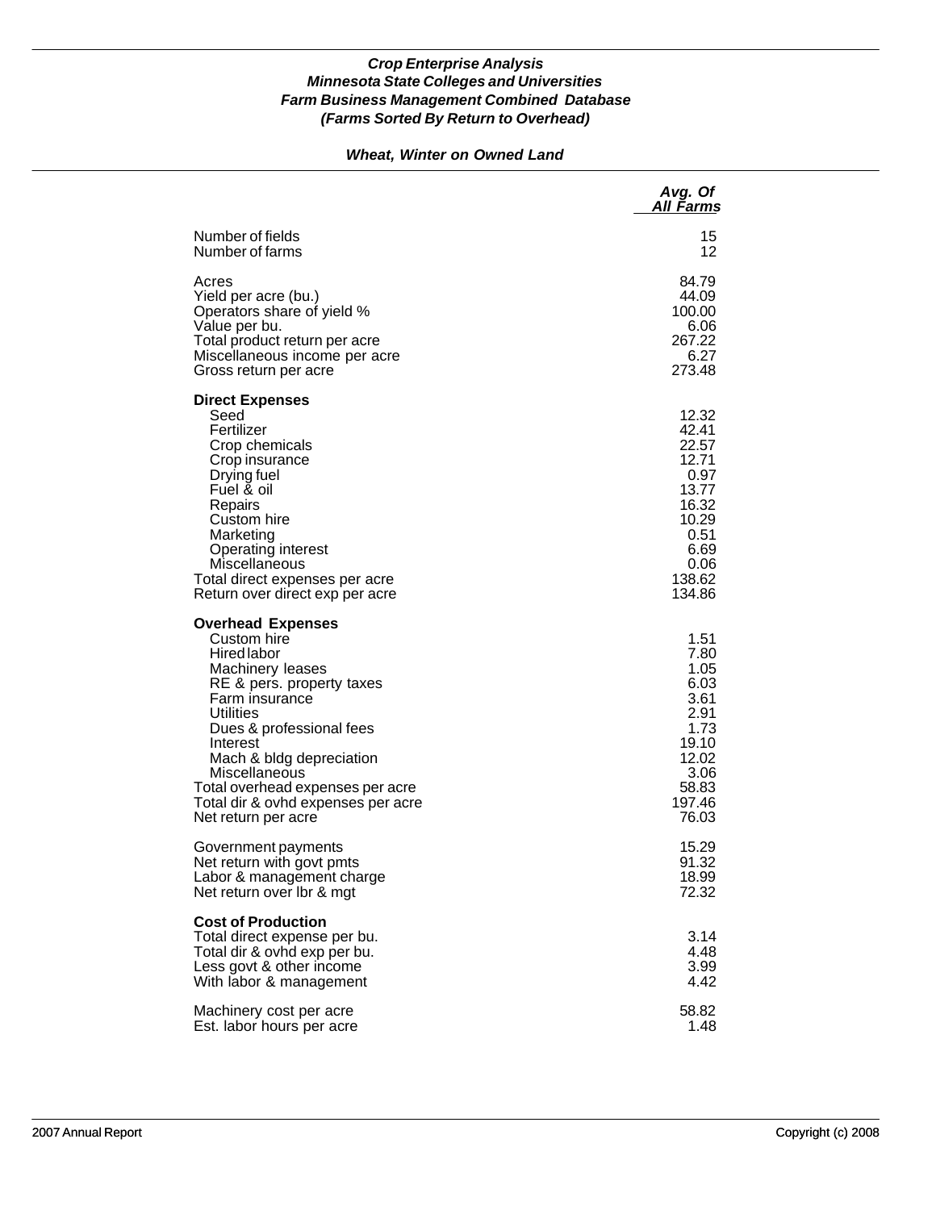### *Wheat, Winter on Owned Land*

|                                                                                                                                                                                                                                                                                                                              | Avg. Of<br>All Farms                                                                                            |
|------------------------------------------------------------------------------------------------------------------------------------------------------------------------------------------------------------------------------------------------------------------------------------------------------------------------------|-----------------------------------------------------------------------------------------------------------------|
| Number of fields                                                                                                                                                                                                                                                                                                             | 15                                                                                                              |
| Number of farms                                                                                                                                                                                                                                                                                                              | 12                                                                                                              |
| Acres                                                                                                                                                                                                                                                                                                                        | 84.79                                                                                                           |
| Yield per acre (bu.)                                                                                                                                                                                                                                                                                                         | 44.09                                                                                                           |
| Operators share of yield %                                                                                                                                                                                                                                                                                                   | 100.00                                                                                                          |
| Value per bu.                                                                                                                                                                                                                                                                                                                | 6.06                                                                                                            |
| Total product return per acre                                                                                                                                                                                                                                                                                                | 267.22                                                                                                          |
| Miscellaneous income per acre                                                                                                                                                                                                                                                                                                | 6.27                                                                                                            |
| Gross return per acre                                                                                                                                                                                                                                                                                                        | 273.48                                                                                                          |
| <b>Direct Expenses</b><br>Seed<br>Fertilizer<br>Crop chemicals<br>Crop insurance<br>Drying fuel<br>Fuel & oil<br>Repairs<br>Custom hire<br>Marketing<br>Operating interest<br>Miscellaneous<br>Total direct expenses per acre<br>Return over direct exp per acre                                                             | 12.32<br>42.41<br>22.57<br>12.71<br>0.97<br>13.77<br>16.32<br>10.29<br>0.51<br>6.69<br>0.06<br>138.62<br>134.86 |
| <b>Overhead Expenses</b><br>Custom hire<br>Hired labor<br>Machinery leases<br>RE & pers. property taxes<br>Farm insurance<br>Utilities<br>Dues & professional fees<br>Interest<br>Mach & bldg depreciation<br>Miscellaneous<br>Total overhead expenses per acre<br>Total dir & ovhd expenses per acre<br>Net return per acre | 1.51<br>7.80<br>1.05<br>6.03<br>3.61<br>2.91<br>1.73<br>19.10<br>12.02<br>3.06<br>58.83<br>197.46<br>76.03      |
| Government payments                                                                                                                                                                                                                                                                                                          | 15.29                                                                                                           |
| Net return with govt pmts                                                                                                                                                                                                                                                                                                    | 91.32                                                                                                           |
| Labor & management charge                                                                                                                                                                                                                                                                                                    | 18.99                                                                                                           |
| Net return over Ibr & mgt                                                                                                                                                                                                                                                                                                    | 72.32                                                                                                           |
| <b>Cost of Production</b><br>Total direct expense per bu.<br>Total dir & ovhd exp per bu.<br>Less govt & other income<br>With labor & management                                                                                                                                                                             | 3.14<br>4.48<br>3.99<br>4.42                                                                                    |
| Machinery cost per acre                                                                                                                                                                                                                                                                                                      | 58.82                                                                                                           |
| Est. labor hours per acre                                                                                                                                                                                                                                                                                                    | 1.48                                                                                                            |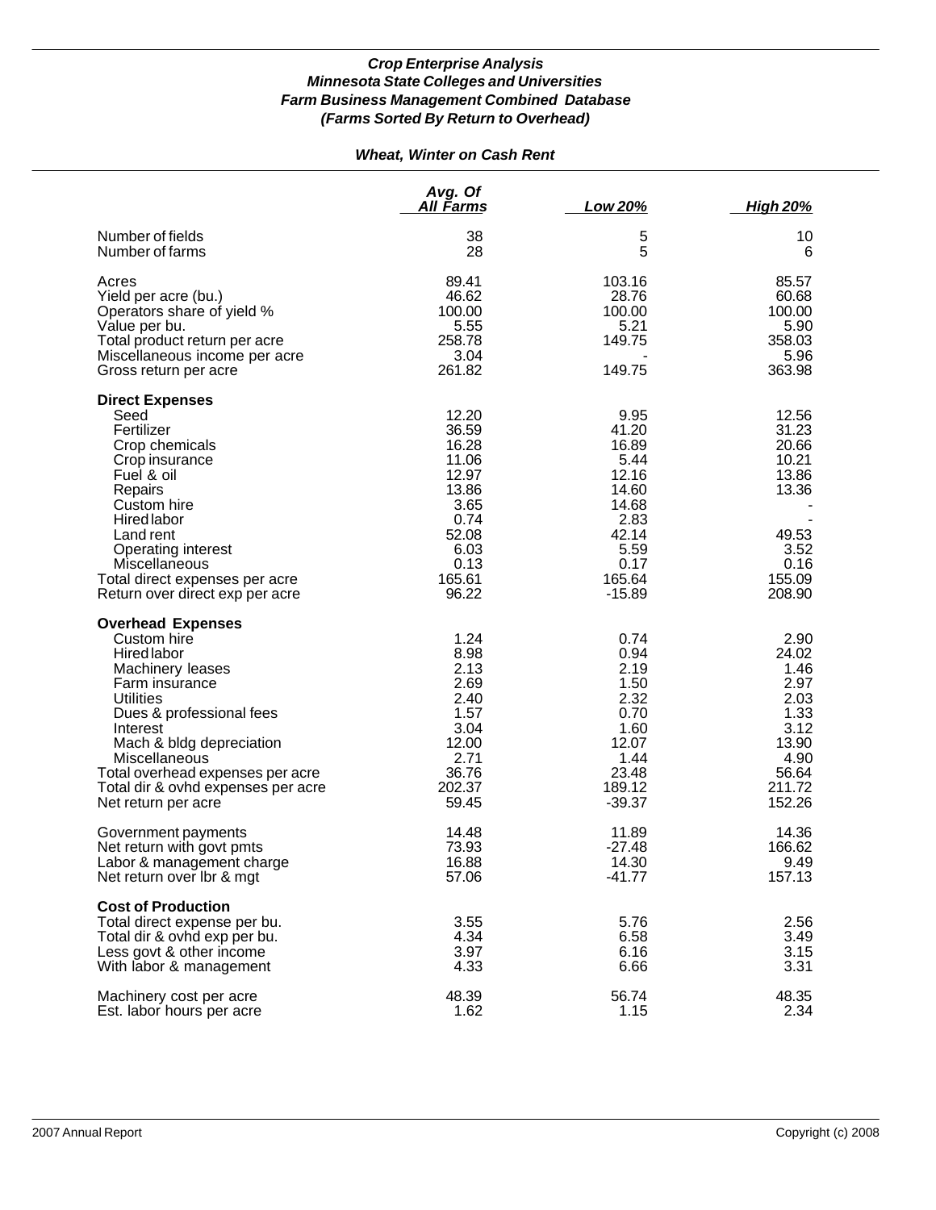# *Wheat, Winter on Cash Rent*

|                                                                                                                                                                                                                                                                                                               | Avg. Of<br>All Farms                                                                                           | Low 20%                                                                                                          | <b>High 20%</b>                                                                                     |
|---------------------------------------------------------------------------------------------------------------------------------------------------------------------------------------------------------------------------------------------------------------------------------------------------------------|----------------------------------------------------------------------------------------------------------------|------------------------------------------------------------------------------------------------------------------|-----------------------------------------------------------------------------------------------------|
| Number of fields<br>Number of farms                                                                                                                                                                                                                                                                           | 38<br>28                                                                                                       | 5<br>5                                                                                                           | 10<br>6                                                                                             |
| Acres<br>Yield per acre (bu.)<br>Operators share of yield %<br>Value per bu.<br>Total product return per acre<br>Miscellaneous income per acre<br>Gross return per acre                                                                                                                                       | 89.41<br>46.62<br>100.00<br>5.55<br>258.78<br>3.04<br>261.82                                                   | 103.16<br>28.76<br>100.00<br>5.21<br>149.75<br>149.75                                                            | 85.57<br>60.68<br>100.00<br>5.90<br>358.03<br>5.96<br>363.98                                        |
| <b>Direct Expenses</b><br>Seed<br>Fertilizer<br>Crop chemicals<br>Crop insurance<br>Fuel & oil<br>Repairs<br>Custom hire<br>Hired labor<br>Land rent<br>Operating interest<br>Miscellaneous<br>Total direct expenses per acre<br>Return over direct exp per acre                                              | 12.20<br>36.59<br>16.28<br>11.06<br>12.97<br>13.86<br>3.65<br>0.74<br>52.08<br>6.03<br>0.13<br>165.61<br>96.22 | 9.95<br>41.20<br>16.89<br>5.44<br>12.16<br>14.60<br>14.68<br>2.83<br>42.14<br>5.59<br>0.17<br>165.64<br>$-15.89$ | 12.56<br>31.23<br>20.66<br>10.21<br>13.86<br>13.36<br>49.53<br>3.52<br>0.16<br>155.09<br>208.90     |
| <b>Overhead Expenses</b><br>Custom hire<br><b>Hired labor</b><br>Machinery leases<br>Farm insurance<br><b>Utilities</b><br>Dues & professional fees<br>Interest<br>Mach & bldg depreciation<br>Miscellaneous<br>Total overhead expenses per acre<br>Total dir & ovhd expenses per acre<br>Net return per acre | 1.24<br>8.98<br>2.13<br>2.69<br>2.40<br>1.57<br>3.04<br>12.00<br>2.71<br>36.76<br>202.37<br>59.45              | 0.74<br>0.94<br>2.19<br>1.50<br>2.32<br>0.70<br>1.60<br>12.07<br>1.44<br>23.48<br>189.12<br>$-39.37$             | 2.90<br>24.02<br>1.46<br>2.97<br>2.03<br>1.33<br>3.12<br>13.90<br>4.90<br>56.64<br>211.72<br>152.26 |
| Government payments<br>Net return with govt pmts<br>Labor & management charge<br>Net return over Ibr & mgt                                                                                                                                                                                                    | 14.48<br>73.93<br>16.88<br>57.06                                                                               | 11.89<br>$-27.48$<br>14.30<br>$-41.77$                                                                           | 14.36<br>166.62<br>9.49<br>157.13                                                                   |
| <b>Cost of Production</b><br>Total direct expense per bu.<br>Total dir & ovhd exp per bu.<br>Less govt & other income<br>With labor & management                                                                                                                                                              | 3.55<br>4.34<br>3.97<br>4.33                                                                                   | 5.76<br>6.58<br>6.16<br>6.66                                                                                     | 2.56<br>3.49<br>3.15<br>3.31                                                                        |
| Machinery cost per acre<br>Est. labor hours per acre                                                                                                                                                                                                                                                          | 48.39<br>1.62                                                                                                  | 56.74<br>1.15                                                                                                    | 48.35<br>2.34                                                                                       |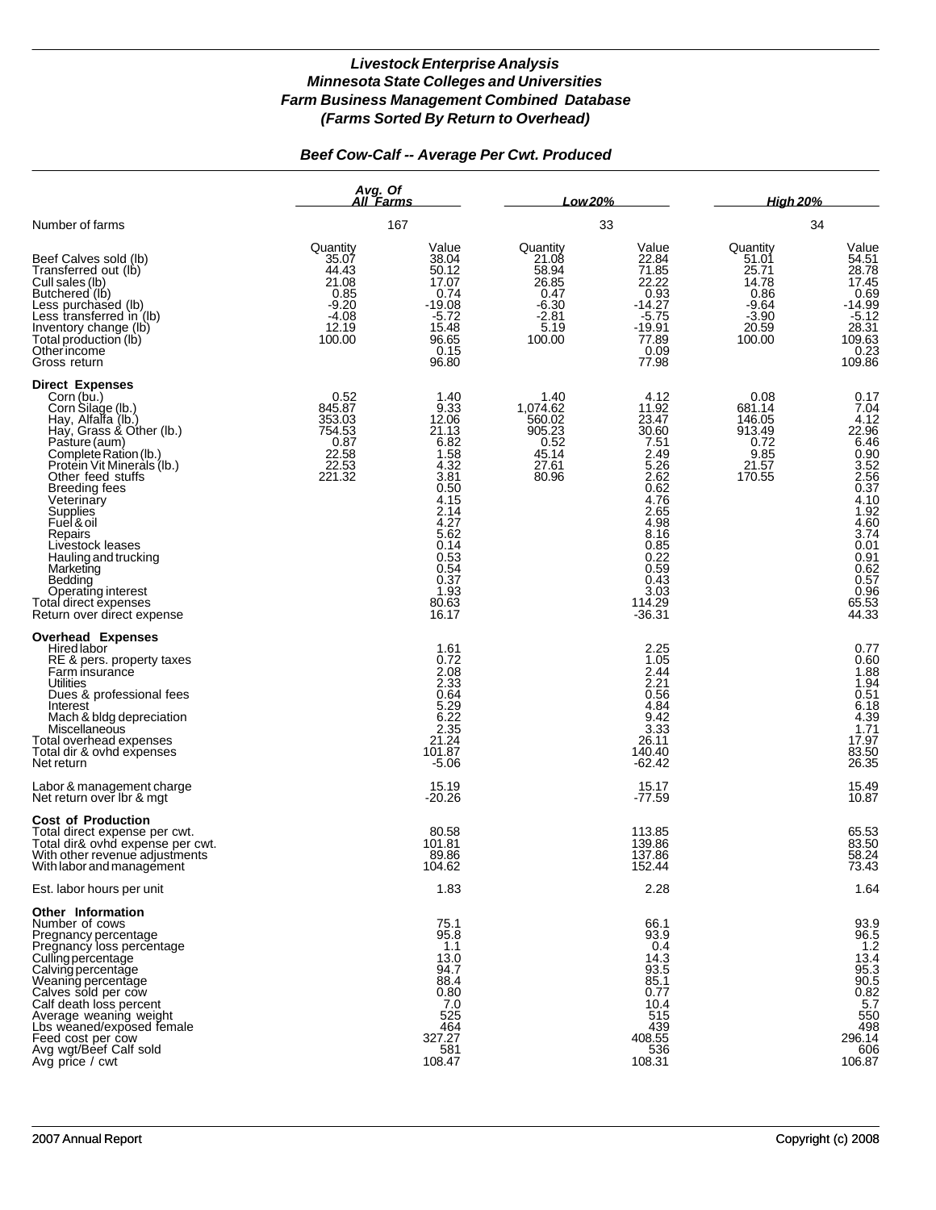### *Beef Cow-Calf -- Average Per Cwt. Produced*

|                                                                                                                                                                                                                                                                                                                                                                                                                                      | Avg. Of<br>All Farms                                                                 |                                                                                                                                                                  | Low 20%                                                                             |                                                                                                                                                                              | <b>High 20%</b>                                                                    |                                                                                                                                                                                   |
|--------------------------------------------------------------------------------------------------------------------------------------------------------------------------------------------------------------------------------------------------------------------------------------------------------------------------------------------------------------------------------------------------------------------------------------|--------------------------------------------------------------------------------------|------------------------------------------------------------------------------------------------------------------------------------------------------------------|-------------------------------------------------------------------------------------|------------------------------------------------------------------------------------------------------------------------------------------------------------------------------|------------------------------------------------------------------------------------|-----------------------------------------------------------------------------------------------------------------------------------------------------------------------------------|
| Number of farms                                                                                                                                                                                                                                                                                                                                                                                                                      |                                                                                      | 167                                                                                                                                                              |                                                                                     | 33                                                                                                                                                                           |                                                                                    | 34                                                                                                                                                                                |
| Beef Calves sold (lb)<br>Transferred out (lb)<br>Cull sales (lb)<br>Butchered (lb)<br>Less purchased (lb)<br>Less transferred in (Ib)<br>Inventory change (lb)<br>Total production (lb)<br>Otherincome<br>Gross return                                                                                                                                                                                                               | Quantity<br>35.07<br>44.43<br>21.08<br>0.85<br>$-9.20$<br>$-4.08$<br>12.19<br>100.00 | Value<br>38.04<br>50.12<br>17.07<br>0.74<br>$-19.08$<br>$-5.72$<br>15.48<br>96.65<br>0.15<br>96.80                                                               | Quantity<br>21.08<br>58.94<br>26.85<br>0.47<br>$-6.30$<br>$-2.81$<br>5.19<br>100.00 | Value<br>22.84<br>71.85<br>22.22<br>0.93<br>$-14.27$<br>$-5.75$<br>-19.91<br>77.89<br>0.09<br>77.98                                                                          | Quantity<br>51.01<br>25.71<br>14.78<br>0.86<br>-9.64<br>$-3.90$<br>20.59<br>100.00 | Value<br>54.51<br>28.78<br>17.45<br>0.69<br>$-14.99$<br>$-5.12$<br>$28.31$<br>$109.63$<br>0.23<br>109.86                                                                          |
| <b>Direct Expenses</b><br>Corn (bu.)<br>Corn Silage (lb.)<br>Hay, Alfalfa (lb.)<br>Hay, Grass & Other (lb.)<br>Pasture (aum)<br>Complete Ration (lb.)<br>Protein Vit Minerals (Ib.)<br>Other feed stuffs<br><b>Breeding fees</b><br>Veterinary<br>Supplies<br>Fuel & oil<br>Repairs<br>Livestock leases<br>Hauling and trucking<br>Marketing<br>Bedding<br>Operating interest<br>Total direct expenses<br>Return over direct expense | 0.52<br>845.87<br>353.03<br>754.53<br>0.87<br>22.58<br>22.53<br>221.32               | 1.40<br>9.33<br>12.06<br>21.13<br>6.82<br>1.58<br>4.32<br>3.81<br>0.50<br>4.15<br>2.14<br>4.27<br>5.62<br>0.14<br>0.53<br>0.54<br>0.37<br>1.93<br>80.63<br>16.17 | 1.40<br>1,074.62<br>560.02<br>905.23<br>0.52<br>45.14<br>27.61<br>80.96             | 4.12<br>$\frac{11.92}{23.47}$<br>30.60<br>7.51<br>2.49<br>5.26<br>2.62<br>0.62<br>4.76<br>2.65<br>4.98<br>8.16<br>0.85<br>0.22<br>0.59<br>0.43<br>3.03<br>114.29<br>$-36.31$ | 0.08<br>681.14<br>146.05<br>913.49<br>0.72<br>9.85<br>21.57<br>170.55              | 0.17<br>$7.04$<br>4.12<br>22.96<br>6.46<br>$0.90$<br>$3.52$<br>$2.56$<br>$0.37$<br>$4.10$<br>$1.92$<br>$4.60$<br>$3.74$<br>0.01<br>0.91<br>0.62<br>0.57<br>0.96<br>65.53<br>44.33 |
| <b>Overhead Expenses</b><br>Hired labor<br>RE & pers. property taxes<br>Farm insurance<br>Utilities<br>Dues & professional fees<br>Interest<br>Mach & bldg depreciation<br>Miscellaneous<br>Total overhead expenses<br>Total dir & ovhd expenses<br>Net return                                                                                                                                                                       |                                                                                      | 1.61<br>0.72<br>2.08<br>2.33<br>0.64<br>5.29<br>6.22<br>2.35<br>21.24<br>101.87<br>$-5.06$                                                                       |                                                                                     | 2.25<br>1.05<br>2.44<br>2.21<br>0.56<br>4.84<br>9.42<br>3.33<br>26.11<br>140.40<br>$-62.42$                                                                                  |                                                                                    | 0.77<br>$0.60$<br>$1.88$<br>$1.94$<br>$0.51$<br>$6.18$<br>$4.39$<br>$1.71$<br>$17.97$<br>$22.50$<br>83.50<br>26.35                                                                |
| Labor & management charge<br>Net return over Ibr & mgt                                                                                                                                                                                                                                                                                                                                                                               |                                                                                      | 15.19<br>$-20.26$                                                                                                                                                |                                                                                     | 15.17<br>$-77.59$                                                                                                                                                            |                                                                                    | 15.49<br>10.87                                                                                                                                                                    |
| <b>Cost of Production</b><br>Total direct expense per cwt.<br>Total dir& ovhd expense per cwt.<br>With other revenue adjustments<br>With labor and management                                                                                                                                                                                                                                                                        |                                                                                      | 80.58<br>101.81<br>89.86<br>104.62                                                                                                                               |                                                                                     | 113.85<br>139.86<br>137.86<br>152.44                                                                                                                                         |                                                                                    | 65.53<br>83.50<br>58.24<br>73.43                                                                                                                                                  |
| Est. labor hours per unit                                                                                                                                                                                                                                                                                                                                                                                                            |                                                                                      | 1.83                                                                                                                                                             |                                                                                     | 2.28                                                                                                                                                                         |                                                                                    | 1.64                                                                                                                                                                              |
| Other Information<br>Number of cows<br>Pregnancy percentage<br>Pregnancy loss percentage<br>Culling percentage<br>Calving percentage<br>Weaning percentage<br>Calves sold per cow<br>Calf death loss percent<br>Average weaning weight<br>Lbs weaned/exposed female<br>Feed cost per cow<br>Avg wgt/Beef Calf sold<br>Avg price / cwt                                                                                                |                                                                                      | 75.1<br>95.8<br>1.1<br>13.0<br>94.7<br>88.4<br>0.80<br>7.0<br>525<br>464<br>327.27<br>581<br>108.47                                                              |                                                                                     | 66.1<br>93.9<br>0.4<br>14.3<br>93.5<br>85.1<br>0.77<br>10.4<br>515<br>439<br>408.55<br>536<br>108.31                                                                         |                                                                                    | $93.9$<br>$96.5$<br>$1.2$<br>$13.4$<br>95.3<br>90.5<br>90.82<br>5.7<br>550<br>5.7<br>498<br>296.14<br>606<br>106.87                                                               |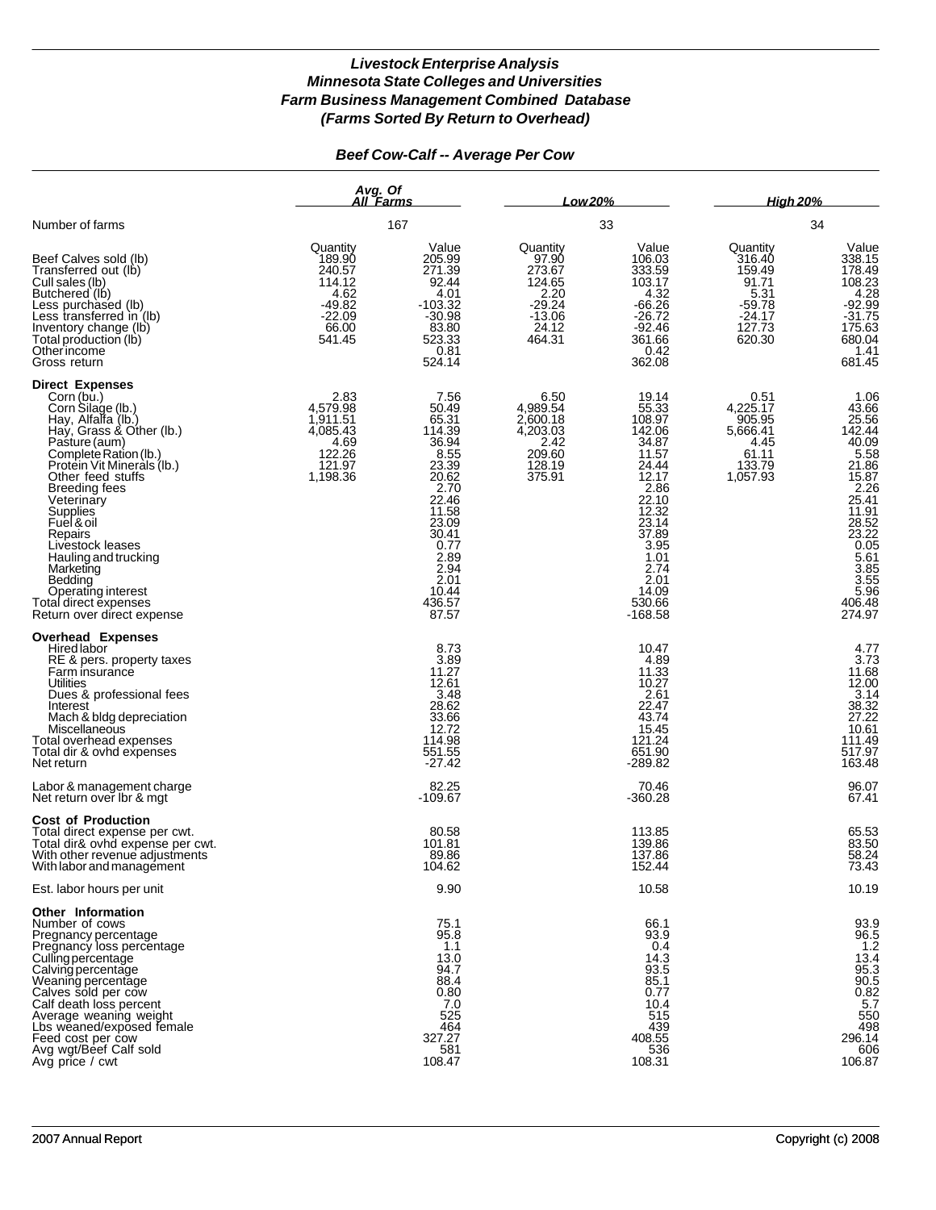## *Beef Cow-Calf -- Average Per Cow*

|                                                                                                                                                                                                                                                                                                                                                                                                                                      | Avg. Of<br>All Farms                                                                      |                                                                                                                                                                             | Low 20%                                                                                  |                                                                                                                                                                                    | <b>High 20%</b><br>34                                                                     |                                                                                                                                                                                                           |
|--------------------------------------------------------------------------------------------------------------------------------------------------------------------------------------------------------------------------------------------------------------------------------------------------------------------------------------------------------------------------------------------------------------------------------------|-------------------------------------------------------------------------------------------|-----------------------------------------------------------------------------------------------------------------------------------------------------------------------------|------------------------------------------------------------------------------------------|------------------------------------------------------------------------------------------------------------------------------------------------------------------------------------|-------------------------------------------------------------------------------------------|-----------------------------------------------------------------------------------------------------------------------------------------------------------------------------------------------------------|
| Number of farms                                                                                                                                                                                                                                                                                                                                                                                                                      |                                                                                           | 167                                                                                                                                                                         | 33                                                                                       |                                                                                                                                                                                    |                                                                                           |                                                                                                                                                                                                           |
| Beef Calves sold (lb)<br>Transferred out (lb)<br>Cull sales (lb)<br>Butchered (lb)<br>Less purchased (lb)<br>Less transferred in (lb)<br>Inventory change (lb)<br>Total production (lb)<br>Otherincome<br>Gross return                                                                                                                                                                                                               | Quantity<br>189.90<br>240.57<br>114.12<br>4.62<br>$-49.82$<br>$-22.09$<br>66.00<br>541.45 | Value<br>205.99<br>271.39<br>92.44<br>4.01<br>$-103.32$<br>$-30.98$<br>83.80<br>523.33<br>0.81<br>524.14                                                                    | Quantity<br>97.90<br>273.67<br>124.65<br>2.20<br>$-29.24$<br>$-13.06$<br>24.12<br>464.31 | Value<br>106.03<br>333.59<br>103.17<br>4.32<br>$-66.26$<br>$-26.72$<br>$-92.46$<br>361.66<br>0.42<br>362.08                                                                        | Quantity<br>316.40<br>159.49<br>91.71<br>5.31<br>$-59.78$<br>$-24.17$<br>127.73<br>620.30 | Value<br>338.15<br>178.49<br>108.23<br>4.28<br>$-92.99$<br>$-31.75$<br>$175.63$<br>680.04<br>1.41<br>681.45                                                                                               |
| <b>Direct Expenses</b><br>Corn (bu.)<br>Corn Silage (lb.)<br>Hay, Alfalfa (lb.)<br>Hay, Grass & Other (lb.)<br>Pasture (aum)<br>Complete Ration (lb.)<br>Protein Vit Minerals (lb.)<br>Other feed stuffs<br><b>Breeding fees</b><br>Veterinary<br>Supplies<br>Fuel & oil<br>Repairs<br>Livestock leases<br>Hauling and trucking<br>Marketing<br>Bedding<br>Operating interest<br>Total direct expenses<br>Return over direct expense | 2.83<br>4,579.98<br>1,911.51<br>4,085.43<br>4.69<br>122.26<br>121.97<br>1,198.36          | 7.56<br>50.49<br>65.31<br>114.39<br>36.94<br>8.55<br>23.39<br>20.62<br>2.70<br>22.46<br>11.58<br>23.09<br>30.41<br>0.77<br>2.89<br>2.94<br>2.01<br>10.44<br>436.57<br>87.57 | 6.50<br>4,989.54<br>2,600.18<br>4,203.03<br>2.42<br>209.60<br>128.19<br>375.91           | 19.14<br>55.33<br>108.97<br>142.06<br>34.87<br>11.57<br>24.44<br>12.17<br>2.86<br>22.10<br>12.32<br>23.14<br>37.89<br>3.95<br>1.01<br>2.74<br>2.01<br>14.09<br>530.66<br>$-168.58$ | 0.51<br>4,225.17<br>905.95<br>5,666.41<br>4.45<br>61.11<br>133.79<br>1,057.93             | 1.06<br>43.66<br>25.56<br>142.44<br>40.09<br>$5.58$<br>$21.86$<br>$15.87$<br>$2.26$<br>25.41<br>11.91<br>$\frac{28.52}{23.22}$<br>$\frac{0.05}{0.05}$<br>5.61<br>3.85<br>3.55<br>5.96<br>406.48<br>274.97 |
| <b>Overhead Expenses</b><br>Hired labor<br>RE & pers. property taxes<br>Farm insurance<br>Utilities<br>Dues & professional fees<br>Interest<br>Mach & bldg depreciation<br>Miscellaneous<br>Total overhead expenses<br>Total dir & ovhd expenses<br>Net return<br>Labor & management charge                                                                                                                                          |                                                                                           | 8.73<br>3.89<br>11.27<br>12.61<br>3.48<br>28.62<br>33.66<br>12.72<br>114.98<br>551.55<br>$-27.42$<br>82.25                                                                  |                                                                                          | 10.47<br>4.89<br>11.33<br>10.27<br>2.61<br>22.47<br>43.74<br>15.45<br>121.24<br>651.90<br>$-289.82$<br>70.46                                                                       |                                                                                           | 4.77<br>$\frac{3.73}{11.68}$<br>12.00<br>3.14<br>38.32<br>27.22<br>10.61<br>111.49<br>517.97<br>163.48<br>96.07                                                                                           |
| Net return over Ibr & mgt                                                                                                                                                                                                                                                                                                                                                                                                            |                                                                                           | $-109.67$                                                                                                                                                                   |                                                                                          | $-360.28$                                                                                                                                                                          |                                                                                           | 67.41                                                                                                                                                                                                     |
| <b>Cost of Production</b><br>Total direct expense per cwt.<br>Total dir& ovhd expense per cwt.<br>With other revenue adjustments<br>With labor and management                                                                                                                                                                                                                                                                        |                                                                                           | 80.58<br>101.81<br>89.86<br>104.62                                                                                                                                          |                                                                                          | 113.85<br>139.86<br>137.86<br>152.44                                                                                                                                               |                                                                                           | 65.53<br>83.50<br>58.24<br>73.43                                                                                                                                                                          |
| Est. labor hours per unit                                                                                                                                                                                                                                                                                                                                                                                                            |                                                                                           | 9.90                                                                                                                                                                        |                                                                                          | 10.58                                                                                                                                                                              |                                                                                           | 10.19                                                                                                                                                                                                     |
| Other Information<br>Number of cows<br>Pregnancy percentage<br>Pregnancy loss percentage<br>Culling percentage<br>Calving percentage<br>Weaning percentage<br>Calves sold per cow<br>Calf death loss percent<br>Average weaning weight<br>Lbs weaned/exposed female<br>Feed cost per cow<br>Avg wgt/Beef Calf sold<br>Avg price / cwt                                                                                                |                                                                                           | 75.1<br>95.8<br>1.1<br>13.0<br>94.7<br>88.4<br>0.80<br>7.0<br>525<br>464<br>327.27<br>581<br>108.47                                                                         |                                                                                          | 66.1<br>93.9<br>0.4<br>14.3<br>93.5<br>85.1<br>0.77<br>10.4<br>515<br>439<br>408.55<br>536<br>108.31                                                                               |                                                                                           | 93.9<br>96.5<br>1.2<br>$13.4$<br>95.3<br>$\frac{90.5}{0.82}$<br>5.7<br>550<br>498<br>296.14<br>606<br>106.87                                                                                              |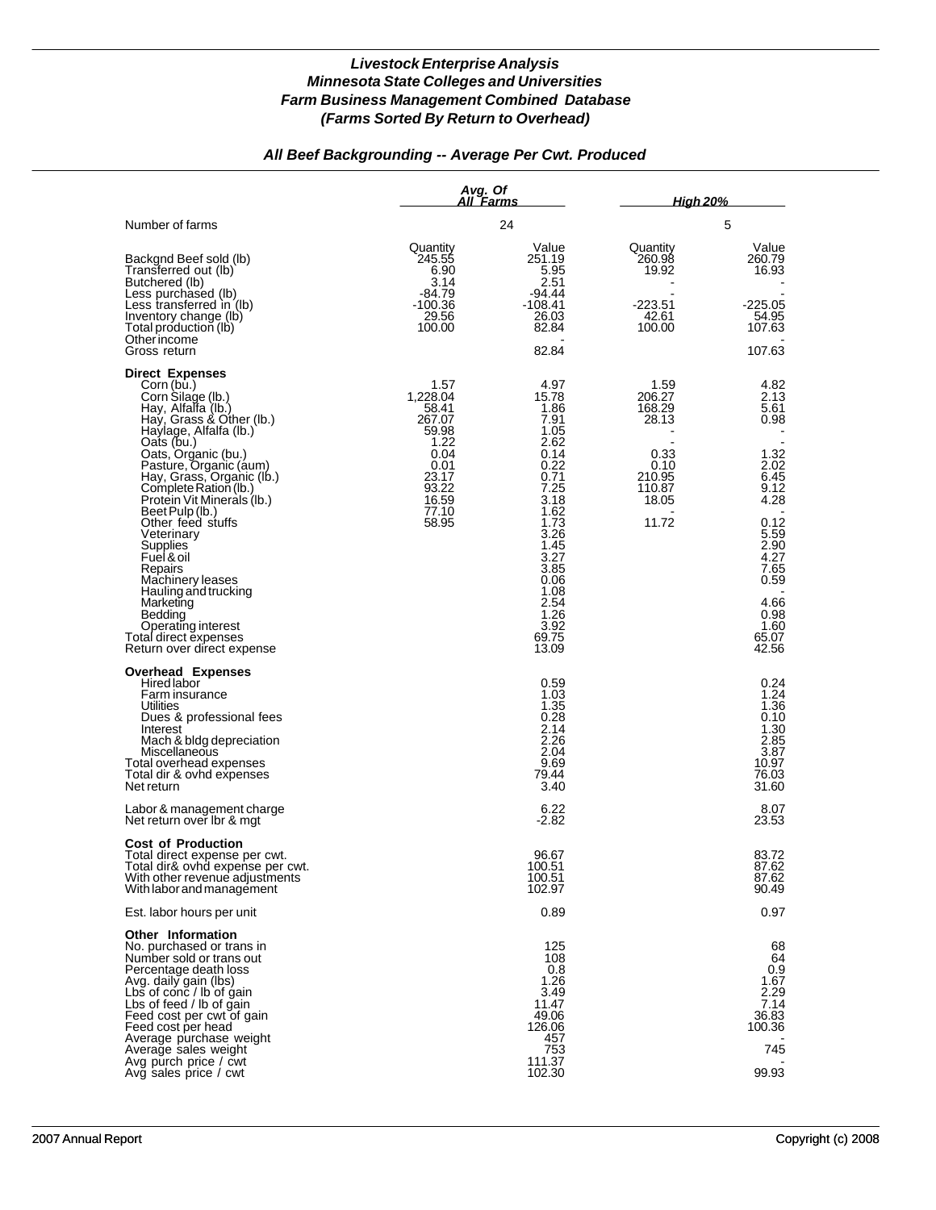## *All Beef Backgrounding -- Average Per Cwt. Produced*

|                                                                                                                                                                                                                                                                                                   | Avg. Of                                                   | All Farms                                                                     | <u>High 20%</u>                           |                                                                                 |  |
|---------------------------------------------------------------------------------------------------------------------------------------------------------------------------------------------------------------------------------------------------------------------------------------------------|-----------------------------------------------------------|-------------------------------------------------------------------------------|-------------------------------------------|---------------------------------------------------------------------------------|--|
| Number of farms                                                                                                                                                                                                                                                                                   |                                                           | 24                                                                            |                                           | 5                                                                               |  |
| Backgnd Beef sold (lb)<br>Transferred out (lb)<br>Butchered (lb)<br>Less purchased (lb)<br>Less transferred in $(lb)$                                                                                                                                                                             | Quantity<br>245.55<br>6.90<br>3.14<br>-84.79<br>$-100.36$ | Value<br>251.19<br>5.95<br>2.51<br>-94.44<br>-108.41                          | Quantity<br>260.98<br>19.92<br>$-223.51$  | Value<br>260.79<br>16.93<br>-225.05                                             |  |
| Inventory change (lb)<br>Total production (lb)<br>Otherincome<br>Gross return                                                                                                                                                                                                                     | 29.56<br>100.00                                           | 26.03<br>82.84<br>82.84                                                       | 42.61<br>100.00                           | 54.95<br>107.63<br>107.63                                                       |  |
| <b>Direct Expenses</b><br>Corn (bu.)<br>Corn Silage (lb.)<br>Hay, Alfalfa (lb.)<br>Hay, Grass & Other (lb.)<br>Haylage, Alfalfa (lb.)                                                                                                                                                             | 1.57<br>1,228.04<br>58.41<br>267.07<br>59.98              | 4.97<br>15.78<br>1.86<br>7.91<br>1.05                                         | 1.59<br>206.27<br>168.29<br>28.13         | 4.82<br>2.13<br>5.61<br>0.98                                                    |  |
| Qats (bu.)<br>Oats, Organic (bu.)<br>Pasture, Organic (aum)<br>Hay, Grass, Organic (lb.)<br>Complete Ration (lb.)<br>Protein Vit Minerals (Ib.)<br>Beet Pulp (lb.)                                                                                                                                | 1.22<br>0.04<br>0.01<br>23.17<br>93.22<br>16.59<br>77.10  | 2.62<br>0.14<br>0.22<br>0.71<br>7.25<br>3.18<br>1.62                          | 0.33<br>0.10<br>210.95<br>110.87<br>18.05 | 1.32<br>2.02<br>6.45<br>9.12<br>4.28                                            |  |
| Other feed stuffs<br>Veterinary<br>Supplies<br>Fuel & oil<br>Repairs<br>Machinery leases                                                                                                                                                                                                          | 58.95                                                     | 1.73<br>3.26<br>1.45<br>3.27<br>3.85<br>0.06                                  | 11.72                                     | 0.12<br>5.59<br>2.90<br>4.27<br>7.65<br>0.59                                    |  |
| Hauling and trucking<br>Marketing<br>Bedding<br>Operating interest<br>Total direct expenses<br>Return over direct expense                                                                                                                                                                         |                                                           | 1.08<br>2.54<br>1.26<br>3.92<br>69.75<br>13.09                                |                                           | 4.66<br>0.98<br>1.60<br>65.07<br>42.56                                          |  |
| <b>Overhead Expenses</b><br>Hired labor<br>Farm insurance<br><b>Utilities</b><br>Dues & professional fees<br>Interest<br>Mach & bldg depreciation<br>Miscellaneous<br>Total overhead expenses<br>Total dir & ovhd expenses<br>Net return                                                          |                                                           | 0.59<br>1.03<br>1.35<br>0.28<br>2.14<br>2.26<br>2.04<br>9.69<br>79.44<br>3.40 |                                           | 0.24<br>1.24<br>1.36<br>0.10<br>1.30<br>2.85<br>3.87<br>10.97<br>76.03<br>31.60 |  |
| Labor & management charge<br>Net return over lbr & mgt                                                                                                                                                                                                                                            |                                                           | 6.22<br>$-2.82$                                                               |                                           | 8.07<br>23.53                                                                   |  |
| <b>Cost of Production</b><br>Total direct expense per cwt.<br>Total dir& ovnd expense per cwt.<br>With other revenue adjustments<br>With labor and management                                                                                                                                     |                                                           | 96.67<br>100.51<br>100.51<br>102.97                                           |                                           | 83.72<br>87.0Z<br>87.62<br>90.49                                                |  |
| Est. labor hours per unit                                                                                                                                                                                                                                                                         |                                                           | 0.89                                                                          |                                           | 0.97                                                                            |  |
| <b>Other Information</b><br>No. purchased or trans in<br>Number sold or trans out<br>Percentage death loss<br>Avg. daily gain (lbs)<br>Lbs of conc / lb of gain<br>Lbs of feed / lb of gain<br>Feed cost per cwt of gain<br>Feed cost per head<br>Average purchase weight<br>Average sales weight |                                                           | 125<br>108<br>0.8<br>1.26<br>3.49<br>11.47<br>49.06<br>126.06<br>457<br>753   |                                           | 68<br>64<br>0.9<br>1.67<br>2.29<br>7.14<br>36.83<br>100.36<br>745               |  |
| Avg purch price / cwt<br>Avg sales price / cwt                                                                                                                                                                                                                                                    |                                                           | 111.37<br>102.30                                                              |                                           | 99.93                                                                           |  |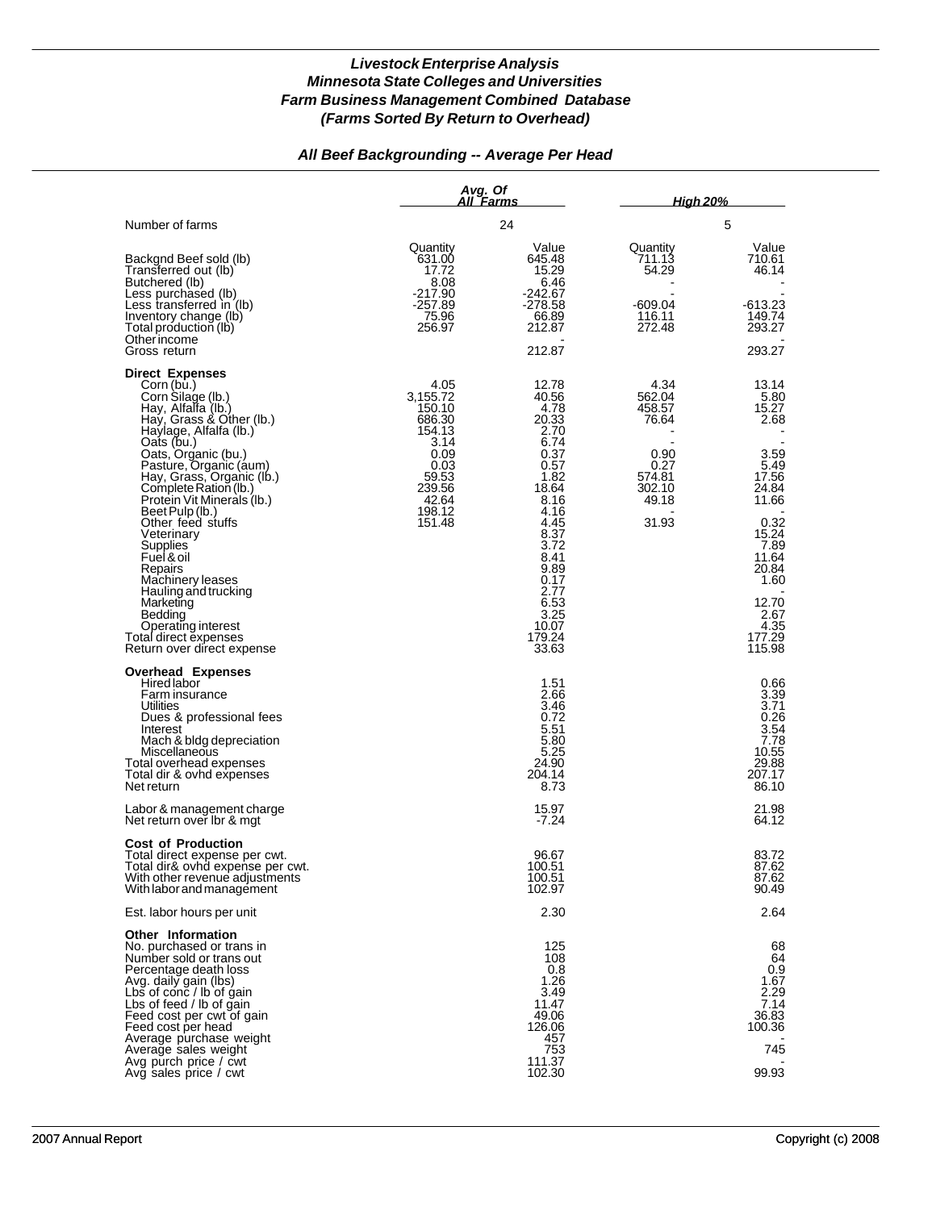## *All Beef Backgrounding -- Average Per Head*

|                                                                                                                                                                                                                                                                                                                                                     | Avg. Of                                                                        | All Farms                                                                                       | <u>High 20%</u>                                            |                                                                                   |  |
|-----------------------------------------------------------------------------------------------------------------------------------------------------------------------------------------------------------------------------------------------------------------------------------------------------------------------------------------------------|--------------------------------------------------------------------------------|-------------------------------------------------------------------------------------------------|------------------------------------------------------------|-----------------------------------------------------------------------------------|--|
| Number of farms                                                                                                                                                                                                                                                                                                                                     |                                                                                | 24                                                                                              |                                                            | 5                                                                                 |  |
| Backgnd Beef sold (lb)<br>Transferred out (lb)<br>Butchered (lb)<br>Less purchased (lb)<br>Less transferred in (lb)<br>Inventory change (lb)<br>Total production (lb)<br>Other income                                                                                                                                                               | Quantity<br>631.00<br>17.72<br>8.08<br>-217.90<br>$-257.89$<br>75.96<br>256.97 | Value<br>645.48<br>15.29<br>6.46<br>-242.67<br>-278.58<br>66.89<br>212.87<br>212.87             | Quantity<br>711.13<br>54.29<br>-609.04<br>116.11<br>272.48 | Value<br>710.61<br>46.14<br>-613.23<br>149.74<br>293.27<br>293.27                 |  |
| Gross return<br><b>Direct Expenses</b>                                                                                                                                                                                                                                                                                                              |                                                                                |                                                                                                 |                                                            |                                                                                   |  |
| Corn (bu.)<br>Corn Silage (lb.)<br>Hay, Alfalfa (lb.)<br>Hay, Grass & Other (lb.)<br>Haylage, Alfalfa (lb.)                                                                                                                                                                                                                                         | 4.05<br>3,155.72<br>150.10<br>686.30<br>154.13                                 | 12.78<br>40.56<br>4.78<br>20.33<br>2.70                                                         | 4.34<br>562.04<br>458.57<br>76.64                          | 13.14<br>5.80<br>15.27<br>2.68                                                    |  |
| Oats (bu.)<br>Oats, Organic (bu.)<br>Pasture, Organic (aum)<br>Hay, Grass, Organic (lb.)<br>Complete Ration (lb.)<br>Protein Vit Minerals (Ib.)                                                                                                                                                                                                     | 3.14<br>0.09<br>0.03<br>59.53<br>239.56<br>42.64<br>198.12                     | 6.74<br>0.37<br>0.57<br>1.82<br>18.64<br>8.16                                                   | 0.90<br>0.27<br>574.81<br>302.10<br>49.18                  | 3.59<br>5.49<br>17.56<br>24.84<br>11.66                                           |  |
| Beet Pulp (lb.)<br>Other feed stuffs<br>Veterinary<br>Supplies<br>Fuel & oil<br>Repairs<br>Machinery leases                                                                                                                                                                                                                                         | 151.48                                                                         | 4.16<br>4.45<br>8.37<br>3.72<br>8.41<br>9.89<br>0.17                                            | 31.93                                                      | 0.32<br>15.24<br>7.89<br>11.64<br>20.84<br>1.60                                   |  |
| Hauling and trucking<br>Marketing<br>Bedding<br>Operating interest<br>Total direct expenses<br>Return over direct expense                                                                                                                                                                                                                           |                                                                                | 2.77<br>6.53<br>3.25<br>10.07<br>179.24<br>33.63                                                |                                                            | 12.70<br>2.67<br>4.35<br>177.29<br>115.98                                         |  |
| <b>Overhead Expenses</b><br><b>Hired labor</b><br>Farm insurance<br>Utilities<br>Dues & professional fees<br>Interest<br>Mach & bldg depreciation<br>Miscellaneous<br>Total overhead expenses<br>Total dir & ovhd expenses<br>Net return                                                                                                            |                                                                                | 1.51<br>2.66<br>3.46<br>0.72<br>5.51<br>5.80<br>5.25<br>24.90<br>204.14<br>8.73                 |                                                            | 0.66<br>3.39<br>3.71<br>0.26<br>3.54<br>7.78<br>10.55<br>29.88<br>207.17<br>86.10 |  |
| Labor & management charge<br>Net return over Ibr & mgt                                                                                                                                                                                                                                                                                              |                                                                                | 15.97<br>$-7.24$                                                                                |                                                            | 21.98<br>64.12                                                                    |  |
| <b>Cost of Production</b><br>Total direct expense per cwt.<br>Total dir& ovnd expense per cwt.<br>With other revenue adjustments<br>With labor and management                                                                                                                                                                                       |                                                                                | 96.67<br>100.51<br>100.51<br>102.97                                                             |                                                            | 83.72<br>87.62<br>87.62<br>90.49                                                  |  |
| Est. labor hours per unit                                                                                                                                                                                                                                                                                                                           |                                                                                | 2.30                                                                                            |                                                            | 2.64                                                                              |  |
| <b>Other Information</b><br>No. purchased or trans in<br>Number sold or trans out<br>Percentage death loss<br>Avg. daily gain (lbs)<br>Lbs of conc / lb of gain<br>Lbs of feed / lb of gain<br>Feed cost per cwt of gain<br>Feed cost per head<br>Average purchase weight<br>Average sales weight<br>Avg purch price / cwt<br>Avg sales price / cwt |                                                                                | 125<br>108<br>0.8<br>1.26<br>3.49<br>11.47<br>49.06<br>126.06<br>457<br>753<br>111.37<br>102.30 |                                                            | 68<br>64<br>0.9<br>1.67<br>2.29<br>7.14<br>36.83<br>100.36<br>745<br>99.93        |  |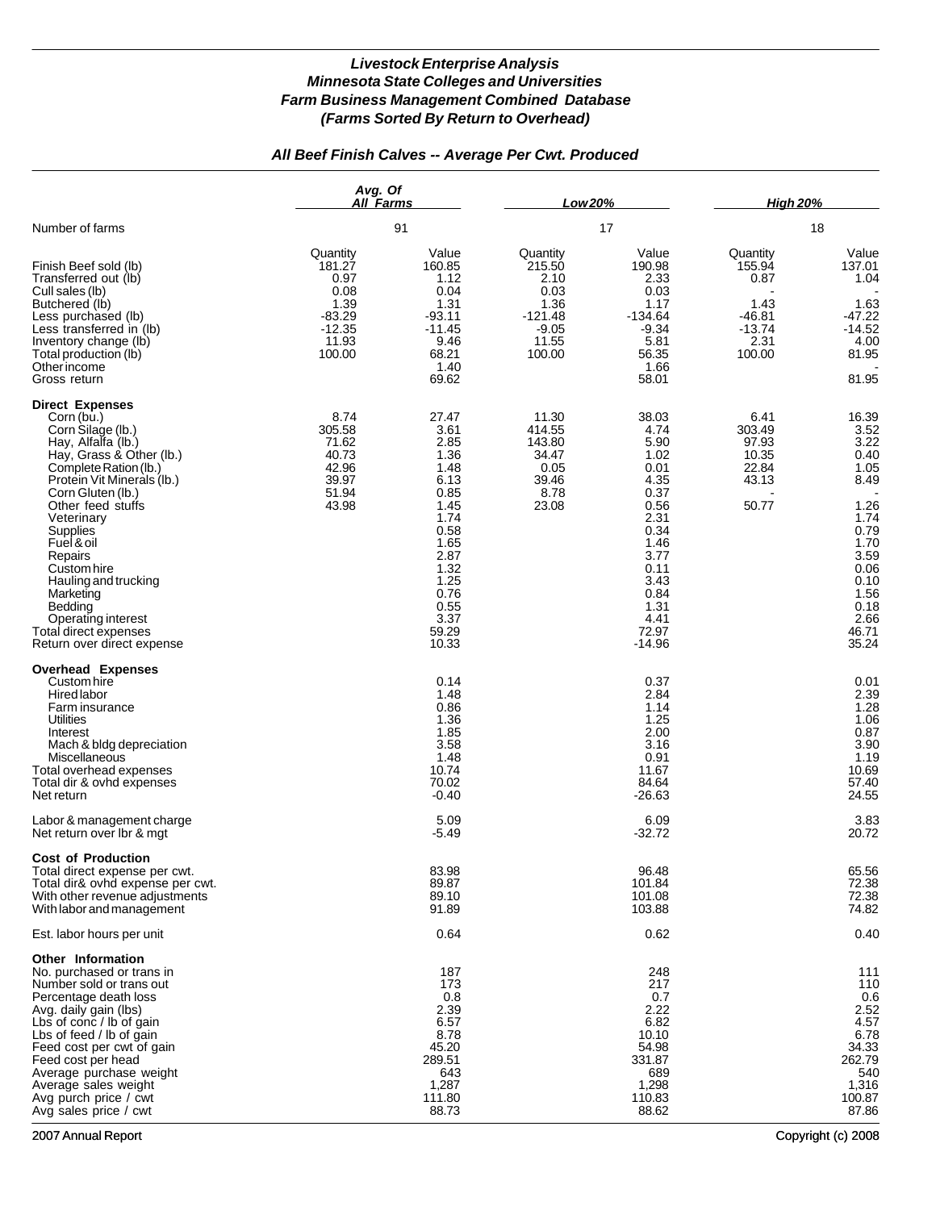### *All Beef Finish Calves -- Average Per Cwt. Produced*

|                                                                                                                                                                                                                                                                                                                                                                                                             | Avg. Of<br>All Farms                                                                  |                                                                                                                                                         | Low 20%                                                                               |                                                                                                                                                            | <b>High 20%</b>                                                              |                                                                                                                                                 |  |
|-------------------------------------------------------------------------------------------------------------------------------------------------------------------------------------------------------------------------------------------------------------------------------------------------------------------------------------------------------------------------------------------------------------|---------------------------------------------------------------------------------------|---------------------------------------------------------------------------------------------------------------------------------------------------------|---------------------------------------------------------------------------------------|------------------------------------------------------------------------------------------------------------------------------------------------------------|------------------------------------------------------------------------------|-------------------------------------------------------------------------------------------------------------------------------------------------|--|
| Number of farms                                                                                                                                                                                                                                                                                                                                                                                             |                                                                                       | 91                                                                                                                                                      | 17                                                                                    |                                                                                                                                                            |                                                                              | 18                                                                                                                                              |  |
| Finish Beef sold (lb)<br>Transferred out (lb)<br>Cull sales (lb)<br>Butchered (lb)<br>Less purchased (lb)<br>Less transferred in (lb)<br>Inventory change (lb)<br>Total production (lb)<br>Other income<br>Gross return                                                                                                                                                                                     | Quantity<br>181.27<br>0.97<br>0.08<br>1.39<br>$-83.29$<br>$-12.35$<br>11.93<br>100.00 | Value<br>160.85<br>1.12<br>0.04<br>1.31<br>$-93.11$<br>$-11.45$<br>9.46<br>68.21<br>1.40<br>69.62                                                       | Quantity<br>215.50<br>2.10<br>0.03<br>1.36<br>$-121.48$<br>$-9.05$<br>11.55<br>100.00 | Value<br>190.98<br>2.33<br>0.03<br>1.17<br>$-134.64$<br>$-9.34$<br>5.81<br>56.35<br>1.66<br>58.01                                                          | Quantity<br>155.94<br>0.87<br>1.43<br>$-46.81$<br>$-13.74$<br>2.31<br>100.00 | Value<br>137.01<br>1.04<br>1.63<br>$-47.22$<br>$-14.52$<br>4.00<br>81.95<br>81.95                                                               |  |
| <b>Direct Expenses</b><br>Corn (bu.)<br>Corn Silage (lb.)<br>Hay, Alfalfa (lb.)<br>Hay, Grass & Other (lb.)<br>Complete Ration (lb.)<br>Protein Vit Minerals (lb.)<br>Corn Gluten (lb.)<br>Other feed stuffs<br>Veterinary<br>Supplies<br>Fuel & oil<br>Repairs<br>Custom hire<br>Hauling and trucking<br>Marketing<br>Bedding<br>Operating interest<br>Total direct expenses<br>Return over direct expense | 8.74<br>305.58<br>71.62<br>40.73<br>42.96<br>39.97<br>51.94<br>43.98                  | 27.47<br>3.61<br>2.85<br>1.36<br>1.48<br>6.13<br>0.85<br>1.45<br>1.74<br>0.58<br>1.65<br>2.87<br>1.32<br>1.25<br>0.76<br>0.55<br>3.37<br>59.29<br>10.33 | 11.30<br>414.55<br>143.80<br>34.47<br>0.05<br>39.46<br>8.78<br>23.08                  | 38.03<br>4.74<br>5.90<br>1.02<br>0.01<br>4.35<br>0.37<br>0.56<br>2.31<br>0.34<br>1.46<br>3.77<br>0.11<br>3.43<br>0.84<br>1.31<br>4.41<br>72.97<br>$-14.96$ | 6.41<br>303.49<br>97.93<br>10.35<br>22.84<br>43.13<br>50.77                  | 16.39<br>3.52<br>3.22<br>0.40<br>1.05<br>8.49<br>1.26<br>1.74<br>0.79<br>1.70<br>3.59<br>0.06<br>0.10<br>1.56<br>0.18<br>2.66<br>46.71<br>35.24 |  |
| <b>Overhead Expenses</b><br>Custom hire<br>Hired labor<br>Farm insurance<br>Utilities<br>Interest<br>Mach & bldg depreciation<br>Miscellaneous<br>Total overhead expenses<br>Total dir & ovhd expenses<br>Net return<br>Labor & management charge<br>Net return over Ibr & mgt                                                                                                                              |                                                                                       | 0.14<br>1.48<br>0.86<br>1.36<br>1.85<br>3.58<br>1.48<br>10.74<br>70.02<br>$-0.40$<br>5.09<br>$-5.49$                                                    |                                                                                       | 0.37<br>2.84<br>1.14<br>1.25<br>2.00<br>3.16<br>0.91<br>11.67<br>84.64<br>$-26.63$<br>6.09<br>$-32.72$                                                     |                                                                              | 0.01<br>2.39<br>1.28<br>1.06<br>0.87<br>3.90<br>1.19<br>10.69<br>57.40<br>24.55<br>3.83<br>20.72                                                |  |
| <b>Cost of Production</b><br>Total direct expense per cwt.<br>Total dir& ovhd expense per cwt.<br>With other revenue adjustments<br>With labor and management                                                                                                                                                                                                                                               |                                                                                       | 83.98<br>89.87<br>89.10<br>91.89                                                                                                                        |                                                                                       | 96.48<br>101.84<br>101.08<br>103.88                                                                                                                        |                                                                              | 65.56<br>72.38<br>72.38<br>74.82                                                                                                                |  |
| Est. labor hours per unit                                                                                                                                                                                                                                                                                                                                                                                   |                                                                                       | 0.64                                                                                                                                                    |                                                                                       | 0.62                                                                                                                                                       |                                                                              | 0.40                                                                                                                                            |  |
| Other Information<br>No. purchased or trans in<br>Number sold or trans out<br>Percentage death loss<br>Avg. daily gain (lbs)<br>Lbs of conc / lb of gain<br>Lbs of feed / lb of gain<br>Feed cost per cwt of gain<br>Feed cost per head<br>Average purchase weight<br>Average sales weight<br>Avg purch price / cwt<br>Avg sales price / cwt                                                                |                                                                                       | 187<br>173<br>0.8<br>2.39<br>6.57<br>8.78<br>45.20<br>289.51<br>643<br>1,287<br>111.80<br>88.73                                                         |                                                                                       | 248<br>217<br>0.7<br>2.22<br>6.82<br>10.10<br>54.98<br>331.87<br>689<br>1,298<br>110.83<br>88.62                                                           |                                                                              | 111<br>110<br>0.6<br>2.52<br>4.57<br>6.78<br>34.33<br>262.79<br>540<br>1,316<br>100.87<br>87.86                                                 |  |

2007 Annual Report Copyright (c) 2008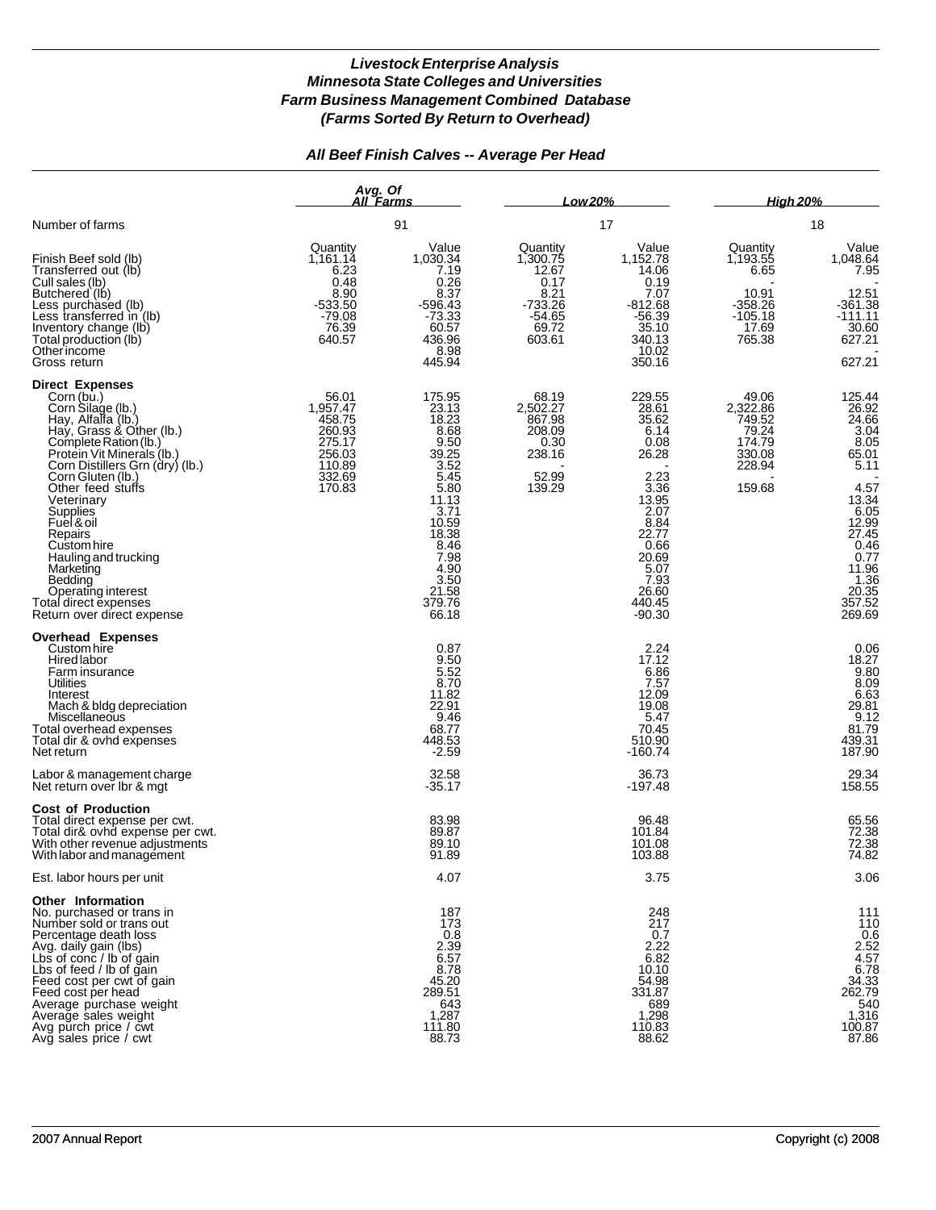## *All Beef Finish Calves -- Average Per Head*

|                                                                                                                                                                                                                                                                                                                                                                                                                                                | Avg. Of<br>All Farms                                                                     |                                                                                                                                                                          | Low 20%                                                                                   |                                                                                                                                                                                | <b>High 20%</b><br>18                                                            |                                                                                                                                                                    |
|------------------------------------------------------------------------------------------------------------------------------------------------------------------------------------------------------------------------------------------------------------------------------------------------------------------------------------------------------------------------------------------------------------------------------------------------|------------------------------------------------------------------------------------------|--------------------------------------------------------------------------------------------------------------------------------------------------------------------------|-------------------------------------------------------------------------------------------|--------------------------------------------------------------------------------------------------------------------------------------------------------------------------------|----------------------------------------------------------------------------------|--------------------------------------------------------------------------------------------------------------------------------------------------------------------|
| Number of farms                                                                                                                                                                                                                                                                                                                                                                                                                                |                                                                                          | 91                                                                                                                                                                       | 17                                                                                        |                                                                                                                                                                                |                                                                                  |                                                                                                                                                                    |
| Finish Beef sold (lb)<br>Transferred out (lb)<br>Cull sales (lb)<br>Butchered (lb)<br>Less purchased (lb)<br>Less transferred in (lb)<br>Inventory change (lb)<br>Total production (lb)<br>Other income<br>Gross return                                                                                                                                                                                                                        | Quantity<br>1,161.14<br>6.23<br>0.48<br>8.90<br>$-533.50$<br>$-79.08$<br>76.39<br>640.57 | Value<br>1,030.34<br>7.19<br>0.26<br>8.37<br>$-596.43$<br>$-73.33$<br>60.57<br>436.96<br>8.98<br>445.94                                                                  | Quantity<br>1,300.75<br>12.67<br>0.17<br>8.21<br>$-733.26$<br>$-54.65$<br>69.72<br>603.61 | Value<br>1,152.78<br>14.06<br>0.19<br>7.07<br>$-812.68$<br>$-56.39$<br>35.10<br>340.13<br>10.02<br>350.16                                                                      | Quantity<br>1,193.55<br>6.65<br>10.91<br>-358.26<br>$-105.18$<br>17.69<br>765.38 | Value<br>1,048.64<br>7.95<br>12.51<br>$-361.38$<br>$-111.11$<br>30.60<br>627.21<br>627.21                                                                          |
| <b>Direct Expenses</b><br>Corn (bu.)<br>Corn Silage (lb.)<br>Hay, Alfalfa (lb.)<br>Hay, Grass & Other (lb.)<br>Complete Ration (lb.)<br>Protein Vit Minerals (lb.)<br>Corn Distillers Grn (dry) (lb.)<br>Corn Gluten (lb.)<br>Other feed stuffs<br>Veterinary<br>Supplies<br>Fuel & oil<br>Repairs<br>Custom hire<br>Hauling and trucking<br>Marketing<br>Bedding<br>Operating interest<br>Total direct expenses<br>Return over direct expense | 56.01<br>1,957.47<br>458.75<br>260.93<br>275.17<br>256.03<br>110.89<br>332.69<br>170.83  | 175.95<br>23.13<br>18.23<br>8.68<br>9.50<br>39.25<br>3.52<br>5.45<br>5.80<br>11.13<br>3.71<br>10.59<br>18.38<br>8.46<br>7.98<br>4.90<br>3.50<br>21.58<br>379.76<br>66.18 | 68.19<br>2,502.27<br>867.98<br>208.09<br>0.30<br>238.16<br>52.99<br>139.29                | 229.55<br>28.61<br>35.62<br>6.14<br>0.08<br>26.28<br>2.23<br>$3.\overline{36}$<br>13.95<br>2.07<br>8.84<br>22.77<br>0.66<br>20.69<br>5.07<br>7.93<br>26.60<br>440.45<br>-90.30 | 49.06<br>2,322.86<br>749.52<br>79.24<br>174.79<br>330.08<br>228.94<br>159.68     | 125.44<br>26.92<br>24.66<br>3.04<br>8.05<br>65.01<br>5.11<br>4.57<br>13.34<br>6.05<br>12.99<br>27.45<br>0.46<br>0.77<br>11.96<br>1.36<br>20.35<br>357.52<br>269.69 |
| <b>Overhead Expenses</b><br>Custom hire<br><b>Hired labor</b><br>Farm insurance<br>Utilities<br>Interest<br>Mach & bldg depreciation<br>Miscellaneous<br>Total overhead expenses<br>Total dir & ovhd expenses<br>Net return                                                                                                                                                                                                                    |                                                                                          | 0.87<br>9.50<br>5.52<br>8.70<br>11.82<br>22.91<br>9.46<br>68.77<br>448.53<br>$-2.59$                                                                                     |                                                                                           | 2.24<br>17.12<br>6.86<br>7.57<br>12.09<br>19.08<br>5.47<br>70.45<br>510.90<br>$-160.74$                                                                                        |                                                                                  | 0.06<br>18.27<br>9.80<br>$8.09$<br>6.63<br>29.81<br>9.12<br>81.79<br>439.31<br>187.90                                                                              |
| Labor & management charge<br>Net return over Ibr & mgt                                                                                                                                                                                                                                                                                                                                                                                         |                                                                                          | 32.58<br>$-35.17$                                                                                                                                                        |                                                                                           | 36.73<br>-197.48                                                                                                                                                               |                                                                                  | 29.34<br>158.55                                                                                                                                                    |
| <b>Cost of Production</b><br>Total direct expense per cwt.<br>Total dir& ovhd expense per cwt.<br>With other revenue adjustments<br>With labor and management                                                                                                                                                                                                                                                                                  |                                                                                          | 83.98<br>89.87<br>89.10<br>91.89                                                                                                                                         |                                                                                           | 96.48<br>101.84<br>101.08<br>103.88                                                                                                                                            |                                                                                  | 65.56<br>72.38<br>72.38<br>74.82                                                                                                                                   |
| Est. labor hours per unit                                                                                                                                                                                                                                                                                                                                                                                                                      |                                                                                          | 4.07                                                                                                                                                                     |                                                                                           | 3.75                                                                                                                                                                           |                                                                                  | 3.06                                                                                                                                                               |
| Other Information<br>No. purchased or trans in<br>Number sold or trans out<br>Percentage death loss<br>Avg. daily gain (lbs)<br>Lbs of conc / lb of gain<br>Lbs of feed / lb of gain<br>Feed cost per cwt of gain<br>Feed cost per head<br>Average purchase weight<br>Average sales weight<br>Avg purch price / cwt<br>Avg sales price / cwt                                                                                                   |                                                                                          | 187<br>173<br>0.8<br>2.39<br>6.57<br>8.78<br>45.20<br>289.51<br>643<br>1,287<br>111.80<br>88.73                                                                          |                                                                                           | 248<br>217<br>0.7<br>2.22<br>6.82<br>10.10<br>54.98<br>331.87<br>689<br>1,298<br>110.83<br>88.62                                                                               |                                                                                  | 111<br>110<br>$0.6$<br>$2.52$<br>$4.57$<br>$6.78$<br>$34.33$<br>$262.79$<br>$\frac{540}{1,316}$<br>100.87<br>87.86                                                 |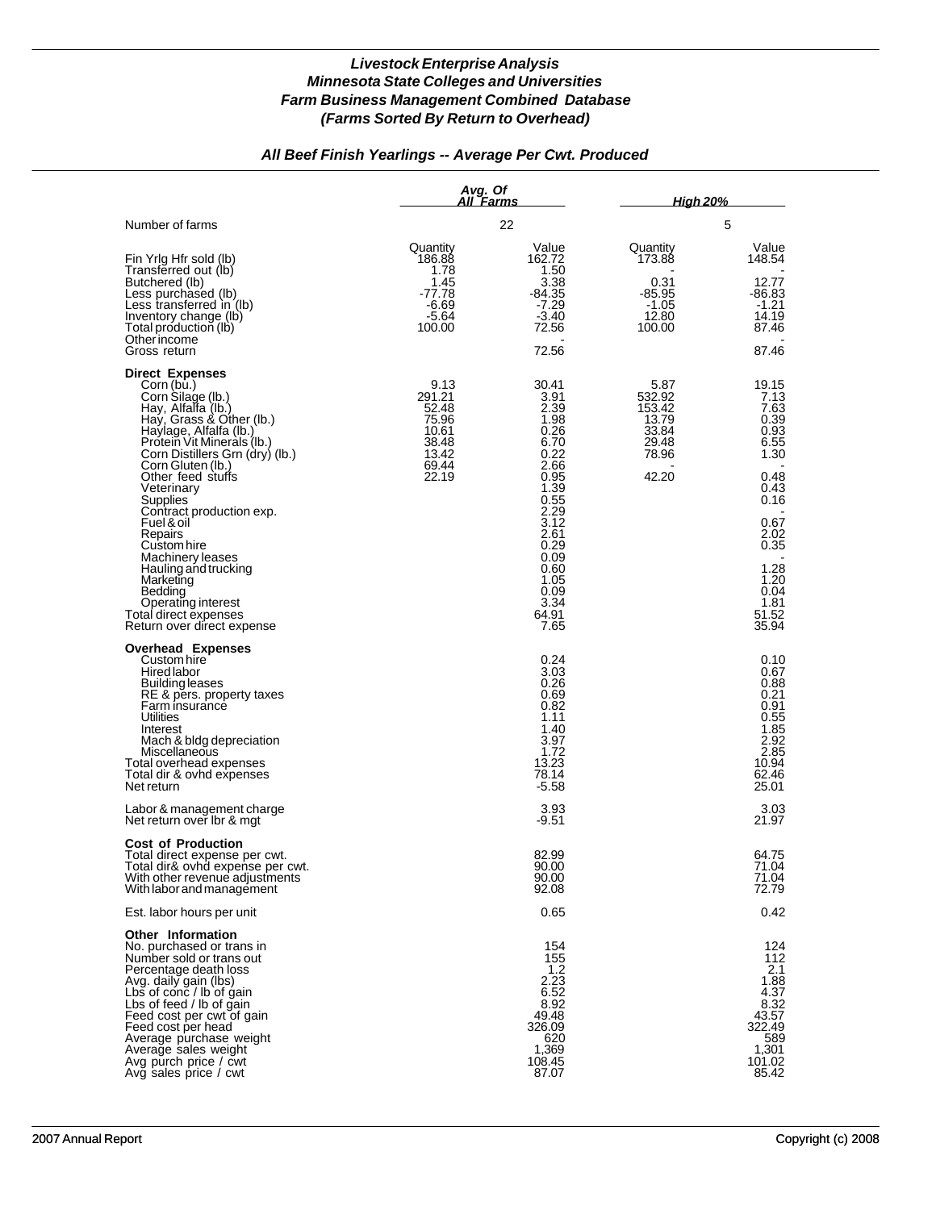## *All Beef Finish Yearlings -- Average Per Cwt. Produced*

|                                                                                                                                                                                                                                                                                                                                                                                                                                                                                                 | Avg. Of                                                                       | All Farms                                                                                                                                                                      | <u>High 20% </u>                                                      |                                                                                                                                                         |
|-------------------------------------------------------------------------------------------------------------------------------------------------------------------------------------------------------------------------------------------------------------------------------------------------------------------------------------------------------------------------------------------------------------------------------------------------------------------------------------------------|-------------------------------------------------------------------------------|--------------------------------------------------------------------------------------------------------------------------------------------------------------------------------|-----------------------------------------------------------------------|---------------------------------------------------------------------------------------------------------------------------------------------------------|
| Number of farms                                                                                                                                                                                                                                                                                                                                                                                                                                                                                 |                                                                               | 22                                                                                                                                                                             |                                                                       | 5                                                                                                                                                       |
| Fin Yrig Hfr sold (lb)<br>Transferred out (lb)<br>Butchered (lb)<br>Less purchased (lb)<br>Less transferred in (lb)<br>Inventory change (lb)<br>Total production (lb)<br>Other income<br>Gross return                                                                                                                                                                                                                                                                                           | Quantity<br>186.88<br>1.78<br>1.45<br>-77.78<br>$-6.69$<br>$-5.64$<br>100.00  | Value<br>162.72<br>1.50<br>3.38<br>-84.35<br>$-7.29$<br>$-3.40$<br>72.56<br>72.56                                                                                              | Quantity<br>173.88<br>0.31<br>$-85.95$<br>$-1.05$<br>12.80<br>100.00  | Value<br>148.54<br>12.77<br>-86.83<br>$-1.21$<br>14.19<br>87.46<br>87.46                                                                                |
| <b>Direct Expenses</b><br>Corn (bu.)<br>Corn Silage (lb.)<br>Hay, Alfalfa (lb.)<br>Hay, Grass & Other (lb.)<br>Haylage, Alfalfa (lb.)<br>Protein Vit Minerals (lb.)<br>Corn Distillers Grn (dry) (lb.)<br>Corn Gluten (lb.)<br>Other feed stuffs<br>Veterinary<br>Supplies<br>Contract production exp.<br>Fuel & oil<br>Repairs<br>Custom hire<br>Machinery leases<br>Hauling and trucking<br>Marketing<br>Bedding<br>Operating interest<br>Total direct expenses<br>Return over direct expense | 9.13<br>291.21<br>52.48<br>75.96<br>10.61<br>38.48<br>13.42<br>69.44<br>22.19 | 30.41<br>3.91<br>2.39<br>1.98<br>0.26<br>6.70<br>0.22<br>2.66<br>0.95<br>1.39<br>0.55<br>2.29<br>3.12<br>2.61<br>0.29<br>0.09<br>0.60<br>1.05<br>0.09<br>3.34<br>64.91<br>7.65 | 5.87<br>532.92<br>153.42<br>13.79<br>33.84<br>29.48<br>78.96<br>42.20 | 19.15<br>7.13<br>7.63<br>0.39<br>0.93<br>6.55<br>1.30<br>0.48<br>0.43<br>0.16<br>0.67<br>2.02<br>0.35<br>1.28<br>1.20<br>0.04<br>1.81<br>51.52<br>35.94 |
| <b>Overhead Expenses</b><br>Custom hire<br><b>Hired labor</b><br>Building leases<br>RE & pers. property taxes<br>Farm insurance<br>Utilities<br>Interest<br>Mach & bldg depreciation<br>Miscellaneous<br>Total overhead expenses<br>Total dir & ovhd expenses<br>Net return                                                                                                                                                                                                                     |                                                                               | 0.24<br>3.03<br>0.26<br>0.69<br>0.82<br>1.11<br>1.40<br>3.97<br>1.72<br>13.23<br>78.14<br>$-5.58$                                                                              |                                                                       | 0.10<br>0.67<br>0.88<br>0.21<br>0.91<br>0.55<br>1.85<br>2.92<br>2.85<br>10.94<br>62.46<br>25.01                                                         |
| Labor & management charge<br>Net return over Ibr & mat                                                                                                                                                                                                                                                                                                                                                                                                                                          |                                                                               | 3.93<br>-9.51                                                                                                                                                                  |                                                                       | 3.03<br>21.97                                                                                                                                           |
| <b>Cost of Production</b><br>Total direct expense per cwt.<br>Total dir& ovhd expense per cwt.<br>With other revenue adjustments<br>With labor and management                                                                                                                                                                                                                                                                                                                                   |                                                                               | 82.99<br>90.00<br>90.00<br>92.08                                                                                                                                               |                                                                       | 64.75<br>71.04<br>71.04<br>72.79                                                                                                                        |
| Est. labor hours per unit                                                                                                                                                                                                                                                                                                                                                                                                                                                                       |                                                                               | 0.65                                                                                                                                                                           |                                                                       | 0.42                                                                                                                                                    |
| <b>Other Information</b><br>No. purchased or trans in<br>Number sold or trans out<br>Percentage death loss<br>Avg. daily gain (lbs)<br>Lbs of conc / lb of gain<br>Lbs of feed / lb of gain<br>Feed cost per cwt of gain<br>Feed cost per head<br>Average purchase weight<br>Average sales weight<br>Avg purch price / cwt<br>Avg sales price / cwt                                                                                                                                             |                                                                               | 154<br>155<br>1.2<br>2.23<br>6.52<br>8.92<br>49.48<br>326.09<br>620<br>1,369<br>108.45<br>87.07                                                                                |                                                                       | 124<br>112<br>2.1<br>1.88<br>4.37<br>8.32<br>43.57<br>322.49<br>589<br>1,301<br>101.02<br>85.42                                                         |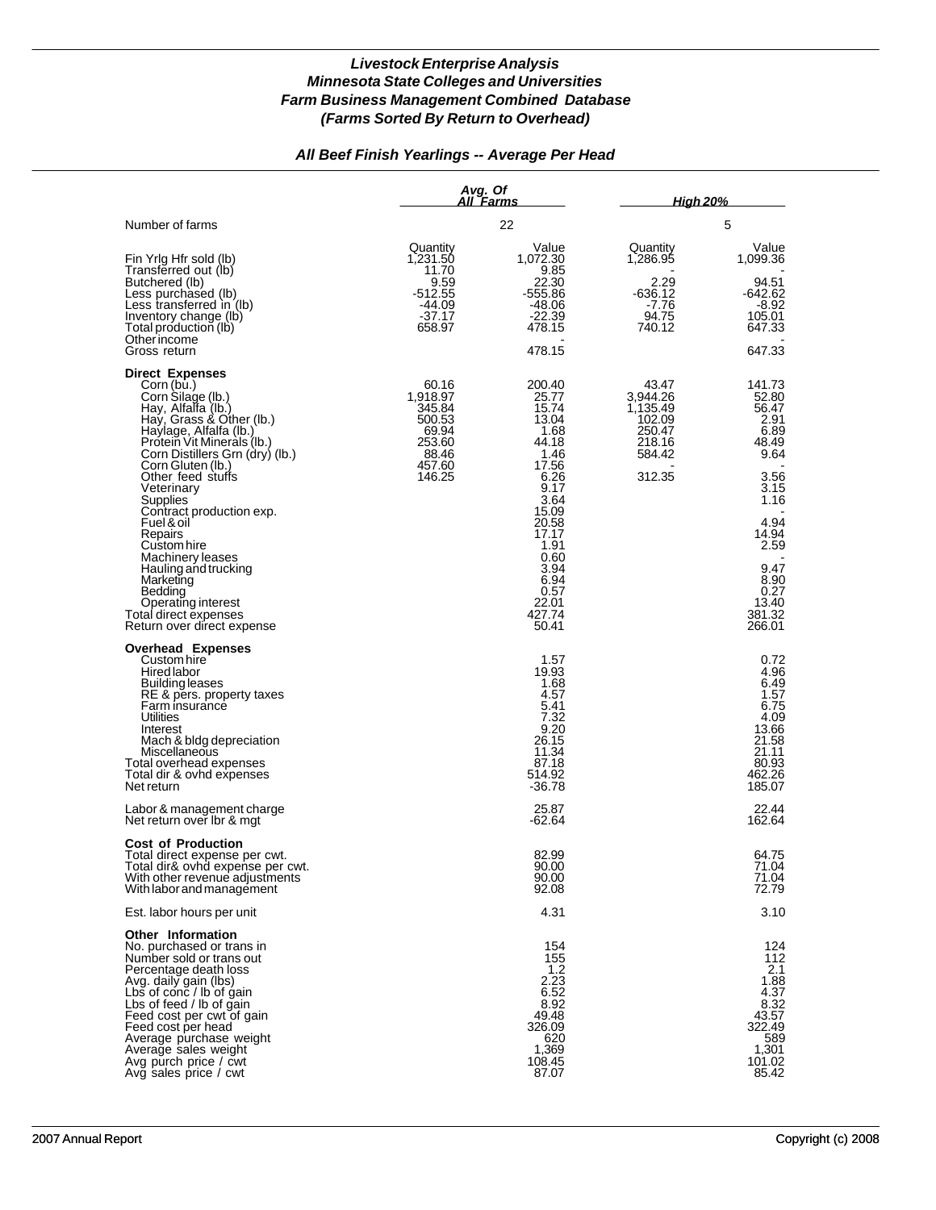## *All Beef Finish Yearlings -- Average Per Head*

|                                                                                                                                                                                                                                                                                                                                                                                                                                                                                                 |                                                                                       | Avg. Of<br><u>All Farms</u>                                                                                                                                                                |                                                                                 | <u>High 20%</u>                                                                                                                                                 |
|-------------------------------------------------------------------------------------------------------------------------------------------------------------------------------------------------------------------------------------------------------------------------------------------------------------------------------------------------------------------------------------------------------------------------------------------------------------------------------------------------|---------------------------------------------------------------------------------------|--------------------------------------------------------------------------------------------------------------------------------------------------------------------------------------------|---------------------------------------------------------------------------------|-----------------------------------------------------------------------------------------------------------------------------------------------------------------|
| Number of farms                                                                                                                                                                                                                                                                                                                                                                                                                                                                                 |                                                                                       | 22                                                                                                                                                                                         |                                                                                 | 5                                                                                                                                                               |
| Fin Yrig Hfr sold (lb)<br>Transferred out (lb)<br>Butchered (lb)<br>Less purchased (lb)<br>Less transferred in (lb)<br>Inventory change (lb)<br>Total production (lb)<br>Otherincome<br>Gross return                                                                                                                                                                                                                                                                                            | Quantity<br>1,231.50<br>11.70<br>9.59<br>$-512.55$<br>-44.09<br>$-37.17$<br>658.97    | Value<br>1,072.30<br>9.85<br>22.30<br>$-555.86$<br>-48.06<br>$-22.39$<br>478.15<br>478.15                                                                                                  | Quantity<br>1,286.95<br>2.29<br>-636.12<br>-7.76<br>94.75<br>740.12             | Value<br>1,099.36<br>94.51<br>$-642.62$<br>-8.92<br>105.01<br>647.33<br>647.33                                                                                  |
| <b>Direct Expenses</b><br>Corn (bu.)<br>Corn Silage (lb.)<br>Hay, Alfalfa (lb.)<br>Hay, Grass & Other (lb.)<br>Haylage, Alfalfa (lb.)<br>Protein Vit Minerals (Ib.)<br>Corn Distillers Grn (dry) (lb.)<br>Corn Gluten (lb.)<br>Other feed stuffs<br>Veterinary<br>Supplies<br>Contract production exp.<br>Fuel & oil<br>Repairs<br>Custom hire<br>Machinery leases<br>Hauling and trucking<br>Marketing<br>Bedding<br>Operating interest<br>Total direct expenses<br>Return over direct expense | 60.16<br>1,918.97<br>345.84<br>500.53<br>69.94<br>253.60<br>88.46<br>457.60<br>146.25 | 200.40<br>25.77<br>15.74<br>13.04<br>1.68<br>44.18<br>1.46<br>17.56<br>6.26<br>9.17<br>3.64<br>15.09<br>20.58<br>17.17<br>1.91<br>0.60<br>3.94<br>6.94<br>0.57<br>22.01<br>427.74<br>50.41 | 43.47<br>3,944.26<br>1,135.49<br>102.09<br>250.47<br>218.16<br>584.42<br>312.35 | 141.73<br>52.80<br>56.47<br>2.91<br>6.89<br>48.49<br>9.64<br>3.56<br>3.15<br>1.16<br>4.94<br>14.94<br>2.59<br>9.47<br>8.90<br>0.27<br>13.40<br>381.32<br>266.01 |
| <b>Overhead Expenses</b><br>Custom hire<br>Hired labor<br><b>Building leases</b><br>RE & pers. property taxes<br>Farm insurance<br><b>Utilities</b><br>Interest<br>Mach & bldg depreciation<br>Miscellaneous<br>Total overhead expenses<br>Total dir & ovhd expenses<br>Net return                                                                                                                                                                                                              |                                                                                       | 1.57<br>19.93<br>1.68<br>4.57<br>5.41<br>7.32<br>9.20<br>26.15<br>11.34<br>87.18<br>514.92<br>$-36.78$                                                                                     |                                                                                 | 0.72<br>4.96<br>6.49<br>1.57<br>6.75<br>4.09<br>13.66<br>21.58<br>21.11<br>80.93<br>462.26<br>185.07                                                            |
| Labor & management charge<br>Net return over Ibr & mgt                                                                                                                                                                                                                                                                                                                                                                                                                                          |                                                                                       | 25.87<br>-62.64                                                                                                                                                                            |                                                                                 | 22.44<br>162.64                                                                                                                                                 |
| <b>Cost of Production</b><br>Total direct expense per cwt.<br>Total dir& ovhd expense per cwt.<br>With other revenue adjustments<br>With labor and management                                                                                                                                                                                                                                                                                                                                   |                                                                                       | 82.99<br>90.00<br>90.00<br>92.08                                                                                                                                                           |                                                                                 | 64.75<br>71.04<br>71.04<br>72.79                                                                                                                                |
| Est. labor hours per unit                                                                                                                                                                                                                                                                                                                                                                                                                                                                       |                                                                                       | 4.31                                                                                                                                                                                       |                                                                                 | 3.10                                                                                                                                                            |
| Other Information<br>No. purchased or trans in<br>Number sold or trans out<br>Percentage death loss<br>Avg. daily gain (lbs)<br>Lbs of conc / lb of gain<br>Lbs of feed / lb of gain<br>Feed cost per cwt of gain<br>Feed cost per head<br>Average purchase weight<br>Average sales weight<br>Avg purch price / cwt<br>Avg sales price / cwt                                                                                                                                                    |                                                                                       | 154<br>155<br>1.2<br>2.23<br>6.52<br>8.92<br>49.48<br>326.09<br>620<br>1,369<br>108.45<br>87.07                                                                                            |                                                                                 | 124<br>112<br>2.1<br>1.88<br>4.37<br>8.32<br>43.57<br>322.49<br>589<br>1,301<br>101.02<br>85.42                                                                 |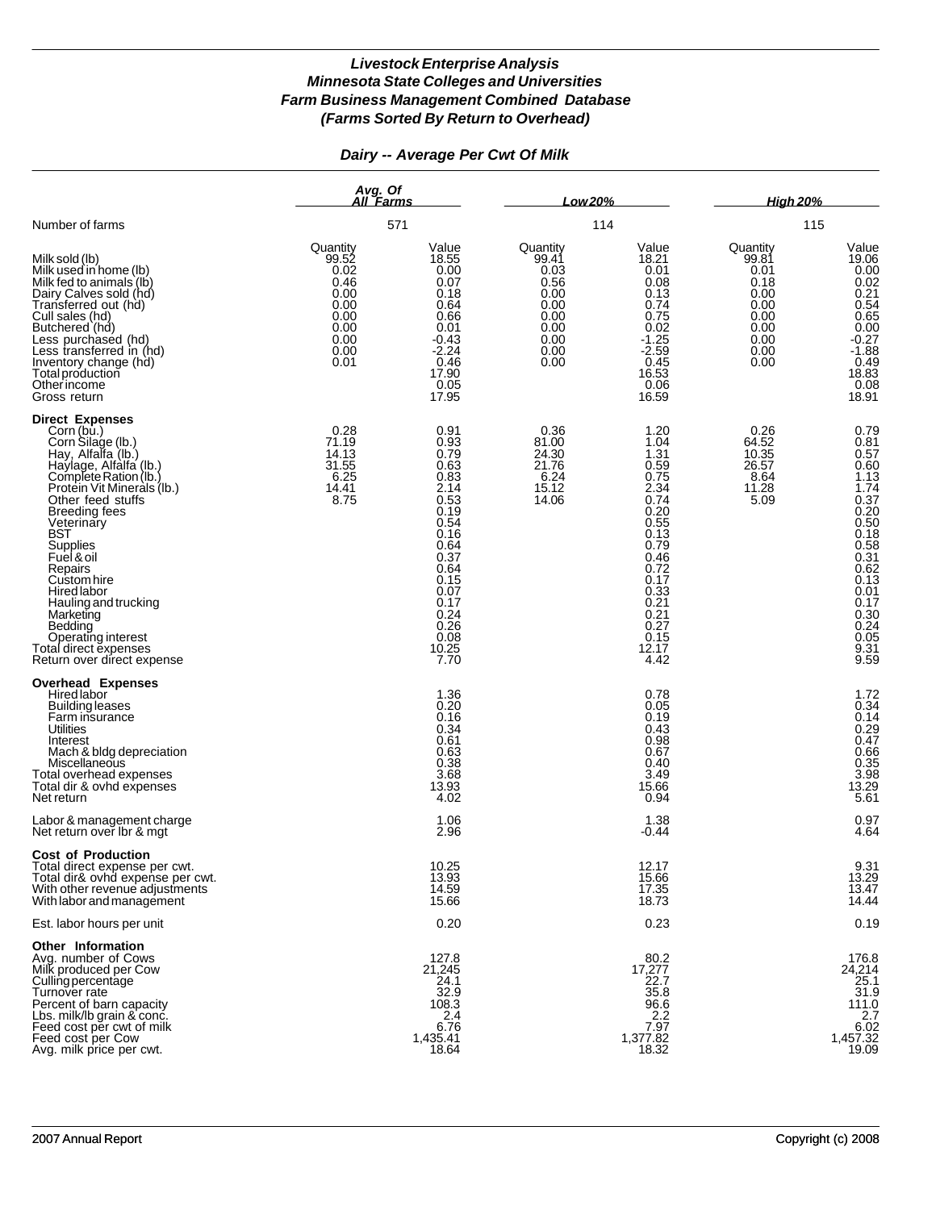## *Dairy -- Average Per Cwt Of Milk*

|                                                                                                                                                                                                                                                                                                                                                                                                                                    |                                                                                           | Avg. Of<br>All Farms<br>571                                                                                                                                           |                                                                                           | Low 20%                                                                                                                                                               |                                                                                           | <b>High 20%</b>                                                                                                                                                                                 |  |
|------------------------------------------------------------------------------------------------------------------------------------------------------------------------------------------------------------------------------------------------------------------------------------------------------------------------------------------------------------------------------------------------------------------------------------|-------------------------------------------------------------------------------------------|-----------------------------------------------------------------------------------------------------------------------------------------------------------------------|-------------------------------------------------------------------------------------------|-----------------------------------------------------------------------------------------------------------------------------------------------------------------------|-------------------------------------------------------------------------------------------|-------------------------------------------------------------------------------------------------------------------------------------------------------------------------------------------------|--|
| Number of farms                                                                                                                                                                                                                                                                                                                                                                                                                    |                                                                                           |                                                                                                                                                                       |                                                                                           | 114                                                                                                                                                                   | 115                                                                                       |                                                                                                                                                                                                 |  |
| Milk sold (lb)<br>Milk used in home (lb)<br>Milk fed to animals (lb)<br>Dairy Calves sold (hd)<br>Transferred out (hd)<br>Cull sales (hd)<br>Butchered (hd)<br>Less purchased (hd)<br>Less transferred in (hd)<br>Inventory change (hd)<br>Total production<br>Other income<br>Gross return                                                                                                                                        | Quantity<br>99.52<br>0.02<br>0.46<br>0.00<br>0.00<br>0.00<br>0.00<br>0.00<br>0.00<br>0.01 | Value<br>18.55<br>0.00<br>0.07<br>0.18<br>0.64<br>0.66<br>0.01<br>$-0.43$<br>$-2.24$<br>0.46<br>17.90<br>0.05<br>17.95                                                | Quantity<br>99.41<br>0.03<br>0.56<br>0.00<br>0.00<br>0.00<br>0.00<br>0.00<br>0.00<br>0.00 | Value<br>18.21<br>0.01<br>0.08<br>0.13<br>0.74<br>0.75<br>0.02<br>$-1.25$<br>$-2.59$<br>0.45<br>16.53<br>0.06<br>16.59                                                | Quantity<br>99.81<br>0.01<br>0.18<br>0.00<br>0.00<br>0.00<br>0.00<br>0.00<br>0.00<br>0.00 | Value<br>19.06<br>0.00<br>0.02<br>$0.21$<br>$0.54$<br>0.65<br>0.00<br>$-0.27$<br>$-1.88$<br>$\begin{array}{c} 0.49 \\ 18.83 \\ 0.08 \end{array}$<br>18.91                                       |  |
| <b>Direct Expenses</b><br>Corn (bu.)<br>Corn Silage (lb.)<br>Hay, Alfalfa (lb.)<br>Haylage, Alfalfa (lb.)<br>Complete Ration (lb.)<br>Protein Vit Minerals (Ib.)<br>Other feed stuffs<br><b>Breeding fees</b><br>Veterinary<br>BST<br>Supplies<br>Fuel & oil<br>Repairs<br>Custom hire<br>Hired labor<br>Hauling and trucking<br>Marketing<br>Bedding<br>Operating interest<br>Total direct expenses<br>Return over direct expense | 0.28<br>71.19<br>14.13<br>31.55<br>6.25<br>14.41<br>8.75                                  | 0.91<br>0.93<br>0.79<br>0.63<br>0.83<br>2.14<br>0.53<br>0.19<br>0.54<br>0.16<br>0.64<br>0.37<br>0.64<br>0.15<br>0.07<br>0.17<br>0.24<br>0.26<br>0.08<br>10.25<br>7.70 | 0.36<br>81.00<br>24.30<br>21.76<br>6.24<br>15.12<br>14.06                                 | 1.20<br>1.04<br>1.31<br>0.59<br>0.75<br>2.34<br>0.74<br>0.20<br>0.55<br>0.13<br>0.79<br>0.46<br>0.72<br>0.17<br>0.33<br>0.21<br>0.21<br>0.27<br>0.15<br>12.17<br>4.42 | 0.26<br>64.52<br>10.35<br>26.57<br>8.64<br>11.28<br>5.09                                  | 0.79<br>0.81<br>0.57<br>0.60<br>1.13<br>1.74<br>$0.37$<br>$0.20$<br>$0.50$<br>$0.18$<br>$0.58$<br>$0.31$<br>$0.62$<br>$0.13$<br>0.01<br>0.17<br>$0.30$<br>$0.24$<br>$\frac{0.05}{9.31}$<br>9.59 |  |
| <b>Overhead Expenses</b><br>Hired labor<br><b>Building leases</b><br>Farm insurance<br>Utilities<br>Interest<br>Mach & bldg depreciation<br>Miscellaneous<br>Total overhead expenses<br>Total dir & ovhd expenses<br>Net return                                                                                                                                                                                                    |                                                                                           | 1.36<br>0.20<br>0.16<br>0.34<br>0.61<br>0.63<br>0.38<br>3.68<br>13.93<br>4.02                                                                                         |                                                                                           | 0.78<br>0.05<br>0.19<br>0.43<br>0.98<br>0.67<br>0.40<br>3.49<br>15.66<br>0.94                                                                                         |                                                                                           | $1.72$<br>0.34<br>0.14<br>$0.29$<br>0.47<br>0.66<br>0.35<br>3.98<br>3.98<br>13.29<br>5.61                                                                                                       |  |
| Labor & management charge<br>Net return over Ibr & mgt                                                                                                                                                                                                                                                                                                                                                                             |                                                                                           | 1.06<br>2.96                                                                                                                                                          |                                                                                           | 1.38<br>-0.44                                                                                                                                                         |                                                                                           | $0.97$<br>$4.64$                                                                                                                                                                                |  |
| <b>Cost of Production</b><br>Total direct expense per cwt.<br>Total dir& ovhd expense per cwt.<br>With other revenue adjustments<br>With labor and management                                                                                                                                                                                                                                                                      |                                                                                           | 10.25<br>13.93<br>14.59<br>15.66                                                                                                                                      |                                                                                           | 12.17<br>15.66<br>17.35<br>18.73                                                                                                                                      |                                                                                           | $9.31$<br>$13.29$<br>13.47<br>14.44                                                                                                                                                             |  |
| Est. labor hours per unit                                                                                                                                                                                                                                                                                                                                                                                                          |                                                                                           | 0.20                                                                                                                                                                  |                                                                                           | 0.23                                                                                                                                                                  |                                                                                           | 0.19                                                                                                                                                                                            |  |
| <b>Other Information</b><br>Avg. number of Cows<br>Milk produced per Cow<br>Culling percentage<br>Turnover rate<br>Percent of barn capacity<br>Lbs. milk/lb grain & conc.<br>Feed cost per cwt of milk<br>Feed cost per Cow<br>Avg. milk price per cwt.                                                                                                                                                                            |                                                                                           | 127.8<br>21,245<br>24.1<br>32.9<br>108.3<br>2.4<br>6.76<br>1,435.41<br>18.64                                                                                          |                                                                                           | 80.2<br>17,277<br>22.7<br>35.8<br>96.6<br>2.2<br>7.97<br>1,377.82<br>18.32                                                                                            |                                                                                           | 176.8<br>24,214<br>25.1<br>31.9<br>111.0<br>2.7<br>6.02<br>1,457.32<br>19.09                                                                                                                    |  |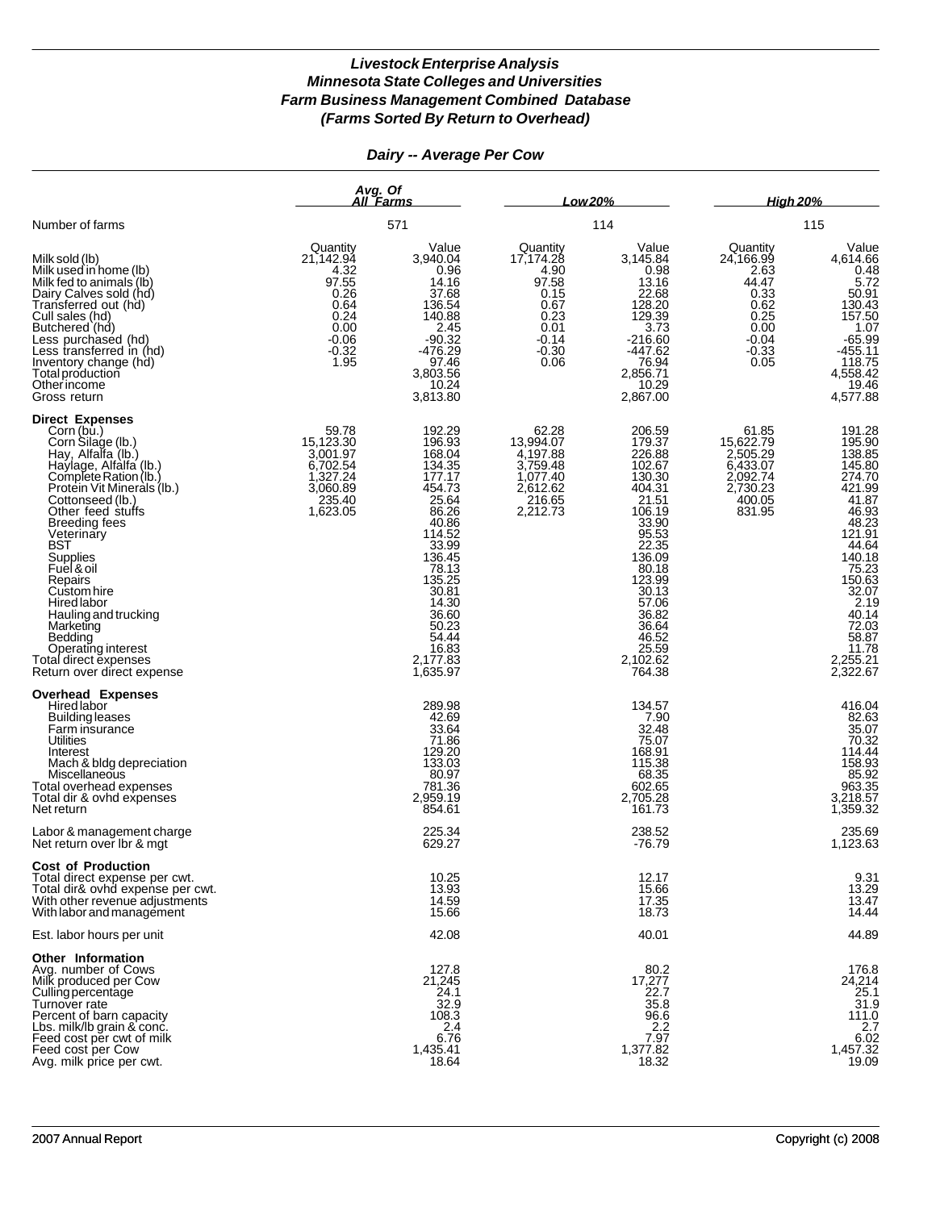## *Dairy -- Average Per Cow*

|                                                                                                                                                                                                                                                                                                                                                                                                                                                        | Avg. Of<br>All Farms<br>571                                                                          |                                                                                                                                                                                                                   | Low 20%                                                                                              |                                                                                                                                                                                                               | <b>High 20%</b>                                                                                      |                                                                                                                                                                                                       |
|--------------------------------------------------------------------------------------------------------------------------------------------------------------------------------------------------------------------------------------------------------------------------------------------------------------------------------------------------------------------------------------------------------------------------------------------------------|------------------------------------------------------------------------------------------------------|-------------------------------------------------------------------------------------------------------------------------------------------------------------------------------------------------------------------|------------------------------------------------------------------------------------------------------|---------------------------------------------------------------------------------------------------------------------------------------------------------------------------------------------------------------|------------------------------------------------------------------------------------------------------|-------------------------------------------------------------------------------------------------------------------------------------------------------------------------------------------------------|
| Number of farms                                                                                                                                                                                                                                                                                                                                                                                                                                        |                                                                                                      |                                                                                                                                                                                                                   | 114                                                                                                  |                                                                                                                                                                                                               | 115                                                                                                  |                                                                                                                                                                                                       |
| Milk sold (lb)<br>Milk used in home (lb)<br>Milk fed to animals (lb)<br>Dairy Calves sold (hd)<br>Transferred out (hd)<br>Cull sales (hd)<br>Butchered (hd)<br>Less purchased (hd)<br>Less transferred in (hd)<br>Inventory change (hd)<br>Total production<br>Other income<br>Gross return                                                                                                                                                            | Quantity<br>21,142.94<br>4.32<br>97.55<br>0.26<br>0.64<br>0.24<br>0.00<br>$-0.06$<br>$-0.32$<br>1.95 | Value<br>3,940.04<br>0.96<br>14.16<br>37.68<br>136.54<br>140.88<br>2.45<br>$-90.32$<br>$-476.29$<br>97.46<br>3,803.56<br>10.24<br>3,813.80                                                                        | Quantity<br>17,174.28<br>4.90<br>97.58<br>0.15<br>0.67<br>0.23<br>0.01<br>$-0.14$<br>$-0.30$<br>0.06 | Value<br>3,145.84<br>0.98<br>13.16<br>22.68<br>128.20<br>129.39<br>3.73<br>$-216.60$<br>$-447.62$<br>76.94<br>2,856.71<br>10.29<br>2,867.00                                                                   | Quantity<br>24,166.99<br>2.63<br>44.47<br>0.33<br>0.62<br>0.25<br>0.00<br>$-0.04$<br>$-0.33$<br>0.05 | Value<br>4,614.66<br>0.48<br>5.72<br>50.91<br>130.43<br>157.50<br>1.07<br>$-65.99$<br>$-455.11$<br>118.75<br>4,558.42<br>19.46<br>4,577.88                                                            |
| <b>Direct Expenses</b><br>Corn (bu.)<br>Corn Silage (lb.)<br>Hay, Alfalfa (lb.)<br>Haylage, Alfalfa (lb.)<br>Complete Ration (lb.)<br>Protein Vit Minerals (lb.)<br>Cottonseed (lb.)<br>Other feed stuffs<br><b>Breeding fees</b><br>Veterinary<br>BST<br>Supplies<br>Fuel & oil<br>Repairs<br>Custom hire<br>Hired labor<br>Hauling and trucking<br>Marketing<br>Bedding<br>Operating interest<br>Total direct expenses<br>Return over direct expense | 59.78<br>15,123.30<br>3,001.97<br>6,702.54<br>1,327.24<br>3,060.89<br>235.40<br>1,623.05             | 192.29<br>196.93<br>168.04<br>134.35<br>177.17<br>454.73<br>25.64<br>86.26<br>40.86<br>114.52<br>33.99<br>136.45<br>78.13<br>135.25<br>30.81<br>14.30<br>36.60<br>50.23<br>54.44<br>16.83<br>2,177.83<br>1,635.97 | 62.28<br>13,994.07<br>4,197.88<br>3,759.48<br>1,077.40<br>2,612.62<br>216.65<br>2,212.73             | 206.59<br>179.37<br>226.88<br>102.67<br>130.30<br>404.31<br>106.19<br>$\frac{33.90}{95.53}$<br>22.35<br>136.09<br>80.18<br>123.99<br>30.13<br>57.06<br>36.82<br>36.64<br>46.52<br>25.59<br>2,102.62<br>764.38 | 61.85<br>15,622.79<br>2,505.29<br>6,433.07<br>2,092.74<br>2,730.23<br>400.05<br>831.95               | 191.28<br>195.90<br>138.85<br>145.80<br>274.70<br>421.99<br>$\frac{46.93}{48.23}$<br>121.91<br>140.18<br>75.23<br>150.63<br>32.07<br>2.19<br>40.14<br>72.03<br>58.87<br>11.78<br>2,255.21<br>2,322.67 |
| <b>Overhead Expenses</b><br><b>Hired labor</b><br><b>Building leases</b><br>Farm insurance<br><b>Utilities</b><br>Interest<br>Mach & bldg depreciation<br>Miscellaneous<br>Total overhead expenses<br>Total dir & ovhd expenses<br>Net return                                                                                                                                                                                                          |                                                                                                      | 289.98<br>42.69<br>33.64<br>71.86<br>129.20<br>133.03<br>80.97<br>781.36<br>2,959.19<br>854.61                                                                                                                    |                                                                                                      | 134.57<br>7.90<br>32.48<br>75.07<br>168.91<br>115.38<br>68.35<br>602.65<br>2,705.28<br>161.73                                                                                                                 |                                                                                                      | 416.04<br>82.63<br>35.07<br>70.32<br>114.44<br>158.93<br>85.92<br>963.35<br>3,218.57<br>1,359.32                                                                                                      |
| Labor & management charge<br>Net return over Ibr & mat                                                                                                                                                                                                                                                                                                                                                                                                 |                                                                                                      | 225.34<br>629.27                                                                                                                                                                                                  |                                                                                                      | 238.52<br>$-76.79$                                                                                                                                                                                            |                                                                                                      | 235.69<br>1,123.63                                                                                                                                                                                    |
| <b>Cost of Production</b><br>Total direct expense per cwt.<br>Total dir& ovhd expense per cwt.<br>With other revenue adjustments<br>With labor and management                                                                                                                                                                                                                                                                                          |                                                                                                      | 10.25<br>13.93<br>14.59<br>15.66                                                                                                                                                                                  |                                                                                                      | 12.17<br>15.66<br>17.35<br>18.73                                                                                                                                                                              |                                                                                                      | $9.31$<br>$13.29$<br>13.47<br>14.44                                                                                                                                                                   |
| Est. labor hours per unit                                                                                                                                                                                                                                                                                                                                                                                                                              |                                                                                                      | 42.08                                                                                                                                                                                                             |                                                                                                      | 40.01                                                                                                                                                                                                         |                                                                                                      | 44.89                                                                                                                                                                                                 |
| <b>Other Information</b><br>Avg. number of Cows<br>Milk produced per Cow<br>Culling percentage<br>Turnover rate<br>Percent of barn capacity<br>Lbs. milk/lb grain & conc.<br>Feed cost per cwt of milk<br>Feed cost per Cow<br>Avg. milk price per cwt.                                                                                                                                                                                                |                                                                                                      | 127.8<br>21,245<br>24.1<br>32.9<br>108.3<br>2.4<br>6.76<br>1,435.41<br>18.64                                                                                                                                      |                                                                                                      | 80.2<br>17,277<br>22.7<br>35.8<br>96.6<br>2.2<br>7.97<br>1,377.82<br>18.32                                                                                                                                    |                                                                                                      | 176.8<br>24,214<br>25.1<br>31.9<br>111.0<br>2.7<br>$6.\overline{02}$<br>1,457.32<br>19.09                                                                                                             |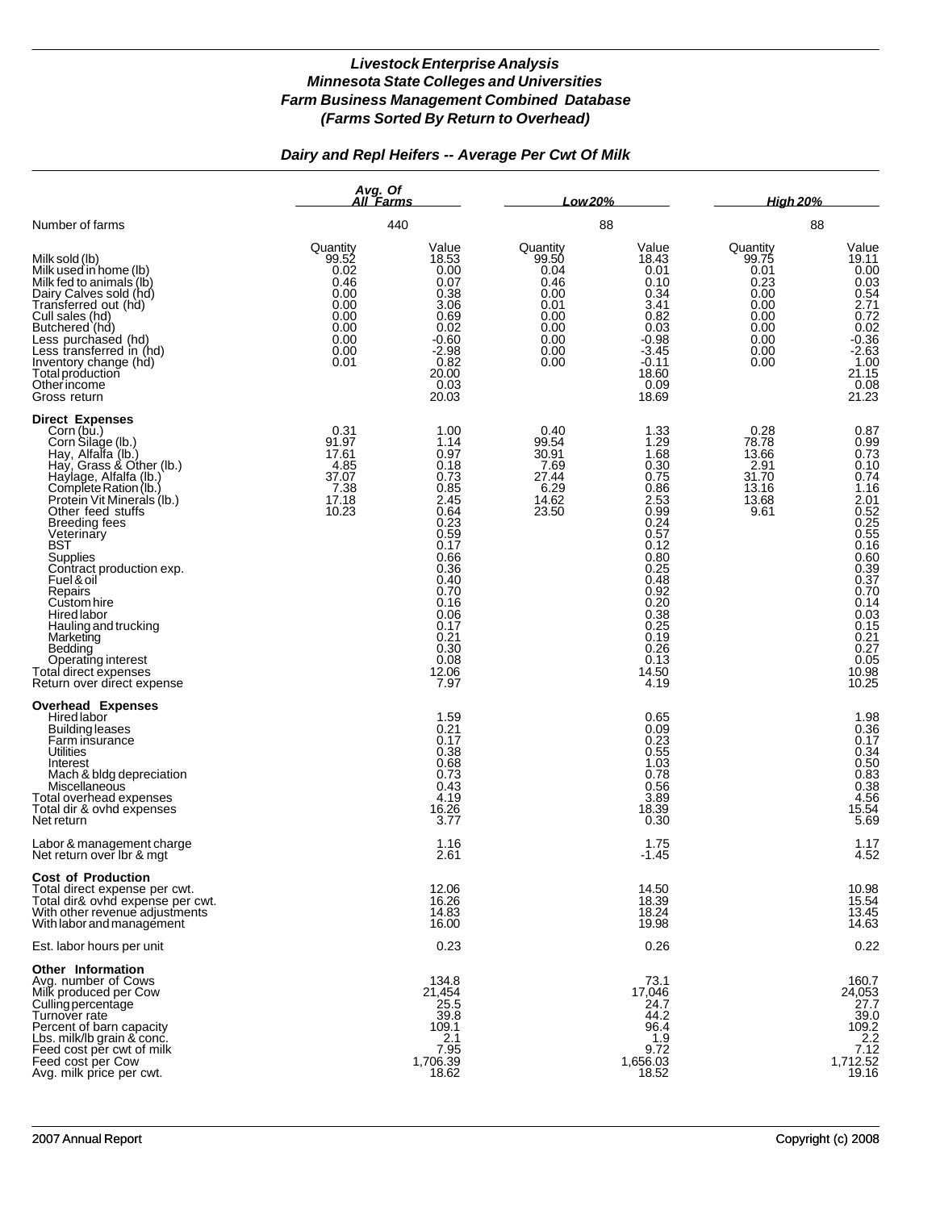## *Dairy and Repl Heifers -- Average Per Cwt Of Milk*

|                                                                                                                                                                                                                                                                                                                                                                                                                                                                                            | Avg. Of<br>All Farms<br>440                                                               |                                                                                                                                                                                       | Low 20%<br>88                                                                             |                                                                                                                                                                                       | <b>High 20%</b><br>88                                                                     |                                                                                                                                                                                                          |
|--------------------------------------------------------------------------------------------------------------------------------------------------------------------------------------------------------------------------------------------------------------------------------------------------------------------------------------------------------------------------------------------------------------------------------------------------------------------------------------------|-------------------------------------------------------------------------------------------|---------------------------------------------------------------------------------------------------------------------------------------------------------------------------------------|-------------------------------------------------------------------------------------------|---------------------------------------------------------------------------------------------------------------------------------------------------------------------------------------|-------------------------------------------------------------------------------------------|----------------------------------------------------------------------------------------------------------------------------------------------------------------------------------------------------------|
| Number of farms                                                                                                                                                                                                                                                                                                                                                                                                                                                                            |                                                                                           |                                                                                                                                                                                       |                                                                                           |                                                                                                                                                                                       |                                                                                           |                                                                                                                                                                                                          |
| Milk sold (lb)<br>Milk used in home (lb)<br>Milk fed to animals (lb)<br>Dairy Calves sold (hd)<br>Transferred out (hd)<br>Cull sales (hd)<br>Butchered (hd)<br>Less purchased (hd)<br>Less transferred in (hd)<br>Inventory change (hd)<br>Total production<br>Otherincome<br>Gross return                                                                                                                                                                                                 | Quantity<br>99.52<br>0.02<br>0.46<br>0.00<br>0.00<br>0.00<br>0.00<br>0.00<br>0.00<br>0.01 | Value<br>18.53<br>0.00<br>0.07<br>0.38<br>3.06<br>0.69<br>0.02<br>$-0.60$<br>$-2.98$<br>0.82<br>20.00<br>0.03<br>20.03                                                                | Quantity<br>99.50<br>0.04<br>0.46<br>0.00<br>0.01<br>0.00<br>0.00<br>0.00<br>0.00<br>0.00 | Value<br>18.43<br>0.01<br>0.10<br>0.34<br>3.41<br>0.82<br>0.03<br>$-0.98$<br>$-3.45$<br>$-0.11$<br>18.60<br>0.09<br>18.69                                                             | Quantity<br>99.75<br>0.01<br>0.23<br>0.00<br>0.00<br>0.00<br>0.00<br>0.00<br>0.00<br>0.00 | Value<br>19.11<br>0.00<br>0.03<br>0.54<br>2.71<br>$0.72$<br>$0.02$<br>$-0.36$<br>$-2.63$<br>$\frac{1.00}{21.15}$<br>0.08<br>21.23                                                                        |
| <b>Direct Expenses</b><br>Corn (bu.)<br>Corn Silage (lb.)<br>Hay, Alfalfa (lb.)<br>Hay, Grass & Other (lb.)<br>Haylage, Alfalfa (lb.)<br>Complete Ration (lb.)<br>Protein Vit Minerals (Ib.)<br>Other feed stuffs<br><b>Breeding fees</b><br>Veterinary<br>BST<br>Supplies<br>Contract production exp.<br>Fuel & oil<br>Repairs<br>Custom hire<br>Hired labor<br>Hauling and trucking<br>Marketing<br>Bedding<br>Operating interest<br>Total direct expenses<br>Return over direct expense | 0.31<br>91.97<br>17.61<br>4.85<br>37.07<br>7.38<br>17.18<br>10.23                         | 1.00<br>1.14<br>0.97<br>0.18<br>0.73<br>0.85<br>2.45<br>0.64<br>0.23<br>0.59<br>0.17<br>0.66<br>0.36<br>0.40<br>0.70<br>0.16<br>0.06<br>0.17<br>0.21<br>0.30<br>0.08<br>12.06<br>7.97 | 0.40<br>99.54<br>30.91<br>7.69<br>27.44<br>6.29<br>14.62<br>23.50                         | 1.33<br>1.29<br>1.68<br>0.30<br>0.75<br>0.86<br>2.53<br>0.99<br>0.24<br>0.57<br>0.12<br>0.80<br>0.25<br>0.48<br>0.92<br>0.20<br>0.38<br>0.25<br>0.19<br>0.26<br>0.13<br>14.50<br>4.19 | 0.28<br>78.78<br>13.66<br>2.91<br>31.70<br>13.16<br>13.68<br>9.61                         | 0.87<br>0.99<br>0.73<br>0.10<br>0.74<br>1.16<br>2.01<br>$0.52$<br>0.25<br>0.55<br>0.16<br>$0.60$<br>$0.39$<br>$0.37$<br>0.70<br>0.14<br>$0.03$<br>$0.15$<br>$0.21$<br>$0.27$<br>$0.05$<br>10.98<br>10.25 |
| <b>Overhead Expenses</b><br>Hired labor<br><b>Building leases</b><br>Farm insurance<br><b>Utilities</b><br>Interest<br>Mach & bldg depreciation<br>Miscellaneous<br>Total overhead expenses<br>Total dir & ovhd expenses<br>Net return                                                                                                                                                                                                                                                     |                                                                                           | 1.59<br>0.21<br>0.17<br>0.38<br>0.68<br>0.73<br>0.43<br>4.19<br>16.26<br>3.77                                                                                                         |                                                                                           | 0.65<br>0.09<br>0.23<br>0.55<br>1.03<br>0.78<br>0.56<br>3.89<br>18.39<br>0.30                                                                                                         |                                                                                           | $1.98$<br>$0.36$<br>0.17<br>$0.34$<br>$0.50$<br>$0.83$<br>$0.38$<br>4.56<br>15.54<br>5.69                                                                                                                |
| Labor & management charge<br>Net return over lbr & mgt                                                                                                                                                                                                                                                                                                                                                                                                                                     |                                                                                           | 1.16<br>2.61                                                                                                                                                                          |                                                                                           | 1.75<br>$-1.45$                                                                                                                                                                       |                                                                                           | 1.17<br>4.52                                                                                                                                                                                             |
| <b>Cost of Production</b><br>Total direct expense per cwt.<br>Total dir& ovhd expense per cwt.<br>With other revenue adjustments<br>With labor and management                                                                                                                                                                                                                                                                                                                              |                                                                                           | 12.06<br>16.26<br>14.83<br>16.00                                                                                                                                                      |                                                                                           | 14.50<br>18.39<br>18.24<br>19.98                                                                                                                                                      |                                                                                           | 10.98<br>15.54<br>13.45<br>14.63                                                                                                                                                                         |
| Est. labor hours per unit                                                                                                                                                                                                                                                                                                                                                                                                                                                                  |                                                                                           | 0.23                                                                                                                                                                                  |                                                                                           | 0.26                                                                                                                                                                                  |                                                                                           | 0.22                                                                                                                                                                                                     |
| Other Information<br>Avg. number of Cows<br>Milk produced per Cow<br>Culling percentage<br>Turnover rate<br>Percent of barn capacity<br>Lbs. milk/lb grain & conc.<br>Feed cost per cwt of milk<br>Feed cost per Cow<br>Avg. milk price per cwt.                                                                                                                                                                                                                                           |                                                                                           | 134.8<br>21,454<br>25.5<br>39.8<br>109.1<br>2.1<br>7.95<br>1,706.39<br>18.62                                                                                                          |                                                                                           | 73.1<br>17,046<br>24.7<br>44.2<br>96.4<br>1.9<br>9.72<br>1,656.03<br>18.52                                                                                                            |                                                                                           | 160.7<br>24,053<br>27.7<br>39.0<br>$\frac{109.2}{2.2}$<br>7.12<br>1,712.52<br>19.16                                                                                                                      |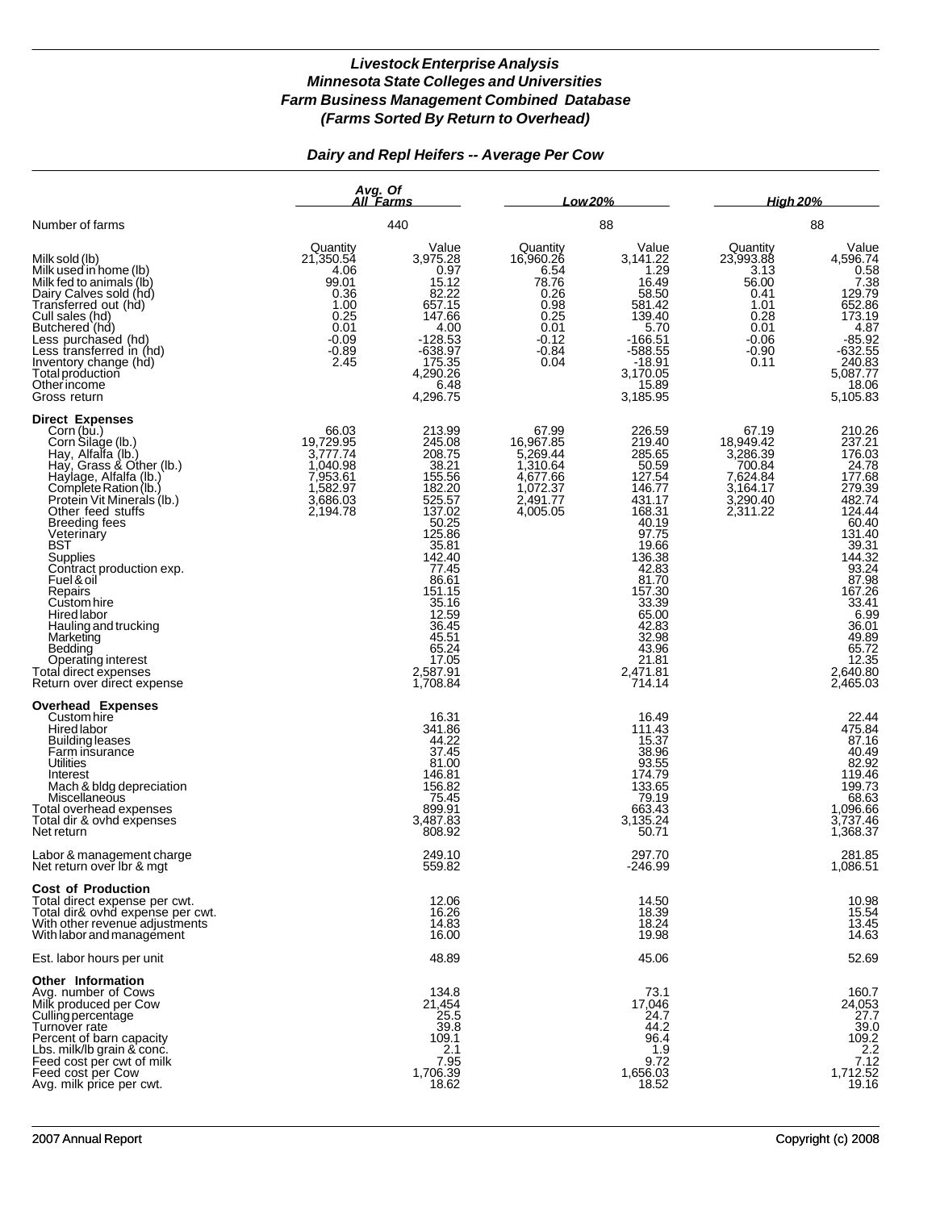## *Dairy and Repl Heifers -- Average Per Cow*

|                                                                                                                                                                                                                                                                                                                                                                                                                                                                                                          | Avg. Of<br>All Farms<br>440                                                                          |                                                                                                                                                                                                                             | Low 20%<br>88                                                                                        |                                                                                                                                                                                                                          | <b>High 20%</b><br>88                                                                                |                                                                                                                                                                                                                          |
|----------------------------------------------------------------------------------------------------------------------------------------------------------------------------------------------------------------------------------------------------------------------------------------------------------------------------------------------------------------------------------------------------------------------------------------------------------------------------------------------------------|------------------------------------------------------------------------------------------------------|-----------------------------------------------------------------------------------------------------------------------------------------------------------------------------------------------------------------------------|------------------------------------------------------------------------------------------------------|--------------------------------------------------------------------------------------------------------------------------------------------------------------------------------------------------------------------------|------------------------------------------------------------------------------------------------------|--------------------------------------------------------------------------------------------------------------------------------------------------------------------------------------------------------------------------|
| Number of farms                                                                                                                                                                                                                                                                                                                                                                                                                                                                                          |                                                                                                      |                                                                                                                                                                                                                             |                                                                                                      |                                                                                                                                                                                                                          |                                                                                                      |                                                                                                                                                                                                                          |
| Milk sold (lb)<br>Milk used in home (lb)<br>Milk fed to animals (lb)<br>Dairy Calves sold (hd)<br>Transferred out (hd)<br>Cull sales (hd)<br>Butchered (hd)<br>Less purchased (hd)<br>Less transferred in (hd)<br>Inventory change (hd)<br>Total production<br>Otherincome<br>Gross return                                                                                                                                                                                                               | Quantity<br>21,350.54<br>4.06<br>99.01<br>0.36<br>1.00<br>0.25<br>0.01<br>$-0.09$<br>$-0.89$<br>2.45 | Value<br>3,975.28<br>0.97<br>15.12<br>82.22<br>657.15<br>147.66<br>4.00<br>$-128.53$<br>$-638.97$<br>175.35<br>4,290.26<br>6.48<br>4,296.75                                                                                 | Quantity<br>16,960.26<br>6.54<br>78.76<br>0.26<br>0.98<br>0.25<br>0.01<br>$-0.12$<br>$-0.84$<br>0.04 | Value<br>3,141.22<br>1.29<br>16.49<br>58.50<br>581.42<br>139.40<br>5.70<br>$-166.51$<br>$-588.55$<br>$-18.91$<br>3,170.05<br>15.89<br>3,185.95                                                                           | Quantity<br>23,993.88<br>3.13<br>56.00<br>0.41<br>1.01<br>0.28<br>0.01<br>$-0.06$<br>$-0.90$<br>0.11 | Value<br>4,596.74<br>$\frac{0.58}{7.38}$<br>129.79<br>652.86<br>173.19<br>$-85.92$<br>-632.55<br>240.83<br>5,087.77<br>18.06<br>5,105.83                                                                                 |
| <b>Direct Expenses</b><br>Corn (bu.)<br>Corn Silage (lb.)<br>Hay, Alfalfa (lb.)<br>Hay, Grass & Other (lb.)<br>Haylage, Alfalfa (lb.)<br>Complete Ration (lb.)<br>Protein Vit Minerals (Ib.)<br>Other feed stuffs<br><b>Breeding fees</b><br>Veterinary<br><b>BST</b><br><b>Supplies</b><br>Contract production exp.<br>Fuel & oil<br>Repairs<br>Custom hire<br>Hired labor<br>Hauling and trucking<br>Marketing<br>Bedding<br>Operating interest<br>Total direct expenses<br>Return over direct expense | 66.03<br>19,729.95<br>3,777.74<br>1,040.98<br>7,953.61<br>1,582.97<br>3,686.03<br>2,194.78           | 213.99<br>245.08<br>208.75<br>38.21<br>155.56<br>182.20<br>525.57<br>137.02<br>50.25<br>125.86<br>35.81<br>142.40<br>77.45<br>86.61<br>151.15<br>35.16<br>12.59<br>36.45<br>45.51<br>65.24<br>17.05<br>2,587.91<br>1,708.84 | 67.99<br>16,967.85<br>5,269.44<br>1,310.64<br>4,677.66<br>1,072.37<br>2,491.77<br>4,005.05           | 226.59<br>219.40<br>285.65<br>50.59<br>127.54<br>146.77<br>431.17<br>168.31<br>40.19<br>97.75<br>19.66<br>136.38<br>42.83<br>81.70<br>157.30<br>33.39<br>65.00<br>42.83<br>32.98<br>43.96<br>21.81<br>2,471.81<br>714.14 | 67.19<br>18,949.42<br>3,286.39<br>700.84<br>7,624.84<br>3,164.17<br>3,290.40<br>2,311.22             | 210.26<br>237.21<br>176.03<br>177.68<br>279.39<br>482.74<br>124.44<br>60.40<br>131.40<br>39.31<br>144.32<br>$\frac{93.24}{87.98}$<br>167.26<br>33.41<br>6.99<br>36.01<br>49.89<br>65.72<br>12.35<br>2,640.80<br>2,465.03 |
| <b>Overhead Expenses</b><br>Custom hire<br>Hired labor<br><b>Building leases</b><br>Farm insurance<br>Utilities<br>Interest<br>Mach & bldg depreciation<br>Miscellaneous<br>Total overhead expenses<br>Total dir & ovhd expenses<br>Net return                                                                                                                                                                                                                                                           |                                                                                                      | 16.31<br>341.86<br>44.22<br>37.45<br>81.00<br>146.81<br>156.82<br>75.45<br>899.91<br>3,487.83<br>808.92                                                                                                                     |                                                                                                      | 16.49<br>111.43<br>15.37<br>38.96<br>93.55<br>174.79<br>133.65<br>79.19<br>663.43<br>3,135.24<br>50.71                                                                                                                   |                                                                                                      | 22.44<br>475.84<br>87.16<br>40.49<br>82.92<br>119.46<br>68.63<br>1,096.66<br>3,737.46<br>1,368.37                                                                                                                        |
| Labor & management charge<br>Net return over Ibr & mgt                                                                                                                                                                                                                                                                                                                                                                                                                                                   |                                                                                                      | 249.10<br>559.82                                                                                                                                                                                                            |                                                                                                      | 297.70<br>$-246.99$                                                                                                                                                                                                      |                                                                                                      | 281.85<br>1,086.51                                                                                                                                                                                                       |
| <b>Cost of Production</b><br>Total direct expense per cwt.<br>Total dir& ovhd expense per cwt.<br>With other revenue adjustments<br>With labor and management                                                                                                                                                                                                                                                                                                                                            |                                                                                                      | 12.06<br>16.26<br>14.83<br>16.00                                                                                                                                                                                            |                                                                                                      | 14.50<br>18.39<br>18.24<br>19.98                                                                                                                                                                                         |                                                                                                      | 10.98<br>15.54<br>13.45<br>14.63                                                                                                                                                                                         |
| Est. labor hours per unit                                                                                                                                                                                                                                                                                                                                                                                                                                                                                |                                                                                                      | 48.89                                                                                                                                                                                                                       |                                                                                                      | 45.06                                                                                                                                                                                                                    |                                                                                                      | 52.69                                                                                                                                                                                                                    |
| Other Information<br>Avg. number of Cows<br>Milk produced per Cow<br>Culling percentage<br>Turnover rate<br>Percent of barn capacity<br>Lbs. milk/lb grain & conc.<br>Feed cost per cwt of milk<br>Feed cost per Cow<br>Avg. milk price per cwt.                                                                                                                                                                                                                                                         |                                                                                                      | 134.8<br>21,454<br>25.5<br>39.8<br>109.1<br>2.1<br>7.95<br>1,706.39<br>18.62                                                                                                                                                |                                                                                                      | 73.1<br>17,046<br>24.7<br>44.2<br>96.4<br>1.9<br>9.72<br>1,656.03<br>18.52                                                                                                                                               |                                                                                                      | 160.7<br>24,053<br>27.7<br>39.0<br>109.2<br>$\frac{2.2}{7.12}$<br>1,712.52<br>19.16                                                                                                                                      |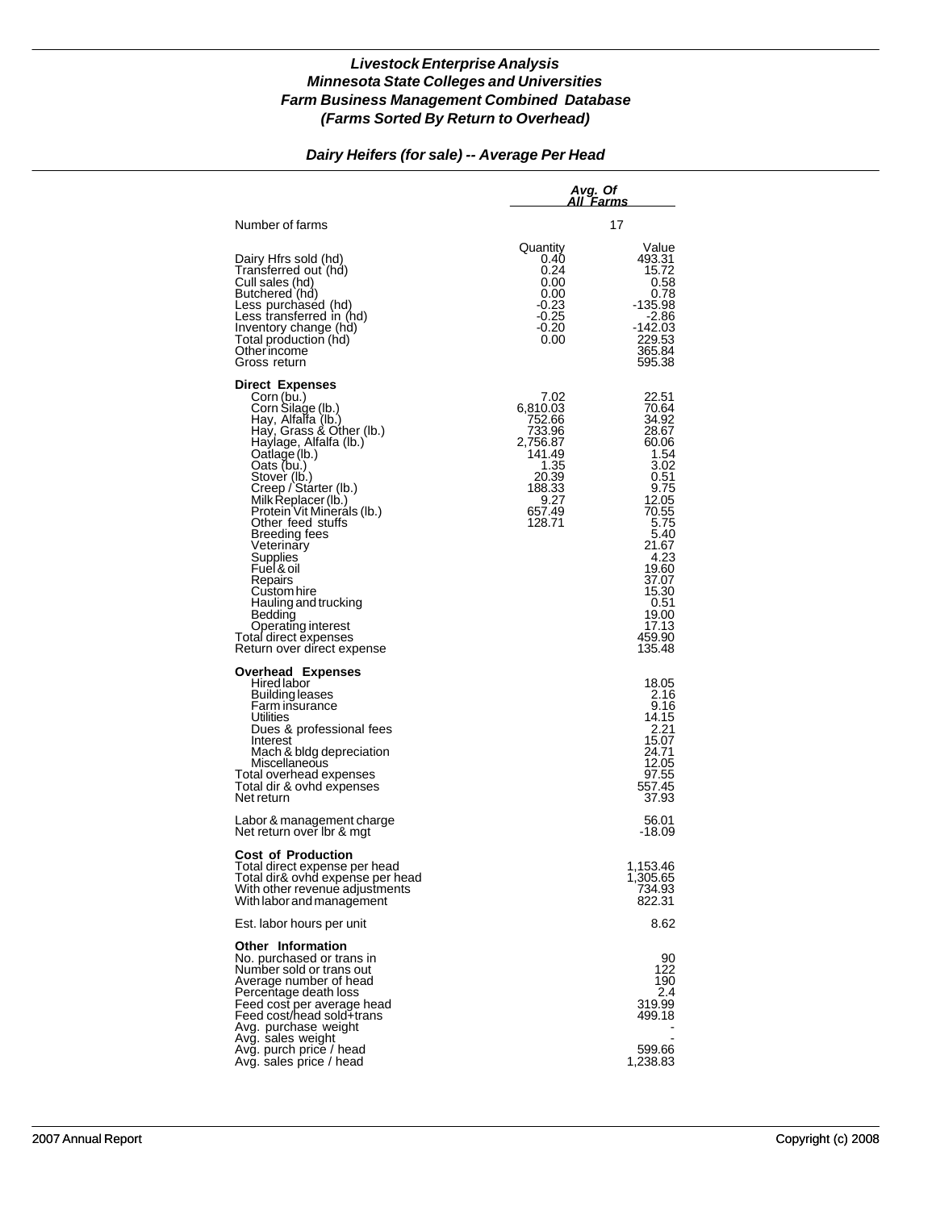#### *Dairy Heifers (for sale) -- Average Per Head*

|                                                                                                                                                                                                                                                                                                                                                                                                                                                                                                   | Avg. Of<br>All Farms                                                                                              |                                                                                                                                                                                                       |  |  |
|---------------------------------------------------------------------------------------------------------------------------------------------------------------------------------------------------------------------------------------------------------------------------------------------------------------------------------------------------------------------------------------------------------------------------------------------------------------------------------------------------|-------------------------------------------------------------------------------------------------------------------|-------------------------------------------------------------------------------------------------------------------------------------------------------------------------------------------------------|--|--|
| Number of farms                                                                                                                                                                                                                                                                                                                                                                                                                                                                                   |                                                                                                                   | 17                                                                                                                                                                                                    |  |  |
| Dairy Hfrs sold (hd)<br>Transferred out (hd)<br>Cull sales (hd)<br>Butchered (hd)<br>Less purchased (hd)<br>Less transferred in (hd)<br>Inventory change (hd)<br>Total production (hd)<br>Other income<br>Gross return                                                                                                                                                                                                                                                                            | Quantity<br>0.40<br>0.24<br>0.00<br>0.00<br>-0.23<br>$-0.25$<br>-0.20<br>0.00                                     | Value<br>493.31<br>15.72<br>0.58<br>0.78<br>$-135.98$<br>-2.86<br>$-142.03$<br>229.53<br>365.84<br>595.38                                                                                             |  |  |
| <b>Direct Expenses</b><br>Corn (bu.)<br>Corn Silage (lb.)<br>Hay, Alfalfa (lb.)<br>Hay, Grass & Other (lb.)<br>Haylage, Alfalfa (lb.)<br>Oatlage (lb.)<br>Oats (bu.)<br>Stover (lb.)<br>Creep / Starter (lb.)<br>Milk Replacer (lb.)<br>Protein Vit Minerals (lb.)<br>Other feed stuffs<br>Breeding fees<br>Veterinary<br>Supplies<br>Fuel & oil<br>Repairs<br>Custom hire<br>Hauling and trucking<br>Bedding<br><b>Operating interest</b><br>Total direct expenses<br>Return over direct expense | 7.02<br>6,810.03<br>752.66<br>733.96<br>2,756.87<br>141.49<br>1.35<br>20.39<br>188.33<br>9.27<br>657.49<br>128.71 | 22.51<br>70.64<br>34.92<br>28.67<br>60.06<br>1.54<br>3.02<br>0.51<br>9.75<br>12.05<br>70.55<br>5.75<br>5.40<br>21.67<br>4.23<br>19.60<br>37.07<br>15.30<br>0.51<br>19.00<br>17.13<br>459.90<br>135.48 |  |  |
| <b>Overhead Expenses</b><br><b>Hired labor</b><br>Building leases<br>Farm insurance<br>Utilities<br>Dues & professional fees<br>Interest<br>Mach & bldg depreciation<br>Miscellaneous<br>Total overhead expenses<br>Total dir & ovhd expenses<br>Net return                                                                                                                                                                                                                                       |                                                                                                                   | 18.05<br>2.16<br>9.16<br>14.15<br>2.21<br>15.07<br>24.71<br>12.05<br>97.55<br>557.45<br>37.93                                                                                                         |  |  |
| Labor & management charge<br>Net return over Ibr & mgt                                                                                                                                                                                                                                                                                                                                                                                                                                            |                                                                                                                   | 56.01<br>-18.09                                                                                                                                                                                       |  |  |
| <b>Cost of Production</b><br>Total direct expense per head<br>Total dir& ovhd expense per head<br>With other revenue adjustments<br>With labor and management                                                                                                                                                                                                                                                                                                                                     |                                                                                                                   | 1,153.46<br>1,305.65<br>734.93<br>822.31                                                                                                                                                              |  |  |
| Est. labor hours per unit                                                                                                                                                                                                                                                                                                                                                                                                                                                                         |                                                                                                                   | 8.62                                                                                                                                                                                                  |  |  |
| Other Information<br>No. purchased or trans in<br>Number sold or trans out<br>Average number of head<br>Percentage death loss<br>Feed cost per average head<br>Feed cost/head sold+trans<br>Avg. purchase weight                                                                                                                                                                                                                                                                                  |                                                                                                                   | 90<br>122<br>190<br>2.4<br>319.99<br>499.18                                                                                                                                                           |  |  |
| Avg. sales weight<br>Avg. purch price / head<br>Avg. sales price / head                                                                                                                                                                                                                                                                                                                                                                                                                           |                                                                                                                   | 599.66<br>1,238.83                                                                                                                                                                                    |  |  |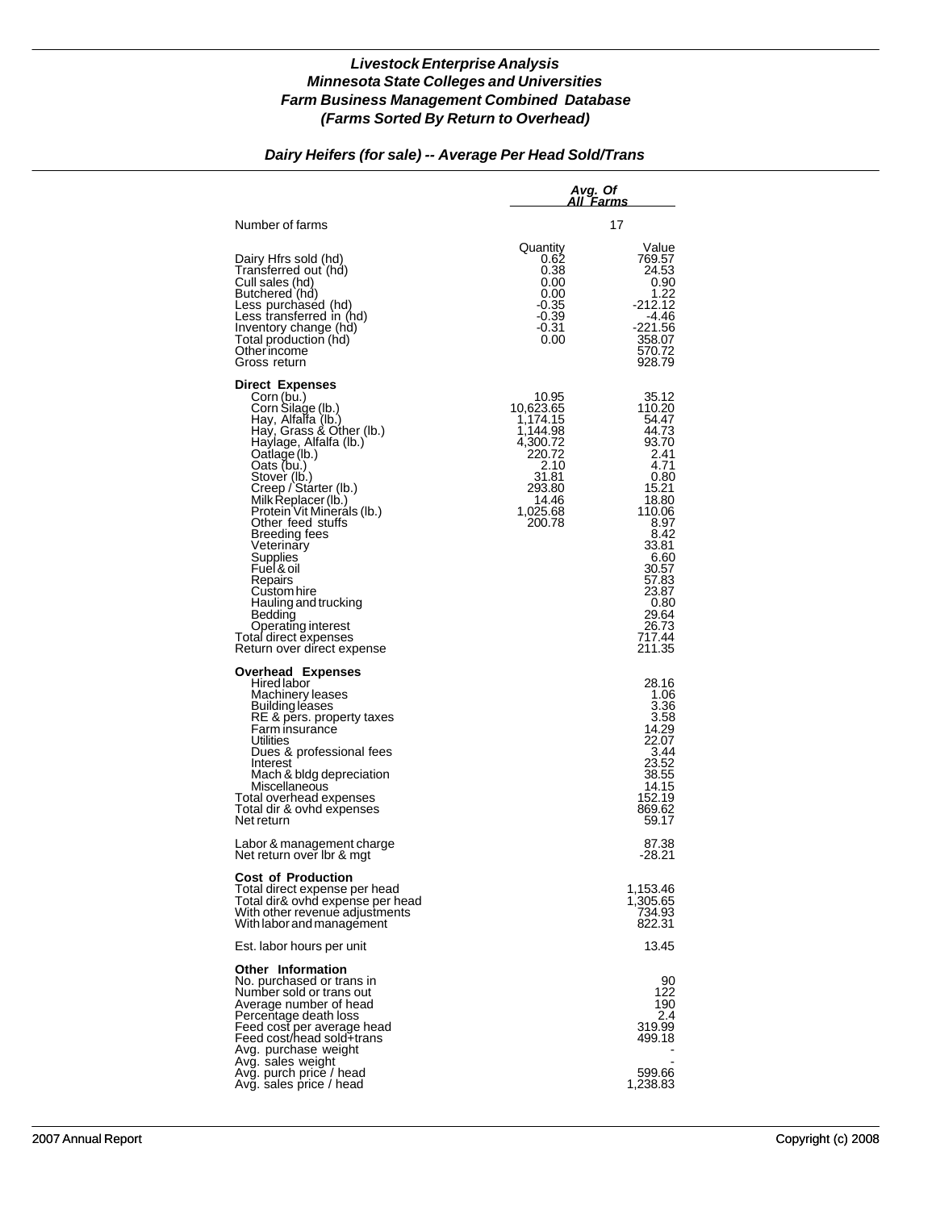## *Dairy Heifers (for sale) -- Average Per Head Sold/Trans*

|                                                                                                                                                                                                                                                                                                                                                                                                                                                                                                   | Avg. Of<br>All Farms                                                                                                       |                                                                                                                                                                                                          |  |  |
|---------------------------------------------------------------------------------------------------------------------------------------------------------------------------------------------------------------------------------------------------------------------------------------------------------------------------------------------------------------------------------------------------------------------------------------------------------------------------------------------------|----------------------------------------------------------------------------------------------------------------------------|----------------------------------------------------------------------------------------------------------------------------------------------------------------------------------------------------------|--|--|
| Number of farms                                                                                                                                                                                                                                                                                                                                                                                                                                                                                   |                                                                                                                            | 17                                                                                                                                                                                                       |  |  |
| Dairy Hfrs sold (hd)<br>Transferred out (hd)<br>Cull sales (hd)<br>Butchered (hd)<br>Less purchased (hd)<br>Less transferred in (hd)<br>Inventory change (hd)<br>Total production (hd)<br>Other income<br>Gross return                                                                                                                                                                                                                                                                            | Quantity<br>0.62<br>0.38<br>0.00<br>0.00<br>$-0.35$<br>-0.39<br>$-0.31$<br>0.00                                            | Value<br>769.57<br>24.53<br>0.90<br>1.22<br>$-212.12$<br>-4.46<br>$-221.56$<br>358.07<br>570.72<br>928.79                                                                                                |  |  |
| <b>Direct Expenses</b><br>Corn (bu.)<br>Corn Silage (lb.)<br>Hay, Alfalfa (lb.)<br>Hay, Grass & Other (lb.)<br>Haylage, Alfalfa (lb.)<br>Qatlage (lb.)<br>Oats (bu.)<br>Stover (lb.)<br>Creep / Starter (lb.)<br>Milk Replacer (lb.)<br>Protein Vit Minerals (Ib.)<br>Other feed stuffs<br>Breeding fees<br>Veterinary<br><b>Supplies</b><br>Fuel & oil<br>Repairs<br>Custom hire<br>Hauling and trucking<br>Bedding<br>Operating interest<br>Total direct expenses<br>Return over direct expense | 10.95<br>10,623.65<br>1,174.15<br>1,144.98<br>4,300.72<br>220.72<br>2.10<br>31.81<br>293.80<br>14.46<br>1,025.68<br>200.78 | 35.12<br>110.20<br>54.47<br>44.73<br>93.70<br>2.41<br>4.71<br>0.80<br>15.21<br>18.80<br>110.06<br>8.97<br>8.42<br>33.81<br>6.60<br>30.57<br>57.83<br>23.87<br>0.80<br>29.64<br>26.73<br>717.44<br>211.35 |  |  |
| <b>Overhead Expenses</b><br>Hired labor<br><b>Machinery leases</b><br>Building leases<br>RE & pers. property taxes<br>Farm insurance<br>Utilities<br>Dues & professional fees<br>Interest<br>Mach & bldg depreciation<br>Miscellaneous<br>Total overhead expenses<br>Total dir & ovhd expenses<br>Net return                                                                                                                                                                                      |                                                                                                                            | 28.16<br>1.06<br>3.36<br>3.58<br>14.29<br>22.07<br>3.44<br>23.52<br>38.55<br>14.15<br>152.19<br>869.62<br>59.17                                                                                          |  |  |
| Labor & management charge<br>Net return over Ibr & mgt                                                                                                                                                                                                                                                                                                                                                                                                                                            |                                                                                                                            | 87.38<br>-28.21                                                                                                                                                                                          |  |  |
| <b>Cost of Production</b><br>Total direct expense per head<br>Total dir& ovhd expense per head<br>With other revenue adjustments<br>With labor and management                                                                                                                                                                                                                                                                                                                                     |                                                                                                                            | 1,153.46<br>1,305.65<br>734.93<br>822.31                                                                                                                                                                 |  |  |
| Est. labor hours per unit                                                                                                                                                                                                                                                                                                                                                                                                                                                                         |                                                                                                                            | 13.45                                                                                                                                                                                                    |  |  |
| <b>Other Information</b><br>No. purchased or trans in<br>Number sold or trans out<br>Average number of head<br>Percentage death loss<br>Feed cost per average head<br>Feed cost/head sold+trans<br>Avg. purchase weight                                                                                                                                                                                                                                                                           |                                                                                                                            | 90<br>122<br>190<br>2.4<br>319.99<br>499.18                                                                                                                                                              |  |  |
| Avg. sales weight<br>Avg. purch price / head<br>Avg. sales price / head                                                                                                                                                                                                                                                                                                                                                                                                                           |                                                                                                                            | 599.66<br>1,238.83                                                                                                                                                                                       |  |  |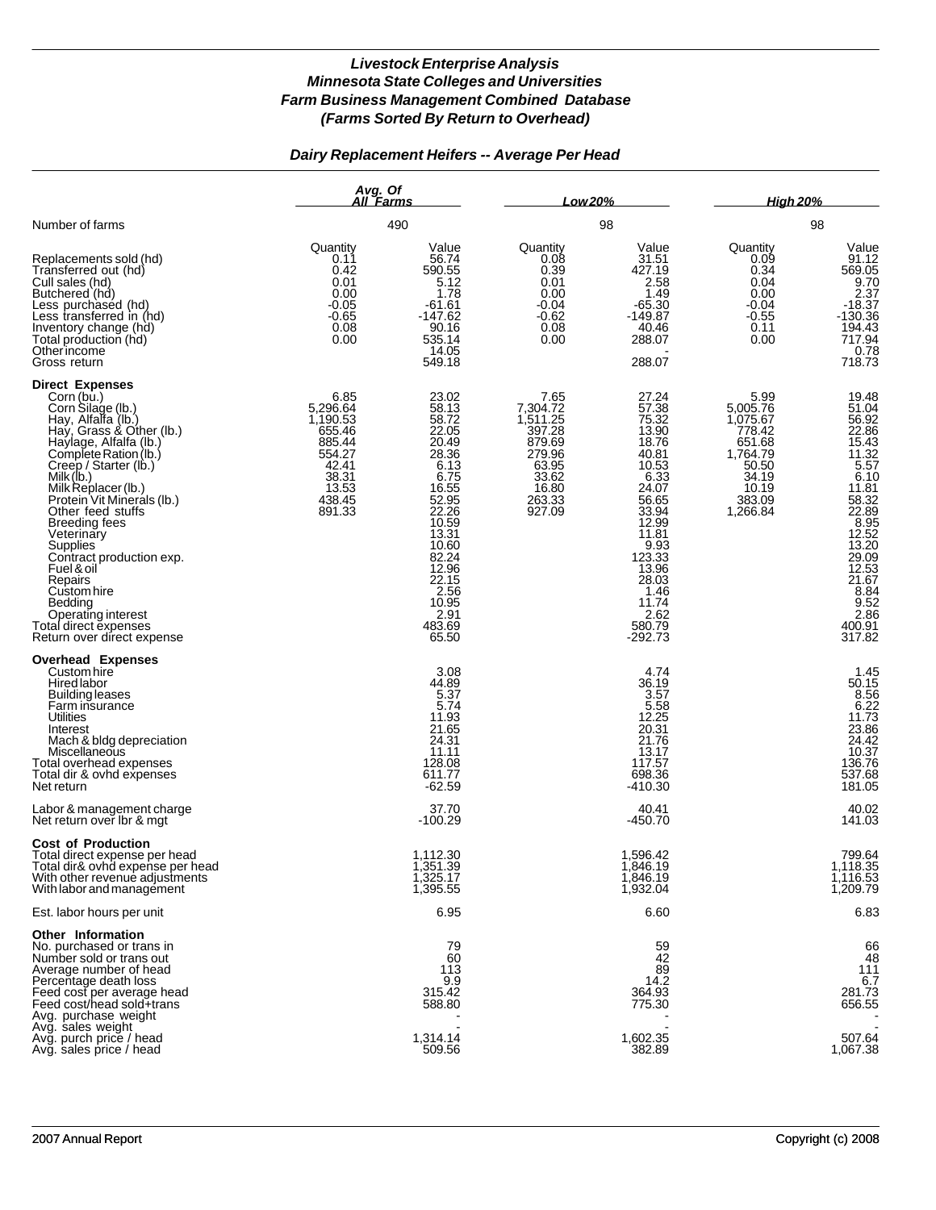## *Dairy Replacement Heifers -- Average Per Head*

|                                                                                                                                                                                                                                                                                                                                                                                                                                                                                               | Avg. Of<br>All Farms                                                                                      |                                                                                                                                                                                                 | Low 20%                                                                                                       |                                                                                                                                                                                                                     | <b>High 20%</b>                                                                                               |                                                                                                                                                                                                                                                                                                     |  |
|-----------------------------------------------------------------------------------------------------------------------------------------------------------------------------------------------------------------------------------------------------------------------------------------------------------------------------------------------------------------------------------------------------------------------------------------------------------------------------------------------|-----------------------------------------------------------------------------------------------------------|-------------------------------------------------------------------------------------------------------------------------------------------------------------------------------------------------|---------------------------------------------------------------------------------------------------------------|---------------------------------------------------------------------------------------------------------------------------------------------------------------------------------------------------------------------|---------------------------------------------------------------------------------------------------------------|-----------------------------------------------------------------------------------------------------------------------------------------------------------------------------------------------------------------------------------------------------------------------------------------------------|--|
| Number of farms                                                                                                                                                                                                                                                                                                                                                                                                                                                                               |                                                                                                           | 490                                                                                                                                                                                             |                                                                                                               | 98                                                                                                                                                                                                                  |                                                                                                               | 98                                                                                                                                                                                                                                                                                                  |  |
| Replacements sold (hd)<br>Transferred out (hd)<br>Cull sales (hd)<br>Butchered (hd)<br>Less purchased (hd)<br>Less transferred in (hd)<br>Inventory change (hd)<br>Total production (hd)<br>Otherincome<br>Gross return                                                                                                                                                                                                                                                                       | Quantity<br>0.11<br>0.42<br>0.01<br>0.00<br>-0.05<br>$-0.65$<br>0.08<br>0.00                              | Value<br>56.74<br>590.55<br>5.12<br>1.78<br>-61.61<br>$-147.62$<br>90.16<br>535.14<br>14.05<br>549.18                                                                                           | Quantity<br>0.08<br>0.39<br>0.01<br>0.00<br>$-0.04$<br>$-0.62$<br>0.08<br>0.00                                | Value<br>31.51<br>427.19<br>2.58<br>1.49<br>$-65.30$<br>-149.87<br>40.46<br>288.07<br>288.07                                                                                                                        | Quantity<br>0.09<br>0.34<br>0.04<br>0.00<br>$-0.04$<br>$-0.55$<br>0.11<br>0.00                                | Value<br>91.12<br>569.05<br>9.70<br>2.37<br>-18.37<br>$-130.36$<br>194.43<br>717.94<br>0.78<br>718.73                                                                                                                                                                                               |  |
| <b>Direct Expenses</b><br>Corn (bu.)<br>Corn Silage (lb.)<br>Hay, Alfalfa (lb.)<br>Hay, Grass & Other (lb.)<br>Haylage, Alfalfa (lb.)<br>Complete Ration (lb.)<br>Creep / Starter (lb.)<br>Milk (lb.)<br>Milk Replacer (lb.)<br>Protein Vit Mineráls (lb.)<br>Other feed stuffs<br><b>Breeding fees</b><br>Veterinary<br>Supplies<br>Contract production exp.<br>Fuel & oil<br>Repairs<br>Custom hire<br>Bedding<br>Operating interest<br>Total direct expenses<br>Return over direct expense | 6.85<br>5,296.64<br>1,190.53<br>655.46<br>885.44<br>554.27<br>42.41<br>38.31<br>13.53<br>438.45<br>891.33 | 23.02<br>58.13<br>58.72<br>22.05<br>20.49<br>28.36<br>6.13<br>6.75<br>16.55<br>52.95<br>22.26<br>10.59<br>13.31<br>10.60<br>82.24<br>12.96<br>22.15<br>2.56<br>10.95<br>2.91<br>483.69<br>65.50 | 7.65<br>7,304.72<br>1,511.25<br>397.28<br>879.69<br>279.96<br>$63.95$<br>$33.62$<br>16.80<br>263.33<br>927.09 | 27.24<br>57.38<br>75.32<br>13.90<br>18.76<br>40.81<br>10.53<br>$6.\overline{33}$<br>24.07<br>56.65<br>33.94<br>12.99<br>11.81<br>$9.93$<br>123.33<br>13.96<br>28.03<br>1.46<br>11.74<br>2.62<br>580.79<br>$-292.73$ | 5.99<br>5,005.76<br>1,075.67<br>778.42<br>651.68<br>1,764.79<br>50.50<br>34.19<br>10.19<br>383.09<br>1,266.84 | 19.48<br>$\frac{51.04}{56.92}$<br>22.86<br>$\frac{15.43}{11.32}$<br>$\frac{5.57}{6.43}$<br>6.10<br>$11.81$<br>$58.32$<br>$22.89$<br>$8.95$<br>$12.52$<br>$\begin{array}{c} 13.20 \\ 29.09 \\ 12.53 \\ 21.67 \end{array}$<br>$\begin{array}{c} 8.84 \\ 9.52 \end{array}$<br>2.86<br>400.91<br>317.82 |  |
| <b>Overhead Expenses</b><br>Custom hire<br>Hired labor<br><b>Building leases</b><br>Farm insurance<br>Utilities<br>Interest<br>Mach & bldg depreciation<br>Miscellaneous<br>Total overhead expenses<br>Total dir & ovhd expenses<br>Net return                                                                                                                                                                                                                                                |                                                                                                           | 3.08<br>44.89<br>5.37<br>5.74<br>11.93<br>21.65<br>24.31<br>11.11<br>128.08<br>611.77<br>$-62.59$                                                                                               |                                                                                                               | 4.74<br>36.19<br>3.57<br>5.58<br>12.25<br>20.31<br>21.76<br>13.17<br>117.57<br>698.36<br>$-410.30$                                                                                                                  |                                                                                                               | 1.45<br>$50.15$<br>$8.56$<br>$6.22$<br>$11.73$<br>$23.86$<br>$24.42$<br>10.37<br>136.76<br>537.68<br>181.05                                                                                                                                                                                         |  |
| Labor & management charge<br>Net return over Ibr & mgt                                                                                                                                                                                                                                                                                                                                                                                                                                        |                                                                                                           | 37.70<br>-100.29                                                                                                                                                                                |                                                                                                               | 40.41<br>-450.70                                                                                                                                                                                                    |                                                                                                               | 40.02<br>141.03                                                                                                                                                                                                                                                                                     |  |
| <b>Cost of Production</b><br>Total direct expense per head<br>Total dir& ovhd expense per head<br>With other revenue adjustments<br>With labor and management                                                                                                                                                                                                                                                                                                                                 |                                                                                                           | 1,112.30<br>1,351.39<br>1,325.17<br>1,395.55                                                                                                                                                    |                                                                                                               | 1,596.42<br>1,846.19<br>1,846.19<br>1,932.04                                                                                                                                                                        |                                                                                                               | 799.64<br>1,118.35<br>1,116.53<br>1,209.79                                                                                                                                                                                                                                                          |  |
| Est. labor hours per unit                                                                                                                                                                                                                                                                                                                                                                                                                                                                     |                                                                                                           | 6.95                                                                                                                                                                                            |                                                                                                               | 6.60                                                                                                                                                                                                                |                                                                                                               | 6.83                                                                                                                                                                                                                                                                                                |  |
| Other Information<br>No. purchased or trans in<br>Number sold or trans out<br>Average number of head<br>Percentage death loss<br>Feed cost per average head<br>Feed cost/head sold+trans<br>Avg. purchase weight                                                                                                                                                                                                                                                                              |                                                                                                           | 79<br>60<br>113<br>9.9<br>315.42<br>588.80                                                                                                                                                      |                                                                                                               | 59<br>42<br>89<br>14.2<br>364.93<br>775.30                                                                                                                                                                          |                                                                                                               | 66<br>48<br>111<br>6.7<br>281.73<br>656.55                                                                                                                                                                                                                                                          |  |
| Avg. sales weight<br>Avg. purch price / head<br>Avg. sales price / head                                                                                                                                                                                                                                                                                                                                                                                                                       |                                                                                                           | 1,314.14<br>509.56                                                                                                                                                                              |                                                                                                               | 1,602.35<br>382.89                                                                                                                                                                                                  |                                                                                                               | 507.64<br>1,067.38                                                                                                                                                                                                                                                                                  |  |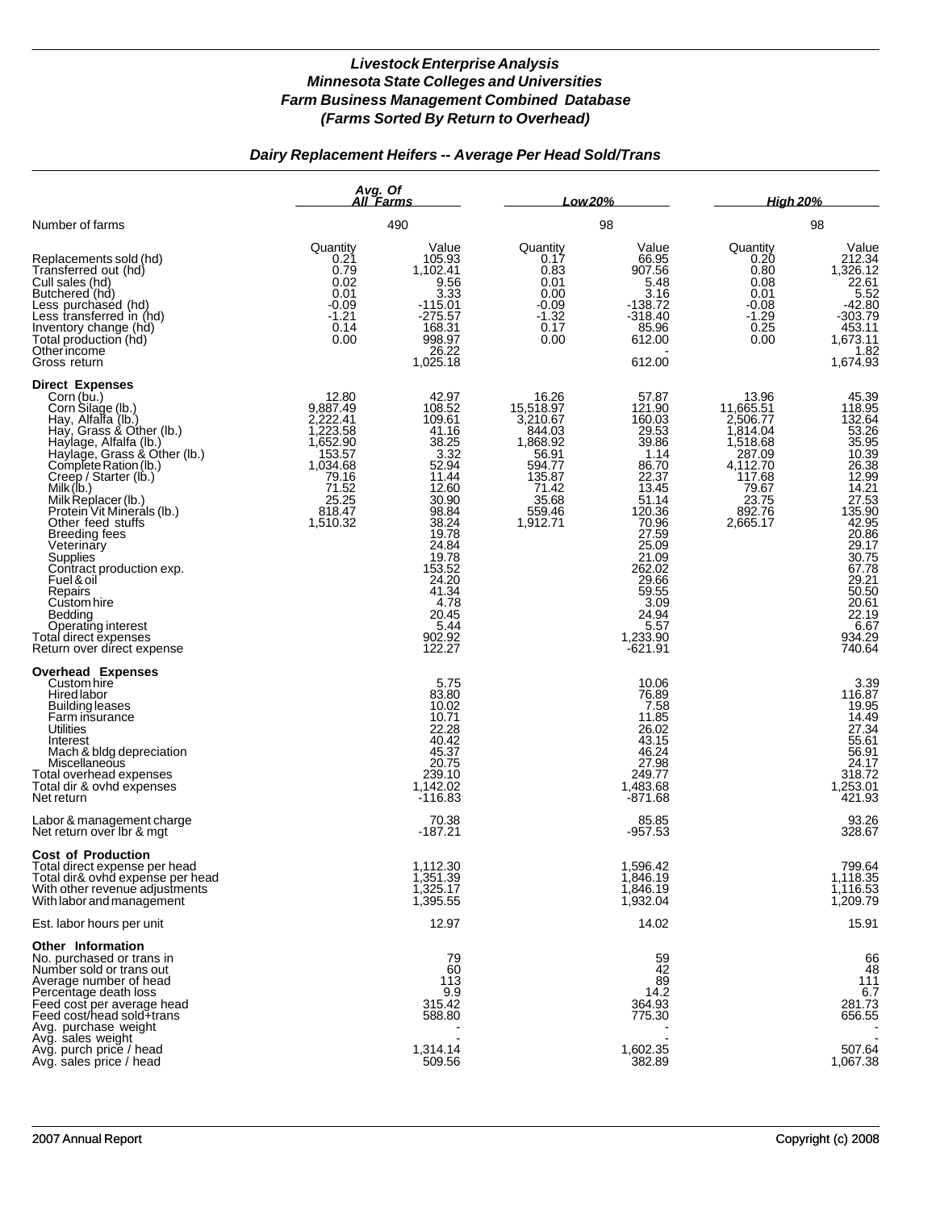# *Dairy Replacement Heifers -- Average Per Head Sold/Trans*

|                                                                                                                                                                                                                                                                                                                                                                                                                                                                                                                               | Avg. Of<br>All Farms<br>490                                                                                                  |                                                                                                                                                                                                               | Low 20%                                                                                                                   |                                                                                                                                                                                                                     | <b>High 20%</b>                                                                                                                |                                                                                                                                                                                                                          |
|-------------------------------------------------------------------------------------------------------------------------------------------------------------------------------------------------------------------------------------------------------------------------------------------------------------------------------------------------------------------------------------------------------------------------------------------------------------------------------------------------------------------------------|------------------------------------------------------------------------------------------------------------------------------|---------------------------------------------------------------------------------------------------------------------------------------------------------------------------------------------------------------|---------------------------------------------------------------------------------------------------------------------------|---------------------------------------------------------------------------------------------------------------------------------------------------------------------------------------------------------------------|--------------------------------------------------------------------------------------------------------------------------------|--------------------------------------------------------------------------------------------------------------------------------------------------------------------------------------------------------------------------|
| Number of farms                                                                                                                                                                                                                                                                                                                                                                                                                                                                                                               |                                                                                                                              |                                                                                                                                                                                                               | 98                                                                                                                        |                                                                                                                                                                                                                     | 98                                                                                                                             |                                                                                                                                                                                                                          |
| Replacements sold (hd)<br>Transferred out (hd)<br>Cull sales (hd)<br>Butchered (hd)<br>Less purchased (hd)<br>Less transferred in (hd)<br>Inventory change (hd)<br>Total production (hd)<br>Otherincome<br>Gross return                                                                                                                                                                                                                                                                                                       | Quantity<br>0.21<br>0.79<br>0.02<br>0.01<br>$-0.09$<br>$-1.21$<br>0.14<br>0.00                                               | Value<br>105.93<br>1,102.41<br>9.56<br>3.33<br>$-115.01$<br>$-275.57$<br>168.31<br>998.97<br>26.22<br>1,025.18                                                                                                | Quantity<br>0.17<br>0.83<br>0.01<br>0.00<br>$-0.09$<br>$-1.32$<br>0.17<br>0.00                                            | Value<br>66.95<br>907.56<br>5.48<br>3.16<br>$-138.72$<br>$-318.40$<br>85.96<br>612.00<br>612.00                                                                                                                     | Quantity<br>0.20<br>0.80<br>0.08<br>0.01<br>$-0.08$<br>$-1.29$<br>0.25<br>0.00                                                 | Value<br>212.34<br>1,326.12<br>22.61<br>5.52<br>42.80<br>303.79<br>453.11<br>1,673.11<br>1.82<br>1,674.93                                                                                                                |
| <b>Direct Expenses</b><br>Corn (bu.)<br>Corn Silage (lb.)<br>Hay, Alfalfa (lb.)<br>Hay, Grass & Other (lb.)<br>Haylage, Alfalfa (lb.)<br>Haylage, Grass & Other (lb.)<br>Complete Ration (lb.)<br>Creep / Starter (lb.)<br>Milk (lb.)<br>Milk Replacer (lb.)<br>Protein Vit Minerals (lb.)<br>Other feed stuffs<br><b>Breeding fees</b><br>Veterinary<br>Supplies<br>Contract production exp.<br>Fuel & oil<br>Repairs<br>Custom hire<br>Bedding<br>Operating interest<br>Total direct expenses<br>Return over direct expense | 12.80<br>9,887.49<br>2.222.41<br>1,223.58<br>1,652.90<br>153.57<br>1,034.68<br>79.16<br>71.52<br>25.25<br>818.47<br>1,510.32 | 42.97<br>108.52<br>109.61<br>41.16<br>38.25<br>3.32<br>52.94<br>11.44<br>12.60<br>30.90<br>98.84<br>38.24<br>19.78<br>24.84<br>19.78<br>153.52<br>24.20<br>41.34<br>4.78<br>20.45<br>5.44<br>902.92<br>122.27 | 16.26<br>15,518.97<br>3,210.67<br>844.03<br>1,868.92<br>56.91<br>594.77<br>135.87<br>71.42<br>35.68<br>559.46<br>1,912.71 | 57.87<br>121.90<br>160.03<br>29.53<br>39.86<br>1.14<br>86.70<br>22.37<br>13.45<br>51.14<br>120.36<br>70.96<br>27.59<br>25.09<br>21.09<br>262.02<br>29.66<br>59.55<br>3.09<br>24.94<br>5.57<br>1,233.90<br>$-621.91$ | 13.96<br>11,665.51<br>2,506.77<br>1,814.04<br>1,518.68<br>287.09<br>4,112.70<br>117.68<br>79.67<br>23.75<br>892.76<br>2,665.17 | 45.39<br>118.95<br>132.64<br>53.26<br>53.26<br>35.95<br>10.39<br>26.38<br>12.99<br>14.21<br>27.53<br>135.90<br>42.95<br>20.86<br>29.17<br>30.75<br>67.78<br>29.21<br>50.50<br>20.61<br>22.19<br>6.67<br>934.29<br>740.64 |
| <b>Overhead Expenses</b><br>Custom hire<br>Hired labor<br><b>Building leases</b><br>Farm insurance<br>Utilities<br>Interest<br>Mach & bldg depreciation<br>Miscellaneous<br>Total overhead expenses<br>Total dir & ovhd expenses<br>Net return                                                                                                                                                                                                                                                                                |                                                                                                                              | 5.75<br>83.80<br>10.02<br>10.71<br>22.28<br>40.42<br>45.37<br>20.75<br>239.10<br>1,142.02<br>$-116.83$                                                                                                        |                                                                                                                           | 10.06<br>76.89<br>7.58<br>11.85<br>26.02<br>43.15<br>46.24<br>27.98<br>249.77<br>1,483.68<br>$-871.68$                                                                                                              |                                                                                                                                | 3.39<br>116.87<br>19.95<br>$14.49$<br>$27.34$<br>55.61<br>56.91<br>24.17<br>318.72<br>1,253.01<br>421.93                                                                                                                 |
| Labor & management charge<br>Net return over Ibr & mgt                                                                                                                                                                                                                                                                                                                                                                                                                                                                        |                                                                                                                              | 70.38<br>-187.21                                                                                                                                                                                              |                                                                                                                           | 85.85<br>$-957.53$                                                                                                                                                                                                  |                                                                                                                                | 93.26<br>328.67                                                                                                                                                                                                          |
| <b>Cost of Production</b><br>Total direct expense per head<br>Total dir& ovhd expense per head<br>With other revenue adjustments<br>With labor and management                                                                                                                                                                                                                                                                                                                                                                 |                                                                                                                              | 1,112.30<br>1,351.39<br>1,325.17<br>1,395.55                                                                                                                                                                  |                                                                                                                           | 1,596.42<br>1,846.19<br>1,846.19<br>1,932.04                                                                                                                                                                        |                                                                                                                                | 799.64<br>1,118.35<br>1,116.53<br>1,209.79                                                                                                                                                                               |
| Est. labor hours per unit                                                                                                                                                                                                                                                                                                                                                                                                                                                                                                     |                                                                                                                              | 12.97                                                                                                                                                                                                         |                                                                                                                           | 14.02                                                                                                                                                                                                               |                                                                                                                                | 15.91                                                                                                                                                                                                                    |
| <b>Other Information</b><br>No. purchased or trans in<br>Number sold or trans out<br>Average number of head<br>Percentage death loss<br>Feed cost per average head<br>Feed cost/head sold+trans<br>Avg. purchase weight<br>Avg. sales weight                                                                                                                                                                                                                                                                                  |                                                                                                                              | 79<br>60<br>113<br>9.9<br>315.42<br>588.80                                                                                                                                                                    |                                                                                                                           | 59<br>42<br>89<br>14.2<br>364.93<br>775.30                                                                                                                                                                          |                                                                                                                                | 66<br>48<br>111<br>6.7<br>281.73<br>656.55                                                                                                                                                                               |
| Avg. purch price / head<br>Avg. sales price / head                                                                                                                                                                                                                                                                                                                                                                                                                                                                            |                                                                                                                              | 1,314.14<br>509.56                                                                                                                                                                                            |                                                                                                                           | 1,602.35<br>382.89                                                                                                                                                                                                  |                                                                                                                                | 507.64<br>1,067.38                                                                                                                                                                                                       |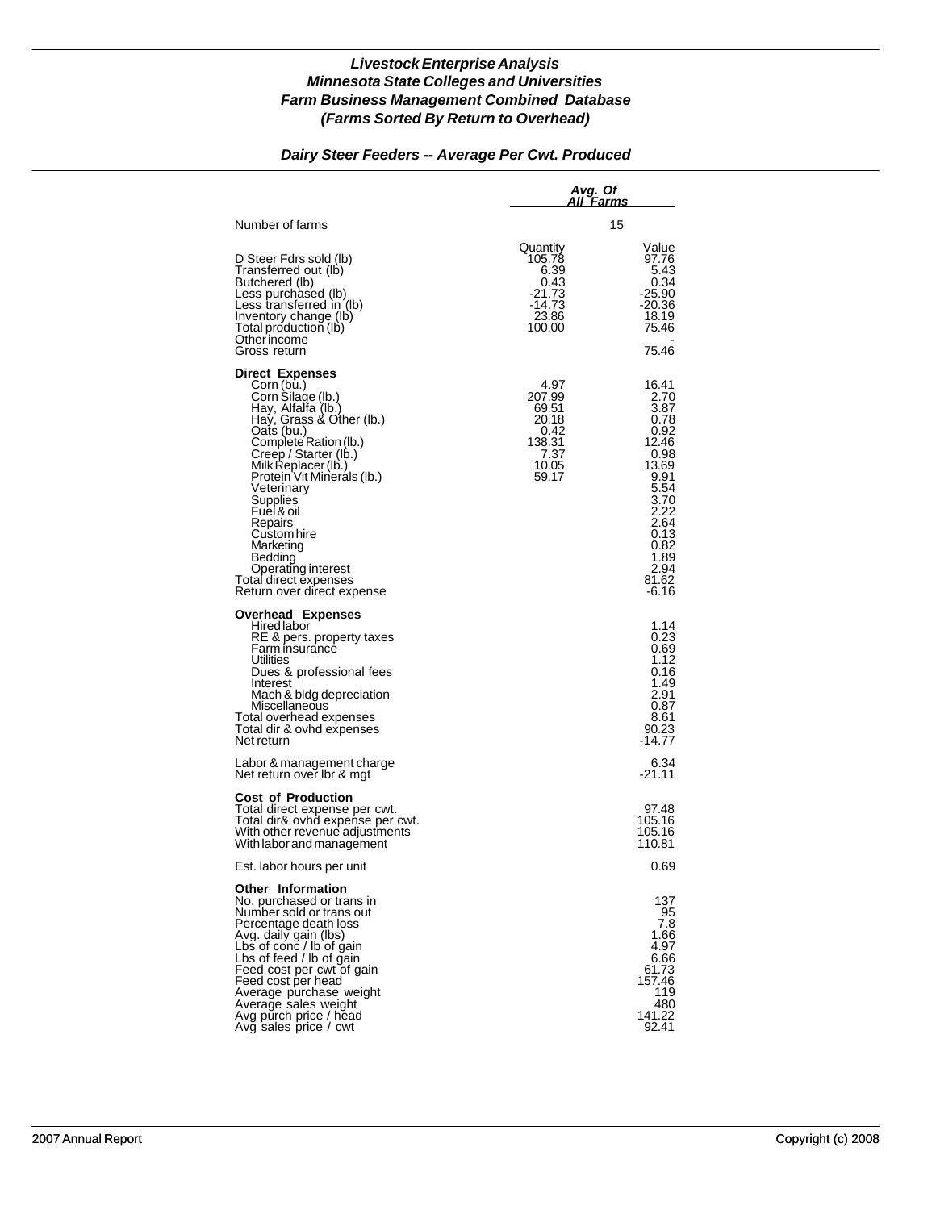### *Dairy Steer Feeders -- Average Per Cwt. Produced*

|                                                                                                                                                                                                                                                                                                                                                                                                         | Avg. Of<br>All Farms                                                         |                                                                                                                                                           |  |  |
|---------------------------------------------------------------------------------------------------------------------------------------------------------------------------------------------------------------------------------------------------------------------------------------------------------------------------------------------------------------------------------------------------------|------------------------------------------------------------------------------|-----------------------------------------------------------------------------------------------------------------------------------------------------------|--|--|
| Number of farms                                                                                                                                                                                                                                                                                                                                                                                         |                                                                              | 15                                                                                                                                                        |  |  |
| D Steer Fdrs sold (lb)<br>Transferred out (lb)<br>Butchered (lb)<br>Less purchased (lb)<br>Less transferred in (lb)<br>Inventory change (lb)<br>Total production (lb)<br>Other income<br>Gross return                                                                                                                                                                                                   | Quantity<br>105.78<br>6.39<br>0.43<br>-21.73<br>-14.73<br>23.86<br>100.00    | Value<br>97.76<br>5.43<br>0.34<br>-25.90<br>$-20.36$<br>18.19<br>75.46<br>75.46                                                                           |  |  |
| <b>Direct Expenses</b><br>Corn (bu.)<br>Corn Silage (lb.)<br>Hay, Alfalfa (lb.)<br>Hay, Grass & Other (lb.)<br>Oats (bu.)<br>Complete Ration (lb.)<br>Creep / Starter (Ib.)<br>Milk Replacer (lb.)<br>Protein Vit Minerals (Ib.)<br>Veterinary<br>Supplies<br>Fuel & oil<br>Repairs<br>Custom hire<br>Marketing<br>Bedding<br>Operating interest<br>Total direct expenses<br>Return over direct expense | 4.97<br>207.99<br>69.51<br>20.18<br>0.42<br>138.31<br>7.37<br>10.05<br>59.17 | 16.41<br>2.70<br>3.87<br>0.78<br>0.92<br>12.46<br>0.98<br>13.69<br>9.91<br>5.54<br>3.70<br>2.22<br>2.64<br>0.13<br>0.82<br>1.89<br>2.94<br>81.62<br>-6.16 |  |  |
| <b>Overhead Expenses</b><br>Hired labor<br>RE & pers. property taxes<br>Farm insurance<br>Utilities<br>Dues & professional fees<br>Interest<br>Mach & bidg depreciation<br>Miscellaneous<br>Total overhead expenses<br>Total dir & ovhd expenses<br>Net return                                                                                                                                          |                                                                              | 1.14<br>0.23<br>0.69<br>1.12<br>0.16<br>1.49<br>2.91<br>0.87<br>8.61<br>90.23<br>-14.77                                                                   |  |  |
| Labor & management charge<br>Net return over Ibr & mgt                                                                                                                                                                                                                                                                                                                                                  |                                                                              | 6.34<br>-21.11                                                                                                                                            |  |  |
| <b>Cost of Production</b><br>Total direct expense per cwt.<br>Total dir& ovhd expense per cwt.<br>With other revenue adjustments<br>With labor and management                                                                                                                                                                                                                                           |                                                                              | 97.48<br>105.16<br>105.16<br>110.81                                                                                                                       |  |  |
| Est. labor hours per unit                                                                                                                                                                                                                                                                                                                                                                               |                                                                              | 0.69                                                                                                                                                      |  |  |
| <b>Other Information</b><br>No. purchased or trans in<br>Number sold or trans out<br>Percentage death loss<br>Avg. daily gain (lbs)<br>Lbs of conc / lb of gain<br>Lbs of feed / lb of gain<br>Feed cost per cwt of gain<br>Feed cost per head<br>Average purchase weight<br>Average sales weight<br>Avg purch price / head<br>Avg sales price / cwt                                                    |                                                                              | 137<br>95<br>7.8<br>1.66<br>4.97<br>6.66<br>61.73<br>157.46<br>119<br>480<br>141.22<br>92.41                                                              |  |  |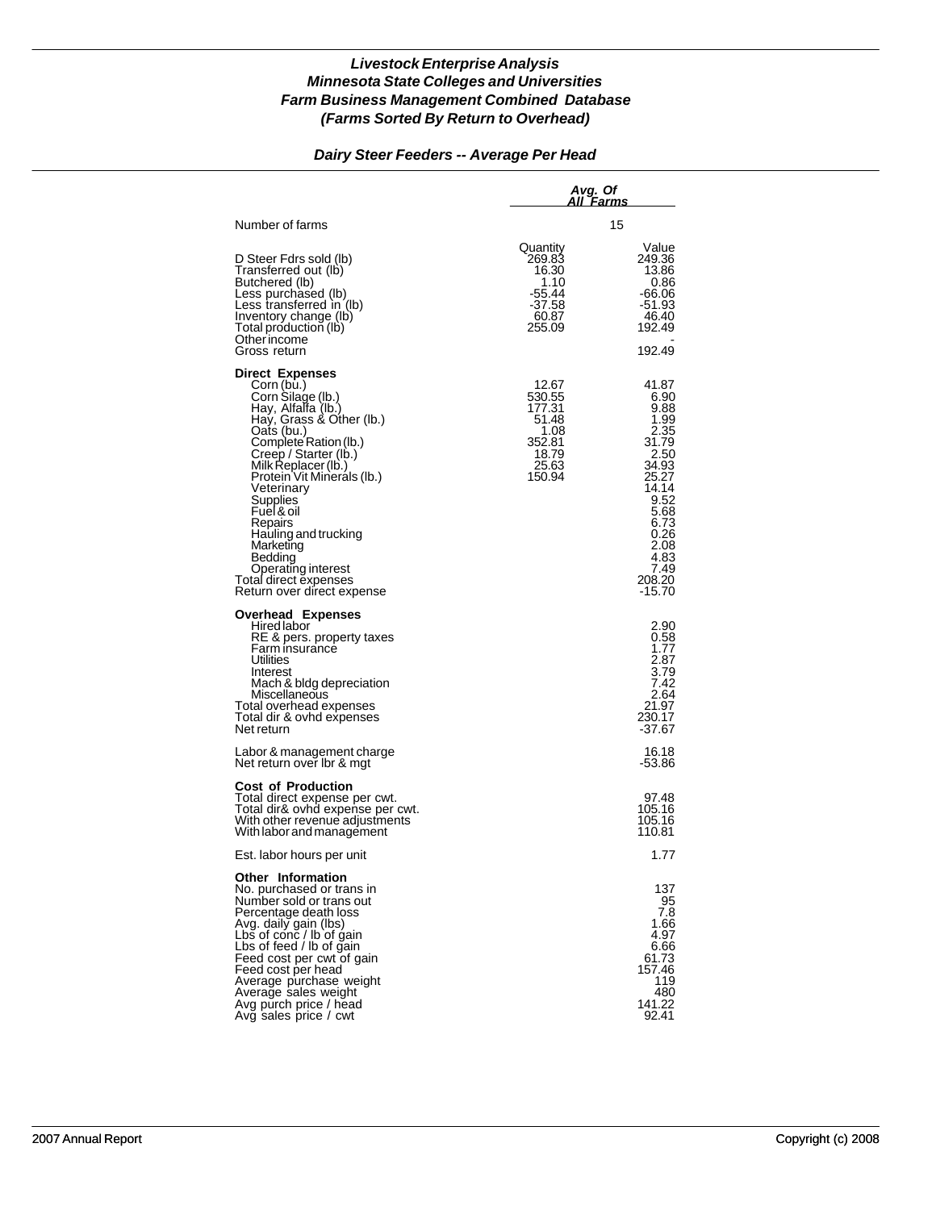#### *Dairy Steer Feeders -- Average Per Head*

|                                                                                                                                                                                                                                                                                                                                                                                               | Avg. Of<br>All Farms                                                             |                                                                                                                                                               |
|-----------------------------------------------------------------------------------------------------------------------------------------------------------------------------------------------------------------------------------------------------------------------------------------------------------------------------------------------------------------------------------------------|----------------------------------------------------------------------------------|---------------------------------------------------------------------------------------------------------------------------------------------------------------|
| Number of farms                                                                                                                                                                                                                                                                                                                                                                               |                                                                                  | 15                                                                                                                                                            |
| D Steer Fdrs sold (lb)<br>Transferred out (lb)<br>Butchered (lb)<br>Less purchased (lb)<br>Less transferred in (lb)<br>Inventory change (lb)<br>Total production (lb)<br>Other income<br>Gross return                                                                                                                                                                                         | Quantity<br>269.83<br>16.30<br>1.10<br>-55.44<br>-37.58<br>60.87<br>255.09       | Value<br>249.36<br>13.86<br>0.86<br>-66.06<br>-51.93<br>46.40<br>192.49<br>192.49                                                                             |
| <b>Direct Expenses</b>                                                                                                                                                                                                                                                                                                                                                                        |                                                                                  |                                                                                                                                                               |
| Corn (bu.)<br>Corn Silage (lb.)<br>Hay, Alfalfa (lb.)<br>Hay, Grass & Other (lb.)<br>Oats (bu.)<br>Complete Ration (lb.)<br>Creep / Starter (lb.)<br>Milk Replacer (lb.)<br>Protein Vit Minerals (Ib.)<br>Veterinary<br><b>Supplies</b><br>Fuel & oil<br>Repairs<br>Hauling and trucking<br>Marketing<br>Bedding<br>Operating interest<br>Total direct expenses<br>Return over direct expense | 12.67<br>530.55<br>177.31<br>51.48<br>1.08<br>352.81<br>18.79<br>25.63<br>150.94 | 41.87<br>6.90<br>9.88<br>1.99<br>2.35<br>31.79<br>2.50<br>34.93<br>25.27<br>14.14<br>9.52<br>5.68<br>6.73<br>0.26<br>2.08<br>4.83<br>7.49<br>208.20<br>-15.70 |
| <b>Overhead Expenses</b><br>Hired labor<br>RE & pers. property taxes<br>Farm insurance<br>Utilities<br>Interest<br>Mach & bldg depreciation<br>Miscellaneous<br>Total overhead expenses<br>Total dir & ovhd expenses<br>Net return                                                                                                                                                            |                                                                                  | 2.90<br>0.58<br>1.77<br>2.87<br>3.79<br>7.42<br>2.64<br>21.97<br>230.17<br>-37.67                                                                             |
| Labor & management charge<br>Net return over Ibr & mgt                                                                                                                                                                                                                                                                                                                                        |                                                                                  | 16.18<br>-53.86                                                                                                                                               |
| <b>Cost of Production</b><br>Total direct expense per cwt.<br>Total dir& ovhd expense per cwt.<br>With other revenue adjustments<br>With labor and management                                                                                                                                                                                                                                 |                                                                                  | 97.48<br>105.16<br>105.16<br>110.81                                                                                                                           |
| Est. labor hours per unit                                                                                                                                                                                                                                                                                                                                                                     |                                                                                  | 1.77                                                                                                                                                          |
| <b>Other Information</b><br>No. purchased or trans in<br>Number sold or trans out<br>Percentage death loss<br>Avg. daily gain (lbs)<br>Lbs of conc / lb of gain<br>Lbs of feed / lb of gain<br>Feed cost per cwt of gain<br>Feed cost per head<br>Average purchase weight<br>Average sales weight<br>Avg purch price / head<br>Avg sales price / cwt                                          |                                                                                  | 137<br>95<br>7.8<br>1.66<br>4.97<br>6.66<br>61.73<br>157.46<br>119<br>480<br>141.22<br>92.41                                                                  |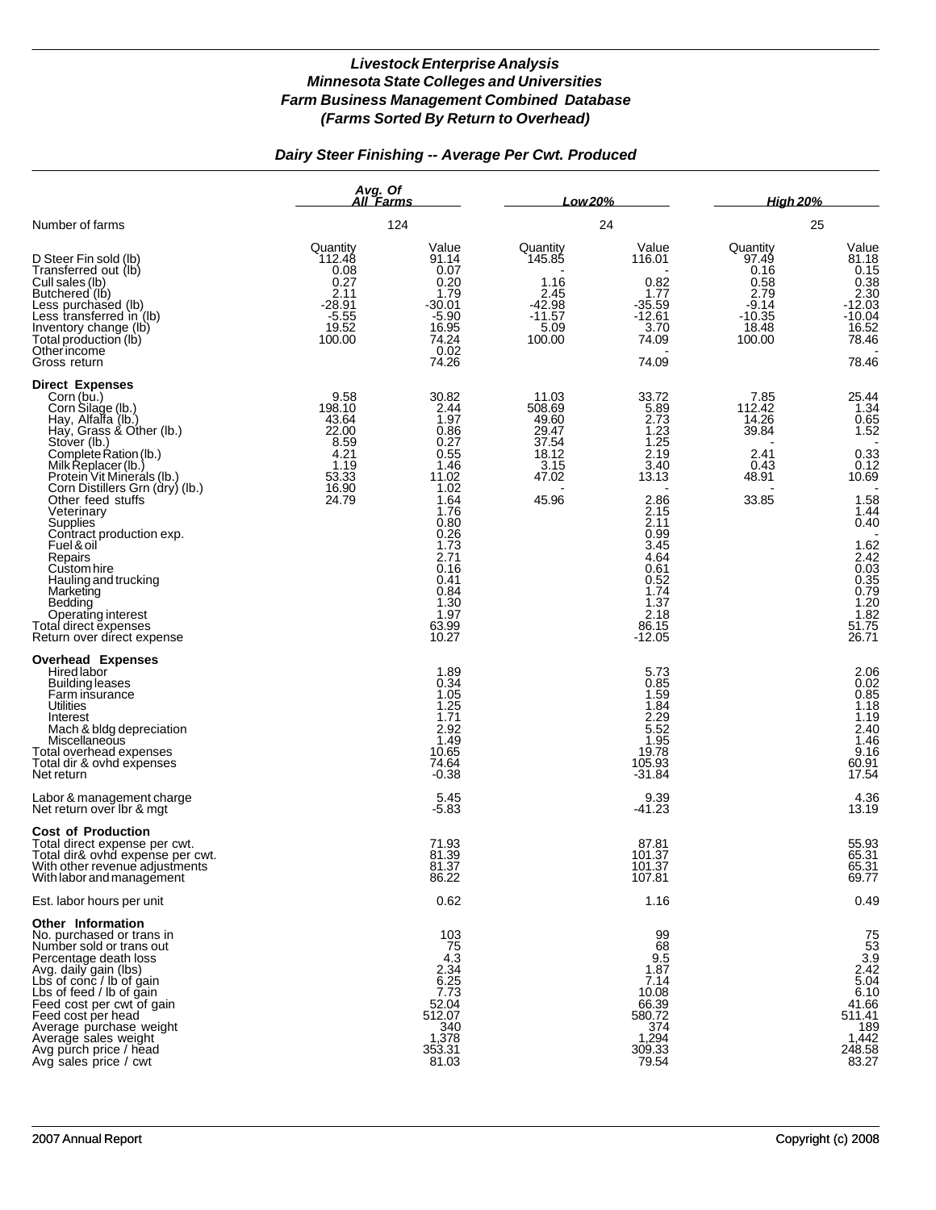# *Dairy Steer Finishing -- Average Per Cwt. Produced*

|                                                                                                                                                                                                                                                                                                                                                                                                                                                                                              | Avg. Of<br>All Farms<br>124                                                          |                                                                                                                                                                                  | Low 20%<br>24                                                                 |                                                                                                                                                                             | <b>High 20%</b><br>25                                                               |                                                                                                                                                                                      |
|----------------------------------------------------------------------------------------------------------------------------------------------------------------------------------------------------------------------------------------------------------------------------------------------------------------------------------------------------------------------------------------------------------------------------------------------------------------------------------------------|--------------------------------------------------------------------------------------|----------------------------------------------------------------------------------------------------------------------------------------------------------------------------------|-------------------------------------------------------------------------------|-----------------------------------------------------------------------------------------------------------------------------------------------------------------------------|-------------------------------------------------------------------------------------|--------------------------------------------------------------------------------------------------------------------------------------------------------------------------------------|
| Number of farms                                                                                                                                                                                                                                                                                                                                                                                                                                                                              |                                                                                      |                                                                                                                                                                                  |                                                                               |                                                                                                                                                                             |                                                                                     |                                                                                                                                                                                      |
| D Steer Fin sold (lb)<br>Transferred out (lb)<br>Cull sales (lb)<br>Butchered (lb)<br>Less purchased (lb)<br>Less transferred in (lb)<br>Inventory change (lb)<br>Total production (lb)<br>Otherincome<br>Gross return                                                                                                                                                                                                                                                                       | Quantity<br>112.48<br>0.08<br>0.27<br>2.11<br>$-28.91$<br>$-5.55$<br>19.52<br>100.00 | Value<br>91.14<br>0.07<br>0.20<br>1.79<br>$-30.01$<br>$-5.90$<br>16.95<br>74.24<br>0.02<br>74.26                                                                                 | Quantity<br>145.85<br>1.16<br>2.45<br>$-42.98$<br>$-11.57$<br>5.09<br>100.00  | Value<br>116.01<br>0.82<br>1.77<br>$-35.59$<br>$-12.61$<br>3.70<br>74.09<br>74.09                                                                                           | Quantity<br>97.49<br>0.16<br>0.58<br>2.79<br>$-9.14$<br>$-10.35$<br>18.48<br>100.00 | Value<br>81.18<br>0.15<br>0.38<br>2.30<br>$-12.03$<br>$-10.04$<br>16.52<br>78.46<br>78.46                                                                                            |
| <b>Direct Expenses</b><br>Corn (bu.)<br>Corn Silage (lb.)<br>Hay, Alfalfa (lb.)<br>Hay, Grass & Other (lb.)<br>Stover (lb.)<br>Complete Ration (lb.)<br>Milk Replacer (lb.)<br>Protein Vit Minerals (lb.)<br>Corn Distillers Grn (dry) (lb.)<br>Other feed stuffs<br>Veterinary<br>Supplies<br>Contract production exp.<br>Fuel & oil<br>Repairs<br>Custom hire<br>Hauling and trucking<br>Marketing<br>Bedding<br>Operating interest<br>Total direct expenses<br>Return over direct expense | 9.58<br>198.10<br>43.64<br>22.00<br>8.59<br>4.21<br>1.19<br>53.33<br>16.90<br>24.79  | 30.82<br>2.44<br>1.97<br>0.86<br>0.27<br>0.55<br>1.46<br>11.02<br>1.02<br>1.64<br>1.76<br>0.80<br>0.26<br>1.73<br>2.71<br>0.16<br>0.41<br>0.84<br>1.30<br>1.97<br>63.99<br>10.27 | 11.03<br>508.69<br>49.60<br>29.47<br>37.54<br>18.12<br>3.15<br>47.02<br>45.96 | 33.72<br>5.89<br>2.73<br>1.23<br>1.25<br>2.19<br>3.40<br>13.13<br>2.86<br>2.15<br>2.11<br>0.99<br>3.45<br>4.64<br>0.61<br>0.52<br>1.74<br>1.37<br>2.18<br>86.15<br>$-12.05$ | 7.85<br>112.42<br>14.26<br>39.84<br>2.41<br>0.43<br>48.91<br>33.85                  | 25.44<br>1.34<br>0.65<br>1.52<br>$0.33$<br>$0.12$<br>10.69<br>1.58<br>1.44<br>0.40<br>$1.62$<br>$2.42$<br>$0.03$<br>$0.35$<br>$0.79$<br>$1.20$<br>$1.82$<br>$51.75$<br>$26$<br>26.71 |
| <b>Overhead Expenses</b><br>Hired labor<br><b>Building leases</b><br>Farm insurance<br>Utilities<br>Interest<br>Mach & bldg depreciation<br>Miscellaneous<br>Total overhead expenses<br>Total dir & ovhd expenses<br>Net return<br>Labor & management charge                                                                                                                                                                                                                                 |                                                                                      | 1.89<br>0.34<br>1.05<br>1.25<br>1.71<br>2.92<br>1.49<br>10.65<br>74.64<br>$-0.38$<br>5.45                                                                                        |                                                                               | 5.73<br>0.85<br>1.59<br>1.84<br>$2.\overline{29}$<br>5.52<br>1.95<br>19.78<br>105.93<br>$-31.84$<br>9.39                                                                    |                                                                                     | 2.06<br>$\begin{array}{c} 0.02 \\ 0.85 \\ 1.18 \end{array}$<br>1.19<br>$2.40$<br>1.46<br>9.16<br>60.91<br>17.54<br>4.36                                                              |
| Net return over Ibr & mgt<br><b>Cost of Production</b><br>Total direct expense per cwt.<br>Total dir& ovhd expense per cwt.<br>With other revenue adjustments<br>With labor and management                                                                                                                                                                                                                                                                                                   |                                                                                      | $-5.83$<br>71.93<br>81.39<br>81.37<br>86.22                                                                                                                                      |                                                                               | $-41.23$<br>87.81<br>101.37<br>101.37<br>107.81                                                                                                                             |                                                                                     | 13.19<br>55.93<br>65.31<br>65.31<br>69.77                                                                                                                                            |
| Est. labor hours per unit                                                                                                                                                                                                                                                                                                                                                                                                                                                                    |                                                                                      | 0.62                                                                                                                                                                             |                                                                               | 1.16                                                                                                                                                                        |                                                                                     | 0.49                                                                                                                                                                                 |
| Other Information<br>No. purchased or trans in<br>Number sold or trans out<br>Percentage death loss<br>Avg. daily gain (lbs)<br>Lbs of conc / lb of gain<br>Lbs of feed / lb of gain<br>Feed cost per cwt of gain<br>Feed cost per head<br>Average purchase weight<br>Average sales weight<br>Avg purch price / head<br>Avg sales price / cwt                                                                                                                                                |                                                                                      | 103<br>75<br>$4.\overline{3}$<br>2.34<br>6.25<br>7.73<br>52.04<br>512.07<br>340<br>1,378<br>353.31<br>81.03                                                                      |                                                                               | 99<br>68<br>9.5<br>1.87<br>7.14<br>10.08<br>66.39<br>580.72<br>374<br>1,294<br>309.33<br>79.54                                                                              |                                                                                     | $75$<br>$53$<br>$3.9$<br>$2.42$<br>$5.04$<br>6.10<br>41.66<br>511.41<br>189<br>1,442<br>248.58<br>83.27                                                                              |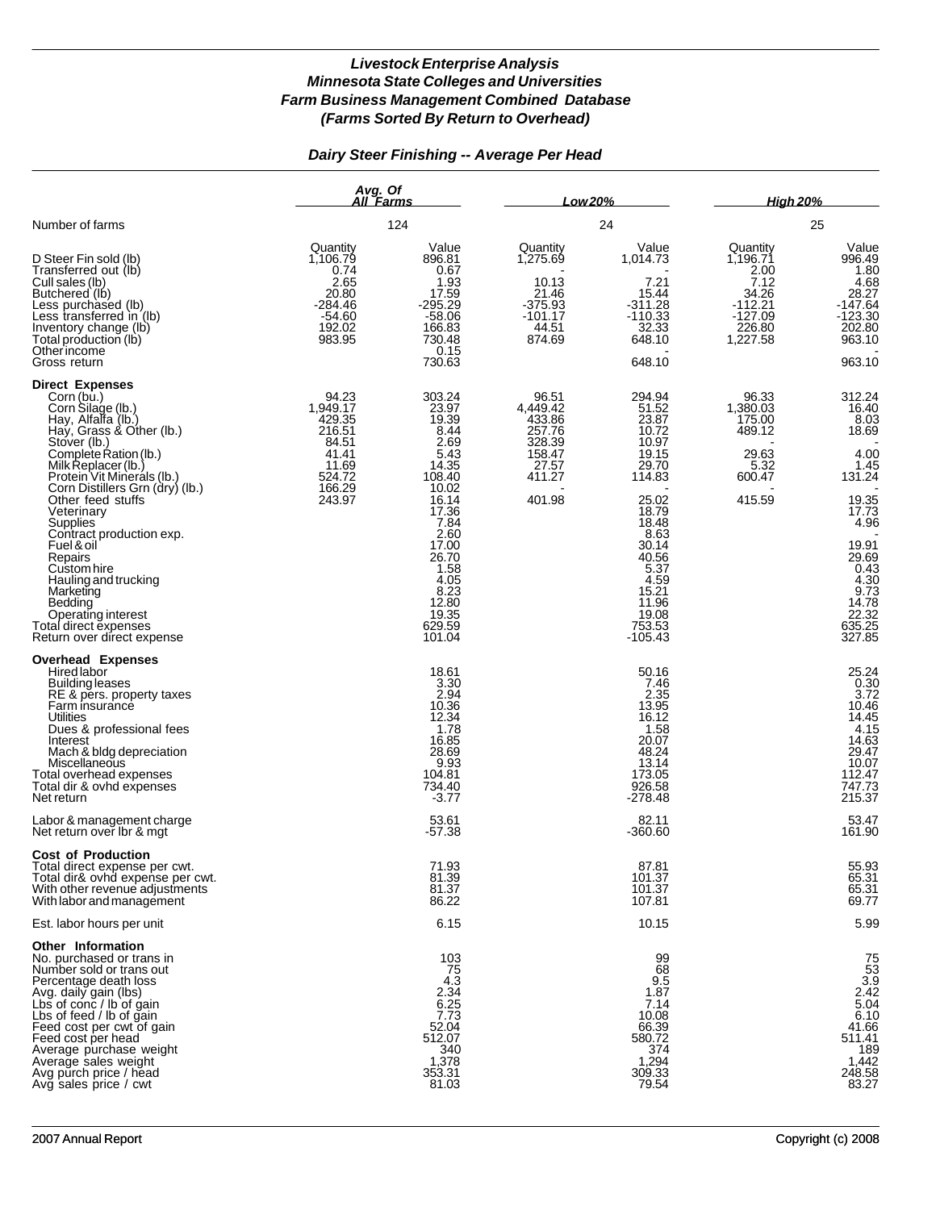## *Dairy Steer Finishing -- Average Per Head*

|                                                                                                                                                                                                                                                                                                                                                                                                                                                                                              | Avg. Of<br>All Farms<br>124                                                                    |                                                                                                                                                                                                | <u>Low 20% </u><br>24                                                                  |                                                                                                                                                                                               | <b>High 20%</b><br>25                                                                         |                                                                                                                                                                                       |
|----------------------------------------------------------------------------------------------------------------------------------------------------------------------------------------------------------------------------------------------------------------------------------------------------------------------------------------------------------------------------------------------------------------------------------------------------------------------------------------------|------------------------------------------------------------------------------------------------|------------------------------------------------------------------------------------------------------------------------------------------------------------------------------------------------|----------------------------------------------------------------------------------------|-----------------------------------------------------------------------------------------------------------------------------------------------------------------------------------------------|-----------------------------------------------------------------------------------------------|---------------------------------------------------------------------------------------------------------------------------------------------------------------------------------------|
| Number of farms                                                                                                                                                                                                                                                                                                                                                                                                                                                                              |                                                                                                |                                                                                                                                                                                                |                                                                                        |                                                                                                                                                                                               |                                                                                               |                                                                                                                                                                                       |
| D Steer Fin sold (lb)<br>Transferred out (lb)<br>Cull sales (lb)<br>Butchered (lb)<br>Less purchased (lb)<br>Less transferred in (lb)<br>Inventory change (lb)<br>Total production (lb)<br>Other income<br>Gross return                                                                                                                                                                                                                                                                      | Quantity<br>1,106.79<br>0.74<br>2.65<br>20.80<br>$-284.46$<br>$-54.60$<br>192.02<br>983.95     | Value<br>896.81<br>0.67<br>1.93<br>17.59<br>$-295.29$<br>$-58.06$<br>166.83<br>730.48<br>0.15<br>730.63                                                                                        | Quantity<br>1,275.69<br>10.13<br>21.46<br>$-375.93$<br>$-101.17$<br>44.51<br>874.69    | Value<br>1,014.73<br>7.21<br>15.44<br>$-311.28$<br>$-110.33$<br>32.33<br>648.10<br>648.10                                                                                                     | Quantity<br>1,196.71<br>2.00<br>7.12<br>34.26<br>$-112.21$<br>$-127.09$<br>226.80<br>1,227.58 | Value<br>996.49<br>1.80<br>4.68<br>28.27<br>$-147.64$<br>$-123.30$<br>202.80<br>963.10<br>963.10                                                                                      |
| <b>Direct Expenses</b><br>Corn (bu.)<br>Corn Silage (lb.)<br>Hay, Alfalfa (lb.)<br>Hay, Grass & Other (lb.)<br>Stover (lb.)<br>Complete Ration (lb.)<br>Milk Replacer (lb.)<br>Protein Vit Minerals (lb.)<br>Corn Distillers Grn (dry) (lb.)<br>Other feed stuffs<br>Veterinary<br>Supplies<br>Contract production exp.<br>Fuel & oil<br>Repairs<br>Custom hire<br>Hauling and trucking<br>Marketing<br>Bedding<br>Operating interest<br>Total direct expenses<br>Return over direct expense | 94.23<br>1,949.17<br>429.35<br>216.51<br>84.51<br>41.41<br>11.69<br>524.72<br>166.29<br>243.97 | 303.24<br>23.97<br>19.39<br>8.44<br>2.69<br>5.43<br>14.35<br>108.40<br>10.02<br>16.14<br>17.36<br>7.84<br>2.60<br>17.00<br>26.70<br>1.58<br>4.05<br>8.23<br>12.80<br>19.35<br>629.59<br>101.04 | 96.51<br>4,449.42<br>433.86<br>257.76<br>328.39<br>158.47<br>27.57<br>411.27<br>401.98 | 294.94<br>51.52<br>23.87<br>10.72<br>10.97<br>19.15<br>29.70<br>114.83<br>25.02<br>18.79<br>18.48<br>8.63<br>30.14<br>40.56<br>5.37<br>4.59<br>15.21<br>11.96<br>19.08<br>753.53<br>$-105.43$ | 96.33<br>1,380.03<br>175.00<br>489.12<br>29.63<br>5.32<br>600.47<br>415.59                    | 312.24<br>16.40<br>8.03<br>18.69<br>4.00<br>1.45<br>131.24<br>19.35<br>17.73<br>4.96<br>19.91<br>29.69<br>$\frac{0.43}{4.30}$<br>$9.73$<br>$14.78$<br>$22.32$<br>$635.25$<br>$327.85$ |
| <b>Overhead Expenses</b><br><b>Hired labor</b><br><b>Building leases</b><br>RE & pers. property taxes<br>Farm insurance<br>Utilities<br>Dues & professional fees<br>Interest<br>Mach & bldg depreciation<br>Miscellaneous<br>Total overhead expenses<br>Total dir & ovhd expenses<br>Net return<br>Labor & management charge                                                                                                                                                                 |                                                                                                | 18.61<br>3.30<br>2.94<br>10.36<br>12.34<br>1.78<br>16.85<br>28.69<br>9.93<br>104.81<br>734.40<br>$-3.77$<br>53.61                                                                              |                                                                                        | 50.16<br>7.46<br>2.35<br>13.95<br>16.12<br>1.58<br>20.07<br>48.24<br>13.14<br>173.05<br>926.58<br>$-278.48$<br>82.11                                                                          |                                                                                               | 25.24<br>0.30<br>$3.72$<br>10.46<br>14.45<br>$4.15$<br>14.63<br>29.47<br>10.07<br>112.47<br>747.73<br>215.37<br>53.47                                                                 |
| Net return over Ibr & mgt                                                                                                                                                                                                                                                                                                                                                                                                                                                                    |                                                                                                | -57.38                                                                                                                                                                                         |                                                                                        | -360.60                                                                                                                                                                                       |                                                                                               | 161.90                                                                                                                                                                                |
| <b>Cost of Production</b><br>Total direct expense per cwt.<br>Total dir& ovhd expense per cwt.<br>With other revenue adjustments<br>With labor and management                                                                                                                                                                                                                                                                                                                                |                                                                                                | 71.93<br>81.39<br>81.37<br>86.22                                                                                                                                                               |                                                                                        | 87.81<br>101.37<br>101.37<br>107.81                                                                                                                                                           |                                                                                               | 55.93<br>65.31<br>65.31<br>69.77                                                                                                                                                      |
| Est. labor hours per unit                                                                                                                                                                                                                                                                                                                                                                                                                                                                    |                                                                                                | 6.15                                                                                                                                                                                           |                                                                                        | 10.15                                                                                                                                                                                         |                                                                                               | 5.99                                                                                                                                                                                  |
| <b>Other Information</b><br>No. purchased or trans in<br>Number sold or trans out<br>Percentage death loss<br>Avg. daily gain (lbs)<br>Lbs of conc / lb of gain<br>Lbs of feed / lb of gain<br>Feed cost per cwt of gain<br>Feed cost per head<br>Average purchase weight<br>Average sales weight<br>Avg purch price / head<br>Avg sales price / cwt                                                                                                                                         |                                                                                                | 103<br>$\frac{75}{4.3}$<br>2.34<br>6.25<br>$7.\overline{7}3$<br>52.04<br>512.07<br>340<br>1,378<br>353.31<br>81.03                                                                             |                                                                                        | 99<br>68<br>9.5<br>1.87<br>7.14<br>10.08<br>66.39<br>580.72<br>374<br>1,294<br>309.33<br>79.54                                                                                                |                                                                                               | $75\n53\n3.9\n2.42\n5.04$<br>$6.10$<br>41.66<br>511.41<br>$\begin{array}{r} 189 \\ 1,442 \\ 248.58 \end{array}$<br>83.27                                                              |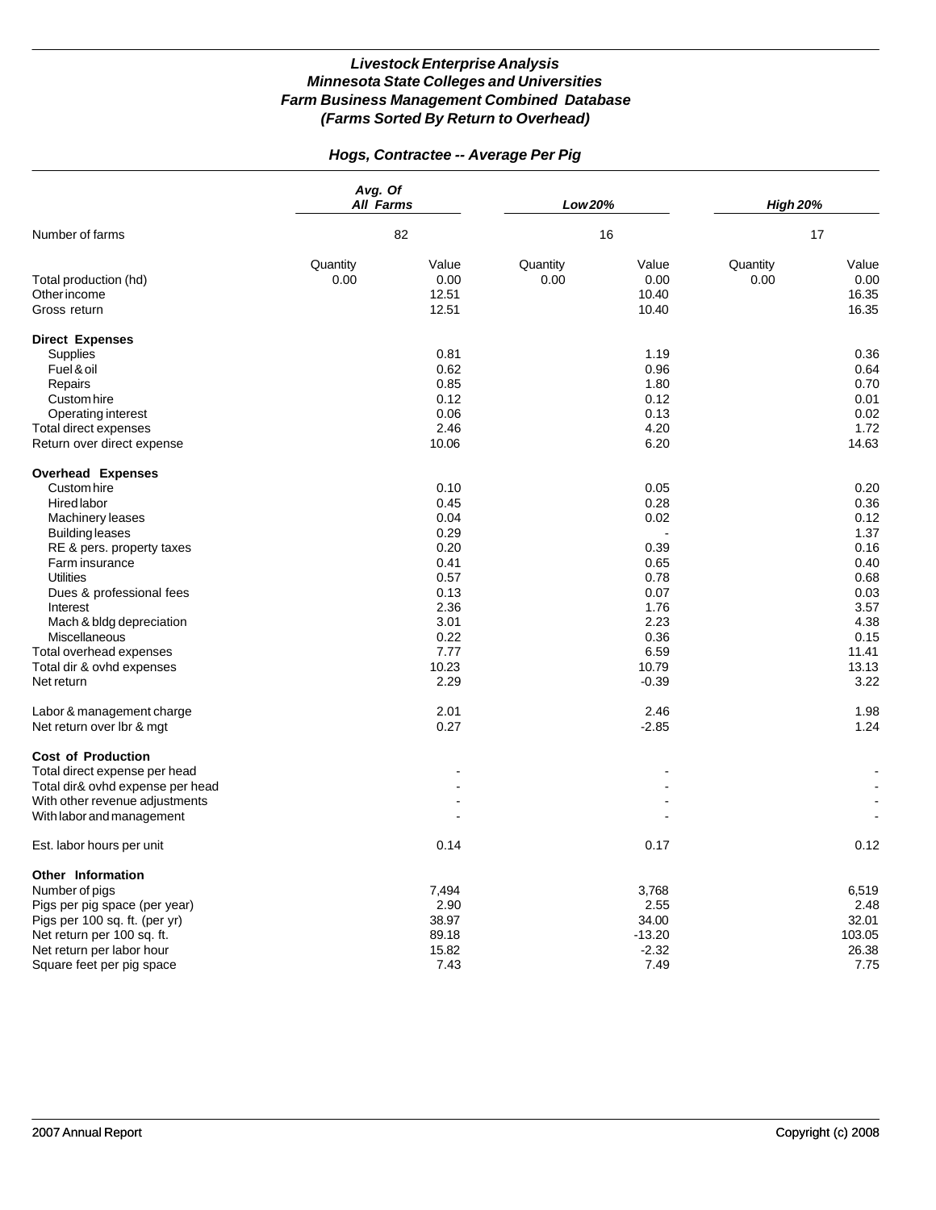# *Hogs, Contractee -- Average Per Pig*

|                                                       | Avg. Of<br><b>All Farms</b><br>82 |                                 | Low 20%          |                                 | <b>High 20%</b>  |                                 |
|-------------------------------------------------------|-----------------------------------|---------------------------------|------------------|---------------------------------|------------------|---------------------------------|
| Number of farms                                       |                                   |                                 |                  | 16                              |                  | 17                              |
| Total production (hd)<br>Other income<br>Gross return | Quantity<br>0.00                  | Value<br>0.00<br>12.51<br>12.51 | Quantity<br>0.00 | Value<br>0.00<br>10.40<br>10.40 | Quantity<br>0.00 | Value<br>0.00<br>16.35<br>16.35 |
| <b>Direct Expenses</b>                                |                                   |                                 |                  |                                 |                  |                                 |
| Supplies                                              |                                   | 0.81                            |                  | 1.19                            |                  | 0.36                            |
| Fuel & oil                                            |                                   | 0.62                            |                  | 0.96                            |                  | 0.64                            |
| Repairs                                               |                                   | 0.85                            |                  | 1.80                            |                  | 0.70                            |
| Custom hire                                           |                                   | 0.12                            |                  | 0.12                            |                  | 0.01                            |
| Operating interest                                    |                                   | 0.06                            |                  | 0.13                            |                  | 0.02                            |
| Total direct expenses                                 |                                   | 2.46                            |                  | 4.20                            |                  | 1.72                            |
| Return over direct expense                            |                                   | 10.06                           |                  | 6.20                            |                  | 14.63                           |
| <b>Overhead Expenses</b>                              |                                   |                                 |                  |                                 |                  |                                 |
| Custom hire                                           |                                   | 0.10                            |                  | 0.05                            |                  | 0.20                            |
| Hired labor                                           |                                   | 0.45                            |                  | 0.28                            |                  | 0.36                            |
| Machinery leases                                      |                                   | 0.04                            |                  | 0.02                            |                  | 0.12                            |
| <b>Building leases</b>                                |                                   | 0.29                            |                  |                                 |                  | 1.37                            |
| RE & pers. property taxes                             |                                   | 0.20                            |                  | 0.39                            |                  | 0.16                            |
| Farm insurance                                        |                                   | 0.41                            |                  | 0.65                            |                  | 0.40                            |
| <b>Utilities</b>                                      |                                   | 0.57                            |                  | 0.78                            |                  | 0.68                            |
| Dues & professional fees                              |                                   | 0.13                            |                  | 0.07                            |                  | 0.03                            |
| Interest                                              |                                   | 2.36                            |                  | 1.76                            |                  | 3.57                            |
| Mach & bldg depreciation                              |                                   | 3.01                            |                  | 2.23                            |                  | 4.38                            |
| Miscellaneous                                         |                                   | 0.22                            |                  | 0.36                            |                  | 0.15                            |
| Total overhead expenses                               |                                   | 7.77                            |                  | 6.59                            |                  | 11.41                           |
| Total dir & ovhd expenses                             |                                   | 10.23                           |                  | 10.79                           |                  | 13.13                           |
| Net return                                            |                                   | 2.29                            |                  | $-0.39$                         |                  | 3.22                            |
| Labor & management charge                             |                                   | 2.01                            |                  | 2.46                            |                  | 1.98                            |
| Net return over Ibr & mgt                             |                                   | 0.27                            |                  | $-2.85$                         |                  | 1.24                            |
| <b>Cost of Production</b>                             |                                   |                                 |                  |                                 |                  |                                 |
| Total direct expense per head                         |                                   |                                 |                  |                                 |                  |                                 |
| Total dir& ovhd expense per head                      |                                   |                                 |                  |                                 |                  |                                 |
| With other revenue adjustments                        |                                   |                                 |                  |                                 |                  |                                 |
| With labor and management                             |                                   |                                 |                  |                                 |                  |                                 |
| Est. labor hours per unit                             |                                   | 0.14                            |                  | 0.17                            |                  | 0.12                            |
| Other Information                                     |                                   |                                 |                  |                                 |                  |                                 |
| Number of pigs                                        |                                   | 7,494                           |                  | 3,768                           |                  | 6,519                           |
| Pigs per pig space (per year)                         |                                   | 2.90                            |                  | 2.55                            |                  | 2.48                            |
| Pigs per 100 sq. ft. (per yr)                         |                                   | 38.97                           |                  | 34.00                           |                  | 32.01                           |
| Net return per 100 sq. ft.                            |                                   | 89.18                           |                  | $-13.20$                        |                  | 103.05                          |
| Net return per labor hour                             |                                   | 15.82                           |                  | $-2.32$                         |                  | 26.38                           |
| Square feet per pig space                             |                                   | 7.43                            |                  | 7.49                            |                  | 7.75                            |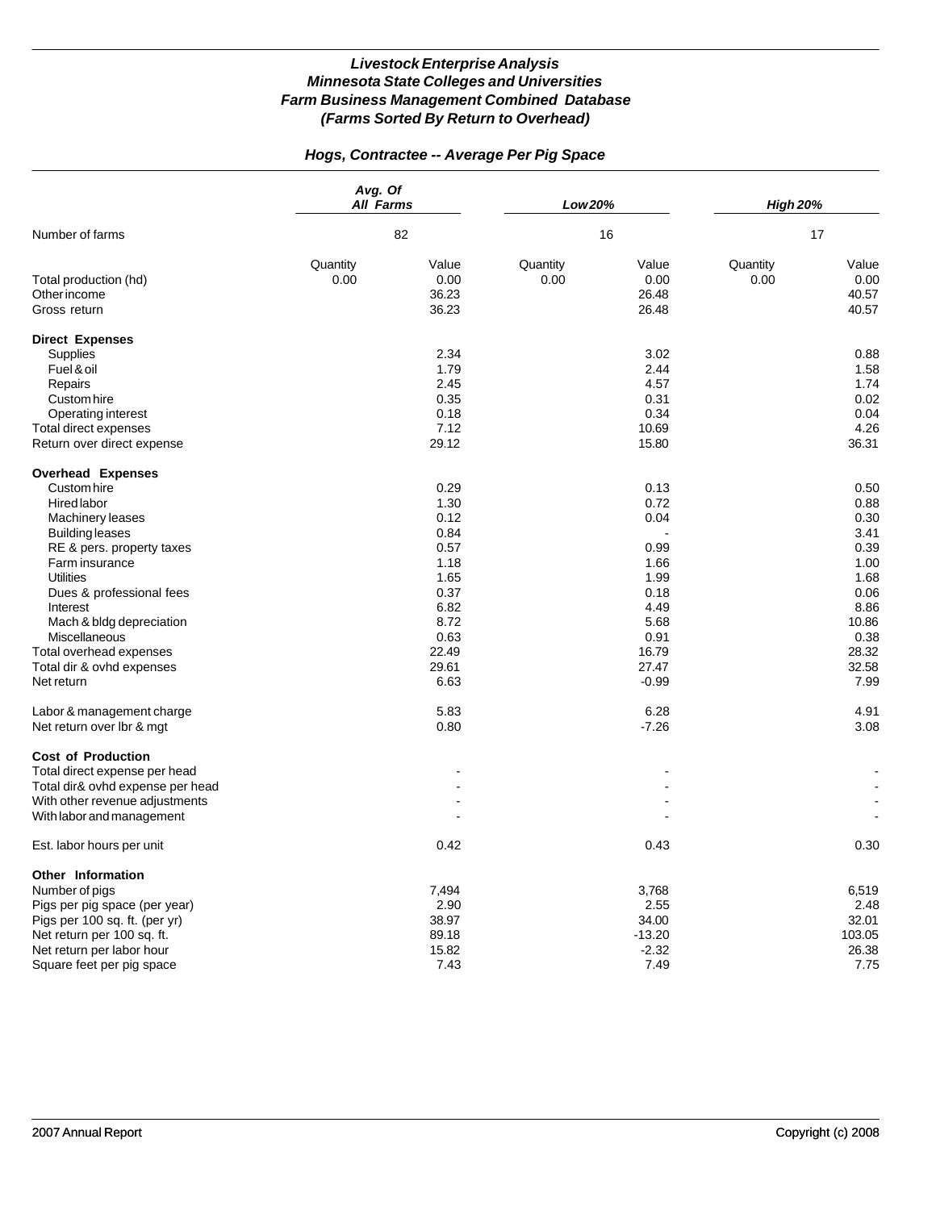# *Hogs, Contractee -- Average Per Pig Space*

|                                                       | Avg. Of<br><b>All Farms</b><br>82 |                                 | Low 20%          |                                 | <b>High 20%</b>  |                                 |
|-------------------------------------------------------|-----------------------------------|---------------------------------|------------------|---------------------------------|------------------|---------------------------------|
| Number of farms                                       |                                   |                                 |                  | 16                              |                  | 17                              |
| Total production (hd)<br>Other income<br>Gross return | Quantity<br>0.00                  | Value<br>0.00<br>36.23<br>36.23 | Quantity<br>0.00 | Value<br>0.00<br>26.48<br>26.48 | Quantity<br>0.00 | Value<br>0.00<br>40.57<br>40.57 |
| <b>Direct Expenses</b>                                |                                   |                                 |                  |                                 |                  |                                 |
| Supplies                                              |                                   | 2.34                            |                  | 3.02                            |                  | 0.88                            |
| Fuel & oil                                            |                                   | 1.79                            |                  | 2.44                            |                  | 1.58                            |
| Repairs                                               |                                   | 2.45                            |                  | 4.57                            |                  | 1.74                            |
| Custom hire                                           |                                   | 0.35                            |                  | 0.31                            |                  | 0.02                            |
| Operating interest                                    |                                   | 0.18                            |                  | 0.34                            |                  | 0.04                            |
| Total direct expenses                                 |                                   | 7.12                            |                  | 10.69                           |                  | 4.26                            |
| Return over direct expense                            |                                   | 29.12                           |                  | 15.80                           |                  | 36.31                           |
| <b>Overhead Expenses</b>                              |                                   |                                 |                  |                                 |                  |                                 |
| Custom hire                                           |                                   | 0.29                            |                  | 0.13                            |                  | 0.50                            |
| Hired labor                                           |                                   | 1.30                            |                  | 0.72                            |                  | 0.88                            |
| <b>Machinery leases</b>                               |                                   | 0.12                            |                  | 0.04                            |                  | 0.30                            |
| <b>Building leases</b>                                |                                   | 0.84                            |                  |                                 |                  | 3.41                            |
| RE & pers. property taxes                             |                                   | 0.57                            |                  | 0.99                            |                  | 0.39                            |
| Farm insurance                                        |                                   | 1.18                            |                  | 1.66                            |                  | 1.00                            |
| <b>Utilities</b>                                      |                                   | 1.65                            |                  | 1.99                            |                  | 1.68                            |
| Dues & professional fees                              |                                   | 0.37                            |                  | 0.18                            |                  | 0.06                            |
| Interest                                              |                                   | 6.82                            |                  | 4.49                            |                  | 8.86                            |
| Mach & bldg depreciation                              |                                   | 8.72                            |                  | 5.68                            |                  | 10.86                           |
| Miscellaneous                                         |                                   | 0.63                            |                  | 0.91                            |                  | 0.38                            |
| Total overhead expenses                               |                                   | 22.49                           |                  | 16.79                           |                  | 28.32                           |
| Total dir & ovhd expenses                             |                                   | 29.61                           |                  | 27.47                           |                  | 32.58                           |
| Net return                                            |                                   | 6.63                            |                  | $-0.99$                         |                  | 7.99                            |
| Labor & management charge                             |                                   | 5.83                            |                  | 6.28                            |                  | 4.91                            |
| Net return over Ibr & mgt                             |                                   | 0.80                            |                  | $-7.26$                         |                  | 3.08                            |
| <b>Cost of Production</b>                             |                                   |                                 |                  |                                 |                  |                                 |
| Total direct expense per head                         |                                   |                                 |                  |                                 |                  |                                 |
| Total dir& ovhd expense per head                      |                                   |                                 |                  |                                 |                  |                                 |
| With other revenue adjustments                        |                                   |                                 |                  |                                 |                  |                                 |
| With labor and management                             |                                   |                                 |                  |                                 |                  |                                 |
| Est. labor hours per unit                             |                                   | 0.42                            |                  | 0.43                            |                  | 0.30                            |
| <b>Other Information</b>                              |                                   |                                 |                  |                                 |                  |                                 |
| Number of pigs                                        |                                   | 7,494                           |                  | 3,768                           |                  | 6,519                           |
| Pigs per pig space (per year)                         |                                   | 2.90                            |                  | 2.55                            |                  | 2.48                            |
| Pigs per 100 sq. ft. (per yr)                         |                                   | 38.97                           |                  | 34.00                           |                  | 32.01                           |
| Net return per 100 sq. ft.                            |                                   | 89.18                           |                  | $-13.20$                        |                  | 103.05                          |
| Net return per labor hour                             |                                   | 15.82                           |                  | $-2.32$                         |                  | 26.38                           |
| Square feet per pig space                             |                                   | 7.43                            |                  | 7.49                            |                  | 7.75                            |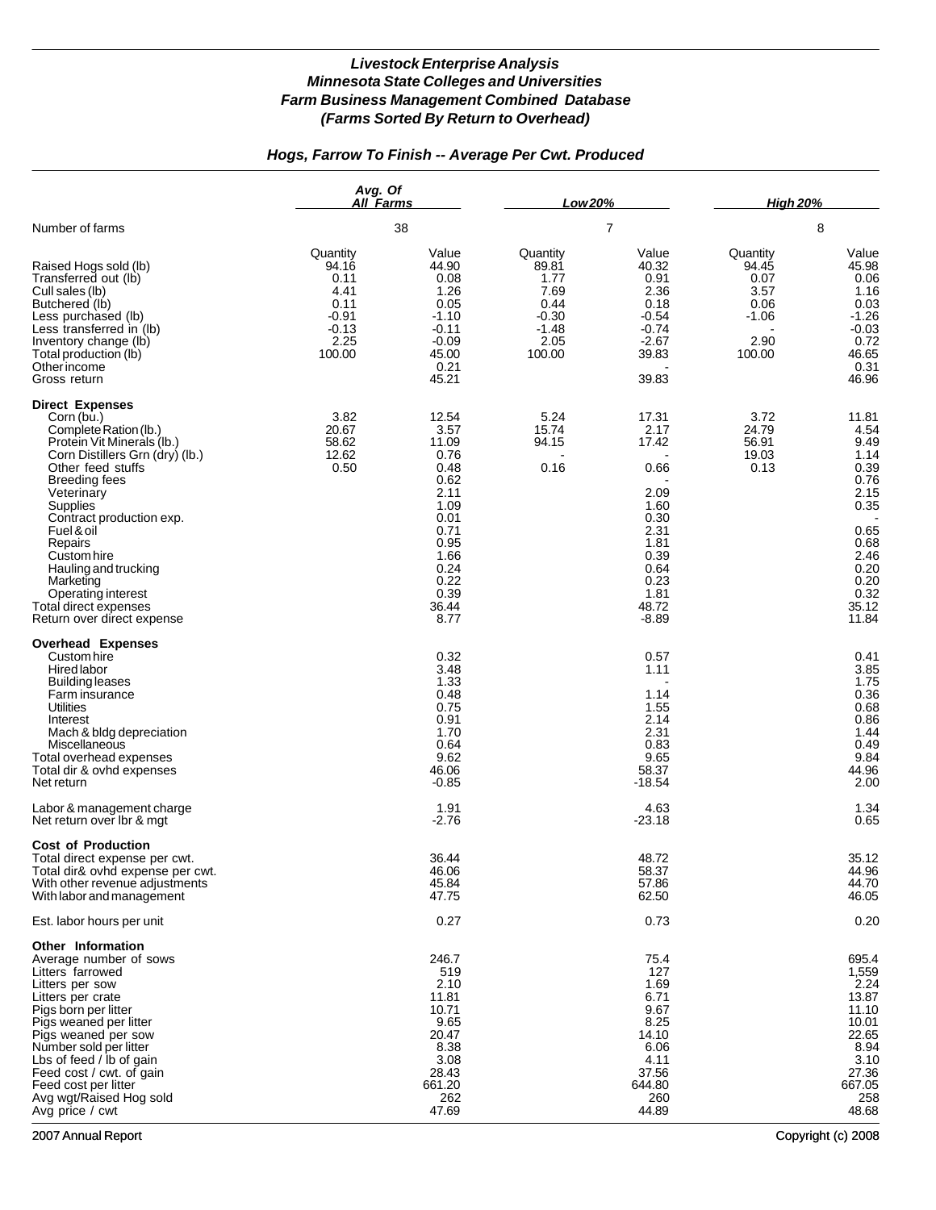## *Hogs, Farrow To Finish -- Average Per Cwt. Produced*

|                                                                                                                                                                                                                                                                                                                                                                                             | Avg. Of<br>All Farms<br>38                                                        |                                                                                                                                         | Low 20%                                                                           |                                                                                                                            | <b>High 20%</b>                                                        |                                                                                                                                 |
|---------------------------------------------------------------------------------------------------------------------------------------------------------------------------------------------------------------------------------------------------------------------------------------------------------------------------------------------------------------------------------------------|-----------------------------------------------------------------------------------|-----------------------------------------------------------------------------------------------------------------------------------------|-----------------------------------------------------------------------------------|----------------------------------------------------------------------------------------------------------------------------|------------------------------------------------------------------------|---------------------------------------------------------------------------------------------------------------------------------|
| Number of farms                                                                                                                                                                                                                                                                                                                                                                             |                                                                                   |                                                                                                                                         | 7                                                                                 |                                                                                                                            | 8                                                                      |                                                                                                                                 |
| Raised Hogs sold (lb)<br>Transferred out (lb)<br>Cull sales (lb)<br>Butchered (lb)<br>Less purchased (lb)<br>Less transferred in (lb)<br>Inventory change (lb)<br>Total production (lb)<br>Other income<br>Gross return                                                                                                                                                                     | Quantity<br>94.16<br>0.11<br>4.41<br>0.11<br>$-0.91$<br>$-0.13$<br>2.25<br>100.00 | Value<br>44.90<br>0.08<br>1.26<br>0.05<br>$-1.10$<br>$-0.11$<br>$-0.09$<br>45.00<br>0.21<br>45.21                                       | Quantity<br>89.81<br>1.77<br>7.69<br>0.44<br>$-0.30$<br>$-1.48$<br>2.05<br>100.00 | Value<br>40.32<br>0.91<br>2.36<br>0.18<br>$-0.54$<br>$-0.74$<br>$-2.67$<br>39.83<br>39.83                                  | Quantity<br>94.45<br>0.07<br>3.57<br>0.06<br>$-1.06$<br>2.90<br>100.00 | Value<br>45.98<br>0.06<br>1.16<br>0.03<br>$-1.26$<br>$-0.03$<br>0.72<br>46.65<br>0.31<br>46.96                                  |
| <b>Direct Expenses</b><br>Corn (bu.)<br>Complete Ration (lb.)<br>Protein Vit Minerals (lb.)<br>Corn Distillers Grn (dry) (lb.)<br>Other feed stuffs<br><b>Breeding fees</b><br>Veterinary<br>Supplies<br>Contract production exp.<br>Fuel & oil<br>Repairs<br>Custom hire<br>Hauling and trucking<br>Marketing<br>Operating interest<br>Total direct expenses<br>Return over direct expense | 3.82<br>20.67<br>58.62<br>12.62<br>0.50                                           | 12.54<br>3.57<br>11.09<br>0.76<br>0.48<br>0.62<br>2.11<br>1.09<br>0.01<br>0.71<br>0.95<br>1.66<br>0.24<br>0.22<br>0.39<br>36.44<br>8.77 | 5.24<br>15.74<br>94.15<br>0.16                                                    | 17.31<br>2.17<br>17.42<br>0.66<br>2.09<br>1.60<br>0.30<br>2.31<br>1.81<br>0.39<br>0.64<br>0.23<br>1.81<br>48.72<br>$-8.89$ | 3.72<br>24.79<br>56.91<br>19.03<br>0.13                                | 11.81<br>4.54<br>9.49<br>1.14<br>0.39<br>0.76<br>2.15<br>0.35<br>0.65<br>0.68<br>2.46<br>0.20<br>0.20<br>0.32<br>35.12<br>11.84 |
| <b>Overhead Expenses</b><br>Custom hire<br><b>Hired labor</b><br>Building leases<br>Farm insurance<br>Utilities<br>Interest<br>Mach & bldg depreciation<br>Miscellaneous<br>Total overhead expenses<br>Total dir & ovhd expenses<br>Net return                                                                                                                                              |                                                                                   | 0.32<br>3.48<br>1.33<br>0.48<br>0.75<br>0.91<br>1.70<br>0.64<br>9.62<br>46.06<br>$-0.85$                                                |                                                                                   | 0.57<br>1.11<br>1.14<br>1.55<br>2.14<br>2.31<br>0.83<br>9.65<br>58.37<br>$-18.54$                                          |                                                                        | 0.41<br>3.85<br>1.75<br>0.36<br>0.68<br>0.86<br>1.44<br>0.49<br>9.84<br>44.96<br>2.00                                           |
| Labor & management charge<br>Net return over Ibr & mgt                                                                                                                                                                                                                                                                                                                                      |                                                                                   | 1.91<br>$-2.76$                                                                                                                         |                                                                                   | 4.63<br>$-23.18$                                                                                                           |                                                                        | 1.34<br>0.65                                                                                                                    |
| <b>Cost of Production</b><br>Total direct expense per cwt.<br>Total dir& ovhd expense per cwt.<br>With other revenue adjustments<br>With labor and management                                                                                                                                                                                                                               |                                                                                   | 36.44<br>46.06<br>45.84<br>47.75                                                                                                        |                                                                                   | 48.72<br>58.37<br>57.86<br>62.50                                                                                           |                                                                        | 35.12<br>44.96<br>44.70<br>46.05                                                                                                |
| Est. labor hours per unit                                                                                                                                                                                                                                                                                                                                                                   |                                                                                   | 0.27                                                                                                                                    |                                                                                   | 0.73                                                                                                                       |                                                                        | 0.20                                                                                                                            |
| Other Information<br>Average number of sows<br>Litters farrowed<br>Litters per sow<br>Litters per crate<br>Pigs born per litter<br>Pigs weaned per litter<br>Pigs weaned per sow<br>Number sold per litter<br>Lbs of feed / lb of gain<br>Feed cost / cwt. of gain<br>Feed cost per litter<br>Avg wgt/Raised Hog sold<br>Avg price / cwt                                                    |                                                                                   | 246.7<br>519<br>2.10<br>11.81<br>10.71<br>9.65<br>20.47<br>8.38<br>3.08<br>28.43<br>661.20<br>262<br>47.69                              |                                                                                   | 75.4<br>127<br>1.69<br>6.71<br>9.67<br>8.25<br>14.10<br>6.06<br>4.11<br>37.56<br>644.80<br>260<br>44.89                    |                                                                        | 695.4<br>1,559<br>2.24<br>13.87<br>11.10<br>10.01<br>22.65<br>8.94<br>3.10<br>27.36<br>667.05<br>258<br>48.68                   |

2007 Annual Report Copyright (c) 2008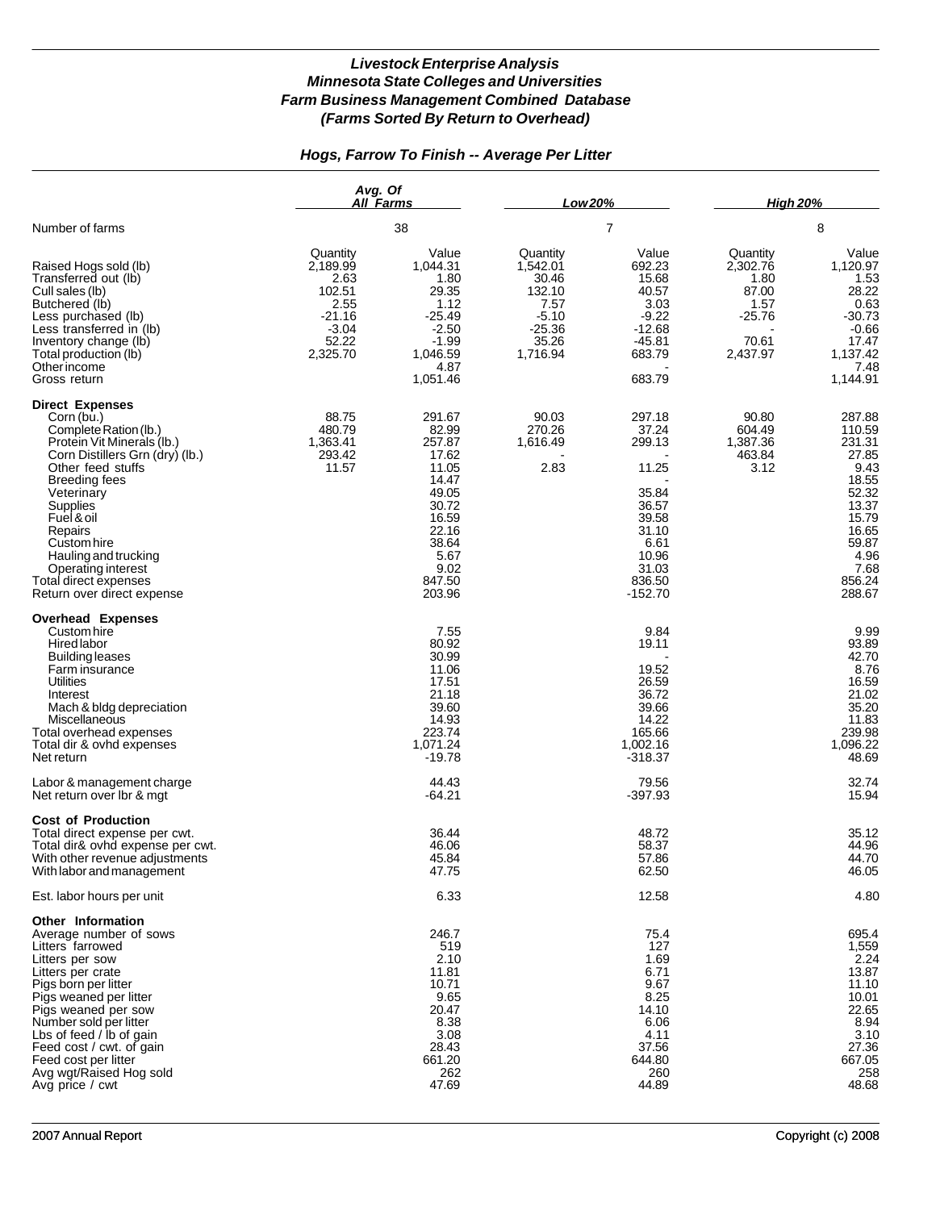### *Hogs, Farrow To Finish -- Average Per Litter*

|                                                                                                                                                                                                                                                                                                                                                    | Avg. Of<br><b>All Farms</b><br>38                                                          |                                                                                                                                       | Low 20%                                                                                     |                                                                                                                         | <b>High 20%</b>                                                              |                                                                                                                                       |
|----------------------------------------------------------------------------------------------------------------------------------------------------------------------------------------------------------------------------------------------------------------------------------------------------------------------------------------------------|--------------------------------------------------------------------------------------------|---------------------------------------------------------------------------------------------------------------------------------------|---------------------------------------------------------------------------------------------|-------------------------------------------------------------------------------------------------------------------------|------------------------------------------------------------------------------|---------------------------------------------------------------------------------------------------------------------------------------|
| Number of farms                                                                                                                                                                                                                                                                                                                                    |                                                                                            |                                                                                                                                       | 7                                                                                           |                                                                                                                         | 8                                                                            |                                                                                                                                       |
| Raised Hogs sold (lb)<br>Transferred out (lb)<br>Cull sales (lb)<br>Butchered (lb)<br>Less purchased (lb)<br>Less transferred in (lb)<br>Inventory change (lb)<br>Total production (lb)<br>Other income<br>Gross return                                                                                                                            | Quantity<br>2,189.99<br>2.63<br>102.51<br>2.55<br>$-21.16$<br>$-3.04$<br>52.22<br>2,325.70 | Value<br>1.044.31<br>1.80<br>29.35<br>1.12<br>-25.49<br>$-2.50$<br>$-1.99$<br>1,046.59<br>4.87<br>1,051.46                            | Quantity<br>1,542.01<br>30.46<br>132.10<br>7.57<br>$-5.10$<br>$-25.36$<br>35.26<br>1,716.94 | Value<br>692.23<br>15.68<br>40.57<br>3.03<br>$-9.22$<br>$-12.68$<br>$-45.81$<br>683.79<br>683.79                        | Quantity<br>2,302.76<br>1.80<br>87.00<br>1.57<br>-25.76<br>70.61<br>2,437.97 | Value<br>1,120.97<br>1.53<br>28.22<br>0.63<br>-30.73<br>$-0.66$<br>17.47<br>1,137.42<br>7.48<br>1.144.91                              |
| <b>Direct Expenses</b><br>Corn (bu.)<br>Complete Ration (lb.)<br>Protein Vit Minerals (lb.)<br>Corn Distillers Grn (dry) (lb.)<br>Other feed stuffs<br><b>Breeding fees</b><br>Veterinary<br>Supplies<br>Fuel & oil<br>Repairs<br>Custom hire<br>Hauling and trucking<br>Operating interest<br>Total direct expenses<br>Return over direct expense | 88.75<br>480.79<br>1,363.41<br>293.42<br>11.57                                             | 291.67<br>82.99<br>257.87<br>17.62<br>11.05<br>14.47<br>49.05<br>30.72<br>16.59<br>22.16<br>38.64<br>5.67<br>9.02<br>847.50<br>203.96 | 90.03<br>270.26<br>1,616.49<br>2.83                                                         | 297.18<br>37.24<br>299.13<br>11.25<br>35.84<br>36.57<br>39.58<br>31.10<br>6.61<br>10.96<br>31.03<br>836.50<br>$-152.70$ | 90.80<br>604.49<br>1,387.36<br>463.84<br>3.12                                | 287.88<br>110.59<br>231.31<br>27.85<br>9.43<br>18.55<br>52.32<br>13.37<br>15.79<br>16.65<br>59.87<br>4.96<br>7.68<br>856.24<br>288.67 |
| <b>Overhead Expenses</b><br>Custom hire<br>Hired labor<br><b>Building leases</b><br>Farm insurance<br>Utilities<br>Interest<br>Mach & bldg depreciation<br>Miscellaneous<br>Total overhead expenses<br>Total dir & ovhd expenses<br>Net return                                                                                                     |                                                                                            | 7.55<br>80.92<br>30.99<br>11.06<br>17.51<br>21.18<br>39.60<br>14.93<br>223.74<br>1,071.24<br>$-19.78$                                 |                                                                                             | 9.84<br>19.11<br>19.52<br>26.59<br>36.72<br>39.66<br>14.22<br>165.66<br>1,002.16<br>$-318.37$                           |                                                                              | 9.99<br>93.89<br>42.70<br>8.76<br>16.59<br>21.02<br>35.20<br>11.83<br>239.98<br>1,096.22<br>48.69                                     |
| Labor & management charge<br>Net return over Ibr & mgt                                                                                                                                                                                                                                                                                             |                                                                                            | 44.43<br>-64.21                                                                                                                       |                                                                                             | 79.56<br>$-397.93$                                                                                                      |                                                                              | 32.74<br>15.94                                                                                                                        |
| <b>Cost of Production</b><br>Total direct expense per cwt.<br>Total dir& ovhd expense per cwt.<br>With other revenue adjustments<br>With labor and management                                                                                                                                                                                      |                                                                                            | 36.44<br>46.06<br>45.84<br>47.75                                                                                                      |                                                                                             | 48.72<br>58.37<br>57.86<br>62.50                                                                                        |                                                                              | 35.12<br>44.96<br>44.70<br>46.05                                                                                                      |
| Est. labor hours per unit                                                                                                                                                                                                                                                                                                                          |                                                                                            | 6.33                                                                                                                                  |                                                                                             | 12.58                                                                                                                   |                                                                              | 4.80                                                                                                                                  |
| Other Information<br>Average number of sows<br>Litters farrowed<br>Litters per sow<br>Litters per crate<br>Pigs born per litter<br>Pigs weaned per litter<br>Pigs weaned per sow<br>Number sold per litter<br>Lbs of feed / lb of gain<br>Feed cost / cwt. of gain<br>Feed cost per litter<br>Avg wgt/Raised Hog sold<br>Avg price / cwt           |                                                                                            | 246.7<br>519<br>2.10<br>11.81<br>10.71<br>9.65<br>20.47<br>8.38<br>3.08<br>28.43<br>661.20<br>262<br>47.69                            |                                                                                             | 75.4<br>127<br>1.69<br>6.71<br>9.67<br>8.25<br>14.10<br>6.06<br>4.11<br>37.56<br>644.80<br>260<br>44.89                 |                                                                              | 695.4<br>1,559<br>2.24<br>13.87<br>11.10<br>10.01<br>22.65<br>8.94<br>3.10<br>27.36<br>667.05<br>258<br>48.68                         |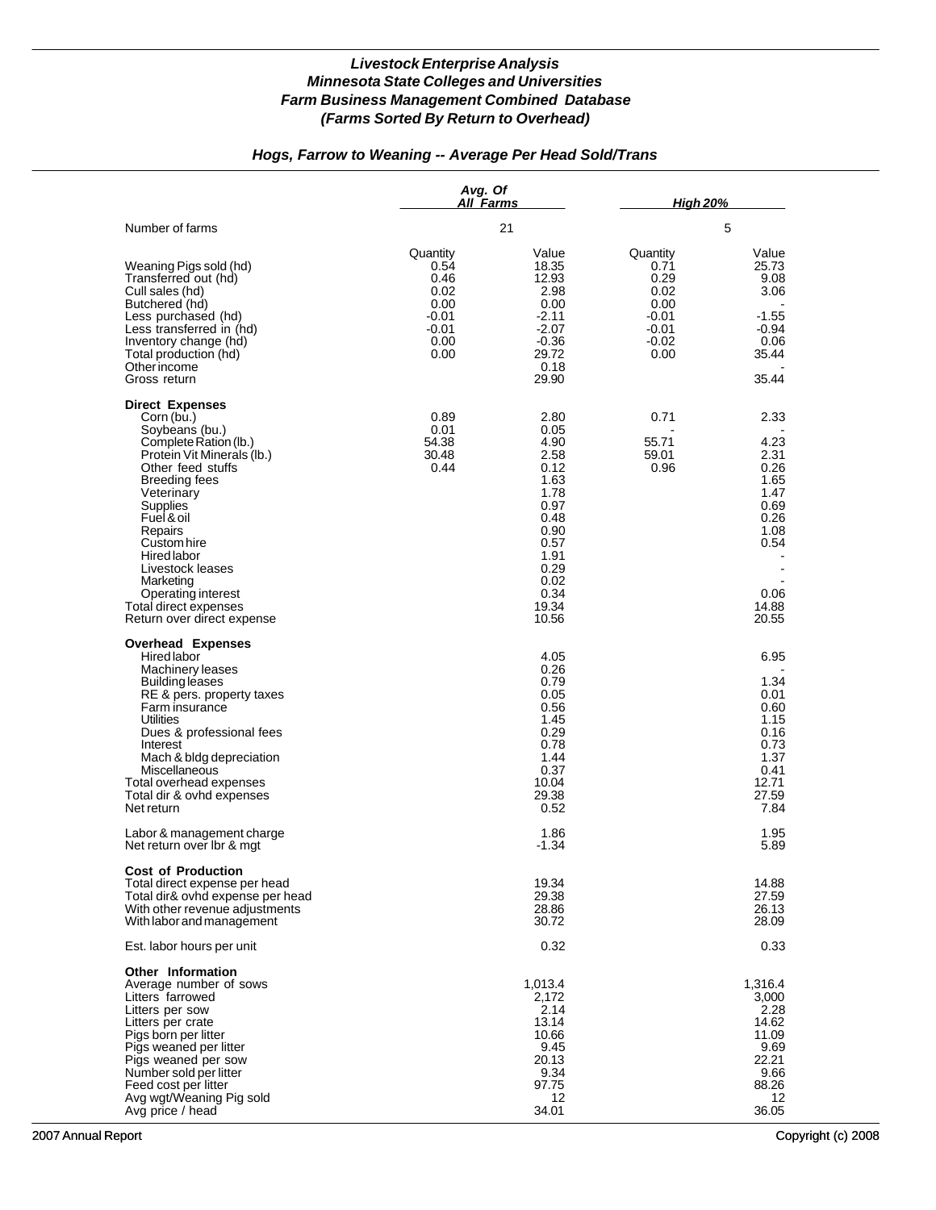## *Hogs, Farrow to Weaning -- Average Per Head Sold/Trans*

|                                                                                                                                                                                                                                                                                                                                                                  | Avg. Of<br>All Farms                                                         |                                                                                                                                        | <b>High 20%</b>                                                                   |                                                                                                                                    |  |
|------------------------------------------------------------------------------------------------------------------------------------------------------------------------------------------------------------------------------------------------------------------------------------------------------------------------------------------------------------------|------------------------------------------------------------------------------|----------------------------------------------------------------------------------------------------------------------------------------|-----------------------------------------------------------------------------------|------------------------------------------------------------------------------------------------------------------------------------|--|
| Number of farms                                                                                                                                                                                                                                                                                                                                                  |                                                                              | 21                                                                                                                                     |                                                                                   | 5                                                                                                                                  |  |
| Weaning Pigs sold (hd)<br>Transferred out (hd)<br>Cull sales (hd)<br>Butchered (hd)<br>Less purchased (hd)<br>Less transferred in (hd)<br>Inventory change (hd)<br>Total production (hd)<br>Other income<br>Gross return                                                                                                                                         | Quantity<br>0.54<br>0.46<br>0.02<br>0.00<br>-0.01<br>$-0.01$<br>0.00<br>0.00 | Value<br>18.35<br>12.93<br>2.98<br>0.00<br>$-2.11$<br>$-2.07$<br>$-0.36$<br>29.72<br>0.18<br>29.90                                     | Quantity<br>0.71<br>0.29<br>0.02<br>0.00<br>$-0.01$<br>$-0.01$<br>$-0.02$<br>0.00 | Value<br>25.73<br>9.08<br>3.06<br>$-1.55$<br>$-0.94$<br>0.06<br>35.44<br>35.44                                                     |  |
| <b>Direct Expenses</b><br>Corn (bu.)<br>Soybeans (bu.)<br>Complete Ration (lb.)<br>Protein Vit Minerals (lb.)<br>Other feed stuffs<br><b>Breeding fees</b><br>Veterinary<br>Supplies<br>Fuel & oil<br>Repairs<br>Custom hire<br><b>Hired labor</b><br>Livestock leases<br>Marketing<br>Operating interest<br>Total direct expenses<br>Return over direct expense | 0.89<br>0.01<br>54.38<br>30.48<br>0.44                                       | 2.80<br>0.05<br>4.90<br>2.58<br>0.12<br>1.63<br>1.78<br>0.97<br>0.48<br>0.90<br>0.57<br>1.91<br>0.29<br>0.02<br>0.34<br>19.34<br>10.56 | 0.71<br>55.71<br>59.01<br>0.96                                                    | 2.33<br>4.23<br>2.31<br>0.26<br>1.65<br>1.47<br>0.69<br>0.26<br>1.08<br>0.54<br>$\overline{\phantom{a}}$<br>0.06<br>14.88<br>20.55 |  |
| <b>Overhead Expenses</b><br>Hired labor<br>Machinery leases<br><b>Building leases</b><br>RE & pers. property taxes<br>Farm insurance<br>Utilities<br>Dues & professional fees<br>Interest<br>Mach & bldg depreciation<br>Miscellaneous<br>Total overhead expenses<br>Total dir & ovhd expenses<br>Net return                                                     |                                                                              | 4.05<br>0.26<br>0.79<br>0.05<br>0.56<br>1.45<br>0.29<br>0.78<br>1.44<br>0.37<br>10.04<br>29.38<br>0.52                                 |                                                                                   | 6.95<br>1.34<br>0.01<br>0.60<br>1.15<br>0.16<br>0.73<br>1.37<br>0.41<br>12.71<br>27.59<br>7.84                                     |  |
| Labor & management charge<br>Net return over Ibr & mgt                                                                                                                                                                                                                                                                                                           |                                                                              | 1.86<br>$-1.34$                                                                                                                        |                                                                                   | 1.95<br>5.89                                                                                                                       |  |
| <b>Cost of Production</b><br>Total direct expense per head<br>Total dir& ovhd expense per head<br>With other revenue adjustments<br>With labor and management                                                                                                                                                                                                    |                                                                              | 19.34<br>29.38<br>28.86<br>30.72                                                                                                       |                                                                                   | 14.88<br>27.59<br>26.13<br>28.09                                                                                                   |  |
| Est. labor hours per unit                                                                                                                                                                                                                                                                                                                                        |                                                                              | 0.32                                                                                                                                   |                                                                                   | 0.33                                                                                                                               |  |
| Other Information<br>Average number of sows<br>Litters farrowed<br>Litters per sow<br>Litters per crate<br>Pigs born per litter<br>Pigs weaned per litter<br>Pigs weaned per sow<br>Number sold per litter<br>Feed cost per litter<br>Avg wgt/Weaning Pig sold<br>Avg price / head                                                                               |                                                                              | 1,013.4<br>2,172<br>2.14<br>13.14<br>10.66<br>9.45<br>20.13<br>9.34<br>97.75<br>12<br>34.01                                            |                                                                                   | 1,316.4<br>3,000<br>2.28<br>14.62<br>11.09<br>9.69<br>22.21<br>9.66<br>88.26<br>12<br>36.05                                        |  |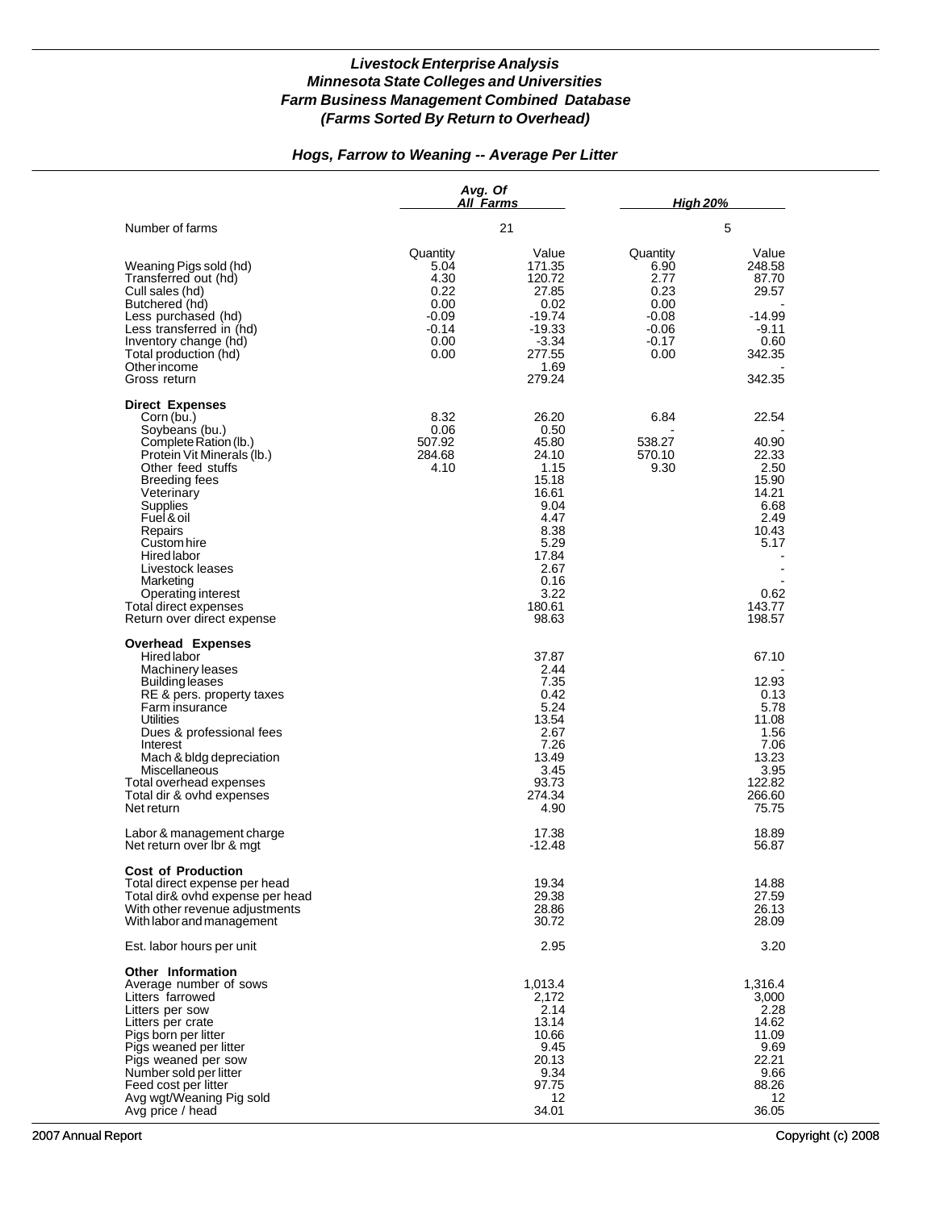### *Hogs, Farrow to Weaning -- Average Per Litter*

|                                                                                                                                                                                                                                                                                                                                                                  | Avg. Of<br>All Farms                                                           |                                                                                                                                               | <b>High 20%</b>                                                                   |                                                                                                                |  |
|------------------------------------------------------------------------------------------------------------------------------------------------------------------------------------------------------------------------------------------------------------------------------------------------------------------------------------------------------------------|--------------------------------------------------------------------------------|-----------------------------------------------------------------------------------------------------------------------------------------------|-----------------------------------------------------------------------------------|----------------------------------------------------------------------------------------------------------------|--|
| Number of farms                                                                                                                                                                                                                                                                                                                                                  |                                                                                | 21                                                                                                                                            | 5                                                                                 |                                                                                                                |  |
| Weaning Pigs sold (hd)<br>Transferred out (hd)<br>Cull sales (hd)<br>Butchered (hd)<br>Less purchased (hd)<br>Less transferred in (hd)<br>Inventory change (hd)<br>Total production (hd)<br>Other income<br>Gross return                                                                                                                                         | Quantity<br>5.04<br>4.30<br>0.22<br>0.00<br>$-0.09$<br>$-0.14$<br>0.00<br>0.00 | Value<br>171.35<br>120.72<br>27.85<br>0.02<br>$-19.74$<br>$-19.33$<br>$-3.34$<br>277.55<br>1.69<br>279.24                                     | Quantity<br>6.90<br>2.77<br>0.23<br>0.00<br>$-0.08$<br>$-0.06$<br>$-0.17$<br>0.00 | Value<br>248.58<br>87.70<br>29.57<br>$-14.99$<br>$-9.11$<br>0.60<br>342.35<br>342.35                           |  |
| <b>Direct Expenses</b><br>Corn (bu.)<br>Soybeans (bu.)<br>Complete Ration (lb.)<br>Protein Vit Minerals (lb.)<br>Other feed stuffs<br><b>Breeding fees</b><br>Veterinary<br>Supplies<br>Fuel & oil<br>Repairs<br>Custom hire<br><b>Hired labor</b><br>Livestock leases<br>Marketing<br>Operating interest<br>Total direct expenses<br>Return over direct expense | 8.32<br>0.06<br>507.92<br>284.68<br>4.10                                       | 26.20<br>0.50<br>45.80<br>24.10<br>1.15<br>15.18<br>16.61<br>9.04<br>4.47<br>8.38<br>5.29<br>17.84<br>2.67<br>0.16<br>3.22<br>180.61<br>98.63 | 6.84<br>538.27<br>570.10<br>9.30                                                  | 22.54<br>40.90<br>22.33<br>2.50<br>15.90<br>14.21<br>6.68<br>2.49<br>10.43<br>5.17<br>0.62<br>143.77<br>198.57 |  |
| <b>Overhead Expenses</b><br>Hired labor<br>Machinery leases<br><b>Building leases</b><br>RE & pers. property taxes<br>Farm insurance<br><b>Utilities</b><br>Dues & professional fees<br>Interest<br>Mach & bldg depreciation<br>Miscellaneous<br>Total overhead expenses<br>Total dir & ovhd expenses<br>Net return                                              |                                                                                | 37.87<br>2.44<br>7.35<br>0.42<br>5.24<br>13.54<br>2.67<br>7.26<br>13.49<br>3.45<br>93.73<br>274.34<br>4.90                                    |                                                                                   | 67.10<br>12.93<br>0.13<br>5.78<br>11.08<br>1.56<br>7.06<br>13.23<br>3.95<br>122.82<br>266.60<br>75.75          |  |
| Labor & management charge<br>Net return over Ibr & mgt                                                                                                                                                                                                                                                                                                           |                                                                                | 17.38<br>-12.48                                                                                                                               |                                                                                   | 18.89<br>56.87                                                                                                 |  |
| <b>Cost of Production</b><br>Total direct expense per head<br>Total dir& ovhd expense per head<br>With other revenue adjustments<br>With labor and management                                                                                                                                                                                                    |                                                                                | 19.34<br>29.38<br>28.86<br>30.72                                                                                                              |                                                                                   | 14.88<br>27.59<br>26.13<br>28.09                                                                               |  |
| Est. labor hours per unit                                                                                                                                                                                                                                                                                                                                        |                                                                                | 2.95                                                                                                                                          |                                                                                   | 3.20                                                                                                           |  |
| <b>Other Information</b><br>Average number of sows<br>Litters farrowed<br>Litters per sow<br>Litters per crate<br>Pigs born per litter<br>Pigs weaned per litter<br>Pigs weaned per sow<br>Number sold per litter<br>Feed cost per litter<br>Avg wgt/Weaning Pig sold<br>Avg price / head                                                                        |                                                                                | 1,013.4<br>2.172<br>2.14<br>13.14<br>10.66<br>9.45<br>20.13<br>9.34<br>97.75<br>12<br>34.01                                                   |                                                                                   | 1,316.4<br>3,000<br>2.28<br>14.62<br>11.09<br>9.69<br>22.21<br>9.66<br>88.26<br>12<br>36.05                    |  |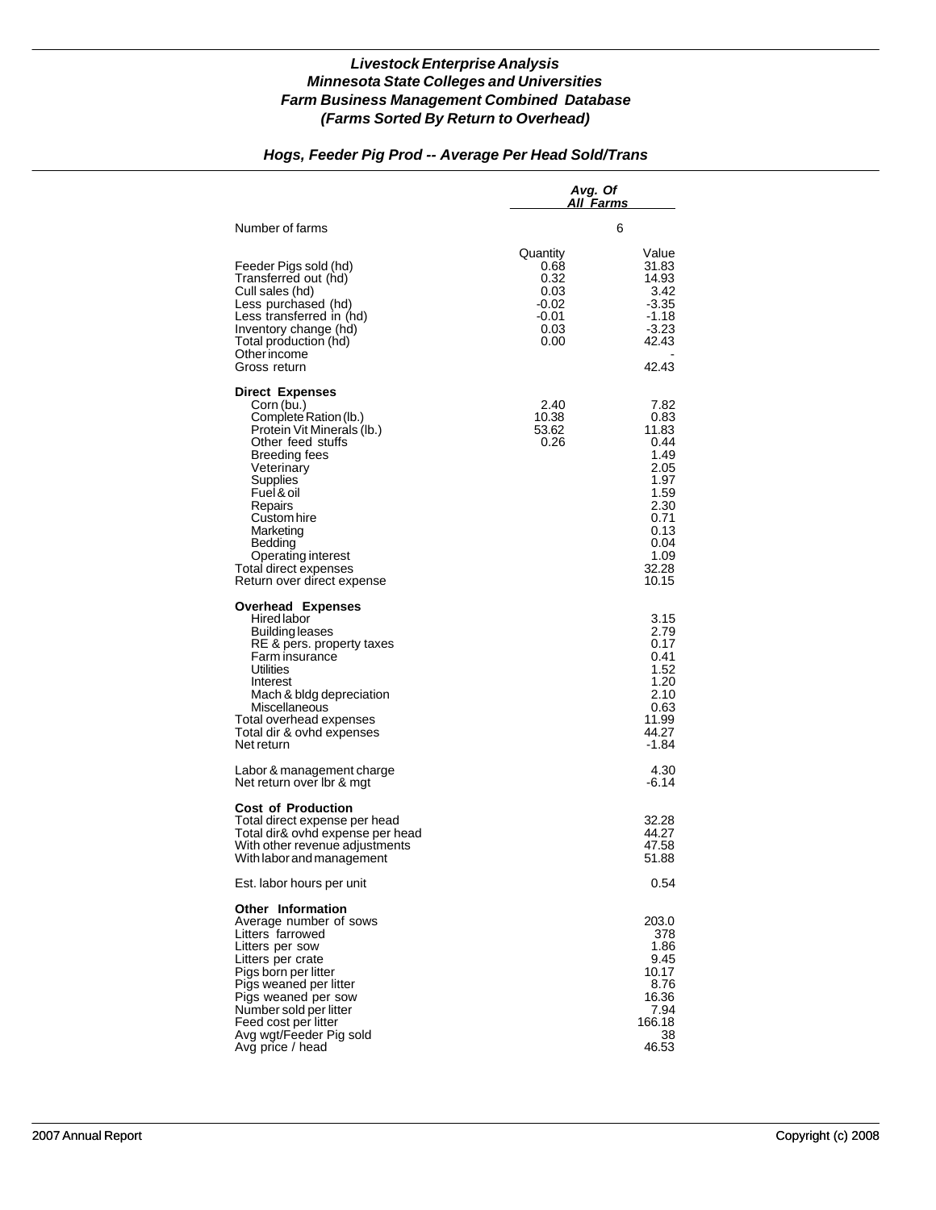## *Hogs, Feeder Pig Prod -- Average Per Head Sold/Trans*

|                                                                                                                                                                                                                                                                                                          | Avg. Of<br>All Farms                                               |                                                                                                                         |
|----------------------------------------------------------------------------------------------------------------------------------------------------------------------------------------------------------------------------------------------------------------------------------------------------------|--------------------------------------------------------------------|-------------------------------------------------------------------------------------------------------------------------|
| Number of farms                                                                                                                                                                                                                                                                                          |                                                                    | 6                                                                                                                       |
| Feeder Pigs sold (hd)<br>Transferred out (hd)<br>Cull sales (hd)<br>Less purchased (hd)<br>Less transferred in (hd)<br>Inventory change (hd)<br>Total production (hd)<br>Other income<br>Gross return                                                                                                    | Quantity<br>0.68<br>0.32<br>0.03<br>-0.02<br>-0.01<br>0.03<br>0.00 | Value<br>31.83<br>14.93<br>3.42<br>$-3.35$<br>$-1.18$<br>$-3.23$<br>42.43<br>42.43                                      |
| <b>Direct Expenses</b><br>Corn (bu.)<br>Complete Ration (lb.)<br>Protein Vit Minerals (lb.)<br>Other feed stuffs<br>Breeding fees<br>Veterinary<br>Supplies<br>Fuel & oil<br>Repairs<br>Custom hire<br>Marketing<br>Bedding<br>Operating interest<br>Total direct expenses<br>Return over direct expense | 2.40<br>10.38<br>53.62<br>0.26                                     | 7.82<br>0.83<br>11.83<br>0.44<br>1.49<br>2.05<br>1.97<br>1.59<br>2.30<br>0.71<br>0.13<br>0.04<br>1.09<br>32.28<br>10.15 |
| <b>Overhead Expenses</b><br><b>Hired labor</b><br>Building leases<br>RE & pers. property taxes<br>Farm insurance<br>Utilities<br>Interest<br>Mach & bldg depreciation<br>Miscellaneous<br>Total overhead expenses<br>Total dir & ovhd expenses<br>Net return                                             |                                                                    | 3.15<br>2.79<br>0.17<br>0.41<br>1.52<br>1.20<br>2.10<br>0.63<br>11.99<br>44.27<br>-1.84                                 |
| Labor & management charge<br>Net return over Ibr & mgt                                                                                                                                                                                                                                                   |                                                                    | 4.30<br>-6.14                                                                                                           |
| <b>Cost of Production</b><br>Total direct expense per head<br>Total dir& ovhd expense per head<br>With other revenue adjustments<br>With labor and management                                                                                                                                            |                                                                    | 32.28<br>44.27<br>47.58<br>51.88                                                                                        |
| Est. labor hours per unit                                                                                                                                                                                                                                                                                |                                                                    | 0.54                                                                                                                    |
| Other Information<br>Average number of sows<br>Litters farrowed<br>Litters per sow<br>Litters per crate<br>Pigs born per litter<br>Pigs weaned per litter<br>Pigs weaned per sow<br>Number sold per litter<br>Feed cost per litter<br>Avg wgt/Feeder Pig sold<br>Avg price / head                        |                                                                    | 203.0<br>378<br>1.86<br>9.45<br>10.17<br>8.76<br>16.36<br>7.94<br>166.18<br>38<br>46.53                                 |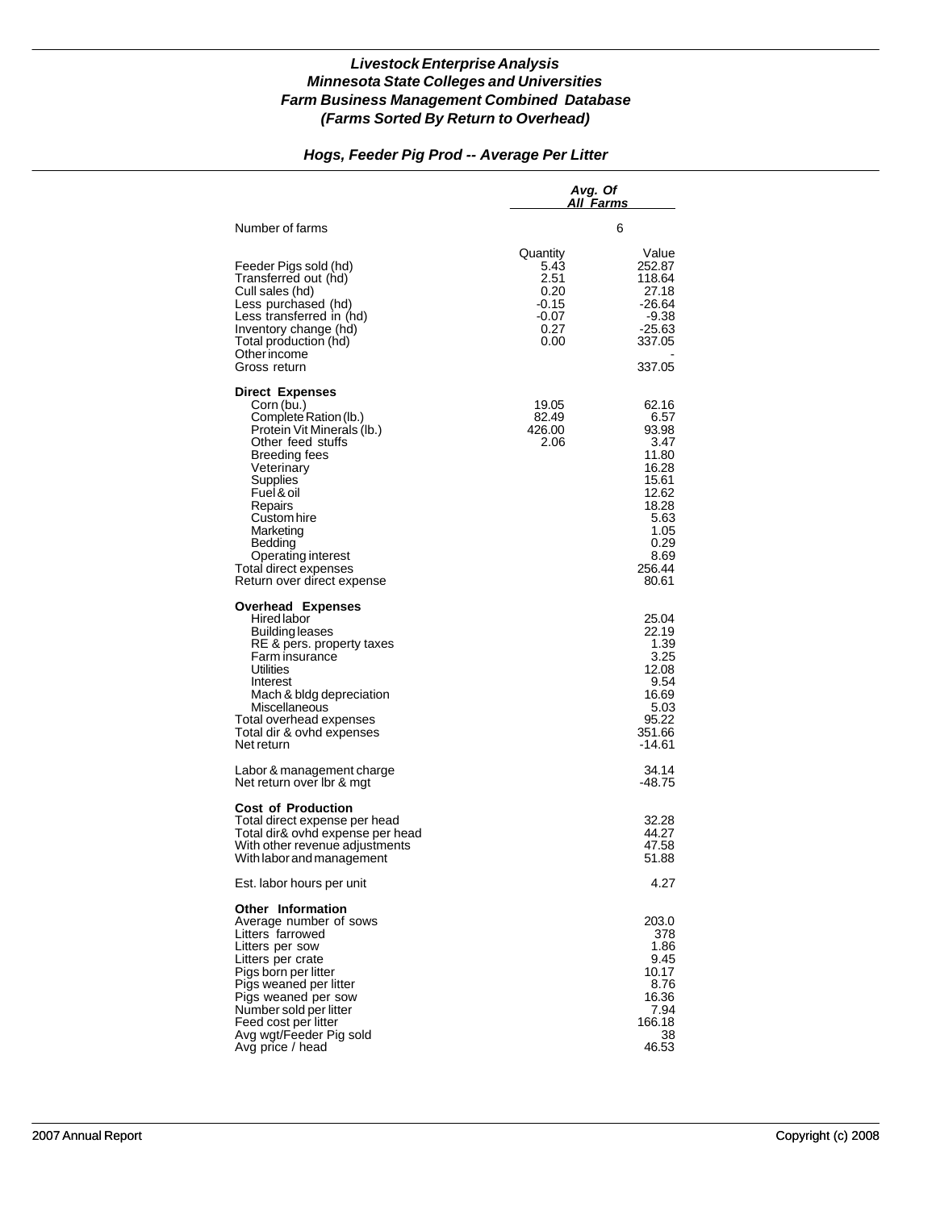## *Hogs, Feeder Pig Prod -- Average Per Litter*

|                                                                                                                                                                                                                                                                                   | Avg. Of<br>All Farms                                               |                                                                                                                                |
|-----------------------------------------------------------------------------------------------------------------------------------------------------------------------------------------------------------------------------------------------------------------------------------|--------------------------------------------------------------------|--------------------------------------------------------------------------------------------------------------------------------|
| Number of farms                                                                                                                                                                                                                                                                   |                                                                    | 6                                                                                                                              |
| Feeder Pigs sold (hd)<br>Transferred out (hd)<br>Cull sales (hd)<br>Less purchased (hd)<br>Less transferred in (hd)<br>Inventory change (hd)<br>Total production (hd)<br>Other income<br>Gross return                                                                             | Quantity<br>5.43<br>2.51<br>0.20<br>-0.15<br>-0.07<br>0.27<br>0.00 | Value<br>252.87<br>118.64<br>27.18<br>-26.64<br>$-9.38$<br>$-25.63$<br>337.05<br>337.05                                        |
| <b>Direct Expenses</b>                                                                                                                                                                                                                                                            |                                                                    |                                                                                                                                |
| Corn (bu.)<br>Complete Ration (lb.)<br>Protein Vit Minerals (lb.)<br>Other feed stuffs<br>Breeding fees<br>Veterinary<br>Supplies<br>Fuel & oil<br>Repairs<br>Custom hire<br>Marketing<br>Bedding<br>Operating interest<br>Total direct expenses<br>Return over direct expense    | 19.05<br>82.49<br>426.00<br>2.06                                   | 62.16<br>6.57<br>93.98<br>3.47<br>11.80<br>16.28<br>15.61<br>12.62<br>18.28<br>5.63<br>1.05<br>0.29<br>8.69<br>256.44<br>80.61 |
| <b>Overhead Expenses</b><br><b>Hired labor</b><br>Building leases<br>RE & pers. property taxes<br>Farm insurance<br>Utilities<br>Interest<br>Mach & bldg depreciation<br>Miscellaneous<br>Total overhead expenses<br>Total dir & ovhd expenses<br>Net return                      |                                                                    | 25.04<br>22.19<br>1.39<br>3.25<br>12.08<br>9.54<br>16.69<br>5.03<br>95.22<br>351.66<br>-14.61                                  |
| Labor & management charge<br>Net return over Ibr & mgt                                                                                                                                                                                                                            |                                                                    | 34.14<br>-48.75                                                                                                                |
| <b>Cost of Production</b><br>Total direct expense per head<br>Total dir& ovhd expense per head<br>With other revenue adjustments<br>With labor and management                                                                                                                     |                                                                    | 32.28<br>44.27<br>47.58<br>51.88                                                                                               |
| Est. labor hours per unit                                                                                                                                                                                                                                                         |                                                                    | 4.27                                                                                                                           |
| Other Information<br>Average number of sows<br>Litters farrowed<br>Litters per sow<br>Litters per crate<br>Pigs born per litter<br>Pigs weaned per litter<br>Pigs weaned per sow<br>Number sold per litter<br>Feed cost per litter<br>Avg wgt/Feeder Pig sold<br>Avg price / head |                                                                    | 203.0<br>378<br>1.86<br>9.45<br>10.17<br>8.76<br>16.36<br>7.94<br>166.18<br>38<br>46.53                                        |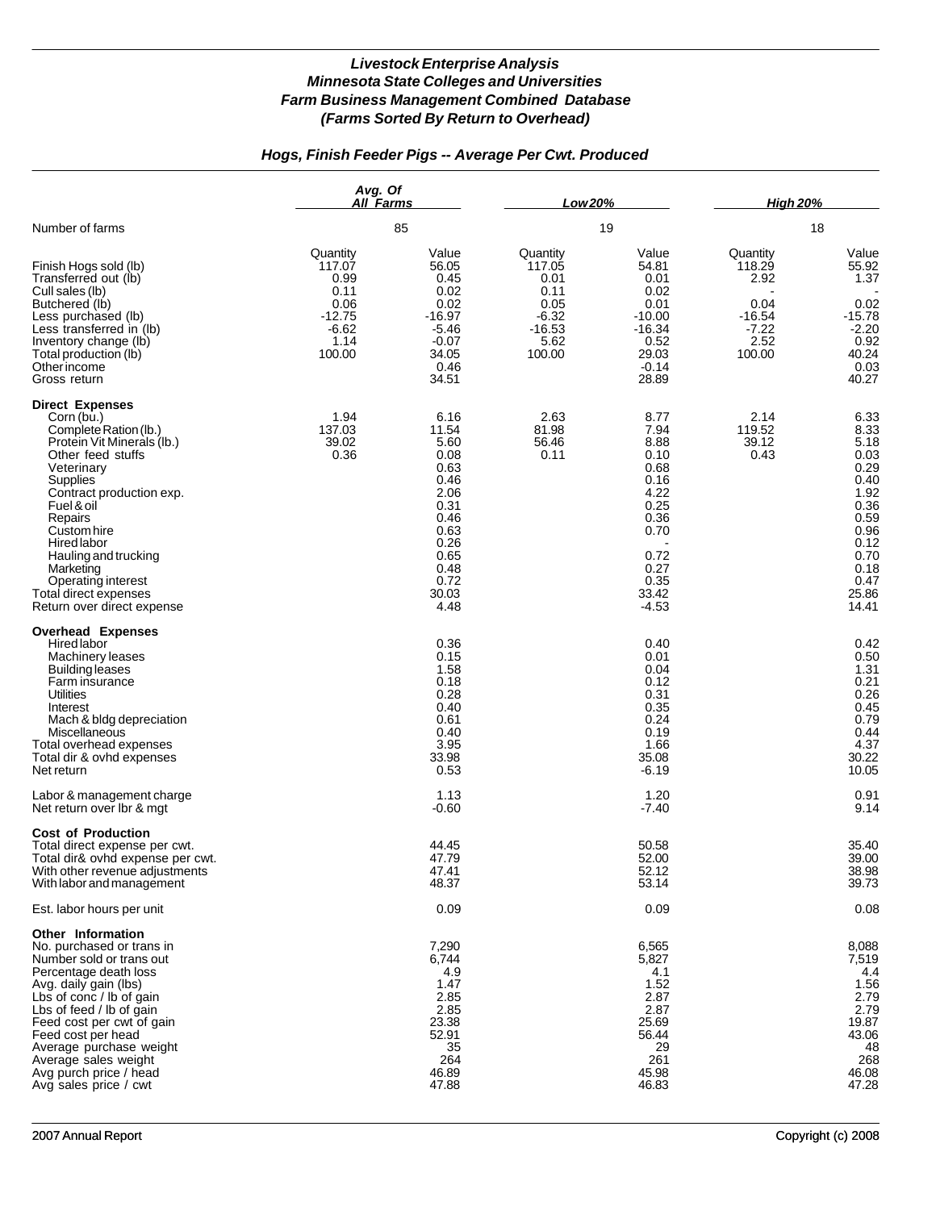## *Hogs, Finish Feeder Pigs -- Average Per Cwt. Produced*

|                                                                                                                                                                                                                                                                                                                                                        | Avg. Of<br>All Farms<br>85                                                          |                                                                                                                                | Low 20%                                                                             |                                                                                                                          | <b>High 20%</b>                                                             |                                                                                                                                |
|--------------------------------------------------------------------------------------------------------------------------------------------------------------------------------------------------------------------------------------------------------------------------------------------------------------------------------------------------------|-------------------------------------------------------------------------------------|--------------------------------------------------------------------------------------------------------------------------------|-------------------------------------------------------------------------------------|--------------------------------------------------------------------------------------------------------------------------|-----------------------------------------------------------------------------|--------------------------------------------------------------------------------------------------------------------------------|
| Number of farms                                                                                                                                                                                                                                                                                                                                        |                                                                                     |                                                                                                                                | 19                                                                                  |                                                                                                                          | 18                                                                          |                                                                                                                                |
| Finish Hogs sold (lb)<br>Transferred out (lb)<br>Cull sales (lb)<br>Butchered (lb)<br>Less purchased (lb)<br>Less transferred in (lb)<br>Inventory change (lb)<br>Total production (lb)<br>Other income<br>Gross return                                                                                                                                | Quantity<br>117.07<br>0.99<br>0.11<br>0.06<br>$-12.75$<br>$-6.62$<br>1.14<br>100.00 | Value<br>56.05<br>0.45<br>0.02<br>0.02<br>$-16.97$<br>$-5.46$<br>$-0.07$<br>34.05<br>0.46<br>34.51                             | Quantity<br>117.05<br>0.01<br>0.11<br>0.05<br>$-6.32$<br>$-16.53$<br>5.62<br>100.00 | Value<br>54.81<br>0.01<br>0.02<br>0.01<br>$-10.00$<br>$-16.34$<br>0.52<br>29.03<br>$-0.14$<br>28.89                      | Quantity<br>118.29<br>2.92<br>0.04<br>$-16.54$<br>$-7.22$<br>2.52<br>100.00 | Value<br>55.92<br>1.37<br>0.02<br>$-15.78$<br>$-2.20$<br>0.92<br>40.24<br>0.03<br>40.27                                        |
| <b>Direct Expenses</b><br>Corn (bu.)<br>Complete Ration (lb.)<br>Protein Vit Minerals (lb.)<br>Other feed stuffs<br>Veterinary<br>Supplies<br>Contract production exp.<br>Fuel & oil<br>Repairs<br>Custom hire<br><b>Hired labor</b><br>Hauling and trucking<br>Marketing<br>Operating interest<br>Total direct expenses<br>Return over direct expense | 1.94<br>137.03<br>39.02<br>0.36                                                     | 6.16<br>11.54<br>5.60<br>0.08<br>0.63<br>0.46<br>2.06<br>0.31<br>0.46<br>0.63<br>0.26<br>0.65<br>0.48<br>0.72<br>30.03<br>4.48 | 2.63<br>81.98<br>56.46<br>0.11                                                      | 8.77<br>7.94<br>8.88<br>0.10<br>0.68<br>0.16<br>4.22<br>0.25<br>0.36<br>0.70<br>0.72<br>0.27<br>0.35<br>33.42<br>$-4.53$ | 2.14<br>119.52<br>39.12<br>0.43                                             | 6.33<br>8.33<br>5.18<br>0.03<br>0.29<br>0.40<br>1.92<br>0.36<br>0.59<br>0.96<br>0.12<br>0.70<br>0.18<br>0.47<br>25.86<br>14.41 |
| <b>Overhead Expenses</b><br>Hired labor<br>Machinery leases<br><b>Building leases</b><br>Farm insurance<br><b>Utilities</b><br>Interest<br>Mach & bldg depreciation<br>Miscellaneous<br>Total overhead expenses<br>Total dir & ovhd expenses<br>Net return                                                                                             |                                                                                     | 0.36<br>0.15<br>1.58<br>0.18<br>0.28<br>0.40<br>0.61<br>0.40<br>3.95<br>33.98<br>0.53                                          |                                                                                     | 0.40<br>0.01<br>0.04<br>0.12<br>0.31<br>0.35<br>0.24<br>0.19<br>1.66<br>35.08<br>$-6.19$                                 |                                                                             | 0.42<br>0.50<br>1.31<br>0.21<br>0.26<br>0.45<br>0.79<br>0.44<br>4.37<br>30.22<br>10.05                                         |
| Labor & management charge<br>Net return over lbr & mgt                                                                                                                                                                                                                                                                                                 |                                                                                     | 1.13<br>$-0.60$                                                                                                                |                                                                                     | 1.20<br>$-7.40$                                                                                                          |                                                                             | 0.91<br>9.14                                                                                                                   |
| <b>Cost of Production</b><br>Total direct expense per cwt.<br>Total dir& ovhd expense per cwt.<br>With other revenue adjustments<br>With labor and management                                                                                                                                                                                          |                                                                                     | 44.45<br>47.79<br>47.41<br>48.37                                                                                               |                                                                                     | 50.58<br>52.00<br>52.12<br>53.14                                                                                         |                                                                             | 35.40<br>39.00<br>38.98<br>39.73                                                                                               |
| Est. labor hours per unit                                                                                                                                                                                                                                                                                                                              |                                                                                     | 0.09                                                                                                                           |                                                                                     | 0.09                                                                                                                     |                                                                             | 0.08                                                                                                                           |
| Other Information<br>No. purchased or trans in<br>Number sold or trans out<br>Percentage death loss<br>Avg. daily gain (lbs)<br>Lbs of conc / lb of gain<br>Lbs of feed / lb of gain<br>Feed cost per cwt of gain<br>Feed cost per head<br>Average purchase weight<br>Average sales weight<br>Avg purch price / head<br>Avg sales price / cwt          |                                                                                     | 7,290<br>6,744<br>4.9<br>1.47<br>2.85<br>2.85<br>23.38<br>52.91<br>35<br>264<br>46.89<br>47.88                                 |                                                                                     | 6,565<br>5,827<br>4.1<br>1.52<br>2.87<br>2.87<br>25.69<br>56.44<br>29<br>261<br>45.98<br>46.83                           |                                                                             | 8,088<br>7,519<br>4.4<br>1.56<br>2.79<br>2.79<br>19.87<br>43.06<br>48<br>268<br>46.08<br>47.28                                 |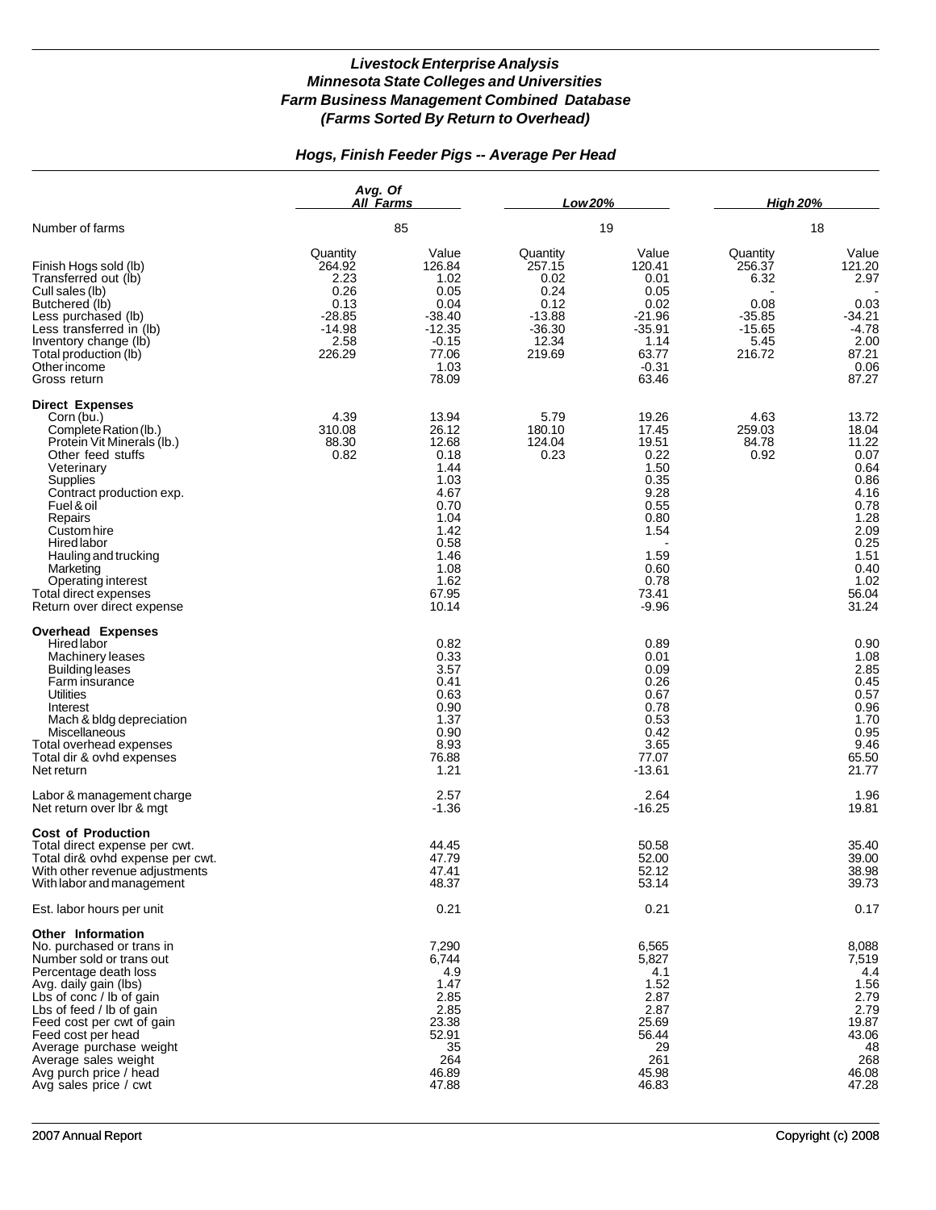## *Hogs, Finish Feeder Pigs -- Average Per Head*

|                                                                                                                                                                                                                                                                                                                                                 | Avg. Of<br>All Farms<br>85                                                           |                                                                                                                                   | Low 20%                                                                               |                                                                                                                             | <b>High 20%</b>                                                              |                                                                                                                                   |
|-------------------------------------------------------------------------------------------------------------------------------------------------------------------------------------------------------------------------------------------------------------------------------------------------------------------------------------------------|--------------------------------------------------------------------------------------|-----------------------------------------------------------------------------------------------------------------------------------|---------------------------------------------------------------------------------------|-----------------------------------------------------------------------------------------------------------------------------|------------------------------------------------------------------------------|-----------------------------------------------------------------------------------------------------------------------------------|
| Number of farms                                                                                                                                                                                                                                                                                                                                 |                                                                                      |                                                                                                                                   | 19                                                                                    |                                                                                                                             | 18                                                                           |                                                                                                                                   |
| Finish Hogs sold (lb)<br>Transferred out (lb)<br>Cull sales (lb)<br>Butchered (lb)<br>Less purchased (lb)<br>Less transferred in (lb)<br>Inventory change (lb)<br>Total production (lb)<br>Otherincome<br>Gross return                                                                                                                          | Quantity<br>264.92<br>2.23<br>0.26<br>0.13<br>$-28.85$<br>$-14.98$<br>2.58<br>226.29 | Value<br>126.84<br>1.02<br>0.05<br>0.04<br>$-38.40$<br>$-12.35$<br>$-0.15$<br>77.06<br>1.03<br>78.09                              | Quantity<br>257.15<br>0.02<br>0.24<br>0.12<br>$-13.88$<br>$-36.30$<br>12.34<br>219.69 | Value<br>120.41<br>0.01<br>0.05<br>0.02<br>$-21.96$<br>$-35.91$<br>1.14<br>63.77<br>$-0.31$<br>63.46                        | Quantity<br>256.37<br>6.32<br>0.08<br>$-35.85$<br>$-15.65$<br>5.45<br>216.72 | Value<br>121.20<br>2.97<br>0.03<br>$-34.21$<br>$-4.78$<br>2.00<br>87.21<br>0.06<br>87.27                                          |
| <b>Direct Expenses</b><br>Corn (bu.)<br>Complete Ration (lb.)<br>Protein Vit Minerals (lb.)<br>Other feed stuffs<br>Veterinary<br>Supplies<br>Contract production exp.<br>Fuel & oil<br>Repairs<br>Custom hire<br>Hired labor<br>Hauling and trucking<br>Marketing<br>Operating interest<br>Total direct expenses<br>Return over direct expense | 4.39<br>310.08<br>88.30<br>0.82                                                      | 13.94<br>26.12<br>12.68<br>0.18<br>1.44<br>1.03<br>4.67<br>0.70<br>1.04<br>1.42<br>0.58<br>1.46<br>1.08<br>1.62<br>67.95<br>10.14 | 5.79<br>180.10<br>124.04<br>0.23                                                      | 19.26<br>17.45<br>19.51<br>0.22<br>1.50<br>0.35<br>9.28<br>0.55<br>0.80<br>1.54<br>1.59<br>0.60<br>0.78<br>73.41<br>$-9.96$ | 4.63<br>259.03<br>84.78<br>0.92                                              | 13.72<br>18.04<br>11.22<br>0.07<br>0.64<br>0.86<br>4.16<br>0.78<br>1.28<br>2.09<br>0.25<br>1.51<br>0.40<br>1.02<br>56.04<br>31.24 |
| <b>Overhead Expenses</b><br>Hired labor<br>Machinery leases<br><b>Building leases</b><br>Farm insurance<br>Utilities<br>Interest<br>Mach & bldg depreciation<br>Miscellaneous<br>Total overhead expenses<br>Total dir & ovhd expenses<br>Net return                                                                                             |                                                                                      | 0.82<br>0.33<br>3.57<br>0.41<br>0.63<br>0.90<br>1.37<br>0.90<br>8.93<br>76.88<br>1.21                                             |                                                                                       | 0.89<br>0.01<br>0.09<br>0.26<br>0.67<br>0.78<br>0.53<br>0.42<br>3.65<br>77.07<br>$-13.61$                                   |                                                                              | 0.90<br>1.08<br>2.85<br>0.45<br>0.57<br>0.96<br>1.70<br>0.95<br>9.46<br>65.50<br>21.77                                            |
| Labor & management charge<br>Net return over Ibr & mgt                                                                                                                                                                                                                                                                                          |                                                                                      | 2.57<br>$-1.36$                                                                                                                   |                                                                                       | 2.64<br>$-16.25$                                                                                                            |                                                                              | 1.96<br>19.81                                                                                                                     |
| <b>Cost of Production</b><br>Total direct expense per cwt.<br>Total dir& ovhd expense per cwt.<br>With other revenue adjustments<br>With labor and management                                                                                                                                                                                   |                                                                                      | 44.45<br>47.79<br>47.41<br>48.37                                                                                                  |                                                                                       | 50.58<br>52.00<br>52.12<br>53.14                                                                                            |                                                                              | 35.40<br>39.00<br>38.98<br>39.73                                                                                                  |
| Est. labor hours per unit                                                                                                                                                                                                                                                                                                                       |                                                                                      | 0.21                                                                                                                              |                                                                                       | 0.21                                                                                                                        |                                                                              | 0.17                                                                                                                              |
| Other Information<br>No. purchased or trans in<br>Number sold or trans out<br>Percentage death loss<br>Avg. daily gain (lbs)<br>Lbs of conc / lb of gain<br>Lbs of feed / lb of gain<br>Feed cost per cwt of gain<br>Feed cost per head<br>Average purchase weight<br>Average sales weight<br>Avg purch price / head<br>Avg sales price / cwt   |                                                                                      | 7,290<br>6,744<br>4.9<br>1.47<br>2.85<br>2.85<br>23.38<br>52.91<br>35<br>264<br>46.89<br>47.88                                    |                                                                                       | 6,565<br>5,827<br>4.1<br>1.52<br>2.87<br>2.87<br>25.69<br>56.44<br>29<br>261<br>45.98<br>46.83                              |                                                                              | 8,088<br>7,519<br>4.4<br>1.56<br>2.79<br>2.79<br>19.87<br>43.06<br>48<br>268<br>46.08<br>47.28                                    |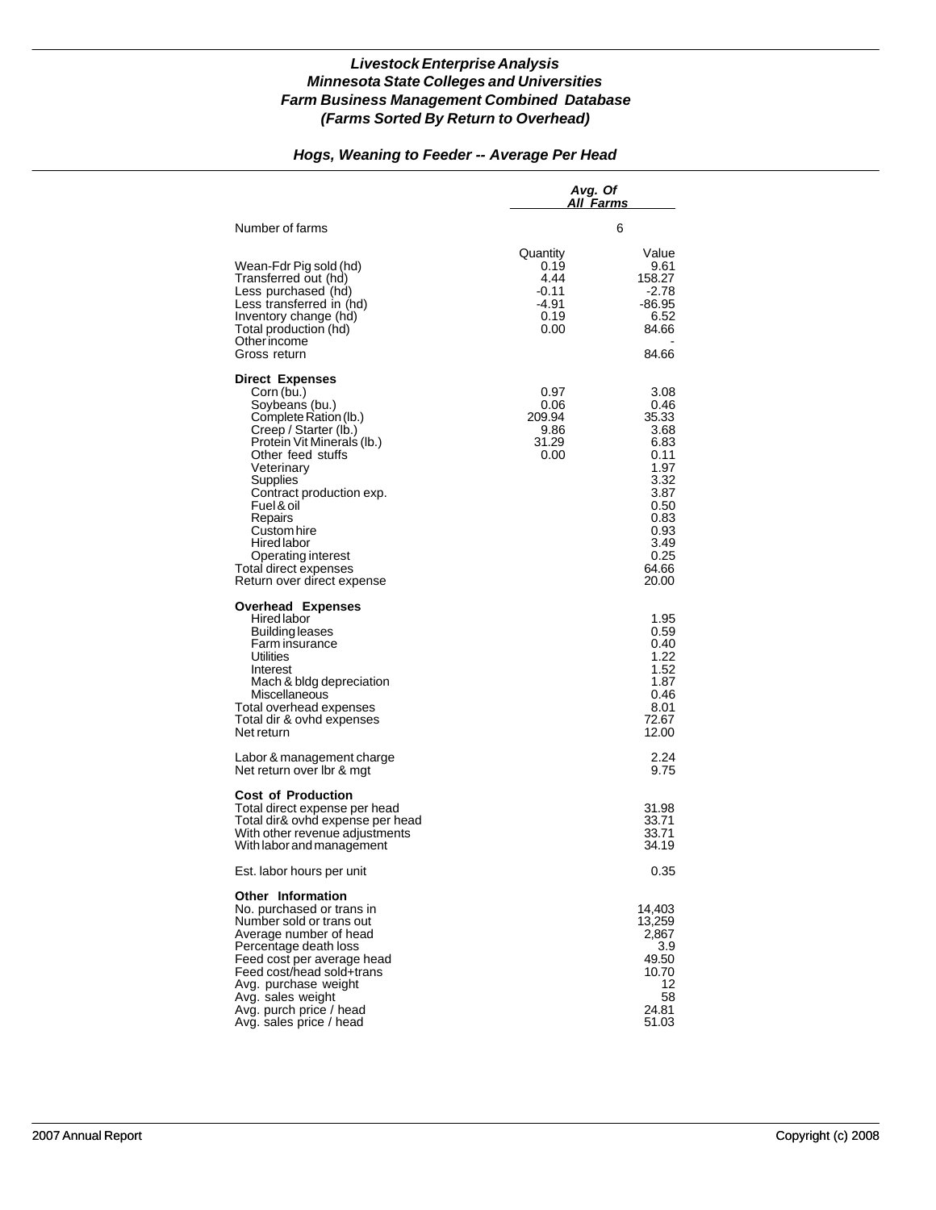#### *Hogs, Weaning to Feeder -- Average Per Head*

|                                                                                                                                                                                                                                                                                                                                                                     | Avg. Of<br>All Farms                                         |                                                                                                                                 |  |
|---------------------------------------------------------------------------------------------------------------------------------------------------------------------------------------------------------------------------------------------------------------------------------------------------------------------------------------------------------------------|--------------------------------------------------------------|---------------------------------------------------------------------------------------------------------------------------------|--|
| Number of farms                                                                                                                                                                                                                                                                                                                                                     |                                                              | 6                                                                                                                               |  |
| Wean-Fdr Pig sold (hd)<br>Transferred out (hd)<br>Less purchased (hd)<br>Less transferred in (hd)<br>Inventory change (hd)<br>Total production (hd)<br>Other income<br>Gross return                                                                                                                                                                                 | Quantity<br>0.19<br>4.44<br>-0.11<br>$-4.91$<br>0.19<br>0.00 | Value<br>9.61<br>158.27<br>-2.78<br>-86.95<br>6.52<br>84.66<br>84.66                                                            |  |
| <b>Direct Expenses</b><br>Corn (bu.)<br>Soybeans (bu.)<br>Complete Ration (lb.)<br>Creep / Starter (lb.)<br>Protein Vit Minerals (Ib.)<br>Other feed stuffs<br>Veterinary<br>Supplies<br>Contract production exp.<br>Fuel & oil<br>Repairs<br>Custom hire<br><b>Hired labor</b><br><b>Operating interest</b><br>Total direct expenses<br>Return over direct expense | 0.97<br>0.06<br>209.94<br>9.86<br>31.29<br>0.00              | 3.08<br>0.46<br>35.33<br>3.68<br>6.83<br>0.11<br>1.97<br>3.32<br>3.87<br>0.50<br>0.83<br>0.93<br>3.49<br>0.25<br>64.66<br>20.00 |  |
| <b>Overhead Expenses</b><br>Hired labor<br><b>Building leases</b><br>Farm insurance<br>Utilities<br>Interest<br>Mach & bldg depreciation<br>Miscellaneous<br>Total overhead expenses<br>Total dir & ovhd expenses<br>Net return                                                                                                                                     |                                                              | 1.95<br>0.59<br>0.40<br>1.22<br>1.52<br>1.87<br>0.46<br>8.01<br>72.67<br>12.00                                                  |  |
| Labor & management charge<br>Net return over Ibr & mgt                                                                                                                                                                                                                                                                                                              |                                                              | 2.24<br>9.75                                                                                                                    |  |
| <b>Cost of Production</b><br>Total direct expense per head<br>Total dir& ovhd expense per head<br>With other revenue adjustments<br>With labor and management                                                                                                                                                                                                       |                                                              | 31.98<br>33.71<br>33.71<br>34.19                                                                                                |  |
| Est. labor hours per unit                                                                                                                                                                                                                                                                                                                                           |                                                              | 0.35                                                                                                                            |  |
| <b>Other Information</b><br>No. purchased or trans in<br>Number sold or trans out<br>Average number of head<br>Percentage death loss<br>Feed cost per average head<br>Feed cost/head sold+trans<br>Avg. purchase weight<br>Avg. sales weight<br>Avg. purch price / head<br>Avg. sales price / head                                                                  |                                                              | 14,403<br>13,259<br>2,867<br>3.9<br>49.50<br>10.70<br>12<br>58<br>24.81<br>51.03                                                |  |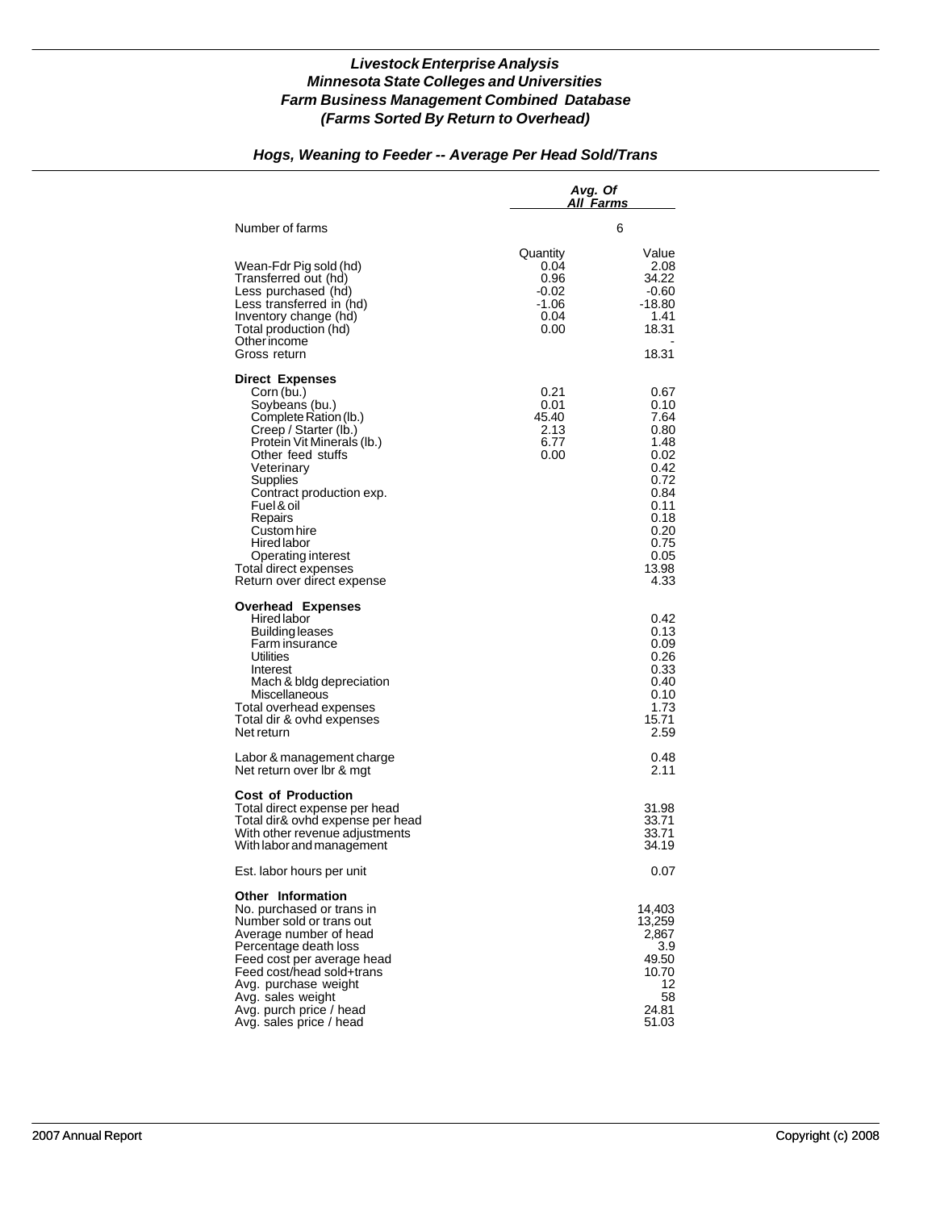## *Hogs, Weaning to Feeder -- Average Per Head Sold/Trans*

|                                                                                                                                                                                                                                                                                                                                                       | Avg. Of                                                      | All Farms                                                                                                                     |
|-------------------------------------------------------------------------------------------------------------------------------------------------------------------------------------------------------------------------------------------------------------------------------------------------------------------------------------------------------|--------------------------------------------------------------|-------------------------------------------------------------------------------------------------------------------------------|
| Number of farms                                                                                                                                                                                                                                                                                                                                       |                                                              | 6                                                                                                                             |
| Wean-Fdr Pig sold (hd)<br>Transferred out (hd)<br>Less purchased (hd)<br>Less transferred in (hd)<br>Inventory change (hd)<br>Total production (hd)<br>Other income<br>Gross return                                                                                                                                                                   | Quantity<br>0.04<br>0.96<br>$-0.02$<br>-1.06<br>0.04<br>0.00 | Value<br>2.08<br>34.22<br>-0.60<br>-18.80<br>1.41<br>18.31<br>18.31                                                           |
| <b>Direct Expenses</b><br>Corn (bu.)<br>Soybeans (bu.)<br>Complete Ration (lb.)<br>Creep / Starter (lb.)<br>Protein Vit Minerals (lb.)<br>Other feed stuffs<br>Veterinary<br>Supplies<br>Contract production exp.<br>Fuel & oil<br>Repairs<br>Custom hire<br>Hired labor<br>Operating interest<br>Total direct expenses<br>Return over direct expense | 0.21<br>0.01<br>45.40<br>2.13<br>6.77<br>0.00                | 0.67<br>0.10<br>7.64<br>0.80<br>1.48<br>0.02<br>0.42<br>0.72<br>0.84<br>0.11<br>0.18<br>0.20<br>0.75<br>0.05<br>13.98<br>4.33 |
| <b>Overhead Expenses</b><br>Hired labor<br>Building leases<br>Farm insurance<br>Utilities<br>Interest<br>Mach & bldg depreciation<br>Miscellaneous<br>Total overhead expenses<br>Total dir & ovhd expenses<br>Net return                                                                                                                              |                                                              | 0.42<br>0.13<br>0.09<br>0.26<br>0.33<br>0.40<br>0.10<br>1.73<br>15.71<br>2.59                                                 |
| Labor & management charge<br>Net return over Ibr & mgt                                                                                                                                                                                                                                                                                                |                                                              | 0.48<br>2.11                                                                                                                  |
| <b>Cost of Production</b><br>Total direct expense per head<br>Total dir& ovhd expense per head<br>With other revenue adjustments<br>With labor and management                                                                                                                                                                                         |                                                              | 31.98<br>33.71<br>33.71<br>34.19                                                                                              |
| Est. labor hours per unit                                                                                                                                                                                                                                                                                                                             |                                                              | 0.07                                                                                                                          |
| <b>Other Information</b><br>No. purchased or trans in<br>Number sold or trans out<br>Average number of head<br>Percentage death loss<br>Feed cost per average head<br>Feed cost/head sold+trans<br>Avg. purchase weight<br>Avg. sales weight<br>Avg. purch price / head<br>Avg. sales price / head                                                    |                                                              | 14,403<br>13,259<br>2.867<br>3.9<br>49.50<br>10.70<br>12<br>58<br>24.81<br>51.03                                              |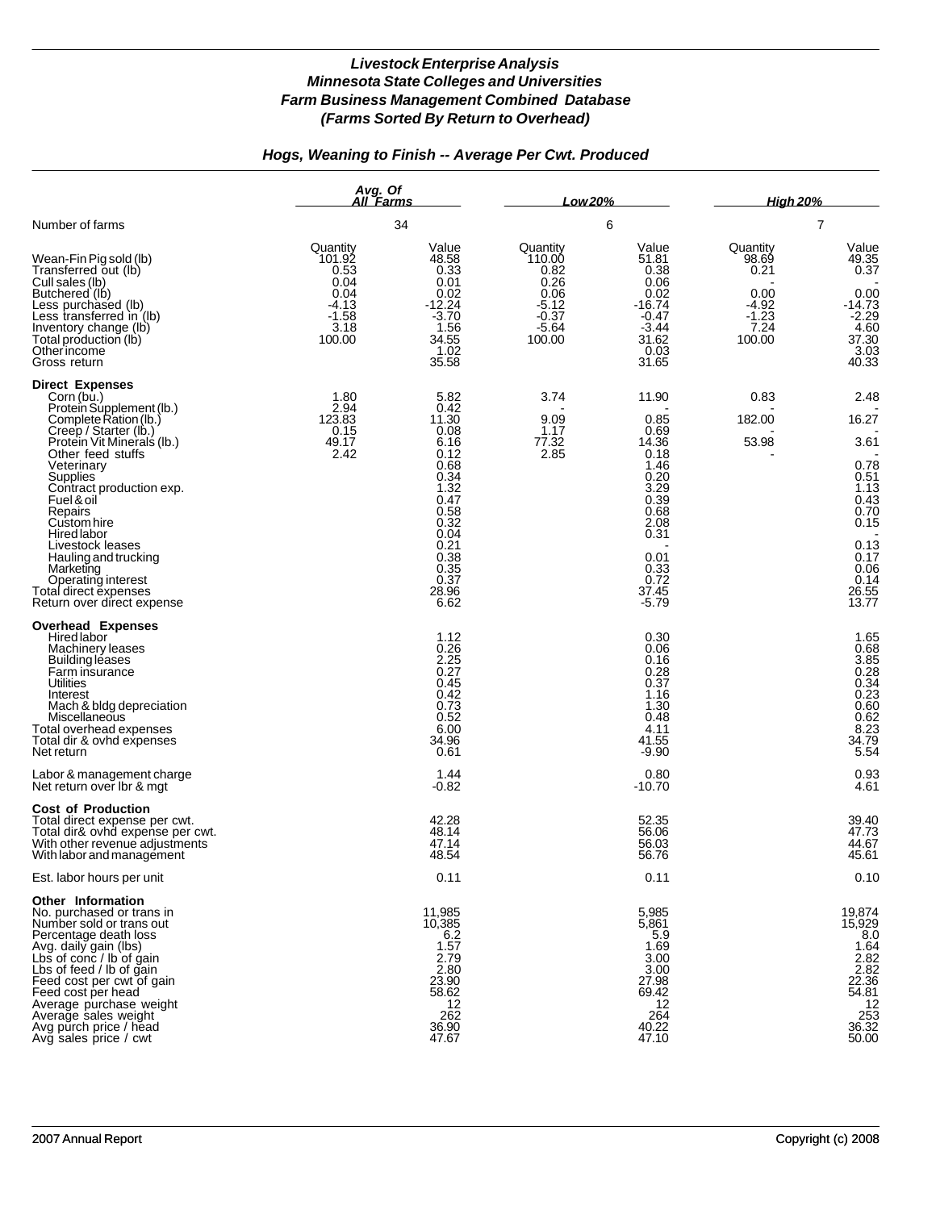# *Hogs, Weaning to Finish -- Average Per Cwt. Produced*

|                                                                                                                                                                                                                                                                                                                                                                                                                                        | Avg. Of<br>All Farms                                                             |                                                                                                                                                        | Low 20%                                                                               |                                                                                                                                            | <b>High 20%</b><br>7                                                      |                                                                                                                         |
|----------------------------------------------------------------------------------------------------------------------------------------------------------------------------------------------------------------------------------------------------------------------------------------------------------------------------------------------------------------------------------------------------------------------------------------|----------------------------------------------------------------------------------|--------------------------------------------------------------------------------------------------------------------------------------------------------|---------------------------------------------------------------------------------------|--------------------------------------------------------------------------------------------------------------------------------------------|---------------------------------------------------------------------------|-------------------------------------------------------------------------------------------------------------------------|
| Number of farms                                                                                                                                                                                                                                                                                                                                                                                                                        |                                                                                  | 34                                                                                                                                                     | 6                                                                                     |                                                                                                                                            |                                                                           |                                                                                                                         |
| Wean-Fin Pig sold (lb)<br>Transferred out (lb)<br>Cull sales (lb)<br>Butchered (lb)<br>Less purchased (lb)<br>Less transferred in (lb)<br>Inventory change (lb)<br>Total production (lb)<br>Other income<br>Gross return                                                                                                                                                                                                               | Quantity<br>101.92<br>0.53<br>0.04<br>0.04<br>-4.13<br>$-1.58$<br>3.18<br>100.00 | Value<br>48.58<br>0.33<br>0.01<br>0.02<br>-12.24<br>$-3.70$<br>1.56<br>34.55<br>1.02<br>35.58                                                          | Quantity<br>110.00<br>0.82<br>0.26<br>0.06<br>$-5.12$<br>$-0.37$<br>$-5.64$<br>100.00 | Value<br>51.81<br>0.38<br>0.06<br>0.02<br>$-16.74$<br>$-0.47$<br>$-3.44$<br>31.62<br>0.03<br>31.65                                         | Quantity<br>98.69<br>0.21<br>0.00<br>$-4.92$<br>$-1.23$<br>7.24<br>100.00 | Value<br>49.35<br>0.37<br>0.00<br>$-14.73$<br>$-2.29$<br>4.60<br>37.30<br>3.03<br>40.33                                 |
| <b>Direct Expenses</b><br>Corn (bu.)<br>Protein Supplement (lb.)<br>Complete Ration (lb.)<br>Creep / Starter (lb.)<br>Protein Vit Minerals (lb.)<br>Other feed stuffs<br>Veterinary<br><b>Supplies</b><br>Contract production exp.<br>Fuel & oil<br>Repairs<br>Custom hire<br><b>Hired labor</b><br>Livestock leases<br>Hauling and trucking<br>Marketing<br>Operating interest<br>Total direct expenses<br>Return over direct expense | 1.80<br>2.94<br>123.83<br>0.15<br>49.17<br>2.42                                  | 5.82<br>0.42<br>11.30<br>0.08<br>6.16<br>0.12<br>0.68<br>0.34<br>1.32<br>0.47<br>0.58<br>0.32<br>0.04<br>0.21<br>0.38<br>0.35<br>0.37<br>28.96<br>6.62 | 3.74<br>9.09<br>1.17<br>77.32<br>2.85                                                 | 11.90<br>0.85<br>0.69<br>14.36<br>0.18<br>1.46<br>0.20<br>3.29<br>0.39<br>0.68<br>2.08<br>0.31<br>0.01<br>0.33<br>0.72<br>37.45<br>$-5.79$ | 0.83<br>182.00<br>53.98                                                   | 2.48<br>16.27<br>3.61<br>0.78<br>0.51<br>1.13<br>0.43<br>0.70<br>0.15<br>0.13<br>0.17<br>0.06<br>0.14<br>26.55<br>13.77 |
| <b>Overhead Expenses</b><br>Hired labor<br>Machinery leases<br>Building leases<br>Farm insurance<br>Utilities<br>Interest<br>Mach & bldg depreciation<br>Miscellaneous<br>Total overhead expenses<br>Total dir & ovhd expenses<br>Net return                                                                                                                                                                                           |                                                                                  | 1.12<br>0.26<br>2.25<br>0.27<br>0.45<br>0.42<br>0.73<br>0.52<br>6.00<br>34.96<br>0.61                                                                  |                                                                                       | 0.30<br>0.06<br>0.16<br>0.28<br>0.37<br>1.16<br>1.30<br>0.48<br>4.11<br>41.55<br>$-9.90$                                                   |                                                                           | 1.65<br>0.68<br>3.85<br>3.85<br>0.28<br>0.34<br>0.60<br>0.62<br>0.62<br>8.23<br>34.79<br>5.54                           |
| Labor & management charge<br>Net return over Ibr & mgt                                                                                                                                                                                                                                                                                                                                                                                 |                                                                                  | 1.44<br>$-0.82$                                                                                                                                        |                                                                                       | 0.80<br>$-10.70$                                                                                                                           |                                                                           | $0.93$<br>$4.61$                                                                                                        |
| <b>Cost of Production</b><br>Total direct expense per cwt.<br>Total dir& ovhd expense per cwt.<br>With other revenue adjustments<br>With labor and management                                                                                                                                                                                                                                                                          |                                                                                  | 42.28<br>48.14<br>47.14<br>48.54                                                                                                                       |                                                                                       | 52.35<br>56.06<br>56.03<br>56.76                                                                                                           |                                                                           | 39.40<br>47.73<br>44.67<br>45.61                                                                                        |
| Est. labor hours per unit                                                                                                                                                                                                                                                                                                                                                                                                              |                                                                                  | 0.11                                                                                                                                                   |                                                                                       | 0.11                                                                                                                                       |                                                                           | 0.10                                                                                                                    |
| Other Information<br>No. purchased or trans in<br>Number sold or trans out<br>Percentage death loss<br>Avg. daily gain (lbs)<br>Lbs of conc / lb of gain<br>Lbs of feed / lb of gain<br>Feed cost per cwt of gain<br>Feed cost per head<br>Average purchase weight<br>Average sales weight<br>Avg purch price / head<br>Avg sales price / cwt                                                                                          |                                                                                  | 11,985<br>10,385<br>6.2<br>1.57<br>2.79<br>2.80<br>23.90<br>58.62<br>12<br>262<br>36.90<br>47.67                                                       |                                                                                       | 5,985<br>5,861<br>5.9<br>1.69<br>3.00<br>3.00<br>27.98<br>69.42<br>12<br>264<br>40.22<br>47.10                                             |                                                                           | 19,874<br>15,929<br>8.0<br>1.64<br>$\frac{2.82}{2.82}$<br>22.36<br>54.81<br>$\frac{12}{253}$<br>36.32<br>50.00          |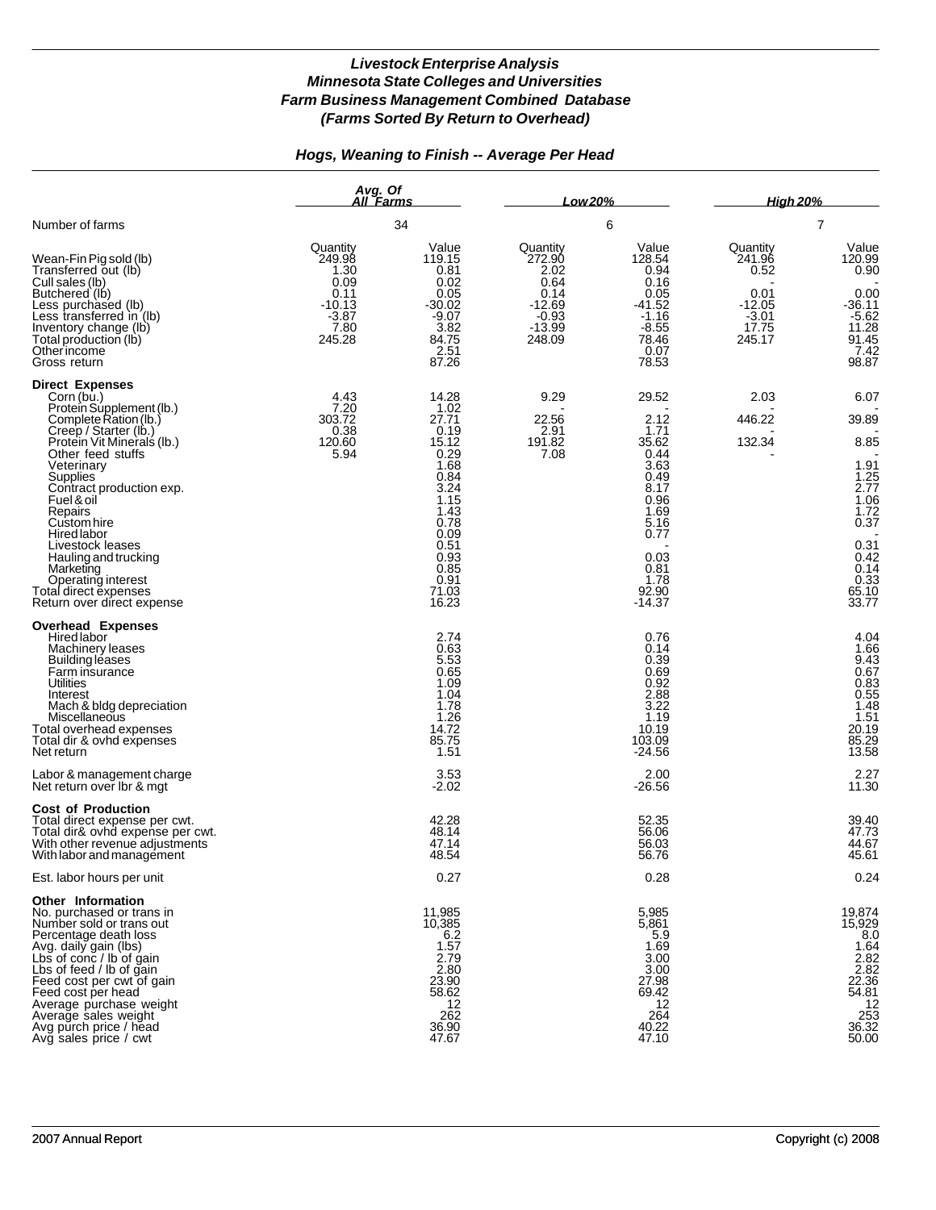## *Hogs, Weaning to Finish -- Average Per Head*

|                                                                                                                                                                                                                                                                                                                                                                                                                                 | Avg. Of<br>All Farms<br>34                                                          |                                                                                                                                                           | Low 20%<br>6                                                                            |                                                                                                                                             | <b>High 20%</b><br>$\overline{7}$                                            |                                                                                                                                                               |
|---------------------------------------------------------------------------------------------------------------------------------------------------------------------------------------------------------------------------------------------------------------------------------------------------------------------------------------------------------------------------------------------------------------------------------|-------------------------------------------------------------------------------------|-----------------------------------------------------------------------------------------------------------------------------------------------------------|-----------------------------------------------------------------------------------------|---------------------------------------------------------------------------------------------------------------------------------------------|------------------------------------------------------------------------------|---------------------------------------------------------------------------------------------------------------------------------------------------------------|
| Number of farms                                                                                                                                                                                                                                                                                                                                                                                                                 |                                                                                     |                                                                                                                                                           |                                                                                         |                                                                                                                                             |                                                                              |                                                                                                                                                               |
| Wean-Fin Pig sold (lb)<br>Transferred out (lb)<br>Cull sales (lb)<br>Butchered (lb)<br>Less purchased (lb)<br>Less transferred in (lb)<br>Inventory change (lb)<br>Total production (lb)<br>Otherincome<br>Gross return                                                                                                                                                                                                         | Quantity<br>249.98<br>1.30<br>0.09<br>0.11<br>$-10.13$<br>$-3.87$<br>7.80<br>245.28 | Value<br>119.15<br>0.81<br>0.02<br>0.05<br>-30.02<br>$-9.07$<br>3.82<br>84.75<br>2.51<br>87.26                                                            | Quantity<br>272.90<br>2.02<br>0.64<br>0.14<br>$-12.69$<br>$-0.93$<br>$-13.99$<br>248.09 | Value<br>128.54<br>0.94<br>0.16<br>0.05<br>$-41.52$<br>$-1.16$<br>$-8.55$<br>78.46<br>0.07<br>78.53                                         | Quantity<br>241.96<br>0.52<br>0.01<br>$-12.05$<br>$-3.01$<br>17.75<br>245.17 | Value<br>120.99<br>0.90<br>0.00<br>-36.11<br>$-5.62$<br>11.28<br>$91.45$<br>7.42<br>98.87                                                                     |
| <b>Direct Expenses</b><br>Corn (bu.)<br>Protein Supplement (lb.)<br>Complete Ration (lb.)<br>Creep / Starter (lb.)<br>Protein Vit Minerals (lb.)<br>Other feed stuffs<br>Veterinary<br>Supplies<br>Contract production exp.<br>Fuel & oil<br>Repairs<br>Custom hire<br><b>Hired labor</b><br>Livestock leases<br>Hauling and trucking<br>Marketing<br>Operating interest<br>Total direct expenses<br>Return over direct expense | 4.43<br>7.20<br>303.72<br>0.38<br>120.60<br>5.94                                    | 14.28<br>1.02<br>27.71<br>0.19<br>15.12<br>0.29<br>1.68<br>0.84<br>3.24<br>1.15<br>1.43<br>0.78<br>0.09<br>0.51<br>0.93<br>0.85<br>0.91<br>71.03<br>16.23 | 9.29<br>22.56<br>2.91<br>191.82<br>7.08                                                 | 29.52<br>2.12<br>1.71<br>35.62<br>0.44<br>3.63<br>0.49<br>8.17<br>0.96<br>1.69<br>5.16<br>0.77<br>0.03<br>0.81<br>1.78<br>92.90<br>$-14.37$ | 2.03<br>446.22<br>132.34                                                     | 6.07<br>39.89<br>8.85<br>1.91<br>$\frac{1.25}{2.77}$<br>1.06<br>1.72<br>0.37<br>$\begin{array}{c} 0.31 \\ 0.42 \\ 0.14 \end{array}$<br>0.33<br>65.10<br>33.77 |
| <b>Overhead Expenses</b><br>Hired labor<br>Machinery leases<br><b>Building leases</b><br>Farm insurance<br>Utilities<br>Interest<br>Mach & bldg depreciation<br>Miscellaneous<br>Total overhead expenses<br>Total dir & ovhd expenses<br>Net return                                                                                                                                                                             |                                                                                     | 2.74<br>0.63<br>5.53<br>0.65<br>1.09<br>1.04<br>1.78<br>1.26<br>14.72<br>85.75<br>1.51                                                                    |                                                                                         | 0.76<br>0.14<br>0.39<br>0.69<br>0.92<br>2.88<br>3.22<br>1.19<br>10.19<br>103.09<br>$-24.56$                                                 |                                                                              | 4.04<br>1.66<br>$\frac{9.43}{0.67}$<br>$0.83$<br>0.55<br>0.55<br>1.48<br>1.51<br>20.19<br>85.29<br>13.58                                                      |
| Labor & management charge<br>Net return over Ibr & mgt                                                                                                                                                                                                                                                                                                                                                                          |                                                                                     | 3.53<br>$-2.02$                                                                                                                                           |                                                                                         | 2.00<br>$-26.56$                                                                                                                            |                                                                              | 2.27<br>11.30                                                                                                                                                 |
| <b>Cost of Production</b><br>Total direct expense per cwt.<br>Total dir& ovhd expense per cwt.<br>With other revenue adjustments<br>With labor and management                                                                                                                                                                                                                                                                   |                                                                                     | 42.28<br>48.14<br>47.14<br>48.54                                                                                                                          |                                                                                         | 52.35<br>56.06<br>56.03<br>56.76                                                                                                            |                                                                              | 39.40<br>47.73<br>44.67<br>45.61                                                                                                                              |
| Est. labor hours per unit                                                                                                                                                                                                                                                                                                                                                                                                       |                                                                                     | 0.27                                                                                                                                                      |                                                                                         | 0.28                                                                                                                                        |                                                                              | 0.24                                                                                                                                                          |
| <b>Other Information</b><br>No. purchased or trans in<br>Number sold or trans out<br>Percentage death loss<br>Avg. daily gain (lbs)<br>Lbs of conc / lb of gain<br>Lbs of feed / lb of gain<br>Feed cost per cwt of gain<br>Feed cost per head<br>Average purchase weight<br>Average sales weight<br>Avg purch price / head<br>Avg sales price / cwt                                                                            |                                                                                     | 11,985<br>10,385<br>6.2<br>1.57<br>2.79<br>2.80<br>23.90<br>58.62<br>12<br>262<br>36.90<br>47.67                                                          |                                                                                         | 5,985<br>5,861<br>5.9<br>1.69<br>3.00<br>3.00<br>27.98<br>69.42<br>12<br>264<br>40.22<br>47.10                                              |                                                                              | 19,874<br>15,929<br>8.0<br>1.64<br>$\frac{2.82}{2.82}$<br>22.36<br>54.81<br>$\frac{12}{253}$<br>36.32<br>50.00                                                |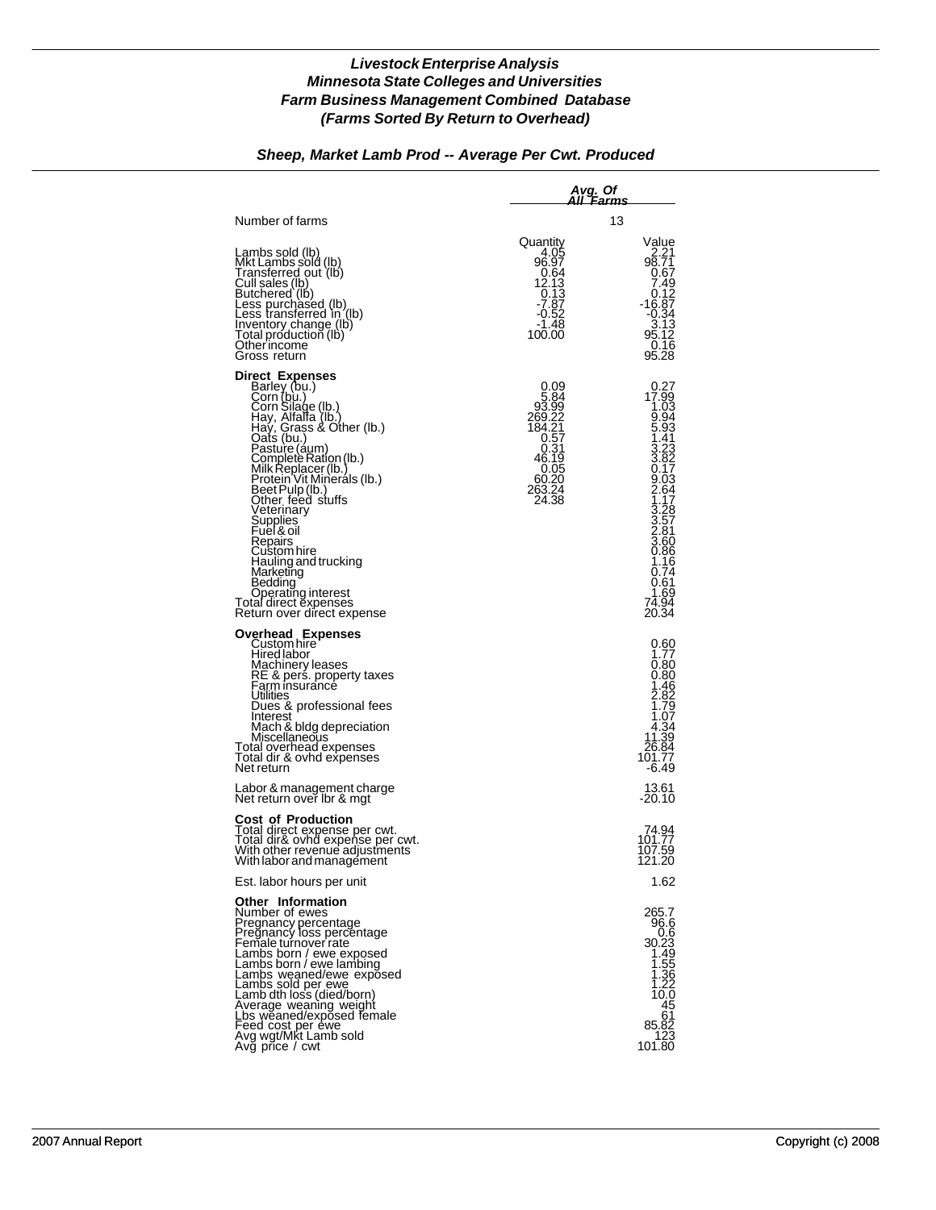# *Sheep, Market Lamb Prod -- Average Per Cwt. Produced*

|                                                                                                                                                                                                                                                                                                                                                                                                                                                                          |                                                                                                                                       | <u>Avg.</u> Of<br>All ´Farms                                                                                                                                                                                                            |  |  |
|--------------------------------------------------------------------------------------------------------------------------------------------------------------------------------------------------------------------------------------------------------------------------------------------------------------------------------------------------------------------------------------------------------------------------------------------------------------------------|---------------------------------------------------------------------------------------------------------------------------------------|-----------------------------------------------------------------------------------------------------------------------------------------------------------------------------------------------------------------------------------------|--|--|
| Number of farms                                                                                                                                                                                                                                                                                                                                                                                                                                                          |                                                                                                                                       | 13                                                                                                                                                                                                                                      |  |  |
| Lambs sold (lb)<br>Mkt Lambs sold (lb)<br>Transferred out (lb)<br>Cull sales (lb)<br>Butchered (lb)<br>Less purchased (lb)<br>Less transferred in (lb)<br>Inventory change (ib)<br>Total production (lb)<br>Otherincome<br>Gross return                                                                                                                                                                                                                                  | Quantity<br>4.05<br>96.97<br>0.64<br>$12.13$<br>0.13<br>-7.87<br>$-0.52$<br>$-1.48$<br>100.00                                         | Value<br>2.21<br>98.71<br>0.67<br>7.49<br>0.12<br>16.87-<br>$-0.34$<br>$3.13$<br>$95.12$<br>0.16<br>95.28                                                                                                                               |  |  |
| Direct Expenses<br>Barley (bu.)<br>Corn (bu.)<br>Corn Silage (lb.)<br>Hay, Alfalfa (lb.)<br>Haý, Grass & Other (lb.)<br>Oats (bu.)<br>Pasture (áum)<br>Complete Ration (lb.)<br>Milk Replacer (lb.)<br>Protein Vit Mineráls (lb.)<br>Beet Pulp (lb.)<br>Other feed stuffs<br>Veterinary<br>Supplies<br>Euel & oil<br>Repairs<br>Custom hire<br>Hauling and trucking<br>Marketing<br>Bedding<br>Operating interest<br>Total direct ĕxpenses<br>Return over direct expense | 0.09<br>5.84<br>93.99<br>269.22<br>184.21<br>$\begin{array}{c} 0.57 \\ 0.31 \\ 46.19 \end{array}$<br>0.05<br>60.20<br>263.24<br>24.38 | $0.27$<br>17.99<br>1.03<br>9.94<br>5.93<br>1.41<br>$\begin{array}{c} 3.23 \\ 3.82 \\ 0.17 \end{array}$<br>$\frac{9.03}{2.64}$<br>1.17<br>$3.28$<br>$3.57$<br>$2.81$<br>$3.60$<br>0.86<br>1.16<br>0.74<br>0.61<br>1.69<br>74.94<br>20.34 |  |  |
| Overhead Expenses<br>Custom hire<br>Hired labor<br>Machinery leases<br>RE & pers. property taxes<br>Farm insurancé<br>Utilities<br>Dues & professional fees<br>Interest<br>Mach & bldg depreciation<br>Miscellaneous<br>Lotal overhead expenses<br>Total dir & ovhd expenses<br>Net return                                                                                                                                                                               |                                                                                                                                       | $0.60$<br>$1.77$<br>0.80<br>0.80<br>1.46<br>2.82<br>1.79<br>1.07<br>$\begin{array}{c} 4.34 \\ 11.39 \\ 26.84 \end{array}$<br>101.77<br>$-6.49$                                                                                          |  |  |
| Labor & management charge<br>Net return over Ibr & mgt                                                                                                                                                                                                                                                                                                                                                                                                                   |                                                                                                                                       | 13.61<br>$-20.10$                                                                                                                                                                                                                       |  |  |
| Cost of Production<br>Total direct expense per cwt.<br>Total dir& ovhd expense per cwt.<br>With other revenue adjustments<br>With labor and management                                                                                                                                                                                                                                                                                                                   |                                                                                                                                       | 74.94<br>101.77<br>107.59<br>121.20                                                                                                                                                                                                     |  |  |
| Est. labor hours per unit                                                                                                                                                                                                                                                                                                                                                                                                                                                |                                                                                                                                       | 1.62                                                                                                                                                                                                                                    |  |  |
| <b>Other Information</b><br>Number of ewes<br>Pregnancy percentage<br>Pregnancy loss percentage<br>Female turnover rate<br>Lambs born / ewe exposed<br>Lambs born / ewe lambing<br>Lambs weaned/ewe exposed<br>Lambs sold per ewe<br>Lamb dth loss (died/born)<br>Average weaning weight<br>Lbs weaned/exposed female<br>Feed cost per ewe<br>Avg wgt/Mķt Lamb sold<br>Avg price / cwt                                                                                   |                                                                                                                                       | 265.7<br>96.6<br>0.6<br>30.23<br>1.49<br>$\begin{array}{c} 1.55 \\ 1.36 \\ 1.22 \end{array}$<br>10.0<br>45<br>61<br>85.82<br>123<br>101.80                                                                                              |  |  |